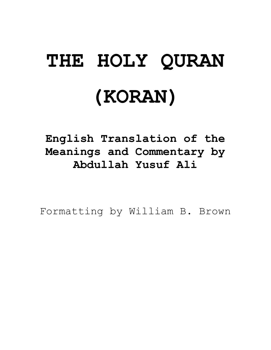# **THE HOLY QURAN (KORAN)**

**English Translation of the Meanings and Commentary by Abdullah Yusuf Ali** 

Formatting by William B. Brown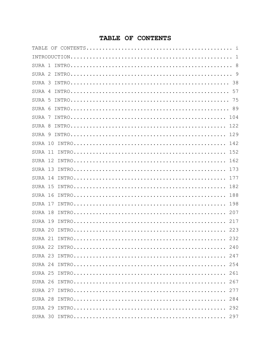# <span id="page-2-0"></span>TABLE OF CONTENTS

| SURA 2            |    |  |     |  |  |  |  |
|-------------------|----|--|-----|--|--|--|--|
| SURA <sub>3</sub> |    |  |     |  |  |  |  |
| SURA 4            |    |  |     |  |  |  |  |
| SURA 5            |    |  |     |  |  |  |  |
| SURA 6            |    |  |     |  |  |  |  |
| SURA 7            |    |  |     |  |  |  |  |
| SURA 8            |    |  |     |  |  |  |  |
| SURA 9            |    |  | 129 |  |  |  |  |
|                   |    |  |     |  |  |  |  |
| SURA 11           |    |  |     |  |  |  |  |
| SURA 12           |    |  |     |  |  |  |  |
|                   |    |  |     |  |  |  |  |
| SURA 14           |    |  |     |  |  |  |  |
| SURA 15           |    |  |     |  |  |  |  |
| SURA 16           |    |  |     |  |  |  |  |
| <b>SURA</b>       | 17 |  |     |  |  |  |  |
| SURA 18           |    |  |     |  |  |  |  |
| SURA 19           |    |  |     |  |  |  |  |
| SURA 20           |    |  |     |  |  |  |  |
|                   |    |  |     |  |  |  |  |
|                   |    |  |     |  |  |  |  |
|                   |    |  |     |  |  |  |  |
|                   |    |  |     |  |  |  |  |
|                   |    |  |     |  |  |  |  |
|                   |    |  |     |  |  |  |  |
|                   |    |  |     |  |  |  |  |
|                   |    |  |     |  |  |  |  |
|                   |    |  |     |  |  |  |  |
|                   |    |  |     |  |  |  |  |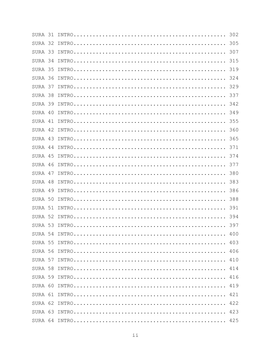| SURA 31 |  |     |
|---------|--|-----|
| SURA 32 |  |     |
| SURA 33 |  |     |
| SURA 34 |  |     |
| SURA 35 |  |     |
| SURA 36 |  |     |
| SURA 37 |  |     |
| SURA 38 |  |     |
| SURA 39 |  | 342 |
| SURA 40 |  | 349 |
| SURA 41 |  |     |
|         |  |     |
| SURA 43 |  |     |
| SURA 44 |  |     |
| SURA 45 |  |     |
| SURA 46 |  |     |
| SURA 47 |  | 380 |
| SURA 48 |  | 383 |
| SURA 49 |  |     |
| SURA 50 |  | 388 |
| SURA 51 |  |     |
| SURA 52 |  |     |
| SURA 53 |  |     |
|         |  | 400 |
| SURA 55 |  | 403 |
| SURA 56 |  | 406 |
| SURA 57 |  |     |
| SURA 58 |  | 414 |
| SURA 59 |  |     |
| SURA 60 |  |     |
| SURA 61 |  | 421 |
| SURA 62 |  | 422 |
|         |  |     |
|         |  |     |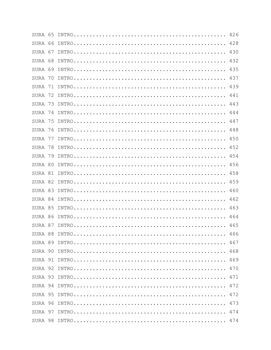| SURA 65     |    |     |
|-------------|----|-----|
| SURA 66     |    |     |
| SURA 67     |    | 430 |
| SURA 68     |    |     |
| SURA 69     |    |     |
| SURA 70     |    | 437 |
| SURA 71     |    |     |
| SURA 72     |    |     |
| SURA 73     |    | 443 |
| SURA 74     |    | 444 |
| <b>SURA</b> | 75 | 447 |
| SURA 76     |    | 448 |
| SURA        | 77 | 450 |
| SURA        | 78 | 452 |
| SURA 79     |    |     |
| SURA 80     |    | 456 |
| SURA 81     |    | 458 |
| SURA 82     |    | 459 |
| SURA 83     |    | 460 |
| SURA 84     |    | 462 |
| SURA 85     |    | 463 |
| SURA 86     |    | 464 |
| SURA 87     |    | 465 |
| SURA 88     |    | 466 |
| SURA 89     |    | 467 |
| SURA 90     |    | 468 |
| SURA 91     |    |     |
| SURA 92     |    |     |
| SURA 93     |    |     |
| SURA 94     |    |     |
| SURA 95     |    |     |
| SURA 96     |    |     |
| SURA 97     |    |     |
|             |    |     |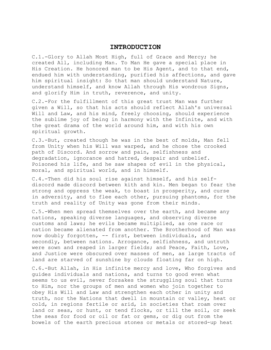### <span id="page-6-0"></span>**INTRODUCTION**

C.1.-Glory to Allah Most High, full of Grace and Mercy; he created All, including Man. To Man He gave a special place in His Creation. He honored man to be His Agent, and to that end, endued him with understanding, purified his affections, and gave him spiritual insight: So that man should understand Nature, understand himself, and know Allah through His wondrous Signs, and glorify Him in truth, reverence, and unity.

C.2.-For the fulfillment of this great trust Man was further given a Will, so that his acts should reflect Allah's universal Will and Law, and his mind, freely choosing, should experience the sublime joy of being in harmony with the Infinite, and with the great drama of the world around him, and with his own spiritual growth.

C.3.-But, created though he was in the best of molds, Man fell from Unity when his Will was warped, and he chose the crooked path of Discord. And sorrow and pain, selfishness and degradation, ignorance and hatred, despair and unbelief. Poisoned his life, and he saw shapes of evil in the physical, moral, and spiritual world, and in himself.

C.4.-Then did his soul rise against himself, and his selfdiscord made discord between kith and kin. Men began to fear the strong and oppress the weak, to boast in prosperity, and curse in adversity, and to flee each other, pursuing phantoms, for the truth and reality of Unity was gone from their minds.

C.5.-When men spread themselves over the earth, and became any nations, speaking diverse languages, and observing diverse customs and laws; he evils became multiplied, as one race or nation became alienated from another. The Brotherhood of Man was now doubly forgotten, -- first, between individuals, and secondly, between nations. Arrogance, selfishness, and untruth were sown and reaped in larger fields; and Peace, Faith, Love, and Justice were obscured over masses of men, as large tracts of land are starved of sunshine by clouds floating far on high.

C.6.-But Allah, in His infinite mercy and love, Who forgives and guides individuals and nations, and turns to good even what seems to us evil, never forsakes the struggling soul that turns to Him, nor the groups of men and women who join together to obey His Will and Law and strengthen each other in unity and truth, nor the Nations that dwell in mountain or valley, heat or cold, in regions fertile or arid, in societies that roam over land or seas, or hunt, or tend flocks, or till the soil, or seek the seas for food or oil or fat or gems, or dig out from the bowels of the earth precious stones or metals or stored-up heat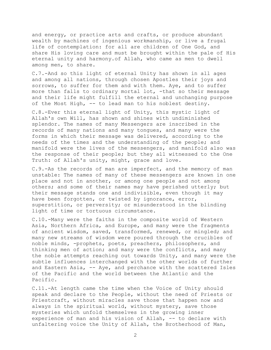and energy, or practice arts and crafts, or produce abundant wealth by machines of ingenious workmanship, or live a frugal life of contemplation: for all are children of One God, and share His loving care and must be brought within the pale of His eternal unity and harmony.of Allah, who came as men to dwell among men, to share.

C.7.-And so this light of eternal Unity has shown in all ages and among all nations, through chosen Apostles their joys and sorrows, to suffer for them and with them. Aye, and to suffer more than falls to ordinary mortal lot, -that so their message and their life might fulfill the eternal and unchanging purpose of the Most High, -- to lead man to his noblest destiny.

C.8.-Ever this eternal light of Unity, this mystic light of Allah's own Will, has shown and shines with undiminished splendor. The names of many Messengers are inscribed in the records of many nations and many tongues, and many were the forms in which their message was delivered, according to the needs of the times and the understanding of the people; and manifold were the lives of the messengers, and manifold also was the response of their people; but they all witnessed to the One Truth: of Allah's unity, might, grace and love.

C.9.-As the records of man are imperfect, and the memory of man unstable: The names of many of these messengers are known in one place and not in another, or among one people and not among others; and some of their names may have perished utterly; but their message stands one and indivisible, even though it may have been forgotten, or twisted by ignorance, error, superstition, or perversity; or misunderstood in the blinding light of time or tortuous circumstance.

C.10.-Many were the faiths in the composite world of Western Asia, Northern Africa, and Europe, and many were the fragments of ancient wisdom, saved, transformed, renewed, or mingled; and many new streams of wisdom were poured through the crucibles of noble minds, -prophets, poets, preachers, philosophers, and thinking men of action; and many were the conflicts, and many the noble attempts reaching out towards Unity, and many were the subtle influences interchanged with the other worlds of further and Eastern Asia, -- Aye, and perchance with the scattered Isles of the Pacific and the world between the Atlantic and the Pacific.

C.11.-At length came the time when the Voice of Unity should speak and declare to the People, without the need of Priests or Priestcraft, without miracles save those that happen now and always in the spiritual world, without mystery, save those mysteries which unfold themselves in the growing inner experience of man and his vision of Allah, -- to declare with unfaltering voice the Unity of Allah, the Brotherhood of Man,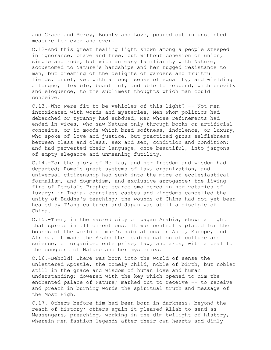and Grace and Mercy, Bounty and Love, poured out in unstinted measure for ever and ever.

C.12-And this great healing light shown among a people steeped in ignorance, brave and free, but without cohesion or union, simple and rude, but with an easy familiarity with Nature, accustomed to Nature's hardships and her rugged resistance to man, but dreaming of the delights of gardens and fruitful fields, cruel, yet with a rough sense of equality, and wielding a tongue, flexible, beautiful, and able to respond, with brevity and eloquence, to the sublimest thoughts which man could conceive.

C.13.-Who were fit to be vehicles of this light? -- Not men intoxicated with words and mysteries, Men whom politics had debauched or tyranny had subdued, Men whose refinements had ended in vices, who saw Nature only through books or artificial conceits, or in moods which bred softness, indolence, or luxury, who spoke of love and justice, but practiced gross selfishness between class and class, sex and sex, condition and condition; and had perverted their language, once beautiful, into jargons of empty elegance and unmeaning futility.

C.14.-For the glory of Hellas, and her freedom and wisdom had departed; Rome's great systems of law, organization, and universal citizenship had sunk into the mire of ecclesiastical formalism, and dogmatism, and exclusive arrogance; the living fire of Persia's Prophet scarce smoldered in her votaries of luxury; in India, countless castes and kingdoms cancelled the unity of Buddha's teaching; the wounds of China had not yet been healed by T'ang culture; and Japan was still a disciple of China.

C.15.-Then, in the sacred city of pagan Arabia, shown a light that spread in all directions. It was centrally placed for the bounds of the world of man's habitations in Asia, Europe, and Africa. It made the Arabs the leading nation of culture and science, of organized enterprise, law, and arts, with a zeal for the conquest of Nature and her mysteries.

C.16.-Behold! There was born into the world of sense the unlettered Apostle, the comely child, noble of birth, but nobler still in the grace and wisdom of human love and human understanding; dowered with the key which opened to him the enchanted palace of Nature; marked out to receive -- to receive and preach in burning words the spiritual truth and message of the Most High.

C.17.-Others before him had been born in darkness, beyond the reach of history; others again it pleased Allah to send as Messengers, preaching, working in the dim twilight of history, wherein men fashion legends after their own hearts and dimly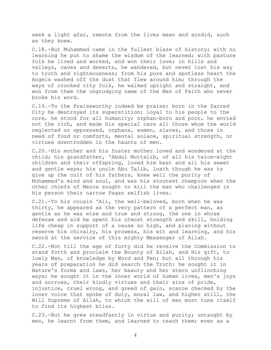seek a light afar, remote from the lives mean and sordid, such as they knew.

C.18.-But Muhammad came in the fullest blaze of history; with no learning he put to shame the wisdom of the learned; with pasture folk he lived and worked, and won their love; in hills and valleys, caves and deserts, he wandered, but never lost his way to truth and righteousness; from his pure and spotless heart the Angels washed off the dust that flew around him; through the ways of crooked city folk, he walked upright and straight, and won from them the ungrudging name of the Man of Faith who never broke his word.

C.19.-To the Praiseworthy indeed be praise: born in the Sacred City he destroyed its superstition; loyal to his people to the core, he stood for all humanity; orphan-born and poor, he envied not the rich, and made his special care all those whom the world neglected or oppressed, orphans, women, slaves, and those in need of food or comforts, mental solace, spiritual strength, or virtues downtrodden in the haunts of men.

C.20.-His mother and his foster mother loved and wondered at the child; his grandfather, 'Abdul Muttalib, of all his twice-eight children and their offspring, loved him best and all his sweet and gentle ways; his uncle Abu Talib, loath though he was to give up the cult of his fathers, knew well the purity of Muhammad's mind and soul, and was his stoutest champion when the other chiefs of Mecca sought to kill the man who challenged in his person their narrow Pagan selfish lives.

C.21.-To his cousin 'Ali, the well-beloved, born when he was thirty, he appeared as the very pattern of a perfect man, as gentle as he was wise and true and strong, the one in whose defense and aid he spent his utmost strength and skill, holding life cheap in support of a cause so high, and placing without reserve his chivalry, his prowess, his wit and learning, and his sword at the service of this mighty Messenger of Allah.

C.22.-Not till the age of forty did he receive the Commission to stand forth and proclaim the Bounty of Allah, and His gift, to lowly Man, of knowledge by Word and Pen; but all through his years of preparation he did search the Truth: he sought it in Nature's forms and laws, her beauty and her stern unflinching ways; he sought it in the inner world of human lives, men's joys and sorrows, their kindly virtues and their sins of pride, injustice, cruel wrong, and greed of gain, scarce checked by the inner voice that spoke of duty, moral law, and higher still, the Will Supreme of Allah, to which the will of man must tune itself to find its highest bliss.

C.23.-But he grew steadfastly in virtue and purity; untaught by men, he learnt from them, and learned to teach them; even as a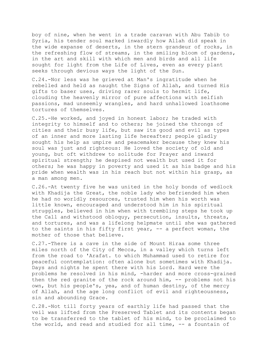boy of nine, when he went in a trade caravan with Abu Tabib to Syria, his tender soul marked inwardly how Allah did speak in the wide expanse of deserts, in the stern grandeur of rocks, in the refreshing flow of streams, in the smiling bloom of gardens, in the art and skill with which men and birds and all life sought for light from the Life of Lives, even as every plant seeks through devious ways the light of the Sun.

C.24.-Nor less was he grieved at Man's ingratitude when he rebelled and held as naught the Signs of Allah, and turned His gifts to baser uses, driving rarer souls to hermit life, clouding the heavenly mirror of pure affections with selfish passions, mad unseemly wrangles, and hard unhallowed loathsome tortures of themselves.

C.25.-He worked, and joyed in honest labor; he traded with integrity to himself and to others; he joined the throngs of cities and their busy life, but saw its good and evil as types of an inner and more lasting life hereafter; people gladly sought his help as umpire and peacemaker because they knew his soul was just and righteous: He loved the society of old and young, but oft withdrew to solitude for Prayer and inward spiritual strength; he despised not wealth but used it for others; he was happy in poverty and used it as his badge and his pride when wealth was in his reach but not within his grasp, as a man among men.

C.26.-At twenty five he was united in the holy bonds of wedlock with Khadija the Great, the noble lady who befriended him when he had no worldly resources, trusted him when his worth was little known, encouraged and understood him in his spiritual struggles, believed in him when with trembling steps he took up the Call and withstood obloquy, persecution, insults, threats, and tortures, and was a lifelong helpmate until she was gathered to the saints in his fifty first year, -- a perfect woman, the mother of those that believe.

C.27.-There is a cave in the side of Mount Hiraa some three miles north of the City of Mecca, in a valley which turns left from the road to 'Arafat. to which Muhammad used to retire for peaceful contemplation: often alone but sometimes with Khadija. Days and nights he spent there with his Lord. Hard were the problems he resolved in his mind, -harder and more cross-grained then the red granite of the rock around him, -- problems not his own, but his people's, yea, and of human destiny, of the mercy of Allah, and the age long conflict of evil and righteousness, sin and abounding Grace.

C.28.-Not till forty years of earthly life had passed that the veil was lifted from the Preserved Tablet and its contents began to be transferred to the tablet of his mind, to be proclaimed to the world, and read and studied for all time, -- a fountain of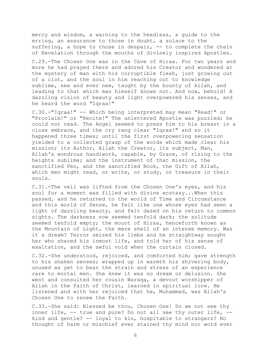mercy and wisdom, a warning to the heedless, a guide to the erring, an assurance to those in doubt, a solace to the suffering, a hope to those in despair,  $-$  to complete the chain of Revelation through the mouths of divinely inspired Apostles.

C.29.-The Chosen One was in the Cave of Hiraa. For two years and more he had prayed there and adored his Creator and wondered at the mystery of man with his corruptible flesh, just growing out of a clot, and the soul in him reaching out to knowledge sublime, new and ever new, taught by the bounty of Allah, and leading to that which man himself knows not. And now, behold! A dazzling vision of beauty and light overpowered his senses, and he heard the word "Iqraa!"

C.30.-"Iqraa!" -- Which being interpreted may mean "Read!" or "Proclaim!" or "Recite!" The unlettered Apostle was puzzled; he could not read. The Angel seemed to press him to his breast in a close embrace, and the cry rang clear "Iqraa!" and so it happened three times; until the first overpowering sensation yielded to a collected grasp of the words which made clear his mission; its Author, Allah the Creator, its subject, Man, Allah's wondrous handiwork, capable, by Grace, of rising to the heights sublime; and the instrument of that mission, the sanctified Pen, and the sanctified Book, the Gift of Allah, which men might read, or write, or study, or treasure in their souls.

C.31.-The veil was lifted from the Chosen One's eyes, and his soul for a moment was filled with divine ecstasy...When this passed, and he returned to the world of Time and Circumstance and this world of Sense, he felt like one whose eyes had seen a light of dazzling beauty, and felt dazed on his return to common sights. The darkness now seemed tenfold dark; the solitude seemed tenfold empty; the mount of Hiraa, henceforth known as the Mountain of Light, the mere shell of an intense memory. Was it a dream? Terror seized his limbs and he straightway sought her who shared his inmost life, and told her of his sense of exaltation, and the awful void when the curtain closed.

C.32.-She understood, rejoiced, and comforted him; gave strength to his shaken senses; wrapped up in warmth his shivering body, unused as yet to bear the strain and stress of an experience rare to mortal men. She knew it was no dream or delusion. She went and consulted her cousin Waraqa, a devout worshipper of Allah in the Faith of Christ, learned in spiritual lore. He listened and with her rejoiced that he, Muhammad, was Allah's Chosen One to renew the Faith.

C.33.-She said: Blessed be thou, Chosen One! Do we not see thy inner life, -- true and pure? Do not all see thy outer life, -kind and gentle? -- loyal to kin, hospitable to strangers? No thought of harm or mischief ever stained thy mind nor word ever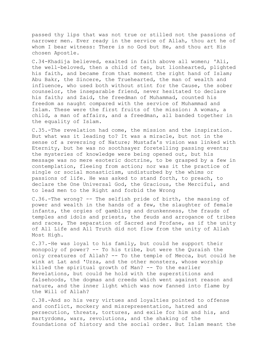passed thy lips that was not true or stilled not the passions of narrower men. Ever ready in the service of Allah, thou art he of whom I bear witness: There is no God but He, and thou art His chosen Apostle.

C.34-Khadija believed, exalted in faith above all women; 'Ali, the well-beloved, then a child of ten, but lionhearted, plighted his faith, and became from that moment the right hand of Islam; Abu Bakr, the Sincere, the Truehearted, the man of wealth and influence, who used both without stint for the Cause, the sober counselor, the inseparable friend, never hesitated to declare his faith; and Zaid, the freedman of Muhammad, counted his freedom as naught compared with the service of Muhammad and Islam. These were the first fruits of the mission: A woman, a child, a man of affairs, and a freedman, all banded together in the equality of Islam.

C.35.-The revelation had come, the mission and the inspiration. But what was it leading to? It was a miracle, but not in the sense of a reversing of Nature; Mustafa's vision was linked with Eternity, but he was no soothsayer foretelling passing events; the mysteries of knowledge were being opened out, but his message was no mere esoteric doctrine, to be grasped by a few in contemplation, fleeing from action; nor was it the practice of single or social monasticism, undisturbed by the whims or passions of life. He was asked to stand forth, to preach, to declare the One Universal God, the Gracious, the Merciful, and to lead men to the Right and forbid the Wrong

C.36.-The wrong? -- The selfish pride of birth, the massing of power and wealth in the hands of a few, the slaughter of female infants, the orgies of gambling and drunkenness, the frauds of temples and idols and priests, the feuds and arrogance of tribes and races, The separation of Sacred and Profane, as if the unity of All Life and All Truth did not flow from the unity of Allah Most High.

C.37.-He was loyal to his family, but could he support their monopoly of power? -- To his tribe, but were the Quraish the only creatures of Allah? -- To the temple of Mecca, but could he wink at Lat and 'Uzza, and the other monsters, whose worship killed the spiritual growth of Man? -- To the earlier Revelations, but could he hold with the superstitions and falsehoods, the dogmas and creeds which went against reason and nature, and the inner light which was now fanned into flame by the Will of Allah?

C.38.-And so his very virtues and loyalties pointed to offense and conflict, mockery and misrepresentation, hatred and persecution, threats, tortures, and exile for him and his, and martyrdoms, wars, revolutions, and the shaking of the foundations of history and the social order. But Islam meant the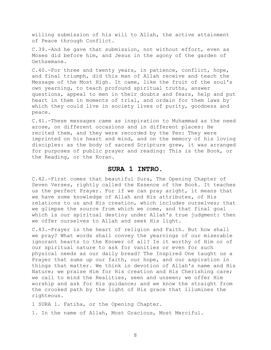willing submission of his will to Allah, the active attainment of Peace through Conflict.

C.39.-And he gave that submission, not without effort, even as Moses did before him, and Jesus in the agony of the garden of Gethsemane.

C.40.-For three and twenty years, in patience, conflict, hope, and final triumph, did this man of Allah receive and teach the Message of the Most High. It came, like the fruit of the soul's own yearning, to teach profound spiritual truths, answer questions, appeal to men in their doubts and fears, help and put heart in them in moments of trial, and ordain for them laws by which they could live in society lives of purity, goodness and peace.

C.41.-These messages came as inspiration to Muhammad as the need arose, on different occasions and in different places: He recited them, and they were recorded by the Pen: They were imprinted on his heart and mind, and on the memory of his loving disciples: as the body of sacred Scripture grew, it was arranged for purposes of public prayer and reading: This is the Book, or the Reading, or the Koran.

### <span id="page-13-0"></span>**SURA 1 INTRO.**

C.42.-First comes that beautiful Sura, The Opening Chapter of Seven Verses, rightly called the Essence of the Book. It teaches us the perfect Prayer. For if we can pray aright, it means that we have some knowledge of Allah and His attributes, of His relations to us and His creation, which includes ourselves; that we glimpse the source from which we come, and that final goal which is our spiritual destiny under Allah's true judgment: then we offer ourselves to Allah and seek His light.

C.43.-Prayer is the heart of religion and Faith. But how shall we pray? What words shall convey the yearnings of our miserable ignorant hearts to the Knower of all? Is it worthy of Him or of our spiritual nature to ask for vanities or even for such physical needs as our daily bread? The Inspired One taught us a Prayer that sums up our faith, our hope, and our aspiration in things that matter. We think in devotion of Allah's name and His Nature; we praise Him for His creation and His Cherishing care; we call to mind the Realities, seen and unseen; we offer Him worship and ask for His guidance; and we know the straight from the crooked path by the light of His grace that illumines the righteous.

1 SURA 1. Fatiha, or the Opening Chapter.

1. In the name of Allah, Most Gracious, Most Merciful.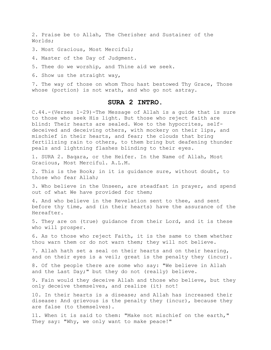2. Praise be to Allah, The Cherisher and Sustainer of the Worlds;

3. Most Gracious, Most Merciful;

4. Master of the Day of Judgment.

5. Thee do we worship, and Thine aid we seek.

6. Show us the straight way,

7. The way of those on whom Thou hast bestowed Thy Grace, Those whose (portion) is not wrath, and who go not astray.

## <span id="page-14-0"></span>**SURA 2 INTRO.**

C.44.-(Verses 1-29)-The Message of Allah is a guide that is sure to those who seek His light. But those who reject faith are blind: Their hearts are sealed. Woe to the hypocrites, selfdeceived and deceiving others, with mockery on their lips, and mischief in their hearts, and fear; the clouds that bring fertilizing rain to others, to them bring but deafening thunder peals and lightning flashes blinding to their eyes.

1. SURA 2. Baqara, or the Heifer. In the Name of Allah, Most Gracious, Most Merciful. A.L.M.

2. This is the Book; in it is guidance sure, without doubt, to those who fear Allah;

3. Who believe in the Unseen, are steadfast in prayer, and spend out of what We have provided for them;

4. And who believe in the Revelation sent to thee, and sent before thy time, and (in their hearts) have the assurance of the Hereafter.

5. They are on (true) guidance from their Lord, and it is these who will prosper.

6. As to those who reject Faith, it is the same to them whether thou warn them or do not warn them; they will not believe.

7. Allah hath set a seal on their hearts and on their hearing, and on their eyes is a veil; great is the penalty they (incur).

8. Of the people there are some who say: "We believe in Allah and the Last Day;" but they do not (really) believe.

9. Fain would they deceive Allah and those who believe, but they only deceive themselves, and realize (it) not!

10. In their hearts is a disease; and Allah has increased their disease: And grievous is the penalty they (incur), because they are false (to themselves).

11. When it is said to them: "Make not mischief on the earth," They say: "Why, we only want to make peace!"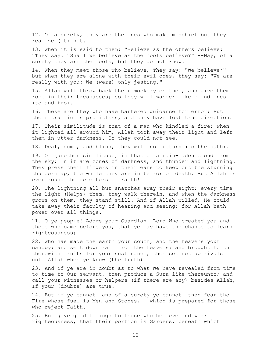12. Of a surety, they are the ones who make mischief but they realize (it) not.

13. When it is said to them: "Believe as the others believe: "They say: "Shall we believe as the fools believe?" --Nay, of a surety they are the fools, but they do not know.

14. When they meet those who believe, They say: "We believe;" but when they are alone with their evil ones, they say: "We are really with you: We (were) only jesting."

15. Allah will throw back their mockery on them, and give them rope in their trespasses; so they will wander like blind ones (to and fro).

16. These are they who have bartered guidance for error: But their traffic is profitless, and they have lost true direction.

17. Their similitude is that of a man who kindled a fire; when it lighted all around him, Allah took away their light and left them in utter darkness. So they could not see.

18. Deaf, dumb, and blind, they will not return (to the path).

19. Or (another similitude) is that of a rain-laden cloud from the sky: In it are zones of darkness, and thunder and lightning: They press their fingers in their ears to keep out the stunning thunderclap, the while they are in terror of death. But Allah is ever round the rejecters of Faith!

20. The lightning all but snatches away their sight; every time the light (Helps) them, they walk therein, and when the darkness grows on them, they stand still. And if Allah willed, He could take away their faculty of hearing and seeing; for Allah hath power over all things.

21. O ye people! Adore your Guardian--Lord Who created you and those who came before you, that ye may have the chance to learn righteousness;

22. Who has made the earth your couch, and the heavens your canopy; and sent down rain from the heavens; and brought forth therewith fruits for your sustenance; then set not up rivals unto Allah when ye know (the truth).

23. And if ye are in doubt as to what We have revealed from time to time to Our servant, then produce a Sura like thereunto; and call your witnesses or helpers (if there are any) besides Allah, If your (doubts) are true.

24. But if ye cannot--and of a surety ye cannot--then fear the Fire whose fuel is Men and Stones, --which is prepared for those who reject Faith.

25. But give glad tidings to those who believe and work righteousness, that their portion is Gardens, beneath which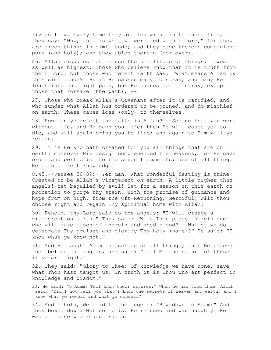rivers flow. Every time they are fed with fruits there from, they say: "Why, this is what we were fed with before," for they are given things in similitude; and they have therein companions pure (and holy); and they abide therein (for ever).

26. Allah disdains not to use the similitude of things, lowest as well as highest. Those who believe know that it is truth from their Lord; but those who reject Faith say: "What means Allah by this similitude?" By it He causes many to stray, and many He leads into the right path; but He causes not to stray, except those that forsake (the path),  $-$ -

27. Those who break Allah's Covenant after it is ratified, and who sunder what Allah has ordered to be joined, and do mischief on earth: These cause loss (only) to themselves.

28. How can ye reject the faith in Allah? --Seeing that you were without life, and He gave you life; then He will cause you to die, and will again bring you to life; and again to Him will ye return.

29. It is He Who hath created for you all things that are on earth; moreover His design comprehended the heavens, for He gave order and perfection to the seven firmaments; and of all things He hath perfect knowledge.

C.45.-(Verses 30-39)- Yet man! What wonderful destiny is thine! Created to be Allah's vicegerent on earth! A little higher than angels! Yet beguiled by evil! Set for a season on this earth on probation to purge thy stain, with the promise of guidance and hope from on high, from the Oft-Returning, Merciful! Wilt thou choose right and regain Thy spiritual home with Allah!

30. Behold, thy Lord said to the angels: "I will create a vicegerent on earth." They said: "Wilt Thou place therein one who will make mischief therein and shed blood? --Whilst we do celebrate Thy praises and glorify Thy holy (name)?" He said: "I know what ye know not."

31. And He taught Adam the nature of all things; then He placed them before the angels, and said: "Tell Me the nature of these if ye are right."

32. They said: "Glory to Thee: Of knowledge we have none, save what Thou hast taught us: In truth it is Thou who art perfect in knowledge and wisdom."

33. He said: "O Adam! Tell them their natures." When he had told them, Allah said: "Did I not tell you that I know the secrets of heaven and earth, and I know what ye reveal and what ye conceal?"

34. And behold, We said to the angels: "Bow down to Adam:" And they bowed down: Not so Iblis: He refused and was haughty: He was of those who reject Faith.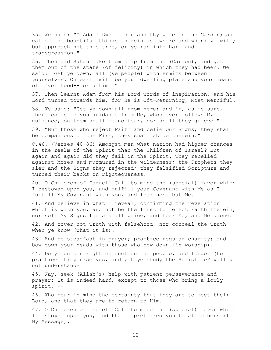35. We said: "O Adam! Dwell thou and thy wife in the Garden; and eat of the bountiful things therein as (where and when) ye will; but approach not this tree, or ye run into harm and transgression."

36. Then did Satan make them slip from the (Garden), and get them out of the state (of felicity) in which they had been. We said: "Get ye down, all (ye people) with enmity between yourselves. On earth will be your dwelling place and your means of livelihood--for a time."

37. Then learnt Adam from his Lord words of inspiration, and his Lord turned towards him, for He is Oft-Returning, Most Merciful.

38. We said: "Get ye down all from here; and if, as is sure, there comes to you guidance from Me, whosoever follows My guidance, on them shall be no fear, nor shall they grieve."

39. "But those who reject Faith and belie Our Signs, they shall be Companions of the Fire; they shall abide therein."

C.46.-(Verses 40-86)-Amongst men what nation had higher chances in the realm of the Spirit than the Children of Israel? But again and again did they fail in the Spirit. They rebelled against Moses and murmured in the wilderness; the Prophets they slew and the Signs they rejected; they falsified Scripture and turned their backs on righteousness.

40. O Children of Israel! Call to mind the (special) favor which I bestowed upon you, and fulfill your Covenant with Me as I fulfill My Covenant with you, and fear none but Me.

41. And believe in what I reveal, confirming the revelation which is with you, and not be the first to reject Faith therein, nor sell My Signs for a small price; and fear Me, and Me alone.

42. And cover not Truth with falsehood, nor conceal the Truth when ye know (what it is).

43. And be steadfast in prayer; practice regular charity; and bow down your heads with those who bow down (in worship).

44. Do ye enjoin right conduct on the people, and forget (to practice it) yourselves, and yet ye study the Scripture? Will ye not understand?

45. Nay, seek (Allah's) help with patient perseverance and prayer: It is indeed hard, except to those who bring a lowly spirit, --

46. Who bear in mind the certainty that they are to meet their Lord, and that they are to return to Him.

47. O Children of Israel! Call to mind the (special) favor which I bestowed upon you, and that I preferred you to all others (for My Message).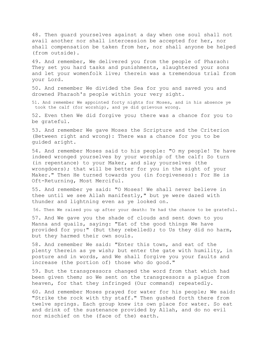48. Then guard yourselves against a day when one soul shall not avail another nor shall intercession be accepted for her, nor shall compensation be taken from her, nor shall anyone be helped (from outside).

49. And remember, We delivered you from the people of Pharaoh: They set you hard tasks and punishments, slaughtered your sons and let your womenfolk live; therein was a tremendous trial from your Lord.

50. And remember We divided the Sea for you and saved you and drowned Pharaoh's people within your very sight.

51. And remember We appointed forty nights for Moses, and in his absence ye took the calf (for worship), and ye did grievous wrong.

52. Even then We did forgive you; there was a chance for you to be grateful.

53. And remember We gave Moses the Scripture and the Criterion (Between right and wrong): There was a chance for you to be guided aright.

54. And remember Moses said to his people: "O my people! Ye have indeed wronged yourselves by your worship of the calf: So turn (in repentance) to your Maker, and slay yourselves (the wrongdoers); that will be better for you in the sight of your Maker." Then He turned towards you (in forgiveness): For He is Oft-Returning, Most Merciful.

55. And remember ye said: "O Moses! We shall never believe in thee until we see Allah manifestly," but ye were dazed with thunder and lightning even as ye looked on.

56. Then We raised you up after your death: Ye had the chance to be grateful.

57. And We gave you the shade of clouds and sent down to you Manna and quails, saying: "Eat of the good things We have provided for you:" (But they rebelled); to Us they did no harm, but they harmed their own souls.

58. And remember We said: "Enter this town, and eat of the plenty therein as ye wish; but enter the gate with humility, in posture and in words, and We shall forgive you your faults and increase (the portion of) those who do good."

59. But the transgressors changed the word from that which had been given them; so We sent on the transgressors a plague from heaven, for that they infringed (Our command) repeatedly.

60. And remember Moses prayed for water for his people; We said: "Strike the rock with thy staff." Then gushed forth there from twelve springs. Each group knew its own place for water. So eat and drink of the sustenance provided by Allah, and do no evil nor mischief on the (face of the) earth.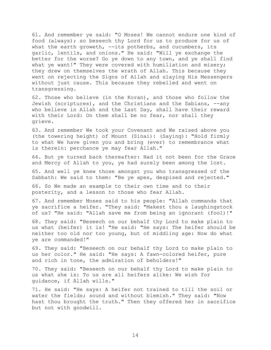61. And remember ye said: "O Moses! We cannot endure one kind of food (always); so beseech thy Lord for us to produce for us of what the earth groweth, --its potherbs, and cucumbers, its garlic, lentils, and onions." He said: "Will ye exchange the better for the worse? Go ye down to any town, and ye shall find what ye want!" They were covered with humiliation and misery; they drew on themselves the wrath of Allah. This because they went on rejecting the Signs of Allah and slaying His Messengers without just cause. This because they rebelled and went on transgressing.

62. Those who believe (in the Koran), and those who follow the Jewish (scriptures), and the Christians and the Sabians, --any who believe in Allah and the Last Day, shall have their reward with their Lord: On them shall be no fear, nor shall they grieve.

63. And remember We took your Covenant and We raised above you (the towering height) of Mount (Sinai): (Saying): "Hold firmly to what We have given you and bring (ever) to remembrance what is therein: perchance ye may fear Allah."

64. But ye turned back thereafter: Had it not been for the Grace and Mercy of Allah to you, ye had surely been among the lost.

65. And well ye knew those amongst you who transgressed of the Sabbath: We said to them: "Be ye apes, despised and rejected."

66. So We made an example to their own time and to their posterity, and a lesson to those who fear Allah.

67. And remember Moses said to his people: "Allah commands that ye sacrifice a heifer. "They said: "Makest thou a laughingstock of us? "He said: "Allah save me from being an ignorant (fool)!"

68. They said: "Beseech on our behalf thy Lord to make plain to us what (heifer) it is! "He said: "He says: The heifer should be neither too old nor too young, but of middling age: Now do what ye are commanded!"

69. They said: "Beseech on our behalf thy Lord to make plain to us her color." He said: "He says: A fawn-colored heifer, pure and rich in tone, the admiration of beholders!"

70. They said: "Beseech on our behalf thy Lord to make plain to us what she is: To us are all heifers alike: We wish for guidance, if Allah wills."

71. He said: "He says: A heifer not trained to till the soil or water the fields; sound and without blemish." They said: "Now hast thou brought the truth." Then they offered her in sacrifice but not with goodwill.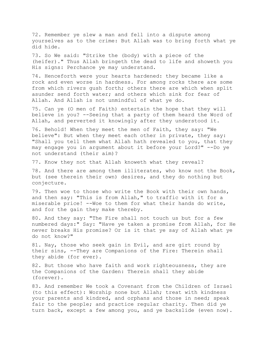72. Remember ye slew a man and fell into a dispute among yourselves as to the crime: But Allah was to bring forth what ye did hide.

73. So We said: "Strike the (body) with a piece of the (heifer)." Thus Allah bringeth the dead to life and showeth you His signs: Perchance ye may understand.

74. Henceforth were your hearts hardened: they became like a rock and even worse in hardness. For among rocks there are some from which rivers gush forth; others there are which when split asunder send forth water; and others which sink for fear of Allah. And Allah is not unmindful of what ye do.

75. Can ye (O men of Faith) entertain the hope that they will believe in you? --Seeing that a party of them heard the Word of Allah, and perverted it knowingly after they understood it.

76. Behold! When they meet the men of Faith, they say: "We believe": But when they meet each other in private, they say: "Shall you tell them what Allah hath revealed to you, that they may engage you in argument about it before your Lord?" --Do ye not understand (their aim)?

77. Know they not that Allah knoweth what they reveal?

78. And there are among them illiterates, who know not the Book, but (see therein their own) desires, and they do nothing but conjecture.

79. Then woe to those who write the Book with their own hands, and then say: "This is from Allah," to traffic with it for a miserable price! --Woe to them for what their hands do write, and for the gain they make thereby.

80. And they say: "The Fire shall not touch us but for a few numbered days:" Say: "Have ye taken a promise from Allah, for He never breaks His promise? Or is it that ye say of Allah what ye do not know?"

81. Nay, those who seek gain in Evil, and are girt round by their sins, --They are Companions of the Fire: Therein shall they abide (for ever).

82. But those who have faith and work righteousness, they are the Companions of the Garden: Therein shall they abide (forever).

83. And remember We took a Covenant from the Children of Israel (to this effect): Worship none but Allah; treat with kindness your parents and kindred, and orphans and those in need; speak fair to the people; and practice regular charity. Then did ye turn back, except a few among you, and ye backslide (even now).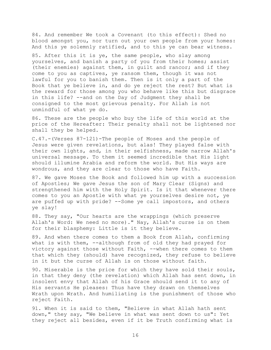84. And remember We took a Covenant (to this effect): Shed no blood amongst you, nor turn out your own people from your homes: And this ye solemnly ratified, and to this ye can bear witness.

85. After this it is ye, the same people, who slay among yourselves, and banish a party of you from their homes; assist (their enemies) against them, in guilt and rancor; and if they come to you as captives, ye ransom them, though it was not lawful for you to banish them. Then is it only a part of the Book that ye believe in, and do ye reject the rest? But what is the reward for those among you who behave like this but disgrace in this life? --and on the Day of Judgment they shall be consigned to the most grievous penalty. For Allah is not unmindful of what ye do.

86. These are the people who buy the life of this world at the price of the Hereafter: Their penalty shall not be lightened nor shall they be helped.

C.47.-(Verses 87-121)-The people of Moses and the people of Jesus were given revelations, but alas! They played false with their own lights, and, in their selfishness, made narrow Allah's universal message. To them it seemed incredible that His light should illumine Arabia and reform the world. But His ways are wondrous, and they are clear to those who have Faith.

87. We gave Moses the Book and followed him up with a succession of Apostles; We gave Jesus the son of Mary Clear (Signs) and strengthened him with the Holy Spirit. Is it that whenever there comes to you an Apostle with what ye yourselves desire not, ye are puffed up with pride? --Some ye call impostors, and others ye slay!

88. They say, "Our hearts are the wrappings (which preserve Allah's Word: We need no more)." Nay, Allah's curse is on them for their blasphemy: Little is it they believe.

89. And when there comes to them a Book from Allah, confirming what is with them, --although from of old they had prayed for victory against those without Faith, --when there comes to them that which they (should) have recognized, they refuse to believe in it but the curse of Allah is on those without faith.

90. Miserable is the price for which they have sold their souls, in that they deny (the revelation) which Allah has sent down, in insolent envy that Allah of his Grace should send it to any of His servants He pleases: Thus have they drawn on themselves Wrath upon Wrath. And humiliating is the punishment of those who reject Faith.

91. When it is said to them, "Believe in what Allah hath sent down," they say, "We believe in what was sent down to us": Yet they reject all besides, even if it be Truth confirming what is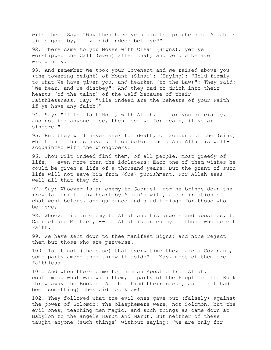with them. Say: "Why then have ye slain the prophets of Allah in times gone by, if ye did indeed believe?"

92. There came to you Moses with Clear (Signs); yet ye worshipped the Calf (even) after that, and ye did behave wrongfully.

93. And remember We took your Covenant and We raised above you (the towering height) of Mount (Sinai): (Saying): "Hold firmly to what We have given you, and hearken (to the Law)": They said: "We hear, and we disobey": And they had to drink into their hearts (of the taint) of the Calf because of their Faithlessness. Say: "Vile indeed are the behests of your Faith if ye have any faith!"

94. Say: "If the last Home, with Allah, be for you specially, and not for anyone else, then seek ye for death, if ye are sincere."

95. But they will never seek for death, on account of the (sins) which their hands have sent on before them. And Allah is wellacquainted with the wrongdoers.

96. Thou wilt indeed find them, of all people, most greedy of life, --even more than the idolaters: Each one of them wishes he could be given a life of a thousand years: But the grant of such life will not save him from (due) punishment. For Allah sees well all that they do.

97. Say: Whoever is an enemy to Gabriel--for he brings down the (revelation) to thy heart by Allah's will, a confirmation of what went before, and guidance and glad tidings for those who believe, --

98. Whoever is an enemy to Allah and his angels and apostles, to Gabriel and Michael, --Lo! Allah is an enemy to those who reject Faith.

99. We have sent down to thee manifest Signs; and none reject them but those who are perverse.

100. Is it not (the case) that every time they make a Covenant, some party among them throw it aside? --Nay, most of them are faithless.

101. And when there came to them an Apostle from Allah, confirming what was with them, a party of the People of the Book threw away the Book of Allah behind their backs, as if (it had been something) they did not know!

102. They followed what the evil ones gave out (falsely) against the power of Solomon: The blasphemers were, not Solomon, but the evil ones, teaching men magic, and such things as came down at Babylon to the angels Harut and Marut. But neither of these taught anyone (such things) without saying: "We are only for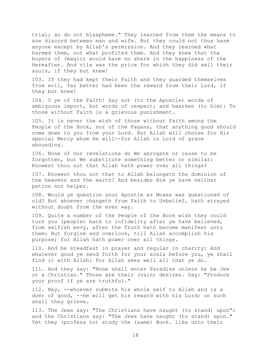trial; so do not blaspheme." They learned from them the means to sow discord between man and wife. But they could not thus harm anyone except by Allah's permission. And they learned what harmed them, not what profited them. And they knew that the buyers of (magic) would have no share in the happiness of the Hereafter. And vile was the price for which they did sell their souls, if they but knew!

103. If they had kept their Faith and they guarded themselves from evil, far better had been the reward from their Lord, if they but knew!

104. O ye of the Faith! Say not (to the Apostle) words of ambiguous import, but words of respect; and hearken (to him): To those without Faith is a grievous punishment.

105. It is never the wish of those without Faith among the People of the Book, nor of the Pagans, that anything good should come down to you from your Lord. But Allah will choose for His special Mercy whom He will--for Allah is Lord of grace abounding.

106. None of Our revelations do We abrogate or cause to be forgotten, but We substitute something better or similar: Knowest thou not that Allah hath power over all things?

107. Knowest thou not that to Allah belongeth the dominion of the heavens and the earth? And besides Him ye have neither patron nor helper.

108. Would ye question your Apostle as Moses was questioned of old? But whoever changeth from Faith to Unbelief, hath strayed without doubt from the even way.

109. Quite a number of the People of the Book wish they could turn you (people) back to infidelity after ye have believed, from selfish envy, after the Truth hath become manifest unto them: But forgive and overlook, till Allah accomplish his purpose; for Allah hath power over all things.

110. And be steadfast in prayer and regular in charity: And whatever good ye send forth for your souls before you, ye shall find it with Allah: For Allah sees well all that ye do.

111. And they say: "None shall enter Paradise unless he be Jew or a Christian." Those are their (vain) desires. Say: "Produce your proof if ye are truthful."

112. Nay, --whoever submits his whole self to Allah and is a doer of good, --he will get his reward with his Lord; on such shall they grieve.

113. The Jews say: "The Christians have naught (to stand) upon"; and the Christians say: "The Jews have naught (to stand) upon." Yet they (profess to) study the (same) Book. Like unto their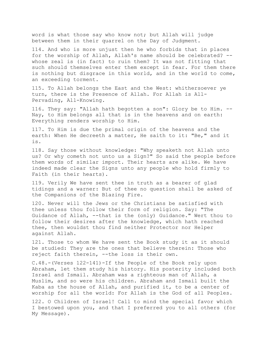word is what those say who know not; but Allah will judge between them in their quarrel on the Day of Judgment.

114. And who is more unjust then he who forbids that in places for the worship of Allah, Allah's name should be celebrated? - whose zeal is (in fact) to ruin them? It was not fitting that such should themselves enter them except in fear. For them there is nothing but disgrace in this world, and in the world to come, an exceeding torment.

115. To Allah belongs the East and the West: whithersoever ye turn, there is the Presence of Allah. For Allah is All-Pervading, All-Knowing.

116. They say: "Allah hath begotten a son": Glory be to Him. -- Nay, to Him belongs all that is in the heavens and on earth: Everything renders worship to Him.

117. To Him is due the primal origin of the heavens and the earth: When He decreeth a matter, He saith to it: "Be," and it is.

118. Say those without knowledge: "Why speaketh not Allah unto us? Or why cometh not unto us a Sign?" So said the people before them words of similar import. Their hearts are alike. We have indeed made clear the Signs unto any people who hold firmly to Faith (in their hearts).

119. Verily We have sent thee in truth as a bearer of glad tidings and a warner: But of thee no question shall be asked of the Companions of the Blazing Fire.

120. Never will the Jews or the Christians be satisfied with thee unless thou follow their form of religion. Say: "The Guidance of Allah, --that is the (only) Guidance." Wert thou to follow their desires after the knowledge, which hath reached thee, then wouldst thou find neither Protector nor Helper against Allah.

121. Those to whom We have sent the Book study it as it should be studied: They are the ones that believe therein: Those who reject faith therein, --the loss is their own.

C.48.-(Verses 122-141)-If the People of the Book rely upon Abraham, let them study his history. His posterity included both Israel and Ismail. Abraham was a righteous man of Allah, a Muslim, and so were his children. Abraham and Ismail built the Kaba as the house of Allah, and purified it, to be a center of worship for all the world: For Allah is the God of all Peoples.

122. O Children of Israel! Call to mind the special favor which I bestowed upon you, and that I preferred you to all others (for My Message).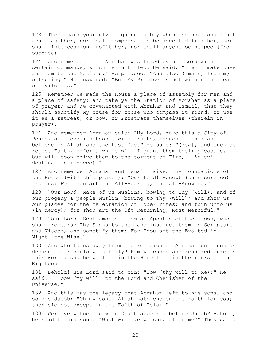123. Then guard yourselves against a Day when one soul shall not avail another, nor shall compensation be accepted from her, nor shall intercession profit her, nor shall anyone be helped (from outside).

124. And remember that Abraham was tried by his Lord with certain Commands, which he fulfilled: He said: "I will make thee an Imam to the Nations." He pleaded: "And also (Imams) from my offspring!" He answered: "But My Promise is not within the reach of evildoers."

125. Remember We made the House a place of assembly for men and a place of safety; and take ye the Station of Abraham as a place of prayer; and We covenanted with Abraham and Ismail, that they should sanctify My house for those who compass it round, or use it as a retreat, or bow, or Prostrate themselves (therein in prayer).

126. And remember Abraham said: "My Lord, make this a City of Peace, and feed its People with fruits, --such of them as believe in Allah and the Last Day." He said: "(Yea), and such as reject Faith, --for a while will I grant them their pleasure, but will soon drive them to the torment of Fire, --An evil destination (indeed)!"

127. And remember Abraham and Ismail raised the foundations of the House (with this prayer): "Our Lord! Accept (this service) from us: For Thou art the All-Hearing, the All-Knowing."

128. "Our Lord! Make of us Muslims, bowing to Thy (Will), and of our progeny a people Muslim, bowing to Thy (Will); and show us our places for the celebration of (due) rites; and turn unto us (in Mercy); for Thou art the Oft-Returning, Most Merciful."

129. "Our Lord! Sent amongst them an Apostle of their own, who shall rehearse Thy Signs to them and instruct them in Scripture and Wisdom, and sanctify them: For Thou art the Exalted in Might, the Wise."

130. And who turns away from the religion of Abraham but such as debase their souls with folly? Him We chose and rendered pure in this world: And he will be in the Hereafter in the ranks of the Righteous.

131. Behold! His Lord said to him: "Bow (thy will to Me):" He said: "I bow (my will) to the Lord and Cherisher of the Universe."

132. And this was the legacy that Abraham left to his sons, and so did Jacob; "Oh my sons! Allah hath chosen the Faith for you; then die not except in the Faith of Islam."

133. Were ye witnesses when Death appeared before Jacob? Behold, he said to his sons: "What will ye worship after me?" They said: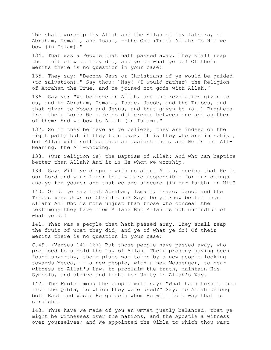"We shall worship thy Allah and the Allah of thy fathers, of Abraham, Ismail, and Isaac, --the One (True) Allah: To Him we bow (in Islam)."

134. That was a People that hath passed away. They shall reap the fruit of what they did, and ye of what ye do! Of their merits there is no question in your case!

135. They say: "Become Jews or Christians if ye would be guided (to salvation)." Say thou: "Nay! (I would rather) the Religion of Abraham the True, and he joined not gods with Allah."

136. Say ye: "We believe in Allah, and the revelation given to us, and to Abraham, Ismail, Isaac, Jacob, and the Tribes, and that given to Moses and Jesus, and that given to (all) Prophets from their Lord: We make no difference between one and another of them: And we bow to Allah (in Islam)."

137. So if they believe as ye believe, they are indeed on the right path; but if they turn back, it is they who are in schism; but Allah will suffice thee as against them, and He is the All-Hearing, the All-Knowing.

138. (Our religion is) the Baptism of Allah: And who can baptize better than Allah? And it is He whom we worship.

139. Say: Will ye dispute with us about Allah, seeing that He is our Lord and your Lord; that we are responsible for our doings and ye for yours; and that we are sincere (in our faith) in Him?

140. Or do ye say that Abraham, Ismail, Isaac, Jacob and the Tribes were Jews or Christians? Say: Do ye know better than Allah? Ah! Who is more unjust than those who conceal the testimony they have from Allah? But Allah is not unmindful of what ye do!

141. That was a people that hath passed away. They shall reap the fruit of what they did, and ye of what ye do! Of their merits there is no question in your case:

C.49.-(Verses 142-167)-But those people have passed away, who promised to uphold the Law of Allah. Their progeny having been found unworthy, their place was taken by a new people looking towards Mecca, -- a new people, with a new Messenger, to bear witness to Allah's Law, to proclaim the truth, maintain His Symbols, and strive and fight for Unity in Allah's Way.

142. The Fools among the people will say: "What hath turned them from the Qibla, to which they were used?" Say: To Allah belong both East and West: He guideth whom He will to a way that is straight.

143. Thus have We made of you an Ummat justly balanced, that ye might be witnesses over the nations, and the Apostle a witness over yourselves; and We appointed the Qibla to which thou wast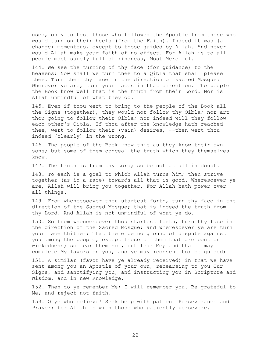used, only to test those who followed the Apostle from those who would turn on their heels (from the Faith). Indeed it was (a change) momentous, except to those guided by Allah. And never would Allah make your faith of no effect. For Allah is to all people most surely full of kindness, Most Merciful.

144. We see the turning of thy face (for guidance) to the heavens: Now shall We turn thee to a Qibla that shall please thee. Turn then thy face in the direction of sacred Mosque: Wherever ye are, turn your faces in that direction. The people the Book know well that is the truth from their Lord. Nor is Allah unmindful of what they do.

145. Even if thou wert to bring to the people of the Book all the Signs (together), they would not follow thy Qibla; nor art thou going to follow their Qibla; nor indeed will they follow each other's Qibla. If thou after the knowledge hath reached thee, wert to follow their (vain) desires, --then wert thou indeed (clearly) in the wrong.

146. The people of the Book know this as they know their own sons; but some of them conceal the truth which they themselves know.

147. The truth is from thy Lord; so be not at all in doubt.

148. To each is a goal to which Allah turns him; then strive together (as in a race) towards all that is good. Wheresoever ye are, Allah will bring you together. For Allah hath power over all things.

149. From whencesoever thou startest forth, turn thy face in the direction of the Sacred Mosque; that is indeed the truth from thy Lord. And Allah is not unmindful of what ye do.

150. So from whencesoever thou startest forth, turn thy face in the direction of the Sacred Mosque; and wheresoever ye are turn your face thither: That there be no ground of dispute against you among the people, except those of them that are bent on wickedness; so fear them not, but fear Me; and that I may complete My favors on you, and ye may (consent to) be guided;

151. A similar (favor have ye already received) in that We have sent among you an Apostle of your own, rehearsing to you Our Signs, and sanctifying you, and instructing you in Scripture and Wisdom, and in new Knowledge.

152. Then do ye remember Me; I will remember you. Be grateful to Me, and reject not faith.

153. O ye who believe! Seek help with patient Perseverance and Prayer: for Allah is with those who patiently persevere.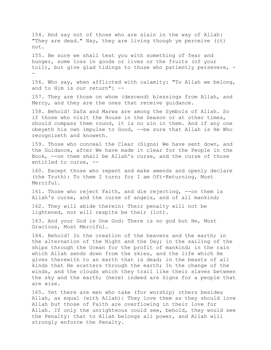154. And say not of those who are slain in the way of Allah: "They are dead." Nay, they are living though ye perceive (it) not. 155. Be sure we shall test you with something of fear and hunger, some loss in goods or lives or the fruits (of your toil), but give glad tidings to those who patiently persevere, - - 156. Who say, when afflicted with calamity: "To Allah we belong, and to Him is our return": -- 157. They are those on whom (descend) blessings from Allah, and Mercy, and they are the ones that receive guidance. 158. Behold! Safa and Marwa are among the Symbols of Allah. So if those who visit the House in the Season or at other times, should compass them round, it is no sin in them. And if any one obeyeth his own impulse to Good, --be sure that Allah is He Who recognizeth and knoweth. 159. Those who conceal the Clear (Signs) We have sent down, and the Guidance, after We have made it clear for the People in the Book, --on them shall be Allah's curse, and the curse of those entitled to curse, -- 160. Except those who repent and make amends and openly declare (the Truth): To them I turn; for I am Oft-Returning, Most Merciful. 161. Those who reject Faith, and die rejecting, --on them is Allah's curse, and the curse of angels, and of all mankind; 162. They will abide therein: Their penalty will not be lightened, nor will respite be their (lot). 163. And your God is One God: There is no god but He, Most Gracious, Most Merciful. 164. Behold! In the creation of the heavens and the earth; in the alternation of the Night and the Day; in the sailing of the ships through the Ocean for the profit of mankind; in the rain which Allah sends down from the skies, and the life which He gives therewith to an earth that is dead; in the beasts of all kinds that He scatters through the earth; In the change of the winds, and the clouds which they trail like their slaves between the sky and the earth; (here) indeed are Signs for a people that are wise. 165. Yet there are men who take (for worship) others besides Allah, as equal (with Allah): They love them as they should love Allah but those of Faith are overflowing in their love for Allah. If only the unrighteous could see, behold, they would see

the Penalty: that to Allah belongs all power, and Allah will

strongly enforce the Penalty.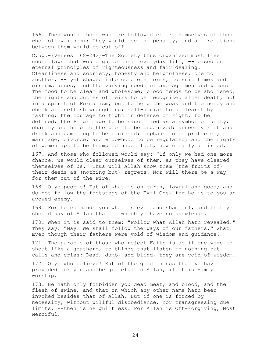166. Then would those who are followed clear themselves of those who follow (them): They would see the penalty, and all relations between them would be cut off.

C.50.-(Verses 168-242)-The Society thus organized must live under laws that would guide their everyday life, -- based on eternal principles of righteousness and fair dealing. Cleanliness and sobriety, honesty and helpfulness, one to another, -- yet shaped into concrete forms, to suit times and circumstances, and the varying needs of average men and women: The food to be clean and wholesome; blood feuds to be abolished; the rights and duties of heirs to be recognized after death, not in a spirit of Formalism, but to help the weak and the needy and check all selfish wrongdoing; self-denial to be learnt by fasting; the courage to fight in defense of right, to be defined; the Pilgrimage to be sanctified as a symbol of unity; charity and help to the poor to be organized; unseemly riot and drink and gambling to be banished; orphans to be protected; marriage, divorce, and widowhood to be regulated; and the rights of women apt to be trampled under foot, now clearly affirmed.

167. And those who followed would say: "If only we had one more chance, we would clear ourselves of them, as they have cleared themselves of us." Thus will Allah show them (the fruits of) their deeds as (nothing but) regrets. Nor will there be a way for them out of the Fire.

168. O ye people! Eat of what is on earth, lawful and good; and do not follow the footsteps of the Evil One, for he is to you an avowed enemy.

169. For he commands you what is evil and shameful, and that ye should say of Allah that of which ye have no knowledge.

170. When it is said to them: "Follow what Allah hath revealed:" They say: "Nay! We shall follow the ways of our fathers." What! Even though their fathers were void of wisdom and guidance?

171. The parable of those who reject Faith is as if one were to shout like a goatherd, to things that listen to nothing but calls and cries: Deaf, dumb, and blind, they are void of wisdom.

172. O ye who believe! Eat of the good things that We have provided for you and be grateful to Allah, if it is Him ye worship.

173. He hath only forbidden you dead meat, and blood, and the flesh of swine, and that on which any other name hath been invoked besides that of Allah. But if one is forced by necessity, without willful disobedience, nor transgressing due limits, --then is he guiltless. For Allah is Oft-Forgiving, Most Merciful.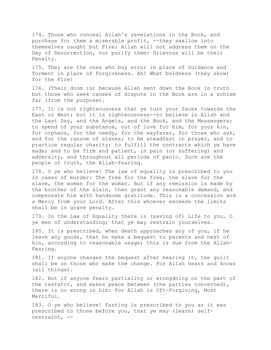174. Those who conceal Allah's revelations in the Book, and purchase for them a miserable profit, --they swallow into themselves naught but Fire; Allah will not address them on the Day of Resurrection, nor purify them: Grievous will be their Penalty.

175. They are the ones who buy error in place of Guidance and Torment in place of Forgiveness. Ah! What boldness (they show) for the Fire!

176. (Their doom is) because Allah sent down the Book in truth but those who seek causes of dispute in the Book are in a schism far (from the purpose).

177. It is not righteousness that ye turn your faces towards the East or West; but it is righteousness--to believe in Allah and the Last Day, and the Angels, and the Book, and the Messengers; to spend of your substance, out of love for Him, for your kin, for orphans, for the needy, for the wayfarer, for those who ask, and for the ransom of slaves; to be steadfast in prayer, and to practice regular charity; to fulfill the contracts which ye have made; and to be firm and patient, in pain (or suffering) and adversity, and throughout all periods of panic. Such are the people of truth, the Allah-fearing.

178. O ye who believe! The law of equality is prescribed to you in cases of murder: The free for the free, the slave for the slave, the woman for the woman. But if any remission is made by the brother of the slain, then grant any reasonable demand, and compensate him with handsome gratitude. This is a concession and a Mercy from your Lord. After this whoever exceeds the limits shall be in grave penalty.

179. In the Law of Equality there is (saving of) Life to you, O ye men of understanding; that ye may restrain yourselves.

180. It is prescribed, when death approaches any of you, if he leave any goods, that he make a bequest to parents and next of kin, according to reasonable usage; this is due from the Allah-Fearing.

181. If anyone changes the bequest after hearing it, the quilt shall be on those who make the change. For Allah hears and knows (all things).

182. But if anyone fears partiality or wrongdoing on the part of the testator, and makes peace between (the parties concerned), there is no wrong in him: For Allah is Oft-Forgiving, Most Merciful.

183. O ye who believe! Fasting is prescribed to you as it was prescribed to those before you, that ye may (learn) selfrestraint, --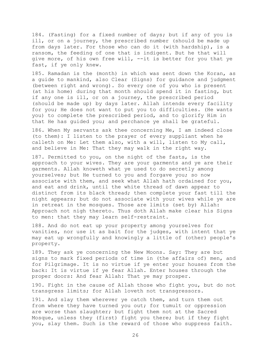184. (Fasting) for a fixed number of days; but if any of you is ill, or on a journey, the prescribed number (should be made up from days later. For those who can do it (with hardship), is a ransom, the feeding of one that is indigent. But he that will give more, of his own free will, --it is better for you that ye fast, if ye only knew.

185. Ramadan is the (month) in which was sent down the Koran, as a guide to mankind, also Clear (Signs) for guidance and judgment (between right and wrong). So every one of you who is present (at his home) during that month should spend it in fasting, but if any one is ill, or on a journey, the prescribed period (should be made up) by days later. Allah intends every facility for you; He does not want to put you to difficulties. (He wants you) to complete the prescribed period, and to glorify Him in that He has guided you; and perchance ye shall be grateful.

186. When My servants ask thee concerning Me, I am indeed close (to them): I listen to the prayer of every suppliant when he calleth on Me: Let them also, with a will, listen to My call, and believe in Me: That they may walk in the right way.

187. Permitted to you, on the night of the fasts, is the approach to your wives. They are your garments and ye are their garments. Allah knoweth what ye used to do secretly among yourselves; but He turned to you and forgave you; so now associate with them, and seek what Allah hath ordained for you, and eat and drink, until the white thread of dawn appear to distinct from its black thread; then complete your fast till the night appears; but do not associate with your wives while ye are in retreat in the mosques. Those are limits (set by) Allah: Approach not nigh thereto. Thus doth Allah make clear his Signs to men: that they may learn self-restraint.

188. And do not eat up your property among yourselves for vanities, nor use it as bait for the judges, with intent that ye may eat up wrongfully and knowingly a little of (other) people's property.

189. They ask ye concerning the New Moons. Say: They are but signs to mark fixed periods of time in (the affairs of) men, and for Pilgrimage. It is no virtue if ye enter your houses from the back: It is virtue if ye fear Allah. Enter houses through the proper doors: And fear Allah: That ye may prosper.

190. Fight in the cause of Allah those who fight you, but do not transgress limits; for Allah loveth not transgressors.

191. And slay them wherever ye catch them, and turn them out from where they have turned you out; for tumult or oppression are worse than slaughter; but fight them not at the Sacred Mosque, unless they (first) fight you there; but if they fight you, slay them. Such is the reward of those who suppress faith.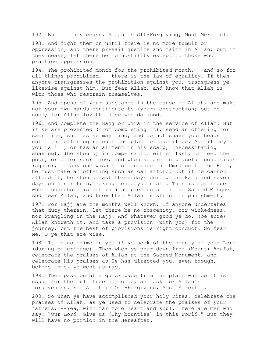192. But if they cease, Allah is Oft-Forgiving, Most Merciful.

193. And fight them on until there is no more tumult or oppression, and there prevail justice and faith in Allah; but if they cease, let there be no hostility except to those who practice oppression.

194. The prohibited month for the prohibited month, --and so for all things prohibited, --there is the law of equality. If then anyone transgresses the prohibition against you, transgress ye likewise against him. But fear Allah, and know that Allah is with those who restrain themselves.

195. And spend of your substance in the cause of Allah, and make not your own hands contribute to (your) destruction; but do good; for Allah loveth those who do good.

196. And complete the Hajj or Umra in the service of Allah. But if ye are prevented (from completing it), send an offering for sacrifice, such as ye may find, and do not shave your heads until the offering reaches the place of sacrifice. And if any of you is ill, or has an ailment in his scalp, (necessitating shaving), (he should) in compensation either fast, or feed the poor, or offer sacrifice; and when ye are in peaceful conditions (again), if any one wishes to continue the Umra on to the Hajj, he must make an offering such as can afford, but if he cannot afford it, he should fast three days during the Hajj and seven days on his return, making ten days in all. This is for those whose household is not in (the precincts of) the Sacred Mosque. And fear Allah, and know that Allah is strict in punishment.

197. For Hajj are the months well known. If anyone undertakes that duty therein, let there be no obscenity, nor wickedness, nor wrangling in the Hajj. And whatever good ye do, (be sure) Allah knoweth it. And take a provision (with you) for the journey, but the best of provisions is right conduct. So fear Me, O ye that are wise.

198. It is no crime in you if ye seek of the bounty of your Lord (during pilgrimage). Then when ye pour down from (Mount) Arafat, celebrate the praises of Allah at the Sacred Monument, and celebrate His praises as He has directed you, even though, before this, ye went astray.

199. Then pass on at a quick pace from the place whence it is usual for the multitude so to do, and ask for Allah's forgiveness. For Allah is Oft-Forgiving, Most Merciful.

200. So when ye have accomplished your holy rites, celebrate the praises of Allah, as ye used to celebrate the praises of your fathers, --Yea, with far more heart and soul. There are men who say: "Our Lord! Give us (Thy bounties) in this world!" But they will have no portion in the Hereafter.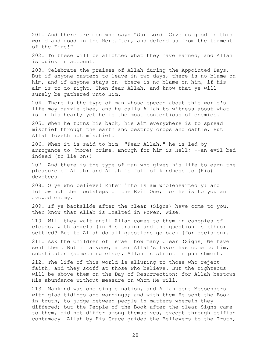201. And there are men who say: "Our Lord! Give us good in this world and good in the Hereafter, and defend us from the torment of the Fire!"

202. To these will be allotted what they have earned; and Allah is quick in account.

203. Celebrate the praises of Allah during the Appointed Days. But if anyone hastens to leave in two days, there is no blame on him, and if anyone stays on, there is no blame on him, if his aim is to do right. Then fear Allah, and know that ye will surely be gathered unto Him.

204. There is the type of man whose speech about this world's life may dazzle thee, and he calls Allah to witness about what is in his heart; yet he is the most contentious of enemies.

205. When he turns his back, his aim everywhere is to spread mischief through the earth and destroy crops and cattle. But Allah loveth not mischief.

206. When it is said to him, "Fear Allah," he is led by arrogance to (more) crime. Enough for him is Hell; --an evil bed indeed (to lie on)!

207. And there is the type of man who gives his life to earn the pleasure of Allah; and Allah is full of kindness to (His) devotees.

208. O ye who believe! Enter into Islam wholeheartedly; and follow not the footsteps of the Evil One; for he is to you an avowed enemy.

209. If ye backslide after the clear (Signs) have come to you, then know that Allah is Exalted in Power, Wise.

210. Will they wait until Allah comes to them in canopies of clouds, with angels (in His train) and the question is (thus) settled? But to Allah do all questions go back (for decision).

211. Ask the Children of Israel how many Clear (Signs) We have sent them. But if anyone, after Allah's favor has come to him, substitutes (something else), Allah is strict in punishment.

212. The life of this world is alluring to those who reject faith, and they scoff at those who believe. But the righteous will be above them on the Day of Resurrection; for Allah bestows His abundance without measure on whom He will.

213. Mankind was one single nation, and Allah sent Messengers with glad tidings and warnings; and with them He sent the Book in truth, to judge between people in matters wherein they differed; but the People of the Book after the clear Signs came to them, did not differ among themselves, except through selfish contumacy. Allah by His Grace guided the Believers to the Truth,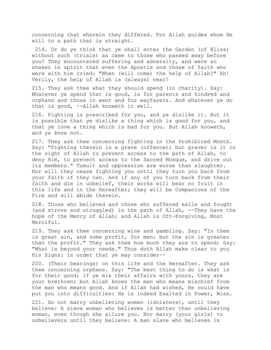concerning that wherein they differed. For Allah guides whom He will to a path that is straight.

 214. Or do ye think that ye shall enter the Garden (of Bliss) without such (trials) as came to those who passed away before you? They encountered suffering and adversity, and were so shaken in spirit that even the Apostle and those of faith who were with him cried: "When (will come) the help of Allah?" Ah! Verily, the help of Allah is (always) near!

215. They ask thee what they should spend (in charity). Say: Whatever ye spend that is good, is for parents and kindred and orphans and those in want and for wayfarers. And whatever ye do that is good, --Allah knoweth it well.

216. Fighting is prescribed for you, and ye dislike it. But it is possible that ye dislike a thing which is good for you, and that ye love a thing which is bad for you. But Allah knoweth, and ye know not.

217. They ask thee concerning fighting in the Prohibited Month. Say: "Fighting therein is a grave (offence); but graver is it in the sight of Allah to prevent access to the path of Allah, to deny Him, to prevent access to the Sacred Mosque, and drive out its members." Tumult and oppression are worse than slaughter. Nor will they cease fighting you until they turn you back from your faith if they can. And if any of you turn back from their faith and die in unbelief, their works will bear no fruit in this life and in the Hereafter; they will be Companions of the Fire and will abide therein.

218. Those who believed and those who suffered exile and fought (and strove and struggled) in the path of Allah, --They have the hope of the Mercy of Allah; and Allah is Oft-Forgiving, Most Merciful.

219. They ask thee concerning wine and gambling. Say: "In them is great sin, and some profit, for men; but the sin is greater than the profit." They ask thee how much they are to spend; Say: "What is beyond your needs." Thus doth Allah make clear to you His Signs: in order that ye may consider--

220. (Their bearings) on this life and the Hereafter. They ask thee concerning orphans. Say: "The best thing to do is what is for their good; if ye mix their affairs with yours, they are your brethren; but Allah knows the man who means mischief from the man who means good. And if Allah had wished, He could have put you into difficulties: He is indeed Exalted in Power, Wise.

221. Do not marry unbelieving women (idolaters), until they believe: A slave woman who believes is better than unbelieving woman, even though she allure you. Nor marry (your girls) to unbelievers until they believe: A man slave who believes is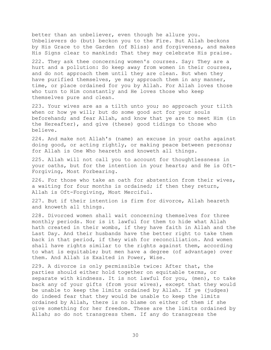better than an unbeliever, even though he allure you. Unbelievers do (but) beckon you to the Fire. But Allah beckons by His Grace to the Garden (of Bliss) and forgiveness, and makes His Signs clear to mankind: That they may celebrate His praise.

222. They ask thee concerning women's courses. Say: They are a hurt and a pollution: So keep away from women in their courses, and do not approach them until they are clean. But when they have purified themselves, ye may approach them in any manner, time, or place ordained for you by Allah. For Allah loves those who turn to Him constantly and He loves those who keep themselves pure and clean.

223. Your wives are as a tilth unto you; so approach your tilth when or how ye will; but do some good act for your souls beforehand; and fear Allah, and know that ye are to meet Him (in the Hereafter), and give (these) good tidings to those who believe.

224. And make not Allah's (name) an excuse in your oaths against doing good, or acting rightly, or making peace between persons; for Allah is One Who heareth and knoweth all things.

225. Allah will not call you to account for thoughtlessness in your oaths, but for the intention in your hearts; and He is Oft-Forgiving, Most Forbearing.

226. For those who take an oath for abstention from their wives, a waiting for four months is ordained; if then they return, Allah is Oft-Forgiving, Most Merciful.

227. But if their intention is firm for divorce, Allah heareth and knoweth all things.

228. Divorced women shall wait concerning themselves for three monthly periods. Nor is it lawful for them to hide what Allah hath created in their wombs, if they have faith in Allah and the Last Day. And their husbands have the better right to take them back in that period, if they wish for reconciliation. And women shall have rights similar to the rights against them, according to what is equitable; but men have a degree (of advantage) over them. And Allah is Exalted in Power, Wise.

229. A divorce is only permissible twice: After that, the parties should either hold together on equitable terms, or separate with kindness. It is not lawful for you, (men), to take back any of your gifts (from your wives), except that they would be unable to keep the limits ordained by Allah. If ye (judges) do indeed fear that they would be unable to keep the limits ordained by Allah, there is no blame on either of them if she give something for her freedom. These are the limits ordained by Allah; so do not transgress them. If any do transgress the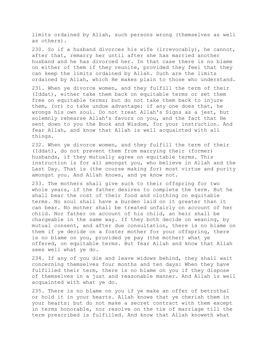limits ordained by Allah, such persons wrong (themselves as well as others).

230. So if a husband divorces his wife (irrevocably), he cannot, after that, remarry her until after she has married another husband and he has divorced her. In that case there is no blame on either of them if they reunite, provided they feel that they can keep the limits ordained by Allah. Such are the limits ordained by Allah, which He makes plain to those who understand.

231. When ye divorce women, and they fulfill the term of their (Iddat), either take them back on equitable terms or set them free on equitable terms; but do not take them back to injure them, (or) to take undue advantage; if any one does that, he wrongs his own soul. Do not treat Allah's Signs as a jest, but solemnly rehearse Allah's favors on you, and the fact that He sent down to you the Book and Wisdom, for your instruction. And fear Allah, and know that Allah is well acquainted with all things.

232. When ye divorce women, and they fulfill the term of their (Iddat), do not prevent them from marrying their (former) husbands, if they mutually agree on equitable terms. This instruction is for all amongst you, who believe in Allah and the Last Day. That is (the course making for) most virtue and purity amongst you. And Allah knows, and ye know not.

233. The mothers shall give suck to their offspring for two whole years, if the father desires to complete the term. But he shall bear the cost of their food and clothing on equitable terms. No soul shall have a burden laid on it greater than it can bear. No mother shall be treated unfairly on account of her child. Nor father on account of his child, an heir shall be chargeable in the same way. If they both decide on weaning, by mutual consent, and after due consultation, there is no blame on them if ye decide on a foster mother for your offspring, there is no blame on you, provided ye pay (the mother) what ye offered, on equitable terms. But fear Allah and know that Allah sees well what ye do.

234. If any of you die and leave widows behind, they shall wait concerning themselves four months and ten days: When they have fulfilled their term, there is no blame on you if they dispose of themselves in a just and reasonable manner. And Allah is well acquainted with what ye do.

235. There is no blame on you if ye make an offer of betrothal or hold it in your hearts. Allah knows that ye cherish them in your hearts: but do not make a secret contract with them except in terms honorable, nor resolve on the tie of marriage till the term prescribed is fulfilled. And know that Allah knoweth what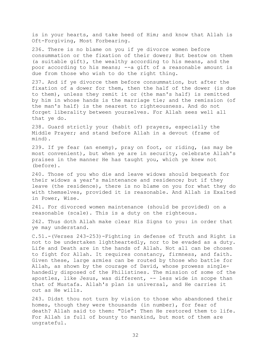is in your hearts, and take heed of Him; and know that Allah is Oft-Forgiving, Most Forbearing.

236. There is no blame on you if ye divorce women before consummation or the fixation of their dower; But bestow on them (a suitable gift), the wealthy according to his means, and the poor according to his means; --a gift of a reasonable amount is due from those who wish to do the right thing.

237. And if ye divorce them before consummation, but after the fixation of a dower for them, then the half of the dower (is due to them), unless they remit it or (the man's half) is remitted by him in whose hands is the marriage tie; and the remission (of the man's half) is the nearest to righteousness. And do not forget liberality between yourselves. For Allah sees well all that ye do.

238. Guard strictly your (habit of) prayers, especially the Middle Prayer; and stand before Allah in a devout (frame of mind).

239. If ye fear (an enemy), pray on foot, or riding, (as may be most convenient), but when ye are in security, celebrate Allah's praises in the manner He has taught you, which ye knew not (before).

240. Those of you who die and leave widows should bequeath for their widows a year's maintenance and residence; but if they leave (the residence), there is no blame on you for what they do with themselves, provided it is reasonable. And Allah is Exalted in Power, Wise.

241. For divorced women maintenance (should be provided) on a reasonable (scale). This is a duty on the righteous.

242. Thus doth Allah make clear His Signs to you: in order that ye may understand.

C.51.-(Verses 243-253)-Fighting in defense of Truth and Right is not to be undertaken lightheartedly, nor to be evaded as a duty. Life and Death are in the hands of Allah. Not all can be chosen to fight for Allah. It requires constancy, firmness, and faith. Given these, large armies can be routed by those who battle for Allah, as shown by the courage of David, whose prowess singlehandedly disposed of the Philistines. The mission of some of the apostles, like Jesus, was different, -- less wide in scope than that of Mustafa. Allah's plan is universal, and He carries it out as He wills.

243. Didst thou not turn by vision to those who abandoned their homes, though they were thousands (in number), for fear of death? Allah said to them: "Die": Then He restored them to life. For Allah is full of bounty to mankind, but most of them are ungrateful.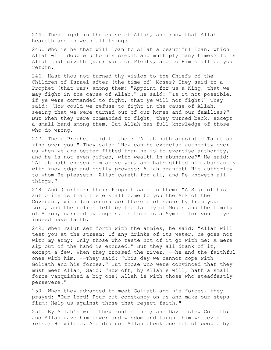244. Then fight in the cause of Allah, and know that Allah heareth and knoweth all things.

245. Who is he that will loan to Allah a beautiful loan, which Allah will double unto his credit and multiply many times? It is Allah that giveth (you) Want or Plenty, and to Him shall be your return.

246. Hast thou not turned thy vision to the Chiefs of the Children of Israel after (the time of) Moses? They said to a Prophet (that was) among them: "Appoint for us a King, that we may fight in the cause of Allah." He said: "Is it not possible, if ye were commanded to fight, that ye will not fight?" They said: "How could we refuse to fight in the cause of Allah, seeing that we were turned out of our homes and our families?" But when they were commanded to fight, they turned back, except a small band among them. But Allah has full knowledge of those who do wrong.

247. Their Prophet said to them: "Allah hath appointed Talut as king over you." They said: "How can he exercise authority over us when we are better fitted than he is to exercise authority, and he is not even gifted, with wealth in abundance?" He said: "Allah hath chosen him above you, and hath gifted him abundantly with knowledge and bodily prowess: Allah granteth His authority to whom He pleaseth. Allah careth for all, and He knoweth all things."

248. And (further) their Prophet said to them: "A Sign of his authority is that there shall come to you the Ark of the Covenant, with (an assurance) therein of security from your Lord, and the relics left by the family of Moses and the family of Aaron, carried by angels. In this is a Symbol for you if ye indeed have faith.

249. When Talut set forth with the armies, he said: "Allah will test you at the stream: If any drinks of its water, he goes not with my army: Only those who taste not of it go with me: A mere sip out of the hand is excused." But they all drank of it, except a few. When they crossed the river, --he and the faithful ones with him, --They said: "This day we cannot cope with Goliath and his forces." But those who were convinced that they must meet Allah, Said: "How oft, by Allah's will, hath a small force vanquished a big one? Allah is with those who steadfastly persevere."

250. When they advanced to meet Goliath and his forces, they prayed: "Our Lord! Pour out constancy on us and make our steps firm: Help us against those that reject faith."

251. By Allah's will they routed them; and David slew Goliath; and Allah gave him power and wisdom and taught him whatever (else) He willed. And did not Allah check one set of people by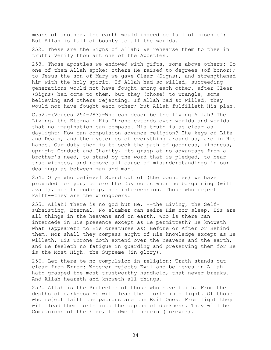means of another, the earth would indeed be full of mischief: But Allah is full of bounty to all the worlds.

252. These are the Signs of Allah: We rehearse them to thee in truth: Verily thou art one of the Apostles.

253. Those apostles we endowed with gifts, some above others: To one of them Allah spoke; others He raised to degrees (of honor); to Jesus the son of Mary we gave Clear (Signs), and strengthened him with the holy spirit. If Allah had so willed, succeeding generations would not have fought among each other, after Clear (Signs) had come to them, but they (chose) to wrangle, some believing and others rejecting. If Allah had so willed, they would not have fought each other; but Allah fulfilleth His plan.

C.52.-(Verses 254-283)-Who can describe the living Allah? The Living, the Eternal: His Throne extends over worlds and worlds that no imagination can compass. His truth is as clear as daylight: How can compulsion advance religion? The keys of Life and Death, and the mysteries of everything around us, are in His hands. Our duty then is to seek the path of goodness, kindness, upright Conduct and Charity, -to grasp at no advantage from a brother's need, to stand by the word that is pledged, to bear true witness, and remove all cause of misunderstandings in our dealings as between man and man.

254. O ye who believe! Spend out of (the bounties) we have provided for you, before the Day comes when no bargaining (will avail), nor friendship, nor intercession. Those who reject Faith--they are the wrongdoers.

255. Allah! There is no god but He, --the Living, the Selfsubsisting, Eternal. No slumber can seize Him nor sleep. His are all things in the heavens and on earth. Who is there can intercede in His presence except as He permitteth? He knoweth what (appeareth to His creatures as) Before or After or Behind them. Nor shall they compass aught of His knowledge except as He willeth. His Throne doth extend over the heavens and the earth, and He feeleth no fatigue in guarding and preserving them for He is the Most High, the Supreme (in glory).

256. Let there be no compulsion in religion: Truth stands out clear from Error: Whoever rejects Evil and believes in Allah hath grasped the most trustworthy handhold, that never breaks. And Allah heareth and knoweth all things.

257. Allah is the Protector of those who have faith. From the depths of darkness He will lead them forth into light. Of those who reject faith the patrons are the Evil Ones: From light they will lead them forth into the depths of darkness. They will be Companions of the Fire, to dwell therein (forever).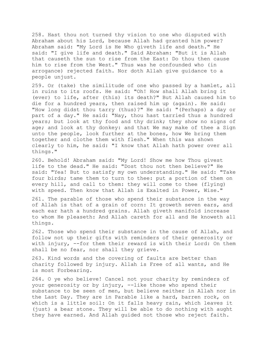258. Hast thou not turned thy vision to one who disputed with Abraham about his Lord, because Allah had granted him power? Abraham said: "My Lord is He Who giveth life and death." He said: "I give life and death." Said Abraham: "But it is Allah that causeth the sun to rise from the East: Do thou then cause him to rise from the West." Thus was he confounded who (in arrogance) rejected faith. Nor doth Allah give guidance to a people unjust.

259. Or (take) the similitude of one who passed by a hamlet, all in ruins to its roofs. He said: "Oh! How shall Allah bring it (ever) to life, after (this) its death?" But Allah caused him to die for a hundred years, then raised him up (again). He said: "How long didst thou tarry (thus)?" He said: "(Perhaps) a day or part of a day." He said: "Nay, thou hast tarried thus a hundred years; but look at thy food and thy drink; they show no signs of age; and look at thy donkey: and that We may make of thee a Sign unto the people, look further at the bones, how We bring them together and clothe them with flesh." When this was shown clearly to him, he said: "I know that Allah hath power over all things."

260. Behold! Abraham said: "My Lord! Show me how Thou givest life to the dead." He said: "Dost thou not then believe?" He said: "Yea! But to satisfy my own understanding." He said: "Take four birds; tame them to turn to thee: put a portion of them on every hill, and call to them: they will come to thee (flying) with speed. Then know that Allah is Exalted in Power, Wise."

261. The parable of those who spend their substance in the way of Allah is that of a grain of corn: It groweth seven ears, and each ear hath a hundred grains. Allah giveth manifold increase to whom He pleaseth: And Allah careth for all and He knoweth all things.

262. Those who spend their substance in the cause of Allah, and follow not up their gifts with reminders of their generosity or with injury, --for them their reward is with their Lord: On them shall be no fear, nor shall they grieve.

263. Kind words and the covering of faults are better than charity followed by injury. Allah is Free of all wants, and He is most Forbearing.

264. O ye who believe! Cancel not your charity by reminders of your generosity or by injury, --like those who spend their substance to be seen of men, but believe neither in Allah nor in the Last Day. They are in Parable like a hard, barren rock, on which is a little soil: On it falls heavy rain, which leaves it (just) a bear stone. They will be able to do nothing with aught they have earned. And Allah guided not those who reject faith.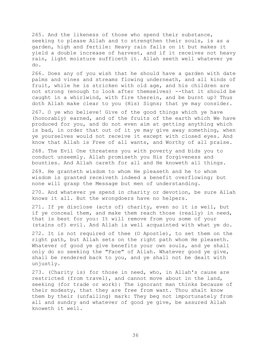265. And the likeness of those who spend their substance, seeking to please Allah and to strengthen their souls, is as a garden, high and fertile: Heavy rain falls on it but makes it yield a double increase of harvest, and if it receives not heavy rain, light moisture sufficeth it. Allah seeth well whatever ye do.

266. Does any of you wish that he should have a garden with date palms and vines and streams flowing underneath, and all kinds of fruit, while he is stricken with old age, and his children are not strong (enough to look after themselves) --that it should be caught in a whirlwind, with fire therein, and be burnt up? Thus doth Allah make clear to you (His) Signs; that ye may consider.

267. O ye who believe! Give of the good things which ye have (honorably) earned, and of the fruits of the earth which We have produced for you, and do not even aim at getting anything which is bad, in order that out of it ye may give away something, when ye yourselves would not receive it except with closed eyes. And know that Allah is Free of all wants, and Worthy of all praise.

268. The Evil One threatens you with poverty and bids you to conduct unseemly. Allah promiseth you His forgiveness and bounties. And Allah careth for all and He knoweth all things.

269. He granteth wisdom to whom He pleaseth and he to whom wisdom is granted receiveth indeed a benefit overflowing; but none will grasp the Message but men of understanding.

270. And whatever ye spend in charity or devotion, be sure Allah knows it all. But the wrongdoers have no helpers.

271. If ye disclose (acts of) charity, even so it is well, but if ye conceal them, and make them reach those (really) in need, that is best for you: It will remove from you some of your (stains of) evil. And Allah is well acquainted with what ye do.

272. It is not required of thee (O Apostle), to set them on the right path, but Allah sets on the right path whom He pleaseth. Whatever of good ye give benefits your own souls, and ye shall only do so seeking the "Face" of Allah. Whatever good ye give, shall be rendered back to you, and ye shall not be dealt with unjustly.

273. (Charity is) for those in need, who, in Allah's cause are restricted (from travel), and cannot move about in the land, seeking (for trade or work): The ignorant man thinks because of their modesty, that they are free from want. Thou shalt know them by their (unfailing) mark: They beg not importunately from all and sundry and whatever of good ye give, be assured Allah knoweth it well.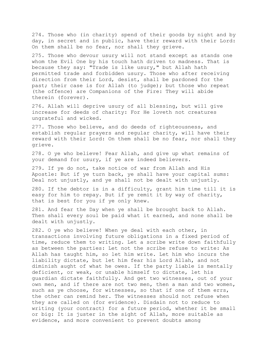274. Those who (in charity) spend of their goods by night and by day, in secret and in public, have their reward with their Lord: On them shall be no fear, nor shall they grieve.

275. Those who devour usury will not stand except as stands one whom the Evil One by his touch hath driven to madness. That is because they say: "Trade is like usury," but Allah hath permitted trade and forbidden usury. Those who after receiving direction from their Lord, desist, shall be pardoned for the past; their case is for Allah (to judge); but those who repeat (the offence) are Companions of the Fire: They will abide therein (forever).

276. Allah will deprive usury of all blessing, but will give increase for deeds of charity: For He loveth not creatures ungrateful and wicked.

277. Those who believe, and do deeds of righteousness, and establish regular prayers and regular charity, will have their reward with their Lord: On them shall be no fear, nor shall they grieve.

278. O ye who believe! Fear Allah, and give up what remains of your demand for usury, if ye are indeed believers.

279. If ye do not, take notice of war from Allah and His Apostle: But if ye turn back, ye shall have your capital sums: Deal not unjustly, and ye shall not be dealt with unjustly.

280. If the debtor is in a difficulty, grant him time till it is easy for him to repay. But if ye remit it by way of charity, that is best for you if ye only knew.

281. And fear the Day when ye shall be brought back to Allah. Then shall every soul be paid what it earned, and none shall be dealt with unjustly.

282. O ye who believe! When ye deal with each other, in transactions involving future obligations in a fixed period of time, reduce them to writing. Let a scribe write down faithfully as between the parties: Let not the scribe refuse to write: As Allah has taught him, so let him write. Let him who incurs the liability dictate, but let him fear his Lord Allah, and not diminish aught of what he owes. If the party liable is mentally deficient, or weak, or unable himself to dictate, let his guardian dictate faithfully. And get two witnesses, out of your own men, and if there are not two men, then a man and two women, such as ye choose, for witnesses, so that if one of them errs, the other can remind her. The witnesses should not refuse when they are called on (for evidence). Disdain not to reduce to writing (your contract) for a future period, whether it be small or big: It is juster in the sight of Allah, more suitable as evidence, and more convenient to prevent doubts among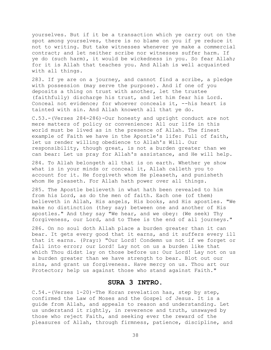yourselves. But if it be a transaction which ye carry out on the spot among yourselves, there is no blame on you if ye reduce it not to writing. But take witnesses whenever ye make a commercial contract; and let neither scribe nor witnesses suffer harm. If ye do (such harm), it would be wickedness in you. So fear Allah; for it is Allah that teaches you. And Allah is well acquainted with all things.

283. If ye are on a journey, and cannot find a scribe, a pledge with possession (may serve the purpose). And if one of you deposits a thing on trust with another, let the trustee (faithfully) discharge his trust, and let him fear his Lord. Conceal not evidence; for whoever conceals it, --his heart is tainted with sin. And Allah knoweth all that ye do.

C.53.-(Verses 284-286)-Our honesty and upright conduct are not mere matters of policy or convenience: All our life in this world must be lived as in the presence of Allah. The finest example of Faith we have in the Apostle's life: Full of faith, let us render willing obedience to Allah's Will. Our responsibility, though great, is not a burden greater than we can bear: Let us pray for Allah's assistance, and He will help.

284. To Allah belongeth all that is on earth. Whether ye show what is in your minds or conceal it, Allah calleth you to account for it. He forgiveth whom He pleaseth, and punisheth whom He pleaseth. For Allah hath power over all things.

285. The Apostle believeth in what hath been revealed to him from his Lord, as do the men of faith. Each one (of them) believeth in Allah, His angels, His books, and His apostles. "We make no distinction (they say) between one and another of His apostles." And they say "We hear, and we obey: (We seek) Thy forgiveness, our Lord, and to Thee is the end of all journeys."

286. On no soul doth Allah place a burden greater than it can bear. It gets every good that it earns, and it suffers every ill that it earns. (Pray:) "Our Lord! Condemn us not if we forget or fall into error; our Lord! Lay not on us a burden like that which Thou didst lay on those before us: Our Lord! Lay not on us a burden greater than we have strength to bear. Blot out our sins, and grant us forgiveness. Have mercy on us. Thou art our Protector; help us against those who stand against Faith."

## **SURA 3 INTRO.**

C.54.-(Verses 1-20)-The Koran revelation has, step by step, confirmed the Law of Moses and the Gospel of Jesus. It is a guide from Allah, and appeals to reason and understanding. Let us understand it rightly, in reverence and truth, unswayed by those who reject Faith, and seeking ever the reward of the pleasures of Allah, through firmness, patience, discipline, and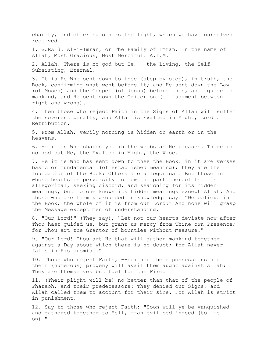charity, and offering others the light, which we have ourselves received.

1. SURA 3. Al-i-Imran, or The Family of Imran. In the name of Allah, Most Gracious, Most Merciful. A.L.M.

2. Allah! There is no god but He, --the Living, the Self-Subsisting, Eternal.

3. It is He Who sent down to thee (step by step), in truth, the Book, confirming what went before it; and He sent down the Law (of Moses) and the Gospel (of Jesus) before this, as a guide to mankind, and He sent down the Criterion (of judgment between right and wrong).

4. Then those who reject Faith in the Signs of Allah will suffer the severest penalty, and Allah is Exalted in Might, Lord of Retribution.

5. From Allah, verily nothing is hidden on earth or in the heavens.

6. He it is Who shapes you in the wombs as He pleases. There is no god but He, the Exalted in Might, the Wise.

7. He it is Who has sent down to thee the Book: in it are verses basic or fundamental (of established meaning); they are the foundation of the Book: Others are allegorical. But those in whose hearts is perversity follow the part thereof that is allegorical, seeking discord, and searching for its hidden meanings, but no one knows its hidden meanings except Allah. And those who are firmly grounded in knowledge say: "We believe in the Book; the whole of it is from our Lord:" And none will grasp the Message except men of understanding.

8. "Our Lord!" (They say), "Let not our hearts deviate now after Thou hast quided us, but grant us mercy from Thine own Presence; for Thou art the Grantor of bounties without measure."

9. "Our Lord! Thou art He that will gather mankind together against a Day about which there is no doubt; for Allah never fails in His promise."

10. Those who reject Faith, --neither their possessions nor their (numerous) progeny will avail them aught against Allah: They are themselves but fuel for the Fire.

11. (Their plight will be) no better than that of the people of Pharaoh, and their predecessors: They denied our Signs, and Allah called them to account for their sins. For Allah is strict in punishment.

12. Say to those who reject Faith: "Soon will ye be vanquished and gathered together to Hell, --an evil bed indeed (to lie on)!"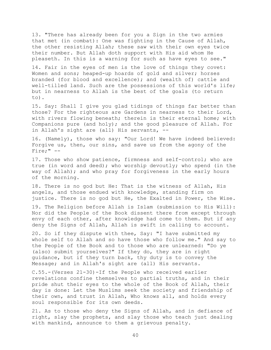13. "There has already been for you a Sign in the two armies that met (in combat): One was fighting in the Cause of Allah, the other resisting Allah; these saw with their own eyes twice their number. But Allah doth support with His aid whom He pleaseth. In this is a warning for such as have eyes to see."

14. Fair in the eyes of men is the love of things they covet: Women and sons; heaped-up hoards of gold and silver; horses branded (for blood and excellence); and (wealth of) cattle and well-tilled land. Such are the possessions of this world's life; but in nearness to Allah is the best of the goals (to return to).

15. Say: Shall I give you glad tidings of things far better than those? For the righteous are Gardens in nearness to their Lord, with rivers flowing beneath; therein is their eternal home; with Companions pure (and holy); and the good pleasure of Allah. For in Allah's sight are (all) His servants, --

16. (Namely), those who say: "Our Lord! We have indeed believed: Forgive us, then, our sins, and save us from the agony of the Fire;" --

17. Those who show patience, firmness and self-control; who are true (in word and deed); who worship devoutly; who spend (in the way of Allah); and who pray for forgiveness in the early hours of the morning.

18. There is no god but He: That is the witness of Allah, His angels, and those endued with knowledge, standing firm on justice. There is no god but He, the Exalted in Power, the Wise.

19. The Religion before Allah is Islam (submission to His Will): Nor did the People of the Book dissent there from except through envy of each other, after knowledge had come to them. But if any deny the Signs of Allah, Allah is swift in calling to account.

20. So if they dispute with thee, Say: "I have submitted my whole self to Allah and so have those who follow me." And say to the People of the Book and to those who are unlearned: "Do ye (also) submit yourselves?" If they do, they are in right guidance, but if they turn back, thy duty is to convey the Message; and in Allah's sight are (all) His servants.

C.55.-(Verses 21-30)-If the People who received earlier revelations confine themselves to partial truths, and in their pride shut their eyes to the whole of the Book of Allah, their day is done: Let the Muslims seek the society and friendship of their own, and trust in Allah, Who knows all, and holds every soul responsible for its own deeds.

21. As to those who deny the Signs of Allah, and in defiance of right, slay the prophets, and slay those who teach just dealing with mankind, announce to them a grievous penalty.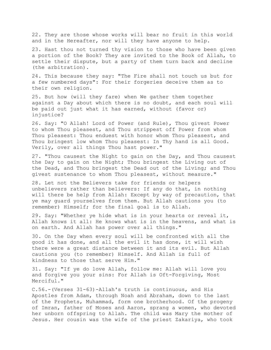22. They are those whose works will bear no fruit in this world and in the Hereafter, nor will they have anyone to help.

23. Hast thou not turned thy vision to those who have been given a portion of the Book? They are invited to the Book of Allah, to settle their dispute, but a party of them turn back and decline (the arbitration).

24. This because they say: "The Fire shall not touch us but for a few numbered days": For their forgeries deceive them as to their own religion.

25. But how (will they fare) when We gather them together against a Day about which there is no doubt, and each soul will be paid out just what it has earned, without (favor or) injustice?

26. Say: "O Allah! Lord of Power (and Rule), Thou givest Power to whom Thou pleasest, and Thou strippest off Power from whom Thou pleasest: Thou enduest with honor whom Thou pleasest, and Thou bringest low whom Thou pleasest: In Thy hand is all Good. Verily, over all things Thou hast power."

27. "Thou causest the Night to gain on the Day, and Thou causest the Day to gain on the Night; Thou bringest the Living out of the Dead, and Thou bringest the Dead out of the Living; and Thou givest sustenance to whom Thou pleasest, without measure."

28. Let not the Believers take for friends or helpers unbelievers rather than believers: If any do that, in nothing will there be help from Allah: Except by way of precaution, that ye may guard yourselves from them. But Allah cautions you (to remember) Himself; for the final goal is to Allah.

29. Say: "Whether ye hide what is in your hearts or reveal it, Allah knows it all: He knows what is in the heavens, and what is on earth. And Allah has power over all things."

30. On the Day when every soul will be confronted with all the good it has done, and all the evil it has done, it will wish there were a great distance between it and its evil. But Allah cautions you (to remember) Himself. And Allah is full of kindness to those that serve Him."

31. Say: "If ye do love Allah, follow me: Allah will love you and forgive you your sins: For Allah is Oft-Forgiving, Most Merciful."

C.56.-(Verses 31-63)-Allah's truth is continuous, and His Apostles from Adam, through Noah and Abraham, down to the last of the Prophets, Muhammad, form one brotherhood. Of the progeny of Imran, father of Moses and Aaron, sprang a women, who devoted her unborn offspring to Allah. The child was Mary the mother of Jesus. Her cousin was the wife of the priest Zakariya, who took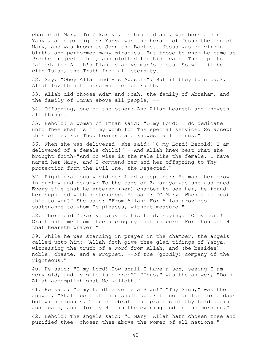charge of Mary. To Zakariya, in his old age, was born a son Yahya, amid prodigies: Yahya was the herald of Jesus the son of Mary, and was known as John the Baptist. Jesus was of virgin birth, and performed many miracles. But those to whom he came as Prophet rejected him, and plotted for his death. Their plots failed, for Allah's Plan is above man's plots. So will it be with Islam, the Truth from all eternity.

32. Say: "Obey Allah and His Apostle": But if they turn back, Allah loveth not those who reject Faith.

33. Allah did choose Adam and Noah, the family of Abraham, and the family of Imran above all people, --

34. Offspring, one of the other: And Allah heareth and knoweth all things.

35. Behold! A woman of Imran said: "O my Lord! I do dedicate unto Thee what is in my womb for Thy special service: So accept this of me: For Thou hearest and knowest all things."

36. When she was delivered, she said: "O my Lord! Behold! I am delivered of a female child!" --And Allah knew best what she brought forth-"And no wise is the male like the female. I have named her Mary, and I commend her and her offspring to Thy protection from the Evil One, the Rejected."

37. Right graciously did her Lord accept her: He made her grow in purity and beauty: To the care of Zakariya was she assigned. Every time that he entered (her) chamber to see her, he found her supplied with sustenance. He said: "O Mary! Whence (comes) this to you?" She said: "From Allah: For Allah provides sustenance to whom He pleases, without measure."

38. There did Zakariya pray to his Lord, saying: "O my Lord! Grant unto me from Thee a progeny that is pure: For Thou art He that heareth prayer!"

39. While he was standing in prayer in the chamber, the angels called unto him: "Allah doth give thee glad tidings of Yahya, witnessing the truth of a Word from Allah, and (be besides) noble, chaste, and a Prophet, --of the (goodly) company of the righteous."

40. He said: "O my Lord! How shall I have a son, seeing I am very old, and my wife is barren?" "Thus," was the answer, "Doth Allah accomplish what He willeth."

41. He said: "O my Lord! Give me a Sign!" "Thy Sign," was the answer, "Shall be that thou shalt speak to no man for three days but with signals. Then celebrate the praises of thy Lord again and again, and glorify Him in the evening and in the morning."

42. Behold! The angels said: "O Mary! Allah hath chosen thee and purified thee--chosen thee above the women of all nations."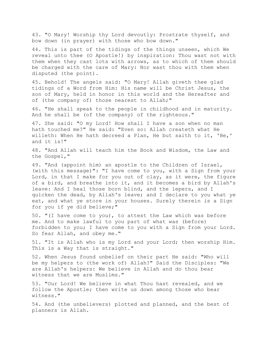43. "O Mary! Worship thy Lord devoutly: Prostrate thyself, and bow down (in prayer) with those who bow down."

44. This is part of the tidings of the things unseen, which We reveal unto thee (O Apostle!) by inspiration: Thou wast not with them when they cast lots with arrows, as to which of them should be charged with the care of Mary: Nor wast thou with them when disputed (the point).

45. Behold! The angels said: "O Mary! Allah giveth thee glad tidings of a Word from Him: His name will be Christ Jesus, the son of Mary, held in honor in this world and the Hereafter and of (the company of) those nearest to Allah;"

46. "He shall speak to the people in childhood and in maturity. And he shall be (of the company) of the righteous."

47. She said: "O my Lord! How shall I have a son when no man hath touched me?" He said: "Even so: Allah createth what He willeth: When He hath decreed a Plan, He but saith to it, 'Be,' and it is!"

48. "And Allah will teach him the Book and Wisdom, the Law and the Gospel,"

49. "And (appoint him) an apostle to the Children of Israel, (with this message)": "I have come to you, with a Sign from your Lord, in that I make for you out of clay, as it were, the figure of a bird, and breathe into it, and it becomes a bird by Allah's leave: And I heal those born blind, and the lepers, and I quicken the dead, by Allah's leave; and I declare to you what ye eat, and what ye store in your houses. Surely therein is a Sign for you if ye did believe;"

50. "(I have come to you), to attest the Law which was before me. And to make lawful to you part of what was (before) forbidden to you; I have come to you with a Sign from your Lord. So fear Allah, and obey me."

51. "It is Allah who is my Lord and your Lord; then worship Him. This is a Way that is straight."

52. When Jesus found unbelief on their part He said: "Who will be my helpers to (the work of) Allah?" Said the Disciples: "We are Allah's helpers: We believe in Allah and do thou bear witness that we are Muslims."

53. "Our Lord! We believe in what Thou hast revealed, and we follow the Apostle; then write us down among those who bear witness."

54. And (the unbelievers) plotted and planned, and the best of planners is Allah.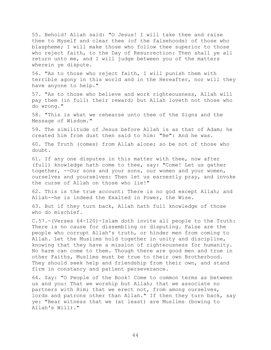55. Behold! Allah said: "O Jesus! I will take thee and raise thee to Myself and clear thee (of the falsehoods) of those who blaspheme; I will make those who follow thee superior to those who reject faith, to the Day of Resurrection: Then shall ye all return unto me, and I will judge between you of the matters wherein ye dispute.

56. "As to those who reject faith, I will punish them with terrible agony in this world and in the Hereafter, nor will they have anyone to help."

57. "As to those who believe and work righteousness, Allah will pay them (in full) their reward; but Allah loveth not those who do wrong."

58. "This is what we rehearse unto thee of the Signs and the Message of Wisdom."

59. The similitude of Jesus before Allah is as that of Adam; he created him from dust then said to him: "Be": And he was.

60. The Truth (comes) from Allah alone; so be not of those who doubt.

61. If any one disputes in this matter with thee, now after (full) knowledge hath come to thee, say: "Come! Let us gather together, --Our sons and your sons, our women and your women, ourselves and yourselves: Then let us earnestly pray, and invoke the curse of Allah on those who lie!"

62. This is the true account: There is no god except Allah; and Allah--he is indeed the Exalted in Power, the Wise.

63. But if they turn back, Allah hath full knowledge of those who do mischief.

C.57.-(Verses 64-120)-Islam doth invite all people to the Truth: There is no cause for dissembling or disputing. False are the people who corrupt Allah's truth, or hinder men from coming to Allah. Let the Muslims hold together in unity and discipline, knowing that they have a mission of righteousness for humanity. No harm can come to them. Though there are good men and true in other Faiths, Muslims must be true to their own Brotherhood. They should seek help and friendship from their own, and stand firm in constancy and patient perseverance.

64. Say: "O People of the Book! Come to common terms as between us and you: That we worship but Allah; that we associate no partners with Him; that we erect not, from among ourselves, lords and patrons other than Allah." If then they turn back, say ye: "Bear witness that we (at least) are Muslims (bowing to Allah's Will)."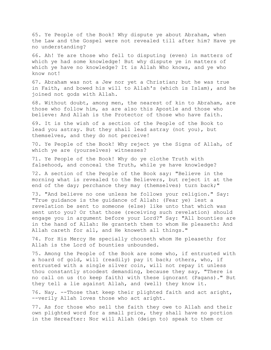65. Ye People of the Book! Why dispute ye about Abraham, when the Law and the Gospel were not revealed till after him? Have ye no understanding?

66. Ah! Ye are those who fell to disputing (even) in matters of which ye had some knowledge! But why dispute ye in matters of which ye have no knowledge? It is Allah Who knows, and ye who know not!

67. Abraham was not a Jew nor yet a Christian; but he was true in Faith, and bowed his will to Allah's (which is Islam), and he joined not gods with Allah.

68. Without doubt, among men, the nearest of kin to Abraham, are those who follow him, as are also this Apostle and those who believe: And Allah is the Protector of those who have faith.

69. It is the wish of a section of the People of the Book to lead you astray. But they shall lead astray (not you), but themselves, and they do not perceive!

70. Ye People of the Book! Why reject ye the Signs of Allah, of which ye are (yourselves) witnesses?

71. Ye People of the Book! Why do ye clothe Truth with falsehood, and conceal the Truth, while ye have knowledge?

72. A section of the People of the Book say: "Believe in the morning what is revealed to the Believers, but reject it at the end of the day; perchance they may (themselves) turn back;"

73. "And believe no one unless he follows your religion." Say: "True guidance is the guidance of Allah: (Fear ye) lest a revelation be sent to someone (else) like unto that which was sent unto you? Or that those (receiving such revelation) should engage you in argument before your Lord?" Say: "All bounties are in the hand of Allah: He granteth them to whom He pleaseth: And Allah careth for all, and He knoweth all things."

74. For His Mercy He specially chooseth whom He pleaseth; for Allah is the Lord of bounties unbounded.

75. Among the People of the Book are some who, if entrusted with a hoard of gold, will (readily) pay it back; others, who, if entrusted with a single silver coin, will not repay it unless thou constantly stoodest demanding, because they say, "There is no call on us (to keep faith) with these ignorant (Pagans)." But they tell a lie against Allah, and (well) they know it.

76. Nay. --Those that keep their plighted faith and act aright, --verily Allah loves those who act aright.

77. As for those who sell the faith they owe to Allah and their own plighted word for a small price, they shall have no portion in the Hereafter: Nor will Allah (deign to) speak to them or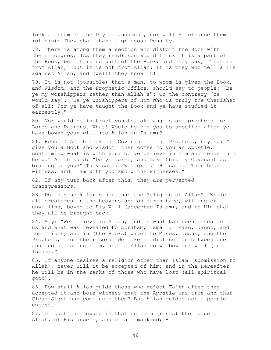look at them on the Day of Judgment, nor will He cleanse them (of sin): They shall have a grievous Penalty.

78. There is among them a section who distort the Book with their tongues: (As they read) you would think it is a part of the Book, but it is no part of the Book; and they say, "That is from Allah," but it is not from Allah: It is they who tell a lie against Allah, and (well) they know it!

79. It is not (possible) that a man, to whom is given the Book, and Wisdom, and the Prophetic Office, should say to people: "Be ye my worshippers rather than Allah's": On the contrary (he would say): "Be ye worshippers of Him Who is truly the Cherisher of all: For ye have taught the Book and ye have studied it earnestly."

80. Nor would he instruct you to take angels and prophets for Lords and Patrons. What! Would he bid you to unbelief after ye have bowed your will (to Allah in Islam)?

81. Behold! Allah took the Covenant of the Prophets, saying: "I give you a Book and Wisdom; then comes to you an Apostle, confirming what is with you; do ye believe in him and render him help." Allah said: "Do ye agree, and take this my Covenant as binding on you?" They said: "We agree." He said: "Then bear witness, and I am with you among the witnesses."

82. If any turn back after this, they are perverted transgressors.

83. Do they seek for other than the Religion of Allah? –While all creatures in the heavens and on earth have, willing or unwilling, bowed to His Will (accepted Islam), and to Him shall they all be brought back.

84. Say: "We believe in Allah, and in what has been revealed to us and what was revealed to Abraham, Ismail, Isaac, Jacob, and the Tribes, and in (the Books) given to Moses, Jesus, and the Prophets, from their Lord: We make no distinction between one and another among them, and to Allah do we bow our will (in Islam)."

85. If anyone desires a religion other than Islam (submission to Allah), never will it be accepted of him; and in the Hereafter he will be in the ranks of those who have lost (all spiritual good).

86. How shall Allah guide those who reject Faith after they accepted it and bore witness that the Apostle was true and that Clear Signs had come unto them? But Allah guides not a people unjust.

87. Of such the reward is that on them (rests) the curse of Allah, of His angels, and of all mankind; -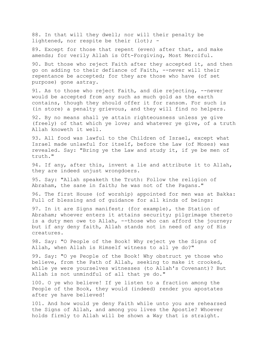88. In that will they dwell; nor will their penalty be lightened, nor respite be their (lot); -

89. Except for those that repent (even) after that, and make amends; for verily Allah is Oft-Forgiving, Most Merciful.

90. But those who reject Faith after they accepted it, and then go on adding to their defiance of Faith, --never will their repentance be accepted; for they are those who have (of set purpose) gone astray.

91. As to those who reject Faith, and die rejecting, --never would be accepted from any such as much gold as the earth contains, though they should offer it for ransom. For such is (in store) a penalty grievous, and they will find no helpers.

92. By no means shall ye attain righteousness unless ye give (freely) of that which ye love; and whatever ye give, of a truth Allah knoweth it well.

93. All food was lawful to the Children of Israel, except what Israel made unlawful for itself, before the Law (of Moses) was revealed. Say: "Bring ye the Law and study it, if ye be men of truth."

94. If any, after this, invent a lie and attribute it to Allah, they are indeed unjust wrongdoers.

95. Say: "Allah speaketh the Truth: Follow the religion of Abraham, the sane in faith; he was not of the Pagans."

96. The first House (of worship) appointed for men was at Bakka: Full of blessing and of guidance for all kinds of beings:

97. In it are Signs manifest; (for example), the Station of Abraham; whoever enters it attains security; pilgrimage thereto is a duty men owe to Allah, --those who can afford the journey; but if any deny faith, Allah stands not in need of any of His creatures.

98. Say: "O People of the Book! Why reject ye the Signs of Allah, when Allah is Himself witness to all ye do?"

99. Say: "O ye People of the Book! Why obstruct ye those who believe, from the Path of Allah, seeking to make it crooked, while ye were yourselves witnesses (to Allah's Covenant)? But Allah is not unmindful of all that ye do."

100. O ye who believe! If ye listen to a fraction among the People of the Book, they would (indeed) render you apostates after ye have believed!

101. And how would ye deny Faith while unto you are rehearsed the Signs of Allah, and among you lives the Apostle? Whoever holds firmly to Allah will be shown a Way that is straight.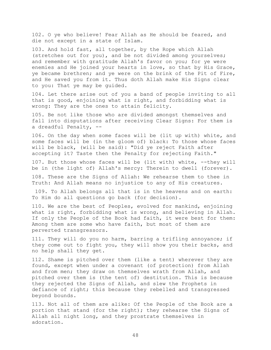102. O ye who believe! Fear Allah as He should be feared, and die not except in a state of Islam.

103. And hold fast, all together, by the Rope which Allah (stretches out for you), and be not divided among yourselves; and remember with gratitude Allah's favor on you; for ye were enemies and He joined your hearts in love, so that by His Grace, ye became brethren; and ye were on the brink of the Pit of Fire, and He saved you from it. Thus doth Allah make His Signs clear to you: That ye may be guided.

104. Let there arise out of you a band of people inviting to all that is good, enjoining what is right, and forbidding what is wrong: They are the ones to attain felicity.

105. Be not like those who are divided amongst themselves and fall into disputations after receiving Clear Signs: For them is a dreadful Penalty, --

106. On the day when some faces will be (lit up with) white, and some faces will be (in the gloom of) black: To those whose faces will be black, (will be said): "Did ye reject Faith after accepting it? Taste then the Penalty for rejecting Faith."

107. But those whose faces will be (lit with) white, --they will be in (the light of) Allah's mercy: Therein to dwell (forever).

108. These are the Signs of Allah: We rehearse them to thee in Truth: And Allah means no injustice to any of His creatures.

 109. To Allah belongs all that is in the heavens and on earth: To Him do all questions go back (for decision).

110. We are the best of Peoples, evolved for mankind, enjoining what is right, forbidding what is wrong, and believing in Allah. If only the People of the Book had faith, it were best for them: Among them are some who have faith, but most of them are perverted transgressors.

111. They will do you no harm, barring a trifling annoyance; if they come out to fight you, they will show you their backs, and no help shall they get.

112. Shame is pitched over them (like a tent) wherever they are found, except when under a covenant (of protection) from Allah and from men; they draw on themselves wrath from Allah, and pitched over them is (the tent of) destitution. This is because they rejected the Signs of Allah, and slew the Prophets in defiance of right; this because they rebelled and transgressed beyond bounds.

113. Not all of them are alike: Of the People of the Book are a portion that stand (for the right); they rehearse the Signs of Allah all night long, and they prostrate themselves in adoration.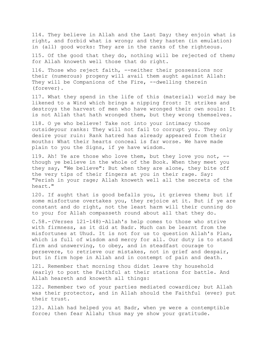114. They believe in Allah and the Last Day; they enjoin what is right, and forbid what is wrong; and they hasten (in emulation) in (all) good works: They are in the ranks of the righteous.

115. Of the good that they do, nothing will be rejected of them; for Allah knoweth well those that do right.

116. Those who reject faith, --neither their possessions nor their (numerous) progeny will avail them aught against Allah: They will be Companions of the Fire, --dwelling therein (forever).

117. What they spend in the life of this (material) world may be likened to a Wind which brings a nipping frost: It strikes and destroys the harvest of men who have wronged their own souls: It is not Allah that hath wronged them, but they wrong themselves.

118. O ye who believe! Take not into your intimacy those outsideyour ranks: They will not fail to corrupt you. They only desire your ruin: Rank hatred has already appeared from their mouths: What their hearts conceal is far worse. We have made plain to you the Signs, if ye have wisdom.

119. Ah! Ye are those who love them, but they love you not, - though ye believe in the whole of the Book. When they meet you they say, "We believe": But when they are alone, they bite off the very tips of their fingers at you in their rage. Say: "Perish in your rage; Allah knoweth well all the secrets of the heart."

120. If aught that is good befalls you, it grieves them; but if some misfortune overtakes you, they rejoice at it. But if ye are constant and do right, not the least harm will their cunning do to you; for Allah compasseth round about all that they do.

C.58.-(Verses 121-148)-Allah's help comes to those who strive with firmness, as it did at Badr. Much can be learnt from the misfortunes at Uhud. It is not for us to question Allah's Plan, which is full of wisdom and mercy for all. Our duty is to stand firm and unswerving, to obey, and in steadfast courage to persevere, to retrieve our mistakes, not in grief and despair, but in firm hope in Allah and in contempt of pain and death.

121. Remember that morning thou didst leave thy household (early) to post the Faithful at their stations for battle. And Allah heareth and knoweth all things:

122. Remember two of your parties mediated cowardice; but Allah was their protector, and in Allah should the Faithful (ever) put their trust.

123. Allah had helped you at Badr, when ye were a contemptible force; then fear Allah; thus may ye show your gratitude.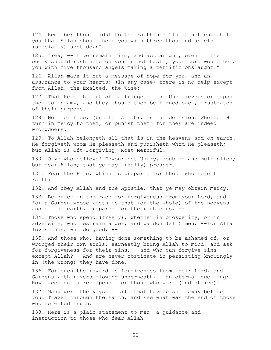124. Remember thou saidst to the Faithful: "Is it not enough for you that Allah should help you with three thousand angels (specially) sent down?

125. "Yea, --if ye remain firm, and act aright, even if the enemy should rush here on you in hot haste, your Lord would help you with five thousand angels making a terrific onslaught."

126. Allah made it but a message of hope for you, and an assurance to your hearts: (In any case) there is no help except from Allah, the Exalted, the Wise:

127. That He might cut off a fringe of the Unbelievers or expose them to infamy, and they should then be turned back, frustrated of their purpose.

128. Not for thee, (but for Allah), is the decision: Whether He turn in mercy to them, or punish them; for they are indeed wrongdoers.

129. To Allah belongeth all that is in the heavens and on earth. He forgiveth whom He pleaseth and punisheth whom He pleaseth; but Allah is Oft-Forgiving, Most Merciful.

130. O ye who believe! Devour not Usury, doubled and multiplied; but fear Allah; that ye may (really) prosper.

131. Fear the Fire, which is prepared for those who reject Faith:

132. And obey Allah and the Apostle; that ye may obtain mercy.

133. Be quick in the race for forgiveness from your Lord, and for a Garden whose width is that (of the whole) of the heavens and of the earth, prepared for the righteous, --

134. Those who spend (freely), whether in prosperity, or in adversity; who restrain anger, and pardon (all) men; --for Allah loves those who do good; --

135. And those who, having done something to be ashamed of, or wronged their own souls, earnestly bring Allah to mind, and ask for forgiveness for their sins, --and who can forgive sins except Allah? --And are never obstinate in persisting knowingly in (the wrong) they have done.

136. For such the reward is forgiveness from their Lord, and Gardens with rivers flowing underneath, --an eternal dwelling: How excellent a recompense for those who work (and strive)!

137. Many were the Ways of Life that have passed away before you: Travel through the earth, and see what was the end of those who rejected Truth.

138. Here is a plain statement to men, a guidance and instruction to those who fear Allah!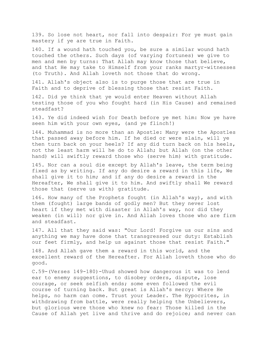139. So lose not heart, nor fall into despair: For ye must gain mastery if ye are true in Faith.

140. If a wound hath touched you, be sure a similar wound hath touched the others. Such days (of varying fortunes) we give to men and men by turns: That Allah may know those that believe, and that He may take to Himself from your ranks martyr-witnesses (to Truth). And Allah loveth not those that do wrong.

141. Allah's object also is to purge those that are true in Faith and to deprive of blessing those that resist Faith.

142. Did ye think that ye would enter Heaven without Allah testing those of you who fought hard (in His Cause) and remained steadfast?

143. Ye did indeed wish for Death before ye met him: Now ye have seen him with your own eyes, (and ye flinch!)

144. Muhammad is no more than an Apostle: Many were the Apostles that passed away before him. If he died or were slain, will ye then turn back on your heels? If any did turn back on his heels, not the least harm will he do to Allah; but Allah (on the other hand) will swiftly reward those who (serve him) with gratitude.

145. Nor can a soul die except by Allah's leave, the term being fixed as by writing. If any do desire a reward in this life, We shall give it to him; and if any do desire a reward in the Hereafter, We shall give it to him. And swiftly shall We reward those that (serve us with) gratitude.

146. How many of the Prophets fought (in Allah's way), and with them (fought) large bands of godly men? But they never lost heart if they met with disaster in Allah's way, nor did they weaken (in will) nor give in. And Allah loves those who are firm and steadfast.

147. All that they said was: "Our Lord! Forgive us our sins and anything we may have done that transgressed our duty: Establish our feet firmly, and help us against those that resist Faith."

148. And Allah gave them a reward in this world, and the excellent reward of the Hereafter. For Allah loveth those who do good.

C.59-(Verses 149-180)-Uhud showed how dangerous it was to lend ear to enemy suggestions, to disobey orders, dispute, lose courage, or seek selfish ends; some even followed the evil course of turning back. But great is Allah's mercy: Where He helps, no harm can come. Trust your Leader. The Hypocrites, in withdrawing from battle, were really helping the Unbelievers, but glorious were those who knew no fear: Those killed in the Cause of Allah yet live and thrive and do rejoice; and never can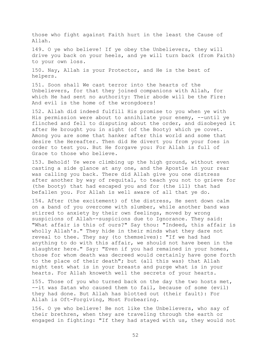those who fight against Faith hurt in the least the Cause of Allah.

149. O ye who believe! If ye obey the Unbelievers, they will drive you back on your heels, and ye will turn back (from Faith) to your own loss.

150. Nay, Allah is your Protector, and He is the best of helpers.

151. Soon shall We cast terror into the hearts of the Unbelievers, for that they joined companions with Allah, for which He had sent no authority: Their abode will be the Fire: And evil is the home of the wrongdoers!

152. Allah did indeed fulfill His promise to you when ye with His permission were about to annihilate your enemy, --until ye flinched and fell to disputing about the order, and disobeyed it after He brought you in sight (of the Booty) which ye covet. Among you are some that hanker after this world and some that desire the Hereafter. Then did He divert you from your foes in order to test you. But He forgave you: For Allah is full of Grace to those who believe.

153. Behold! Ye were climbing up the high ground, without even casting a side glance at any one, and the Apostle in your rear was calling you back. There did Allah give you one distress after another by way of requital, to teach you not to grieve for (the booty) that had escaped you and for (the ill) that had befallen you. For Allah is well aware of all that ye do.

154. After (the excitement) of the distress, He sent down calm on a band of you overcome with slumber, while another band was stirred to anxiety by their own feelings, moved by wrong suspicions of Allah--suspicions due to Ignorance. They said: "What affair is this of ours?" Say thou: "Indeed, this affair is wholly Allah's." They hide in their minds what they dare not reveal to thee. They say (to themselves): "If we had had anything to do with this affair, we should not have been in the slaughter here." Say: "Even if you had remained in your homes, those for whom death was decreed would certainly have gone forth to the place of their death"; but (all this was) that Allah might test what is in your breasts and purge what is in your hearts. For Allah knoweth well the secrets of your hearts.

155. Those of you who turned back on the day the two hosts met, --it was Satan who caused them to fail, because of some (evil) they had done. But Allah has blotted out (their fault): For Allah is Oft-Forgiving, Most Forbearing.

156. O ye who believe! Be not like the Unbelievers, who say of their brethren, when they are traveling through the earth or engaged in fighting: "If they had stayed with us, they would not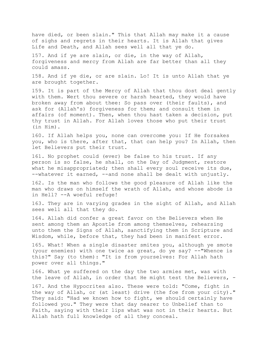have died, or been slain." This that Allah may make it a cause of sighs and regrets in their hearts. It is Allah that gives Life and Death, and Allah sees well all that ye do.

157. And if ye are slain, or die, in the way of Allah, forgiveness and mercy from Allah are far better than all they could amass.

158. And if ye die, or are slain. Lo! It is unto Allah that ye are brought together.

159. It is part of the Mercy of Allah that thou dost deal gently with them. Wert thou severe or harsh hearted, they would have broken away from about thee: So pass over (their faults), and ask for (Allah's) forgiveness for them; and consult them in affairs (of moment). Then, when thou hast taken a decision, put thy trust in Allah. For Allah loves those who put their trust (in Him).

160. If Allah helps you, none can overcome you: If He forsakes you, who is there, after that, that can help you? In Allah, then let Believers put their trust.

161. No prophet could (ever) be false to his trust. If any person is so false, he shall, on the Day of Judgment, restore what he misappropriated; then shall every soul receive its due, --whatever it earned, --and none shall be dealt with unjustly.

162. Is the man who follows the good pleasure of Allah like the man who draws on himself the wrath of Allah, and whose abode is in Hell? --A woeful refuge!

163. They are in varying grades in the sight of Allah, and Allah sees well all that they do.

164. Allah did confer a great favor on the Believers when He sent among them an Apostle from among themselves, rehearsing unto them the Signs of Allah, sanctifying them in Scripture and Wisdom, while, before that, they had been in manifest error.

165. What! When a single disaster smites you, although ye smote (your enemies) with one twice as great, do ye say? --"Whence is this?" Say (to them): "It is from yourselves: For Allah hath power over all things."

166. What ye suffered on the day the two armies met, was with the leave of Allah, in order that He might test the Believers, -

167. And the Hypocrites also. These were told: "Come, fight in the way of Allah, or (at least) drive (the foe from your city)." They said: "Had we known how to fight, we should certainly have followed you." They were that day nearer to Unbelief than to Faith, saying with their lips what was not in their hearts. But Allah hath full knowledge of all they conceal.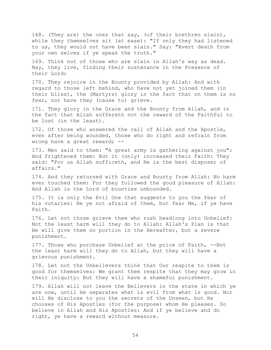168. (They are) the ones that say, (of their brethren slain), while they themselves sit (at ease): "If only they had listened to us, they would not have been slain." Say: "Avert death from your own selves if ye speak the truth."

169. Think not of those who are slain in Allah's way as dead. Nay, they live, finding their sustenance in the Presence of their Lord;

170. They rejoice in the Bounty provided by Allah: And with regard to those left behind, who have not yet joined them (in their bliss), the (Martyrs) glory in the fact that on them is no fear, nor have they (cause to) grieve.

171. They glory in the Grace and the Bounty from Allah, and in the fact that Allah suffereth not the reward of the Faithful to be lost (in the least).

172. Of those who answered the call of Allah and the Apostle, even after being wounded, those who do right and refrain from wrong have a great reward; --

173. Men said to them: "A great army is gathering against you": And frightened them: But it (only) increased their Faith: They said: "For us Allah sufficeth, and He is the best disposer of affairs."

174. And they returned with Grace and Bounty from Allah: No harm ever touched them: For they followed the good pleasure of Allah: And Allah is the Lord of bounties unbounded.

175. It is only the Evil One that suggests to you the fear of his votaries: Be ye not afraid of them, but fear Me, if ye have Faith.

176. Let not those grieve thee who rush headlong into Unbelief: Not the least harm will they do to Allah: Allah's Plan is that He will give them no portion in the Hereafter, but a severe punishment.

177. Those who purchase Unbelief at the price of Faith, --Not the least harm will they do to Allah, but they will have a grievous punishment.

178. Let not the Unbelievers think that Our respite to them is good for themselves: We grant them respite that they may grow in their iniquity: But they will have a shameful punishment.

179. Allah will not leave the Believers in the state in which ye are now, until He separates what is evil from what is good. Nor will He disclose to you the secrets of the Unseen, but He chooses of His Apostles (for the purpose) whom He pleases. So believe in Allah and His Apostles: And if ye believe and do right, ye have a reward without measure.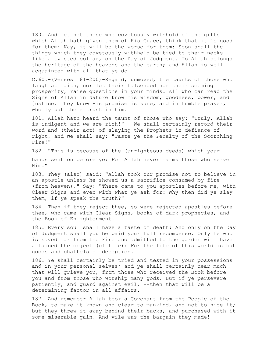180. And let not those who covetously withhold of the gifts which Allah hath given them of His Grace, think that it is good for them: Nay, it will be the worse for them: Soon shall the things which they covetously withheld be tied to their necks like a twisted collar, on the Day of Judgment. To Allah belongs the heritage of the heavens and the earth; and Allah is well acquainted with all that ye do.

C.60.-(Verses 181-200)-Regard, unmoved, the taunts of those who laugh at faith; nor let their falsehood nor their seeming prosperity, raise questions in your minds. All who can read the Signs of Allah in Nature know his wisdom, goodness, power, and justice. They know His promise is sure, and in humble prayer, wholly put their trust in him.

181. Allah hath heard the taunt of those who say: "Truly, Allah is indigent and we are rich!" --We shall certainly record their word and (their act) of slaying the Prophets in defiance of right, and We shall say: "Taste ye the Penalty of the Scorching Fire!"

182. "This is because of the (unrighteous deeds) which your

hands sent on before ye: For Allah never harms those who serve Him."

183. They (also) said: "Allah took our promise not to believe in an apostle unless he showed us a sacrifice consumed by fire (from heaven)." Say: "There came to you apostles before me, with Clear Signs and even with what ye ask for: Why then did ye slay them, if ye speak the truth?"

184. Then if they reject thee, so were rejected apostles before thee, who came with Clear Signs, books of dark prophecies, and the Book of Enlightenment.

185. Every soul shall have a taste of death: And only on the Day of Judgment shall you be paid your full recompense. Only he who is saved far from the Fire and admitted to the garden will have attained the object (of Life): For the life of this world is but goods and chattels of deception.

186. Ye shall certainly be tried and tested in your possessions and in your personal selves; and ye shall certainly hear much that will grieve you, from those who received the Book before you and from those who worship many gods. But if ye persevere patiently, and guard against evil, --then that will be a determining factor in all affairs.

187. And remember Allah took a Covenant from the People of the Book, to make it known and clear to mankind, and not to hide it; but they threw it away behind their backs, and purchased with it some miserable gain! And vile was the bargain they made!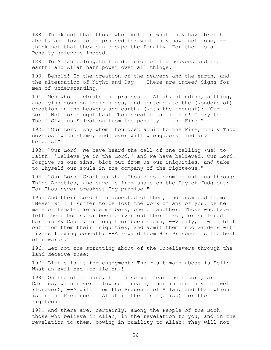188. Think not that those who exult in what they have brought about, and love to be praised for what they have not done, - think not that they can escape the Penalty. For them is a Penalty grievous indeed.

189. To Allah belongeth the dominion of the heavens and the earth; and Allah hath power over all things.

190. Behold! In the creation of the heavens and the earth, and the alternation of Night and Day, --There are indeed Signs for men of understanding,

191. Men who celebrate the praises of Allah, standing, sitting, and lying down on their sides, and contemplate the (wonders of) creation in the heavens and earth, (with the thought): "Our Lord! Not for naught hast Thou created (all) this! Glory to Thee! Give us Salvation from the penalty of the Fire."

192. "Our Lord! Any whom Thou dost admit to the Fire, truly Thou coverest with shame, and never will wrongdoers find any helpers!"

193. "Our Lord! We have heard the call of one calling (us) to Faith, 'Believe ye in the Lord,' and we have believed. Our Lord! Forgive us our sins, blot out from us our iniquities, and take to Thyself our souls in the company of the righteous."

194. "Our Lord! Grant us what Thou didst promise unto us through Thine Apostles, and save us from shame on the Day of Judgment: For Thou never breakest Thy promise."

195. And their Lord hath accepted of them, and answered them: "Never will I suffer to be lost the work of any of you, be he male or female: Ye are members, one of another: Those who have left their homes, or been driven out there from, or suffered harm in My Cause, or fought or been slain, --Verily, I will blot out from them their iniquities, and admit them into Gardens with rivers flowing beneath; --A reward from His Presence is the best of rewards."

196. Let not the strutting about of the Unbelievers through the land deceive thee:

197. Little is it for enjoyment: Their ultimate abode is Hell: What an evil bed (to lie on)!

198. On the other hand, for those who fear their Lord, are Gardens, with rivers flowing beneath; therein are they to dwell (forever), --A gift from the Presence of Allah; and that which is in the Presence of Allah is the best (bliss) for the righteous.

199. And there are, certainly, among the People of the Book, those who believe in Allah, in the revelation to you, and in the revelation to them, bowing in humility to Allah: They will not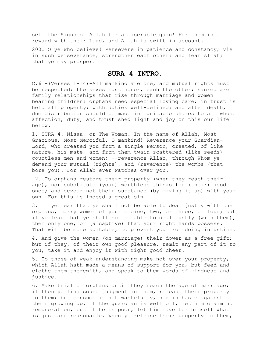sell the Signs of Allah for a miserable gain! For them is a reward with their Lord, and Allah is swift in account.

200. O ye who believe! Persevere in patience and constancy; vie in such perseverance; strengthen each other; and fear Allah; that ye may prosper.

## **SURA 4 INTRO.**

C.61-(Verses 1-14)-All mankind are one, and mutual rights must be respected: the sexes must honor, each the other; sacred are family relationships that rise through marriage and women bearing children; orphans need especial loving care; in trust is held all property; with duties well-defined; and after death, due distribution should be made in equitable shares to all whose affection, duty, and trust shed light and joy on this our life below.

1. SURA 4. Nisaa, or The Woman. In the name of Allah, Most Gracious, Most Merciful. O mankind! Reverence your Guardian-Lord, who created you from a single Person, created, of like nature, his mate, and from them twain scattered (like seeds) countless men and women; --reverence Allah, through Whom ye demand your mutual (rights), and (reverence) the wombs (that bore you): For Allah ever watches over you.

 2. To orphans restore their property (when they reach their age), nor substitute (your) worthless things for (their) good ones; and devour not their substance (by mixing it up) with your own. For this is indeed a great sin.

3. If ye fear that ye shall not be able to deal justly with the orphans, marry women of your choice, two, or three, or four; but if ye fear that ye shall not be able to deal justly (with them), then only one, or (a captive) that your right hands possess. That will be more suitable, to prevent you from doing injustice.

4. And give the women (on marriage) their dower as a free gift; but if they, of their own good pleasure, remit any part of it to you, take it and enjoy it with right good cheer.

5. To those of weak understanding make not over your property, which Allah hath made a means of support for you, but feed and clothe them therewith, and speak to them words of kindness and justice.

6. Make trial of orphans until they reach the age of marriage; if then ye find sound judgment in them, release their property to them; but consume it not wastefully, nor in haste against their growing up. If the guardian is well off, let him claim no remuneration, but if he is poor, let him have for himself what is just and reasonable. When ye release their property to them,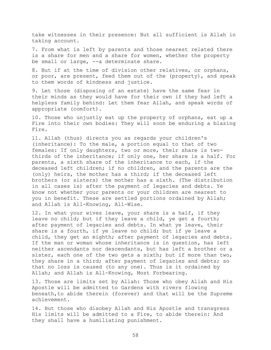take witnesses in their presence: But all sufficient is Allah in taking account.

7. From what is left by parents and those nearest related there is a share for men and a share for women, whether the property be small or large, --a determinate share.

8. But if at the time of division other relatives, or orphans, or poor, are present, feed them out of the (property), and speak to them words of kindness and justice.

9. Let those (disposing of an estate) have the same fear in their minds as they would have for their own if they had left a helpless family behind: Let them fear Allah, and speak words of appropriate (comfort).

10. Those who unjustly eat up the property of orphans, eat up a Fire into their own bodies: They will soon be enduring a blazing Fire.

11. Allah (thus) directs you as regards your children's (inheritance): To the male, a portion equal to that of two females: If only daughters, two or more, their share is twothirds of the inheritance; if only one, her share is a half. For parents, a sixth share of the inheritance to each, if the deceased left children; if no children, and the parents are the (only) heirs, the mother has a third; if the deceased left brothers (or sisters) the mother has a sixth. (The distribution in all cases is) after the payment of legacies and debts. Ye know not whether your parents or your children are nearest to you in benefit. These are settled portions ordained by Allah; and Allah is All-Knowing, All-Wise.

12. In what your wives leave, your share is a half, if they leave no child; but if they leave a child, ye get a fourth; after payment of legacies and debts. In what ye leave, their share is a fourth, if ye leave no child; but if ye leave a child, they get an eighth; after payment of legacies and debts. If the man or woman whose inheritance is in question, has left neither ascendants nor descendants, but has left a brother or a sister, each one of the two gets a sixth; but if more than two, they share in a third; after payment of legacies and debts; so that no loss is caused (to any one). Thus is it ordained by Allah; and Allah is All-Knowing, Most Forbearing.

13. Those are limits set by Allah: Those who obey Allah and His Apostle will be admitted to Gardens with rivers flowing beneath,to abide therein (forever) and that will be the Supreme achievement.

14. But those who disobey Allah and His Apostle and transgress His limits will be admitted to a Fire, to abide therein: And they shall have a humiliating punishment.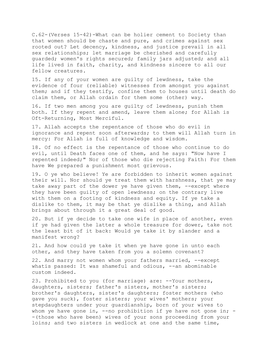C.62-(Verses 15-42)-What can be holier cement to Society than that women should be chaste and pure, and crimes against sex rooted out? Let decency, kindness, and justice prevail in all sex relationships; let marriage be cherished and carefully guarded; women's rights secured; family jars adjusted; and all life lived in faith, charity, and kindness sincere to all our fellow creatures.

15. If any of your women are guilty of lewdness, take the evidence of four (reliable) witnesses from amongst you against them; and if they testify, confine them to houses until death do claim them, or Allah ordain for them some (other) way.

16. If two men among you are guilty of lewdness, punish them both. If they repent and amend, leave them alone; for Allah is Oft-Returning, Most Merciful.

17. Allah accepts the repentance of those who do evil in ignorance and repent soon afterwards; to them will Allah turn in mercy: For Allah is full of knowledge and wisdom.

18. Of no effect is the repentance of those who continue to do evil, until Death faces one of them, and he says: "Now have I repented indeed;" Nor of those who die rejecting Faith: For them have We prepared a punishment most grievous.

19. O ye who believe! Ye are forbidden to inherit women against their will. Nor should ye treat them with harshness, that ye may take away part of the dower ye have given them, --except where they have been guilty of open lewdness; on the contrary live with them on a footing of kindness and equity. If ye take a dislike to them, it may be that ye dislike a thing, and Allah brings about through it a great deal of good.

20. But if ye decide to take one wife in place of another, even if ye had given the latter a whole treasure for dower, take not the least bit of it back: Would ye take it by slander and a manifest wrong?

21. And how could ye take it when ye have gone in unto each other, and they have taken from you a solemn covenant?

22. And marry not women whom your fathers married, --except whatis passed: It was shameful and odious, --an abominable custom indeed.

23. Prohibited to you (for marriage) are: --Your mothers, daughters, sisters; father's sisters, mother's sisters; brother's daughters, sister's daughters; foster mothers (who gave you suck), foster sisters; your wives' mothers; your stepdaughters under your guardianship, born of your wives to whom ye have gone in,  $-$ no prohibition if ye have not gone in;  $-$ -(those who have been) wives of your sons proceeding from your loins; and two sisters in wedlock at one and the same time,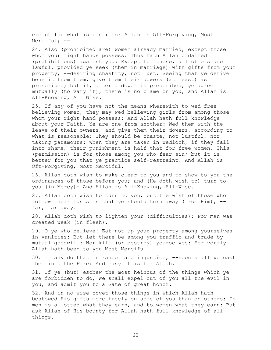except for what is past; for Allah is Oft-Forgiving, Most Merciful; --

24. Also (prohibited are) women already married, except those whom your right hands possess: Thus hath Allah ordained (prohibitions) against you: Except for these, all others are lawful, provided ye seek (them in marriage) with gifts from your property, --desiring chastity, not lust. Seeing that ye derive benefit from them, give them their dowers (at least) as prescribed; but if, after a dower is prescribed, ye agree mutually (to vary it), there is no blame on you, and Allah is All-Knowing, All Wise.

25. If any of you have not the means wherewith to wed free believing women, they may wed believing girls from among those whom your right hand possess: And Allah hath full knowledge about your Faith. Ye are one from another: Wed them with the leave of their owners, and give them their dowers, according to what is reasonable: They should be chaste, not lustful, nor taking paramours: When they are taken in wedlock, if they fall into shame, their punishment is half that for free women. This (permission) is for those among you who fear sin; but it is better for you that ye practice self-restraint. And Allah is Oft-Forgiving, Most Merciful.

26. Allah doth wish to make clear to you and to show to you the ordinances of those before you; and (He doth wish to) turn to you (in Mercy): And Allah is All-Knowing, All-Wise.

27. Allah doth wish to turn to you, but the wish of those who follow their lusts is that ye should turn away (from Him), - far, far away.

28. Allah doth wish to lighten your (difficulties): For man was created weak (in flesh).

29. O ye who believe! Eat not up your property among yourselves in vanities: But let there be among you traffic and trade by mutual goodwill: Nor kill (or destroy) yourselves: For verily Allah hath been to you Most Merciful!

30. If any do that in rancor and injustice, --soon shall We cast them into the Fire: And easy it is for Allah.

31. If ye (but) eschew the most heinous of the things which ye are forbidden to do, We shall expel out of you all the evil in you, and admit you to a Gate of great honor.

32. And in no wise covet those things in which Allah hath bestowed His gifts more freely on some of you than on others: To men is allotted what they earn, and to women what they earn: But ask Allah of His bounty for Allah hath full knowledge of all things.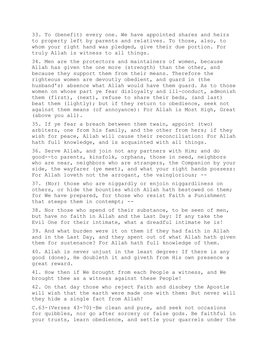33. To (benefit) every one. We have appointed shares and heirs to property left by parents and relatives. To those, also, to whom your right hand was pledged, give their due portion. For truly Allah is witness to all things.

34. Men are the protectors and maintainers of women, because Allah has given the one more (strength) than the other, and because they support them from their means. Therefore the righteous women are devoutly obedient, and guard in (the husband's) absence what Allah would have them guard. As to those women on whose part ye fear disloyalty and ill-conduct, admonish them (first), (next), refuse to share their beds, (and last) beat them (lightly); but if they return to obedience, seek not against them means (of annoyance): For Allah is Most High, Great (above you all).

35. If ye fear a breach between them twain, appoint (two) arbiters, one from his family, and the other from hers; if they wish for peace, Allah will cause their reconciliation: For Allah hath full knowledge, and is acquainted with all things.

36. Serve Allah, and join not any partners with Him; and do good--to parents, kinsfolk, orphans, those in need, neighbors who are near, neighbors who are strangers, the Companion by your side, the wayfarer (ye meet), and what your right hands possess: For Allah loveth not the arrogant, the vainglorious; --

37. (Nor) those who are niggardly or enjoin niggardliness on others, or hide the bounties which Allah hath bestowed on them; for We have prepared, for those who resist Faith a Punishment that steeps them in contempt; --

38. Nor those who spend of their substance, to be seen of men, but have no faith in Allah and the Last Day: If any take the Evil One for their intimate, what a dreadful intimate he is!

39. And what burden were it on them if they had faith in Allah and in the Last Day, and they spent out of what Allah hath given them for sustenance? For Allah hath full knowledge of them.

40. Allah is never unjust in the least degree: If there is any good (done), He doubleth it and giveth from His own presence a great reward.

41. How then if We brought from each People a witness, and We brought thee as a witness against these People!

42. On that day those who reject Faith and disobey the Apostle will wish that the earth were made one with them: But never will they hide a single fact from Allah!

C.63-(Verses 43-70)-Be clean and pure, and seek not occasions for quibbles, nor go after sorcery or false gods. Be faithful in your trusts, learn obedience, and settle your quarrels under the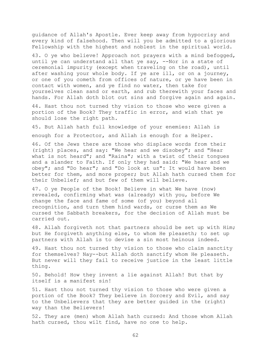guidance of Allah's Apostle. Ever keep away from hypocrisy and every kind of falsehood. Then will you be admitted to a glorious Fellowship with the highest and noblest in the spiritual world.

43. O ye who believe! Approach not prayers with a mind befogged, until ye can understand all that ye say, --Nor in a state of ceremonial impurity (except when traveling on the road), until after washing your whole body. If ye are ill, or on a journey, or one of you cometh from offices of nature, or ye have been in contact with women, and ye find no water, then take for yourselves clean sand or earth, and rub therewith your faces and hands. For Allah doth blot out sins and forgive again and again.

44. Hast thou not turned thy vision to those who were given a portion of the Book? They traffic in error, and wish that ye should lose the right path.

45. But Allah hath full knowledge of your enemies: Allah is

enough for a Protector, and Allah is enough for a Helper.

46. Of the Jews there are those who displace words from their (right) places, and say: "We hear and we disobey"; and "Hear what is not heard"; and "Raina"; with a twist of their tongues and a slander to Faith. If only they had said: "We hear and we obey"; and "Do hear"; and "Do look at us": It would have been better for them, and more proper; but Allah hath cursed them for their Unbelief; and but few of them will believe.

47. O ye People of the Book! Believe in what We have (now) revealed, confirming what was (already) with you, before We change the face and fame of some (of you) beyond all recognition, and turn them hind wards, or curse them as We cursed the Sabbath breakers, for the decision of Allah must be carried out.

48. Allah forgiveth not that partners should be set up with Him; but He forgiveth anything else, to whom He pleaseth; to set up partners with Allah is to devise a sin most heinous indeed.

49. Hast thou not turned thy vision to those who claim sanctity for themselves? Nay--but Allah doth sanctify whom He pleaseth. But never will they fail to receive justice in the least little thing.

50. Behold! How they invent a lie against Allah! But that by itself is a manifest sin!

51. Hast thou not turned thy vision to those who were given a portion of the Book? They believe in Sorcery and Evil, and say to the Unbelievers that they are better guided in the (right) way than the Believers!

52. They are (men) whom Allah hath cursed: And those whom Allah hath cursed, thou wilt find, have no one to help.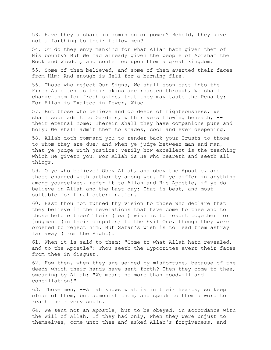53. Have they a share in dominion or power? Behold, they give not a farthing to their fellow men?

54. Or do they envy mankind for what Allah hath given them of His bounty? But We had already given the people of Abraham the Book and Wisdom, and conferred upon them a great kingdom.

55. Some of them believed, and some of them averted their faces from Him: And enough is Hell for a burning fire.

56. Those who reject Our Signs, We shall soon cast into the Fire: As often as their skins are roasted through, We shall change them for fresh skins, that they may taste the Penalty: For Allah is Exalted in Power, Wise.

57. But those who believe and do deeds of righteousness, We shall soon admit to Gardens, with rivers flowing beneath, -their eternal home: Therein shall they have companions pure and holy: We shall admit them to shades, cool and ever deepening.

58. Allah doth command you to render back your Trusts to those to whom they are due; and when ye judge between man and man, that ye judge with justice: Verily how excellent is the teaching which He giveth you! For Allah is He Who heareth and seeth all things.

59. O ye who believe! Obey Allah, and obey the Apostle, and those charged with authority among you. If ye differ in anything among yourselves, refer it to Allah and His Apostle, if ye do believe in Allah and the Last day: That is best, and most suitable for final determination.

60. Hast thou not turned thy vision to those who declare that they believe in the revelations that have come to thee and to those before thee? Their (real) wish is to resort together for judgment (in their disputes) to the Evil One, though they were ordered to reject him. But Satan's wish is to lead them astray far away (from the Right).

61. When it is said to them: "Come to what Allah hath revealed, and to the Apostle": Thou seeth the Hypocrites avert their faces from thee in disgust.

62. How then, when they are seized by misfortune, because of the deeds which their hands have sent forth? Then they come to thee, swearing by Allah: "We meant no more than goodwill and conciliation!"

63. Those men, --Allah knows what is in their hearts; so keep clear of them, but admonish them, and speak to them a word to reach their very souls.

64. We sent not an Apostle, but to be obeyed, in accordance with the Will of Allah. If they had only, when they were unjust to themselves, come unto thee and asked Allah's forgiveness, and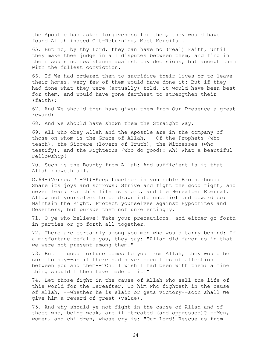the Apostle had asked forgiveness for them, they would have found Allah indeed Oft-Returning, Most Merciful.

65. But no, by thy Lord, they can have no (real) Faith, until they make thee judge in all disputes between them, and find in their souls no resistance against thy decisions, but accept them with the fullest conviction.

66. If We had ordered them to sacrifice their lives or to leave their homes, very few of them would have done it: But if they had done what they were (actually) told, it would have been best for them, and would have gone farthest to strengthen their (faith);

67. And We should then have given them from Our Presence a great reward;

68. And We should have shown them the Straight Way.

69. All who obey Allah and the Apostle are in the company of those on whom is the Grace of Allah, --Of the Prophets (who teach), the Sincere (lovers of Truth), the Witnesses (who testify), and the Righteous (who do good): Ah! What a beautiful Fellowship!

70. Such is the Bounty from Allah: And sufficient is it that Allah knoweth all.

C.64-(Verses 71-91)-Keep together in you noble Brotherhood: Share its joys and sorrows: Strive and fight the good fight, and never fear: For this life is short, and the Hereafter Eternal. Allow not yourselves to be drawn into unbelief and cowardice: Maintain the Right. Protect yourselves against Hypocrites and Deserters, but pursue them not unrelentingly.

71. O ye who believe! Take your precautions, and either go forth in parties or go forth all together.

72. There are certainly among you men who would tarry behind: If a misfortune befalls you, they say: "Allah did favor us in that we were not present among them."

73. But if good fortune comes to you from Allah, they would be sure to say--as if there had never been ties of affection between you and them--"Oh! I wish I had been with them; a fine thing should I then have made of it!"

74. Let those fight in the cause of Allah who sell the life of this world for the Hereafter. To him who fighteth in the cause of Allah, --whether he is slain or gets victory--soon shall We give him a reward of great (value).

75. And why should ye not fight in the cause of Allah and of those who, being weak, are ill-treated (and oppressed)? --Men, women, and children, whose cry is: "Our Lord! Rescue us from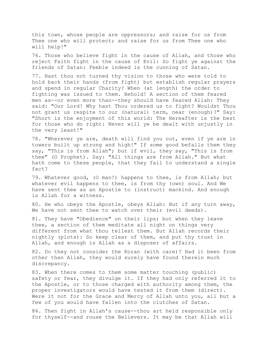this town, whose people are oppressors; and raise for us from Thee one who will protect; and raise for us from Thee one who will help!"

76. Those who believe fight in the cause of Allah, and those who reject Faith fight in the cause of Evil: So fight ye against the friends of Satan: Feeble indeed is the cunning of Satan.

77. Hast thou not turned thy vision to those who were told to hold back their hands (from fight) but establish regular prayers and spend in regular Charity? When (at length) the order to fighting was issued to them. Behold! A section of them feared men as--or even more than--they should have feared Allah: They said: "Our Lord! Why hast Thou ordered us to fight? Wouldst Thou not grant us respite to our (natural) term, near (enough)?" Say: "Short is the enjoyment of this world: The Hereafter is the best for those who do right: Never will ye be dealt with unjustly in the very least!"

78. "Wherever ye are, death will find you out, even if ye are in towers built up strong and high!" If some good befalls them they say, "This is from Allah"; but if evil, they say, "This is from thee" (O Prophet). Say: "All things are from Allah." But what hath come to these people, that they fail to understand a single fact?

79. Whatever good, (O man!) happens to thee, is from Allah; but whatever evil happens to thee, is from thy (own) soul. And We have sent thee as an Apostle to (instruct) mankind. And enough is Allah for a witness.

80. He who obeys the Apostle, obeys Allah: But if any turn away, We have not sent thee to watch over their (evil deeds).

81. They have "Obedience" on their lips; but when they leave thee, a section of them meditate all night on things very different from what thou tellest them. But Allah records their nightly (plots): So keep clear of them, and put thy trust in Allah, and enough is Allah as a disposer of affairs.

82. Do they not consider the Koran (with care)? Had it been from other than Allah, they would surely have found therein much discrepancy.

83. When there comes to them some matter touching (public) safety or fear, they divulge it. If they had only referred it to the Apostle, or to those charged with authority among them, the proper investigators would have tested it from them (direct). Were it not for the Grace and Mercy of Allah unto you, all but a few of you would have fallen into the clutches of Satan.

84. Then fight in Allah's cause--thou art held responsible only for thyself--and rouse the Believers. It may be that Allah will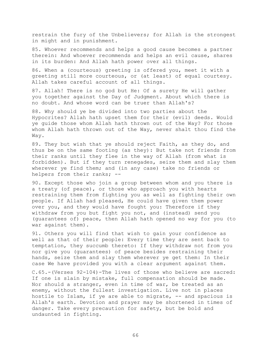restrain the fury of the Unbelievers; for Allah is the strongest in might and in punishment.

85. Whoever recommends and helps a good cause becomes a partner therein: And whoever recommends and helps an evil cause, shares in its burden: And Allah hath power over all things.

86. When a (courteous) greeting is offered you, meet it with a greeting still more courteous, or (at least) of equal courtesy. Allah takes careful account of all things.

87. Allah! There is no god but He: Of a surety He will gather you together against the Day of Judgment. About which there is no doubt. And whose word can be truer than Allah's?

88. Why should ye be divided into two parties about the Hypocrites? Allah hath upset them for their (evil) deeds. Would ye guide those whom Allah hath thrown out of the Way? For those whom Allah hath thrown out of the Way, never shalt thou find the Way.

89. They but wish that ye should reject Faith, as they do, and thus be on the same footing (as they): But take not friends from their ranks until they flee in the way of Allah (from what is forbidden). But if they turn renegades, seize them and slay them wherever ye find them; and (in any case) take no friends or helpers from their ranks; --

90. Except those who join a group between whom and you there is a treaty (of peace), or those who approach you with hearts restraining them from fighting you as well as fighting their own people. If Allah had pleased, He could have given them power over you, and they would have fought you: Therefore if they withdraw from you but fight you not, and (instead) send you (guarantees of) peace, then Allah hath opened no way for you (to war against them).

91. Others you will find that wish to gain your confidence as well as that of their people: Every time they are sent back to temptation, they succumb thereto: If they withdraw not from you nor give you (guarantees) of peace besides restraining their hands, seize them and slay them wherever ye get them: In their case We have provided you with a clear argument against them.

C.65.-(Verses 92-104)-The lives of those who believe are sacred: If one is slain by mistake, full compensation should be made. Nor should a stranger, even in time of war, be treated as an enemy, without the fullest investigation. Live not in places hostile to Islam, if ye are able to migrate, -- and spacious is Allah's earth. Devotion and prayer may be shortened in times of danger. Take every precaution for safety, but be bold and undaunted in fighting.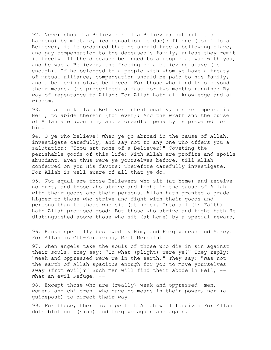92. Never should a Believer kill a Believer; but (if it so happens) by mistake, (compensation is due): If one (so)kills a Believer, it is ordained that he should free a believing slave, and pay compensation to the deceased's family, unless they remit it freely. If the deceased belonged to a people at war with you, and he was a Believer, the freeing of a believing slave (is enough). If he belonged to a people with whom ye have a treaty of mutual alliance, compensation should be paid to his family, and a believing slave be freed. For those who find this beyond their means, (is prescribed) a fast for two months running: By way of repentance to Allah: For Allah hath all knowledge and all wisdom.

93. If a man kills a Believer intentionally, his recompense is Hell, to abide therein (for ever): And the wrath and the curse of Allah are upon him, and a dreadful penalty is prepared for him.

94. O ye who believe! When ye go abroad in the cause of Allah, investigate carefully, and say not to any one who offers you a salutation: "Thou art none of a Believer!" Coveting the perishable goods of this life: With Allah are profits and spoils abundant. Even thus were ye yourselves before, till Allah conferred on you His favors: Therefore carefully investigate. For Allah is well aware of all that ye do.

95. Not equal are those Believers who sit (at home) and receive no hurt, and those who strive and fight in the cause of Allah with their goods and their persons. Allah hath granted a grade higher to those who strive and fight with their goods and persons than to those who sit (at home). Unto all (in Faith) hath Allah promised good: But those who strive and fight hath He distinguished above those who sit (at home) by a special reward,  $-1$ 

96. Ranks specially bestowed by Him, and Forgiveness and Mercy. For Allah is Oft-Forgiving, Most Merciful.

97. When angels take the souls of those who die in sin against their souls, they say: "In what (plight) were ye?" They reply: "Weak and oppressed were we in the earth." They say: "Was not the earth of Allah spacious enough for you to move yourselves away (from evil)?" Such men will find their abode in Hell, -- What an evil Refuge! --

98. Except those who are (really) weak and oppressed--men, women, and children--who have no means in their power, nor (a guidepost) to direct their way.

99. For these, there is hope that Allah will forgive: For Allah doth blot out (sins) and forgive again and again.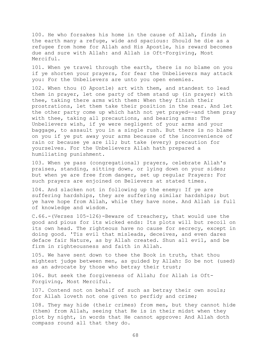100. He who forsakes his home in the cause of Allah, finds in the earth many a refuge, wide and spacious: Should he die as a refugee from home for Allah and His Apostle, his reward becomes due and sure with Allah: and Allah is Oft-Forgiving, Most Merciful.

101. When ye travel through the earth, there is no blame on you if ye shorten your prayers, for fear the Unbelievers may attack you: For the Unbelievers are unto you open enemies.

102. When thou (O Apostle) art with them, and standest to lead them in prayer, let one party of them stand up (in prayer) with thee, taking there arms with them: When they finish their prostrations, let them take their position in the rear. And let the other party come up which hath not yet prayed--and them pray with thee, taking all precautions, and bearing arms: The Unbelievers wish, if ye were negligent of your arms and your baggage, to assault you in a single rush. But there is no blame on you if ye put away your arms because of the inconvenience of rain or because ye are ill; but take (every) precaution for yourselves. For the Unbelievers Allah hath prepared a humiliating punishment.

103. When ye pass (congregational) prayers, celebrate Allah's praises, standing, sitting down, or lying down on your sides; but when ye are free from danger, set up regular Prayers: For such prayers are enjoined on Believers at stated times.

104. And slacken not in following up the enemy: If ye are suffering hardships, they are suffering similar hardships; but ye have hope from Allah, while they have none. And Allah is full of knowledge and wisdom.

C.66.-(Verses 105-126)-Beware of treachery, that would use the good and pious for its wicked ends: Its plots will but recoil on its own head. The righteous have no cause for secrecy, except in doing good. 'Tis evil that misleads, deceives, and even dares deface fair Nature, as by Allah created. Shun all evil, and be firm in righteousness and faith in Allah.

105. We have sent down to thee the Book in truth, that thou mightest judge between men, as guided by Allah: So be not (used) as an advocate by those who betray their trust;

106. But seek the forgiveness of Allah; for Allah is Oft-Forgiving, Most Merciful.

107. Contend not on behalf of such as betray their own souls; for Allah loveth not one given to perfidy and crime;

108. They may hide (their crimes) from men, but they cannot hide (them) from Allah, seeing that He is in their midst when they plot by night, in words that He cannot approve: And Allah doth compass round all that they do.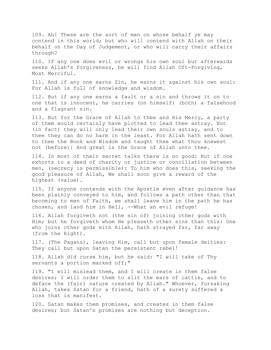109. Ah! These are the sort of men on whose behalf ye may contend in this world; but who will contend with Allah on their behalf on the Day of Judgement, or who will carry their affairs through?

110. If any one does evil or wrongs his own soul but afterwards seeks Allah's forgiveness, he will find Allah Oft-Forgiving, Most Merciful.

111. And if any one earns Sin, he earns it against his own soul: For Allah is full of knowledge and wisdom.

112. But if any one earns a fault or a sin and throws it on to one that is innocent, he carries (on himself) (both) a falsehood and a flagrant sin.

113. But for the Grace of Allah to thee and His Mercy, a party of them would certainly have plotted to lead thee astray. But (in fact) they will only lead their own souls astray, and to thee they can do no harm in the least. For Allah hath sent down to thee the Book and Wisdom and taught thee what thou knewest not (before): And great is the Grace of Allah unto thee.

114. In most of their secret talks there is no good: But if one exhorts to a deed of charity or justice or conciliation between men, (secrecy is permissible): To him who does this, seeking the good pleasure of Allah, We shall soon give a reward of the highest (value).

115. If anyone contends with the Apostle even after guidance has been plainly conveyed to him, and follows a path other than that becoming to men of Faith, we shall leave him in the path he has chosen, and land him in Hell, --What an evil refuge!

116. Allah forgiveth not (the sin of) joining other gods with Him; but he forgiveth whom He pleaseth other sins than this: One who joins other gods with Allah, hath strayed far, far away (from the Right).

117. (The Pagans), leaving Him, call but upon female deities: They call but upon Satan the persistent rebel!

118. Allah did curse him, but he said: "I will take of Thy servants a portion marked off;"

119. "I will mislead them, and I will create in them false desires; I will order them to slit the ears of cattle, and to deface the (fair) nature created by Allah." Whoever, forsaking Allah, takes Satan for a friend, hath of a surety suffered a loss that is manifest.

120. Satan makes them promises, and creates in them false desires; but Satan's promises are nothing but deception.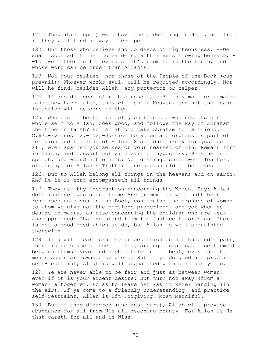121. They (his dupes) will have their dwelling in Hell, and from it they will find no way of escape.

122. But those who believe and do deeds of righteousness, --We shall soon admit them to Gardens, with rivers flowing beneath, --To dwell therein for ever. Allah's promise is the truth, and whose word can be truer than Allah's?

123. Not your desires, nor those of the People of the Book (can prevail): Whoever works evil, will be requited accordingly. Nor will he find, besides Allah, any protector or helper.

124. If any do deeds of righteousness, --Be they male or female- -and they have faith, they will enter Heaven, and not the least injustice will be done to them.

125. Who can be better in religion than one who submits his whole self to Allah, does good, and follows the way of Abraham the true in faith? For Allah did take Abraham for a friend. C.67.-(Verses 127-152)-Justice to women and orphans is part of religion and the fear of Allah. Stand out firmly for justice to all, even against yourselves or your nearest of kin. Remain firm in faith, and consort not with evil or hypocrisy. Be true in speech, and wound not others: Nor distinguish between Teachers of Truth, for Allah's Truth is one and should be believed.

126. But to Allah belong all things in the heavens and on earth: And He it is that encompasseth all things.

127. They ask thy instruction concerning the Women. Say: Allah doth instruct you about them: And (remember) what hath been rehearsed unto you in the Book, concerning the orphans of women to whom ye give not the portions prescribed, and yet whom ye desire to marry, as also concerning the children who are weak and oppressed: That ye stand firm for justice to orphans. There is not a good deed which ye do, but Allah is well acquainted therewith.

128. If a wife fears cruelty or desertion on her husband's part, there is no blame on them if they arrange an amicable settlement between themselves; and such settlement is best; even though men's souls are swayed by greed. But if ye do good and practice self-restraint, Allah is well acquainted with all that ye do.

129. Ye are never able to be fair and just as between women, even if it is your ardent desire: But turn not away (from a woman) altogether, so as to leave her (as it were) hanging (in the air). If ye come to a friendly understanding, and practice self-restraint, Allah is Oft-Forgiving, Most Merciful.

130. But if they disagree (and must part), Allah will provide abundance for all from His all reaching bounty. For Allah is He that careth for all and is Wise.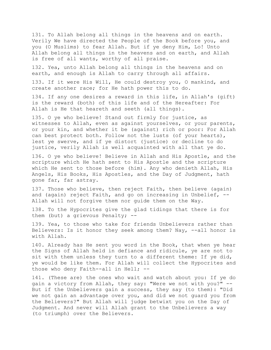131. To Allah belong all things in the heavens and on earth. Verily We have directed the People of the Book before you, and you (O Muslims) to fear Allah. But if ye deny Him, Lo! Unto Allah belong all things in the heavens and on earth, and Allah is free of all wants, worthy of all praise.

132. Yea, unto Allah belong all things in the heavens and on earth, and enough is Allah to carry through all affairs.

133. If it were His Will, He could destroy you, O mankind, and create another race; for He hath power this to do.

134. If any one desires a reward in this life, in Allah's (gift) is the reward (both) of this life and of the Hereafter: For Allah is He that heareth and seeth (all things).

135. O ye who believe! Stand out firmly for justice, as witnesses to Allah, even as against yourselves, or your parents, or your kin, and whether it be (against) rich or poor: For Allah can best protect both. Follow not the lusts (of your hearts), lest ye swerve, and if ye distort (justice) or decline to do justice, verily Allah is well acquainted with all that ye do.

136. O ye who believe! Believe in Allah and His Apostle, and the scripture which He hath sent to His Apostle and the scripture which He sent to those before (him). Any who denieth Allah, His Angels, His Books, His Apostles, and the Day of Judgment, hath gone far, far astray.

137. Those who believe, then reject Faith, then believe (again) and (again) reject Faith, and go on increasing in Unbelief, -- Allah will not forgive them nor guide them on the Way.

138. To the Hypocrites give the glad tidings that there is for them (but) a grievous Penalty; --

139. Yea, to those who take for friends Unbelievers rather than Believers: Is it honor they seek among them? Nay, --all honor is with Allah.

140. Already has He sent you word in the Book, that when ye hear the Signs of Allah held in defiance and ridicule, ye are not to sit with them unless they turn to a different theme: If ye did, ye would be like them. For Allah will collect the Hypocrites and those who deny Faith--all in Hell; --

141. (These are) the ones who wait and watch about you: If ye do gain a victory from Allah, they say: "Were we not with you?" -- But if the Unbelievers gain a success, they say (to them): "Did we not gain an advantage over you, and did we not guard you from the Believers?" But Allah will judge betwixt you on the Day of Judgment. And never will Allah grant to the Unbelievers a way (to triumph) over the Believers.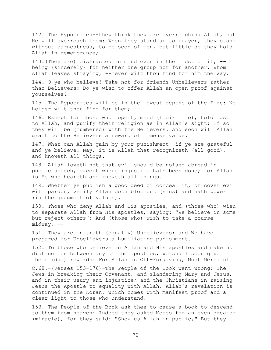142. The Hypocrites--they think they are overreaching Allah, but He will overreach them: When they stand up to prayer, they stand without earnestness, to be seen of men, but little do they hold Allah in remembrance;

143.(They are) distracted in mind even in the midst of it, - being (sincerely) for neither one group nor for another. Whom Allah leaves straying, --never wilt thou find for him the Way.

144. O ye who believe! Take not for friends Unbelievers rather than Believers: Do ye wish to offer Allah an open proof against yourselves?

145. The Hypocrites will be in the lowest depths of the Fire: No helper wilt thou find for them; --

146. Except for those who repent, mend (their life), hold fast to Allah, and purify their religion as in Allah's sight: If so they will be (numbered) with the Believers. And soon will Allah grant to the Believers a reward of immense value.

147. What can Allah gain by your punishment, if ye are grateful and ye believe? Nay, it is Allah that recognizeth (all good), and knoweth all things.

148. Allah loveth not that evil should be noised abroad in public speech, except where injustice hath been done; for Allah is He who heareth and knoweth all things.

149. Whether ye publish a good deed or conceal it, or cover evil with pardon, verily Allah doth blot out (sins) and hath power (in the judgment of values).

150. Those who deny Allah and His apostles, and (those who) wish to separate Allah from His apostles, saying: "We believe in some but reject others": And (those who) wish to take a course  $midway, --$ 

151. They are in truth (equally) Unbelievers; and We have prepared for Unbelievers a humiliating punishment.

152. To those who believe in Allah and His apostles and make no distinction between any of the apostles, We shall soon give their (due) rewards: For Allah is Oft-Forgiving, Most Merciful.

C.68.-(Verses 153-176)-The People of the Book went wrong: The Jews in breaking their Covenant, and slandering Mary and Jesus, and in their usury and injustice; and the Christians in raising Jesus the Apostle to equality with Allah. Allah's revelation is continued in the Koran, which comes with manifest proof and a clear light to those who understand.

153. The People of the Book ask thee to cause a book to descend to them from heaven: Indeed they asked Moses for an even greater (miracle), for they said: "Show us Allah in public," But they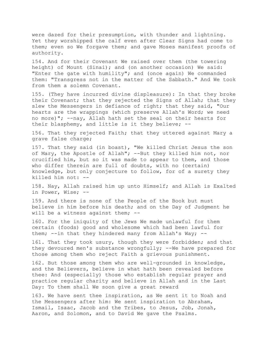were dazed for their presumption, with thunder and lightning. Yet they worshipped the calf even after Clear Signs had come to them; even so We forgave them; and gave Moses manifest proofs of authority.

154. And for their Covenant We raised over them (the towering height) of Mount (Sinai); and (on another occasion) We said: "Enter the gate with humility"; and (once again) We commanded them: "Transgress not in the matter of the Sabbath." And We took from them a solemn Covenant.

155. (They have incurred divine displeasure): In that they broke their Covenant; that they rejected the Signs of Allah; that they slew the Messengers in defiance of right; that they said, "Our hearts are the wrappings (which preserve Allah's Word; we need no more)"; --nay, Allah hath set the seal on their hearts for their blasphemy, and little is it they believe; --

156. That they rejected Faith; that they uttered against Mary a grave false charge;

157. That they said (in boast), "We killed Christ Jesus the son of Mary, the Apostle of Allah"; --But they killed him not, nor crucified him, but so it was made to appear to them, and those who differ therein are full of doubts, with no (certain) knowledge, but only conjecture to follow, for of a surety they killed him not: --

158. Nay, Allah raised him up unto Himself; and Allah is Exalted in Power, Wise; --

159. And there is none of the People of the Book but must believe in him before his death; and on the Day of Judgment he will be a witness against them; --

160. For the iniquity of the Jews We made unlawful for them certain (foods) good and wholesome which had been lawful for them;  $--in$  that they hindered many from Allah's Way;  $--$ 

161. That they took usury, though they were forbidden; and that they devoured men's substance wrongfully; --We have prepared for those among them who reject Faith a grievous punishment.

162. But those among them who are well-grounded in knowledge, and the Believers, believe in what hath been revealed before thee: And (especially) those who establish regular prayer and practice regular charity and believe in Allah and in the Last Day: To them shall We soon give a great reward

163. We have sent thee inspiration, as We sent it to Noah and the Messengers after him: We sent inspiration to Abraham, Ismail, Isaac, Jacob and the Tribes, to Jesus, Job, Jonah, Aaron, and Solomon, and to David We gave the Psalms.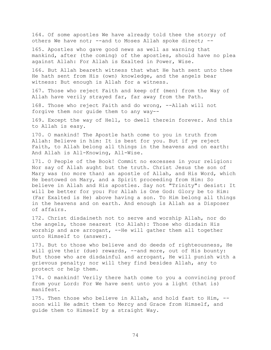164. Of some apostles We have already told thee the story; of others We have not; --and to Moses Allah spoke direct; --

165. Apostles who gave good news as well as warning that mankind, after (the coming) of the apostles, should have no plea against Allah: For Allah is Exalted in Power, Wise.

166. But Allah beareth witness that what He hath sent unto thee He hath sent from His (own) knowledge, and the angels bear witness: But enough is Allah for a witness.

167. Those who reject Faith and keep off (men) from the Way of Allah have verily strayed far, far away from the Path.

168. Those who reject Faith and do wrong, --Allah will not forgive them nor guide them to any way--

169. Except the way of Hell, to dwell therein forever. And this to Allah is easy.

170. O mankind! The Apostle hath come to you in truth from Allah: Believe in him: It is best for you. But if ye reject Faith, to Allah belong all things in the heavens and on earth: And Allah is All-Knowing, All-Wise.

171. O People of the Book! Commit no excesses in your religion: Nor say of Allah aught but the truth. Christ Jesus the son of Mary was (no more than) an apostle of Allah, and His Word, which He bestowed on Mary, and a Spirit proceeding from Him: So believe in Allah and His apostles. Say not "Trinity": desist: It will be better for you: For Allah is One God: Glory be to Him: (Far Exalted is He) above having a son. To Him belong all things in the heavens and on earth. And enough is Allah as a Disposer of affairs.

172. Christ disdaineth not to serve and worship Allah, nor do the angels, those nearest (to Allah): Those who disdain His worship and are arrogant, --He will gather them all together unto Himself to (answer).

173. But to those who believe and do deeds of righteousness, He will give their (due) rewards, --and more, out of His bounty: But those who are disdainful and arrogant, He will punish with a grievous penalty; nor will they find besides Allah, any to protect or help them.

174. O mankind! Verily there hath come to you a convincing proof from your Lord: For We have sent unto you a light (that is) manifest.

175. Then those who believe in Allah, and hold fast to Him, - soon will He admit them to Mercy and Grace from Himself, and guide them to Himself by a straight Way.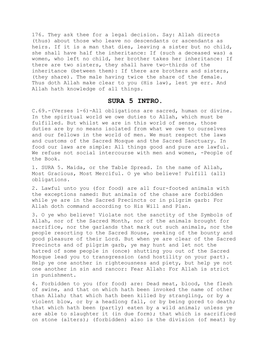176. They ask thee for a legal decision. Say: Allah directs (thus) about those who leave no descendants or ascendants as heirs. If it is a man that dies, leaving a sister but no child, she shall have half the inheritance: If (such a deceased was) a women, who left no child, her brother takes her inheritance: If there are two sisters, they shall have two-thirds of the inheritance (between them): If there are brothers and sisters, (they share). The male having twice the share of the female. Thus doth Allah make clear to you (His law), lest ye err. And Allah hath knowledge of all things.

## **SURA 5 INTRO.**

C.69.-(Verses 1-6)-All obligations are sacred, human or divine. In the spiritual world we owe duties to Allah, which must be fulfilled. But whilst we are in this world of sense, those duties are by no means isolated from what we owe to ourselves and our fellows in the world of men. We must respect the laws and customs of the Sacred Mosque and the Sacred Sanctuary. In food our laws are simple: All things good and pure are lawful. We refuse not social intercourse with men and women, -People of the Book.

1. SURA 5. Maida, or the Table Spread. In the name of Allah, Most Gracious, Most Merciful. O ye who believe! Fulfill (all) obligations.

2. Lawful unto you (for food) are all four-footed animals with the exceptions named: But animals of the chase are forbidden while ye are in the Sacred Precincts or in pilgrim garb: For Allah doth command according to His Will and Plan.

3. O ye who believe! Violate not the sanctity of the Symbols of Allah, nor of the Sacred Month, nor of the animals brought for sacrifice, nor the garlands that mark out such animals, nor the people resorting to the Sacred House, seeking of the bounty and good pleasure of their Lord. But when ye are clear of the Sacred Precincts and of pilgrim garb, ye may hunt and let not the hatred of some people in (once) shutting you out of the Sacred Mosque lead you to transgression (and hostility on your part). Help ye one another in righteousness and piety, but help ye not one another in sin and rancor: Fear Allah: For Allah is strict in punishment.

4. Forbidden to you (for food) are: Dead meat, blood, the flesh of swine, and that on which hath been invoked the name of other than Allah; that which hath been killed by strangling, or by a violent blow, or by a headlong fall, or by being gored to death; that which hath been (partly) eaten by a wild animal; unless ye are able to slaughter it (in due form); that which is sacrificed on stone (alters); (forbidden) also is the division (of meat) by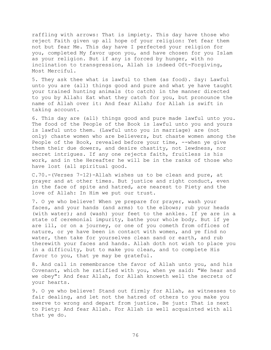raffling with arrows: That is impiety. This day have those who reject Faith given up all hope of your religion: Yet fear them not but fear Me. This day have I perfected your religion for you, completed My favor upon you, and have chosen for you Islam as your religion. But if any is forced by hunger, with no inclination to transgression, Allah is indeed Oft-Forgiving, Most Merciful.

5. They ask thee what is lawful to them (as food). Say: Lawful unto you are (all) things good and pure and what ye have taught your trained hunting animals (to catch) in the manner directed to you by Allah: Eat what they catch for you, but pronounce the name of Allah over it: And fear Allah; for Allah is swift in taking account.

6. This day are (all) things good and pure made lawful unto you. The food of the People of the Book is lawful unto you and yours is lawful unto them. (Lawful unto you in marriage) are (not only) chaste women who are believers, but chaste women among the People of the Book, revealed before your time, --when ye give them their due dowers, and desire chastity, not lewdness, nor secret intrigues. If any one rejects faith, fruitless is his work, and in the Hereafter he will be in the ranks of those who have lost (all spiritual good.

C.70.-(Verses 7-12)-Allah wishes us to be clean and pure, at prayer and at other times. But justice and right conduct, even in the face of spite and hatred, are nearest to Piety and the love of Allah: In Him we put our trust.

7. O ye who believe! When ye prepare for prayer, wash your faces, and your hands (and arms) to the elbows; rub your heads (with water); and (wash) your feet to the ankles. If ye are in a state of ceremonial impurity, bathe your whole body. But if ye are ill, or on a journey, or one of you cometh from offices of nature, or ye have been in contact with women, and ye find no water, then take for yourselves clean sand or earth, and rub therewith your faces and hands. Allah doth not wish to place you in a difficulty, but to make you clean, and to complete His favor to you, that ye may be grateful.

8. And call in remembrance the favor of Allah unto you, and his Covenant, which he ratified with you, when ye said: "We hear and we obey": And fear Allah, for Allah knoweth well the secrets of your hearts.

9. O ye who believe! Stand out firmly for Allah, as witnesses to fair dealing, and let not the hatred of others to you make you swerve to wrong and depart from justice. Be just: That is next to Piety: And fear Allah. For Allah is well acquainted with all that ye do.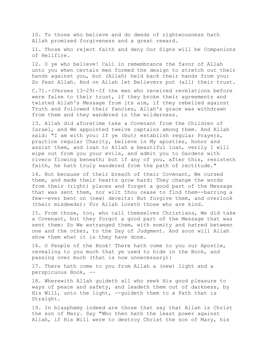10. To those who believe and do deeds of righteousness hath Allah promised forgiveness and a great reward.

11. Those who reject faith and deny Our Signs will be Companions of Hellfire.

12. O ye who believe! Call in remembrance the favor of Allah unto you when certain men formed the design to stretch out their hands against you, but (Allah) held back their hands from you: So fear Allah. And on Allah let Believers put (all) their trust.

C.71.-(Verses 13-29)-If the men who received revelations before were false to their trust, if they broke their agreements and twisted Allah's Message from its aim, if they rebelled against Truth and followed their fancies, Allah's grace was withdrawn from them and they wandered in the wilderness.

13. Allah did aforetime take a Covenant from the Children of Israel, and We appointed twelve captains among them. And Allah said: "I am with you: If ye (but) establish regular Prayers, practice regular Charity, believe in My apostles, honor and assist them, and loan to Allah a beautiful loan, verily I will wipe out from you your evils, and admit you to Gardens with rivers flowing beneath; but if any of you, after this, resisteth faith, he hath truly wandered from the path of rectitude."

14. But because of their breach of their Covenant, We cursed them, and made their hearts grow hard: They change the words from their (right) places and forget a good part of the Message that was sent them, nor wilt thou cease to find them--barring a few--ever bent on (new) deceits: But forgive them, and overlook (their misdeeds): For Allah loveth those who are kind.

15. From those, too, who call themselves Christians, We did take a Covenant, but they forgot a good part of the Message that was sent them: So We estranged them, with enmity and hatred between one and the other, to the Day of Judgment. And soon will Allah show them what it is they have done.

16. O People of the Book! There hath come to you our Apostle, revealing to you much that ye used to hide in the Book, and passing over much (that is now unnecessary):

17. There hath come to you from Allah a (new) light and a perspicuous Book, --

18. Wherewith Allah guideth all who seek His good pleasure to ways of peace and safety, and leadeth them out of darkness, by His Will, unto the light, --guideth them to a Path that is Straight.

19. In blasphemy indeed are those that say that Allah is Christ the son of Mary. Say "Who then hath the least power against Allah, if His Will were to destroy Christ the son of Mary, his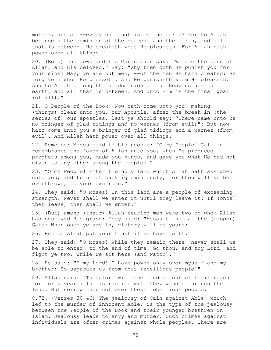mother, and all--every one that is on the earth? For to Allah belongeth the dominion of the heavens and the earth, and all that is between. He createth what He pleaseth. For Allah hath power over all things."

20. (Both) the Jews and the Christians say: "We are the sons of Allah, and His beloved." Say: "Why then doth He punish you for your sins? Nay, ye are but men, --of the men He hath created: He forgiveth whom He pleaseth. And He punisheth whom He pleaseth: And to Allah belongeth the dominion of the heavens and the earth, and all that is between: And unto Him is the final goal (of all)."

21. O People of the Book! Now hath come unto you, making (things) clear unto you, our Apostle, after the break in (the series of) our apostles, lest ye should say: "There came unto us no bringer of glad tidings and no warner (from evil)": But now hath come unto you a bringer of glad tidings and a warner (from evil). And Allah hath power over all things.

22. Remember Moses said to his people: "O my People! Call in remembrance the favor of Allah unto you, when He produced prophets among you, made you kings, and gave you what He had not given to any other among the peoples."

23. "O my People! Enter the holy land which Allah hath assigned unto you, and turn not back ignominiously, for then will ye be overthrown, to your own ruin."

24. They said: "O Moses! In this land are a people of exceeding strength: Never shall we enter it until they leave it: If (once) they leave, then shall we enter."

25. (But) among (their) Allah-fearing men were two on whom Allah had bestowed His grace: They said: "Assault them at the (proper) Gate: When once ye are in, victory will be yours;

26. But on Allah put your trust if ye have faith."

27. They said: "O Moses! While they remain there, never shall we be able to enter, to the end of time. Go thou, and thy Lord, and fight ye two, while we sit here (and watch)."

28. He said: "O my Lord! I have power only over myself and my brother: So separate us from this rebellious people!"

29. Allah said: "Therefore will the land be out of their reach for forty years: In distraction will they wander through the land: But sorrow thou not over these rebellious people.

C.72.-(Verses 30-46)-The jealousy of Cain against Able, which led to the murder of innocent Able, is the type of the jealousy between the People of the Book and their younger brethren in Islam. Jealousy leads to envy and murder. Such crimes against individuals are often crimes against whole peoples. There are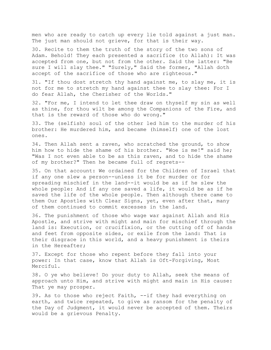men who are ready to catch up every lie told against a just man. The just man should not grieve, for that is their way.

30. Recite to them the truth of the story of the two sons of Adam. Behold! They each presented a sacrifice (to Allah): It was accepted from one, but not from the other. Said the latter: "Be sure I will slay thee." "Surely," Said the former, "Allah doth accept of the sacrifice of those who are righteous."

31. "If thou dost stretch thy hand against me, to slay me, it is not for me to stretch my hand against thee to slay thee: For I do fear Allah, the Cherisher of the Worlds."

32. "For me, I intend to let thee draw on thyself my sin as well as thine, for thou wilt be among the Companions of the Fire, and that is the reward of those who do wrong."

33. The (selfish) soul of the other led him to the murder of his brother: He murdered him, and became (himself) one of the lost ones.

34. Then Allah sent a raven, who scratched the ground, to show him how to hide the shame of his brother. "Woe is me!" said he; "Was I not even able to be as this raven, and to hide the shame of my brother?" Then he became full of regrets--

35. On that account: We ordained for the Children of Israel that if any one slew a person--unless it be for murder or for spreading mischief in the land--it would be as if he slew the whole people: And if any one saved a life, it would be as if he saved the life of the whole people. Then although there came to them Our Apostles with Clear Signs, yet, even after that, many of them continued to commit excesses in the land.

36. The punishment of those who wage war against Allah and His Apostle, and strive with might and main for mischief through the land is: Execution, or crucifixion, or the cutting off of hands and feet from opposite sides, or exile from the land: That is their disgrace in this world, and a heavy punishment is theirs in the Hereafter;

37. Except for those who repent before they fall into your power: In that case, know that Allah is Oft-Forgiving, Most Merciful.

38. O ye who believe! Do your duty to Allah, seek the means of approach unto Him, and strive with might and main in His cause: That ye may prosper.

39. As to those who reject Faith, --if they had everything on earth, and twice repeated, to give as ransom for the penalty of the Day of Judgment, it would never be accepted of them. Theirs would be a grievous Penalty.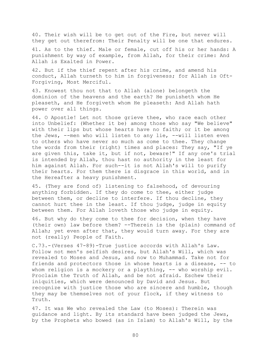40. Their wish will be to get out of the Fire, but never will they get out therefrom: Their Penalty will be one that endures.

41. As to the thief. Male or female, cut off his or her hands: A punishment by way of example, from Allah, for their crime: And Allah is Exalted in Power.

42. But if the thief repent after his crime, and amend his conduct, Allah turneth to him in forgiveness; for Allah is Oft-Forgiving, Most Merciful.

43. Knowest thou not that to Allah (alone) belongeth the dominion of the heavens and the earth? He punisheth whom He pleaseth, and He forgiveth whom He pleaseth: And Allah hath power over all things.

44. O Apostle! Let not those grieve thee, who race each other into Unbelief: (Whether it be) among those who say "We believe" with their lips but whose hearts have no faith; or it be among the Jews, --men who will listen to any lie, --will listen even to others who have never so much as come to thee. They change the words from their (right) times and places: They say, "If ye are given this, take it, but if not, beware!" If any one's trial is intended by Allah, thou hast no authority in the least for him against Allah. For such--it is not Allah's will to purify their hearts. For them there is disgrace in this world, and in the Hereafter a heavy punishment.

45. (They are fond of) listening to falsehood, of devouring anything forbidden. If they do come to thee, either judge between them, or decline to interfere. If thou decline, they cannot hurt thee in the least. If thou judge, judge in equity between them. For Allah loveth those who judge in equity.

46. But why do they come to thee for decision, when they have (their own) law before them? --Therein is the (plain) command of Allah; yet even after that, they would turn away. For they are not (really) People of Faith.

C.73.-(Verses 47-89)-True justice accords with Allah's Law. Follow not men's selfish desires, but Allah's Will, which was revealed to Moses and Jesus, and now to Muhammad. Take not for friends and protectors those in whose hearts is a disease, -- to whom religion is a mockery or a plaything, -- who worship evil. Proclaim the Truth of Allah, and be not afraid. Eschew their iniquities, which were denounced by David and Jesus. But recognize with justice those who are sincere and humble, though they may be themselves not of your flock, if they witness to Truth.

47. It was We who revealed the Law (to Moses): Therein was guidance and light. By its standard have been judged the Jews, by the Prophets who bowed (as in Islam) to Allah's Will, by the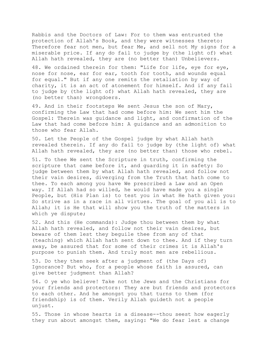Rabbis and the Doctors of Law: For to them was entrusted the protection of Allah's Book, and they were witnesses thereto: Therefore fear not men, but fear Me, and sell not My signs for a miserable price. If any do fail to judge by (the light of) what Allah hath revealed, they are (no better than) Unbelievers.

48. We ordained therein for them: "Life for life, eye for eye, nose for nose, ear for ear, tooth for tooth, and wounds equal for equal." But if any one remits the retaliation by way of charity, it is an act of atonement for himself. And if any fail to judge by (the light of) what Allah hath revealed, they are (no better than) wrongdoers.

49. And in their footsteps We sent Jesus the son of Mary, confirming the Law that had come before him: We sent him the Gospel: Therein was guidance and light, and confirmation of the Law that had come before him: A guidance and an admonition to those who fear Allah.

50. Let the People of the Gospel judge by what Allah hath revealed therein. If any do fail to judge by (the light of) what Allah hath revealed, they are (no better than) those who rebel.

51. To thee We sent the Scripture in truth, confirming the scripture that came before it, and guarding it in safety: So judge between them by what Allah hath revealed, and follow not their vain desires, diverging from the Truth that hath come to thee. To each among you have We prescribed a Law and an Open way. If Allah had so willed, he would have made you a single People, but (His Plan is) to test you in what He hath given you: So strive as in a race in all virtues. The goal of you all is to Allah; it is He that will show you the truth of the matters in which ye dispute;

52. And this (He commands): Judge thou between them by what Allah hath revealed, and follow not their vain desires, but beware of them lest they beguile thee from any of that (teaching) which Allah hath sent down to thee. And if they turn away, be assured that for some of their crimes it is Allah's purpose to punish them. And truly most men are rebellious.

53. Do they then seek after a judgment of (the Days of) Ignorance? But who, for a people whose faith is assured, can give better judgment than Allah?

54. O ye who believe! Take not the Jews and the Christians for your friends and protectors: They are but friends and protectors to each other. And he amongst you that turns to them (for friendship) is of them. Verily Allah guideth not a people unjust.

55. Those in whose hearts is a disease--thou seest how eagerly they run about amongst them, saying: "We do fear lest a change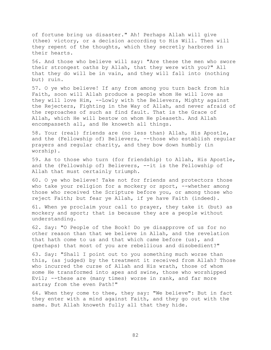of fortune bring us disaster." Ah! Perhaps Allah will give (thee) victory, or a decision according to His Will. Then will they repent of the thoughts, which they secretly harbored in their hearts.

56. And those who believe will say: "Are these the men who swore their strongest oaths by Allah, that they were with you?" All that they do will be in vain, and they will fall into (nothing but) ruin.

57. O ye who believe! If any from among you turn back from his Faith, soon will Allah produce a people whom He will love as they will love Him, --Lowly with the Believers, Mighty against the Rejecters, Fighting in the Way of Allah, and never afraid of the reproaches of such as find fault. That is the Grace of Allah, which He will bestow on whom He pleaseth. And Allah encompasseth all, and He knoweth all things.

58. Your (real) friends are (no less than) Allah, His Apostle, and the (Fellowship of) Believers, --those who establish regular prayers and regular charity, and they bow down humbly (in worship).

59. As to those who turn (for friendship) to Allah, His Apostle, and the (Fellowship of) Believers, --it is the Fellowship of Allah that must certainly triumph.

60. O ye who believe! Take not for friends and protectors those who take your religion for a mockery or sport, --whether among those who received the Scripture before you, or among those who reject Faith; but fear ye Allah, if ye have Faith (indeed).

61. When ye proclaim your call to prayer, they take it (but) as mockery and sport; that is because they are a people without understanding.

62. Say: "O People of the Book! Do ye disapprove of us for no other reason than that we believe in Allah, and the revelation that hath come to us and that which came before (us), and (perhaps) that most of you are rebellious and disobedient?"

63. Say: "Shall I point out to you something much worse than this, (as judged) by the treatment it received from Allah? Those who incurred the curse of Allah and His wrath, those of whom some He transformed into apes and swine, those who worshipped Evil; --these are (many times) worse in rank, and far more astray from the even Path!"

64. When they come to thee, they say: "We believe": But in fact they enter with a mind against Faith, and they go out with the same. But Allah knoweth fully all that they hide.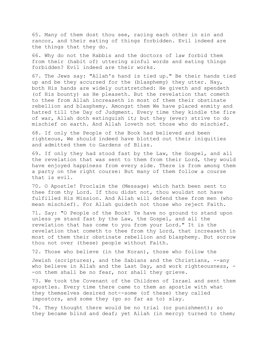65. Many of them dost thou see, racing each other in sin and rancor, and their eating of things forbidden. Evil indeed are the things that they do.

66. Why do not the Rabbis and the doctors of law forbid them from their (habit of) uttering sinful words and eating things forbidden? Evil indeed are their works.

67. The Jews say: "Allah's hand is tied up." Be their hands tied up and be they accursed for the (blasphemy) they utter. Nay, both His hands are widely outstretched: He giveth and spendeth (of His bounty) as He pleaseth. But the revelation that cometh to thee from Allah increaseth in most of them their obstinate rebellion and blasphemy. Amongst them We have placed enmity and hatred till the Day of Judgment. Every time they kindle the fire of war, Allah doth extinguish it; but they (ever) strive to do mischief on earth. And Allah loveth not those who do mischief.

68. If only the People of the Book had believed and been righteous, We should indeed have blotted out their iniquities and admitted them to Gardens of Bliss.

69. If only they had stood fast by the Law, the Gospel, and all the revelation that was sent to them from their Lord, they would have enjoyed happiness from every side. There is from among them a party on the right course: But many of them follow a course that is evil.

70. O Apostle! Proclaim the (Message) which hath been sent to thee from thy Lord. If thou didst not, thou wouldst not have fulfilled His Mission. And Allah will defend thee from men (who mean mischief). For Allah guideth not those who reject Faith.

71. Say: "O People of the Book! Ye have no ground to stand upon unless ye stand fast by the Law, the Gospel, and all the revelation that has come to you from your Lord." It is the revelation that cometh to thee from thy Lord, that increaseth in most of them their obstinate rebellion and blasphemy. But sorrow thou not over (these) people without Faith.

72. Those who believe (in the Koran), those who follow the

Jewish (scriptures), and the Sabians and the Christians, --any who believe in Allah and the Last Day, and work righteousness,  $-$ -on them shall be no fear, nor shall they grieve.

73. We took the Covenant of the Children of Israel and sent them apostles. Every time there came to them an apostle with what they themselves desired not--some (of these) they called impostors, and some they (go so far as to) slay.

74. They thought there would be no trial (or punishment); so they became blind and deaf; yet Allah (in mercy) turned to them;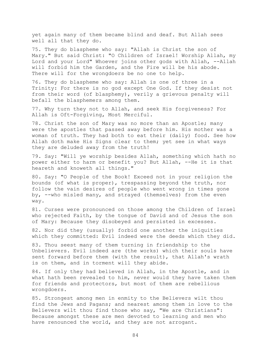yet again many of them became blind and deaf. But Allah sees well all that they do.

75. They do blaspheme who say: "Allah is Christ the son of Mary." But said Christ: "O Children of Israel! Worship Allah, my Lord and your Lord" Whoever joins other gods with Allah, --Allah will forbid him the Garden, and the Fire will be his abode. There will for the wrongdoers be no one to help.

76. They do blaspheme who say: Allah is one of three in a Trinity: For there is no god except One God. If they desist not from their word (of blasphemy), verily a grievous penalty will befall the blasphemers among them.

77. Why turn they not to Allah, and seek His forgiveness? For Allah is Oft-Forgiving, Most Merciful.

78. Christ the son of Mary was no more than an Apostle; many were the apostles that passed away before him. His mother was a woman of truth. They had both to eat their (daily) food. See how Allah doth make His Signs clear to them; yet see in what ways they are deluded away from the truth!

79. Say: "Will ye worship besides Allah, something which hath no power either to harm or benefit you? But Allah, --He it is that heareth and knoweth all things."

80. Say: "O People of the Book! Exceed not in your religion the bounds (of what is proper), trespassing beyond the truth, nor follow the vain desires of people who went wrong in times gone by, --who misled many, and strayed (themselves) from the even way.

81. Curses were pronounced on those among the Children of Israel who rejected Faith, by the tongue of David and of Jesus the son of Mary: Because they disobeyed and persisted in excesses.

82. Nor did they (usually) forbid one another the iniquities which they committed: Evil indeed were the deeds which they did.

83. Thou seest many of them turning in friendship to the Unbelievers. Evil indeed are (the works) which their souls have sent forward before them (with the result), that Allah's wrath is on them, and in torment will they abide.

84. If only they had believed in Allah, in the Apostle, and in what hath been revealed to him, never would they have taken them for friends and protectors, but most of them are rebellious wrongdoers.

85. Strongest among men in enmity to the Believers wilt thou find the Jews and Pagans; and nearest among them in love to the Believers wilt thou find those who say, "We are Christians": Because amongst these are men devoted to learning and men who have renounced the world, and they are not arrogant.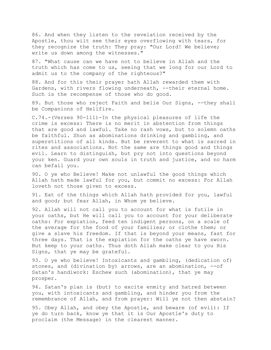86. And when they listen to the revelation received by the Apostle, thou wilt see their eyes overflowing with tears, for they recognize the truth: They pray: "Our Lord! We believe; write us down among the witnesses."

87. "What cause can we have not to believe in Allah and the truth which has come to us, seeing that we long for our Lord to admit us to the company of the righteous?"

88. And for this their prayer hath Allah rewarded them with Gardens, with rivers flowing underneath, --their eternal home. Such is the recompense of those who do good.

89. But those who reject Faith and belie Our Signs, --they shall be Companions of Hellfire.

C.74.-(Verses 90-111)-In the physical pleasures of life the crime is excess: There is no merit in abstention from things that are good and lawful. Take no rash vows, but to solemn oaths be faithful. Shun as abominations drinking and gambling, and superstitions of all kinds. But be reverent to what is sacred in rites and associations. Not the same are things good and things evil. Learn to distinguish, but pry not into questions beyond your ken. Guard your own souls in truth and justice, and no harm can befall you.

90. O ye who Believe! Make not unlawful the good things which Allah hath made lawful for you, but commit no excess: For Allah loveth not those given to excess.

91. Eat of the things which Allah hath provided for you, lawful and good; but fear Allah, in Whom ye believe.

92. Allah will not call you to account for what is futile in your oaths, but He will call you to account for your deliberate oaths: For expiation, feed ten indigent persons, on a scale of the average for the food of your families; or clothe them; or give a slave his freedom. If that is beyond your means, fast for three days. That is the expiation for the oaths ye have sworn. But keep to your oaths. Thus doth Allah make clear to you His Signs, that ye may be grateful.

93. O ye who believe! Intoxicants and gambling, (dedication of) stones, and (divination by) arrows, are an abomination, --of Satan's handiwork: Eschew such (abomination), that ye may prosper.

94. Satan's plan is (but) to excite enmity and hatred between you, with intoxicants and gambling, and hinder you from the remembrance of Allah, and from prayer: Will ye not then abstain?

95. Obey Allah, and obey the Apostle, and beware (of evil): If ye do turn back, know ye that it is Our Apostle's duty to proclaim (the Message) in the clearest manner.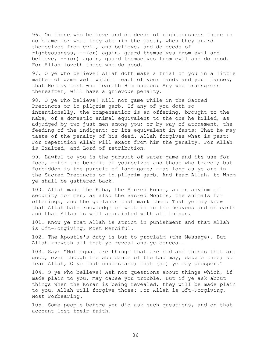96. On those who believe and do deeds of righteousness there is no blame for what they ate (in the past), when they guard themselves from evil, and believe, and do deeds of righteousness, --(or) again, guard themselves from evil and believe, --(or) again, guard themselves from evil and do good. For Allah loveth those who do good.

97. O ye who believe! Allah doth make a trial of you in a little matter of game well within reach of your hands and your lances, that He may test who feareth Him unseen: Any who transgress thereafter, will have a grievous penalty.

98. O ye who believe! Kill not game while in the Sacred Precincts or in pilgrim garb. If any of you doth so intentionally, the compensation is an offering, brought to the Kaba, of a domestic animal equivalent to the one he killed, as adjudged by two just men among you; or by way of atonement, the feeding of the indigent; or its equivalent in fasts: That he may taste of the penalty of his deed. Allah forgives what is past: For repetition Allah will exact from him the penalty. For Allah is Exalted, and Lord of retribution.

99. Lawful to you is the pursuit of water-game and its use for food, --for the benefit of yourselves and those who travel; but forbidden is the pursuit of land-game; --as long as ye are in the Sacred Precincts or in pilgrim garb. And fear Allah, to Whom ye shall be gathered back.

100. Allah made the Kaba, the Sacred House, as an asylum of security for men, as also the Sacred Months, the animals for offerings, and the garlands that mark them: That ye may know that Allah hath knowledge of what is in the heavens and on earth and that Allah is well acquainted with all things.

101. Know ye that Allah is strict in punishment and that Allah is Oft-Forgiving, Most Merciful.

102. The Apostle's duty is but to proclaim (the Message). But Allah knoweth all that ye reveal and ye conceal.

103. Say: "Not equal are things that are bad and things that are good, even though the abundance of the bad may, dazzle thee; so fear Allah, O ye that understand; that (so) ye may prosper."

104. O ye who believe! Ask not questions about things which, if made plain to you, may cause you trouble. But if ye ask about things when the Koran is being revealed, they will be made plain to you, Allah will forgive those: For Allah is Oft-Forgiving, Most Forbearing.

105. Some people before you did ask such questions, and on that account lost their faith.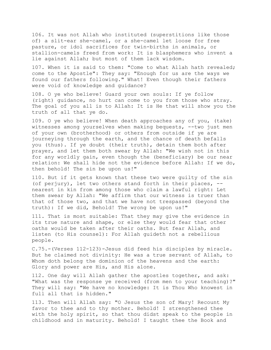106. It was not Allah who instituted (superstitions like those of) a slit-ear she-camel, or a she-camel let loose for free pasture, or idol sacrifices for twin-births in animals, or stallion-camels freed from work: It is blasphemers who invent a lie against Allah; but most of them lack wisdom.

107. When it is said to them: "Come to what Allah hath revealed; come to the Apostle": They say: "Enough for us are the ways we found our fathers following." What! Even though their fathers were void of knowledge and guidance?

108. O ye who believe! Guard your own souls: If ye follow (right) guidance, no hurt can come to you from those who stray. The goal of you all is to Allah: It is He that will show you the truth of all that ye do.

109. O ye who believe! When death approaches any of you, (take) witnesses among yourselves when making bequests, --two just men of your own (brotherhood) or others from outside if ye are journeying through the earth, and the chance of death befalls you (thus). If ye doubt (their truth), detain them both after prayer, and let them both swear by Allah: "We wish not in this for any worldly gain, even though the (beneficiary) be our near relation: We shall hide not the evidence before Allah: If we do, then behold! The sin be upon us!"

110. But if it gets known that these two were guilty of the sin (of perjury), let two others stand forth in their places, - nearest in kin from among those who claim a lawful right: Let them swear by Allah: "We affirm that our witness is truer than that of those two, and that we have not trespassed (beyond the truth): If we did, Behold! The wrong be upon us!"

111. That is most suitable: That they may give the evidence in its true nature and shape, or else they would fear that other oaths would be taken after their oaths. But fear Allah, and listen (to His counsel): For Allah guideth not a rebellious people.

C.75.-(Verses 112-123)-Jesus did feed his disciples by miracle. But he claimed not divinity: He was a true servant of Allah, to Whom doth belong the dominion of the heavens and the earth: Glory and power are His, and His alone.

112. One day will Allah gather the apostles together, and ask: "What was the response ye received (from men to your teaching)?" They will say: "We have no knowledge: It is Thou Who knowest in full all that is hidden."

113. Then will Allah say: "O Jesus the son of Mary! Recount My favor to thee and to thy mother. Behold! I strengthened thee with the holy spirit, so that thou didst speak to the people in childhood and in maturity. Behold! I taught thee the Book and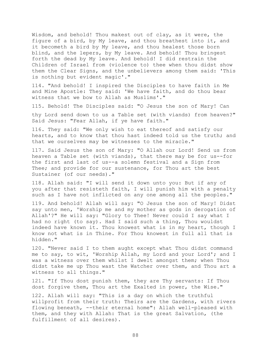Wisdom, and behold! Thou makest out of clay, as it were, the figure of a bird, by My leave, and thou breathest into it, and it becometh a bird by My leave, and thou healest those born blind, and the lepers, by My leave. And behold! Thou bringest forth the dead by My leave. And behold! I did restrain the Children of Israel from (violence to) thee when thou didst show them the Clear Signs, and the unbelievers among them said: 'This is nothing but evident magic'."

114. "And behold! I inspired the Disciples to have faith in Me and Mine Apostle: They said: 'We have faith, and do thou bear witness that we bow to Allah as Muslims'."

115. Behold! The Disciples said: "O Jesus the son of Mary! Can

thy Lord send down to us a Table set (with viands) from heaven?" Said Jesus: "Fear Allah, if ye have faith."

116. They said: "We only wish to eat thereof and satisfy our hearts, and to know that thou hast indeed told us the truth; and that we ourselves may be witnesses to the miracle."

117. Said Jesus the son of Mary: "O Allah our Lord! Send us from heaven a Table set (with viands), that there may be for us--for the first and last of us--a solemn festival and a Sign from Thee; and provide for our sustenance, for Thou art the best Sustainer (of our needs)."

118. Allah said: "I will send it down unto you: But if any of you after that resisteth faith, I will punish him with a penalty such as I have not inflicted on any one among all the peoples."

119. And behold! Allah will say: "O Jesus the son of Mary! Didst say unto men, 'Worship me and my mother as gods in derogation of Allah'?" He will say: "Glory to Thee! Never could I say what I had no right (to say). Had I said such a thing, Thou wouldst indeed have known it. Thou knowest what is in my heart, though I know not what is in Thine. For Thou knowest in full all that is hidden."

120. "Never said I to them aught except what Thou didst command me to say, to wit, 'Worship Allah, my Lord and your Lord'; and I was a witness over them whilst I dwelt amongst them; when Thou didst take me up Thou wast the Watcher over them, and Thou art a witness to all things."

121. "If Thou dost punish them, they are Thy servants: If Thou dost forgive them, Thou art the Exalted in power, the Wise."

122. Allah will say: "This is a day on which the truthful willprofit from their truth: Theirs are the Gardens, with rivers flowing beneath, --their eternal home": Allah well-pleased with them, and they with Allah: That is the great Salvation, (the fulfillment of all desires).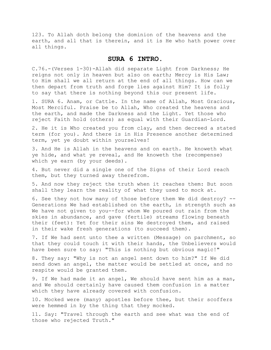123. To Allah doth belong the dominion of the heavens and the earth, and all that is therein, and it is He who hath power over all things.

## **SURA 6 INTRO.**

C.76.-(Verses 1-30)-Allah did separate Light from Darkness; He reigns not only in heaven but also on earth; Mercy is His Law; to Him shall we all return at the end of all things. How can we then depart from truth and forge lies against Him? It is folly to say that there is nothing beyond this our present life.

1. SURA 6. Anam, or Cattle. In the name of Allah, Most Gracious, Most Merciful. Praise be to Allah, Who created the heavens and the earth, and made the Darkness and the Light. Yet those who reject Faith hold (others) as equal with their Guardian-Lord.

2. He it is Who created you from clay, and then decreed a stated term (for you). And there is in His Presence another determined term, yet ye doubt within yourselves!

3. And He is Allah in the heavens and on earth. He knoweth what ye hide, and what ye reveal, and He knoweth the (recompense) which ye earn (by your deeds).

4. But never did a single one of the Signs of their Lord reach them, but they turned away therefrom.

5. And now they reject the truth when it reaches them: But soon shall they learn the reality of what they used to mock at.

6. See they not how many of those before them We did destroy? -- Generations We had established on the earth, in strength such as We have not given to you--for whom We poured out rain from the skies in abundance, and gave (fertile) streams flowing beneath their (feet): Yet for their sins We destroyed them, and raised in their wake fresh generations (to succeed them).

7. If We had sent unto thee a written (Message) on parchment, so that they could touch it with their hands, the Unbelievers would have been sure to say: "This is nothing but obvious magic!"

8. They say: "Why is not an angel sent down to him?" If We did send down an angel, the matter would be settled at once, and no respite would be granted them.

9. If We had made it an angel, We should have sent him as a man, and We should certainly have caused them confusion in a matter which they have already covered with confusion.

10. Mocked were (many) apostles before thee, but their scoffers were hemmed in by the thing that they mocked.

11. Say: "Travel through the earth and see what was the end of those who rejected Truth."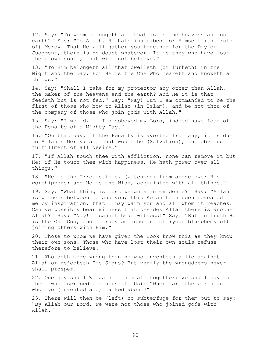12. Say: "To whom belongeth all that is in the heavens and on earth?" Say: "To Allah. He hath inscribed for Himself (the rule of) Mercy. That He will gather you together for the Day of Judgment, there is no doubt whatever. It is they who have lost their own souls, that will not believe."

13. "To Him belongeth all that dwelleth (or lurketh) in the Night and the Day. For He is the One Who heareth and knoweth all things."

14. Say: "Shall I take for my protector any other than Allah, the Maker of the heavens and the earth? And He it is that feedeth but is not fed." Say: "Nay! But I am commanded to be the first of those who bow to Allah (in Islam), and be not thou of the company of those who join gods with Allah."

15. Say: "I would, if I disobeyed my Lord, indeed have fear of the Penalty of a Mighty Day."

16. "On that day, if the Penalty is averted from any, it is due to Allah's Mercy; and that would be (Salvation), the obvious fulfillment of all desire."

17. "If Allah touch thee with affliction, none can remove it but He; if He touch thee with happiness, He hath power over all things."

18. "He is the Irresistible, (watching) from above over His worshippers; and He is the Wise, acquainted with all things."

19. Say: "What thing is most weighty in evidence?" Say: "Allah is witness between me and you; this Koran hath been revealed to me by inspiration, that I may warn you and all whom it reaches. Can ye possibly bear witness that besides Allah there is another Allah?" Say: "Nay! I cannot bear witness!" Say: "But in truth He is the One God, and I truly am innocent of (your blasphemy of) joining others with Him."

20. Those to whom We have given the Book know this as they know their own sons. Those who have lost their own souls refuse therefore to believe.

21. Who doth more wrong than he who inventeth a lie against Allah or rejecteth His Signs? But verily the wrongdoers never shall prosper.

22. One day shall We gather them all together: We shall say to those who ascribed partners (to Us): "Where are the partners whom ye (invented and) talked about?"

23. There will then be (left) no subterfuge for them but to say: "By Allah our Lord, we were not those who joined gods with Allah."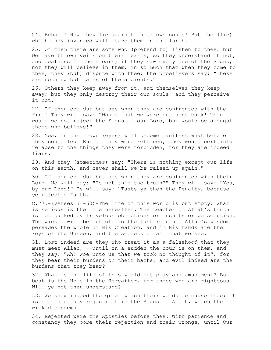24. Behold! How they lie against their own souls! But the (lie) which they invented will leave them in the lurch.

25. Of them there are some who (pretend to) listen to thee; but We have thrown veils on their hearts, so they understand it not, and deafness in their ears; if they saw every one of the Signs, not they will believe in them; in so much that when they come to thee, they (but) dispute with thee; the Unbelievers say: "These are nothing but tales of the ancients."

26. Others they keep away from it, and themselves they keep away; but they only destroy their own souls, and they perceive it not.

27. If thou couldst but see when they are confronted with the Fire! They will say: "Would that we were but sent back! Then would we not reject the Signs of our Lord, but would be amongst those who believe!"

28. Yea, in their own (eyes) will become manifest what before they concealed. But if they were returned, they would certainly relapse to the things they were forbidden, for they are indeed liars.

29. And they (sometimes) say: "There is nothing except our life on this earth, and never shall we be raised up again."

30. If thou couldst but see when they are confronted with their Lord. He will say: "Is not this the truth?" They will say: "Yea, by our Lord!" He will say: "Taste ye then the Penalty, because ye rejected Faith.

C.77.-(Verses 31-60)-The life of this world is but empty: What is serious is the life hereafter. The teacher of Allah's truth is not balked by frivolous objections or insults or persecution. The wicked will be cut off to the last remnant. Allah's wisdom pervades the whole of His Creation, and in His hands are the keys of the Unseen, and the secrets of all that we see.

31. Lost indeed are they who treat it as a falsehood that they must meet Allah, --until on a sudden the hour is on them, and they say: "Ah! Woe unto us that we took no thought of it"; for they bear their burdens on their backs, and evil indeed are the burdens that they bear?

32. What is the life of this world but play and amusement? But best is the Home in the Hereafter, for those who are righteous. Will ye not then understand?

33. We know indeed the grief which their words do cause thee: It is not thee they reject: It is the Signs of Allah, which the wicked condemn.

34. Rejected were the Apostles before thee: With patience and constancy they bore their rejection and their wrongs, until Our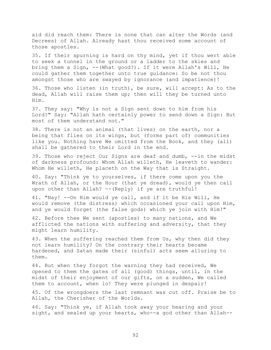aid did reach them: There is none that can alter the Words (and Decrees) of Allah. Already hast thou received some account of those apostles.

35. If their spurning is hard on thy mind, yet if thou wert able to seek a tunnel in the ground or a ladder to the skies and bring them a Sign, --(What good?). If it were Allah's Will, He could gather them together unto true guidance: So be not thou amongst those who are swayed by ignorance (and impatience)!

36. Those who listen (in truth), be sure, will accept: As to the dead, Allah will raise them up; then will they be turned unto Him.

37. They say: "Why is not a Sign sent down to him from his Lord?" Say: "Allah hath certainly power to send down a Sign: But most of them understand not."

38. There is not an animal (that lives) on the earth, nor a being that flies on its wings, but (forms part of) communities like you. Nothing have We omitted from the Book, and they (all) shall be gathered to their Lord in the end.

39. Those who reject Our Signs are deaf and dumb, --in the midst of darkness profound: Whom Allah willeth, He leaveth to wander: Whom He willeth, He placeth on the Way that is Straight.

40. Say: "Think ye to yourselves, if there come upon you the Wrath of Allah, or the Hour (that ye dread), would ye then call upon other than Allah? --(Reply) if ye are truthful!

41. "Nay! --On Him would ye call, and if it be His Will, He would remove (the distress) which occasioned your call upon Him, and ye would forget (the false gods) which ye join with Him!"

42. Before thee We sent (apostles) to many nations, and We afflicted the nations with suffering and adversity, that they might learn humility.

43. When the suffering reached them from Us, why then did they not learn humility? On the contrary their hearts became hardened, and Satan made their (sinful) acts seem alluring to them.

44. But when they forgot the warning they had received, We opened to them the gates of all (good) things, until, in the midst of their enjoyment of our gifts, on a sudden, We called them to account, when lo! They were plunged in despair!

45. Of the wrongdoers the last remnant was cut off. Praise be to Allah, the Cherisher of the Worlds.

46. Say: "Think ye, if Allah took away your hearing and your sight, and sealed up your hearts, who--a god other than Allah--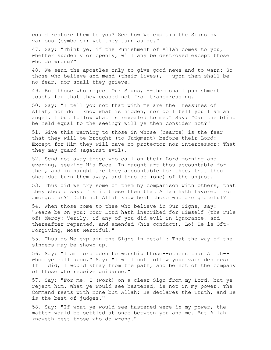could restore them to you? See how We explain the Signs by various (symbols); yet they turn aside."

47. Say: "Think ye, if the Punishment of Allah comes to you, whether suddenly or openly, will any be destroyed except those who do wrong?"

48. We send the apostles only to give good news and to warn: So those who believe and mend (their lives), --upon them shall be no fear, nor shall they grieve.

49. But those who reject Our Signs, --them shall punishment touch, for that they ceased not from transgressing.

50. Say: "I tell you not that with me are the Treasures of Allah, nor do I know what is hidden, nor do I tell you I am an angel. I but follow what is revealed to me." Say: "Can the blind be held equal to the seeing? Will ye then consider not?"

51. Give this warning to those in whose (hearts) is the fear that they will be brought (to Judgment) before their Lord: Except for Him they will have no protector nor intercessor: That they may guard (against evil).

52. Send not away those who call on their Lord morning and evening, seeking His Face. In naught art thou accountable for them, and in naught are they accountable for thee, that thou shouldst turn them away, and thus be (one) of the unjust.

53. Thus did We try some of them by comparison with others, that they should say: "Is it these then that Allah hath favored from amongst us?" Doth not Allah know best those who are grateful?

54. When those come to thee who believe in Our Signs, say: "Peace be on you: Your Lord hath inscribed for Himself (the rule of) Mercy: Verily, if any of you did evil in ignorance, and thereafter repented, and amended (his conduct), Lo! He is Oft-Forgiving, Most Merciful."

55. Thus do We explain the Signs in detail: That the way of the sinners may be shown up.

56. Say: "I am forbidden to worship those--others than Allah- whom ye call upon." Say: "I will not follow your vain desires: If I did, I would stray from the path, and be not of the company of those who receive guidance."

57. Say: "For me, I (work) on a clear Sign from my Lord, but ye reject him. What ye would see hastened, is not in my power. The Command rests with none but Allah: He declares the Truth, and He is the best of judges."

58. Say: "If what ye would see hastened were in my power, the matter would be settled at once between you and me. But Allah knoweth best those who do wrong."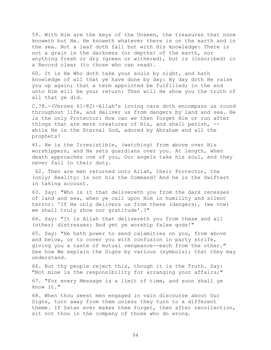59. With Him are the keys of the Unseen, the treasures that none knoweth but He. He knoweth whatever there is on the earth and in the sea. Not a leaf doth fall but with His knowledge: There is not a grain in the darkness (or depths) of the earth, nor anything fresh or dry (green or withered), but is (inscribed) in a Record clear (to those who can read).

60. It is He Who doth take your souls by night, and hath knowledge of all that ye have done by day: By day doth He raise you up again; that a term appointed be fulfilled; in the end unto Him will be your return: Then will He show you the truth of all that ye did.

C.78.-(Verses 61-82)-Allah's loving care doth encompass us round throughout life, and deliver us from dangers by land and sea. He is the only Protector: How can we then forget Him or run after things that are mere creatures of His, and shall perish, - while He is the Eternal God, adored by Abraham and all the prophets?

61. He is the Irresistible, (watching) from above over His worshippers, and He sets guardians over you. At length, when death approaches one of you, Our angels take his soul, and they never fail in their duty.

 62. Then are men returned unto Allah, their Protector, the (only) Reality: Is not his the Command? And he is the Swiftest in taking account.

63. Say: "Who is it that delivereth you from the dark recesses of land and sea, when ye call upon Him in humility and silent terror: 'If He only delivers us from these (dangers), (we vow) we shall truly show our gratitude'.?"

64. Say: "It is Allah that delivereth you from these and all (other) distresses: And yet ye worship false gods!"

65. Say: "He hath power to send calamities on you, from above and below, or to cover you with confusion in party strife, giving you a taste of mutual vengeance--each from the other." See how We explain the Signs by various (symbols); that they may understand.

66. But thy people reject this, though it is the Truth. Say: "Not mine is the responsibility for arranging your affairs;"

67. "For every Message is a limit of time, and soon shall ye know it."

68. When thou seest men engaged in vain discourse about Our Signs, turn away from them unless they turn to a different theme. If Satan ever makes thee forget, then after recollection, sit not thou in the company of those who do wrong.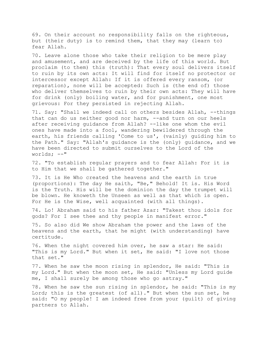69. On their account no responsibility falls on the righteous, but (their duty) is to remind them, that they may (learn to) fear Allah.

70. Leave alone those who take their religion to be mere play and amusement, and are deceived by the life of this world. But proclaim (to them) this (truth): That every soul delivers itself to ruin by its own acts: It will find for itself no protector or intercessor except Allah: If it is offered every ransom, (or reparation), none will be accepted: Such is (the end of) those who deliver themselves to ruin by their own acts: They will have for drink (only) boiling water, and for punishment, one most grievous: For they persisted in rejecting Allah.

71. Say: "Shall we indeed call on others besides Allah, --things that can do us neither good nor harm, --and turn on our heels after receiving guidance from Allah? --like one whom the evil ones have made into a fool, wandering bewildered through the earth, his friends calling 'Come to us', (vainly) guiding him to the Path." Say: "Allah's guidance is the (only) guidance, and we have been directed to submit ourselves to the Lord of the worlds; --"

72. "To establish regular prayers and to fear Allah: For it is to Him that we shall be gathered together."

73. It is He Who created the heavens and the earth in true (proportions): The day He saith, "Be," Behold! It is. His Word is the Truth. His will be the dominion the day the trumpet will be blown. He knoweth the Unseen as well as that which is open. For He is the Wise, well acquainted (with all things).

74. Lo! Abraham said to his father Azar: "Takest thou idols for gods? For I see thee and thy people in manifest error."

75. So also did We show Abraham the power and the laws of the heavens and the earth, that he might (with understanding) have certitude.

76. When the night covered him over, he saw a star: He said: "This is my Lord." But when it set, He said: "I love not those that set."

77. When he saw the moon rising in splendor, He said: "This is my Lord." But when the moon set, He said: "Unless my Lord guide me, I shall surely be among those who go astray."

78. When he saw the sun rising in splendor, he said: "This is my Lord; this is the greatest (of all)." But when the sun set, he said: "O my people! I am indeed free from your (guilt) of giving partners to Allah.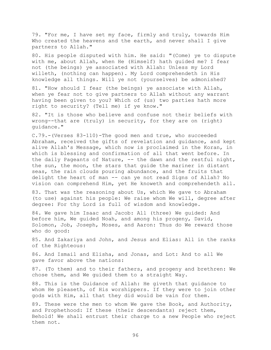79. "For me, I have set my face, firmly and truly, towards Him Who created the heavens and the earth, and never shall I give partners to Allah."

80. His people disputed with him. He said: "(Come) ye to dispute with me, about Allah, when He (Himself) hath guided me? I fear not (the beings) ye associated with Allah: Unless my Lord willeth, (nothing can happen). My Lord comprehendeth in His knowledge all things. Will ye not (yourselves) be admonished?

81. "How should I fear (the beings) ye associate with Allah, when ye fear not to give partners to Allah without any warrant having been given to you? Which of (us) two parties hath more right to security? (Tell me) if ye know."

82. "It is those who believe and confuse not their beliefs with wrong--that are (truly) in security, for they are on (right) guidance."

C.79.-(Verses 83-110)-The good men and true, who succeeded Abraham, received the gifts of revelation and guidance, and kept alive Allah's Message, which now is proclaimed in the Koran, in which is blessing and confirmation of all that went before. In the daily Pageants of Nature,  $-$  the dawn and the restful night, the sun, the moon, the stars that guide the mariner in distant seas, the rain clouds pouring abundance, and the fruits that delight the heart of man -- can ye not read Signs of Allah? No vision can comprehend Him, yet He knoweth and comprehendeth all.

83. That was the reasoning about Us, which We gave to Abraham (to use) against his people: We raise whom We will, degree after degree: For thy Lord is full of wisdom and knowledge.

84. We gave him Isaac and Jacob: All (three) We guided: And before him, We guided Noah, and among his progeny, David, Solomon, Job, Joseph, Moses, and Aaron: Thus do We reward those who do good:

85. And Zakariya and John, and Jesus and Elias: All in the ranks of the Righteous:

86. And Ismail and Elisha, and Jonas, and Lot: And to all We gave favor above the nations:

87. (To them) and to their fathers, and progeny and brethren: We chose them, and We guided them to a straight Way.

88. This is the Guidance of Allah: He giveth that guidance to whom He pleaseth, of His worshippers. If they were to join other gods with Him, all that they did would be vain for them.

89. These were the men to whom We gave the Book, and Authority, and Prophethood: If these (their descendants) reject them, Behold! We shall entrust their charge to a new People who reject them not.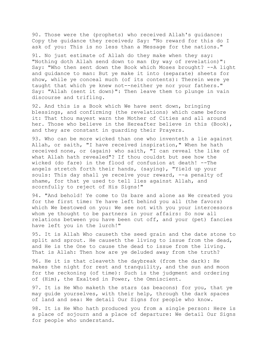90. Those were the (prophets) who received Allah's guidance: Copy the guidance they received; Say: "No reward for this do I ask of you: This is no less than a Message for the nations."

91. No just estimate of Allah do they make when they say: "Nothing doth Allah send down to man (by way of revelation)": Say: "Who then sent down the Book which Moses brought? --A light and guidance to man: But ye make it into (separate) sheets for show, while ye conceal much (of its contents): Therein were ye taught that which ye knew not--neither ye nor your fathers." Say: "Allah (sent it down)": Then leave them to plunge in vain discourse and trifling.

92. And this is a Book which We have sent down, bringing blessings, and confirming (the revelations) which came before it: That thou mayest warn the Mother of Cities and all around her. Those who believe in the Hereafter believe in this (Book), and they are constant in guarding their Prayers.

93. Who can be more wicked than one who inventeth a lie against Allah, or saith, "I have received inspiration," When he hath received none, or (again) who saith, "I can reveal the like of what Allah hath revealed"? If thou couldst but see how the wicked (do fare) in the flood of confusion at death! --The angels stretch forth their hands, (saying), "Yield up your souls: This day shall ye receive your reward, --a penalty of shame, for that ye used to tell lies against Allah, and scornfully to reject of His Signs!"

94. "And behold! Ye come to Us bare and alone as We created you for the first time: Ye have left behind you all (the favors) which We bestowed on you: We see not with you your intercessors whom ye thought to be partners in your affairs: So now all relations between you have been cut off, and your (pet) fancies have left you in the lurch!"

95. It is Allah Who causeth the seed grain and the date stone to split and sprout. He causeth the living to issue from the dead, and He is the One to cause the dead to issue from the living. That is Allah: Then how are ye deluded away from the truth?

96. He it is that cleaveth the daybreak (from the dark): He makes the night for rest and tranquility, and the sun and moon for the reckoning (of time): Such is the judgment and ordering of (Him), the Exalted in Power, the Omniscient.

97. It is He Who maketh the stars (as beacons) for you, that ye may guide yourselves, with their help, through the dark spaces of land and sea: We detail Our Signs for people who know.

98. It is He Who hath produced you from a single person: Here is a place of sojourn and a place of departure: We detail Our Signs for people who understand.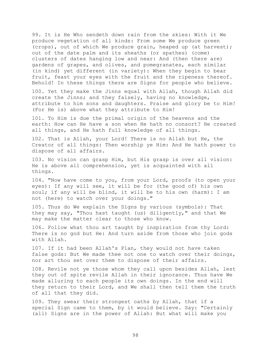99. It is He Who sendeth down rain from the skies: With it We produce vegetation of all kinds: From some We produce green (crops), out of which We produce grain, heaped up (at harvest); out of the date palm and its sheaths (or spathes) (come) clusters of dates hanging low and near: And (then there are) gardens of grapes, and olives, and pomegranates, each similar (in kind) yet different (in variety): When they begin to bear fruit, feast your eyes with the fruit and the ripeness thereof. Behold! In these things there are Signs for people who believe.

100. Yet they make the Jinns equal with Allah, though Allah did create the Jinns; and they falsely, having no knowledge, attribute to him sons and daughters. Praise and glory be to Him! (For He is) above what they attribute to Him!

101. To Him is due the primal origin of the heavens and the earth: How can He have a son when He hath no consort? He created all things, and He hath full knowledge of all things.

102. That is Allah, your Lord! There is no Allah but He, the Creator of all things: Then worship ye Him: And He hath power to dispose of all affairs.

103. No vision can grasp Him, but His grasp is over all vision: He is above all comprehension, yet is acquainted with all things.

104. "Now have come to you, from your Lord, proofs (to open your eyes): If any will see, it will be for (the good of) his own soul; if any will be blind, it will be to his own (harm): I am not (here) to watch over your doings."

105. Thus do We explain the Signs by various (symbols): That they may say, "Thou hast taught (us) diligently," and that We may make the matter clear to those who know.

106. Follow what thou art taught by inspiration from thy Lord: There is no god but He: And turn aside from those who join gods with Allah.

107. If it had been Allah's Plan, they would not have taken false gods: But We made thee not one to watch over their doings, nor art thou set over them to dispose of their affairs.

108. Revile not ye those whom they call upon besides Allah, lest they out of spite revile Allah in their ignorance. Thus have We made alluring to each people its own doings. In the end will they return to their Lord, and We shall then tell them the truth of all that they did.

109. They swear their strongest oaths by Allah, that if a special Sign came to them, by it would believe. Say: "Certainly (all) Signs are in the power of Allah: But what will make you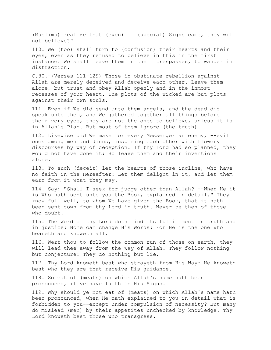(Muslims) realize that (even) if (special) Signs came, they will not believe?"

110. We (too) shall turn to (confusion) their hearts and their eyes, even as they refused to believe in this in the first instance: We shall leave them in their trespasses, to wander in distraction.

C.80.-(Verses 111-129)-Those in obstinate rebellion against Allah are merely deceived and deceive each other. Leave them alone, but trust and obey Allah openly and in the inmost recesses of your heart. The plots of the wicked are but plots against their own souls.

111. Even if We did send unto them angels, and the dead did speak unto them, and We gathered together all things before their very eyes, they are not the ones to believe, unless it is in Allah's Plan. But most of them ignore (the truth).

112. Likewise did We make for every Messenger an enemy, --evil ones among men and Jinns, inspiring each other with flowery discourses by way of deception. If thy Lord had so planned, they would not have done it: So leave them and their inventions alone.

113. To such (deceit) let the hearts of those incline, who have no faith in the Hereafter: Let them delight in it, and let them earn from it what they may.

114. Say: "Shall I seek for judge other than Allah? --When He it is Who hath sent unto you the Book, explained in detail." They know full well, to whom We have given the Book, that it hath been sent down from thy Lord in truth. Never be then of those who doubt.

115. The Word of thy Lord doth find its fulfillment in truth and in justice: None can change His Words: For He is the one Who heareth and knoweth all.

116. Wert thou to follow the common run of those on earth, they will lead thee away from the Way of Allah. They follow nothing but conjecture: They do nothing but lie.

117. Thy Lord knoweth best who strayeth from His Way: He knoweth best who they are that receive His guidance.

118. So eat of (meats) on which Allah's name hath been pronounced, if ye have faith in His Signs.

119. Why should ye not eat of (meats) on which Allah's name hath been pronounced, when He hath explained to you in detail what is forbidden to you--except under compulsion of necessity? But many do mislead (men) by their appetites unchecked by knowledge. Thy Lord knoweth best those who transgress.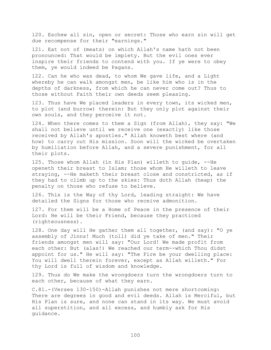120. Eschew all sin, open or secret: Those who earn sin will get due recompense for their "earnings."

121. Eat not of (meats) on which Allah's name hath not been pronounced: That would be impiety. But the evil ones ever inspire their friends to contend with you. If ye were to obey them, ye would indeed be Pagans.

122. Can he who was dead, to whom We gave life, and a Light whereby he can walk amongst men, be like him who is in the depths of darkness, from which he can never come out? Thus to those without Faith their own deeds seem pleasing.

123. Thus have We placed leaders in every town, its wicked men, to plot (and burrow) therein: But they only plot against their own souls, and they perceive it not.

124. When there comes to them a Sign (from Allah), they say: "We shall not believe until we receive one (exactly) like those received by Allah's apostles." Allah knoweth best where (and how) to carry out His mission. Soon will the wicked be overtaken by humiliation before Allah, and a severe punishment, for all their plots.

125. Those whom Allah (in His Plan) willeth to guide, --He openeth their breast to Islam; those whom He willeth to leave straying, --He maketh their breast close and constricted, as if they had to climb up to the skies: Thus doth Allah (heap) the penalty on those who refuse to believe.

126. This is the Way of thy Lord, leading straight: We have detailed the Signs for those who receive admonition.

127. For them will be a Home of Peace in the presence of their Lord: He will be their Friend, because they practiced (righteousness).

128. One day will He gather them all together, (and say): "O ye assembly of Jinns! Much (toll) did ye take of men." Their friends amongst men will say: "Our Lord! We made profit from each other: But (alas!) We reached our term--which Thou didst appoint for us." He will say: "The Fire be your dwelling place: You will dwell therein forever, except as Allah willeth." For thy Lord is full of wisdom and knowledge.

129. Thus do We make the wrongdoers turn the wrongdoers turn to each other, because of what they earn.

C.81.-(Verses 130-150)-Allah punishes not mere shortcoming: There are degrees in good and evil deeds. Allah is Merciful, but His Plan is sure, and none can stand in its way. We must avoid all superstition, and all excess, and humbly ask for His guidance.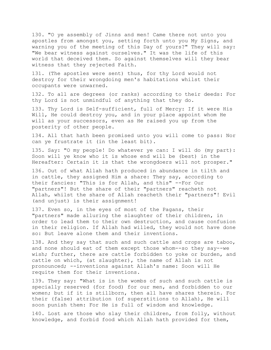130. "O ye assembly of Jinns and men! Came there not unto you apostles from amongst you, setting forth unto you My Signs, and warning you of the meeting of this Day of yours?" They will say: "We bear witness against ourselves." It was the life of this world that deceived them. So against themselves will they bear witness that they rejected Faith.

131. (The apostles were sent) thus, for thy Lord would not destroy for their wrongdoing men's habitations whilst their occupants were unwarned.

132. To all are degrees (or ranks) according to their deeds: For thy Lord is not unmindful of anything that they do.

133. Thy Lord is Self-sufficient, full of Mercy: If it were His Will, He could destroy you, and in your place appoint whom He will as your successors, even as He raised you up from the posterity of other people.

134. All that hath been promised unto you will come to pass: Nor can ye frustrate it (in the least bit).

135. Say: "O my people! Do whatever ye can: I will do (my part): Soon will ye know who it is whose end will be (best) in the Hereafter: Certain it is that the wrongdoers will not prosper."

136. Out of what Allah hath produced in abundance in tilth and in cattle, they assigned Him a share: They say, according to their fancies: "This is for Allah, and this" --For Our "partners"! But the share of their "partners" reacheth not Allah, whilst the share of Allah reacheth their "partners"! Evil (and unjust) is their assignment!

137. Even so, in the eyes of most of the Pagans, their "partners" made alluring the slaughter of their children, in order to lead them to their own destruction, and cause confusion in their religion. If Allah had willed, they would not have done so: But leave alone them and their inventions.

138. And they say that such and such cattle and crops are taboo, and none should eat of them except those whom--so they say--we wish; further, there are cattle forbidden to yoke or burden, and cattle on which, (at slaughter), the name of Allah is not pronounced; --inventions against Allah's name: Soon will He requite them for their inventions.

139. They say: "What is in the wombs of such and such cattle is specially reserved (for food) for our men, and forbidden to our women; but if it is stillborn, then all have shares therein. For their (false) attribution (of superstitions to Allah), He will soon punish them: For He is full of wisdom and knowledge.

140. Lost are those who slay their children, from folly, without knowledge, and forbid food which Allah hath provided for them,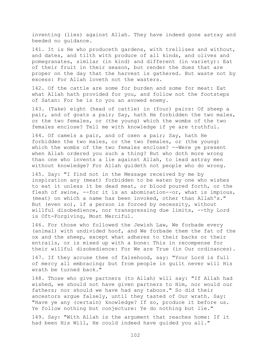inventing (lies) against Allah. They have indeed gone astray and heeded no guidance.

141. It is He who produceth gardens, with trellises and without, and dates, and tilth with produce of all kinds, and olives and pomegranates, similar (in kind) and different (in variety): Eat of their fruit in their season, but render the dues that are proper on the day that the harvest is gathered. But waste not by excess: For Allah loveth not the wasters.

142. Of the cattle are some for burden and some for meat: Eat what Allah hath provided for you, and follow not the footsteps of Satan: For he is to you an avowed enemy.

143. (Take) eight (head of cattle) in (four) pairs: Of sheep a pair, and of goats a pair; Say, hath He forbidden the two males, or the two females, or (the young) which the wombs of the two females enclose? Tell me with knowledge if ye are truthful.

144. Of camels a pair, and of oxen a pair; Say, hath He forbidden the two males, or the two females, or (the young) which the wombs of the two females enclose? --Were ye present when Allah ordered you such a thing? But who doth more wrong than one who invents a lie against Allah, to lead astray men without knowledge? For Allah guideth not people who do wrong.

145. Say: "I find not in the Message received by me by inspiration any (meat) forbidden to be eaten by one who wishes to eat it unless it be dead meat, or blood poured forth, or the flesh of swine, --for it is an abomination--or, what is impious, (meat) on which a name has been invoked, other than Allah's." But (even so), if a person is forced by necessity, without willful disobedience, nor transgressing due limits, --thy Lord is Oft-Forgiving, Most Merciful.

146. For those who followed the Jewish Law, We forbade every (animal) with undivided hoof, and We forbade them the fat of the ox and the sheep, except what adheres to their backs or their entrails, or is mixed up with a bone: This in recompense for their willful disobedience: For We are True (in Our ordinances).

147. If they accuse thee of falsehood, say: "Your Lord is full of mercy all embracing; but from people in guilt never will His wrath be turned back."

148. Those who give partners (to Allah) will say: "If Allah had wished, we should not have given partners to Him, nor would our fathers; nor should we have had any taboos." So did their ancestors argue falsely, until they tasted of Our wrath. Say: "Have ye any (certain) knowledge? If so, produce it before us. Ye follow nothing but conjecture: Ye do nothing but lie."

149. Say: "With Allah is the argument that reaches home: If it had been His Will, He could indeed have guided you all."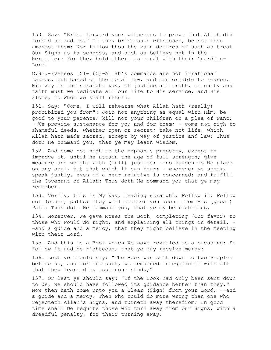150. Say: "Bring forward your witnesses to prove that Allah did forbid so and so." If they bring such witnesses, be not thou amongst them: Nor follow thou the vain desires of such as treat Our Signs as falsehoods, and such as believe not in the Hereafter: For they hold others as equal with their Guardian-Lord.

C.82.-(Verses 151-165)-Allah's commands are not irrational taboos, but based on the moral law, and conformable to reason. His Way is the straight Way, of justice and truth. In unity and faith must we dedicate all our life to His service, and His alone, to Whom we shall return.

151. Say: "Come, I will rehearse what Allah hath (really) prohibited you from": Join not anything as equal with Him; be good to your parents; kill not your children on a plea of want; --We provide sustenance for you and for them; --come not nigh to shameful deeds, whether open or secret; take not life, which Allah hath made sacred, except by way of justice and law: Thus doth He command you, that ye may learn wisdom.

152. And come not nigh to the orphan's property, except to improve it, until he attain the age of full strength; give measure and weight with (full) justice; --no burden do We place on any soul, but that which it can bear; --whenever ye speak, speak justly, even if a near relative is concerned; and fulfill the Covenant of Allah: Thus doth He command you that ye may remember.

153. Verily, this is My Way, leading straight: Follow it: Follow not (other) paths: They will scatter you about from His (great) Path: Thus doth He command you, that ye my be righteous.

154. Moreover, We gave Moses the Book, completing (Our favor) to those who would do right, and explaining all things in detail, --and a guide and a mercy, that they might believe in the meeting with their Lord.

155. And this is a Book which We have revealed as a blessing: So follow it and be righteous, that ye may receive mercy:

156. Lest ye should say: "The Book was sent down to two Peoples before us, and for our part, we remained unacquainted with all that they learned by assiduous study;"

157. Or lest ye should say: "If the Book had only been sent down to us, we should have followed its guidance better than they." Now then hath come unto you a Clear (Sign) from your Lord, --and a guide and a mercy: Then who could do more wrong than one who rejecteth Allah's Signs, and turneth away therefrom? In good time shall We requite those who turn away from Our Signs, with a dreadful penalty, for their turning away.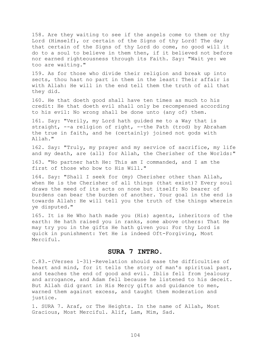158. Are they waiting to see if the angels come to them or thy Lord (Himself), or certain of the Signs of thy Lord! The day that certain of the Signs of thy Lord do come, no good will it do to a soul to believe in them then, if it believed not before nor earned righteousness through its Faith. Say: "Wait ye: we too are waiting."

159. As for those who divide their religion and break up into sects, thou hast no part in them in the least: Their affair is with Allah: He will in the end tell them the truth of all that they did.

160. He that doeth good shall have ten times as much to his credit: He that doeth evil shall only be recompensed according to his evil: No wrong shall be done unto (any of) them.

161. Say: "Verily, my Lord hath guided me to a Way that is straight, --a religion of right, --the Path (trod) by Abraham the true in faith, and he (certainly) joined not gods with Allah."

162. Say: "Truly, my prayer and my service of sacrifice, my life and my death, are (all) for Allah, the Cherisher of the Worlds:"

163. "No partner hath He: This am I commanded, and I am the first of those who bow to His Will."

164. Say: "Shall I seek for (my) Cherisher other than Allah, when He is the Cherisher of all things (that exist)? Every soul draws the meed of its acts on none but itself: No bearer of burdens can bear the burden of another. Your goal in the end is towards Allah: He will tell you the truth of the things wherein ye disputed."

165. It is He Who hath made you (His) agents, inheritors of the earth: He hath raised you in ranks, some above others: That He may try you in the gifts He hath given you: For thy Lord is quick in punishment: Yet He is indeed Oft-Forgiving, Most Merciful.

## **SURA 7 INTRO.**

C.83.-(Verses 1-31)-Revelation should ease the difficulties of heart and mind, for it tells the story of man's spiritual past, and teaches the end of good and evil. Iblis fell from jealousy and arrogance, and Adam fell because he listened to his deceit. But Allah did grant in His Mercy gifts and guidance to men, warned them against excess, and taught them moderation and justice.

1. SURA 7. Araf, or The Heights. In the name of Allah, Most Gracious, Most Merciful. Alif, Lam, Mim, Sad.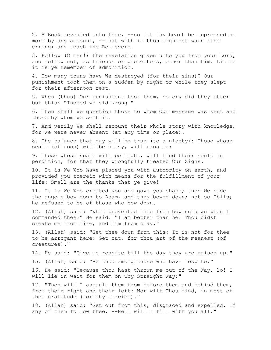2. A Book revealed unto thee, --so let thy heart be oppressed no more by any account, --that with it thou mightest warn (the erring) and teach the Believers.

3. Follow (O men!) the revelation given unto you from your Lord, and follow not, as friends or protectors, other than him. Little it is ye remember of admonition.

4. How many towns have We destroyed (for their sins)? Our punishment took them on a sudden by night or while they slept for their afternoon rest.

5. When (thus) Our punishment took them, no cry did they utter but this: "Indeed we did wrong."

6. Then shall We question those to whom Our message was sent and those by whom We sent it.

7. And verily We shall recount their whole story with knowledge, for We were never absent (at any time or place).

8. The balance that day will be true (to a nicety): Those whose scale (of good) will be heavy, will prosper:

9. Those whose scale will be light, will find their souls in perdition, for that they wrongfully treated Our Signs.

10. It is We Who have placed you with authority on earth, and provided you therein with means for the fulfillment of your life: Small are the thanks that ye give!

11. It is We Who created you and gave you shape; then We bade the angels bow down to Adam, and they bowed down; not so Iblis; he refused to be of those who bow down.

12. (Allah) said: "What prevented thee from bowing down when I commanded thee?" He said: "I am better than he: Thou didst create me from fire, and him from clay."

13. (Allah) said: "Get thee down from this: It is not for thee to be arrogant here: Get out, for thou art of the meanest (of creatures)."

14. He said: "Give me respite till the day they are raised up."

15. (Allah) said: "Be thou among those who have respite."

16. He said: "Because thou hast thrown me out of the Way, lo! I will lie in wait for them on Thy Straight Way:"

17. "Then will I assault them from before them and behind them, from their right and their left: Nor wilt Thou find, in most of them gratitude (for Thy mercies)."

18. (Allah) said: "Get out from this, disgraced and expelled. If any of them follow thee, --Hell will I fill with you all."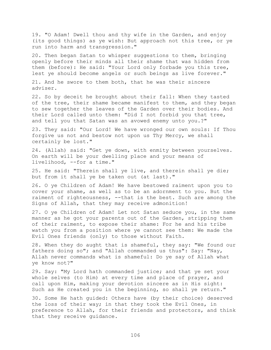19. "O Adam! Dwell thou and thy wife in the Garden, and enjoy (its good things) as ye wish: But approach not this tree, or ye run into harm and transgression."

20. Then began Satan to whisper suggestions to them, bringing openly before their minds all their shame that was hidden from them (before): He said: "Your Lord only forbade you this tree, lest ye should become angels or such beings as live forever."

21. And he swore to them both, that he was their sincere adviser.

22. So by deceit he brought about their fall: When they tasted of the tree, their shame became manifest to them, and they began to sew together the leaves of the Garden over their bodies. And their Lord called unto them: "Did I not forbid you that tree, and tell you that Satan was an avowed enemy unto you.?"

23. They said: "Our Lord! We have wronged our own souls: If Thou forgive us not and bestow not upon us Thy Mercy, we shall certainly be lost."

24. (Allah) said: "Get ye down, with enmity between yourselves. On earth will be your dwelling place and your means of livelihood, --for a time."

25. He said: "Therein shall ye live, and therein shall ye die; but from it shall ye be taken out (at last)."

26. O ye Children of Adam! We have bestowed raiment upon you to cover your shame, as well as to be an adornment to you. But the raiment of righteousness, --that is the best. Such are among the Signs of Allah, that they may receive admonition!

27. O ye Children of Adam! Let not Satan seduce you, in the same manner as he got your parents out of the Garden, stripping them of their raiment, to expose their shame: For he and his tribe watch you from a position where ye cannot see them: We made the Evil Ones friends (only) to those without Faith.

28. When they do aught that is shameful, they say: "We found our fathers doing so"; and "Allah commanded us thus": Say: "Nay, Allah never commands what is shameful: Do ye say of Allah what ye know not?"

29. Say: "My Lord hath commanded justice; and that ye set your whole selves (to Him) at every time and place of prayer, and call upon Him, making your devotion sincere as in His sight: Such as He created you in the beginning, so shall ye return."

30. Some He hath guided: Others have (by their choice) deserved the loss of their way; in that they took the Evil Ones, in preference to Allah, for their friends and protectors, and think that they receive guidance.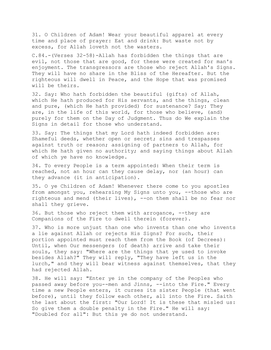31. O Children of Adam! Wear your beautiful apparel at every time and place of prayer: Eat and drink: But waste not by excess, for Allah loveth not the wasters.

C.84.-(Verses 32-58)-Allah has forbidden the things that are evil, not those that are good, for these were created for man's enjoyment. The transgressors are those who reject Allah's Signs. They will have no share in the Bliss of the Hereafter. But the righteous will dwell in Peace, and the Hope that was promised will be theirs.

32. Say: Who hath forbidden the beautiful (gifts) of Allah, which He hath produced for His servants, and the things, clean and pure, (which He hath provided) for sustenance? Say: They are, in the life of this world, for those who believe, (and) purely for them on the Day of Judgment. Thus do We explain the Signs in detail for those who understand.

33. Say: The things that my Lord hath indeed forbidden are: Shameful deeds, whether open or secret; sins and trespasses against truth or reason; assigning of partners to Allah, for which He hath given no authority; and saying things about Allah of which ye have no knowledge.

34. To every People is a term appointed: When their term is reached, not an hour can they cause delay, nor (an hour) can they advance (it in anticipation).

35. O ye Children of Adam! Whenever there come to you apostles from amongst you, rehearsing My Signs unto you, --those who are righteous and mend (their lives), --on them shall be no fear nor shall they grieve.

36. But those who reject them with arrogance, --they are Companions of the Fire to dwell therein (forever).

37. Who is more unjust than one who invents than one who invents a lie against Allah or rejects His Signs? For such, their portion appointed must reach them from the Book (of Decrees): Until, when Our messengers (of death) arrive and take their souls, they say: "Where are the things that ye used to invoke besides Allah?" They will reply, "They have left us in the lurch," and they will bear witness against themselves, that they had rejected Allah.

38. He will say: "Enter ye in the company of the Peoples who passed away before you--men and Jinns, --into the Fire." Every time a new People enters, it curses its sister People (that went before), until they follow each other, all into the Fire. Saith the last about the first: "Our Lord! It is these that misled us: So give them a double penalty in the Fire." He will say: "Doubled for all": But this ye do not understand.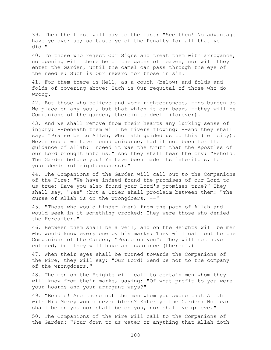39. Then the first will say to the last: "See then! No advantage have ye over us; so taste ye of the Penalty for all that ye did!"

40. To those who reject Our Signs and treat them with arrogance, no opening will there be of the gates of heaven, nor will they enter the Garden, until the camel can pass through the eye of the needle: Such is Our reward for those in sin.

41. For them there is Hell, as a couch (below) and folds and folds of covering above: Such is Our requital of those who do wrong.

42. But those who believe and work righteousness, --no burden do We place on any soul, but that which it can bear, --they will be Companions of the garden, therein to dwell (forever).

43. And We shall remove from their hearts any lurking sense of injury; --beneath them will be rivers flowing; --and they shall say: "Praise be to Allah, Who hath guided us to this (felicity): Never could we have found guidance, had it not been for the guidance of Allah: Indeed it was the truth that the Apostles of our Lord brought unto us." And they shall hear the cry: "Behold! The Garden before you! Ye have been made its inheritors, for your deeds (of righteousness)."

44. The Companions of the Garden will call out to the Companions of the Fire: "We have indeed found the promises of our Lord to us true: Have you also found your Lord's promises true?" They shall say, "Yes" ;but a Crier shall proclaim between them: "The curse of Allah is on the wrongdoers; --"

45. "Those who would hinder (men) from the path of Allah and would seek in it something crooked: They were those who denied the Hereafter."

46. Between them shall be a veil, and on the Heights will be men who would know every one by his marks: They will call out to the Companions of the Garden, "Peace on you": They will not have entered, but they will have an assurance (thereof.)

47. When their eyes shall be turned towards the Companions of the Fire, they will say: "Our Lord! Send us not to the company of the wrongdoers."

48. The men on the Heights will call to certain men whom they will know from their marks, saying: "Of what profit to you were your hoards and your arrogant ways?"

49. "Behold! Are these not the men whom you swore that Allah with His Mercy would never bless? Enter ye the Garden: No fear shall be on you nor shall be on you, nor shall ye grieve."

50. The Companions of the Fire will call to the Companions of the Garden: "Pour down to us water or anything that Allah doth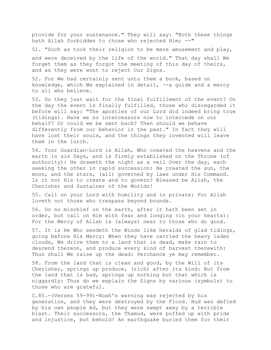provide for your sustenance." They will say: "Both these things hath Allah forbidden to those who rejected Him; --"

51. "Such as took their religion to be mere amusement and play,

and were deceived by the life of the world." That day shall We forget them as they forgot the meeting of this day of theirs, and as they were wont to reject Our Signs.

52. For We had certainly sent unto them a book, based on knowledge, which We explained in detail,  $-$ -a guide and a mercy to all who believe.

53. Do they just wait for the final fulfillment of the event? On the day the event is finally fulfilled, those who disregarded it before will say: "The apostles of our Lord did indeed bring true (tidings). Have we no intercessors now to intercede on our behalf? Or could we be sent back? Then should we behave differently from our behavior in the past." In fact they will have lost their souls, and the things they invented will leave them in the lurch.

54. Your Guardian-Lord is Allah, Who created the heavens and the earth in six Days, and is firmly established on the Throne (of authority): He draweth the night as a veil Over the day, each seeking the other in rapid succession: He created the sun, the moon, and the stars, (all) governed by laws under His Command. Is it not His to create and to govern? Blessed be Allah, the Cherisher and Sustainer of the Worlds!

55. Call on your Lord with humility and in private: For Allah loveth not those who trespass beyond bounds.

56. Do no mischief on the earth, after it hath been set in order, but call on Him with fear and longing (in your hearts): For the Mercy of Allah is (always) near to those who do good.

57. It is He Who sendeth the Winds like heralds of glad tidings, going before His Mercy: When they have carried the heavy laden clouds, We drive them to a land that is dead, make rain to descend thereon, and produce every kind of harvest therewith: Thus shall We raise up the dead: Perchance ye may remember.

58. From the land that is clean and good, by the Will of its Cherisher, springs up produce, (rich) after its kind: But from the land that is bad, springs up nothing but that which is niggardly: Thus do we explain the Signs by various (symbols) to those who are grateful.

C.85.-(Verses 59-99)-Noah's warning was rejected by his generation, and they were destroyed by the Flood. Hud was defied by his own people Ad, but they were swept away by a terrible blast. Their successors, the Thamud, were puffed up with pride and injustice, but behold! An earthquake buried them for their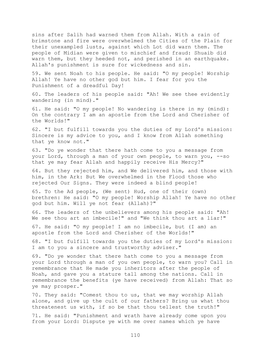sins after Salih had warned them from Allah. With a rain of brimstone and fire were overwhelmed the Cities of the Plain for their unexampled lusts, against which Lot did warn them. The people of Midian were given to mischief and fraud: Shuaib did warn them, but they heeded not, and perished in an earthquake. Allah's punishment is sure for wickedness and sin.

59. We sent Noah to his people. He said: "O my people! Worship Allah! Ye have no other god but him. I fear for you the Punishment of a dreadful Day!

60. The leaders of his people said: "Ah! We see thee evidently wandering (in mind)."

61. He said: "O my people! No wandering is there in my (mind): On the contrary I am an apostle from the Lord and Cherisher of the Worlds!"

62. "I but fulfill towards you the duties of my Lord's mission: Sincere is my advice to you, and I know from Allah something that ye know not."

63. "Do ye wonder that there hath come to you a message from your Lord, through a man of your own people, to warn you, --so that ye may fear Allah and happily receive His Mercy?"

64. But they rejected him, and We delivered him, and those with him, in the Ark: But We overwhelmed in the Flood those who rejected Our Signs. They were indeed a blind people!

65. To the Ad people, (We sent) Hud, one of their (own) brethren: He said: "O my people! Worship Allah! Ye have no other god but him. Will ye not fear (Allah)?"

66. The leaders of the unbelievers among his people said: "Ah! We see thou art an imbecile!" and "We think thou art a liar!"

67. He said: "O my people! I am no imbecile, but (I am) an apostle from the Lord and Cherisher of the Worlds!"

68. "I but fulfill towards you the duties of my Lord's mission: I am to you a sincere and trustworthy adviser."

69. "Do ye wonder that there hath come to you a message from your Lord through a man of you own people, to warn you? Call in remembrance that He made you inheritors after the people of Noah, and gave you a stature tall among the nations. Call in remembrance the benefits (ye have received) from Allah: That so ye may prosper."

70. They said: "Comest thou to us, that we may worship Allah alone, and give up the cult of our fathers? Bring us what thou threatenest us with, if so be that thou tellest the truth!"

71. He said: "Punishment and wrath have already come upon you from your Lord: Dispute ye with me over names which ye have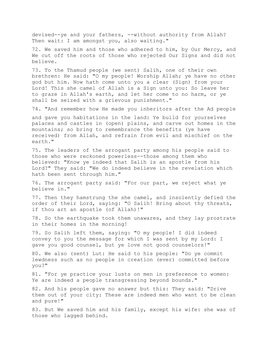devised--ye and your fathers, --without authority from Allah? Then wait: I am amongst you, also waiting."

72. We saved him and those who adhered to him, by Our Mercy, and We cut off the roots of those who rejected Our Signs and did not believe.

73. To the Thamud people (we sent) Salih, one of their own brethren: He said: "O my people! Worship Allah; ye have no other god but him. Now hath come unto you a clear (Sign) from your Lord! This she camel of Allah is a Sign unto you: So leave her to graze in Allah's earth, and let her come to no harm, or ye shall be seized with a grievous punishment."

74. "And remember how He made you inheritors after the Ad people

and gave you habitations in the land: Ye build for yourselves palaces and castles in (open) plains, and carve out homes in the mountains; so bring to remembrance the benefits (ye have received) from Allah, and refrain from evil and mischief on the earth."

75. The leaders of the arrogant party among his people said to those who were reckoned powerless--those among them who believed: "Know ye indeed that Salih is an apostle from his Lord?" They said: "We do indeed believe in the revelation which hath been sent through him."

76. The arrogant party said: "For our part, we reject what ye believe in."

77. Then they hamstrung the she camel, and insolently defied the order of their Lord, saying: "O Salih! Bring about thy threats, if thou art an apostle (of Allah)!"

78. So the earthquake took them unawares, and they lay prostrate in their homes in the morning!

79. So Salih left them, saying: "O my people! I did indeed convey to you the message for which I was sent by my Lord: I gave you good counsel, but ye love not good counselors!"

80. We also (sent) Lut: He said to his people: "Do ye commit lewdness such as no people in creation (ever) committed before you?"

81. "For ye practice your lusts on men in preference to women: Ye are indeed a people transgressing beyond bounds."

82. And his people gave no answer but this: They said: "Drive them out of your city: These are indeed men who want to be clean and pure!"

83. But We saved him and his family, except his wife: she was of those who lagged behind.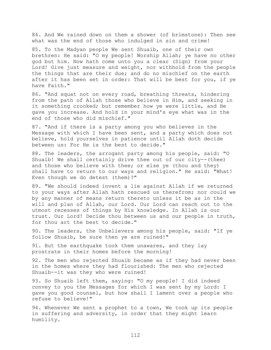84. And We rained down on them a shower (of brimstone): Then see what was the end of those who indulged in sin and crime!

85. To the Madyan people We sent Shuaib, one of their own brethren: He said: "O my people! Worship Allah; ye have no other god but him. Now hath come unto you a clear (Sign) from your Lord! Give just measure and weight, nor withhold from the people the things that are their due; and do no mischief on the earth after it has been set in order: That will be best for you, if ye have Faith."

86. "And squat not on every road, breathing threats, hindering from the path of Allah those who believe in Him, and seeking in it something crooked; but remember how ye were little, and He gave you increase. And hold in your mind's eye what was in the end of those who did mischief."

87. "And if there is a party among you who believes in the Message with which I have been sent, and a party which does not believe, hold yourselves in patience until Allah doth decide between us: For He is the best to decide."

88. The leaders, the arrogant party among his people, said: "O Shuaib! We shall certainly drive thee out of our city--(thee) and those who believe with thee; or else ye (thou and they) shall have to return to our ways and religion." He said: "What! Even though we do detest (them)?"

89. "We should indeed invent a lie against Allah if we returned to your ways after Allah hath rescued us therefrom; nor could we by any manner of means return thereto unless it be as in the will and plan of Allah, our Lord. Our Lord can reach out to the utmost recesses of things by His knowledge. In Allah is our trust. Our Lord! Decide thou between us and our people in truth, for thou art the best to decide."

90. The leaders, the Unbelievers among his people, said: "If ye follow Shuaib, be sure then ye are ruined!"

91. But the earthquake took them unawares, and they lay prostrate in their homes before the morning!

92. The men who rejected Shuaib became as if they had never been in the homes where they had flourished: The men who rejected Shuaib--it was they who were ruined!

93. So Shuaib left them, saying: "O my people! I did indeed convey to you the Messages for which I was sent by my Lord: I gave you good counsel, but how shall I lament over a people who refuse to believe!"

94. Whenever We sent a prophet to a town, We took up its people in suffering and adversity, in order that they might learn humility.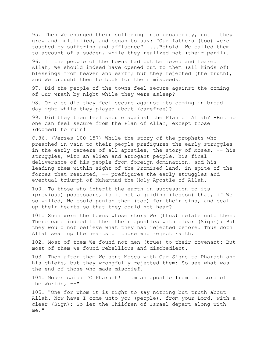95. Then We changed their suffering into prosperity, until they grew and multiplied, and began to say: "Our fathers (too) were touched by suffering and affluence" ....Behold! We called them to account of a sudden, while they realized not (their peril).

96. If the people of the towns had but believed and feared Allah, We should indeed have opened out to them (all kinds of) blessings from heaven and earth; but they rejected (the truth), and We brought them to book for their misdeeds.

97. Did the people of the towns feel secure against the coming of Our wrath by night while they were asleep?

98. Or else did they feel secure against its coming in broad daylight while they played about (carefree)?

99. Did they then feel secure against the Plan of Allah? –But no one can feel secure from the Plan of Allah, except those (doomed) to ruin!

C.86.-(Verses 100-157)-While the story of the prophets who preached in vain to their people prefigures the early struggles in the early careers of all apostles, the story of Moses, -- his struggles, with an alien and arrogant people, his final deliverance of his people from foreign domination, and his leading them within sight of the Promised land, in spite of the forces that resisted, -- prefigures the early struggles and eventual triumph of Muhammad the Holy Apostle of Allah.

100. To those who inherit the earth in succession to its (previous) possessors, is it not a guiding (lesson) that, if We so willed, We could punish them (too) for their sins, and seal up their hearts so that they could not hear?

101. Such were the towns whose story We (thus) relate unto thee: There came indeed to them their apostles with clear (Signs): But they would not believe what they had rejected before. Thus doth Allah seal up the hearts of those who reject Faith.

102. Most of them We found not men (true) to their covenant: But most of them We found rebellious and disobedient.

103. Then after them We sent Moses with Our Signs to Pharaoh and his chiefs, but they wrongfully rejected them: So see what was the end of those who made mischief.

104. Moses said: "O Pharaoh! I am an apostle from the Lord of the Worlds, --"

105. "One for whom it is right to say nothing but truth about Allah. Now have I come unto you (people), from your Lord, with a clear (Sign): So let the Children of Israel depart along with me."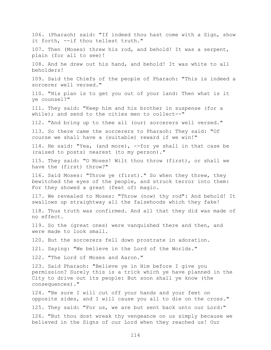106. (Pharaoh) said: "If indeed thou hast come with a Sign, show it forth, --if thou tellest truth." 107. Then (Moses) threw his rod, and behold! It was a serpent, plain (for all to see)! 108. And he drew out his hand, and behold! It was white to all beholders! 109. Said the Chiefs of the people of Pharaoh: "This is indeed a sorcerer well versed." 110. "His plan is to get you out of your land: Then what is it ye counsel?" 111. They said: "Keep him and his brother in suspense (for a while); and send to the cities men to collect--" 112. "And bring up to thee all (our) sorcerers well versed." 113. So there came the sorcerers to Pharaoh: They said: "Of course we shall have a (suitable) reward if we win!" 114. He said: "Yea, (and more), --for ye shall in that case be (raised to posts) nearest (to my person)." 115. They said: "O Moses! Wilt thou throw (first), or shall we have the (first) throw?" 116. Said Moses: "Throw ye (first)." So when they threw, they bewitched the eyes of the people, and struck terror into them: For they showed a great (feat of) magic. 117. We revealed to Moses: "Throw (now) thy rod": And behold! It swallows up straightway all the falsehoods which they fake! 118. Thus truth was confirmed. And all that they did was made of no effect. 119. So the (great ones) were vanquished there and then, and were made to look small. 120. But the sorcerers fell down prostrate in adoration. 121. Saying: "We believe in the Lord of the Worlds." 122. "The Lord of Moses and Aaron." 123. Said Pharaoh: "Believe ye in Him before I give you permission? Surely this is a trick which ye have planned in the City to drive out its people: But soon shall ye know (the consequences)." 124. "Be sure I will cut off your hands and your feet on opposite sides, and I will cause you all to die on the cross." 125. They said: "For us, we are but sent back unto our Lord:" 126. "But thou dost wreak thy vengeance on us simply because we believed in the Signs of our Lord when they reached us! Our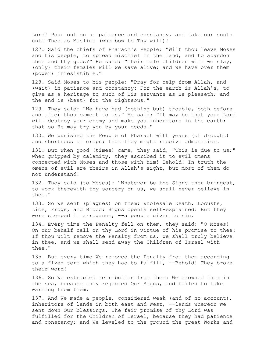Lord! Pour out on us patience and constancy, and take our souls unto Thee as Muslims (who bow to Thy will)!

127. Said the chiefs of Pharaoh's People: "Wilt thou leave Moses and his people, to spread mischief in the land, and to abandon thee and thy gods?" He said: "Their male children will we slay; (only) their females will we save alive; and we have over them (power) irresistible."

128. Said Moses to his people: "Pray for help from Allah, and (wait) in patience and constancy: For the earth is Allah's, to give as a heritage to such of His servants as He pleaseth; and the end is (best) for the righteous."

129. They said: "We have had (nothing but) trouble, both before and after thou camest to us." He said: "It may be that your Lord will destroy your enemy and make you inheritors in the earth; that so He may try you by your deeds."

130. We punished the People of Pharaoh with years (of drought) and shortness of crops; that they might receive admonition.

131. But when good (times) came, they said, "This is due to us;" when gripped by calamity, they ascribed it to evil omens connected with Moses and those with him! Behold! In truth the omens of evil are theirs in Allah's sight, but most of them do not understand!

132. They said (to Moses): "Whatever be the Signs thou bringest, to work therewith thy sorcery on us, we shall never believe in thee."

133. So We sent (plagues) on them: Wholesale Death, Locusts, Lice, Frogs, and Blood: Signs openly self-explained: But they were steeped in arrogance, --a people given to sin.

134. Every time the Penalty fell on them, they said: "O Moses! On our behalf call on thy Lord in virtue of his promise to thee: If thou wilt remove the Penalty from us, we shall truly believe in thee, and we shall send away the Children of Israel with thee."

135. But every time We removed the Penalty from them according to a fixed term which they had to fulfill, --Behold! They broke their word!

136. So We extracted retribution from them: We drowned them in the sea, because they rejected Our Signs, and failed to take warning from them.

137. And We made a people, considered weak (and of no account), inheritors of lands in both east and West, --lands whereon We sent down Our blessings. The fair promise of thy Lord was fulfilled for the Children of Israel, because they had patience and constancy; and We leveled to the ground the great Works and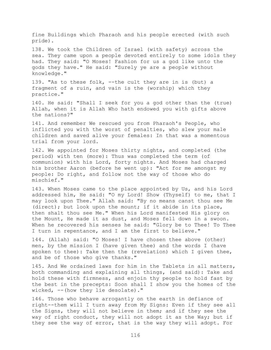fine Buildings which Pharaoh and his people erected (with such pride).

138. We took the Children of Israel (with safety) across the sea. They came upon a people devoted entirely to some idols they had. They said: "O Moses! Fashion for us a god like unto the gods they have." He said: "Surely ye are a people without knowledge."

139. "As to these folk, --the cult they are in is (but) a fragment of a ruin, and vain is the (worship) which they practice."

140. He said: "Shall I seek for you a god other than the (true) Allah, when it is Allah Who hath endowed you with gifts above the nations?"

141. And remember We rescued you from Pharaoh's People, who inflicted you with the worst of penalties, who slew your male children and saved alive your females: In that was a momentous trial from your lord.

142. We appointed for Moses thirty nights, and completed (the period) with ten (more): Thus was completed the term (of communion) with his Lord, forty nights. And Moses had charged his brother Aaron (before he went up): "Act for me amongst my people: Do right, and follow not the way of those who do mischief."

143. When Moses came to the place appointed by Us, and his Lord addressed him, He said: "O my Lord! Show (Thyself) to me, that I may look upon Thee." Allah said: "By no means canst thou see Me (direct); but look upon the mount; if it abide in its place, then shalt thou see Me." When his Lord manifested His glory on the Mount, He made it as dust, and Moses fell down in a swoon. When he recovered his senses he said: "Glory be to Thee! To Thee I turn in repentance, and I am the first to believe."

144. (Allah) said: "O Moses! I have chosen thee above (other) men, by the mission I (have given thee) and the words I (have spoken to thee): Take then the (revelation) which I given thee, and be of those who give thanks."

145. And We ordained laws for him in the Tablets in all matters, both commanding and explaining all things, (and said): Take and hold these with firmness, and enjoin thy people to hold fast by the best in the precepts: Soon shall I show you the homes of the wicked, --(how they lie desolate)."

146. Those who behave arrogantly on the earth in defiance of right--them will I turn away from My Signs: Even if they see all the Signs, they will not believe in them; and if they see the way of right conduct, they will not adopt it as the Way; but if they see the way of error, that is the way they will adopt. For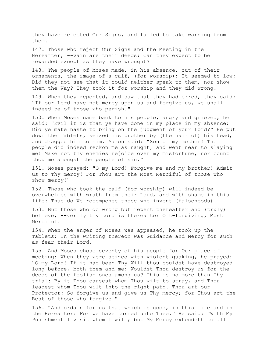they have rejected Our Signs, and failed to take warning from them.

147. Those who reject Our Signs and the Meeting in the Hereafter, --vain are their deeds: Can they expect to be rewarded except as they have wrought?

148. The people of Moses made, in his absence, out of their ornaments, the image of a calf, (for worship): It seemed to low: Did they not see that it could neither speak to them, nor show them the Way? They took it for worship and they did wrong.

149. When they repented, and saw that they had erred, they said: "If our Lord have not mercy upon us and forgive us, we shall indeed be of those who perish."

150. When Moses came back to his people, angry and grieved, he said: "Evil it is that ye have done in my place in my absence: Did ye make haste to bring on the judgment of your Lord?" He put down the Tablets, seized his brother by (the hair of) his head, and dragged him to him. Aaron said: "Son of my mother! The people did indeed reckon me as naught, and went near to slaying me! Make not thy enemies rejoice over my misfortune, nor count thou me amongst the people of sin."

151. Moses prayed: "O my Lord! Forgive me and my brother! Admit us to Thy mercy! For Thou art the Most Merciful of those who show mercy!"

152. Those who took the calf (for worship) will indeed be overwhelmed with wrath from their Lord, and with shame in this life: Thus do We recompense those who invent (falsehoods).

153. But those who do wrong but repent thereafter and (truly) believe, --verily thy Lord is thereafter Oft-forgiving, Most Merciful.

154. When the anger of Moses was appeased, he took up the Tablets: In the writing thereon was Guidance and Mercy for such as fear their Lord.

155. And Moses chose seventy of his people for Our place of meeting: When they were seized with violent quaking, he prayed: "O my Lord! If it had been Thy Will thou couldst have destroyed long before, both them and me: Wouldst Thou destroy us for the deeds of the foolish ones among us? This is no more than Thy trial: By it Thou causest whom Thou wilt to stray, and Thou leadest whom Thou wilt into the right path. Thou art our Protector: So forgive us and give us Thy mercy; for Thou art the Best of those who forgive."

156. "And ordain for us that which is good, in this life and in the Hereafter: For we have turned unto Thee." He said: "With My Punishment I visit whom I will; but My Mercy extendeth to all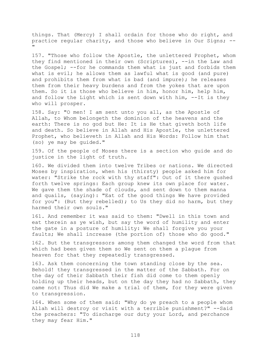things. That (Mercy) I shall ordain for those who do right, and practice regular charity, and those who believe in Our Signs; -- "

157. "Those who follow the Apostle, the unlettered Prophet, whom they find mentioned in their own (Scriptures), --in the Law and the Gospel; --for he commands them what is just and forbids them what is evil; he allows them as lawful what is good (and pure) and prohibits them from what is bad (and impure); he releases them from their heavy burdens and from the yokes that are upon them. So it is those who believe in him, honor him, help him, and follow the Light which is sent down with him, --It is they who will prosper.

158. Say: "O men! I am sent unto you all, as the Apostle of Allah, to Whom belongeth the dominion of the heavens and the earth: There is no god but He: It is He that giveth both life and death. So believe in Allah and His Apostle, the unlettered Prophet, who believeth in Allah and His Words: Follow him that (so) ye may be guided."

159. Of the people of Moses there is a section who guide and do justice in the light of truth.

160. We divided them into twelve Tribes or nations. We directed Moses by inspiration, when his (thirsty) people asked him for water: "Strike the rock with thy staff": Out of it there gushed forth twelve springs: Each group knew its own place for water. We gave them the shade of clouds, and sent down to them manna and quails, (saying): "Eat of the good things We have provided for you": (But they rebelled); to Us they did no harm, but they harmed their own souls."

161. And remember it was said to them: "Dwell in this town and eat therein as ye wish, but say the word of humility and enter the gate in a posture of humility: We shall forgive you your faults; We shall increase (the portion of) those who do good."

162. But the transgressors among them changed the word from that which had been given them so We sent on them a plague from heaven for that they repeatedly transgressed.

163. Ask them concerning the town standing close by the sea. Behold! they transgressed in the matter of the Sabbath. For on the day of their Sabbath their fish did come to them openly holding up their heads, but on the day they had no Sabbath, they came not: Thus did We make a trial of them, for they were given to transgression.

164. When some of them said: "Why do ye preach to a people whom Allah will destroy or visit with a terrible punishment?" --Said the preachers: "To discharge our duty your Lord, and perchance they may fear Him."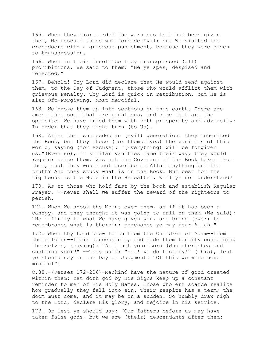165. When they disregarded the warnings that had been given them, We rescued those who forbade Evil; but We visited the wrongdoers with a grievous punishment, because they were given to transgression.

166. When in their insolence they transgressed (all) prohibitions, We said to them: "Be ye apes, despised and rejected."

167. Behold! Thy Lord did declare that He would send against them, to the Day of Judgment, those who would afflict them with grievous Penalty. Thy Lord is quick in retribution, but He is also Oft-Forgiving, Most Merciful.

168. We broke them up into sections on this earth. There are among them some that are righteous, and some that are the opposite. We have tried them with both prosperity and adversity: In order that they might turn (to Us).

169. After them succeeded an (evil) generation: they inherited the Book, but they chose (for themselves) the vanities of this world, saying (for excuse): "(Everything) will be forgiven us."(Even so), if similar vanities came their way, they would (again) seize them. Was not the Covenant of the Book taken from them, that they would not ascribe to Allah anything but the truth? And they study what is in the Book. But best for the righteous is the Home in the Hereafter. Will ye not understand?

170. As to those who hold fast by the book and establish Regular Prayer, --never shall We suffer the reward of the righteous to perish.

171. When We shook the Mount over them, as if it had been a canopy, and they thought it was going to fall on them (We said): "Hold firmly to what We have given you, and bring (ever) to remembrance what is therein; perchance ye may fear Allah."

172. When thy Lord drew forth from the Children of Adam--from their loins--their descendants, and made them testify concerning themselves, (saying): "Am I not your Lord (Who cherishes and sustains you)?" --They said: "Yea! We do testify!" (This), lest ye should say on the Day of Judgment: "Of this we were never mindful":

C.88.-(Verses 172-206)-Mankind have the nature of good created within them: Yet doth god by His Signs keep up a constant reminder to men of His Holy Names. Those who err scarce realize how gradually they fall into sin. Their respite has a term; the doom must come, and it may be on a sudden. So humbly draw nigh to the Lord, declare His glory, and rejoice in his service.

173. Or lest ye should say: "Our fathers before us may have taken false gods, but we are (their) descendants after them: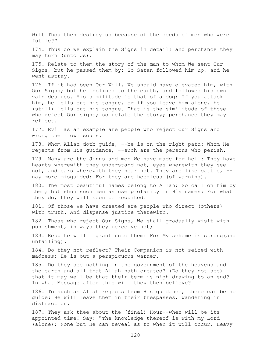Wilt Thou then destroy us because of the deeds of men who were futile?"

174. Thus do We explain the Signs in detail; and perchance they may turn (unto Us).

175. Relate to them the story of the man to whom We sent Our Signs, but he passed them by: So Satan followed him up, and he went astray.

176. If it had been Our Will, We should have elevated him, with Our Signs; but he inclined to the earth, and followed his own vain desires. His similitude is that of a dog: If you attack him, he lolls out his tongue, or if you leave him alone, he (still) lolls out his tongue. That is the similitude of those who reject Our signs; so relate the story; perchance they may reflect.

177. Evil as an example are people who reject Our Signs and wrong their own souls.

178. Whom Allah doth guide, --he is on the right path: Whom He rejects from His guidance, --such are the persons who perish.

179. Many are the Jinns and men We have made for hell: They have hearts wherewith they understand not, eyes wherewith they see not, and ears wherewith they hear not. They are like cattle, - nay more misguided: For they are heedless (of warning).

180. The most beautiful names belong to Allah: So call on him by them; but shun such men as use profanity in His names: For what they do, they will soon be requited.

181. Of those We have created are people who direct (others) with truth. And dispense justice therewith.

182. Those who reject Our Signs, We shall gradually visit with punishment, in ways they perceive not;

183. Respite will I grant unto them: For My scheme is strong(and unfailing).

184. Do they not reflect? Their Companion is not seized with madness: He is but a perspicuous warner.

185. Do they see nothing in the government of the heavens and the earth and all that Allah hath created? (Do they not see) that it may well be that their term is nigh drawing to an end? In what Message after this will they then believe?

186. To such as Allah rejects from His guidance, there can be no guide: He will leave them in their trespasses, wandering in distraction.

187. They ask thee about the (final) Hour--when will be its appointed time? Say: "The knowledge thereof is with my Lord (alone): None but He can reveal as to when it will occur. Heavy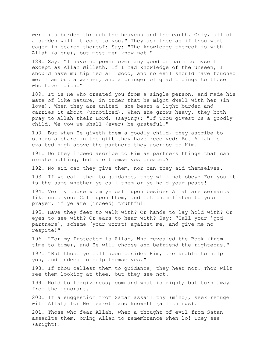were its burden through the heavens and the earth. Only, all of a sudden will it come to you." They ask thee as if thou wert eager in search thereof: Say: "The knowledge thereof is with Allah (alone), but most men know not."

188. Say: "I have no power over any good or harm to myself except as Allah Willeth. If I had knowledge of the unseen, I should have multiplied all good, and no evil should have touched me: I am but a warner, and a bringer of glad tidings to those who have faith."

189. It is He Who created you from a single person, and made his mate of like nature, in order that he might dwell with her (in love). When they are united, she bears a light burden and carries it about (unnoticed). When she grows heavy, they both pray to Allah their Lord, (saying): "If Thou givest us a goodly child. We vow we shall (ever) be grateful."

190. But when He giveth them a goodly child, they ascribe to others a share in the gift they have received: But Allah is exalted high above the partners they ascribe to Him.

191. Do they indeed ascribe to Him as partners things that can create nothing, but are themselves created?

192. No aid can they give them, nor can they aid themselves.

193. If ye call them to guidance, they will not obey: For you it is the same whether ye call them or ye hold your peace!

194. Verily those whom ye call upon besides Allah are servants like unto you: Call upon them, and let them listen to your prayer, if ye are (indeed) truthful!

195. Have they feet to walk with? Or hands to lay hold with? Or eyes to see with? Or ears to hear with? Say: "Call your 'godpartners', scheme (your worst) against me, and give me no respite!"

196. "For my Protector is Allah, Who revealed the Book (from time to time), and He will choose and befriend the righteous."

197. "But those ye call upon besides Him, are unable to help you, and indeed to help themselves."

198. If thou callest them to guidance, they hear not. Thou wilt see them looking at thee, but they see not.

199. Hold to forgiveness; command what is right; but turn away from the ignorant.

200. If a suggestion from Satan assail thy (mind), seek refuge with Allah; for He heareth and knoweth (all things).

201. Those who fear Allah, when a thought of evil from Satan assaults them, bring Allah to remembrance when lo! They see (aright)!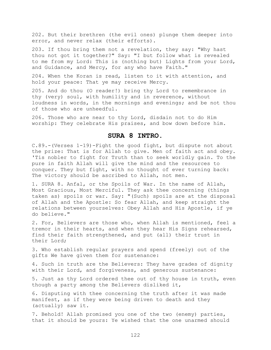202. But their brethren (the evil ones) plunge them deeper into error, and never relax (their efforts).

203. If thou bring them not a revelation, they say: "Why hast thou not got it together?" Say: "I but follow what is revealed to me from my Lord: This is (nothing but) Lights from your Lord, and Guidance, and Mercy, for any who have Faith."

204. When the Koran is read, listen to it with attention, and hold your peace: That ye may receive Mercy.

205. And do thou (O reader!) bring thy Lord to remembrance in thy (very) soul, with humility and in reverence, without loudness in words, in the mornings and evenings; and be not thou of those who are unheedful.

206. Those who are near to thy Lord, disdain not to do Him worship: They celebrate His praises, and bow down before him.

## **SURA 8 INTRO.**

C.89.-(Verses 1-19)-Fight the good fight, but dispute not about the prize: That is for Allah to give. Men of faith act and obey. 'Tis nobler to fight for Truth than to seek worldly gain. To the pure in faith Allah will give the mind and the resources to conquer. They but fight, with no thought of ever turning back: The victory should be ascribed to Allah, not men.

1. SURA 8. Anfal, or the Spoils of War. In the name of Allah, Most Gracious, Most Merciful. They ask thee concerning (things taken as) spoils or war. Say: "(Such) spoils are at the disposal of Allah and the Apostle: So fear Allah, and keep straight the relations between yourselves: Obey Allah and His Apostle, if ye do believe."

2. For, Believers are those who, when Allah is mentioned, feel a tremor in their hearts, and when they hear His Signs rehearsed, find their faith strengthened, and put (all) their trust in their Lord;

3. Who establish regular prayers and spend (freely) out of the gifts We have given them for sustenance:

4. Such in truth are the Believers: They have grades of dignity with their Lord, and forgiveness, and generous sustenance:

5. Just as thy Lord ordered thee out of thy house in truth, even though a party among the Believers disliked it,

6. Disputing with thee concerning the truth after it was made manifest, as if they were being driven to death and they (actually) saw it.

7. Behold! Allah promised you one of the two (enemy) parties, that it should be yours: Ye wished that the one unarmed should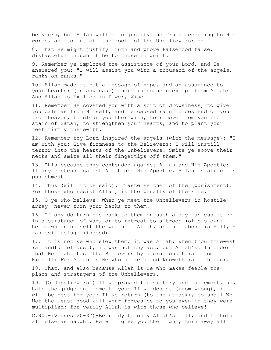be yours, but Allah willed to justify the Truth according to His words, and to cut off the roots of the Unbelievers: --

8. That He might justify Truth and prove Falsehood false, distasteful though it be to those in guilt.

9. Remember ye implored the assistance of your Lord, and He answered you: "I will assist you with a thousand of the angels, ranks on ranks."

10. Allah made it but a message of hope, and an assurance to your hearts: (in any case) there is no help except from Allah: And Allah is Exalted in Power, Wise.

11. Remember He covered you with a sort of drowsiness, to give you calm as from Himself, and he caused rain to descend on you from heaven, to clean you therewith, to remove from you the stain of Satan, to strengthen your hearts, and to plant your feet firmly therewith.

12. Remember thy Lord inspired the angels (with the message): "I am with you: Give firmness to the Believers: I will instill terror into the hearts of the Unbelievers: Smite ye above their necks and smite all their fingertips off them."

13. This because they contended against Allah and His Apostle: If any contend against Allah and His Apostle, Allah is strict in punishment.

14. Thus (will it be said): "Taste ye then of the (punishment): For those who resist Allah, is the penalty of the Fire."

15. O ye who believe! When ye meet the Unbelievers in hostile array, never turn your backs to them.

16. If any do turn his back to them on such a day--unless it be in a stratagem of war, or to retreat to a troop (of his own) - he draws on himself the wrath of Allah, and his abode is Hell, --an evil refuge (indeed) !

17. It is not ye who slew them; it was Allah: When thou threwest (a handful of dust), it was not thy act, but Allah's: In order that He might test the Believers by a gracious trial from Himself: For Allah is He Who heareth and knoweth (all things).

18. That, and also because Allah is He Who makes feeble the plans and stratagems of the Unbelievers.

19. (O Unbelievers!) If ye prayed for victory and judgement, now hath the judgement come to you: If ye desist (from wrong), it will be best for you: If ye return (to the attack), so shall We. Not the least good will your forces be to you even if they were multiplied: for verily Allah is with those who believe!

C.90.-(Verses 20-37)-Be ready to obey Allah's call, and to hold all else as naught: He will give you the light, turn away all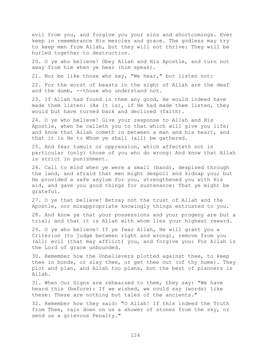evil from you, and forgive you your sins and shortcomings. Ever keep in remembrance His mercies and grace. The godless may try to keep men from Allah, but they will not thrive: They will be hurled together to destruction.

20. O ye who believe! Obey Allah and His Apostle, and turn not away from him when ye hear (him speak).

21. Nor be like those who say, "We hear," but listen not:

22. For the worst of beasts in the sight of Allah are the deaf and the dumb, --those who understand not.

23. If Allah had found in them any good, He would indeed have made them listen: (As it is), if He had made them listen, they would but have turned back and declined (faith).

24. O ye who believe! Give your response to Allah and His Apostle, when he calleth you to that which will give you life; and know that Allah cometh in between a man and his heart, and that it is He to Whom ye shall (all) be gathered.

25. And fear tumult or oppression, which affecteth not in particular (only) those of you who do wrong: And know that Allah is strict in punishment.

26. Call to mind when ye were a small (band), despised through the land, and afraid that men might despoil and kidnap you; but He provided a safe asylum for you, strengthened you with His aid, and gave you good things for sustenance: That ye might be grateful.

27. O ye that believe! Betray not the trust of Allah and the Apostle, nor misappropriate knowingly things entrusted to you.

28. And know ye that your possessions and your progeny are but a trial; and that it is Allah with whom lies your highest reward.

29. O ye who believe! If ye fear Allah, He will grant you a Criterion (to judge between right and wrong), remove from you (all) evil (that may afflict) you, and forgive you: For Allah is the Lord of grace unbounded.

30. Remember how the Unbelievers plotted against thee, to keep thee in bonds, or slay thee, or get thee out (of thy home). They plot and plan, and Allah too plans, but the best of planners is Allah.

31. When Our Signs are rehearsed to them, they say: "We have heard this (before): If we wished, we could say (words) like these: These are nothing but tales of the ancients."

32. Remember how they said: "O Allah! If this indeed the Truth from Thee, rain down on us a shower of stones from the sky, or send us a grievous Penalty."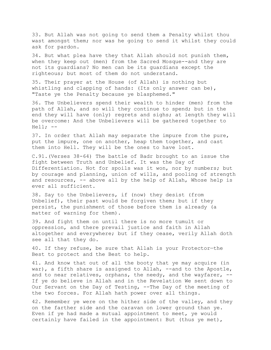33. But Allah was not going to send them a Penalty whilst thou wast amongst them; nor was he going to send it whilst they could ask for pardon.

34. But what plea have they that Allah should not punish them, when they keep out (men) from the Sacred Mosque--and they are not its guardians? No men can be its guardians except the righteous; but most of them do not understand.

35. Their prayer at the House (of Allah) is nothing but whistling and clapping of hands: (Its only answer can be), "Taste ye the Penalty because ye blasphemed."

36. The Unbelievers spend their wealth to hinder (men) from the path of Allah, and so will they continue to spend; but in the end they will have (only) regrets and sighs; at length they will be overcome: And the Unbelievers will be gathered together to Hell; --

37. In order that Allah may separate the impure from the pure, put the impure, one on another, heap them together, and cast them into Hell. They will be the ones to have lost.

C.91.(Verses 38-64) The battle of Badr brought to an issue the fight between Truth and Unbelief. It was the Day of Differentiation. Not for spoils was it won, nor by numbers; but by courage and planning, union of wills, and pooling of strength and resources, -- above all by the help of Allah, Whose help is ever all sufficient.

38. Say to the Unbelievers, if (now) they desist (from Unbelief), their past would be forgiven them; but if they persist, the punishment of those before them is already (a matter of warning for them).

39. And fight them on until there is no more tumult or oppression, and there prevail justice and faith in Allah altogether and everywhere; but if they cease, verily Allah doth see all that they do.

40. If they refuse, be sure that Allah is your Protector—the Best to protect and the Best to help.

41. And know that out of all the booty that ye may acquire (in war), a fifth share is assigned to Allah, --and to the Apostle, and to near relatives, orphans, the needy, and the wayfarer,  $-$ -If ye do believe in Allah and in the Revelation We sent down to Our Servant on the Day of Testing, --The Day of the meeting of the two forces. For Allah hath power over all things.

42. Remember ye were on the hither side of the valley, and they on the farther side and the caravan on lower ground than ye. Even if ye had made a mutual appointment to meet, ye would certainly have failed in the appointment: But (thus ye met),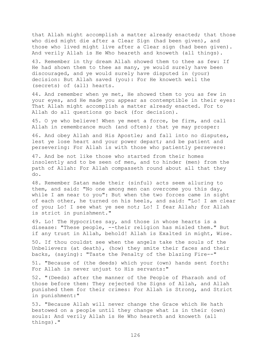that Allah might accomplish a matter already enacted; that those who died might die after a Clear Sign (had been given), and those who lived might live after a Clear sign (had been given). And verily Allah is He Who heareth and knoweth (all things).

43. Remember in thy dream Allah showed them to thee as few: If He had shown them to thee as many, ye would surely have been discouraged, and ye would surely have disputed in (your) decision: But Allah saved (you): For He knoweth well the (secrets) of (all) hearts.

44. And remember when ye met, He showed them to you as few in your eyes, and He made you appear as contemptible in their eyes: That Allah might accomplish a matter already enacted. For to Allah do all questions go back (for decision).

45. O ye who believe! When ye meet a force, be firm, and call Allah in remembrance much (and often); that ye may prosper:

46. And obey Allah and His Apostle; and fall into no disputes, lest ye lose heart and your power depart; and be patient and persevering: For Allah is with those who patiently persevere:

47. And be not like those who started from their homes insolently and to be seen of men, and to hinder (men) from the path of Allah: For Allah compasseth round about all that they do.

48. Remember Satan made their (sinful) acts seem alluring to them, and said: "No one among men can overcome you this day, while I am near to you": But when the two forces came in sight of each other, he turned on his heels, and said: "Lo! I am clear of you; Lo! I see what ye see not; Lo! I fear Allah; for Allah is strict in punishment."

49. Lo! The Hypocrites say, and those in whose hearts is a disease: "These people, --their religion has misled them." But if any trust in Allah, behold! Allah is Exalted in might, Wise.

50. If thou couldst see when the angels take the souls of the Unbelievers (at death), (how) they smite their faces and their backs, (saying): "Taste the Penalty of the blazing Fire--"

51. "Because of (the deeds) which your (own) hands sent forth: For Allah is never unjust to His servants:"

52. "(Deeds) after the manner of the People of Pharaoh and of those before them: They rejected the Signs of Allah, and Allah punished them for their crimes: For Allah is Strong, and Strict in punishment:"

53. "Because Allah will never change the Grace which He hath bestowed on a people until they change what is in their (own) souls: And verily Allah is He Who heareth and knoweth (all things)."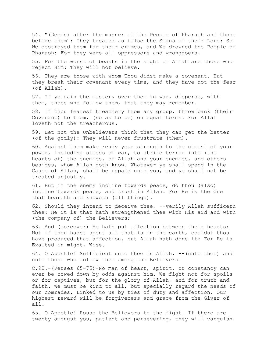54. "(Deeds) after the manner of the People of Pharaoh and those before them": They treated as false the Signs of their Lord: So We destroyed them for their crimes, and We drowned the People of Pharaoh: For they were all oppressors and wrongdoers.

55. For the worst of beasts in the sight of Allah are those who reject Him: They will not believe.

56. They are those with whom Thou didst make a covenant. But they break their covenant every time, and they have not the fear (of Allah).

57. If ye gain the mastery over them in war, disperse, with them, those who follow them, that they may remember.

58. If thou fearest treachery from any group, throw back (their Covenant) to them, (so as to be) on equal terms: For Allah loveth not the treacherous.

59. Let not the Unbelievers think that they can get the better (of the godly): They will never frustrate (them).

60. Against them make ready your strength to the utmost of your power, including steeds of war, to strike terror into (the hearts of) the enemies, of Allah and your enemies, and others besides, whom Allah doth know. Whatever ye shall spend in the Cause of Allah, shall be repaid unto you, and ye shall not be treated unjustly.

61. But if the enemy incline towards peace, do thou (also) incline towards peace, and trust in Allah: For He is the One that heareth and knoweth (all things).

62. Should they intend to deceive thee, --verily Allah sufficeth thee: He it is that hath strengthened thee with His aid and with (the company of) the Believers;

63. And (moreover) He hath put affection between their hearts: Not if thou hadst spent all that is in the earth, couldst thou have produced that affection, but Allah hath done it: For He is Exalted in might, Wise.

64. O Apostle! Sufficient unto thee is Allah, --(unto thee) and unto those who follow thee among the Believers.

C.92.-(Verses 65-75)-No man of heart, spirit, or constancy can ever be cowed down by odds against him. We fight not for spoils or for captives, but for the glory of Allah, and for truth and faith. We must be kind to all, but specially regard the needs of our comrades. Linked to us by ties of duty and affection. Our highest reward will be forgiveness and grace from the Giver of all.

65. O Apostle! Rouse the Believers to the fight. If there are twenty amongst you, patient and persevering, they will vanquish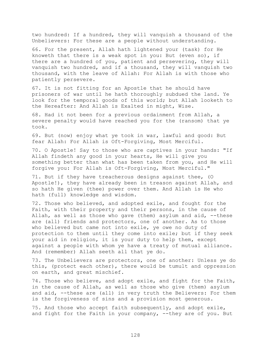two hundred: If a hundred, they will vanquish a thousand of the Unbelievers: For these are a people without understanding.

66. For the present, Allah hath lightened your (task) for He knoweth that there is a weak spot in you: But (even so), if there are a hundred of you, patient and persevering, they will vanquish two hundred, and if a thousand, they will vanquish two thousand, with the leave of Allah: For Allah is with those who patiently persevere.

67. It is not fitting for an Apostle that he should have prisoners of war until he hath thoroughly subdued the land. Ye look for the temporal goods of this world; but Allah looketh to the Hereafter: And Allah is Exalted in might, Wise.

68. Had it not been for a previous ordainment from Allah, a severe penalty would have reached you for the (ransom) that ye took.

69. But (now) enjoy what ye took in war, lawful and good: But fear Allah: For Allah is Oft-Forgiving, Most Merciful.

70. O Apostle! Say to those who are captives in your hands: "If Allah findeth any good in your hearts, He will give you something better than what has been taken from you, and He will forgive you: For Allah is Oft-Forgiving, Most Merciful."

71. But if they have treacherous designs against thee, (O Apostle!), they have already been in treason against Allah, and so hath He given (thee) power over them. And Allah is He who hath (full) knowledge and wisdom.

72. Those who believed, and adopted exile, and fought for the Faith, with their property and their persons, in the cause of Allah, as well as those who gave (them) asylum and aid, --these are (all) friends and protectors, one of another. As to those who believed but came not into exile, ye owe no duty of protection to them until they come into exile; but if they seek your aid in religion, it is your duty to help them, except against a people with whom ye have a treaty of mutual alliance. And (remember) Allah seeth all that ye do.

73. The Unbelievers are protectors, one of another: Unless ye do this, (protect each other), there would be tumult and oppression on earth, and great mischief.

74. Those who believe, and adopt exile, and fight for the Faith, in the cause of Allah, as well as those who give (them) asylum and aid, --these are (all) in very truth the Believers: For them is the forgiveness of sins and a provision most generous.

75. And those who accept faith subsequently, and adopt exile, and fight for the Faith in your company, --they are of you. But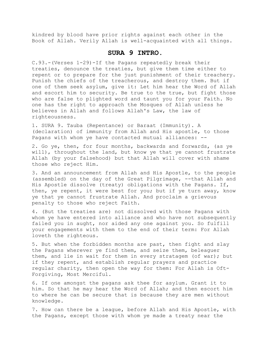kindred by blood have prior rights against each other in the Book of Allah. Verily Allah is well-acquainted with all things.

## **SURA 9 INTRO.**

C.93.-(Verses 1-29)-If the Pagans repeatedly break their treaties, denounce the treaties, but give them time either to repent or to prepare for the just punishment of their treachery. Punish the chiefs of the treacherous, and destroy them. But if one of them seek asylum, give it: Let him hear the Word of Allah and escort him to security. Be true to the true, but fight those who are false to plighted word and taunt you for your Faith. No one has the right to approach the Mosques of Allah unless he believes in Allah and follows Allah's Law, the law of righteousness.

1. SURA 9. Tauba (Repentance) or Baraat (Immunity). A (declaration) of immunity from Allah and His apostle, to those Pagans with whom ye have contacted mutual alliances: --

2. Go ye, then, for four months, backwards and forwards, (as ye will), throughout the land, but know ye that ye cannot frustrate Allah (by your falsehood) but that Allah will cover with shame those who reject Him.

3. And an announcement from Allah and His Apostle, to the people (assembled) on the day of the Great Pilgrimage, --that Allah and His Apostle dissolve (treaty) obligations with the Pagans. If, then, ye repent, it were best for you; but if ye turn away, know ye that ye cannot frustrate Allah. And proclaim a grievous penalty to those who reject Faith.

4. (But the treaties are) not dissolved with those Pagans with whom ye have entered into alliance and who have not subsequently failed you in aught, nor aided any one against you. So fulfill your engagements with them to the end of their term: For Allah loveth the righteous.

5. But when the forbidden months are past, then fight and slay the Pagans wherever ye find them, and seize them, beleaguer them, and lie in wait for them in every stratagem (of war); but if they repent, and establish regular prayers and practice regular charity, then open the way for them: For Allah is Oft-Forgiving, Most Merciful.

6. If one amongst the pagans ask thee for asylum. Grant it to him. So that he may hear the Word of Allah; and then escort him to where he can be secure that is because they are men without knowledge.

7. How can there be a league, before Allah and His Apostle, with the Pagans, except those with whom ye made a treaty near the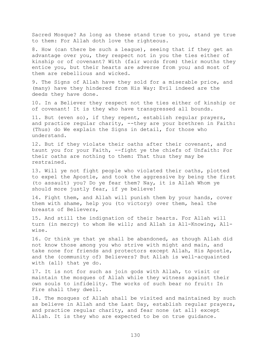Sacred Mosque? As long as these stand true to you, stand ye true to them: For Allah doth love the righteous.

8. How (can there be such a league), seeing that if they get an advantage over you, they respect not in you the ties either of kinship or of covenant? With (fair words from) their mouths they entice you, but their hearts are adverse from you; and most of them are rebellious and wicked.

9. The Signs of Allah have they sold for a miserable price, and (many) have they hindered from His Way: Evil indeed are the deeds they have done.

10. In a Believer they respect not the ties either of kinship or of covenant! It is they who have transgressed all bounds.

11. But (even so), if they repent, establish regular prayers, and practice regular charity, --they are your brethren in Faith: (Thus) do We explain the Signs in detail, for those who understand.

12. But if they violate their oaths after their covenant, and taunt you for your Faith, --fight ye the chiefs of Unfaith: For their oaths are nothing to them: That thus they may be restrained.

13. Will ye not fight people who violated their oaths, plotted to expel the Apostle, and took the aggressive by being the first (to assault) you? Do ye fear them? Nay, it is Allah Whom ye should more justly fear, if ye believe!

14. Fight them, and Allah will punish them by your hands, cover them with shame, help you (to victory) over them, heal the breasts of Believers,

15. And still the indignation of their hearts. For Allah will turn (in mercy) to whom He will; and Allah is All-Knowing, Allwise.

16. Or think ye that ye shall be abandoned, as though Allah did not know those among you who strive with might and main, and take none for friends and protectors except Allah, His Apostle, and the (community of) Believers? But Allah is well-acquainted with (all) that ye do.

17. It is not for such as join gods with Allah, to visit or maintain the mosques of Allah while they witness against their own souls to infidelity. The works of such bear no fruit: In Fire shall they dwell.

18. The mosques of Allah shall be visited and maintained by such as believe in Allah and the Last Day, establish regular prayers, and practice regular charity, and fear none (at all) except Allah. It is they who are expected to be on true guidance.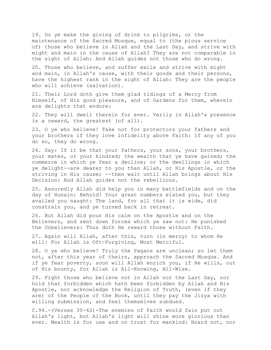19. Do ye make the giving of drink to pilgrims, or the maintenance of the Sacred Mosque, equal to (the pious service of) those who believe in Allah and the Last Day, and strive with might and main in the cause of Allah? They are not comparable in the sight of Allah: And Allah guides not those who do wrong.

20. Those who believe, and suffer exile and strive with might and main, in Allah's cause, with their goods and their persons, have the highest rank in the sight of Allah: They are the people who will achieve (salvation).

21. Their Lord doth give them glad tidings of a Mercy from Himself, of His good pleasure, and of Gardens for them, wherein are delights that endure:

22. They will dwell therein for ever. Verily in Allah's presence is a reward, the greatest (of all).

23. O ye who believe! Take not for protectors your fathers and your brothers if they love infidelity above Faith: If any of you do so, they do wrong.

24. Say: If it be that your fathers, your sons, your brothers, your mates, or your kindred; the wealth that ye have gained; the commerce in which ye fear a decline; or the dwellings in which ye delight--are dearer to you than Allah, or His Apostle, or the striving in His cause; --then wait until Allah brings about His Decision: And Allah guides not the rebellious.

25. Assuredly Allah did help you in many battlefields and on the day of Hunain: Behold! Your great numbers elated you, but they availed you naught: The land, for all that it is wide, did constrain you, and ye turned back in retreat.

26. But Allah did pour His calm on the Apostle and on the Believers, and sent down forces which ye saw not: He punished the Unbelievers: Thus doth He reward those without Faith.

27. Again will Allah, after this, turn (in mercy) to whom He will: For Allah is Oft-Forgiving, Most Merciful.

28. O ye who believe! Truly the Pagans are unclean; so let them not, after this year of theirs, approach the Sacred Mosque. And if ye fear poverty, soon will Allah enrich you, if He wills, out of His bounty, for Allah is All-Knowing, All-Wise.

29. Fight those who believe not in Allah nor the Last Day, nor hold that forbidden which hath been forbidden by Allah and His Apostle, nor acknowledge the Religion of Truth, (even if they are) of the People of the Book, until they pay the Jizya with willing submission, and feel themselves subdued.

C.94.-(Verses 30-42)-The enemies of Faith would fain put out Allah's light, but Allah's light will shine more glorious than ever. Wealth is for use and on trust for mankind: Hoard not, nor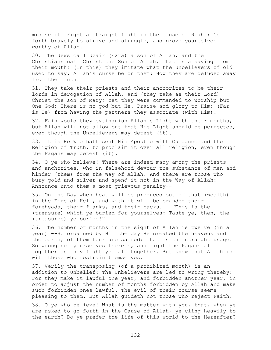misuse it. Fight a straight fight in the cause of Right: Go forth bravely to strive and struggle, and prove yourselves worthy of Allah.

30. The Jews call Uzair (Ezra) a son of Allah, and the Christians call Christ the Son of Allah. That is a saying from their mouth; (In this) they imitate what the Unbelievers of old used to say. Allah's curse be on them: How they are deluded away from the Truth!

31. They take their priests and their anchorites to be their lords in derogation of Allah, and (they take as their Lord) Christ the son of Mary; Yet they were commanded to worship but One God: There is no god but He. Praise and glory to Him: (Far is He) from having the partners they associate (with Him).

32. Fain would they extinguish Allah's Light with their mouths, but Allah will not allow but that His Light should be perfected, even though the Unbelievers may detest (it).

33. It is He Who hath sent His Apostle with Guidance and the Religion of Truth, to proclaim it over all religion, even though the Pagans may detest (it).

34. O ye who believe! There are indeed many among the priests and anchorites, who in falsehood devour the substance of men and hinder (them) from the Way of Allah. And there are those who bury gold and silver and spend it not in the Way of Allah: Announce unto them a most grievous penalty--

35. On the Day when heat will be produced out of that (wealth) in the Fire of Hell, and with it will be branded their foreheads, their flanks, and their backs. --"This is the (treasure) which ye buried for yourselves: Taste ye, then, the (treasures) ye buried!"

36. The number of months in the sight of Allah is twelve (in a year) --So ordained by Him the day He created the heavens and the earth; of them four are sacred: That is the straight usage. So wrong not yourselves therein, and fight the Pagans all together as they fight you all together. But know that Allah is with those who restrain themselves.

37. Verily the transposing (of a prohibited month) is an addition to Unbelief: The Unbelievers are led to wrong thereby: For they make it lawful one year, and forbidden another year, in order to adjust the number of months forbidden by Allah and make such forbidden ones lawful. The evil of their course seems pleasing to them. But Allah guideth not those who reject Faith.

38. O ye who believe! What is the matter with you, that, when ye are asked to go forth in the Cause of Allah, ye cling heavily to the earth? Do ye prefer the life of this world to the Hereafter?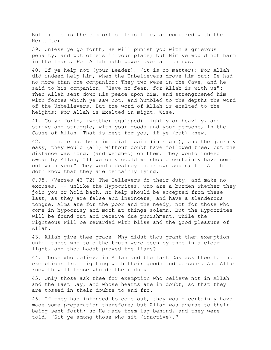But little is the comfort of this life, as compared with the Hereafter.

39. Unless ye go forth, He will punish you with a grievous penalty, and put others in your place; but Him ye would not harm in the least. For Allah hath power over all things.

40. If ye help not (your Leader), (it is no matter): For Allah did indeed help him, when the Unbelievers drove him out: He had no more than one companion: They two were in the Cave, and he said to his companion, "Have no fear, for Allah is with us": Then Allah sent down His peace upon him, and strengthened him with forces which ye saw not, and humbled to the depths the word of the Unbelievers. But the word of Allah is exalted to the heights: For Allah is Exalted in might, Wise.

41. Go ye forth, (whether equipped) lightly or heavily, and strive and struggle, with your goods and your persons, in the Cause of Allah. That is best for you, if ye (but) knew.

42. If there had been immediate gain (in sight), and the journey easy, they would (all) without doubt have followed thee, but the distance was long, (and weighed) on them. They would indeed swear by Allah, "If we only could we should certainly have come out with you:" They would destroy their own souls; for Allah doth know that they are certainly lying.

C.95.-(Verses 43-72)-The Believers do their duty, and make no excuses, -- unlike the Hypocrites, who are a burden whether they join you or hold back. No help should be accepted from these last, as they are false and insincere, and have a slanderous tongue. Alms are for the poor and the needy, not for those who come in hypocrisy and mock at things solemn. But the Hypocrites will be found out and receive due punishment, while the righteous will be rewarded with bliss and the good pleasure of Allah.

43. Allah give thee grace! Why didst thou grant them exemption until those who told the truth were seen by thee in a clear light, and thou hadst proved the liars?

44. Those who believe in Allah and the Last Day ask thee for no exemptions from fighting with their goods and persons. And Allah knoweth well those who do their duty.

45. Only those ask thee for exemption who believe not in Allah and the Last Day, and whose hearts are in doubt, so that they are tossed in their doubts to and fro.

46. If they had intended to come out, they would certainly have made some preparation therefore; but Allah was averse to their being sent forth; so He made them lag behind, and they were told, "Sit ye among those who sit (inactive)."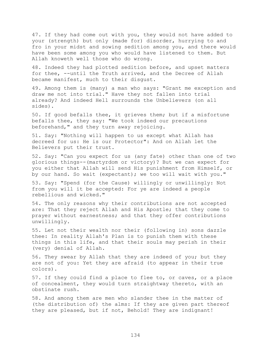47. If they had come out with you, they would not have added to your (strength) but only (made for) disorder, hurrying to and fro in your midst and sowing sedition among you, and there would have been some among you who would have listened to them. But Allah knoweth well those who do wrong.

48. Indeed they had plotted sedition before, and upset matters for thee, --until the Truth arrived, and the Decree of Allah became manifest, much to their disgust.

49. Among them is (many) a man who says: "Grant me exception and draw me not into trial." Have they not fallen into trial already? And indeed Hell surrounds the Unbelievers (on all sides).

50. If good befalls thee, it grieves them; but if a misfortune befalls thee, they say: "We took indeed our precautions beforehand," and they turn away rejoicing.

51. Say: "Nothing will happen to us except what Allah has decreed for us: He is our Protector": And on Allah let the Believers put their trust.

52. Say: "Can you expect for us (any fate) other than one of two glorious things--(martyrdom or victory)? But we can expect for you either that Allah will send His punishment from Himself, or by our hand. So wait (expectant); we too will wait with you."

53. Say: "Spend (for the Cause) willingly or unwillingly: Not from you will it be accepted: For ye are indeed a people rebellious and wicked."

54. The only reasons why their contributions are not accepted are: That they reject Allah and His Apostle; that they come to prayer without earnestness; and that they offer contributions unwillingly.

55. Let not their wealth nor their (following in) sons dazzle thee: In reality Allah's Plan is to punish them with these things in this life, and that their souls may perish in their (very) denial of Allah.

56. They swear by Allah that they are indeed of you; but they are not of you: Yet they are afraid (to appear in their true colors).

57. If they could find a place to flee to, or caves, or a place of concealment, they would turn straightway thereto, with an obstinate rush.

58. And among them are men who slander thee in the matter of (the distribution of) the alms: If they are given part thereof they are pleased, but if not, Behold! They are indignant!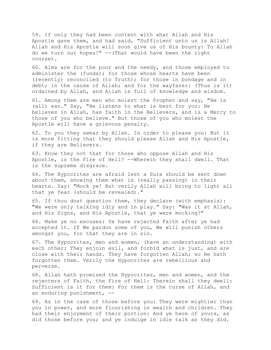59. If only they had been content with what Allah and His Apostle gave them, and had said, "Sufficient unto us is Allah! Allah and His Apostle will soon give us of His bounty: To Allah do we turn our hopes!" --(That would have been the right course).

60. Alms are for the poor and the needy, and those employed to administer the (funds); for those whose hearts have been (recently) reconciled (to Truth); for those in bondage and in debt; in the cause of Allah; and for the wayfarer: (Thus is it) ordained by Allah, and Allah is full of knowledge and wisdom.

61. Among them are men who molest the Prophet and say, "He is (all) ear." Say, "He listens to what is best for you: He believes in Allah, has faith in the Believers, and is a Mercy to those of you who believe." But those of you who molest the Apostle will have a grievous penalty.

62. To you they swear by Allah. In order to please you: But it is more fitting that they should please Allah and His Apostle, if they are Believers.

63. Know they not that for those who oppose Allah and His Apostle, is the Fire of Hell? --Wherein they shall dwell. That is the supreme disgrace.

64. The Hypocrites are afraid lest a Sura should be sent down about them, showing them what is (really passing) in their hearts. Say: "Mock ye! But verily Allah will bring to light all that ye fear (should be revealed)."

65. If thou dost question them, they declare (with emphasis): "We were only talking idly and in play." Say: "Was it at Allah, and His Signs, and His Apostle, that ye were mocking?"

66. Make ye no excuses: Ye have rejected Faith after ye had accepted it. If We pardon some of you, We will punish others amongst you, for that they are in sin.

67. The Hypocrites, men and women, (have an understanding) with each other: They enjoin evil, and forbid what is just, and are close with their hands. They have forgotten Allah; so He hath forgotten them. Verily the Hypocrites are rebellious and perverse.

68. Allah hath promised the Hypocrites, men and women, and the rejecters of Faith, the Fire of Hell: Therein shall they dwell: Sufficient is it for them: For them is the curse of Allah, and an enduring punishment, --

69. As in the case of those before you: They were mightier than you in power, and more flourishing in wealth and children. They had their enjoyment of their portion: And ye have of yours, as did those before you; and ye indulge in idle talk as they did.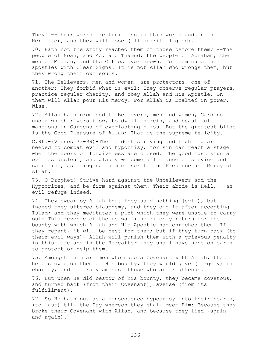They! --Their works are fruitless in this world and in the Hereafter, and they will lose (all spiritual good).

70. Hath not the story reached them of those before them? --The people of Noah, and Ad, and Thamud; the people of Abraham, the men of Midian, and the Cities overthrown. To them came their apostles with Clear Signs. It is not Allah Who wrongs them, but they wrong their own souls.

71. The Believers, men and women, are protectors, one of another: They forbid what is evil: They observe regular prayers, practice regular charity, and obey Allah and His Apostle. On them will Allah pour His mercy: For Allah is Exalted in power, Wise.

72. Allah hath promised to Believers, men and women, Gardens under which rivers flow, to dwell therein, and beautiful mansions in Gardens of everlasting bliss. But the greatest bliss is the Good Pleasure of Allah: That is the supreme felicity.

C.96.-(Verses 73-99)-The hardest striving and fighting are needed to combat evil and hypocrisy; for sin can reach a stage when the doors of forgiveness are closed. The good must shun all evil as unclean, and gladly welcome all chance of service and sacrifice, as bringing them closer to the Presence and Mercy of Allah.

73. O Prophet! Strive hard against the Unbelievers and the Hypocrites, and be firm against them. Their abode is Hell, --an evil refuge indeed.

74. They swear by Allah that they said nothing (evil), but indeed they uttered blasphemy, and they did it after accepting Islam; and they meditated a plot which they were unable to carry out: This revenge of theirs was (their) only return for the bounty with which Allah and His Apostle had enriched them! If they repent, it will be best for them; but if they turn back (to their evil ways), Allah will punish them with a grievous penalty in this life and in the Hereafter they shall have none on earth to protect or help them.

75. Amongst them are men who made a Covenant with Allah, that if he bestowed on them of His bounty, they would give (largely) in charity, and be truly amongst those who are righteous.

76. But when He did bestow of his bounty, they became covetous, and turned back (from their Covenant), averse (from its fulfillment).

77. So He hath put as a consequence hypocrisy into their hearts, (to last) till the Day whereon they shall meet Him: Because they broke their Covenant with Allah, and because they lied (again and again).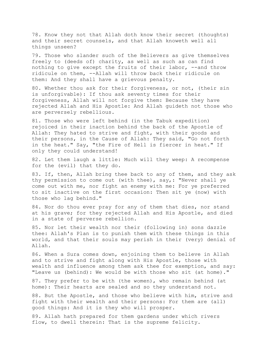78. Know they not that Allah doth know their secret (thoughts) and their secret counsels, and that Allah knoweth well all things unseen?

79. Those who slander such of the Believers as give themselves freely to (deeds of) charity, as well as such as can find nothing to give except the fruits of their labor, --and throw ridicule on them, --Allah will throw back their ridicule on them: And they shall have a grievous penalty.

80. Whether thou ask for their forgiveness, or not, (their sin is unforgivable): If thou ask seventy times for their forgiveness, Allah will not forgive them: Because they have rejected Allah and His Apostle: And Allah guideth not those who are perversely rebellious.

81. Those who were left behind (in the Tabuk expedition) rejoiced in their inaction behind the back of the Apostle of Allah: They hated to strive and fight, with their goods and their persons, in the Cause of Allah: They said, "Go not forth in the heat." Say, "the Fire of Hell is fiercer in heat." If only they could understand!

82. Let them laugh a little: Much will they weep: A recompense for the (evil) that they do.

83. If, then, Allah bring thee back to any of them, and they ask thy permission to come out (with thee), say,: "Never shall ye come out with me, nor fight an enemy with me: For ye preferred to sit inactive on the first occasion: Then sit ye (now) with those who lag behind."

84. Nor do thou ever pray for any of them that dies, nor stand at his grave; for they rejected Allah and His Apostle, and died in a state of perverse rebellion.

85. Nor let their wealth nor their (following in) sons dazzle thee: Allah's Plan is to punish them with these things in this world, and that their souls may perish in their (very) denial of Allah.

86. When a Sura comes down, enjoining them to believe in Allah and to strive and fight along with His Apostle, those with wealth and influence among them ask thee for exemption, and say: "Leave us (behind): We would be with those who sit (at home)."

87. They prefer to be with (the women), who remain behind (at home): Their hearts are sealed and so they understand not.

88. But the Apostle, and those who believe with him, strive and fight with their wealth and their persons: For them are (all) good things: And it is they who will prosper.

89. Allah hath prepared for them gardens under which rivers flow, to dwell therein: That is the supreme felicity.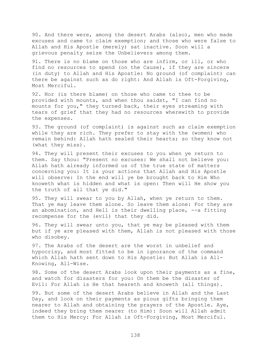90. And there were, among the desert Arabs (also), men who made excuses and came to claim exemption; and those who were false to Allah and His Apostle (merely) sat inactive. Soon will a grievous penalty seize the Unbelievers among them.

91. There is no blame on those who are infirm, or ill, or who find no resources to spend (on the Cause), if they are sincere (in duty) to Allah and His Apostle: No ground (of complaint) can there be against such as do right: And Allah is Oft-Forgiving, Most Merciful.

92. Nor (is there blame) on those who came to thee to be provided with mounts, and when thou saidst, "I can find no mounts for you," they turned back, their eyes streaming with tears of grief that they had no resources wherewith to provide the expenses.

93. The ground (of complaint) is against such as claim exemption while they are rich. They prefer to stay with the (women) who remain behind: Allah hath sealed their hearts; so they know not (what they miss).

94. They will present their excuses to you when ye return to them. Say thou: "Present no excuses: We shall not believe you: Allah hath already informed us of the true state of matters concerning you: It is your actions that Allah and His Apostle will observe: In the end will ye be brought back to Him Who knoweth what is hidden and what is open: Then will He show you the truth of all that ye did."

95. They will swear to you by Allah, when ye return to them. That ye may leave them alone. So leave them alone: For they are an abomination, and Hell is their dwelling place, --a fitting recompense for the (evil) that they did.

96. They will swear unto you, that ye may be pleased with them but if ye are pleased with them, Allah is not pleased with those who disobey.

97. The Arabs of the desert are the worst in unbelief and hypocrisy, and most fitted to be in ignorance of the command which Allah hath sent down to His Apostle: But Allah is All-Knowing, All-Wise.

98. Some of the desert Arabs look upon their payments as a fine, and watch for disasters for you: On them be the disaster of Evil: For Allah is He that heareth and knoweth (all things).

99. But some of the desert Arabs believe in Allah and the Last Day, and look on their payments as pious gifts bringing them nearer to Allah and obtaining the prayers of the Apostle. Aye, indeed they bring them nearer (to Him): Soon will Allah admit them to His Mercy: For Allah is Oft-Forgiving, Most Merciful.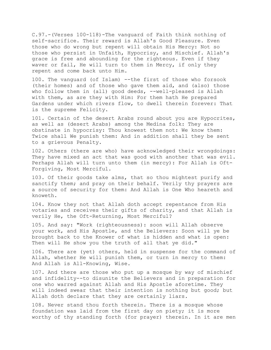C.97.-(Verses 100-118)-The vanguard of Faith think nothing of self-sacrifice. Their reward is Allah's Good Pleasure. Even those who do wrong but repent will obtain His Mercy: Not so those who persist in Unfaith, Hypocrisy, and Mischief. Allah's grace is free and abounding for the righteous. Even if they waver or fail, He will turn to them in Mercy, if only they repent and come back unto Him.

100. The vanguard (of Islam) --the first of those who forsook (their homes) and of those who gave them aid, and (also) those who follow them in (all) good deeds, --well-pleased is Allah with them, as are they with Him: For them hath He prepared Gardens under which rivers flow, to dwell therein forever: That is the supreme Felicity.

101. Certain of the desert Arabs round about you are Hypocrites, as well as (desert Arabs) among the Medina folk: They are obstinate in hypocrisy: Thou knowest them not: We know them: Twice shall We punish them: And in addition shall they be sent to a grievous Penalty.

102. Others (there are who) have acknowledged their wrongdoings: They have mixed an act that was good with another that was evil. Perhaps Allah will turn unto them (in mercy): For Allah is Oft-Forgiving, Most Merciful.

103. Of their goods take alms, that so thou mightest purify and sanctify them; and pray on their behalf. Verily thy prayers are a source of security for them: And Allah is One Who heareth and knoweth.

104. Know they not that Allah doth accept repentance from His votaries and receives their gifts of charity, and that Allah is verily He, the Oft-Returning, Most Merciful?

105. And say: "Work (righteousness): soon will Allah observe your work, and His Apostle, and the Believers: Soon will ye be brought back to the Knower of what is hidden and what is open: Then will He show you the truth of all that ye did."

106. There are (yet) others, held in suspense for the command of Allah, whether He will punish them, or turn in mercy to them: And Allah is All-Knowing, Wise.

107. And there are those who put up a mosque by way of mischief and infidelity--to disunite the Believers and in preparation for one who warred against Allah and His Apostle aforetime. They will indeed swear that their intention is nothing but good; but Allah doth declare that they are certainly liars.

108. Never stand thou forth therein. There is a mosque whose foundation was laid from the first day on piety; it is more worthy of thy standing forth (for prayer) therein. In it are men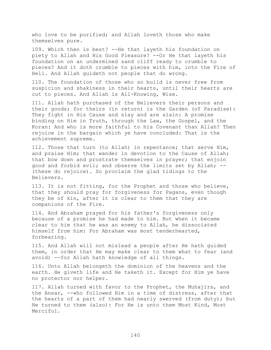who love to be purified; and Allah loveth those who make themselves pure.

109. Which then is best? --He that layeth his foundation on piety to Allah and His Good Pleasure? --Or He that layeth his foundation on an undermined sand cliff ready to crumble to pieces? And it doth crumble to pieces with him, into the Fire of Hell. And Allah guideth not people that do wrong.

110. The foundation of those who so build is never free from suspicion and shakiness in their hearts, until their hearts are cut to pieces. And Allah is All-Knowing, Wise.

111. Allah hath purchased of the Believers their persons and their goods; for theirs (in return) is the Garden (of Paradise): They fight in His Cause and slay and are slain: A promise binding on Him in Truth, through the Law, the Gospel, and the Koran: And who is more faithful to his Covenant than Allah? Then rejoice in the bargain which ye have concluded: That is the achievement supreme.

112. Those that turn (to Allah) in repentance; that serve Him, and praise Him; that wander in devotion to the Cause of Allah; that bow down and prostrate themselves in prayer; that enjoin good and forbid evil; and observe the limits set by Allah; -- (these do rejoice). So proclaim the glad tidings to the Believers.

113. It is not fitting, for the Prophet and those who believe, that they should pray for forgiveness for Pagans, even though they be of kin, after it is clear to them that they are companions of the Fire.

114. And Abraham prayed for his father's forgiveness only because of a promise he had made to him. But when it became clear to him that he was an enemy to Allah, he dissociated himself from him: For Abraham was most tenderhearted, forbearing.

115. And Allah will not mislead a people after He hath guided them, in order that He may make clear to them what to fear (and avoid) --for Allah hath knowledge of all things.

116. Unto Allah belongeth the dominion of the heavens and the earth. He giveth life and He taketh it. Except for Him ye have no protector nor helper.

117. Allah turned with favor to the Prophet, the Muhajirs, and the Ansar, --who followed Him in a time of distress, after that the hearts of a part of them had nearly swerved (from duty); but He turned to them (also): For He is unto them Most Kind, Most Merciful.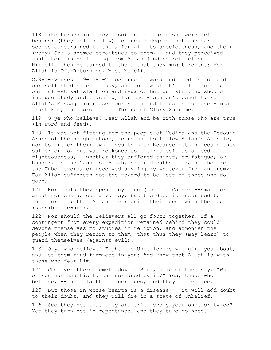118. (He turned in mercy also) to the three who were left behind; (they felt guilty) to such a degree that the earth seemed constrained to them, for all its speciousness, and their (very) Souls seemed straitened to them, --and they perceived that there is no fleeing from Allah (and no refuge) but to Himself. Then He turned to them, that they might repent: For Allah is Oft-Returning, Most Merciful.

C.98.-(Verses 119-129)-To be true in word and deed is to hold our selfish desires at bay, and follow Allah's Call: In this is our fullest satisfaction and reward. But our striving should include study and teaching, for the Brethren's benefit. For Allah's Message increases our Faith and leads us to love Him and trust Him, the Lord of the Throne of Glory Supreme.

119. O ye who believe! Fear Allah and be with those who are true (in word and deed).

120. It was not fitting for the people of Medina and the Bedouin Arabs of the neighborhood, to refuse to follow Allah's Apostle, nor to prefer their own lives to his: Because nothing could they suffer or do, but was reckoned to their credit as a deed of righteousness, --whether they suffered thirst, or fatigue, or hunger, in the Cause of Allah, or trod paths to raise the ire of the Unbelievers, or received any injury whatever from an enemy: For Allah suffereth not the reward to be lost of those who do  $qood; -$ 

121. Nor could they spend anything (for the Cause) --small or great nor cut across a valley, but the deed is inscribed to their credit; that Allah may requite their deed with the best (possible reward).

122. Nor should the Believers all go forth together: If a contingent from every expedition remained behind they could devote themselves to studies in religion, and admonish the people when they return to them, that thus they (may learn) to guard themselves (against evil).

123. O ye who believe! Fight the Unbelievers who gird you about, and let them find firmness in you: And know that Allah is with those who fear Him.

124. Whenever there cometh down a Sura, some of them say: "Which of you has had his faith increased by it?" Yea, those who believe, --their faith is increased, and they do rejoice.

125. But those in whose hearts is a disease, --it will add doubt to their doubt, and they will die in a state of Unbelief.

126. See they not that they are tried every year once or twice? Yet they turn not in repentance, and they take no heed.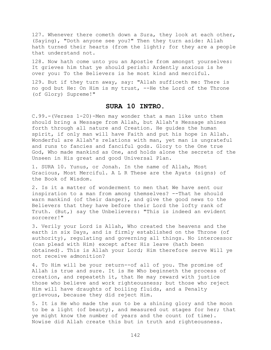127. Whenever there cometh down a Sura, they look at each other, (Saying), "Doth anyone see you?" Then they turn aside: Allah hath turned their hearts (from the light); for they are a people that understand not.

128. Now hath come unto you an Apostle from amongst yourselves: It grieves him that ye should perish: Ardently anxious is he over you: To the Believers is he most kind and merciful.

129. But if they turn away, say: "Allah sufficeth me: There is no god but He: On Him is my trust, --He the Lord of the Throne (of Glory) Supreme!"

## **SURA 10 INTRO.**

C.99.-(Verses 1-20)-Men may wonder that a man like unto them should bring a Message from Allah, but Allah's Message shines forth through all nature and Creation. He guides the human spirit, if only man will have Faith and put his hope in Allah. Wonderful are Allah's relations with man, yet man is ungrateful and runs to fancies and fanciful gods. Glory to the One true God, Who made mankind as One, and holds alone the secrets of the Unseen in His great and good Universal Plan.

1. SURA 10. Yunus, or Jonah. In the name of Allah, Most Gracious, Most Merciful. A L R These are the Ayats (signs) of the Book of Wisdom.

2. Is it a matter of wonderment to men that We have sent our inspiration to a man from among themselves? --That he should warn mankind (of their danger), and give the good news to the Believers that they have before their Lord the lofty rank of Truth. (But,) say the Unbelievers: "This is indeed an evident sorcerer!"

3. Verily your Lord is Allah, Who created the heavens and the earth in six Days, and is firmly established on the Throne (of authority), regulating and governing all things. No intercessor (can plead with Him) except after His leave (hath been obtained). This is Allah your Lord; Him therefore serve Will ye not receive admonition?

4. To Him will be your return--of all of you. The promise of Allah is true and sure. It is He Who beginneth the process of creation, and repeateth it, that He may reward with justice those who believe and work righteousness; but those who reject Him will have draughts of boiling fluids, and a Penalty grievous, because they did reject Him.

5. It is He who made the sun to be a shining glory and the moon to be a light (of beauty), and measured out stages for her; that ye might know the number of years and the count (of time). Nowise did Allah create this but in truth and righteousness.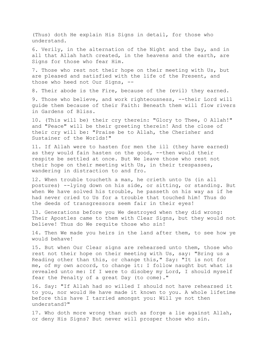(Thus) doth He explain His Signs in detail, for those who understand.

6. Verily, in the alternation of the Night and the Day, and in all that Allah hath created, in the heavens and the earth, are Signs for those who fear Him.

7. Those who rest not their hope on their meeting with Us, but are pleased and satisfied with the life of the Present, and those who heed not Our Signs, --

8. Their abode is the Fire, because of the (evil) they earned.

9. Those who believe, and work righteousness, --their Lord will guide them because of their Faith: Beneath them will flow rivers in Gardens of Bliss.

10. (This will be) their cry therein: "Glory to Thee, O Allah!" and "Peace" will be their greeting therein! And the close of their cry will be: "Praise be to Allah, the Cherisher and Sustainer of the Worlds!"

11. If Allah were to hasten for men the ill (they have earned) as they would fain hasten on the good, --then would their respite be settled at once. But We leave those who rest not their hope on their meeting with Us, in their trespasses, wandering in distraction to and fro.

12. When trouble toucheth a man, he crieth unto Us (in all postures) --lying down on his side, or sitting, or standing. But when We have solved his trouble, he passeth on his way as if he had never cried to Us for a trouble that touched him! Thus do the deeds of transgressors seem fair in their eyes!

13. Generations before you We destroyed when they did wrong: Their Apostles came to them with Clear Signs, but they would not believe! Thus do We requite those who sin!

14. Then We made you heirs in the land after them, to see how ye would behave!

15. But when Our Clear signs are rehearsed unto them, those who rest not their hope on their meeting with Us, say: "Bring us a Reading other than this, or change this," Say: "It is not for me, of my own accord, to change it: I follow naught but what is revealed unto me: If I were to disobey my Lord, I should myself fear the Penalty of a great Day (to come)."

16. Say: "If Allah had so willed I should not have rehearsed it to you, nor would He have made it known to you. A whole lifetime before this have I tarried amongst you: Will ye not then understand?"

17. Who doth more wrong than such as forge a lie against Allah, or deny His Signs? But never will prosper those who sin.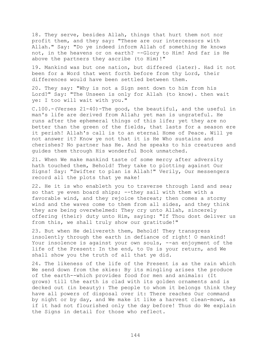18. They serve, besides Allah, things that hurt them not nor profit them, and they say: "These are our intercessors with Allah." Say: "Do ye indeed inform Allah of something He knows not, in the heavens or on earth? --Glory to Him! And far is He above the partners they ascribe (to Him)!"

19. Mankind was but one nation, but differed (later). Had it not been for a Word that went forth before from thy Lord, their differences would have been settled between them.

20. They say: "Why is not a Sign sent down to him from his Lord?" Say: "The Unseen is only for Allah (to know). then wait ye: I too will wait with you."

C.100.-(Verses 21-40)-The good, the beautiful, and the useful in man's life are derived from Allah; yet man is ungrateful. He runs after the ephemeral things of this life; yet they are no better than the green of the fields, that lasts for a season ere it perish! Allah's call is to an eternal Home of Peace. Will ye not answer it? Know ye not that it is He Who sustains and cherishes? No partner has He. And he speaks to his creatures and guides them through His wonderful Book unmatched.

21. When We make mankind taste of some mercy after adversity hath touched them, Behold! They take to plotting against Our Signs! Say: "Swifter to plan is Allah!" Verily, Our messengers record all the plots that ye make!

22. He it is who enableth you to traverse through land and sea; so that ye even board ships; --they sail with them with a favorable wind, and they rejoice thereat; then comes a stormy wind and the waves come to them from all sides, and they think they are being overwhelmed: They cry unto Allah, sincerely offering (their) duty unto Him, saying: "If Thou dost deliver us from this, we shall truly show our gratitude!"

23. But when He delivereth them, Behold! They transgress insolently through the earth in defiance of right! O mankind! Your insolence is against your own souls, --an enjoyment of the life of the Present: In the end, to Us is your return, and We shall show you the truth of all that ye did.

24. The likeness of the life of the Present is as the rain which We send down from the skies: By its mingling arises the produce of the earth--which provides food for men and animals: (It grows) till the earth is clad with its golden ornaments and is decked out (in beauty): The people to whom it belongs think they have all powers of disposal over it: There reaches Our command by night or by day, and We make it like a harvest clean-mown, as if it had not flourished only the day before! Thus do We explain the Signs in detail for those who reflect.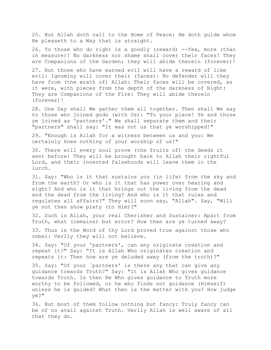25. But Allah doth call to the Home of Peace: He doth guide whom He pleaseth to a Way that is straight.

26. To those who do right is a goodly (reward) --Yea, more (than in measure)! No darkness nor shame shall cover their faces! They are Companions of the Garden; they will abide therein (forever)!

27. But those who have earned evil will have a reward of like evil: Ignominy will cover their (faces): No defender will they have from (the wrath of) Allah: Their faces will be covered, as it were, with pieces from the depth of the darkness of Night: They are Companions of the Fire: They will abide therein (forever)!

28. One Day shall We gather them all together. Then shall We say to those who joined gods (with Us): "To your place! Ye and those ye joined as 'partners'." We shall separate them and their "partners" shall say: "It was not us that ye worshipped!"

29. "Enough is Allah for a witness between us and you: We certainly knew nothing of your worship of us!"

30. There will every soul prove (the fruits of) the deeds it sent before: They will be brought back to Allah their rightful Lord, and their invented falsehoods will leave them in the lurch.

31. Say: "Who is it that sustains you (in life) from the sky and from the earth? Or who is it that has power over hearing and sight? And who is it that brings out the living from the dead and the dead from the living? And who is it that rules and regulates all affairs?" They will soon say, "Allah". Say, "Will ye not then show piety (to Him)?"

32. Such is Allah, your real Cherisher and Sustainer: Apart from Truth, what (remains) but error? How then are ye turned away?

33. Thus is the Word of thy Lord proved true against those who rebel: Verily they will not believe.

34. Say: "Of your 'partners', can any originate creation and repeat it?" Say: "It is Allah Who originates creation and repeats it: Then how are ye deluded away (from the truth)?"

35. Say: "Of your `partners' is there any that can give any guidance towards Truth?" Say: "It is Allah Who gives guidance towards Truth. Is then He Who gives guidance to Truth more worthy to be followed, or he who finds not guidance (Himself) unless he is guided? What then is the matter with you? How judge ye?"

36. But most of them follow nothing but fancy: Truly fancy can be of no avail against Truth. Verily Allah is well aware of all that they do.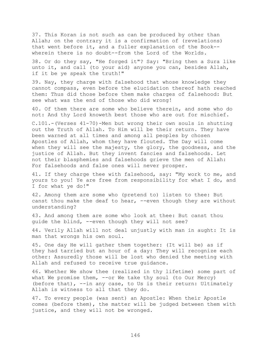37. This Koran is not such as can be produced by other than Allah; on the contrary it is a confirmation of (revelations) that went before it, and a fuller explanation of the Book- wherein there is no doubt--from the Lord of the Worlds.

38. Or do they say, "He forged it"? Say: "Bring then a Sura like unto it, and call (to your aid) anyone you can, besides Allah, if it be ye speak the truth!"

39. Nay, they charge with falsehood that whose knowledge they cannot compass, even before the elucidation thereof hath reached them: Thus did those before them make charges of falsehood: But see what was the end of those who did wrong!

40. Of them there are some who believe therein, and some who do not: And thy Lord knoweth best those who are out for mischief.

C.101.-(Verses 41-70)-Men but wrong their own souls in shutting out the Truth of Allah. To Him will be their return. They have been warned at all times and among all peoples by chosen Apostles of Allah, whom they have flouted. The Day will come when they will see the majesty, the glory, the goodness, and the justice of Allah. But they invent fancies and falsehoods. Let not their blasphemies and falsehoods grieve the men of Allah: For falsehoods and false ones will never prosper.

41. If they charge thee with falsehood, say: "My work to me, and yours to you! Ye are free from responsibility for what I do, and I for what ye do!"

42. Among them are some who (pretend to) listen to thee: But canst thou make the deaf to hear, --even though they are without understanding?

43. And among them are some who look at thee: But canst thou guide the blind, --even though they will not see?

44. Verily Allah will not deal unjustly with man in aught: It is man that wrongs his own soul.

45. One day He will gather them together: (It will be) as if they had tarried but an hour of a day: They will recognize each other: Assuredly those will be lost who denied the meeting with Allah and refused to receive true guidance.

46. Whether We show thee (realized in thy lifetime) some part of what We promise them, --or We take thy soul (to Our Mercy) (before that), --in any case, to Us is their return: Ultimately Allah is witness to all that they do.

47. To every people (was sent) an Apostle: When their Apostle comes (before them), the matter will be judged between them with justice, and they will not be wronged.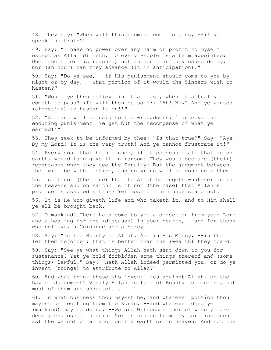48. They say: "When will this promise come to pass, --if ye speak the truth?"

49. Say: "I have no power over any harm or profit to myself except as Allah Willeth. To every People is a term appointed: When their term is reached, not an hour can they cause delay, nor (an hour) can they advance (it in anticipation)."

50. Say: "Do ye see, --if His punishment should come to you by night or by day, --what portion of it would the Sinners wish to hasten?"

51. "Would ye then believe in it at last, when it actually cometh to pass? (It will then be said:) 'Ah! Now? And ye wanted (aforetime) to hasten it on!'"

52. "At last will be said to the wrongdoers: `Taste ye the enduring punishment! Ye get but the recompense of what ye earned!'"

53. They seek to be informed by thee: "Is that true?" Say: "Aye! By my Lord! It is the vary truth! And ye cannot frustrate it!"

54. Every soul that hath sinned, if it possessed all that is on earth, would fain give it in ransom: They would declare (their) repentance when they see the Penalty: But the judgment between them will be with justice, and no wrong will be done unto them.

55. Is it not (the case) that to Allah belongeth whatever is in the heavens and on earth? Is it not (the case) that Allah's promise is assuredly true? Yet most of them understand not.

56. It is He who giveth life and who taketh it, and to Him shall ye all be brought back.

57. O mankind! There hath come to you a direction from your Lord and a healing for the (diseases) in your hearts, --and for those who believe, a Guidance and a Mercy.

58. Say: "In the Bounty of Allah. And in His Mercy, --in that let them rejoice": that is better than the (wealth) they hoard.

59. Say: "See ye what things Allah hath sent down to you for sustenance? Yet ye hold forbidden some things thereof and (some things) lawful." Say: "Hath Allah indeed permitted you, or do ye invent (things) to attribute to Allah?"

60. And what think those who invent lies against Allah, of the Day of Judgement? Verily Allah is full of Bounty to mankind, but most of them are ungrateful.

61. In what business thou mayest be, and whatever portion thou mayest be reciting from the Koran, --and whatever deed ye (mankind) may be doing, --We are Witnesses thereof when ye are deeply engrossed therein. Nor is hidden from thy Lord (so much as) the weight of an atom on the earth or in heaven. And not the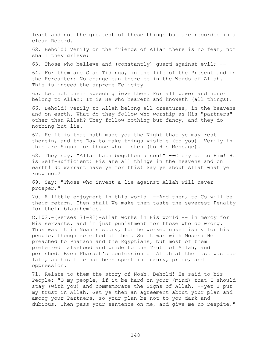least and not the greatest of these things but are recorded in a clear Record. 62. Behold! Verily on the friends of Allah there is no fear, nor shall they grieve; 63. Those who believe and (constantly) quard against evil;  $-$ -64. For them are Glad Tidings, in the life of the Present and in the Hereafter: No change can there be in the Words of Allah. This is indeed the supreme Felicity. 65. Let not their speech grieve thee: For all power and honor belong to Allah: It is He Who heareth and knoweth (all things). 66. Behold! Verily to Allah belong all creatures, in the heavens and on earth. What do they follow who worship as His "partners" other than Allah? They follow nothing but fancy, and they do nothing but lie. 67. He it is that hath made you the Night that ye may rest therein, and the Day to make things visible (to you). Verily in this are Signs for those who listen (to His Message). 68. They say, "Allah hath begotten a son!" --Glory be to Him! He is Self-Sufficient! His are all things in the heavens and on earth! No warrant have ye for this! Say ye about Allah what ye know not? 69. Say: "Those who invent a lie against Allah will never prosper." 70. A little enjoyment in this world! --And then, to Us will be their return. Then shall We make them taste the severest Penalty for their blasphemies. C.102.-(Verses 71-92)-Allah works in His world -- in mercy for His servants, and in just punishment for those who do wrong. Thus was it in Noah's story, for he worked unselfishly for his people, though rejected of them. So it was with Moses: He preached to Pharaoh and the Egyptians, but most of them preferred falsehood and pride to the Truth of Allah, and perished. Even Pharaoh's confession of Allah at the last was too late, as his life had been spent in luxury, pride, and oppression. 71. Relate to them the story of Noah. Behold! He said to his People: "O my people, if it be hard on your (mind) that I should stay (with you) and commemorate the Signs of Allah, --yet I put my trust in Allah. Get ye then an agreement about your plan and among your Partners, so your plan be not to you dark and

148

dubious. Then pass your sentence on me, and give me no respite."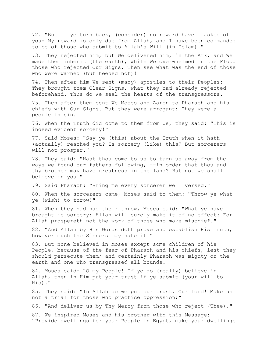72. "But if ye turn back, (consider) no reward have I asked of you: My reward is only due from Allah, and I have been commanded to be of those who submit to Allah's Will (in Islam)."

73. They rejected him, but We delivered him, in the Ark, and We made them inherit (the earth), while We overwhelmed in the Flood those who rejected Our Signs. Then see what was the end of those who were warned (but heeded not)!

74. Then after him We sent (many) apostles to their Peoples: They brought them Clear Signs, what they had already rejected beforehand. Thus do We seal the hearts of the transgressors.

75. Then after them sent We Moses and Aaron to Pharaoh and his chiefs with Our Signs. But they were arrogant: They were a people in sin.

76. When the Truth did come to them from Us, they said: "This is indeed evident sorcery!"

77. Said Moses: "Say ye (this) about the Truth when it hath (actually) reached you? Is sorcery (like) this? But sorcerers will not prosper."

78. They said: "Hast thou come to us to turn us away from the ways we found our fathers following, --in order that thou and thy brother may have greatness in the land? But not we shall believe in you!"

79. Said Pharaoh: "Bring me every sorcerer well versed."

80. When the sorcerers came, Moses said to them: "Throw ye what ye (wish) to throw!"

81. When they had had their throw, Moses said: "What ye have brought is sorcery: Allah will surely make it of no effect: For Allah prospereth not the work of those who make mischief."

82. "And Allah by His Words doth prove and establish His Truth, however much the Sinners may hate it!"

83. But none believed in Moses except some children of his People, because of the fear of Pharaoh and his chiefs, lest they should persecute them; and certainly Pharaoh was mighty on the earth and one who transgressed all bounds.

84. Moses said: "O my People! If ye do (really) believe in Allah, then in Him put your trust if ye submit (your will to His)."

85. They said: "In Allah do we put our trust. Our Lord! Make us not a trial for those who practice oppression;"

86. "And deliver us by Thy Mercy from those who reject (Thee)."

87. We inspired Moses and his brother with this Message: "Provide dwellings for your People in Egypt, make your dwellings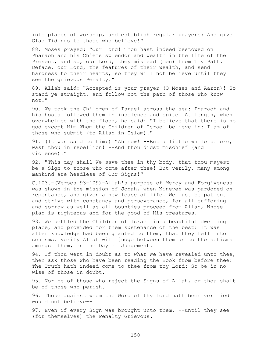into places of worship, and establish regular prayers: And give Glad Tidings to those who believe!"

88. Moses prayed: "Our Lord! Thou hast indeed bestowed on Pharaoh and his Chiefs splendor and wealth in the life of the Present, and so, our Lord, they mislead (men) from Thy Path. Deface, our Lord, the features of their wealth, and send hardness to their hearts, so they will not believe until they see the grievous Penalty."

89. Allah said: "Accepted is your prayer (O Moses and Aaron)! So stand ye straight, and follow not the path of those who know not."

90. We took the Children of Israel across the sea: Pharaoh and his hosts followed them in insolence and spite. At length, when overwhelmed with the flood, he said: "I believe that there is no god except Him Whom the Children of Israel believe in: I am of those who submit (to Allah in Islam)."

91. (It was said to him:) "Ah now! --But a little while before, wast thou in rebellion! --And thou didst mischief (and violence)!"

92. "This day shall We save thee in thy body, that thou mayest be a Sign to those who come after thee! But verily, many among mankind are heedless of Our Signs!"

C.103.-(Verses 93-109)-Allah's purpose of Mercy and Forgiveness was shown in the mission of Jonah, when Nineveh was pardoned on repentance, and given a new lease of life. We must be patient and strive with constancy and perseverance, for all suffering and sorrow as well as all bounties proceed from Allah, Whose plan is righteous and for the good of His creatures.

93. We settled the Children of Israel in a beautiful dwelling place, and provided for them sustenance of the best: It was after knowledge had been granted to them, that they fell into schisms. Verily Allah will judge between them as to the schisms amongst them, on the Day of Judgement.

94. If thou wert in doubt as to what We have revealed unto thee, then ask those who have been reading the Book from before thee: The Truth hath indeed come to thee from thy Lord: So be in no wise of those in doubt.

95. Nor be of those who reject the Signs of Allah, or thou shalt be of those who perish.

96. Those against whom the Word of thy Lord hath been verified would not believe--

97. Even if every Sign was brought unto them, --until they see (for themselves) the Penalty Grievous.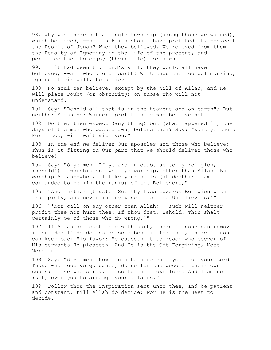98. Why was there not a single township (among those we warned), which believed,  $--$ so its Faith should have profited it,  $--$ except the People of Jonah? When they believed, We removed from them the Penalty of Ignominy in the life of the present, and permitted them to enjoy (their life) for a while.

99. If it had been thy Lord's Will, they would all have believed, --all who are on earth! Wilt thou then compel mankind, against their will, to believe!

100. No soul can believe, except by the Will of Allah, and He will place Doubt (or obscurity) on those who will not understand.

101. Say: "Behold all that is in the heavens and on earth"; But neither Signs nor Warners profit those who believe not.

102. Do they then expect (any thing) but (what happened in) the days of the men who passed away before them? Say: "Wait ye then: For I too, will wait with you."

103. In the end We deliver Our apostles and those who believe: Thus is it fitting on Our part that We should deliver those who believe!

104. Say: "O ye men! If ye are in doubt as to my religion, (behold!) I worship not what ye worship, other than Allah! But I worship Allah--who will take your souls (at death): I am commanded to be (in the ranks) of the Believers,"

105. "And further (thus): `Set thy face towards Religion with true piety, and never in any wise be of the Unbelievers;'"

106. "'Nor call on any other than Allah; --such will neither profit thee nor hurt thee: If thou dost, Behold! Thou shalt certainly be of those who do wrong.'"

107. If Allah do touch thee with hurt, there is none can remove it but He: If He do design some benefit for thee, there is none can keep back His favor: He causeth it to reach whomsoever of His servants He pleaseth. And He is the Oft-Forgiving, Most Merciful.

108. Say: "O ye men! Now Truth hath reached you from your Lord! Those who receive guidance, do so for the good of their own souls; those who stray, do so to their own loss: And I am not (set) over you to arrange your affairs."

109. Follow thou the inspiration sent unto thee, and be patient and constant, till Allah do decide: For He is the Best to decide.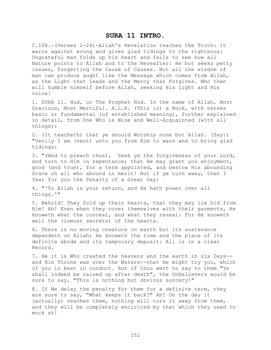## **SURA 11 INTRO.**

C.104.-(Verses 1-24)-Allah's Revelation teaches the Truth: it warns against wrong and gives glad tidings to the righteous: Ungrateful man folds up his heart and fails to see how all Nature points to Allah and to the Hereafter: He but seeks petty issues, forgetting the Cause of Causes. Not all the wisdom of man can produce aught like the Message which comes from Allah, as the Light that leads and the Mercy that Forgives. Who then will humble himself before Allah, seeking His light and His voice!

1. SURA 11. Hud, or The Prophet Hud. In the name of Allah, Most Gracious, Most Merciful. A.L.R. (This is) a Book, with verses basic or fundamental (of established meaning), further explained in detail, from One Who is Wise and Well-Acquainted (with all things):

2. (It teacheth) that ye should Worship none but Allah. (Say:) "Verily I am (sent) unto you from Him to warn and to bring glad tidings:

3. "(And to preach thus), `Seek ye the forgiveness of your Lord, and turn to Him in repentance; that He may grant you enjoyment, good (and true), for a term appointed, and bestow His abounding Grace on all who abound in merit! But if ye turn away, then I fear for you the Penalty of a Great Day:

4. "'To Allah is your return, and He hath power over all things.'"

5. Behold! They fold up their hearts, that they may lie hid from Him! Ah! Even when they cover themselves with their garments, He knoweth what the conceal, and what they reveal: For He knoweth well the (inmost secrets) of the hearts.

6. There is no moving creature on earth but its sustenance dependeth on Allah; He knoweth the time and the place of its definite abode and its temporary deposit: All is in a clear Record.

7. He it is Who created the heavens and the earth in six Days- and His Throne was over the Waters--that He might try you, which of you is best in conduct. But if thou wert to say to them "Ye shall indeed be raised up after death", the Unbelievers would be sure to say, "This is nothing but obvious sorcery!"

8. If We delay the penalty for them for a definite term, they are sure to say, "What keeps it back?" Ah! On the day it (actually) reaches them, nothing will turn it away from them, and they will be completely encircled by that which they used to mock at!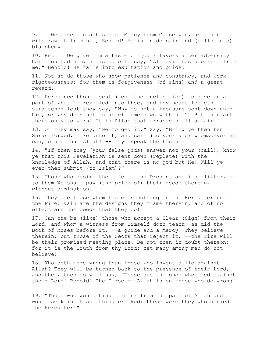9. If We give man a taste of Mercy from Ourselves, and then withdraw it from him, Behold! He is in despair and (falls into) blasphemy.

10. But if We give him a taste of (Our) favors after adversity hath touched him, he is sure to say, "All evil has departed from me:" Behold! He falls into exultation and pride.

11. Not so do those who show patience and constancy, and work righteousness; for them is forgiveness (of sins) and a great reward.

12. Perchance thou mayest (feel the inclination) to give up a part of what is revealed unto thee, and thy heart feeleth straitened lest they say, "Why is not a treasure sent down unto him, or why does not an angel come down with him?" But thou art there only to warn! It is Allah that arrangeth all affairs!

13. Or they may say, "He forged it." Say, "Bring ye then ten Suras forged, like unto it, and call (to your aid) whomsoever ye can, other than Allah! --If ye speak the truth!

14. "If then they (your false gods) answer not your (call), know ye that this Revelation is sent down (replete) with the knowledge of Allah, and that there is no god but He! Will ye even then submit (to Islam)?"

15. Those who desire the life of the Present and its glitter, - to them We shall pay (the price of) their deeds therein, - without diminution.

16. They are those whom there is nothing in the Hereafter but the Fire: Vain are the designs they frame therein, and of no effect are the deeds that they do!

17. Can the be (like) those who accept a Clear (Sign) from their Lord, and whom a witness from Himself doth teach, as did the Book of Moses before it,  $-$ -a quide and a mercy? They believe therein; but those of the Sects that reject it, --the Fire will be their promised meeting place. Be not then in doubt thereon: for it is the Truth from thy Lord: Yet many among men do not believe!

18. Who doth more wrong than those who invent a lie against Allah? They will be turned back to the presence of their Lord, and the witnesses will say, "These are the ones who lied against their Lord! Behold! The Curse of Allah is on those who do wrong! --

19. "Those who would hinder (men) from the path of Allah and would seek in it something crooked: these were they who denied the Hereafter!"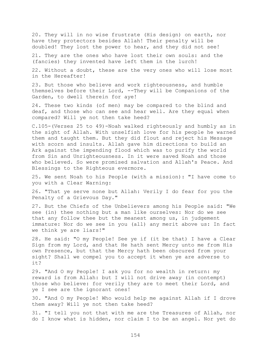20. They will in no wise frustrate (His design) on earth, nor have they protectors besides Allah! Their penalty will be doubled! They lost the power to hear, and they did not see!

21. They are the ones who have lost their own souls: and the (fancies) they invented have left them in the lurch!

22. Without a doubt, these are the very ones who will lose most in the Hereafter!

23. But those who believe and work righteousness, and humble themselves before their Lord, --They will be Companions of the Garden, to dwell therein for aye!

24. These two kinds (of men) may be compared to the blind and deaf, and those who can see and hear well. Are they equal when compared? Will ye not then take heed?

C.105-(Verses 25 to 49)-Noah walked righteously and humbly as in the sight of Allah. With unselfish love for his people he warned them and taught them. But they did flout and reject his Message with scorn and insults. Allah gave him directions to build an Ark against the impending flood which was to purify the world from Sin and Unrighteousness. In it were saved Noah and those who believed. So were promised salvation and Allah's Peace. And Blessings to the Righteous evermore.

25. We sent Noah to his People (with a mission): "I have come to you with a Clear Warning:

26. "That ye serve none but Allah: Verily I do fear for you the Penalty of a Grievous Day."

27. But the Chiefs of the Unbelievers among his People said: "We see (in) thee nothing but a man like ourselves: Nor do we see that any follow thee but the meanest among us, in judgement immature: Nor do we see in you (all) any merit above us: In fact we think ye are liars!"

28. He said: "O my People! See ye if (it be that) I have a Clear Sign from my Lord, and that He hath sent Mercy unto me from His own Presence, but that the Mercy hath been obscured from your sight? Shall we compel you to accept it when ye are adverse to it?

29. "And O my People! I ask you for no wealth in return: my reward is from Allah: but I will not drive away (in contempt) those who believe: for verily they are to meet their Lord, and ye I see are the ignorant ones!

30. "And O my People! Who would help me against Allah if I drove them away? Will ye not then take heed?

31. "I tell you not that with me are the Treasures of Allah, nor do I know what is hidden, nor claim I to be an angel. Nor yet do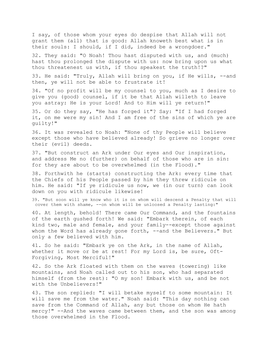I say, of those whom your eyes do despise that Allah will not grant them (all) that is good: Allah knoweth best what is in their souls: I should, if I did, indeed be a wrongdoer."

32. They said: "O Noah! Thou hast disputed with us, and (much) hast thou prolonged the dispute with us: now bring upon us what thou threatenest us with, if thou speakest the truth!?"

33. He said: "Truly, Allah will bring on you, if He wills, --and then, ye will not be able to frustrate it!

34. "Of no profit will be my counsel to you, much as I desire to give you (good) counsel, if it be that Allah willeth to leave you astray: He is your Lord! And to Him will ye return!"

35. Or do they say, "He has forged it"? Say: "If I had forged it, on me were my sin! And I am free of the sins of which ye are guilty!"

36. It was revealed to Noah: "None of thy People will believe except those who have believed already! So grieve no longer over their (evil) deeds.

37. "But construct an Ark under Our eyes and Our inspiration, and address Me no (further) on behalf of those who are in sin: for they are about to be overwhelmed (in the Flood)."

38. Forthwith he (starts) constructing the Ark: every time that the Chiefs of his People passed by him they threw ridicule on him. He said: "If ye ridicule us now, we (in our turn) can look down on you with ridicule likewise!

39. "But soon will ye know who it is on whom will descend a Penalty that will cover them with shame, --on whom will be unloosed a Penalty lasting:"

40. At length, behold! There came Our Command, and the fountains of the earth gushed forth! We said: "Embark therein, of each kind two, male and female, and your family--except those against whom the Word has already gone forth, --and the Believers." But only a few believed with him.

41. So he said: "Embark ye on the Ark, in the name of Allah, whether it move or be at rest! For my Lord is, be sure, Oft-Forgiving, Most Merciful!"

42. So the Ark floated with them on the waves (towering) like mountains, and Noah called out to his son, who had separated himself (from the rest): "O my son! Embark with us, and be not with the Unbelievers!"

43. The son replied: "I will betake myself to some mountain: It will save me from the water." Noah said: "This day nothing can save from the Command of Allah, any but those on whom He hath mercy!" --And the waves came between them, and the son was among those overwhelmed in the Flood.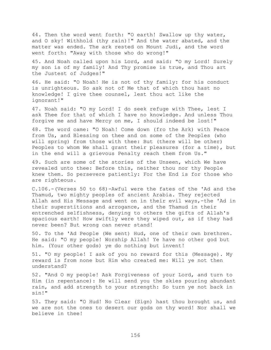44. Then the word went forth: "O earth! Swallow up thy water, and O sky! Withhold (thy rain)!" And the water abated, and the matter was ended. The ark rested on Mount Judi, and the word went forth: "Away with those who do wrong!"

45. And Noah called upon his Lord, and said: "O my Lord! Surely my son is of my family! And Thy promise is true, and Thou art the Justest of Judges!"

46. He said: "O Noah! He is not of thy family: for his conduct is unrighteous. So ask not of Me that of which thou hast no knowledge! I give thee counsel, lest thou act like the ignorant!"

47. Noah said: "O my Lord! I do seek refuge with Thee, lest I ask Thee for that of which I have no knowledge. And unless Thou forgive me and have Mercy on me, I should indeed be lost!"

48. The word came: "O Noah! Come down (fro the Ark) with Peace from Us, and Blessing on thee and on some of the Peoples (who will spring) from those with thee: But (there will be other) Peoples to whom We shall grant their pleasures (for a time), but in the end will a grievous Penalty reach them from Us."

49. Such are some of the stories of the Unseen, which We have revealed unto thee: Before this, neither thou nor thy People knew them. So persevere patiently: For the End is for those who are righteous.

C.106.-(Verses 50 to 68)-Awful were the fates of the 'Ad and the Thamud, two mighty peoples of ancient Arabia. They rejected Allah and His Message and went on in their evil ways,-the 'Ad in their superstitions and arrogance, and the Thamud in their entrenched selfishness, denying to others the gifts of Allah's spacious earth! How swiftly were they wiped out, as if they had never been? But wrong can never stand!

50. To the 'Ad People (We sent) Hud, one of their own brethren. He said: "O my people! Worship Allah! Ye have no other god but him. (Your other gods) ye do nothing but invent!

51. "O my people! I ask of you no reward for this (Message). My reward is from none but Him who created me: Will ye not then understand?

52. "And O my people! Ask Forgiveness of your Lord, and turn to Him (in repentance): He will send you the skies pouring abundant rain, and add strength to your strength: So turn ye not back in sin!"

53. They said: "O Hud! No Clear (Sign) hast thou brought us, and we are not the ones to desert our gods on thy word! Nor shall we believe in thee!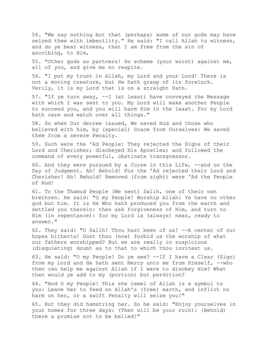54. "We say nothing but that (perhaps) some of our gods may have seized thee with imbecility." He said: "I call Allah to witness, and do ye bear witness, that I am free from the sin of ascribing, to Him,

55. "Other gods as partners! So scheme (your worst) against me, all of you, and give me no respite.

56. "I put my trust in Allah, my Lord and your Lord! There is not a moving creature, but He hath grasp of its forelock. Verily, it is my Lord that is on a straight Path.

57. "If ye turn away, --I (at least) have conveyed the Message with which I was sent to you. My Lord will make another People to succeed you, and you will harm Him in the least. For my Lord hath care and watch over all things."

58. So when Our decree issued, We saved Hud and those who believed with him, by (special) Grace from Ourselves: We saved them from a severe Penalty.

59. Such were the 'Ad People: They rejected the Signs of their Lord and Cherisher; disobeyed His Apostles; and followed the command of every powerful, obstinate transgressor.

60. And they were pursued by a Curse in this Life, --and on the Day of Judgment. Ah! Behold! For the 'Ad rejected their Lord and Cherisher! Ah! Behold! Removed (from sight) were 'Ad the People of Hud!

61. To the Thamud People (We sent) Salih, one of their own brethren. He said: "O my People! Worship Allah: Ye have no other god but him. It is He Who hath produced you from the earth and settled you therein: then ask forgiveness of Him, and turn to Him (in repentance): for my Lord is (always) near, ready to answer."

62. They said: "O Salih! Thou hast been of us! --A center of our hopes hitherto! Dost thou (now) forbid us the worship of what our fathers worshipped? But we are really in suspicious (disquieting) doubt as to that to which thou invitest us.

63. He said: "O my People! Do ye see? --If I have a Clear (Sign) from my Lord and He hath sent Mercy unto me from Himself, --who then can help me against Allah if I were to disobey Him? What then would ye add to my (portion) but perdition?

64. "And O my People! This she camel of Allah is a symbol to you: Leave her to feed on Allah's (free) earth, and inflict no harm on her, or a swift Penalty will seize you!"

65. But they did hamstring her. So he said: "Enjoy yourselves in your homes for three days: (Then will be your ruin): (Behold) there a promise not to be belied!"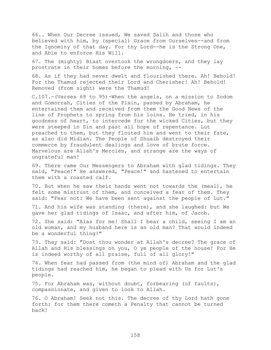66.. When Our Decree issued, We saved Salih and those who believed with him, by (special) Grace from Ourselves--and from the Ignominy of that day. For thy Lord--he is the Strong One, and Able to enforce His Will.

67. The (mighty) Blast overtook the wrongdoers, and they lay prostrate in their homes before the morning, --

68. As if they had never dwelt and flourished there. Ah! Behold! For the Thamud rejected their Lord and Cherisher! Ah! Behold! Removed (from sight) were the Thamud!

C.107.-(Verses 69 to 95)-When the angels, on a mission to Sodom and Gomorrah, Cities of the Plain, passed by Abraham, he entertained them and received from them the Good News of the line of Prophets to spring from his loins. He tried, in his goodness of heart, to intercede for the wicked Cities, but they were steeped in Sin and past all hope of repentance. Lut preached to them, but they flouted him and went to their fate, as also did Midian. The People of Shuaib destroyed their commerce by fraudulent dealings and love of brute force. Marvelous are Allah's Mercies, and strange are the ways of ungrateful man!

69. There came Our Messengers to Abraham with glad tidings. They said, "Peace!" He answered, "Peace!" and hastened to entertain them with a roasted calf.

70. But when he saw their hands went not towards the (meal), he felt some mistrust of them, and conceived a fear of them. They said: "Fear not: We have been sent against the people of Lut."

71. And his wife was standing (there), and she laughed: but We gave her glad tidings of Isaac, and after him, of Jacob.

72. She said: "Alas for me! Shall I bear a child, seeing I am an old woman, and my husband here is an old man? That would indeed be a wonderful thing!"

73. They said: "Dost thou wonder at Allah's decree? The grace of Allah and His blessings on you, O ye people of the house! For He is indeed worthy of all praise, full of all glory!"

74. When fear had passed from (the mind of) Abraham and the glad tidings had reached him, he began to plead with Us for Lut's people.

75. For Abraham was, without doubt, forbearing (of faults), compassionate, and given to look to Allah.

76. O Abraham! Seek not this. The decree of thy Lord hath gone forth: for them there cometh a Penalty that cannot be turned back!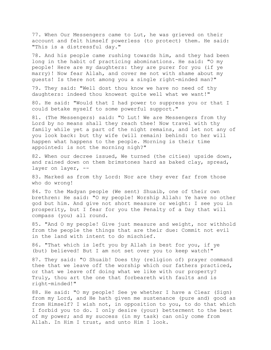77. When Our Messengers came to Lut, he was grieved on their account and felt himself powerless (to protect) them. He said: "This is a distressful day."

78. And his people came rushing towards him, and they had been long in the habit of practicing abominations. He said: "O my people! Here are my daughters: they are purer for you (if ye marry)! Now fear Allah, and cover me not with shame about my guests! Is there not among you a single right-minded man?"

79. They said: "Well dost thou know we have no need of thy daughters: indeed thou knowest quite well what we want!"

80. He said: "Would that I had power to suppress you or that I could betake myself to some powerful support."

81. (The Messengers) said: "O Lut! We are Messengers from thy Lord by no means shall they reach thee! Now travel with thy family while yet a part of the night remains, and let not any of you look back: but thy wife (will remain) behind: to her will happen what happens to the people. Morning is their time appointed: is not the morning nigh?"

82. When our decree issued, We turned (the cities) upside down, and rained down on them brimstones hard as baked clay, spread, layer on layer, --

83. Marked as from thy Lord: Nor are they ever far from those who do wrong!

84. To the Madyan people (We sent) Shuaib, one of their own brethren: He said: "O my people! Worship Allah: Ye have no other god but him. And give not short measure or weight: I see you in prosperity, but I fear for you the Penalty of a Day that will compass (you) all round.

85. "And O my people! Give just measure and weight, nor withhold from the people the things that are their due: Commit not evil in the land with intent to do mischief.

86. "That which is left you by Allah is best for you, if ye (but) believed! But I am not set over you to keep watch!"

87. They said: "O Shuaib! Does thy (religion of) prayer command thee that we leave off the worship which our fathers practiced, or that we leave off doing what we like with our property? Truly, thou art the one that forbeareth with faults and is right-minded!"

88. He said: "O my people! See ye whether I have a Clear (Sign) from my Lord, and He hath given me sustenance (pure and) good as from Himself? I wish not, in opposition to you, to do that which I forbid you to do. I only desire (your) betterment to the best of my power; and my success (in my task) can only come from Allah. In Him I trust, and unto Him I look.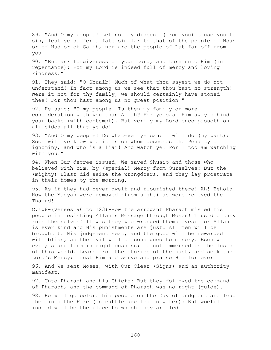89. "And O my people! Let not my dissent (from you) cause you to sin, lest ye suffer a fate similar to that of the people of Noah or of Hud or of Salih, nor are the people of Lut far off from you! 90. "But ask forgiveness of your Lord, and turn unto Him (in repentance): For my Lord is indeed full of mercy and loving kindness." 91. They said: "O Shuaib! Much of what thou sayest we do not understand! In fact among us we see that thou hast no strength! Were it not for thy family, we should certainly have stoned thee! For thou hast among us no great position!" 92. He said: "O my people! Is then my family of more consideration with you than Allah? For ye cast Him away behind your backs (with contempt). But verily my Lord encompasseth on all sides all that ye do! 93. "And O my people! Do whatever ye can: I will do (my part): Soon will ye know who it is on whom descends the Penalty of ignominy, and who is a liar! And watch ye! For I too am watching with you!" 94. When Our decree issued, We saved Shuaib and those who believed with him, by (special) Mercy from Ourselves: But the (mighty) Blast did seize the wrongdoers, and they lay prostrate in their homes by the morning, -95. As if they had never dwelt and flourished there! Ah! Behold! How the Madyan were removed (from sight) as were removed the Thamud! C.108-(Verses 96 to 123)-How the arrogant Pharaoh misled his people in resisting Allah's Message through Moses! Thus did they ruin themselves! It was they who wronged themselves: for Allah is ever kind and His punishments are just. All men will be brought to His judgement seat, and the good will be rewarded with bliss, as the evil will be consigned to misery. Eschew evil; stand firm in righteousness; be not immersed in the lusts of this world. Learn from the stories of the past, and seek the Lord's Mercy: Trust Him and serve and praise Him for ever! 96. And We sent Moses, with Our Clear (Signs) and an authority manifest,

97. Unto Pharaoh and his Chiefs: But they followed the command of Pharaoh, and the command of Pharaoh was no right (guide).

98. He will go before his people on the Day of Judgment and lead them into the Fire (as cattle are led to water): But woeful indeed will be the place to which they are led!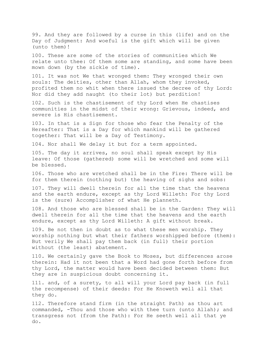99. And they are followed by a curse in this (life) and on the Day of Judgment: And woeful is the gift which will be given (unto them)!

100. These are some of the stories of communities which We relate unto thee: Of them some are standing, and some have been mown down (by the sickle of time).

101. It was not We that wronged them: They wronged their own souls: The deities, other than Allah, whom they invoked, profited them no whit when there issued the decree of thy Lord: Nor did they add naught (to their lot) but perdition!

102. Such is the chastisement of thy Lord when He chastises communities in the midst of their wrong: Grievous, indeed, and severe is His chastisement.

103. In that is a Sign for those who fear the Penalty of the Hereafter: That is a Day for which mankind will be gathered together: That will be a Day of Testimony.

104. Nor shall We delay it but for a term appointed.

105. The day it arrives, no soul shall speak except by His leave: Of those (gathered) some will be wretched and some will be blessed.

106. Those who are wretched shall be in the Fire: There will be for them therein (nothing but) the heaving of sighs and sobs:

107. They will dwell therein for all the time that the heavens and the earth endure, except as thy Lord Willeth: For thy Lord is the (sure) Accomplisher of what He planneth.

108. And those who are blessed shall be in the Garden: They will dwell therein for all the time that the heavens and the earth endure, except as thy Lord Willeth: A gift without break.

109. Be not then in doubt as to what these men worship. They worship nothing but what their fathers worshipped before (them): But verily We shall pay them back (in full) their portion without (the least) abatement.

110. We certainly gave the Book to Moses, but differences arose therein: Had it not been that a Word had gone forth before from thy Lord, the matter would have been decided between them: But they are in suspicious doubt concerning it.

111. and, of a surety, to all will your Lord pay back (in full the recompense) of their deeds: For He Knoweth well all that they do.

112. Therefore stand firm (in the straight Path) as thou art commanded, -Thou and those who with thee turn (unto Allah); and transgress not (from the Path): For He seeth well all that ye do.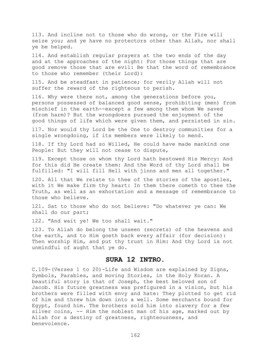113. And incline not to those who do wrong, or the Fire will seize you; and ye have no protectors other than Allah, nor shall ye be helped.

114. And establish regular prayers at the two ends of the day and at the approaches of the night: For those things that are good remove those that are evil: Be that the word of remembrance to those who remember (their Lord):

115. And be steadfast in patience; for verily Allah will not suffer the reward of the righteous to perish.

116. Why were there not, among the generations before you, persons possessed of balanced good sense, prohibiting (men) from mischief in the earth--except a few among them whom We saved (from harm)? But the wrongdoers pursued the enjoyment of the good things of life which were given them, and persisted in sin.

117. Nor would thy Lord be the One to destroy communities for a single wrongdoing, if its members were likely to mend.

118. If thy Lord had so Willed, He could have made mankind one People: But they will not cease to dispute,

119. Except those on whom thy Lord hath bestowed His Mercy: And for this did He create them: And the Word of thy Lord shall be fulfilled: "I will fill Hell with jinns and men all together."

120. All that We relate to thee of the stories of the apostles, with it We make firm thy heart: In them there cometh to thee the Truth, as well as an exhortation and a message of remembrance to those who believe.

121. Sat to those who do not believe: "Do whatever ye can: We shall do our part;

122. "And wait ye! We too shall wait."

123. To Allah do belong the unseen (secrets) of the heavens and the earth, and to Him goeth back every affair (for decision): Then worship Him, and put thy trust in Him: And thy Lord is not unmindful of aught that ye do.

## **SURA 12 INTRO.**

C.109-(Verses 1 to 20)-Life and Wisdom are explained by Signs, Symbols, Parables, and moving Stories, in the Holy Koran. A beautiful story is that of Joseph, the best beloved son of Jacob. His future greatness was prefigured in a vision, but his brothers were filled with envy and hate: They plotted to get rid of him and threw him down into a well. Some merchants bound for Egypt, found him. The brothers sold him into slavery for a few silver coins, -- Him the noblest man of his age, marked out by Allah for a destiny of greatness, righteousness, and benevolence.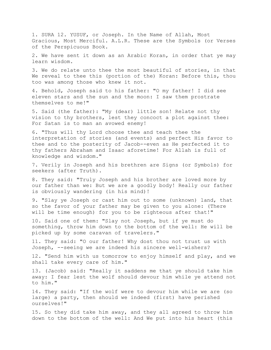1. SURA 12. YUSUF, or Joseph. In the Name of Allah, Most Gracious, Most Merciful. A.L.R. These are the Symbols (or Verses of the Perspicuous Book.

2. We have sent it down as an Arabic Koran, in order that ye may learn wisdom.

3. We do relate unto thee the most beautiful of stories, in that We reveal to thee this (portion of the) Koran: Before this, thou too was among those who knew it not.

4. Behold, Joseph said to his father: "O my father! I did see eleven stars and the sun and the moon: I saw them prostrate themselves to me!"

5. Said (the father): "My (dear) little son! Relate not thy vision to thy brothers, lest they concoct a plot against thee: For Satan is to man an avowed enemy!

6. "Thus will thy Lord choose thee and teach thee the interpretation of stories (and events) and perfect His favor to thee and to the posterity of Jacob--even as He perfected it to thy fathers Abraham and Isaac aforetime! For Allah is full of knowledge and wisdom."

7. Verily in Joseph and his brethren are Signs (or Symbols) for seekers (after Truth).

8. They said: "Truly Joseph and his brother are loved more by our father than we: But we are a goodly body! Really our father is obviously wandering (in his mind)!

9. "Slay ye Joseph or cast him out to some (unknown) land, that so the favor of your father may be given to you alone: (There will be time enough) for you to be righteous after that!"

10. Said one of them: "Slay not Joseph, but if ye must do something, throw him down to the bottom of the well: He will be picked up by some caravan of travelers."

11. They said: "O our father! Why dost thou not trust us with Joseph, --seeing we are indeed his sincere well-wishers?

12. "Send him with us tomorrow to enjoy himself and play, and we shall take every care of him."

13. (Jacob) said: "Really it saddens me that ye should take him away: I fear lest the wolf should devour him while ye attend not to him."

14. They said: "If the wolf were to devour him while we are (so large) a party, then should we indeed (first) have perished ourselves!"

15. So they did take him away, and they all agreed to throw him down to the bottom of the well: And We put into his heart (this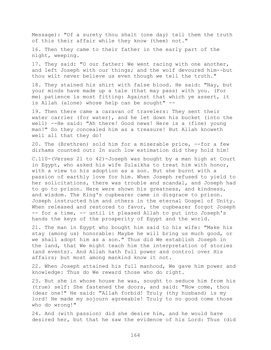Message): "Of a surety thou shalt (one day) tell them the truth of this their affair while they know (thee) not."

16. Then they came to their father in the early part of the night, weeping.

17. They said: "O our father: We went racing with one another, and left Joseph with our things; and the wolf devoured him--but thou wilt never believe us even though we tell the truth."

18. They stained his shirt with false blood. He said: "Nay, but your minds have made up a tale (that may pass) with you. (For me) patience is most fitting: Against that which ye assert, it is Allah (alone) whose help can be sought" --

19. Then there came a caravan of travelers: They sent their water carrier (for water), and he let down his bucket (into the well) --He said: "Ah there! Good news! Here is a (fine) young man!" So they concealed him as a treasure! But Allah knoweth well all that they do!

20. The (Brethren) sold him for a miserable price, --for a few dirhams counted out: In such low estimation did they hold him!

C.110-(Verses 21 to 42)-Joseph was bought by a man high at Court in Egypt, who asked his wife Zulaikha to treat him with honor, with a view to his adoption as a son. But she burnt with a passion of earthly love for him. When Joseph refused to yield to her solicitations, there was trouble and scandal, and Joseph had to go to prison. Here were shown his greatness, and kindness, and wisdom. The King's cupbearer came in disgrace to prison. Joseph instructed him and others in the eternal Gospel of Unity. When released and restored to favor, the cupbearer forgot Joseph -- for a time, -- until it pleased Allah to put into Joseph's hands the keys of the prosperity of Egypt and the world.

21. The man in Egypt who bought him said to his wife: "Make his stay (among us) honorable: Maybe he will bring us much good, or we shall adopt him as a son." Thus did We establish Joseph in the land, that We might teach him the interpretation of stories (and events). And Allah hath full power and control over His affairs; but most among mankind know it not.

22. When Joseph attained his full manhood, We gave him power and knowledge: Thus do We reward those who do right.

23. But she in whose house he was, sought to seduce him from his (true) self: She fastened the doors, and said: "Now come, thou (dear one!" He said: "Allah forbid! Truly (thy husband) is my lord! He made my sojourn agreeable! Truly to no good come those who do wrong!"

24. And (with passion) did she desire him, and he would have desired her, but that he saw the evidence of his Lord: Thus (did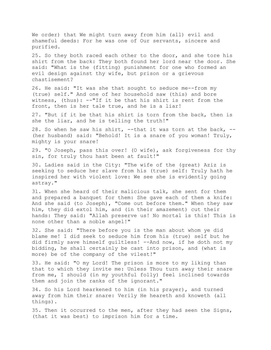We order) that We might turn away from him (all) evil and shameful deeds: For he was one of Our servants, sincere and purified.

25. So they both raced each other to the door, and she tore his shirt from the back: They both found her lord near the door. She said: "What is the (fitting) punishment for one who formed an evil design against thy wife, but prison or a grievous chastisement?

26. He said: "It was she that sought to seduce me--from my (true) self." And one of her household saw (this) and bore witness, (thus): --"If it be that his shirt is rent from the front, then is her tale true, and he is a liar!

27. "But if it be that his shirt is torn from the back, then is she the liar, and he is telling the truth!"

28. So when he saw his shirt,  $-$ -that it was torn at the back,  $-$ -(her husband) said: "Behold! It is a snare of you woman! Truly, mighty is your snare!

29. "O Joseph, pass this over! (O wife), ask forgiveness for thy sin, for truly thou hast been at fault!"

30. Ladies said in the City: "The wife of the (great) Aziz is seeking to seduce her slave from his (true) self: Truly hath he inspired her with violent love: We see she is evidently going astray."

31. When she heard of their malicious talk, she sent for them and prepared a banquet for them: She gave each of them a knife: And she said (to Joseph), "Come out before them." When they saw him, they did extol him, and (in their amazement) cut their hands: They said: "Allah preserve us! No mortal is this! This is none other than a noble angel!"

32. She said: "There before you is the man about whom ye did blame me! I did seek to seduce him from his (true) self but he did firmly save himself guiltless! --And now, if he doth not my bidding, he shall certainly be cast into prison, and (what is more) be of the company of the vilest!"

33. He said: "O my Lord! The prison is more to my liking than that to which they invite me: Unless Thou turn away their snare from me, I should (in my youthful folly) feel inclined towards them and join the ranks of the ignorant."

34. So his Lord hearkened to him (in his prayer), and turned away from him their snare: Verily He heareth and knoweth (all things).

35. Then it occurred to the men, after they had seen the Signs, (that it was best) to imprison him for a time.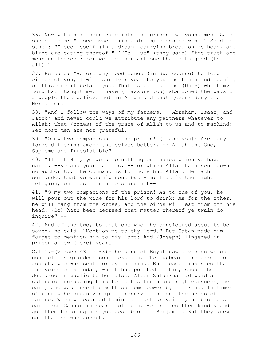36. Now with him there came into the prison two young men. Said one of them: "I see myself (in a dream) pressing wine." Said the other: "I see myself (in a dream) carrying bread on my head, and birds are eating thereof." `"Tell us" (they said) "the truth and meaning thereof: For we see thou art one that doth good (to all)."

37. He said: "Before any food comes (in due course) to feed either of you, I will surely reveal to you the truth and meaning of this ere it befall you: That is part of the (Duty) which my Lord hath taught me. I have (I assure you) abandoned the ways of a people that believe not in Allah and that (even) deny the Hereafter.

38. "And I follow the ways of my fathers, --Abraham, Isaac, and Jacob; and never could we attribute any partners whatever to Allah: That (comes) of the grace of Allah to us and to mankind: Yet most men are not grateful.

39. "O my two companions of the prison! (I ask you): Are many lords differing among themselves better, or Allah the One, Supreme and Irresistible?

40. "If not Him, ye worship nothing but names which ye have named, --ye and your fathers, --for which Allah hath sent down no authority: The Command is for none but Allah: He hath commanded that ye worship none but Him: That is the right religion, but most men understand not--

41. "O my two companions of the prison! As to one of you, he will pour out the wine for his lord to drink: As for the other, he will hang from the cross, and the birds will eat from off his head. (So) hath been decreed that matter whereof ye twain do inquire" --

42. And of the two, to that one whom he considered about to be saved, he said: "Mention me to thy lord." But Satan made him forget to mention him to his lord: And (Joseph) lingered in prison a few (more) years.

C.111.-(Verses 43 to 68)-The king of Egypt saw a vision which none of his grandees could explain. The cupbearer referred to Joseph, who was sent for by the king. But Joseph insisted that the voice of scandal, which had pointed to him, should be declared in public to be false. After Zulaikha had paid a splendid ungrudging tribute to his truth and righteousness, he came, and was invested with supreme power by the king. In times of plenty he organized great reserves to meet the needs of famine. When widespread famine at last prevailed, hi brothers came from Canaan in search of corn. He treated them kindly and got them to bring his youngest brother Benjamin: But they knew not that he was Joseph.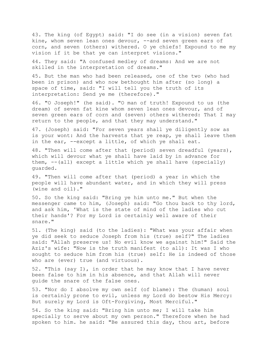43. The king (of Egypt) said: "I do see (in a vision) seven fat kine, whom seven lean ones devour, --and seven green ears of corn, and seven (others) withered. O ye chiefs! Expound to me my vision if it be that ye can interpret visions."

44. They said: "A confused medley of dreams: And we are not skilled in the interpretation of dreams."

45. But the man who had been released, one of the two (who had been in prison) and who now bethought him after (so long) a space of time, said: "I will tell you the truth of its interpretation: Send ye me (therefore)."

46. "O Joseph!" (he said). "O man of truth! Expound to us (the dream) of seven fat kine whom seven lean ones devour, and of seven green ears of corn and (seven) others withered: That I may return to the people, and that they may understand."

47. (Joseph) said: "For seven years shall ye diligently sow as is your wont: And the harvests that ye reap, ye shall leave them in the ear, --except a little, of which ye shall eat.

48. "Then will come after that (period) seven dreadful (years), which will devour what ye shall have laid by in advance for them, --(all) except a little which ye shall have (specially) guarded.

49. "Then will come after that (period) a year in which the people will have abundant water, and in which they will press (wine and oil)."

50. So the king said: "Bring ye him unto me." But when the messenger came to him, (Joseph) said: "Go thou back to thy lord, and ask him, 'What is the state of mind of the ladies who cut their hands'? For my Lord is certainly well aware of their snare."

51. (The king) said (to the ladies): "What was your affair when ye did seek to seduce Joseph from his (true) self?" The ladies said: "Allah preserve us! No evil know we against him!" Said the Aziz's wife: "Now is the truth manifest (to all): It was I who sought to seduce him from his (true) self: He is indeed of those who are (ever) true (and virtuous).

52. "This (say I), in order that he may know that I have never been false to him in his absence, and that Allah will never guide the snare of the false ones.

53. "Nor do I absolve my own self (of blame): The (human) soul is certainly prone to evil, unless my Lord do bestow His Mercy: But surely my Lord is Oft-Forgiving, Most Merciful."

54. So the king said: "Bring him unto me; I will take him specially to serve about my own person." Therefore when he had spoken to him. he said: "Be assured this day, thou art, before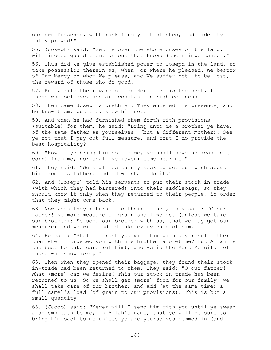our own Presence, with rank firmly established, and fidelity fully proved!"

55. (Joseph) said: "Set me over the storehouses of the land: I will indeed guard them, as one that knows (their importance)."

56. Thus did We give established power to Joseph in the land, to take possession therein as, when, or where he pleased. We bestow of Our Mercy on whom We please, and We suffer not, to be lost, the reward of those who do good.

57. But verily the reward of the Hereafter is the best, for those who believe, and are constant in righteousness.

58. Then came Joseph's brethren: They entered his presence, and he knew them, but they knew him not.

59. And when he had furnished them forth with provisions (suitable) for them, he said: "Bring unto me a brother ye have, of the same father as yourselves, (but a different mother): See ye not that I pay out full measure, and that I do provide the best hospitality?

60. "Now if ye bring him not to me, ye shall have no measure (of corn) from me, nor shall ye (even) come near me."

61. They said: "We shall certainly seek to get our wish about him from his father: Indeed we shall do it."

62. And (Joseph) told his servants to put their stock-in-trade (with which they had bartered) into their saddlebags, so they should know it only when they returned to their people, in order that they might come back.

63. Now when they returned to their father, they said: "O our father! No more measure of grain shall we get (unless we take our brother): So send our brother with us, that we may get our measure; and we will indeed take every care of him.

64. He said: "Shall I trust you with him with any result other than when I trusted you with his brother aforetime? But Allah is the best to take care (of him), and He is the Most Merciful of those who show mercy!"

65. Then when they opened their baggage, they found their stockin-trade had been returned to them. They said: "O our father! What (more) can we desire? This our stock-in-trade has been returned to us: So we shall get (more) food for our family; we shall take care of our brother; and add (at the same time) a full camel's load (of grain to our provisions). This is but a small quantity.

66. (Jacob) said: "Never will I send him with you until ye swear a solemn oath to me, in Allah's name, that ye will be sure to bring him back to me unless ye are yourselves hemmed in (and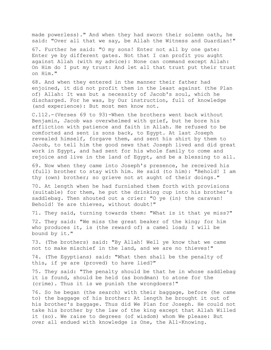made powerless)." And when they had sworn their solemn oath, he said: "Over all that we say, be Allah the Witness and Guardian!"

67. Further he said: "O my sons! Enter not all by one gate: Enter ye by different gates. Not that I can profit you aught against Allah (with my advice): None can command except Allah: On Him do I put my trust: And let all that trust put their trust on Him."

68. And when they entered in the manner their father had enjoined, it did not profit them in the least against (the Plan of) Allah: It was but a necessity of Jacob's soul, which he discharged. For he was, by Our instruction, full of knowledge (and experience): But most men know not.

C.112.-(Verses 69 to 93)-When the brothers went back without Benjamin, Jacob was overwhelmed with grief, but he bore his affliction with patience and faith in Allah. He refused to be comforted and sent is sons back, to Egypt. At last Joseph revealed himself, forgave them, and sent his shirt by them to Jacob, to tell him the good news that Joseph lived and did great work in Egypt, and had sent for his whole family to come and rejoice and live in the land of Egypt, and be a blessing to all.

69. Now when they came into Joseph's presence, he received his (full) brother to stay with him. He said (to him): "Behold! I am thy (own) brother; so grieve not at aught of their doings."

70. At length when he had furnished them forth with provisions (suitable) for them, he put the drinking cup into his brother's saddlebag. Then shouted out a crier: "O ye (in) the caravan! Behold! Ye are thieves, without doubt!"

71. They said, turning towards them: "What is it that ye miss?"

72. They said: "We miss the great beaker of the king; for him who produces it, is (the reward of) a camel load; I will be bound by it."

73. (The brothers) said: "By Allah! Well ye know that we came not to make mischief in the land, and we are no thieves!"

74. (The Egyptians) said: "What then shall be the penalty of this, if ye are (proved) to have lied?"

75. They said: "The penalty should be that he in whose saddlebag it is found, should be held (as bondman) to atone for the (crime). Thus it is we punish the wrongdoers!"

76. So he began (the search) with their baggage, before (he came to) the baggage of his brother: At length he brought it out of his brother's baggage. Thus did We Plan for Joseph. He could not take his brother by the law of the king except that Allah Willed it (so). We raise to degrees (of wisdom) whom We please: But over all endued with knowledge is One, the All-Knowing.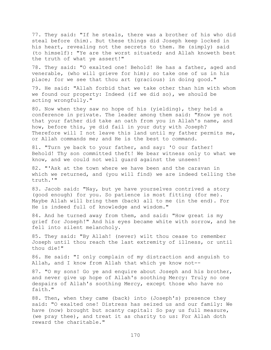77. They said: "If he steals, there was a brother of his who did steal before (him). But these things did Joseph keep locked in his heart, revealing not the secrets to them. He (simply) said (to himself): "Ye are the worst situated; and Allah knoweth best the truth of what ye assert!"

78. They said: "O exalted one! Behold! He has a father, aged and venerable, (who will grieve for him); so take one of us in his place; for we see that thou art (gracious) in doing good."

79. He said: "Allah forbid that we take other than him with whom we found our property: Indeed (if we did so), we should be acting wrongfully."

80. Now when they saw no hope of his (yielding), they held a conference in private. The leader among them said: "Know ye not that your father did take an oath from you in Allah's name, and how, before this, ye did fail in your duty with Joseph? Therefore will I not leave this land until my father permits me, or Allah commands me; and He is the best to command.

81. "Turn ye back to your father, and say: 'O our father! Behold! Thy son committed theft! We bear witness only to what we know, and we could not well guard against the unseen!

82. "'Ask at the town where we have been and the caravan in which we returned, and (you will find) we are indeed telling the truth.'"

83. Jacob said: "Nay, but ye have yourselves contrived a story (good enough) for you. So patience is most fitting (for me). Maybe Allah will bring them (back) all to me (in the end). For He is indeed full of knowledge and wisdom."

84. And he turned away from them, and said: "How great is my grief for Joseph!" And his eyes became white with sorrow, and he fell into silent melancholy.

85. They said: "By Allah! (never) wilt thou cease to remember Joseph until thou reach the last extremity of illness, or until thou die!"

86. He said: "I only complain of my distraction and anguish to Allah, and I know from Allah that which ye know not--

87. "O my sons! Go ye and enquire about Joseph and his brother, and never give up hope of Allah's soothing Mercy: Truly no one despairs of Allah's soothing Mercy, except those who have no faith."

88. Then, when they came (back) into (Joseph's) presence they said: "O exalted one! Distress has seized us and our family: We have (now) brought but scanty capital: So pay us full measure, (we pray thee), and treat it as charity to us: For Allah doth reward the charitable."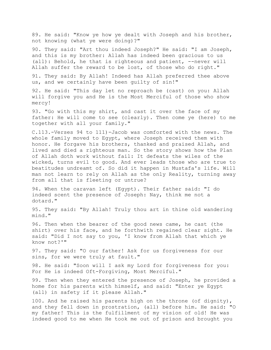89. He said: "Know ye how ye dealt with Joseph and his brother, not knowing (what ye were doing)?"

90. They said: "Art thou indeed Joseph?" He said: "I am Joseph, and this is my brother: Allah has indeed been gracious to us (all): Behold, he that is righteous and patient, --never will Allah suffer the reward to be lost, of those who do right."

91. They said: By Allah! Indeed has Allah preferred thee above us, and we certainly have been guilty of sin!"

92. He said: "This day let no reproach be (cast) on you: Allah will forgive you and He is the Most Merciful of those who show mercy!

93. "Go with this my shirt, and cast it over the face of my father: He will come to see (clearly). Then come ye (here) to me together with all your family."

C.113.-Verses 94 to 111)-Jacob was comforted with the news. The whole family moved to Egypt, where Joseph received them with honor. He forgave his brothers, thanked and praised Allah, and lived and died a righteous man. So the story shows how the Plan of Allah doth work without fail: It defeats the wiles of the wicked, turns evil to good. And ever leads those who are true to beatitudes undreamt of. So did it happen in Mustafa's life. Will man not learn to rely on Allah as the only Reality, turning away from all that is fleeting or untrue?

94. When the caravan left (Egypt). Their father said: "I do indeed scent the presence of Joseph: Nay, think me not a dotard."

95. They said: "By Allah! Truly thou art in thine old wandering mind."

96. Then when the bearer of the good news came, he cast (the shirt) over his face, and he forthwith regained clear sight. He said: "Did I not say to you, 'I know from Allah that which ye know not?'"

97. They said: "O our father! Ask for us forgiveness for our sins, for we were truly at fault."

98. He said: "Soon will I ask my Lord for forgiveness for you: For He is indeed Oft-Forgiving, Most Merciful."

99. Then when they entered the presence of Joseph, he provided a home for his parents with himself, and said: "Enter ye Egypt (all) in safety if it please Allah."

100. And he raised his parents high on the throne (of dignity), and they fell down in prostration, (all) before him. He said: "O my father! This is the fulfillment of my vision of old! He was indeed good to me when He took me out of prison and brought you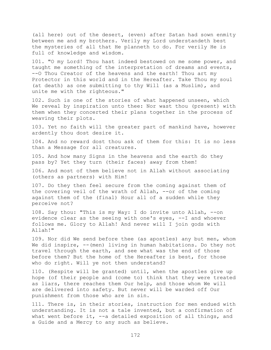(all here) out of the desert, (even) after Satan had sown enmity between me and my brothers. Verily my Lord understandeth best the mysteries of all that He planneth to do. For verily He is full of knowledge and wisdom.

101. "O my Lord! Thou hast indeed bestowed on me some power, and taught me something of the interpretation of dreams and events, --O Thou Creator of the heavens and the earth! Thou art my Protector in this world and in the Hereafter. Take Thou my soul (at death) as one submitting to thy Will (as a Muslim), and unite me with the righteous."

102. Such is one of the stories of what happened unseen, which We reveal by inspiration unto thee: Nor wast thou (present) with them when they concerted their plans together in the process of weaving their plots.

103. Yet no faith will the greater part of mankind have, however ardently thou dost desire it.

104. And no reward dost thou ask of them for this: It is no less than a Message for all creatures.

105. And how many Signs in the heavens and the earth do they pass by? Yet they turn (their faces) away from them!

106. And most of them believe not in Allah without associating (others as partners) with Him!

107. Do they then feel secure from the coming against them of the covering veil of the wrath of Allah, --or of the coming against them of the (final) Hour all of a sudden while they perceive not?

108. Say thou: "This is my Way: I do invite unto Allah, --on evidence clear as the seeing with one's eyes, --I and whoever follows me. Glory to Allah! And never will I join gods with Allah!"

109. Nor did We send before thee (as apostles) any but men, whom We did inspire, --(men) living in human habitations. Do they not travel through the earth, and see what was the end of those before them? But the home of the Hereafter is best, for those who do right. Will ye not then understand?

110. (Respite will be granted) until, when the apostles give up hope (of their people and (come to) think that they were treated as liars, there reaches them Our help, and those whom We will are delivered into safety. But never will be warded off Our punishment from those who are in sin.

111. There is, in their stories, instruction for men endued with understanding. It is not a tale invented, but a confirmation of what went before it,  $--a$  detailed exposition of all things, and a Guide and a Mercy to any such as believe.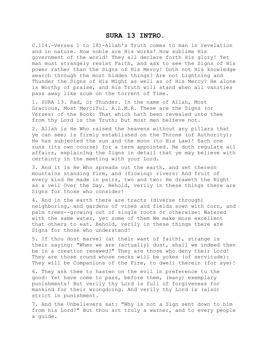## **SURA 13 INTRO.**

C.114.-Verses 1 to 18)-Allah's Truth comes to man in revelation and in nature. How noble are His works! How sublime His government of the world! They all declare forth His glory! Yet man must strangely resist Faith, and ask to see the Signs of His power rather than the Signs of His Mercy! Doth not His knowledge search through the most hidden things? Are not Lightning and Thunder the Signs of His Might as well as of His Mercy? He alone is Worthy of praise, and His Truth will stand when all vanities pass away like scum on the torrent of Time.

1. SURA 13. Rad, or Thunder. In the name of Allah, Most Gracious, Most Merciful. A.L.M.R. These are the Signs (or Verses) of the Book: That which hath been revealed unto thee from thy Lord is the Truth; but most men believe not.

2. Allah is He Who raised the heavens without any pillars that ye can see; is firmly established on the Throne (of Authority); He has subjected the sun and the moon (to His Law)! Each one runs (its own course) for a term appointed. He doth regulate all affairs, explaining the Signs in detail that ye may believe with certainty in the meeting with your Lord.

3. And it is He Who spreads out the earth, and set thereon mountains standing firm, and (flowing) rivers: And fruit of every kind He made in pairs, two and two: He draweth the Night as a veil Over the Day. Behold, verily in these things there are Signs for those who consider!

4. And in the earth there are tracts (diverse through) neighboring, and gardens of vines and fields sown with corn, and palm trees--growing out of single roots or otherwise: Watered with the same water, yet some of them We make more excellent that others to eat. Behold, verily in these things there are Signs for those who understand!

5. If thou dost marvel (at their want of faith), strange is their saying: "When we are (actually) dust, shall we indeed then be in a creation renewed?" They are those who deny their Lord! They are those round whose necks will be yokes (of servitude): They will be Companions of the Fire, to dwell therein (for aye)!

6. They ask thee to hasten on the evil in preference to the good: Yet have come to pass, before them, (many) exemplary punishments! But verily thy Lord is full of forgiveness for mankind for their wrongdoing. And verily thy Lord is (also) strict in punishment.

7. And the Unbelievers sat: "Why is not a Sign sent down to him from his Lord?" But thou art truly a warner, and to every people a guide.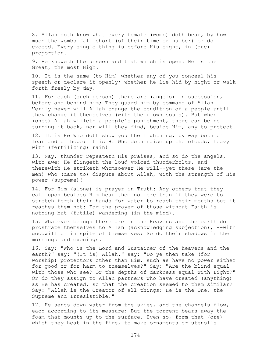8. Allah doth know what every female (womb) doth bear, by how much the wombs fall short (of their time or number) or do exceed. Every single thing is before His sight, in (due) proportion. 9. He knoweth the unseen and that which is open: He is the Great, the most High. 10. It is the same (to Him) whether any of you conceal his speech or declare it openly; whether he lie hid by night or walk forth freely by day. 11. For each (such person) there are (angels) in succession, before and behind him; They guard him by command of Allah. Verily never will Allah change the condition of a people until they change it themselves (with their own souls). But when (once) Allah willeth a people's punishment, there can be no turning it back, nor will they find, beside Him, any to protect. 12. It is He Who doth show you the lightning, by way both of fear and of hope: It is He Who doth raise up the clouds, heavy with (fertilizing) rain! 13. Nay, thunder repeateth His praises, and so do the angels, with awe: He flingeth the loud voiced thunderbolts, and therewith He striketh whomsoever He will--yet these (are the men) who (dare to) dispute about Allah, with the strength of His power (supreme)! 14. For Him (alone) is prayer in Truth: Any others that they call upon besides Him hear them no more than if they were to stretch forth their hands for water to reach their mouths but it reaches them not: For the prayer of those without Faith is nothing but (futile) wandering (in the mind). 15. Whatever beings there are in the Heavens and the earth do prostrate themselves to Allah (acknowledging subjection), --with goodwill or in spite of themselves: So do their shadows in the mornings and evenings. 16. Say: "Who is the Lord and Sustainer of the heavens and the earth?" say: "(It is) Allah." say: "Do ye then take (for worship) protectors other than Him, such as have no power either for good or for harm to themselves?" Say: "Are the blind equal with those who see? Or the depths of darkness equal with Light?" Or do they assign to Allah partners who have created (anything) as He has created, so that the creation seemed to them similar? Say: "Allah is the Creator of all things: He is the One, the

17. He sends down water from the skies, and the channels flow, each according to its measure: But the torrent bears away the foam that mounts up to the surface. Even so, form that (ore) which they heat in the fire, to make ornaments or utensils

Supreme and Irresistible."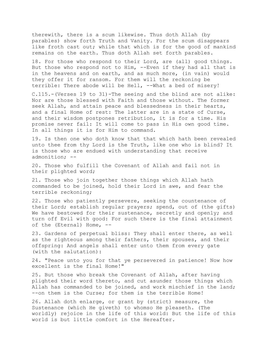therewith, there is a scum likewise. Thus doth Allah (by parables) show forth Truth and Vanity. For the scum disappears like froth cast out; while that which is for the good of mankind remains on the earth. Thus doth Allah set forth parables.

18. For those who respond to their Lord, are (all) good things. But those who respond not to Him, --Even if they had all that is in the heavens and on earth, and as much more, (in vain) would they offer it for ransom. For them will the reckoning be terrible: There abode will be Hell, --What a bed of misery!

C.115.-(Verses 19 to 31)-The seeing and the blind are not alike: Nor are those blessed with Faith and those without. The former seek Allah, and attain peace and blessedness in their hearts, and a final Home of rest: The latter are in a state of Curse, and their wisdom postpones retribution, it is for a time. His promise never fail: It will come to pass in His own good time. In all things it is for Him to command.

19. Is then one who doth know that that which hath been revealed unto thee from thy Lord is the Truth, like one who is blind? It is those who are endued with understanding that receive admonition; --

20. Those who fulfill the Covenant of Allah and fail not in their plighted word;

21. Those who join together those things which Allah hath commanded to be joined, hold their Lord in awe, and fear the terrible reckoning;

22. Those who patiently persevere, seeking the countenance of their Lord; establish regular prayers; spend, out of (the gifts) We have bestowed for their sustenance, secretly and openly; and turn off Evil with good: For such there is the final attainment of the (Eternal) Home, --

23. Gardens of perpetual bliss: They shall enter there, as well as the righteous among their fathers, their spouses, and their offspring: And angels shall enter unto them from every gate (with the salutation):

24. "Peace unto you for that ye persevered in patience! Now how excellent is the final Home!"

25. But those who break the Covenant of Allah, after having plighted their word thereto, and cut asunder those things which Allah has commanded to be joined, and work mischief in the land; --on them is the Curse; for them is the terrible Home!

26. Allah doth enlarge, or grant by (strict) measure, the Sustenance (which He giveth) to whomso He pleaseth. (The worldly) rejoice in the life of this world: But the life of this world is but little comfort in the Hereafter.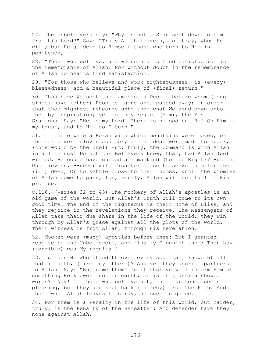27. The Unbelievers say: "Why is not a Sign sent down to him from his Lord?" Say: "Truly Allah leaveth, to stray, whom He will; but He guideth to Himself those who turn to Him in penitence, --

28. "Those who believe, and whose hearts find satisfaction in the remembrance of Allah: For without doubt in the remembrance of Allah do hearts find satisfaction.

29. "For those who believe and work righteousness, is (every) blessedness, and a beautiful place of (final) return."

30. Thus have We sent thee amongst a People before whom (long since) have (other) Peoples (gone and) passed away; in order that thou mightest rehearse unto them what We send down unto thee by inspiration; yet do they reject (Him), the Most Gracious! Say: "He is my Lord! There is no god but He! On Him is my trust, and to Him do I turn!"

31. If there were a Koran with which mountains were moved, or the earth were cloven asunder, or the dead were made to speak, (this would be the one!) But, truly, the Command is with Allah in all things! Do not the Believers know, that, had Allah (so) willed, He could have guided all mankind (to the Right)? But the Unbelievers, --never will disaster cease to seize them for their (ill) deed, Or to settle close to their homes, until the promise of Allah come to pass, for, verily, Allah will not fail in His promise.

C.116.-(Verses 32 to 43)-The mockery of Allah's apostles is an old game of the world. But Allah's Truth will come to its own good time. The End of the righteous is their Home of Bliss, and they rejoice in the revelations they receive. The Messengers of Allah take their due share in the life of the world; they win through by Allah's grace against all the plots of the world. Their witness is from Allah, through His revelation.

32. Mocked were (many) apostles before thee: But I granted respite to the Unbelievers, and finally I punish them: Then how (terrible) was My requital!

33. Is then He Who standeth over every soul (and knoweth) all that it doth, (like any others)? And yet they ascribe partners to Allah. Say: "But name them! Is it that ye will inform Him of something He knoweth not on earth, or is it (just) a show of words?" Nay! To those who believe not, their pretence seems pleasing, but they are kept back (thereby) from the Path. And those whom Allah leaves to stray, no one can guide.

34. For them is a Penalty in the life of this world, but harder, truly, is the Penalty of the Hereafter: And defender have they none against Allah.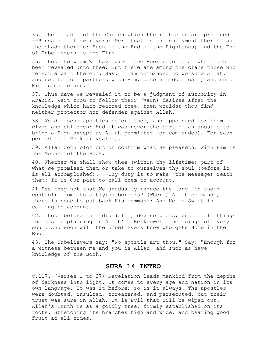35. The parable of the Garden which the righteous are promised! --Beneath it flow rivers: Perpetual is the enjoyment thereof and the shade therein: Such is the End of the Righteous; and the End of Unbelievers is the Fire.

36. Those to whom We have given the Book rejoice at what hath been revealed unto thee: But there are among the clans those who reject a part thereof. Say: "I am commanded to worship Allah, and not to join partners with Him. Unto him do I call, and unto Him is my return."

37. Thus have We revealed it to be a judgment of authority in Arabic. Wert thou to follow their (vain) desires after the knowledge which hath reached thee, then wouldst thou find neither protector nor defender against Allah.

38. We did send apostles before thee, and appointed for them wives and children: And it was never the part of an apostle to bring a Sign except as Allah permitted (or commanded). For each period is a Book (revealed).

39. Allah doth blot out or confirm what He pleaseth: With Him is the Mother of the Book.

40. Whether We shall show thee (within thy lifetime) part of what We promised them or take to ourselves thy soul (before it is all accomplished). --Thy duty is to make (the Message) reach them: It is Our part to call them to account.

41.See they not that We gradually reduce the land (in their control) from its outlying borders? (Where) Allah commands, there is none to put back His command: And He is Swift in calling to account.

42. Those before them did (also) devise plots; but in all things the master planning is Allah's. He knoweth the doings of every soul: And soon will the Unbelievers know who gets Home in the End.

43. The Unbelievers say: "No apostle art thou." Say: "Enough for a witness between me and you is Allah, and such as have knowledge of the Book."

### **SURA 14 INTRO.**

C.117.-(Verses 1 to 27)-Revelation leads mankind from the depths of darkness into light. It comes to every age and nation in its own language. So was it before; so is it always. The apostles were doubted, insulted, threatened, and persecuted, but their trust was sure in Allah. It is Evil that will be wiped out. Allah's Truth is as a goodly tree, firmly established on its roots. Stretching its branches high and wide, and bearing good fruit at all times.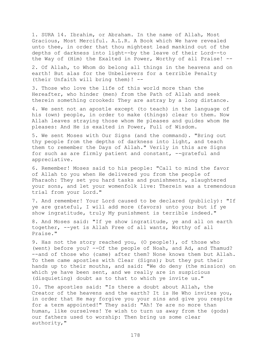1. SURA 14. Ibrahim, or Abraham. In the name of Allah, Most Gracious, Most Merciful. A.L.R. A Book which We have revealed unto thee, in order that thou mightest lead mankind out of the depths of darkness into light--by the leave of their Lord--to the Way of (Him) the Exalted in Power, Worthy of all Praise! --

2. Of Allah, to Whom do belong all things in the heavens and on earth! But alas for the Unbelievers for a terrible Penalty (their Unfaith will bring them)! --

3. Those who love the life of this world more than the Hereafter, who hinder (men) from the Path of Allah and seek therein something crooked: They are astray by a long distance.

4. We sent not an apostle except (to teach) in the language of his (own) people, in order to make (things) clear to them. Now Allah leaves straying those whom He pleases and guides whom He pleases: And He is exalted in Power, Full of Wisdom.

5. We sent Moses with Our Signs (and the command). "Bring out thy people from the depths of darkness into light, and teach them to remember the Days of Allah." Verily in this are Signs for such as are firmly patient and constant, --grateful and appreciative.

6. Remember! Moses said to his people: "Call to mind the favor of Allah to you when He delivered you from the people of Pharaoh: They set you hard tasks and punishments, slaughtered your sons, and let your womenfolk live: Therein was a tremendous trial from your Lord."

7. And remember! Your Lord caused to be declared (publicly): "If ye are grateful, I will add more (favors) unto you; but if ye show ingratitude, truly My punishment is terrible indeed."

8. And Moses said: "If ye show ingratitude, ye and all on earth together, --yet is Allah Free of all wants, Worthy of all Praise."

9. Has not the story reached you, (O people!), of those who (went) before you? --Of the people of Noah, and Ad, and Thamud? --and of those who (came) after them? None knows them but Allah. To them came apostles with Clear (Signs); but they put their hands up to their mouths, and said: "We do deny (the mission) on which ye have been sent, and we really are in suspicious (disquieting) doubt as to that to which ye invite us."

10. The apostles said: "Is there a doubt about Allah, the Creator of the heavens and the earth? It is He Who invites you, in order that He may forgive you your sins and give you respite for a term appointed!" They said: "Ah! Ye are no more than human, like ourselves! Ye wish to turn us away from the (gods) our fathers used to worship: Then bring us some clear authority,"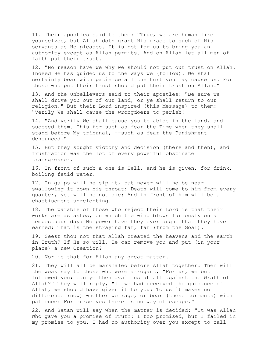11. Their apostles said to them: "True, we are human like yourselves, but Allah doth grant His grace to such of His servants as He pleases. It is not for us to bring you an authority except as Allah permits. And on Allah let all men of faith put their trust.

12. "No reason have we why we should not put our trust on Allah. Indeed He has guided us to the Ways we (follow). We shall certainly bear with patience all the hurt you may cause us. For those who put their trust should put their trust on Allah."

13. And the Unbelievers said to their apostles: "Be sure we shall drive you out of our land, or ye shall return to our religion." But their Lord inspired (this Message) to them: "Verily We shall cause the wrongdoers to perish!

14. "And verily We shall cause you to abide in the land, and succeed them. This for such as fear the Time when they shall stand before My tribunal, --such as fear the Punishment denounced."

15. But they sought victory and decision (there and then), and frustration was the lot of every powerful obstinate transgressor.

16. In front of such a one is Hell, and he is given, for drink, boiling fetid water.

17. In gulps will he sip it, but never will he be near swallowing it down his throat: Death will come to him from every quarter, yet will he not die: And in front of him will be a chastisement unrelenting.

18. The parable of those who reject their Lord is that their works are as ashes, on which the wind blows furiously on a tempestuous day: No power have they over aught that they have earned: That is the straying far, far (from the Goal).

19. Seest thou not that Allah created the heavens and the earth in Truth? If He so will, He can remove you and put (in your place) a new Creation?

20. Nor is that for Allah any great matter.

21. They will all be marshaled before Allah together: Then will the weak say to those who were arrogant, "For us, we but followed you; can ye then avail us at all against the Wrath of Allah?" They will reply, "If we had received the guidance of Allah, we should have given it to you: To us it makes no difference (now) whether we rage, or bear (these torments) with patience: For ourselves there is no way of escape."

22. And Satan will say when the matter is decided: "It was Allah Who gave you a promise of Truth: I too promised, but I failed in my promise to you. I had no authority over you except to call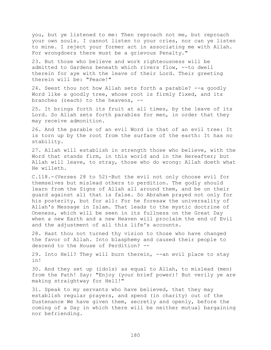you, but ye listened to me: Then reproach not me, but reproach your own souls. I cannot listen to your cries, nor can ye listen to mine. I reject your former act in associating me with Allah. For wrongdoers there must be a grievous Penalty."

23. But those who believe and work righteousness will be admitted to Gardens beneath which rivers flow, --to dwell therein for aye with the leave of their Lord. Their greeting therein will be: "Peace!"

24. Seest thou not how Allah sets forth a parable? --a goodly Word like a goodly tree, whose root is firmly fixed, and its branches (reach) to the heavens, --

25. It brings forth its fruit at all times, by the leave of its Lord. So Allah sets forth parables for men, in order that they may receive admonition.

26. And the parable of an evil Word is that of an evil tree: It is torn up by the root from the surface of the earth: It has no stability.

27. Allah will establish in strength those who believe, with the Word that stands firm, in this world and in the Hereafter; but Allah will leave, to stray, those who do wrong: Allah doeth what He willeth.

C.118.-(Verses 28 to 52)-But the evil not only choose evil for themselves but mislead others to perdition. The godly should learn from the Signs of Allah all around them, and be on their guard against all that is false. So Abraham prayed not only for his posterity, but for all: For he foresaw the universality of Allah's Message in Islam. That leads to the mystic doctrine of Oneness, which will be seen in its fullness on the Great Day when a new Earth and a new Heaven will proclaim the end of Evil and the adjustment of all this life's accounts.

28. Hast thou not turned thy vision to those who have changed the favor of Allah. Into blasphemy and caused their people to descend to the House of Perdition? --

29. Into Hell? They will burn therein, --an evil place to stay in!

30. And they set up (idols) as equal to Allah, to mislead (men) from the Path! Say: "Enjoy (your brief power)! But verily ye are making straightway for Hell!"

31. Speak to my servants who have believed, that they may establish regular prayers, and spend (in charity) out of the Sustenance We have given them, secretly and openly, before the coming of a Day in which there will be neither mutual bargaining nor befriending.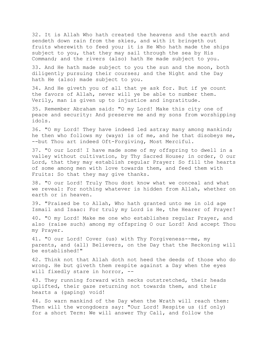32. It is Allah Who hath created the heavens and the earth and sendeth down rain from the skies, and with it bringeth out fruits wherewith to feed you; it is He Who hath made the ships subject to you, that they may sail through the sea by His Command; and the rivers (also) hath He made subject to you.

33. And He hath made subject to you the sun and the moon, both diligently pursuing their courses; and the Night and the Day hath He (also) made subject to you.

34. And He giveth you of all that ye ask for. But if ye count the favors of Allah, never will ye be able to number them. Verily, man is given up to injustice and ingratitude.

35. Remember Abraham said: "O my Lord! Make this city one of peace and security: And preserve me and my sons from worshipping idols.

36. "O my Lord! They have indeed led astray many among mankind; he then who follows my (ways) is of me, and he that disobeys me, --but Thou art indeed Oft-Forgiving, Most Merciful.

37. "O our Lord! I have made some of my offspring to dwell in a valley without cultivation, by Thy Sacred House; in order, O our Lord, that they may establish regular Prayer: So fill the hearts of some among men with love towards them, and feed them with Fruits: So that they may give thanks.

38. "O our Lord! Truly Thou dost know what we conceal and what we reveal: For nothing whatever is hidden from Allah, whether on earth or in heaven.

39. "Praised be to Allah, Who hath granted unto me in old age Ismail and Isaac: For truly my Lord is He, the Hearer of Prayer!

40. "O my Lord! Make me one who establishes regular Prayer, and also (raise such) among my offspring O our Lord! And accept Thou my Prayer.

41. "O our Lord! Cover (us) with Thy Forgiveness--me, my parents, and (all) Believers, on the Day that the Reckoning will be established!"

42. Think not that Allah doth not heed the deeds of those who do wrong. He but giveth them respite against a Day when the eyes will fixedly stare in horror, --

43. They running forward with necks outstretched, their heads uplifted, their gaze returning not towards them, and their hearts a (gaping) void!

44. So warn mankind of the Day when the Wrath will reach them: Then will the wrongdoers say: "Our Lord! Respite us (if only) for a short Term: We will answer Thy Call, and follow the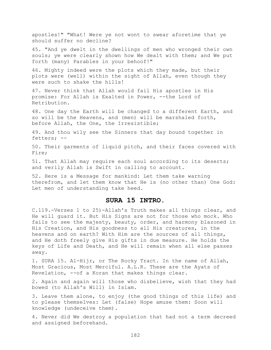apostles!" "What! Were ye not wont to swear aforetime that ye should suffer no decline?

45. "And ye dwelt in the dwellings of men who wronged their own souls; ye were clearly shown how We dealt with them; and We put forth (many) Parables in your behoof!"

46. Mighty indeed were the plots which they made, but their plots were (well) within the sight of Allah, even though they were such to shake the hills!

47. Never think that Allah would fail His apostles in His promise: For Allah is Exalted in Power, --the Lord of Retribution.

48. One day the Earth will be changed to a different Earth, and so will be the Heavens, and (men) will be marshaled forth, before Allah, the One, the Irresistible;

49. And thou wily see the Sinners that day bound together in fetters; --

50. Their garments of liquid pitch, and their faces covered with Fire;

51. That Allah may require each soul according to its deserts; and verily Allah is Swift in calling to account.

52. Here is a Message for mankind: Let them take warning therefrom, and let them know that He is (no other than) One God: Let men of understanding take heed.

# **SURA 15 INTRO.**

C.119.-Verses 1 to 25)-Allah's Truth makes all things clear, and He will guard it. But His Signs are not for those who mock. Who fails to see the majesty, beauty, order, and harmony blazoned in His Creation, and His goodness to all His creatures, in the heavens and on earth? With Him are the sources of all things, and He doth freely give His gifts in due measure. He holds the keys of Life and Death, and He will remain when all else passes away.

1. SURA 15. Al-Hijr, or The Rocky Tract. In the name of Allah, Most Gracious, Most Merciful. A.L.R. These are the Ayats of Revelation, --of a Koran that makes things clear.

2. Again and again will those who disbelieve, wish that they had bowed (to Allah's Will) in Islam.

3. Leave them alone, to enjoy (the good things of this life) and to please themselves: Let (false) Hope amuse them: Soon will knowledge (undeceive them).

4. Never did We destroy a population that had not a term decreed and assigned beforehand.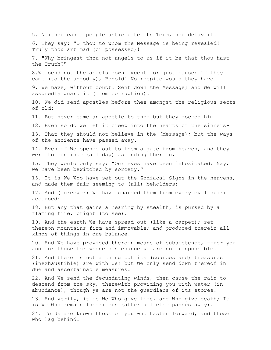5. Neither can a people anticipate its Term, nor delay it. 6. They say: "O thou to whom the Message is being revealed! Truly thou art mad (or possessed)! 7. "Why bringest thou not angels to us if it be that thou hast the Truth?" 8.We send not the angels down except for just cause: If they came (to the ungodly), Behold! No respite would they have! 9. We have, without doubt. Sent down the Message; and We will assuredly guard it (from corruption). 10. We did send apostles before thee amongst the religious sects of old: 11. But never came an apostle to them but they mocked him. 12. Even so do we let it creep into the hearts of the sinners-13. That they should not believe in the (Message); but the ways of the ancients have passed away. 14. Even if We opened out to them a gate from heaven, and they were to continue (all day) ascending therein, 15. They would only say: "Our eyes have been intoxicated: Nay, we have been bewitched by sorcery." 16. It is We Who have set out the Zodiacal Signs in the heavens, and made them fair-seeming to (all) beholders; 17. And (moreover) We have guarded them from every evil spirit accursed: 18. But any that gains a hearing by stealth, is pursed by a flaming fire, bright (to see). 19. And the earth We have spread out (like a carpet); set thereon mountains firm and immovable; and produced therein all kinds of things in due balance. 20. And We have provided therein means of subsistence, --for you and for those for whose sustenance ye are not responsible. 21. And there is not a thing but its (sources and) treasures (inexhaustible) are with Us; but We only send down thereof in due and ascertainable measures. 22. And We send the fecundating winds, then cause the rain to descend from the sky, therewith providing you with water (in abundance), though ye are not the guardians of its stores. 23. And verily, it is We Who give life, and Who give death; It is We Who remain Inheritors (after all else passes away). 24. To Us are known those of you who hasten forward, and those who lag behind.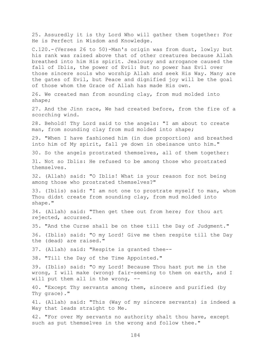25. Assuredly it is thy Lord Who will gather them together: For He is Perfect in Wisdom and Knowledge.

C.120.-(Verses 26 to 50)-Man's origin was from dust, lowly; but his rank was raised above that of other creatures because Allah breathed into him His spirit. Jealousy and arrogance caused the fall of Iblis, the power of Evil: But no power has Evil over those sincere souls who worship Allah and seek His Way. Many are the gates of Evil, but Peace and dignified joy will be the goal of those whom the Grace of Allah has made His own.

26. We created man from sounding clay, from mud molded into shape;

27. And the Jinn race, We had created before, from the fire of a scorching wind.

28. Behold! Thy Lord said to the angels: "I am about to create man, from sounding clay from mud molded into shape;

29. "When I have fashioned him (in due proportion) and breathed into him of My spirit, fall ye down in obeisance unto him."

30. So the angels prostrated themselves, all of them together:

31. Not so Iblis: He refused to be among those who prostrated themselves.

32. (Allah) said: "O Iblis! What is your reason for not being among those who prostrated themselves?"

33. (Iblis) said: "I am not one to prostrate myself to man, whom Thou didst create from sounding clay, from mud molded into shape."

34. (Allah) said: "Then get thee out from here; for thou art rejected, accursed.

35. "And the Curse shall be on thee till the Day of Judgment."

36. (Iblis) said: "O my Lord! Give me then respite till the Day the (dead) are raised."

37. (Allah) said: "Respite is granted thee--

38. "Till the Day of the Time Appointed."

39. (Iblis) said: "O my Lord! Because Thou hast put me in the wrong, I will make (wrong) fair-seeming to them on earth, and I will put them all in the wrong,  $-$ 

40. "Except Thy servants among them, sincere and purified (by Thy grace)."

41. (Allah) said: "This (Way of my sincere servants) is indeed a Way that leads straight to Me.

42. "For over My servants no authority shalt thou have, except such as put themselves in the wrong and follow thee."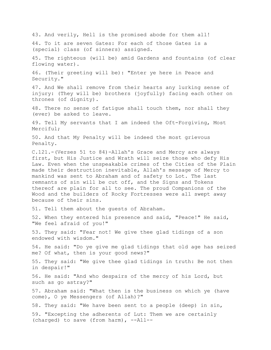43. And verily, Hell is the promised abode for them all! 44. To it are seven Gates: For each of those Gates is a (special) class (of sinners) assigned. 45. The righteous (will be) amid Gardens and fountains (of clear flowing water). 46. (Their greeting will be): "Enter ye here in Peace and Security." 47. And We shall remove from their hearts any lurking sense of injury: (They will be) brothers (joyfully) facing each other on thrones (of dignity). 48. There no sense of fatigue shall touch them, nor shall they (ever) be asked to leave. 49. Tell My servants that I am indeed the Oft-Forgiving, Most Merciful; 50. And that My Penalty will be indeed the most grievous Penalty. C.121.-(Verses 51 to 84)-Allah's Grace and Mercy are always first, but His Justice and Wrath will seize those who defy His Law. Even when the unspeakable crimes of the Cities of the Plain made their destruction inevitable, Allah's message of Mercy to mankind was sent to Abraham and of safety to Lot. The last remnants of sin will be cut off, and the Signs and Tokens thereof are plain for all to see. The proud Companions of the Wood and the builders of Rocky Fortresses were all swept away because of their sins. 51. Tell them about the guests of Abraham. 52. When they entered his presence and said, "Peace!" He said, "We feel afraid of you!" 53. They said: "Fear not! We give thee glad tidings of a son endowed with wisdom." 54. He said: "Do ye give me glad tidings that old age has seized me? Of what, then is your good news?" 55. They said: "We give thee glad tidings in truth: Be not then in despair!" 56. He said: "And who despairs of the mercy of his Lord, but such as go astray?" 57. Abraham said: "What then is the business on which ye (have come), O ye Messengers (of Allah)?" 58. They said: "We have been sent to a people (deep) in sin, 59. "Excepting the adherents of Lut: Them we are certainly (charged) to save (from harm), --All--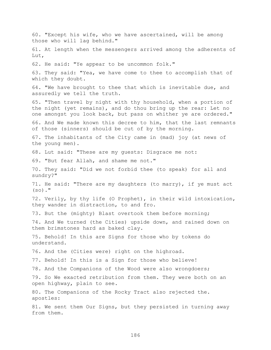60. "Except his wife, who we have ascertained, will be among those who will lag behind." 61. At length when the messengers arrived among the adherents of Lut, 62. He said: "Ye appear to be uncommon folk." 63. They said: "Yea, we have come to thee to accomplish that of which they doubt. 64. "We have brought to thee that which is inevitable due, and assuredly we tell the truth. 65. "Then travel by night with thy household, when a portion of the night (yet remains), and do thou bring up the rear: Let no one amongst you look back, but pass on whither ye are ordered." 66. And We made known this decree to him, that the last remnants of those (sinners) should be cut of by the morning. 67. The inhabitants of the City came in (mad) joy (at news of the young men). 68. Lut said: "These are my guests: Disgrace me not: 69. "But fear Allah, and shame me not." 70. They said: "Did we not forbid thee (to speak) for all and sundry?" 71. He said: "There are my daughters (to marry), if ye must act  $(s<sub>0</sub>)$ ." 72. Verily, by thy life (O Prophet), in their wild intoxication, they wander in distraction, to and fro. 73. But the (mighty) Blast overtook them before morning; 74. And We turned (the Cities) upside down, and rained down on them brimstones hard as baked clay. 75. Behold! In this are Signs for those who by tokens do understand. 76. And the (Cities were) right on the highroad. 77. Behold! In this is a Sign for those who believe! 78. And the Companions of the Wood were also wrongdoers; 79. So We exacted retribution from them. They were both on an open highway, plain to see. 80. The Companions of the Rocky Tract also rejected the. apostles: 81. We sent them Our Signs, but they persisted in turning away from them.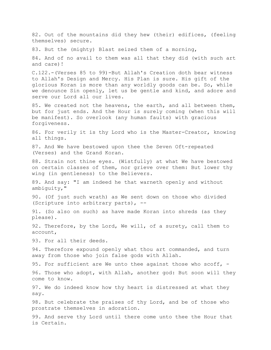82. Out of the mountains did they hew (their) edifices, (feeling themselves) secure. 83. But the (mighty) Blast seized them of a morning, 84. And of no avail to them was all that they did (with such art and care)! C.122.-(Verses 85 to 99)-But Allah's Creation doth bear witness to Allah's Design and Mercy. His Plan is sure. His gift of the glorious Koran is more than any worldly goods can be. So, while we denounce Sin openly, let us be gentle and kind, and adore and serve our Lord all our lives. 85. We created not the heavens, the earth, and all between them, but for just ends. And the Hour is surely coming (when this will be manifest). So overlook (any human faults) with gracious forgiveness. 86. For verily it is thy Lord who is the Master-Creator, knowing all things. 87. And We have bestowed upon thee the Seven Oft-repeated (Verses) and the Grand Koran. 88. Strain not thine eyes. (Wistfully) at what We have bestowed on certain classes of them, nor grieve over them: But lower thy wing (in gentleness) to the Believers. 89. And say: "I am indeed he that warneth openly and without ambiguity," 90. (Of just such wrath) as We sent down on those who divided (Scripture into arbitrary parts), -- 91. (So also on such) as have made Koran into shreds (as they please). 92. Therefore, by the Lord, We will, of a surety, call them to account, 93. For all their deeds. 94. Therefore expound openly what thou art commanded, and turn away from those who join false gods with Allah. 95. For sufficient are We unto thee against those who scoff, -96. Those who adopt, with Allah, another god: But soon will they come to know. 97. We do indeed know how thy heart is distressed at what they say. 98. But celebrate the praises of thy Lord, and be of those who prostrate themselves in adoration. 99. And serve thy Lord until there come unto thee the Hour that is Certain.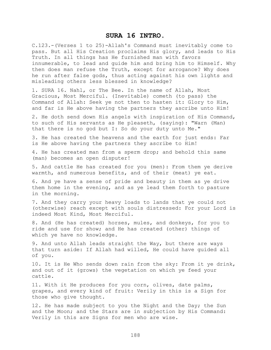#### **SURA 16 INTRO.**

C.123.-(Verses 1 to 25)-Allah's Command must inevitably come to pass. But all His Creation proclaims His glory, and leads to His Truth. In all things has He furnished man with favors innumerable, to lead and guide him and bring him to Himself. Why then does man refuse the Truth, except for arrogance? Why does he run after false gods, thus acting against his own lights and misleading others less blessed in knowledge?

1. SURA 16. Nahl, or The Bee. In the name of Allah, Most Gracious, Most Merciful. (Inevitable) cometh (to pass) the Command of Allah: Seek ye not then to hasten it: Glory to Him, and far is He above having the partners they ascribe unto Him!

2. He doth send down His angels with inspiration of His Command, to such of His servants as He pleaseth, (saying): "Warn (Man) that there is no god but I: So do your duty unto Me."

3. He has created the heavens and the earth for just ends: Far is He above having the partners they ascribe to Him!

4. He has created man from a sperm drop; and behold this same (man) becomes an open disputer!

5. And cattle He has created for you (men): From them ye derive warmth, and numerous benefits, and of their (meat) ye eat.

6. And ye have a sense of pride and beauty in them as ye drive them home in the evening, and as ye lead them forth to pasture in the morning.

7. And they carry your heavy loads to lands that ye could not (otherwise) reach except with souls distressed: For your Lord is indeed Most Kind, Most Merciful.

8. And (He has created) horses, mules, and donkeys, for you to ride and use for show; and He has created (other) things of which ye have no knowledge.

9. And unto Allah leads straight the Way, but there are ways that turn aside: If Allah had willed, He could have guided all of you.

10. It is He Who sends down rain from the sky: From it ye drink, and out of it (grows) the vegetation on which ye feed your cattle.

11. With it He produces for you corn, olives, date palms, grapes, and every kind of fruit: Verily in this is a Sign for those who give thought.

12. He has made subject to you the Night and the Day; the Sun and the Moon; and the Stars are in subjection by His Command: Verily in this are Signs for men who are wise.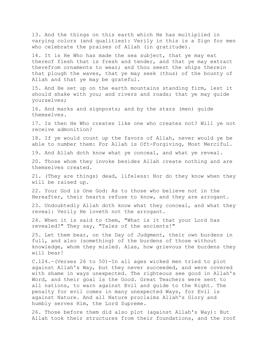13. And the things on this earth which He has multiplied in varying colors (and qualities): Verily in this is a Sign for men who celebrate the praises of Allah (in gratitude).

14. It is He Who has made the sea subject, that ye may eat thereof flesh that is fresh and tender, and that ye may extract therefrom ornaments to wear; and thou seest the ships therein that plough the waves, that ye may seek (thus) of the bounty of Allah and that ye may be grateful.

15. And He set up on the earth mountains standing firm, lest it should shake with you; and rivers and roads; that ye may guide yourselves;

16. And marks and signposts; and by the stars (men) guide themselves.

17. Is then He Who creates like one who creates not? Will ye not receive admonition?

18. If ye would count up the favors of Allah, never would ye be able to number them: For Allah is Oft-Forgiving, Most Merciful.

19. And Allah doth know what ye conceal, and what ye reveal.

20. Those whom they invoke besides Allah create nothing and are themselves created.

21. (They are things) dead, lifeless: Nor do they know when they will be raised up.

22. Your God is One God: As to those who believe not in the Hereafter, their hearts refuse to know, and they are arrogant.

23. Undoubtedly Allah doth know what they conceal, and what they reveal: Verily He loveth not the arrogant.

24. When it is said to them, "What is it that your Lord has revealed?" They say, "Tales of the ancients!"

25. Let them bear, on the Day of Judgment, their own burdens in full, and also (something) of the burdens of those without knowledge, whom they misled. Alas, how grievous the burdens they will bear!

C.124.-(Verses 26 to 50)-In all ages wicked men tried to plot against Allah's Way, but they never succeeded, and were covered with shame in ways unexpected. The righteous see good in Allah's Word, and their goal is the Good. Great Teachers were sent to all nations, to warn against Evil and guide to the Right. The penalty for evil comes in many unexpected Ways, for Evil is against Nature. And all Nature proclaims Allah's Glory and humbly serves Him, the Lord Supreme.

26. Those before them did also plot (against Allah's Way): But Allah took their structures from their foundations, and the roof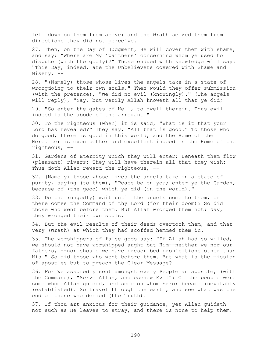fell down on them from above; and the Wrath seized them from directions they did not perceive.

27. Then, on the Day of Judgment, He will cover them with shame, and say: "Where are My 'partners' concerning whom ye used to dispute (with the godly)?" Those endued with knowledge will say: "This Day, indeed, are the Unbelievers covered with Shame and Misery, --

28. "(Namely) those whose lives the angels take in a state of wrongdoing to their own souls." Then would they offer submission (with the pretence), "We did no evil (knowingly)." (The angels will reply), "Nay, but verily Allah knoweth all that ye did;

29. "So enter the gates of Hell, to dwell therein. Thus evil indeed is the abode of the arrogant."

30. To the righteous (when) it is said, "What is it that your Lord has revealed?" They say, "All that is good." To those who do good, there is good in this world, and the Home of the Hereafter is even better and excellent indeed is the Home of the righteous, --

31. Gardens of Eternity which they will enter: Beneath them flow (pleasant) rivers: They will have therein all that they wish: Thus doth Allah reward the righteous, --

32. (Namely) those whose lives the angels take in a state of purity, saying (to them), "Peace be on you; enter ye the Garden, because of (the good) which ye did (in the world)."

33. Do the (ungodly) wait until the angels come to them, or there comes the Command of thy Lord (for their doom)? So did those who went before them. But Allah wronged them not: Nay, they wronged their own souls.

34. But the evil results of their deeds overtook them, and that very (Wrath) at which they had scoffed hemmed them in.

35. The worshippers of false gods say: "If Allah had so willed, we should not have worshipped aught but Him--neither we nor our fathers, --nor should we have prescribed prohibitions other than His." So did those who went before them. But what is the mission of apostles but to preach the Clear Message?

36. For We assuredly sent amongst every People an apostle, (with the Command), "Serve Allah, and eschew Evil": Of the people were some whom Allah guided, and some on whom Error became inevitably (established). So travel through the earth, and see what was the end of those who denied (the Truth).

37. If thou art anxious for their guidance, yet Allah guideth not such as He leaves to stray, and there is none to help them.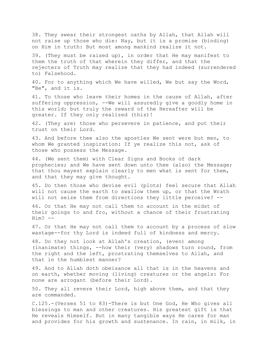38. They swear their strongest oaths by Allah, that Allah will not raise up those who die: Nay, but it is a promise (binding) on Him in truth: But most among mankind realize it not.

39. (They must be raised up), in order that He may manifest to them the truth of that wherein they differ, and that the rejecters of Truth may realize that they had indeed (surrendered to) Falsehood.

40. For to anything which We have willed, We but say the Word, "Be", and it is.

41. To those who leave their homes in the cause of Allah, after suffering oppression, --We will assuredly give a goodly home in this world; but truly the reward of the Hereafter will be greater. If they only realized (this)!

42. (They are) those who persevere in patience, and put their trust on their Lord.

43. And before thee also the apostles We sent were but men, to whom We granted inspiration: If ye realize this not, ask of those who possess the Message.

44. (We sent them) with Clear Signs and Books of dark prophecies; and We have sent down unto thee (also) the Message; that thou mayest explain clearly to men what is sent for them, and that they may give thought.

45. Do then those who devise evil (plots) feel secure that Allah will not cause the earth to swallow them up, or that the Wrath will not seize them from directions they little perceive? --

46. Or that He may not call them to account in the midst of their goings to and fro, without a chance of their frustrating  $Him?$   $--$ 

47. Or that He may not call them to account by a process of slow wastage--for thy Lord is indeed full of kindness and mercy.

48. Do they not look at Allah's creation, (even) among (inanimate) things, --how their (very) shadows turn round, from the right and the left, prostrating themselves to Allah, and that in the humblest manner?

49. And to Allah doth obeisance all that is in the heavens and on earth, whether moving (living) creatures or the angels: For none are arrogant (before their Lord).

50. They all revere their Lord, high above them, and that they are commanded.

C.125.-(Verses 51 to 83)-There is but One God, He Who gives all blessings to man and other creatures. His greatest gift is that He reveals Himself. But in many tangible ways He cares for man and provides for his growth and sustenance. In rain, in milk, in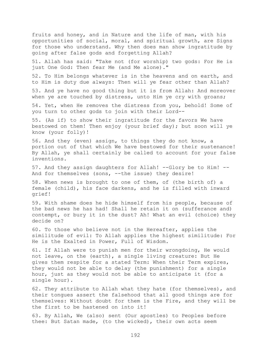fruits and honey, and in Nature and the life of man, with his opportunities of social, moral, and spiritual growth, are Signs for those who understand. Why then does man show ingratitude by going after false gods and forgetting Allah?

51. Allah has said: "Take not (for worship) two gods: For He is just One God: Then fear Me (and Me alone)."

52. To Him belongs whatever is in the heavens and on earth, and to Him is duty due always: Then will ye fear other than Allah?

53. And ye have no good thing but it is from Allah: And moreover when ye are touched by distress, unto Him ye cry with groans;

54. Yet, when He removes the distress from you, behold! Some of you turn to other gods to join with their Lord--

55. (As if) to show their ingratitude for the favors We have bestowed on them! Then enjoy (your brief day); but soon will ye know (your folly)!

56. And they (even) assign, to things they do not know, a portion out of that which We have bestowed for their sustenance! By Allah, ye shall certainly be called to account for your false inventions.

57. And they assign daughters for Allah! --Glory be to Him! -- And for themselves (sons, --the issue) they desire!

58. When news is brought to one of them, of (the birth of) a female (child), his face darkens, and he is filled with inward grief!

59. With shame does he hide himself from his people, because of the bad news he has had! Shall he retain it on (sufferance and) contempt, or bury it in the dust? Ah! What an evil (choice) they decide on?

60. To those who believe not in the Hereafter, applies the similitude of evil: To Allah applies the highest similitude: For He is the Exalted in Power, Full of Wisdom.

61. If Allah were to punish men for their wrongdoing, He would not leave, on the (earth), a single living creature: But He gives them respite for a stated Term: When their Term expires, they would not be able to delay (the punishment) for a single hour, just as they would not be able to anticipate it (for a single hour).

62. They attribute to Allah what they hate (for themselves), and their tongues assert the falsehood that all good things are for themselves: Without doubt for them is the Fire, and they will be the first to be hastened on into it!

63. By Allah, We (also) sent (Our apostles) to Peoples before thee: But Satan made, (to the wicked), their own acts seem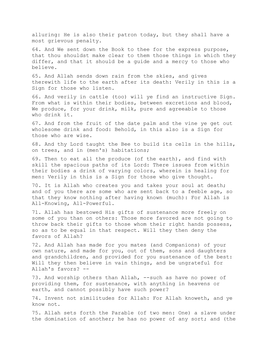alluring: He is also their patron today, but they shall have a most grievous penalty.

64. And We sent down the Book to thee for the express purpose, that thou shouldst make clear to them those things in which they differ, and that it should be a guide and a mercy to those who believe.

65. And Allah sends down rain from the skies, and gives therewith life to the earth after its death: Verily in this is a Sign for those who listen.

66. And verily in cattle (too) will ye find an instructive Sign. From what is within their bodies, between excretions and blood, We produce, for your drink, milk, pure and agreeable to those who drink it.

67. And from the fruit of the date palm and the vine ye get out wholesome drink and food: Behold, in this also is a Sign for those who are wise.

68. And thy Lord taught the Bee to build its cells in the hills, on trees, and in (men's) habitations;

69. Then to eat all the produce (of the earth), and find with skill the spacious paths of its Lord: There issues from within their bodies a drink of varying colors, wherein is healing for men: Verily in this is a Sign for those who give thought.

70. It is Allah who creates you and takes your soul at death; and of you there are some who are sent back to a feeble age, so that they know nothing after having known (much): For Allah is All-Knowing, All-Powerful.

71. Allah has bestowed His gifts of sustenance more freely on some of you than on others: Those more favored are not going to throw back their gifts to those whom their right hands possess, so as to be equal in that respect. Will they then deny the favors of Allah?

72. And Allah has made for you mates (and Companions) of your own nature, and made for you, out of them, sons and daughters and grandchildren, and provided for you sustenance of the best: Will they then believe in vain things, and be ungrateful for Allah's favors? --

73. And worship others than Allah, --such as have no power of providing them, for sustenance, with anything in heavens or earth, and cannot possibly have such power?

74. Invent not similitudes for Allah: For Allah knoweth, and ye know not.

75. Allah sets forth the Parable (of two men: One) a slave under the domination of another; he has no power of any sort; and (the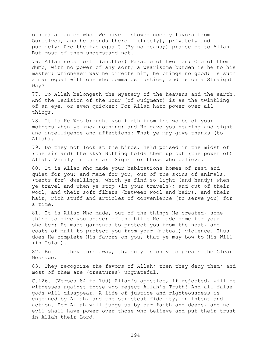other) a man on whom We have bestowed goodly favors from Ourselves, and he spends thereof (freely), privately and publicly: Are the two equal? (By no means;) praise be to Allah. But most of them understand not.

76. Allah sets forth (another) Parable of two men: One of them dumb, with no power of any sort; a wearisome burden is he to his master; whichever way he directs him, he brings no good: Is such a man equal with one who commands justice, and is on a Straight Way?

77. To Allah belongeth the Mystery of the heavens and the earth. And the Decision of the Hour (of Judgment) is as the twinkling of an eye, or even quicker: For Allah hath power over all things.

78. It is He Who brought you forth from the wombs of your mothers when ye knew nothing; and He gave you hearing and sight and intelligence and affections: That ye may give thanks (to Allah).

79. Do they not look at the birds, held poised in the midst of (the air and) the sky? Nothing holds them up but (the power of) Allah. Verily in this are Signs for those who believe.

80. It is Allah Who made your habitations homes of rest and quiet for you; and made for you, out of the skins of animals, (tents for) dwellings, which ye find so light (and handy) when ye travel and when ye stop (in your travels); and out of their wool, and their soft fibers (between wool and hair), and their hair, rich stuff and articles of convenience (to serve you) for a time.

81. It is Allah Who made, out of the things He created, some thing to give you shade; of the hills He made some for your shelter; He made garments to protect you from the heat, and coats of mail to protect you from your (mutual) violence. Thus does He complete His favors on you, that ye may bow to His Will (in Islam).

82. But if they turn away, thy duty is only to preach the Clear Message.

83. They recognize the favors of Allah; then they deny them; and most of them are (creatures) ungrateful.

C.126.-(Verses 84 to 100)-Allah's apostles, if rejected, will be witnesses against those who reject Allah's Truth! And all false gods will disappear. A life of justice and righteousness is enjoined by Allah, and the strictest fidelity, in intent and action. For Allah will judge us by our faith and deeds, and no evil shall have power over those who believe and put their trust in Allah their Lord.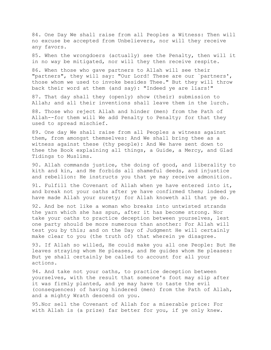84. One Day We shall raise from all Peoples a Witness: Then will no excuse be accepted from Unbelievers, nor will they receive any favors.

85. When the wrongdoers (actually) see the Penalty, then will it in no way be mitigated, nor will they then receive respite.

86. When those who gave partners to Allah will see their "partners", they will say: "Our Lord! These are our `partners', those whom we used to invoke besides Thee." But they will throw back their word at them (and say): "Indeed ye are liars!"

87. That day shall they (openly) show (their) submission to Allah; and all their inventions shall leave them in the lurch.

88. Those who reject Allah and hinder (men) from the Path of Allah--for them will We add Penalty to Penalty; for that they used to spread mischief.

89. One day We shall raise from all Peoples a witness against them, from amongst themselves: And We shall bring thee as a witness against these (thy people): And We have sent down to thee the Book explaining all things, a Guide, a Mercy, and Glad Tidings to Muslims.

90. Allah commands justice, the doing of good, and liberality to kith and kin, and He forbids all shameful deeds, and injustice and rebellion: He instructs you that ye may receive admonition.

91. Fulfill the Covenant of Allah when ye have entered into it, and break not your oaths after ye have confirmed them; indeed ye have made Allah your surety; for Allah knoweth all that ye do.

92. And be not like a woman who breaks into untwisted strands the yarn which she has spun, after it has become strong. Nor take your oaths to practice deception between yourselves, lest one party should be more numerous than another: For Allah will test you by this; and on the Day of Judgment He will certainly make clear to you (the truth of) that wherein ye disagree.

93. If Allah so willed, He could make you all one People: But He leaves straying whom He pleases, and He guides whom He pleases: But ye shall certainly be called to account for all your actions.

94. And take not your oaths, to practice deception between yourselves, with the result that someone's foot may slip after it was firmly planted, and ye may have to taste the evil (consequences) of having hindered (men) from the Path of Allah, and a mighty Wrath descend on you.

95.Nor sell the Covenant of Allah for a miserable price: For with Allah is (a prize) far better for you, if ye only knew.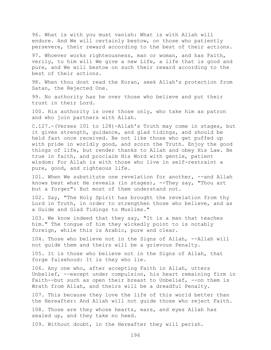96. What is with you must vanish: What is with Allah will endure. And We will certainly bestow, on those who patiently persevere, their reward according to the best of their actions.

97. Whoever works righteousness, man or woman, and has Faith, verily, to him will We give a new Life, a life that is good and pure, and We will bestow on such their reward according to the best of their actions.

98. When thou dost read the Koran, seek Allah's protection from Satan, the Rejected One.

99. No authority has he over those who believe and put their trust in their Lord.

100. His authority is over those only, who take him as patron and who join partners with Allah.

C.127.-(Verses 101 to 128)-Allah's Truth may come in stages, but it gives strength, guidance, and glad tidings, and should be held fast once received. Be not like those who get puffed up with pride in worldly good, and scorn the Truth. Enjoy the good things of life, but render thanks to Allah and obey His Law. Be true in faith, and proclaim His Word with gentle, patient wisdom: For Allah is with those who live in self-restraint a pure, good, and righteous life.

101. When We substitute one revelation for another, --and Allah knows best what He reveals (in stages), --They say, "Thou art but a forger": But most of them understand not.

102. Say, "The Holy Spirit has brought the revelation from thy Lord in Truth, in order to strengthen those who believe, and as a Guide and Glad Tidings to Muslims."

103. We know indeed that they say, "It is a man that teaches him." The tongue of him they wickedly point to is notably foreign, while this is Arabic, pure and clear.

104. Those who believe not in the Signs of Allah, --Allah will not guide them and theirs will be a grievous Penalty.

105. It is those who believe not in the Signs of Allah, that forge falsehood: It is they who lie.

106. Any one who, after accepting Faith in Allah, utters Unbelief, --except under compulsion, his heart remaining firm in Faith--but such as open their breast to Unbelief, --on them is Wrath from Allah, and theirs will be a dreadful Penalty.

107. This because they love the life of this world better than the Hereafter: And Allah will not guide those who reject Faith.

108. Those are they whose hearts, ears, and eyes Allah has sealed up, and they take no heed.

109. Without doubt, in the Hereafter they will perish.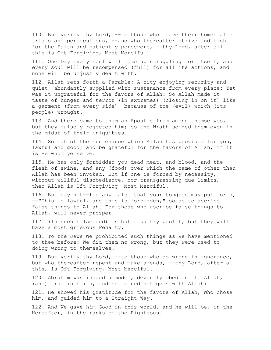110. But verily thy Lord, --to those who leave their homes after trials and persecutions, --and who thereafter strive and fight for the Faith and patiently persevere, --thy Lord, after all this is Oft-Forgiving, Most Merciful.

111. One Day every soul will come up struggling for itself, and every soul will be recompensed (full) for all its actions, and none will be unjustly dealt with.

112. Allah sets forth a Parable: A city enjoying security and quiet, abundantly supplied with sustenance from every place: Yet was it ungrateful for the favors of Allah: So Allah made it taste of hunger and terror (in extremes) (closing in on it) like a garment (from every side), because of the (evil) which (its people) wrought.

113. And there came to them an Apostle from among themselves, but they falsely rejected him; so the Wrath seized them even in the midst of their iniquities.

114. So eat of the sustenance which Allah has provided for you, lawful and good; and be grateful for the favors of Allah, if it is He whom ye serve.

115. He has only forbidden you dead meat, and blood, and the flesh of swine, and any (food) over which the name of other than Allah has been invoked. But if one is forced by necessity, without willful disobedience, nor transgressing due limits, - then Allah is Oft-Forgiving, Most Merciful.

116. But say not--for any false that your tongues may put forth, --"This is lawful, and this is forbidden," so as to ascribe false things to Allah. For those who ascribe false things to Allah, will never prosper.

117. (In such falsehood) is but a paltry profit; but they will have a most grievous Penalty.

118. To the Jews We prohibited such things as We have mentioned to thee before: We did them no wrong, but they were used to doing wrong to themselves.

119. But verily thy Lord, --to those who do wrong in ignorance, but who thereafter repent and make amends, --thy Lord, after all this, is Oft-Forgiving, Most Merciful.

120. Abraham was indeed a model, devoutly obedient to Allah, (and) true in faith, and he joined not gods with Allah:

121. He showed his gratitude for the favors of Allah, Who chose him, and guided him to a Straight Way.

122. And We gave him Good in this world, and he will be, in the Hereafter, in the ranks of the Righteous.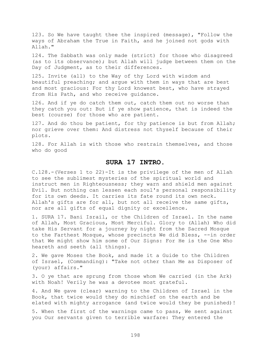123. So We have taught thee the inspired (message), "Follow the ways of Abraham the True in Faith, and he joined not gods with Allah."

124. The Sabbath was only made (strict) for those who disagreed (as to its observance); but Allah will judge between them on the Day of Judgment, as to their differences.

125. Invite (all) to the Way of thy Lord with wisdom and beautiful preaching; and argue with them in ways that are best and most gracious: For thy Lord knowest best, who have strayed from His Path, and who receive guidance.

126. And if ye do catch them out, catch them out no worse than they catch you out: But if ye show patience, that is indeed the best (course) for those who are patient.

127. And do thou be patient, for thy patience is but from Allah; nor grieve over them: And distress not thyself because of their plots.

128. For Allah is with those who restrain themselves, and those who do good

# **SURA 17 INTRO.**

C.128.-(Verses 1 to 22)-It is the privilege of the men of Allah to see the sublimest mysteries of the spiritual world and instruct men in Righteousness; they warn and shield men against Evil. But nothing can lessen each soul's personal responsibility for its own deeds. It carries its fate round its own neck. Allah's gifts are for all, but not all receive the same gifts, nor are all gifts of equal dignity or excellence.

1. SURA 17. Bani Israil, or the Children of Israel. In the name of Allah, Most Gracious, Most Merciful. Glory to (Allah) Who did take His Servant for a journey by night from the Sacred Mosque to the Farthest Mosque, whose precincts We did Bless, --in order that We might show him some of Our Signs: For He is the One Who heareth and seeth (all things).

2. We gave Moses the Book, and made it a Guide to the Children of Israel, (Commanding): "Take not other than Me as Disposer of (your) affairs."

3. O ye that are sprung from those whom We carried (in the Ark) with Noah! Verily he was a devotee most grateful.

4. And We gave (clear) warning to the Children of Israel in the Book, that twice would they do mischief on the earth and be elated with mighty arrogance (and twice would they be punished)!

5. When the first of the warnings came to pass, We sent against you Our servants given to terrible warfare: They entered the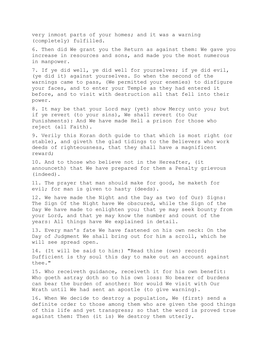very inmost parts of your homes; and it was a warning (completely) fulfilled.

6. Then did We grant you the Return as against them: We gave you increase in resources and sons, and made you the most numerous in manpower.

7. If ye did well, ye did well for yourselves; if ye did evil, (ye did it) against yourselves. So when the second of the warnings came to pass, (We permitted your enemies) to disfigure your faces, and to enter your Temple as they had entered it before, and to visit with destruction all that fell into their power.

8. It may be that your Lord may (yet) show Mercy unto you; but if ye revert (to your sins), We shall revert (to Our Punishments): And We have made Hell a prison for those who reject (all Faith).

9. Verily this Koran doth guide to that which is most right (or stable), and giveth the glad tidings to the Believers who work deeds of righteousness, that they shall have a magnificent reward;

10. And to those who believe not in the Hereafter, (it announceth) that We have prepared for them a Penalty grievous (indeed).

11. The prayer that man should make for good, he maketh for evil; for man is given to hasty (deeds).

12. We have made the Night and the Day as two (of Our) Signs: The Sign Of the Night have We obscured, while the Sign of the Day We have made to enlighten you; that ye may seek bounty from your Lord, and that ye may know the number and count of the years: All things have We explained in detail.

13. Every man's fate We have fastened on his own neck: On the Day of Judgment We shall bring out for him a scroll, which he will see spread open.

14. (It will be said to him:) "Read thine (own) record: Sufficient is thy soul this day to make out an account against thee."

15. Who receiveth guidance, receiveth it for his own benefit: Who goeth astray doth so to his own loss: No bearer of burdens can bear the burden of another: Nor would We visit with Our Wrath until We had sent an apostle (to give warning).

16. When We decide to destroy a population, We (first) send a definite order to those among them who are given the good things of this life and yet transgress; so that the word is proved true against them: Then (it is) We destroy them utterly.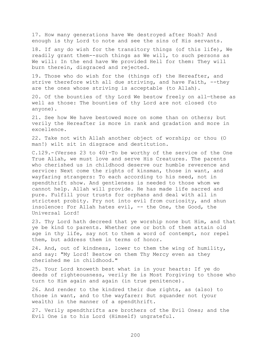17. How many generations have We destroyed after Noah? And enough is thy Lord to note and see the sins of His servants.

18. If any do wish for the transitory things (of this life), We readily grant them--such things as We will, to such persons as We will: In the end have We provided Hell for them: They will burn therein, disgraced and rejected.

19. Those who do wish for the (things of) the Hereafter, and strive therefore with all due striving, and have Faith, --they are the ones whose striving is acceptable (to Allah).

20. Of the bounties of thy Lord We bestow freely on all—these as well as those: The bounties of thy Lord are not closed (to anyone).

21. See how We have bestowed more on some than on others; but verily the Hereafter is more in rank and gradation and more in excellence.

22. Take not with Allah another object of worship; or thou (O man!) wilt sit in disgrace and destitution.

C.129.-(Verses 23 to 40)-To be worthy of the service of the One True Allah, we must love and serve His Creatures. The parents who cherished us in childhood deserve our humble reverence and service: Next come the rights of kinsman, those in want, and wayfaring strangers: To each according to his need, not in spendthrift show. And gentleness is needed to those whom we cannot help. Allah will provide. He has made life sacred and pure. Fulfill your trusts for orphans and deal with all in strictest probity. Pry not into evil from curiosity, and shun insolence: For Allah hates evil, -- the One, the Good, the Universal Lord!

23. Thy Lord hath decreed that ye worship none but Him, and that ye be kind to parents. Whether one or both of them attain old age in thy life, say not to them a word of contempt, nor repel them, but address them in terms of honor.

24. And, out of kindness, lower to them the wing of humility, and say: "My Lord! Bestow on them Thy Mercy even as they cherished me in childhood."

25. Your Lord knoweth best what is in your hearts: If ye do deeds of righteousness, verily He is Most Forgiving to those who turn to Him again and again (in true penitence).

26. And render to the kindred their due rights, as (also) to those in want, and to the wayfarer: But squander not (your wealth) in the manner of a spendthrift.

27. Verily spendthrifts are brothers of the Evil Ones; and the Evil One is to his Lord (Himself) ungrateful.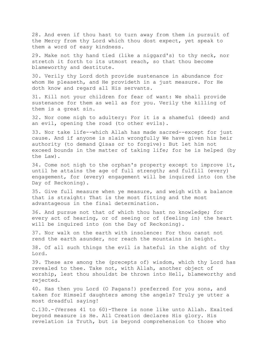28. And even if thou hast to turn away from them in pursuit of the Mercy from thy Lord which thou dost expect, yet speak to them a word of easy kindness.

29. Make not thy hand tied (like a niggard's) to thy neck, nor stretch it forth to its utmost reach, so that thou become blameworthy and destitute.

30. Verily thy Lord doth provide sustenance in abundance for whom He pleaseth, and He provideth in a just measure. For He doth know and regard all His servants.

31. Kill not your children for fear of want: We shall provide sustenance for them as well as for you. Verily the killing of them is a great sin.

32. Nor come nigh to adultery: For it is a shameful (deed) and an evil, opening the road (to other evils).

33. Nor take life--which Allah has made sacred--except for just cause. And if anyone is slain wrongfully We have given his heir authority (to demand Qisas or to forgive): But let him not exceed bounds in the matter of taking life; for he is helped (by the Law).

34. Come not nigh to the orphan's property except to improve it, until he attains the age of full strength; and fulfill (every) engagement, for (every) engagement will be inquired into (on the Day of Reckoning).

35. Give full measure when ye measure, and weigh with a balance that is straight: That is the most fitting and the most advantageous in the final determination.

36. And pursue not that of which thou hast no knowledge; for every act of hearing, or of seeing or of (feeling in) the heart will be inquired into (on the Day of Reckoning).

37. Nor walk on the earth with insolence: For thou canst not rend the earth asunder, nor reach the mountains in height.

38. Of all such things the evil is hateful in the sight of thy Lord.

39. These are among the (precepts of) wisdom, which thy Lord has revealed to thee. Take not, with Allah, another object of worship, lest thou shouldst be thrown into Hell, blameworthy and rejected.

40. Has then you Lord (O Pagans!) preferred for you sons, and taken for Himself daughters among the angels? Truly ye utter a most dreadful saying!

C.130.-(Verses 41 to 60)-There is none like unto Allah. Exalted beyond measure is He. All Creation declares His glory. His revelation is Truth, but is beyond comprehension to those who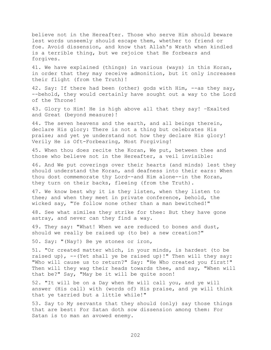believe not in the Hereafter. Those who serve Him should beware lest words unseemly should escape them, whether to friend or foe. Avoid dissension, and know that Allah's Wrath when kindled is a terrible thing, but we rejoice that He forbears and forgives.

41. We have explained (things) in various (ways) in this Koran, in order that they may receive admonition, but it only increases their flight (from the Truth)!

42. Say: If there had been (other) gods with Him, --as they say, --behold, they would certainly have sought out a way to the Lord of the Throne!

43. Glory to Him! He is high above all that they say! –Exalted and Great (beyond measure)!

44. The seven heavens and the earth, and all beings therein, declare His glory: There is not a thing but celebrates His praise; and yet ye understand not how they declare His glory! Verily He is Oft-Forbearing, Most Forgiving!

45. When thou does recite the Koran, We put, between thee and those who believe not in the Hereafter, a veil invisible:

46. And We put coverings over their hearts (and minds) lest they should understand the Koran, and deafness into their ears: When thou dost commemorate thy Lord--and Him alone--in the Koran, they turn on their backs, fleeing (from the Truth).

47. We know best why it is they listen, when they listen to thee; and when they meet in private conference, behold, the wicked say, "Ye follow none other than a man bewitched!"

48. See what similes they strike for thee: But they have gone astray, and never can they find a way.

49. They say: "What! When we are reduced to bones and dust, should we really be raised up (to be) a new creation?"

50. Say: "(Nay!) Be ye stones or iron,

51. "Or created matter which, in your minds, is hardest (to be raised up), --(Yet shall ye be raised up)!" Then will they say: "Who will cause us to return?" Say: "He Who created you first!" Then will they wag their heads towards thee, and say, "When will that be?" Say, "May be it will be quite soon!

52. "It will be on a Day when He will call you, and ye will answer (His call) with (words of) His praise, and ye will think that ye tarried but a little while!"

53. Say to My servants that they should (only) say those things that are best: For Satan doth sow dissension among them: For Satan is to man an avowed enemy.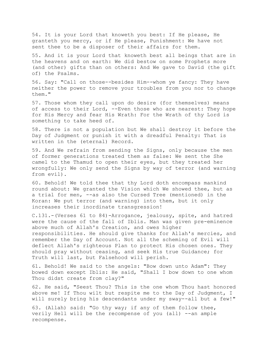54. It is your Lord that knoweth you best: If He please, He granteth you mercy, or if He please, Punishment: We have not sent thee to be a disposer of their affairs for them.

55. And it is your Lord that knoweth best all beings that are in the heavens and on earth: We did bestow on some Prophets more (and other) gifts than on others: And We gave to David (the gift of) the Psalms.

56. Say: "Call on those--besides Him--whom ye fancy: They have neither the power to remove your troubles from you nor to change them."

57. Those whom they call upon do desire (for themselves) means of access to their Lord, --Even those who are nearest: They hope for His Mercy and fear His Wrath: For the Wrath of thy Lord is something to take heed of.

58. There is not a population but We shall destroy it before the Day of Judgment or punish it with a dreadful Penalty: That is written in the (eternal) Record.

59. And We refrain from sending the Signs, only because the men of former generations treated them as false: We sent the She camel to the Thamud to open their eyes, but they treated her wrongfully: We only send the Signs by way of terror (and warning from evil).

60. Behold! We told thee that thy Lord doth encompass mankind round about: We granted the Vision which We showed thee, but as a trial for men, --as also the Cursed Tree (mentioned) in the Koran: We put terror (and warning) into them, but it only increases their inordinate transgression!

C.131.-(Verses 61 to 84)-Arrogance, jealousy, spite, and hatred were the cause of the fall of Iblis. Man was given pre-eminence above much of Allah's Creation, and owes higher responsibilities. He should give thanks for Allah's mercies, and remember the Day of Account. Not all the scheming of Evil will deflect Allah's righteous Plan to protect His chosen ones. They should pray without ceasing, and seek His true Guidance; for Truth will last, but Falsehood will perish.

61. Behold! We said to the angels: "Bow down unto Adam": They bowed down except Iblis: He said, "Shall I bow down to one whom Thou didst create from clay?"

62. He said, "Seest Thou? This is the one whom Thou hast honored above me! If Thou wilt but respite me to the Day of Judgment, I will surely bring his descendants under my sway--all but a few!"

63. (Allah) said: "Go thy way; if any of them follow thee, verily Hell will be the recompense of you (all) --an ample recompense.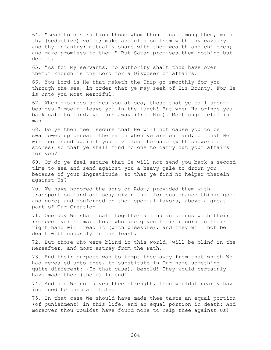64. "Lead to destruction those whom thou canst among them, with thy (seductive) voice; make assaults on them with thy cavalry and thy infantry; mutually share with them wealth and children; and make promises to them." But Satan promises them nothing but deceit.

65. "As for My servants, no authority shalt thou have over them:" Enough is thy Lord for a Disposer of affairs.

66. You Lord is He that maketh the Ship go smoothly for you through the sea, in order that ye may seek of His Bounty. For He is unto you Most Merciful.

67. When distress seizes you at sea, those that ye call upon- besides Himself--leave you in the lurch! But when He brings you back safe to land, ye turn away (from Him). Most ungrateful is man!

68. Do ye then feel secure that He will not cause you to be swallowed up beneath the earth when ye are on land, or that He will not send against you a violent tornado (with showers of stones) so that ye shall find no one to carry out your affairs for you?

69. Or do ye feel secure that He will not send you back a second time to sea and send against you a heavy gale to drown you because of your ingratitude, so that ye find no helper therein against Us?

70. We have honored the sons of Adam; provided them with transport on land and sea; given them for sustenance things good and pure; and conferred on them special favors, above a great part of Our Creation.

71. One day We shall call together all human beings with their (respective) Imams: Those who are given their record in their right hand will read it (with pleasure), and they will not be dealt with unjustly in the least.

72. But those who were blind in this world, will be blind in the Hereafter, and most astray from the Path.

73. And their purpose was to tempt thee away from that which We had revealed unto thee, to substitute in Our name something quite different: (In that case), behold! They would certainly have made thee (their) friend!

74. And had We not given thee strength, thou wouldst nearly have inclined to them a little.

75. In that case We should have made thee taste an equal portion (of punishment) in this life, and an equal portion in death: And moreover thou wouldst have found none to help thee against Us!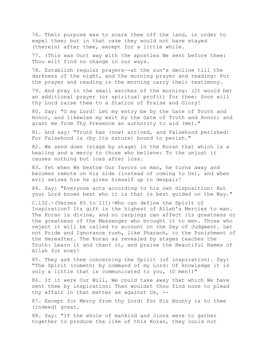76. Their purpose was to scare thee off the land, in order to expel thee; but in that case they would not have stayed (therein) after thee, except for a little while.

77. (This was Our) way with the apostles We sent before thee: Thou wilt find no change in our ways.

78. Establish regular prayers--at the sun's decline till the darkness of the night, and the morning prayer and reading: For the prayer and reading in the morning carry their testimony.

79. And pray in the small watches of the morning: (It would be) an additional prayer (or spiritual profit) for thee: Soon will thy Lord raise thee to a Station of Praise and Glory!

80. Say: "O my Lord! Let my entry be by the Gate of Truth and Honor, and likewise my exit by the Gate of Truth and Honor; and grant me from Thy Presence an authority to aid (me)."

81. And say: "Truth has (now) arrived, and Falsehood perished: For Falsehood is (by its nature) bound to perish."

82. We send down (stage by stage) in the Koran that which is a healing and a mercy to those who believe: To the unjust it causes nothing but loss after loss.

83. Yet when We bestow Our favors on man, he turns away and becomes remote on his side (instead of coming to Us), and when evil seizes him he gives himself up to despair!

84. Say: "Everyone acts according to his own disposition: But your Lord knows best who it is that is best guided on the Way."

C.132.-(Verses 85 to 111)-Who can define the Spirit of Inspiration? Its gift is the highest of Allah's Mercies to man. The Koran is divine, and no carpings can affect its greatness or the greatness of the Messenger who brought it to men. Those who reject it will be called to account on the Day of Judgment. Let not Pride and Ignorance rush, like Pharaoh, to the Punishment of the Hereafter. The Koran as revealed by stages teaches the Truth: Learn it and chant it, and praise the Beautiful Names of Allah for ever!

85. They ask thee concerning the Spirit (of inspiration). Say: "The Spirit (cometh) by command of my Lord: Of knowledge it is only a little that is communicated to you, (O men!)"

86. If it were Our Will, We could take away that which We have sent thee by inspiration: Then wouldst thou find none to plead thy affair in that matter as against Us,  $-$ -

87. Except for Mercy from thy Lord: For His Bounty is to thee (indeed) great.

88. Say: "If the whole of mankind and Jinns were to gather together to produce the like of this Koran, they could not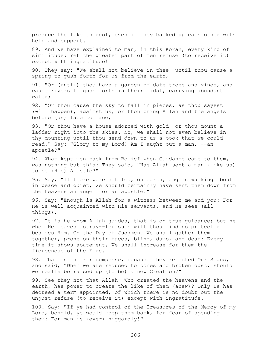produce the like thereof, even if they backed up each other with help and support.

89. And We have explained to man, in this Koran, every kind of similitude: Yet the greater part of men refuse (to receive it) except with ingratitude!

90. They say: "We shall not believe in thee, until thou cause a spring to qush forth for us from the earth,

91. "Or (until) thou have a garden of date trees and vines, and cause rivers to gush forth in their midst, carrying abundant water;

92. "Or thou cause the sky to fall in pieces, as thou sayest (will happen), against us; or thou bring Allah and the angels before (us) face to face;

93. "Or thou have a house adorned with gold, or thou mount a ladder right into the skies. No, we shall not even believe in thy mounting until thou send down to us a book that we could read." Say: "Glory to my Lord! Am I aught but a man, --an apostle?"

94. What kept men back from Belief when Guidance came to them, was nothing but this: They said, "Has Allah sent a man (like us) to be (His) Apostle?"

95. Say, "If there were settled, on earth, angels walking about in peace and quiet, We should certainly have sent them down from the heavens an angel for an apostle."

96. Say: "Enough is Allah for a witness between me and you: For He is well acquainted with His servants, and He sees (all things).

97. It is he whom Allah guides, that is on true guidance; but he whom He leaves astray--for such wilt thou find no protector besides Him. On the Day of Judgment We shall gather them together, prone on their faces, blind, dumb, and deaf: Every time it shows abatement, We shall increase for them the fierceness of the Fire.

98. That is their recompense, because they rejected Our Signs, and said, "When we are reduced to bones and broken dust, should we really be raised up (to be) a new Creation?"

99. See they not that Allah, Who created the heavens and the earth, has power to create the like of them (anew)? Only He has decreed a term appointed, of which there is no doubt but the unjust refuse (to receive it) except with ingratitude.

100. Say: "If ye had control of the Treasures of the Mercy of my Lord, behold, ye would keep them back, for fear of spending them: For man is (ever) niggardly!"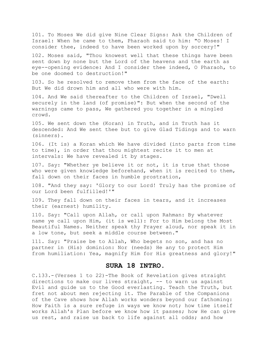101. To Moses We did give Nine Clear Signs: Ask the Children of Israel: When he came to them, Pharaoh said to him: "O Moses! I consider thee, indeed to have been worked upon by sorcery!"

102. Moses said, "Thou knowest well that these things have been sent down by none but the Lord of the heavens and the earth as eye--opening evidence: And I consider thee indeed, O Pharaoh, to be one doomed to destruction!"

103. So he resolved to remove them from the face of the earth: But We did drown him and all who were with him.

104. And We said thereafter to the Children of Israel, "Dwell securely in the land (of promise)": But when the second of the warnings came to pass, We gathered you together in a mingled crowd.

105. We sent down the (Koran) in Truth, and in Truth has it descended: And We sent thee but to give Glad Tidings and to warn (sinners).

106. (It is) a Koran which We have divided (into parts from time to time), in order that thou mightest recite it to men at intervals: We have revealed it by stages.

107. Say: "Whether ye believe it or not, it is true that those who were given knowledge beforehand, when it is recited to them, fall down on their faces in humble prostration,

108. "And they say: 'Glory to our Lord! Truly has the promise of our Lord been fulfilled!'"

109. They fall down on their faces in tears, and it increases their (earnest) humility.

110. Say: "Call upon Allah, or call upon Rahman: By whatever name ye call upon Him, (it is well): For to Him belong the Most Beautiful Names. Neither speak thy Prayer aloud, nor speak it in a low tone, but seek a middle course between."

111. Say: "Praise be to Allah, Who begets no son, and has no partner in (His) dominion: Nor (needs) He any to protect Him from humiliation: Yea, magnify Him for His greatness and glory!"

# **SURA 18 INTRO.**

C.133.-(Verses 1 to 22)-The Book of Revelation gives straight directions to make our lives straight, -- to warn us against Evil and guide us to the Good everlasting. Teach the Truth, but fret not about men rejecting it. The Parable of the Companions of the Cave shows how Allah works wonders beyond our fathoming: How Faith is a sure refuge in ways we know not; how time itself works Allah's Plan before we know how it passes; how He can give us rest, and raise us back to life against all odds; and how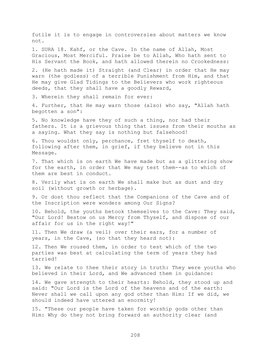futile it is to engage in controversies about matters we know not.

1. SURA 18. Kahf, or the Cave. In the name of Allah, Most Gracious, Most Merciful. Praise be to Allah, Who hath sent to His Servant the Book, and hath allowed therein no Crookedness:

2. (He hath made it) Straight (and Clear) in order that He may warn (the godless) of a terrible Punishment from Him, and that He may give Glad Tidings to the Believers who work righteous deeds, that they shall have a goodly Reward,

3. Wherein they shall remain for ever:

4. Further, that He may warn those (also) who say, "Allah hath begotten a son":

5. No knowledge have they of such a thing, nor had their fathers. It is a grievous thing that issues from their mouths as a saying. What they say is nothing but falsehood!

6. Thou wouldst only, perchance, fret thyself to death, following after them, in grief, if they believe not in this Message.

7. That which is on earth We have made but as a glittering show for the earth, in order that We may test them--as to which of them are best in conduct.

8. Verily what is on earth We shall make but as dust and dry soil (without growth or herbage).

9. Or dost thou reflect that the Companions of the Cave and of the Inscription were wonders among Our Signs?

10. Behold, the youths betook themselves to the Cave: They said, "Our Lord! Bestow on us Mercy from Thyself, and dispose of our affair for us in the right way!"

11. Then We draw (a veil) over their ears, for a number of years, in the Cave, (so that they heard not):

12. Then We roused them, in order to test which of the two parties was best at calculating the term of years they had tarried!

13. We relate to thee their story in truth: They were youths who believed in their Lord, and We advanced them in guidance:

14. We gave strength to their hearts: Behold, they stood up and said: "Our Lord is the Lord of the heavens and of the earth: Never shall we call upon any god other than Him: If we did, we should indeed have uttered an enormity!

15. "These our people have taken for worship gods other than Him: Why do they not bring forward an authority clear (and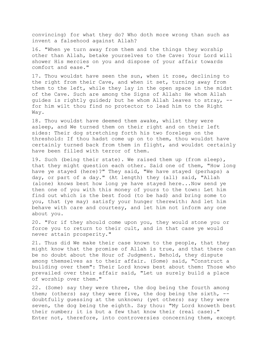convincing) for what they do? Who doth more wrong than such as invent a falsehood against Allah?

16. "When ye turn away from them and the things they worship other than Allah, betake yourselves to the Cave: Your Lord will shower His mercies on you and dispose of your affair towards comfort and ease."

17. Thou wouldst have seen the sun, when it rose, declining to the right from their Cave, and when it set, turning away from them to the left, while they lay in the open space in the midst of the Cave. Such are among the Signs of Allah: He whom Allah guides is rightly guided; but he whom Allah leaves to stray, - for him wilt thou find no protector to lead him to the Right Way.

18. Thou wouldst have deemed them awake, whilst they were asleep, and We turned them on their right and on their left sides: Their dog stretching forth his two forelegs on the threshold: If thou hadst come up on to them, thou wouldst have certainly turned back from them in flight, and wouldst certainly have been filled with terror of them.

19. Such (being their state). We raised them up (from sleep), that they might question each other. Said one of them, "How long have ye stayed (here)?" They said, "We have stayed (perhaps) a day, or part of a day." (At length) they (all) said, "Allah (alone) knows best how long ye have stayed here...Now send ye then one of you with this money of yours to the town: Let him find out which is the best food (to be had) and bring some to you, that (ye may) satisfy your hunger therewith: And let him behave with care and courtesy, and let him not inform any one about you.

20. "For if they should come upon you, they would stone you or force you to return to their cult, and in that case ye would never attain prosperity."

21. Thus did We make their case known to the people, that they might know that the promise of Allah is true, and that there can be no doubt about the Hour of Judgment. Behold, they dispute among themselves as to their affair. (Some) said, "Construct a building over them": Their Lord knows best about them: Those who prevailed over their affair said, "Let us surely build a place of worship over them."

22. (Some) say they were three, the dog being the fourth among them; (others) say they were five, the dog being the sixth, -doubtfully guessing at the unknown; (yet others) say they were seven, the dog being the eighth. Say thou: "My Lord knoweth best their number; it is but a few that know their (real case)." Enter not, therefore, into controversies concerning them, except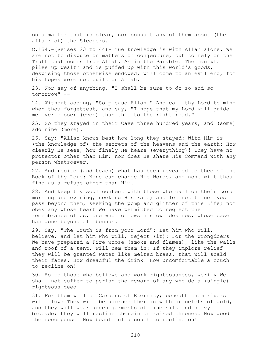on a matter that is clear, nor consult any of them about (the affair of) the Sleepers.

C.134.-(Verses 23 to 44)-True knowledge is with Allah alone. We are not to dispute on matters of conjecture, but to rely on the Truth that comes from Allah. As in the Parable. The man who piles up wealth and is puffed up with this world's goods, despising those otherwise endowed, will come to an evil end, for his hopes were not built on Allah.

23. Nor say of anything, "I shall be sure to do so and so tomorrow" --

24. Without adding, "So please Allah!" And call thy Lord to mind when thou forgettest, and say, "I hope that my Lord will guide me ever closer (even) than this to the right road."

25. So they stayed in their Cave three hundred years, and (some) add nine (more).

26. Say: "Allah knows best how long they stayed: With Him is (the knowledge of) the secrets of the heavens and the earth: How clearly He sees, how finely He hears (everything)! They have no protector other than Him; nor does He share His Command with any person whatsoever.

27. And recite (and teach) what has been revealed to thee of the Book of thy Lord: None can change His Words, and none wilt thou find as a refuge other than Him.

28. And keep thy soul content with those who call on their Lord morning and evening, seeking His Face; and let not thine eyes pass beyond them, seeking the pomp and glitter of this Life; nor obey any whose heart We have permitted to neglect the remembrance of Us, one who follows his own desires, whose case has gone beyond all bounds.

29. Say, "The Truth is from your Lord": Let him who will, believe, and let him who will, reject (it): For the wrongdoers We have prepared a Fire whose (smoke and flames), like the walls and roof of a tent, will hem them in: If they implore relief they will be granted water like melted brass, that will scald their faces. How dreadful the drink! How uncomfortable a couch to recline on!

30. As to those who believe and work righteousness, verily We shall not suffer to perish the reward of any who do a (single) righteous deed.

31. For them will be Gardens of Eternity; beneath them rivers will flow: They will be adorned therein with bracelets of gold, and they will wear green garments of fine silk and heavy brocade; they will recline therein on raised thrones. How good the recompense! How beautiful a couch to recline on!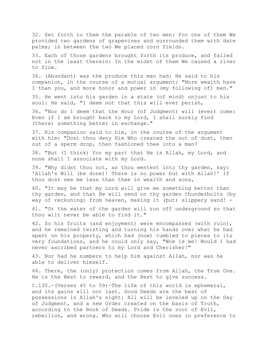32. Set forth to them the parable of two men: For one of them We provided two gardens of grapevines and surrounded them with date palms; in between the two We placed corn fields.

33. Each of those gardens brought forth its produce, and failed not in the least therein: In the midst of them We caused a river to flow.

34. (Abundant) was the produce this man had: He said to his companion, in the course of a mutual argument: "More wealth have I than you, and more honor and power in (my following of) men."

35. He went into his garden in a state (of mind) unjust to his soul: He said, "I deem not that this will ever perish,

36. "Nor do I deem that the Hour (of Judgment) will (ever) come: Even if I am brought back to my Lord, I shall surely find (there) something better in exchange."

37. His companion said to him, in the course of the argument with him: "Dost thou deny Him Who created the out of dust, then out of a sperm drop, then fashioned thee into a man?

38. "But (I think) for my part that He is Allah, my Lord, and none shall I associate with my Lord.

39. "Why didst thou not, as thou wentest into thy garden, say: 'Allah's Will (be done)! There is no power but with Allah!' If thou dost see me less than thee in wealth and sons,

40. "It may be that my Lord will give me something better than thy garden, and that He will send on thy garden thunderbolts (by way of reckoning) from heaven, making it (but) slippery sand! -

41. "Or the water of the garden will run off underground so that thou wilt never be able to find it."

42. So his fruits (and enjoyment) were encompassed (with ruin), and he remained twisting and turning his hands over what he had spent on his property, which had (now) tumbled to pieces to its very foundations, and he could only say, "Woe is me! Would I had never ascribed partners to my Lord and Cherisher!"

43. Nor had he numbers to help him against Allah, nor was he able to deliver himself.

44. There, the (only) protection comes from Allah, the True One. He is the Best to reward, and the Best to give success.

C.135.-(Verses 45 to 59)-The life of this world is ephemeral, and its gains will not last. Good Deeds are the best of possessions in Allah's sight: All will be leveled up on the Day of Judgment, and a new Order created on the basis of Truth, according to the Book of Deeds. Pride is the root of Evil, rebellion, and wrong. Who will choose Evil ones in preference to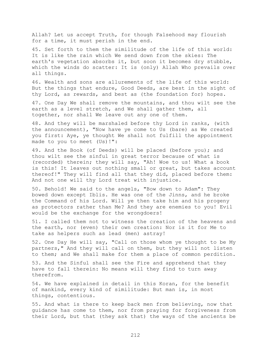Allah? Let us accept Truth, for though Falsehood may flourish for a time, it must perish in the end.

45. Set forth to them the similitude of the life of this world: It is like the rain which We send down from the skies: The earth's vegetation absorbs it, but soon it becomes dry stubble, which the winds do scatter: It is (only) Allah Who prevails over all things.

46. Wealth and sons are allurements of the life of this world: But the things that endure, Good Deeds, are best in the sight of thy Lord, as rewards, and best as (the foundation for) hopes.

47. One Day We shall remove the mountains, and thou wilt see the earth as a level stretch, and We shall gather them, all together, nor shall We leave out any one of them.

48. And they will be marshaled before thy Lord in ranks, (with the announcement), "Now have ye come to Us (bare) as We created you first: Aye, ye thought We shall not fulfill the appointment made to you to meet (Us)!":

49. And the Book (of Deeds) will be placed (before you); and thou wilt see the sinful in great terror because of what is (recorded) therein; they will say, "Ah! Woe to us! What a book is this! It leaves out nothing small or great, but takes account thereof!" They will find all that they did, placed before them: And not one will thy Lord treat with injustice.

50. Behold! We said to the angels, "Bow down to Adam": They bowed down except Iblis. He was one of the Jinns, and he broke the Command of his Lord. Will ye then take him and his progeny as protectors rather than Me? And they are enemies to you! Evil would be the exchange for the wrongdoers!

51. I called them not to witness the creation of the heavens and the earth, nor (even) their own creation: Nor is it for Me to take as helpers such as lead (men) astray!

52. One Day He will say, "Call on those whom ye thought to be My partners," And they will call on them, but they will not listen to them; and We shall make for them a place of common perdition.

53. And the Sinful shall see the Fire and apprehend that they have to fall therein: No means will they find to turn away therefrom.

54. We have explained in detail in this Koran, for the benefit of mankind, every kind of similitude: But man is, in most things, contentious.

55. And what is there to keep back men from believing, now that guidance has come to them, nor from praying for forgiveness from their Lord, but that (they ask that) the ways of the ancients be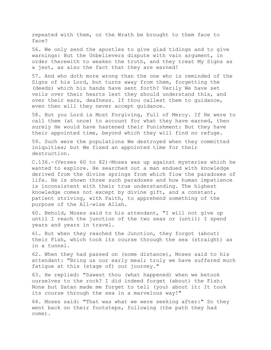repeated with them, or the Wrath be brought to them face to face?

56. We only send the apostles to give glad tidings and to give warnings: But the Unbelievers dispute with vain argument, in order therewith to weaken the truth, and they treat My Signs as a jest, as also the fact that they are warned!

57. And who doth more wrong than the one who is reminded of the Signs of his Lord, but turns away from them, forgetting the (deeds) which his hands have sent forth? Verily We have set veils over their hearts lest they should understand this, and over their ears, deafness. If thou callest them to guidance, even then will they never accept guidance.

58. But you Lord is Most Forgiving, Full of Mercy. If He were to call them (at once) to account for what they have earned, then surely He would have hastened their Punishment: But they have their appointed time, beyond which they will find no refuge.

59. Such were the populations We destroyed when they committed iniquities; but We fixed an appointed time for their destruction.

C.136.-(Verses 60 to 82)-Moses was up against mysteries which he wanted to explore. He searched out a man endued with knowledge derived from the divine springs from which flow the paradoxes of life. He is shown three such paradoxes and how human impatience is inconsistent with their true understanding. The highest knowledge comes not except by divine gift, and a constant, patient striving, with Faith, to apprehend something of the purpose of the All-wise Allah.

60. Behold, Moses said to his attendant, "I will not give up until I reach the junction of the two seas or (until) I spend years and years in travel.

61. But when they reached the Junction, they forgot (about) their Fish, which took its course through the sea (straight) as in a tunnel.

62. When they had passed on (some distance), Moses said to his attendant: "Bring us our early meal; truly we have suffered much fatigue at this (stage of) our journey."

63. He replied: "Sawest thou (what happened) when we betook ourselves to the rock? I did indeed forget (about) the Fish: None but Satan made me forget to tell (you) about it: It took its course through the sea in a marvelous way!"

64. Moses said: "That was what we were seeking after:" So they went back on their footsteps, following (the path they had come).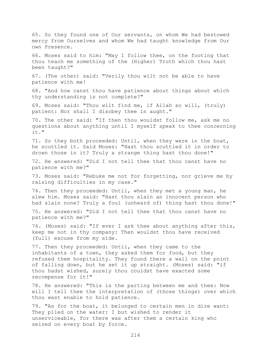65. So they found one of Our servants, on whom We had bestowed mercy from Ourselves and whom We had taught knowledge from Our own Presence. 66. Moses said to him: "May I follow thee, on the footing that thou teach me something of the (Higher) Truth which thou hast been taught?" 67. (The other) said: "Verily thou wilt not be able to have patience with me! 68. "And how canst thou have patience about things about which thy understanding is not complete?" 69. Moses said: "Thou wilt find me, if Allah so will, (truly) patient: Nor shall I disobey thee in aught." 70. The other said: "If then thou wouldst follow me, ask me no questions about anything until I myself speak to thee concerning it." 71. So they both proceeded: Until, when they were in the boat, he scuttled it. Said Moses: "Hast thou scuttled it in order to drown those in it? Truly a strange thing hast thou done!" 72. He answered: "Did I not tell thee that thou canst have no patience with me?" 73. Moses said: "Rebuke me not for forgetting, nor grieve me by raising difficulties in my case." 74. Then they proceeded: Until, when they met a young man, he slew him. Moses said: "Hast thou slain an innocent person who had slain none? Truly a foul (unheard of) thing hast thou done!" 75. He answered: "Did I not tell thee that thou canst have no patience with me?" 76. (Moses) said: "If ever I ask thee about anything after this, keep me not in thy company: Then wouldst thou have received (full) excuse from my side. 77. Then they proceeded: Until, when they came to the inhabitants of a town, they asked them for food, but they refused them hospitality. They found there a wall on the point of falling down, but he set it up straight. (Moses) said: "if thou hadst wished, surely thou couldst have exacted some recompense for it!" 78. He answered: "This is the parting between me and thee: Now will I tell thee the interpretation of (those things) over which thou wast enable to hold patience. 79. "As for the boat, it belonged to certain men in dire want: They plied on the water: I but wished to render it

unserviceable, for there was after them a certain king who seized on every boat by force.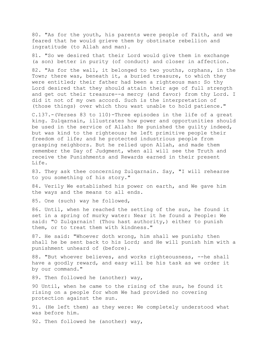80. "As for the youth, his parents were people of Faith, and we feared that he would grieve them by obstinate rebellion and ingratitude (to Allah and man).

81. "So we desired that their Lord would give them in exchange (a son) better in purity (of conduct) and closer in affection.

82. "As for the wall, it belonged to two youths, orphans, in the Town; there was, beneath it, a buried treasure, to which they were entitled; their father had been a righteous man: So thy Lord desired that they should attain their age of full strength and get out their treasure--a mercy (and favor) from thy Lord. I did it not of my own accord. Such is the interpretation of (those things) over which thou wast unable to hold patience."

C.137.-(Verses 83 to 110)-Three episodes in the life of a great king. Zulqarnain, illustrates how power and opportunities should be used in the service of Allah: He punished the guilty indeed, but was kind to the righteous; he left primitive people their freedom of life; and he protected industrious people from grasping neighbors. But he relied upon Allah, and made them remember the Day of Judgment, when all will see the Truth and receive the Punishments and Rewards earned in their present Life.

83. They ask thee concerning Zulqarnain. Say, "I will rehearse to you something of his story."

84. Verily We established his power on earth, and We gave him the ways and the means to all ends.

85. One (such) way he followed,

86. Until, when he reached the setting of the sun, he found it set in a spring of murky water: Near it he found a People: We said: "O Zulqarnain! (Thou hast authority,) either to punish them, or to treat them with kindness."

87. He said: "Whoever doth wrong, him shall we punish; then shall he be sent back to his Lord; and He will punish him with a punishment unheard of (before).

88. "But whoever believes, and works righteousness, --he shall have a goodly reward, and easy will be his task as we order it by our command."

89. Then followed he (another) way,

90 Until, when he came to the rising of the sun, he found it rising on a people for whom We had provided no covering protection against the sun.

91. (He left them) as they were: We completely understood what was before him.

92. Then followed he (another) way,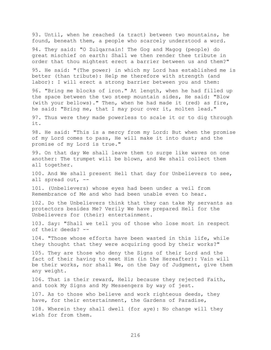93. Until, when he reached (a tract) between two mountains, he found, beneath them, a people who scarcely understood a word. 94. They said: "O Zulqarnain! The Gog and Magog (people) do great mischief on earth: Shall we then render thee tribute in order that thou mightest erect a barrier between us and them?" 95. He said: "(The power) in which my Lord has established me is better (than tribute): Help me therefore with strength (and labor): I will erect a strong barrier between you and them: 96. "Bring me blocks of iron." At length, when he had filled up the space between the two steep mountain sides, He said: "Blow (with your bellows)." Then, when he had made it (red) as fire, he said: "Bring me, that I may pour over it, molten lead." 97. Thus were they made powerless to scale it or to dig through it. 98. He said: "This is a mercy from my Lord: But when the promise of my Lord comes to pass, He will make it into dust; and the promise of my Lord is true." 99. On that day We shall leave them to surge like waves on one another: The trumpet will be blown, and We shall collect them all together. 100. And We shall present Hell that day for Unbelievers to see, all spread out, -- 101. (Unbelievers) whose eyes had been under a veil from Remembrance of Me and who had been unable even to hear. 102. Do the Unbelievers think that they can take My servants as protectors besides Me? Verily We have prepared Hell for the Unbelievers for (their) entertainment. 103. Say: "Shall we tell you of those who lose most in respect of their deeds? -- 104. "Those whose efforts have been wasted in this life, while they thought that they were acquiring good by their works?" 105. They are those who deny the Signs of their Lord and the fact of their having to meet Him (in the Hereafter): Vain will be their works, nor shall We, on the Day of Judgment, give them any weight. 106. That is their reward, Hell; because they rejected Faith, and took My Signs and My Messengers by way of jest. 107. As to those who believe and work righteous deeds, they have, for their entertainment, the Gardens of Paradise, 108. Wherein they shall dwell (for aye): No change will they wish for from them.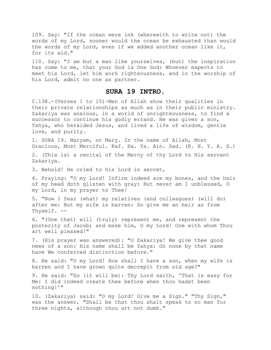109. Say: "If the ocean were ink (wherewith to write out) the words of my Lord, sooner would the ocean be exhausted than would the words of my Lord, even if we added another ocean like it, for its aid."

110. Say: "I am but a man like yourselves, (but) the inspiration has come to me, that your God is One God: Whoever expects to meet his Lord, let him work righteousness, and in the worship of his Lord, admit no one as partner.

## **SURA 19 INTRO.**

C.138.-(Verses 1 to 15)-Men of Allah show their qualities in their private relationships as much as in their public ministry. Zakariya was anxious, in a world of unrighteousness, to find a successor to continue his godly errand. He was given a son, Yahya, who heralded Jesus, and lived a life of wisdom, gentle love, and purity.

1. SURA 19. Maryam, or Mary. In the name of Allah, Most Gracious, Most Merciful. Kaf. Ha. Ya. Ain. Sad. (K. H. Y. A. S.)

2. (This is) a recital of the Mercy of thy Lord to His servant Zakariya.

3. Behold! He cried to his Lord in secret,

4. Praying: "O my Lord! Infirm indeed are my bones, and the hair of my head doth glisten with gray: But never am I unblessed, O my Lord, in my prayer to Thee!

5. "Now I fear (what) my relatives (and colleagues) (will do) after me: But my wife is barren: So give me an heir as from Thyself. --

6. "(One that) will (truly) represent me, and represent the posterity of Jacob; and make him, O my Lord! One with whom Thou art well pleased!"

7. (His prayer was answered): "O Zakariya! We give thee good news of a son: His name shall be Yahya: On none by that name have We conferred distinction before."

8. He said: "O my Lord! How shall I have a son, when my wife is barren and I have grown quite decrepit from old age?"

9. He said: "So (it will be): Thy Lord saith, 'That is easy for Me: I did indeed create thee before when thou hadst been nothing!'"

10. (Zakariya) said: "O my Lord! Give me a Sign." "Thy Sign," was the answer, "Shall be that thou shalt speak to no man for three nights, although thou art not dumb."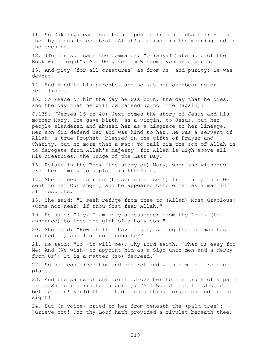11. So Zakariya came out to his people from his chamber: He told them by signs to celebrate Allah's praises in the morning and in the evening. 12. (To his son came the command): "O Yahya! Take hold of the Book with might": And We gave him Wisdom even as a youth. 13. And pity (for all creatures) as from us, and purity: He was devout, 14. And kind to his parents, and he was not overbearing or rebellious. 15. So Peace on him the day he was born, the day that he dies, and the day that he will be raised up to life (again)! C.139.-(Verses 16 to 40)-Next comes the story of Jesus and his mother Mary. She gave birth, as a virgin, to Jesus, but her people slandered and abused her as a disgrace to her lineage. Her son did defend her and was kind to her. He was a servant of Allah, a true Prophet, blessed in the gifts of Prayer and Charity, but no more than a man: To call him the son of Allah is to derogate from Allah's Majesty, for Allah is High above all His creatures, the Judge of the Last Day. 16. Relate in the Book (the story of) Mary, when she withdrew from her family to a place in the East. 17. She placed a screen (to screen herself) from them; then We sent to her Our angel, and he appeared before her as a man in all respects. 18. She said: "I seek refuge from thee to (Allah) Most Gracious: (Come not near) if thou dost fear Allah." 19. He said: "Nay, I am only a messenger from thy Lord, (to announce) to thee the gift of a holy son." 20. She said: "How shall I have a son, seeing that no man has touched me, and I am not Unchaste?" 21. He said: "So (it will be): Thy Lord saith, 'That is easy for Me: And (We wish) to appoint him as a Sign unto men and a Mercy from Us': It is a matter (so) decreed." 22. So she conceived him and she retired with him to a remote place. 23. And the pains of childbirth drove her to the trunk of a palm tree: She cried (in her anguish): "Ah! Would that I had died before this! Would that I had been a thing forgotten and out of sight!" 24. But (a voice) cried to her from beneath the (palm tree): "Grieve not! For thy Lord hath provided a rivulet beneath thee;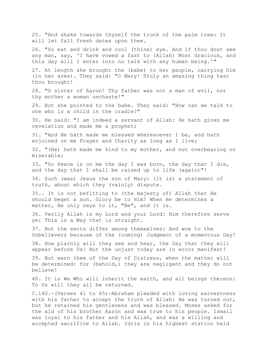25. "And shake towards thyself the trunk of the palm tree: It will let fall fresh dates upon thee. 26. "So eat and drink and cool (thine) eye. And if thou dost see any man, say, 'I have vowed a fast to (Allah) Most Gracious, and this day will I enter into no talk with any human being.'" 27. At length she brought the (babe) to her people, carrying him (in her arms). They said: "O Mary! Truly an amazing thing hast thou brought! 28. "O sister of Aaron! Thy father was not a man of evil, nor thy mother a woman unchaste!" 29. But she pointed to the babe. They said: "How can we talk to one who is a child in the cradle?" 30. He said: "I am indeed a servant of Allah: He hath given me revelation and made me a prophet; 31. "And He hath made me blessed wheresoever I be, and hath enjoined on me Prayer and Charity as long as I live; 32. "(He) hath made me kind to my mother, and not overbearing or miserable; 33. "So Peace is on me the day I was born, the day that I die, and the day that I shall be raised up to life (again)"! 34. Such (was) Jesus the son of Mary: (It is) a statement of truth, about which they (vainly) dispute. 35.. It is not befitting to (the majesty of) Allah that He should beget a son. Glory be to Him! When He determines a matter, He only says to it, "Be", and it is. 36. Verily Allah is my Lord and your Lord: Him therefore serve ye: This is a Way that is straight. 37. But the sects differ among themselves: And woe to the Unbelievers because of the (coming) Judgment of a momentous Day! 38. How plainly will they see and hear, the Day that they will appear before Us! But the unjust today are in error manifest! 39. But warn them of the Day of Distress, when the matter will be determined: for (behold,) they are negligent and they do not believe! 40. It is We Who will inherit the earth, and all beings thereon: To Us will they all be returned. C.140.-(Verses 41 to 65)-Abraham pleaded with loving earnestness with his father to accept the truth of Allah: He was turned out, but he retained his gentleness and was blessed. Moses asked for the aid of his brother Aaron and was true to his people. Ismail was loyal to his father and his Allah, and was a willing and

accepted sacrifice to Allah. Idris in his highest station held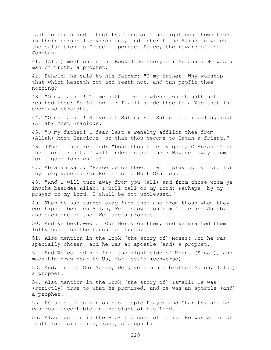fast to truth and integrity. Thus are the righteous shown true in their personal environment, and inherit the Bliss in which the salutation is Peace -- perfect Peace, the reward of the Constant. 41. (Also) mention in the Book (the story of) Abraham: He was a man of Truth, a prophet. 42. Behold, he said to his father: "O my father! Why worship that which heareth not and seeth not, and can profit thee nothing? 43. "O my father! To me hath come knowledge which hath not reached thee: So follow me: I will guide thee to a Way that is even and straight. 44. "O my father! Serve not Satan: For Satan is a rebel against (Allah) Most Gracious. 45. "O my father! I fear lest a Penalty afflict thee from (Allah) Most Gracious, so that thou become to Satan a friend." 46. (The father replied: "Dost thou hate my gods, O Abraham? If thou forbear not, I will indeed stone thee: Now get away from me for a good long while!" 47. Abraham said: "Peace be on thee: I will pray to my Lord for thy forgiveness: For He is to me Most Gracious. 48. "And I will turn away from you (all) and from those whom ye invoke besides Allah: I will call on my Lord: Perhaps, by my prayer to my Lord, I shall be not unblessed." 49. When he had turned away from them and from those whom they worshipped besides Allah, We bestowed on him Isaac and Jacob, and each one of them We made a prophet. 50. And We bestowed of Our Mercy on them, and We granted them lofty honor on the tongue of truth. 51. Also mention in the Book (the story of) Moses: For he was specially chosen, and he was an apostle (and) a prophet. 52. And We called him from the right side of Mount (Sinai), and made him draw near to Us, for mystic (converse). 53. And, out of Our Mercy, We gave him his brother Aaron, (also) a prophet. 54. Also mention in the Book (the story of) Ismail: He was (strictly) true to what he promised, and he was an apostle (and) a prophet. 55. He used to enjoin on his people Prayer and Charity, and he was most acceptable in the sight of his Lord. 56. Also mention in the Book the case of Idris: He was a man of truth (and sincerity, (and) a prophet: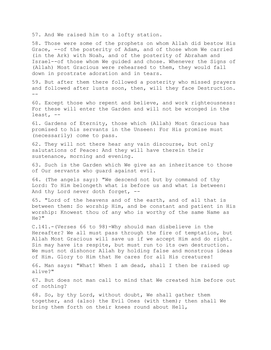57. And We raised him to a lofty station.

58. Those were some of the prophets on whom Allah did bestow His Grace, --of the posterity of Adam, and of those whom We carried (in the Ark) with Noah, and of the posterity of Abraham and Israel--of those whom We guided and chose. Whenever the Signs of (Allah) Most Gracious were rehearsed to them, they would fall down in prostrate adoration and in tears.

59. But after them there followed a posterity who missed prayers and followed after lusts soon, then, will they face Destruction. --

60. Except those who repent and believe, and work righteousness: For these will enter the Garden and will not be wronged in the least, --

61. Gardens of Eternity, those which (Allah) Most Gracious has promised to his servants in the Unseen: For His promise must (necessarily) come to pass.

62. They will not there hear any vain discourse, but only salutations of Peace: And they will have therein their sustenance, morning and evening.

63. Such is the Garden which We give as an inheritance to those of Our servants who guard against evil.

64. (The angels say:) "We descend not but by command of thy Lord: To Him belongeth what is before us and what is between: And thy Lord never doth forget, --

65. "Lord of the heavens and of the earth, and of all that is between them: So worship Him, and be constant and patient in His worship: Knowest thou of any who is worthy of the same Name as He?"

C.141.-(Verses 66 to 98)-Why should man disbelieve in the Hereafter? We all must pass through the fire of temptation, but Allah Most Gracious will save us if we accept Him and do right. Sin may have its respite, but must run to its own destruction. We must not dishonor Allah by holding false and monstrous ideas of Him. Glory to Him that He cares for all His creatures!

66. Man says: "What! When I am dead, shall I then be raised up alive?"

67. But does not man call to mind that We created him before out of nothing?

68. So, by thy Lord, without doubt, We shall gather them together, and (also) the Evil Ones (with them); then shall We bring them forth on their knees round about Hell,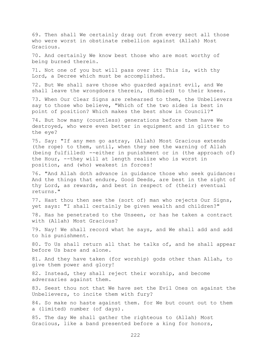69. Then shall We certainly drag out from every sect all those who were worst in obstinate rebellion against (Allah) Most Gracious. 70. And certainly We know best those who are most worthy of being burned therein. 71. Not one of you but will pass over it: This is, with thy Lord, a Decree which must be accomplished. 72. But We shall save those who guarded against evil, and We shall leave the wrongdoers therein, (Humbled) to their knees. 73. When Our Clear Signs are rehearsed to them, the Unbelievers say to those who believe, "Which of the two sides is best in point of position? Which makes the best show in Council?" 74. But how many (countless) generations before them have We destroyed, who were even better in equipment and in glitter to the eye? 75. Say: "If any men go astray, (Allah) Most Gracious extends (the rope) to them, until, when they see the warning of Allah (being fulfilled) --either in punishment or in (the approach of) the Hour, --they will at length realize who is worst in position, and (who) weakest in forces! 76. "And Allah doth advance in guidance those who seek guidance: And the things that endure, Good Deeds, are best in the sight of thy Lord, as rewards, and best in respect of (their) eventual returns." 77. Hast thou then see the (sort of) man who rejects Our Signs, yet says: "I shall certainly be given wealth and children?" 78. Has he penetrated to the Unseen, or has he taken a contract with (Allah) Most Gracious? 79. Nay! We shall record what he says, and We shall add and add to his punishment. 80. To Us shall return all that he talks of, and he shall appear before Us bare and alone. 81. And they have taken (for worship) gods other than Allah, to give them power and glory! 82. Instead, they shall reject their worship, and become adversaries against them. 83. Seest thou not that We have set the Evil Ones on against the Unbelievers, to incite them with fury? 84. So make no haste against them. for We but count out to them a (limited) number (of days). 85. The day We shall gather the righteous to (Allah) Most

Gracious, like a band presented before a king for honors,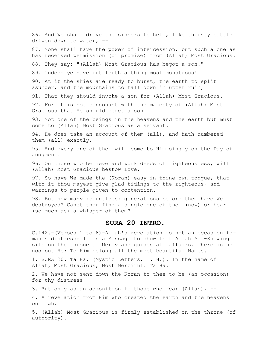86. And We shall drive the sinners to hell, like thirsty cattle driven down to water, --

87. None shall have the power of intercession, but such a one as has received permission (or promise) from (Allah) Most Gracious.

88. They say: "(Allah) Most Gracious has begot a son!"

89. Indeed ye have put forth a thing most monstrous!

90. At it the skies are ready to burst, the earth to split asunder, and the mountains to fall down in utter ruin,

91. That they should invoke a son for (Allah) Most Gracious.

92. For it is not consonant with the majesty of (Allah) Most Gracious that He should beget a son.

93. Not one of the beings in the heavens and the earth but must come to (Allah) Most Gracious as a servant.

94. He does take an account of them (all), and hath numbered them (all) exactly.

95. And every one of them will come to Him singly on the Day of Judgment.

96. On those who believe and work deeds of righteousness, will (Allah) Most Gracious bestow Love.

97. So have We made the (Koran) easy in thine own tongue, that with it thou mayest give glad tidings to the righteous, and warnings to people given to contention.

98. But how many (countless) generations before them have We destroyed? Canst thou find a single one of them (now) or hear (so much as) a whisper of them?

## **SURA 20 INTRO.**

C.142.-(Verses 1 to 8)-Allah's revelation is not an occasion for man's distress: It is a Message to show that Allah All-Knowing sits on the throne of Mercy and guides all affairs. There is no god but He: To Him belong all the most beautiful Names.

1. SURA 20. Ta Ha. (Mystic Letters, T. H.). In the name of Allah, Most Gracious, Most Merciful. Ta Ha.

2. We have not sent down the Koran to thee to be (an occasion) for thy distress,

3. But only as an admonition to those who fear (Allah), --

4. A revelation from Him Who created the earth and the heavens on high.

5. (Allah) Most Gracious is firmly established on the throne (of authority).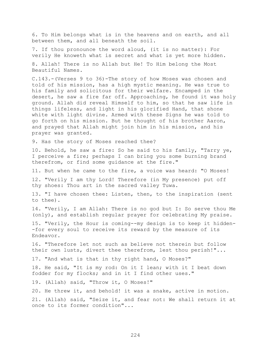6. To Him belongs what is in the heavens and on earth, and all between them, and all beneath the soil.

7. If thou pronounce the word aloud, (it is no matter): For verily He knoweth what is secret and what is yet more hidden.

8. Allah! There is no Allah but He! To Him belong the Most Beautiful Names.

C.143.-(Verses 9 to 36)-The story of how Moses was chosen and told of his mission, has a high mystic meaning. He was true to his family and solicitous for their welfare. Encamped in the desert, he saw a fire far off. Approaching, he found it was holy ground. Allah did reveal Himself to him, so that he saw life in things lifeless, and light in his glorified Hand, that shone white with light divine. Armed with these Signs he was told to go forth on his mission. But he thought of his brother Aaron, and prayed that Allah might join him in his mission, and his prayer was granted.

9. Has the story of Moses reached thee?

10. Behold, he saw a fire: So he said to his family, "Tarry ye, I perceive a fire; perhaps I can bring you some burning brand therefrom, or find some guidance at the fire."

11. But when he came to the fire, a voice was heard: "O Moses!

12. "Verily I am thy Lord! Therefore (in My presence) put off thy shoes: Thou art in the sacred valley Tuwa.

13. "I have chosen thee: Listen, then, to the inspiration (sent to thee).

14. "Verily, I am Allah: There is no god but I: So serve thou Me (only), and establish regular prayer for celebrating My praise.

15. "Verily, the Hour is coming--my design is to keep it hidden- -for every soul to receive its reward by the measure of its Endeavor.

16. "Therefore let not such as believe not therein but follow their own lusts, divert thee therefrom, lest thou perish!"...

17. "And what is that in thy right hand, O Moses?"

18. He said, "It is my rod: On it I lean; with it I beat down fodder for my flocks; and in it I find other uses."

19. (Allah) said, "Throw it, O Moses!"

20. He threw it, and behold! it was a snake, active in motion. 21. (Allah) said, "Seize it, and fear not: We shall return it at once to its former condition"...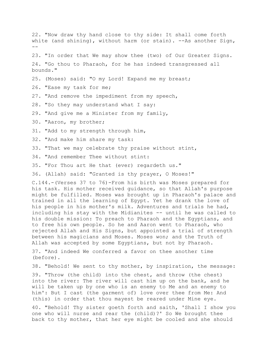22. "Now draw thy hand close to thy side: It shall come forth white (and shining), without harm (or stain).  $--$ As another Sign, -- 23. "In order that We may show thee (two) of Our Greater Signs. 24. "Go thou to Pharaoh, for he has indeed transgressed all bounds." 25. (Moses) said: "O my Lord! Expand me my breast; 26. "Ease my task for me; 27. "And remove the impediment from my speech, 28. "So they may understand what I say: 29. "And give me a Minister from my family, 30. "Aaron, my brother; 31. "Add to my strength through him, 32. "And make him share my task: 33. "That we may celebrate thy praise without stint, 34. "And remember Thee without stint: 35. "For Thou art He that (ever) regardeth us." 36. (Allah) said: "Granted is thy prayer, O Moses!" C.144.-(Verses 37 to 76)-From his birth was Moses prepared for his task. His mother received guidance, so that Allah's purpose might be fulfilled. Moses was brought up in Pharaoh's palace and trained in all the learning of Egypt. Yet he drank the love of his people in his mother's milk. Adventures and trials he had, including his stay with the Midianites -- until he was called to his double mission: To preach to Pharaoh and the Egyptians, and to free his own people. So he and Aaron went to Pharaoh, who rejected Allah and His Signs, but appointed a trial of strength between his magicians and Moses. Moses won; and the Truth of Allah was accepted by some Egyptians, but not by Pharaoh. 37. "And indeed We conferred a favor on thee another time (before).

38. "Behold! We sent to thy mother, by inspiration, the message:

39. "Throw (the child) into the chest, and throw (the chest) into the river: The river will cast him up on the bank, and he will be taken up by one who is an enemy to Me and an enemy to him': But I cast (the garment of) love over thee from Me: And (this) in order that thou mayest be reared under Mine eye.

40. "Behold! Thy sister goeth forth and saith, 'Shall I show you one who will nurse and rear the (child)?' So We brought thee back to thy mother, that her eye might be cooled and she should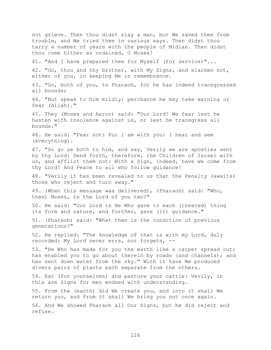not grieve. Then thou didst slay a man, but We saved thee from trouble, and We tried thee in various ways. Then didst thou tarry a number of years with the people of Midian. Then didst thou come hither as ordained, O Moses! 41. "And I have prepared thee for Myself (for service)"... 42. "Go, thou and thy brother, with My Signs, and slacken not, either of you, in keeping Me in remembrance. 43. "Go, both of you, to Pharaoh, for he has indeed transgressed all bounds; 44. "But speak to him mildly; perchance he may take warning or fear (Allah)." 45. They (Moses and Aaron) said: "Our Lord! We fear lest he hasten with insolence against us, or lest he transgress all bounds." 46. He said: "Fear not: For I am with you: I hear and see (everything). 47. "So go ye both to him, and say, Verily we are apostles sent by thy Lord: Send forth, therefore, the Children of Israel with us, and afflict them not: With a Sign, indeed, have we come from thy Lord! And Peace to all who follow guidance! 48. "Verily it has been revealed to us that the Penalty (awaits) those who reject and turn away." 49. (When this message was delivered), (Pharaoh) said: "Who, then) Moses, is the Lord of you two?" 50. He said: "Our Lord is He Who gave to each (created) thing its form and nature, and further, gave (it) guidance." 51. (Pharaoh) said: "What then is the condition of previous generations?" 52. He replied: "The knowledge of that is with my Lord, duly recorded: My Lord never errs, nor forgets, -- 53. "He Who has made for you the earth like a carpet spread out; has enabled you to go about therein by roads (and channels); and has sent down water from the sky." With it have We produced divers pairs of plants each separate from the others. 54. Eat (for yourselves) and pasture your cattle: Verily, in this are Signs for men endued with understanding. 55. From the (earth) did We create you, and into it shall We return you, and from it shall We bring you out once again. 56. And We showed Pharaoh all Our Signs, but he did reject and refuse.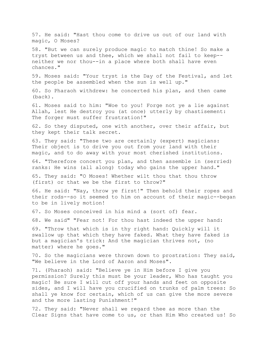57. He said: "Hast thou come to drive us out of our land with magic, O Moses?

58. "But we can surely produce magic to match thine! So make a tryst between us and thee, which we shall not fail to keep- neither we nor thou--in a place where both shall have even chances."

59. Moses said: "Your tryst is the Day of the Festival, and let the people be assembled when the sun is well up."

60. So Pharaoh withdrew: he concerted his plan, and then came (back).

61. Moses said to him: "Woe to you! Forge not ye a lie against Allah, lest He destroy you (at once) utterly by chastisement: The forger must suffer frustration!"

62. So they disputed, one with another, over their affair, but they kept their talk secret.

63. They said: "These two are certainly (expert) magicians: Their object is to drive you out from your land with their magic, and to do away with your most cherished institutions.

64. "Therefore concert you plan, and then assemble in (serried) ranks: He wins (all along) today who gains the upper hand."

65. They said: "O Moses! Whether wilt thou that thou throw (first) or that we be the first to throw?"

66. He said: "Nay, throw ye first!" Then behold their ropes and their rods--so it seemed to him on account of their magic--began to be in lively motion!

67. So Moses conceived in his mind a (sort of) fear.

68. We said" "Fear not! For thou hast indeed the upper hand:

69. "Throw that which is in thy right hand: Quickly will it swallow up that which they have faked. What they have faked is but a magician's trick: And the magician thrives not, (no matter) where he goes."

70. So the magicians were thrown down to prostration: They said, "We believe in the Lord of Aaron and Moses".

71. (Pharaoh) said: "Believe ye in Him before I give you permission? Surely this must be your leader, Who has taught you magic! Be sure I will cut off your hands and feet on opposite sides, and I will have you crucified on trunks of palm trees: So shall ye know for certain, which of us can give the more severe and the more lasting Punishment!"

72. They said: "Never shall we regard thee as more than the Clear Signs that have come to us, or than Him Who created us! So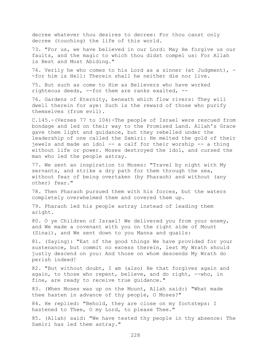decree whatever thou desires to decree: For thou canst only decree (touching) the life of this world.

73. "For us, we have believed in our Lord: May He forgive us our faults, and the magic to which thou didst compel us: For Allah is Best and Most Abiding."

74. Verily he who comes to his Lord as a sinner (at Judgment), - -for him is Hell: Therein shall he neither die nor live.

75. But such as come to Him as Believers who have worked righteous deeds, --for them are ranks exalted, --

76. Gardens of Eternity, beneath which flow rivers: They will dwell therein for aye: Such is the reward of those who purify themselves (from evil).

C.145.-(Verses 77 to 104)-The people of Israel were rescued from bondage and led on their way to the Promised Land. Allah's Grace gave them light and guidance, but they rebelled under the leadership of one called the Samiri: He melted the gold of their jewels and made an idol -- a calf for their worship -- a thing without life or power. Moses destroyed the idol, and cursed the man who led the people astray.

77. We sent an inspiration to Moses: "Travel by night with My servants, and strike a dry path for them through the sea, without fear of being overtaken (by Pharaoh) and without (any other) fear."

78. Then Pharaoh pursued them with his forces, but the waters completely overwhelmed them and covered them up.

79. Pharaoh led his people astray instead of leading them aright.

80. O ye Children of Israel! We delivered you from your enemy, and We made a covenant with you on the right side of Mount (Sinai), and We sent down to you Manna and quails:

81. (Saying): "Eat of the good things We have provided for your sustenance, but commit no excess therein, lest My Wrath should justly descend on you: And those on whom descends My Wrath do perish indeed!

82. "But without doubt, I am (also) He that forgives again and again, to those who repent, believe, and do right, --who, in fine, are ready to receive true guidance."

83. (When Moses was up on the Mount, Allah said:) "What made thee hasten in advance of thy people, O Moses?"

84. He replied: "Behold, they are close on my footsteps: I hastened to Thee, O my Lord, to please Thee."

85. (Allah) said: "We have tested thy people in thy absence: The Samiri has led them astray."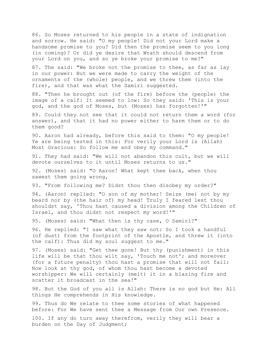86. So Moses returned to his people in a state of indignation and sorrow. He said: "O my people! Did not your Lord make a handsome promise to you? Did then the promise seem to you long (in coming)? Or did ye desire that Wrath should descend from your Lord on you, and so ye broke your promise to me?"

87. The said: "We broke not the promise to thee, as far as lay in our power: But we were made to carry the weight of the ornaments of the (whole) people, and we threw them (into the fire), and that was what the Samiri suggested.

88. "Then he brought out (of the fire) before the (people) the image of a calf: It seemed to low: So they said: 'This is your god, and the god of Moses, but (Moses) has forgotten!'"

89. Could they not see that it could not return them a word (for answer), and that it had no power either to harm them or to do them good?

90. Aaron had already, before this said to them: "O my people! Ye are being tested in this: For verily your Lord is (Allah) Most Gracious: So follow me and obey my command."

91. They had said: "We will not abandon this cult, but we will devote ourselves to it until Moses returns to us."

92. (Moses) said: "O Aaron! What kept thee back, when thou sawest them going wrong,

93. "From following me? Didst thou then disobey my order?"

94. (Aaron) replied: "O son of my mother! Seize (me) not by my beard nor by (the hair of) my head! Truly I feared lest thou shouldst say, 'Thou hast caused a division among the Children of Israel, and thou didst not respect my word!'"

95. (Moses) said: "What then is thy case, O Samiri?"

96. He replied: "I saw what they saw not: So I took a handful (of dust) from the footprint of the Apostle, and threw it (into the calf): Thus did my soul suggest to me."

97. (Moses) said: "Get thee gone! But thy (punishment) in this life will be that thou wilt say, 'Touch me not'; and moreover (for a future penalty) thou hast a promise that will not fail: Now look at thy god, of whom thou hast become a devoted worshipper: We will certainly (melt) it in a blazing fire and scatter it broadcast in the sea!"

98. But the God of you all is Allah: There is no god but He: All things He comprehends in His knowledge.

99. Thus do We relate to thee some stories of what happened before: For We have sent thee a Message from Our own Presence.

100. If any do turn away therefrom, verily they will bear a burden on the Day of Judgment;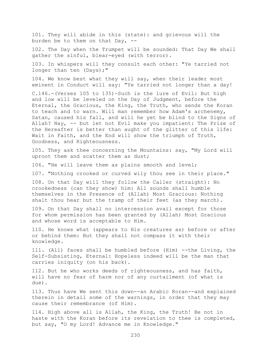101. They will abide in this (state): and grievous will the burden be to them on that Day,  $-$ -

102. The Day when the Trumpet will be sounded: That Day We shall gather the sinful, blear-eyed (with terror).

103. In whispers will they consult each other: "Ye tarried not longer than ten (Days);"

104. We know best what they will say, when their leader most eminent in Conduct will say: "Ye tarried not longer than a day!

C.146.-(Verses 105 to 135)-Such is the lure of Evil: But high and low will be leveled on the Day of Judgment, before the Eternal, the Gracious, the King, the Truth, who sends the Koran to teach and to warn. Will man remember how Adam's archenemy, Satan, caused his fall, and will he yet be blind to the Signs of Allah? Nay, -- but let not Evil make you impatient: The Prize of the Hereafter is better than aught of the glitter of this life: Wait in Faith, and the End will show the triumph of Truth, Goodness, and Righteousness.

105. They ask thee concerning the Mountains: say, "My Lord will uproot them and scatter them as dust;

106. "He will leave them as plains smooth and level;

107. "Nothing crooked or curved wily thou see in their place."

108. On that Day will they follow the Caller (straight): No crookedness (can they show) him: All sounds shall humble themselves in the Presence of (Allah) Most Gracious: Nothing shalt thou hear but the tramp of their feet (as they march).

109. On that Day shall no intercession avail except for those for whom permission has been granted by (Allah) Most Gracious and whose word is acceptable to Him.

110. He knows what (appears to His creatures as) before or after or behind them: But they shall not compass it with their knowledge.

111. (All) faces shall be humbled before (Him) --the Living, the Self-Subsisting, Eternal: Hopeless indeed will be the man that carries iniquity (on his back).

112. But he who works deeds of righteousness, and has faith, will have no fear of harm nor of any curtailment (of what is due).

113. Thus have We sent this down--an Arabic Koran--and explained therein in detail some of the warnings, in order that they may cause their remembrance (of Him).

114. High above all is Allah, the King, the Truth! Be not in haste with the Koran before its revelation to thee is completed, but say, "O my Lord! Advance me in Knowledge."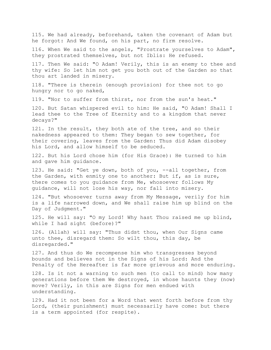115. We had already, beforehand, taken the covenant of Adam but he forgot: And We found, on his part, no firm resolve. 116. When We said to the angels, "Prostrate yourselves to Adam", they prostrated themselves, but not Iblis: He refused. 117. Then We said: "O Adam! Verily, this is an enemy to thee and thy wife: So let him not get you both out of the Garden so that thou art landed in misery. 118. "There is therein (enough provision) for thee not to go hungry nor to go naked, 119. "Nor to suffer from thirst, nor from the sun's heat." 120. But Satan whispered evil to him: He said, "O Adam! Shall I lead thee to the Tree of Eternity and to a kingdom that never decays?" 121. In the result, they both ate of the tree, and so their nakedness appeared to them: They began to sew together, for their covering, leaves from the Garden: Thus did Adam disobey his Lord, and allow himself to be seduced. 122. But his Lord chose him (for His Grace): He turned to him and gave him guidance. 123. He said: "Get ye down, both of you, --all together, from the Garden, with enmity one to another: But if, as is sure, there comes to you guidance from Me, whosoever follows My guidance, will not lose his way, nor fall into misery. 124. "But whosoever turns away from My Message, verily for him is a life narrowed down, and We shall raise him up blind on the Day of Judgment." 125. He will say: "O my Lord! Why hast Thou raised me up blind, while I had sight (before)?" 126. (Allah) will say: "Thus didst thou, when Our Signs came unto thee, disregard them: So wilt thou, this day, be disregarded." 127. And thus do We recompense him who transgresses beyond bounds and believes not in the Signs of his Lord: And the Penalty of the Hereafter is far more grievous and more enduring. 128. Is it not a warning to such men (to call to mind) how many generations before them We destroyed, in whose haunts they (now) move? Verily, in this are Signs for men endued with understanding. 129. Had it not been for a Word that went forth before from thy Lord, (their punishment) must necessarily have come: but there

is a term appointed (for respite).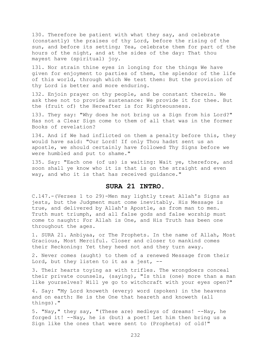130. Therefore be patient with what they say, and celebrate (constantly) the praises of thy Lord, before the rising of the sun, and before its setting; Yea, celebrate them for part of the hours of the night, and at the sides of the day: That thou mayest have (spiritual) joy.

131. Nor strain thine eyes in longing for the things We have given for enjoyment to parties of them, the splendor of the life of this world, through which We test them: But the provision of thy Lord is better and more enduring.

132. Enjoin prayer on thy people, and be constant therein. We ask thee not to provide sustenance: We provide it for thee. But the (fruit of) the Hereafter is for Righteousness.

133. They say: "Why does he not bring us a Sign from his Lord?" Has not a Clear Sign come to them of all that was in the former Books of revelation?

134. And if We had inflicted on them a penalty before this, they would have said: "Our Lord! If only Thou hadst sent us an apostle, we should certainly have followed Thy Signs before we were humbled and put to shame."

135. Say: "Each one (of us) is waiting: Wait ye, therefore, and soon shall ye know who it is that is on the straight and even way, and who it is that has received guidance."

## **SURA 21 INTRO.**

C.147.-(Verses 1 to 29)-Men may lightly treat Allah's Signs as jests, but the Judgment must come inevitably. His Message is true, and delivered by Allah's Apostle, as from man to men. Truth must triumph, and all false gods and false worship must come to naught: For Allah is One, and His Truth has been one throughout the ages.

1. SURA 21. Anbiyaa, or The Prophets. In the name of Allah, Most Gracious, Most Merciful. Closer and closer to mankind comes their Reckoning: Yet they heed not and they turn away.

2. Never comes (aught) to them of a renewed Message from their Lord, but they listen to it as a jest, --

3. Their hearts toying as with trifles. The wrongdoers conceal their private counsels, (saying), "Is this (one) more than a man like yourselves? Will ye go to witchcraft with your eyes open?"

4. Say: "My Lord knoweth (every) word (spoken) in the heavens and on earth: He is the One that heareth and knoweth (all things)."

5. "Nay," they say, "(These are) medleys of dreams! --Nay, he forged it! --Nay, he is (but) a poet! Let him then bring us a Sign like the ones that were sent to (Prophets) of old!"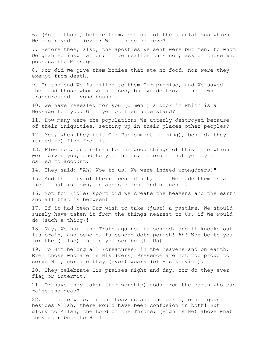6. (As to those) before them, not one of the populations which We destroyed believed: Will these believe?

7. Before thee, also, the apostles We sent were but men, to whom We granted inspiration: If ye realize this not, ask of those who possess the Message.

8. Nor did We give them bodies that ate no food, nor were they exempt from death.

9. In the end We fulfilled to them Our promise, and We saved them and those whom We pleased, but We destroyed those who transgressed beyond bounds.

10. We have revealed for you (O men!) a book in which is a Message for you: Will ye not then understand?

11. How many were the populations We utterly destroyed because of their iniquities, setting up in their places other peoples?

12. Yet, when they felt Our Punishment (coming), behold, they (tried to) flee from it.

13. Flee not, but return to the good things of this life which were given you, and to your homes, in order that ye may be called to account.

14. They said: "Ah! Woe to us! We were indeed wrongdoers!"

15. And that cry of theirs ceased not, till We made them as a field that is mown, as ashes silent and quenched.

16. Not for (idle) sport did We create the heavens and the earth and all that is between!

17. If it had been Our wish to take (just) a pastime, We should surely have taken it from the things nearest to Us, if We would do (such a thing)!

18. Nay, We hurl the Truth against falsehood, and it knocks out its brain, and behold, falsehood doth perish! Ah! Woe be to you for the (false) things ye ascribe (to Us).

19. To Him belong all (creatures) in the heavens and on earth: Even those who are in His (very) Presence are not too proud to serve Him, nor are they (ever) weary (of His service):

20. They celebrate His praises night and day, nor do they ever flag or intermit.

21. Or have they taken (for worship) gods from the earth who can raise the dead?

22. If there were, in the heavens and the earth, other gods besides Allah, there would have been confusion in both! But glory to Allah, the Lord of the Throne: (High is He) above what they attribute to Him!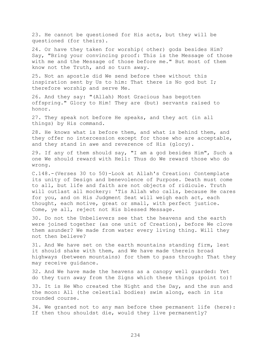23. He cannot be questioned for His acts, but they will be questioned (for theirs).

24. Or have they taken for worship( other) gods besides Him? Say, "Bring your convincing proof: This is the Message of those with me and the Message of those before me." But most of them know not the Truth, and so turn away.

25. Not an apostle did We send before thee without this inspiration sent by Us to him: That there is No god but I; therefore worship and serve Me.

26. And they say: "(Allah) Most Gracious has begotten offspring." Glory to Him! They are (but) servants raised to honor.

27. They speak not before He speaks, and they act (in all things) by His command.

28. He knows what is before them, and what is behind them, and they offer no intercession except for those who are acceptable, and they stand in awe and reverence of His (glory).

29. If any of them should say, "I am a god besides Him", Such a one We should reward with Hell: Thus do We reward those who do wrong.

C.148.-(Verses 30 to 50)-Look at Allah's Creation: Contemplate its unity of Design and benevolence of Purpose. Death must come to all, but life and faith are not objects of ridicule. Truth will outlast all mockery: 'Tis Allah who calls, because He cares for you, and on His Judgment Seat will weigh each act, each thought, each motive, great or small, with perfect justice. Come, ye all, reject not His blessed Message.

30. Do not the Unbelievers see that the heavens and the earth were joined together (as one unit of Creation), before We clove them asunder? We made from water every living thing. Will they not then believe?

31. And We have set on the earth mountains standing firm, lest it should shake with them, and We have made therein broad highways (between mountains) for them to pass through: That they may receive guidance.

32. And We have made the heavens as a canopy well guarded: Yet do they turn away from the Signs which these things (point to)!

33. It is He Who created the Night and the Day, and the sun and the moon: All (the celestial bodies) swim along, each in its rounded course.

34. We granted not to any man before thee permanent life (here): If then thou shouldst die, would they live permanently?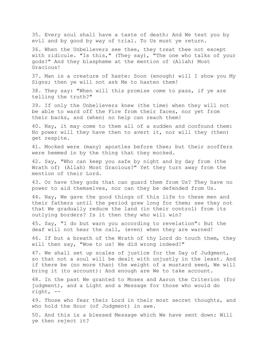35. Every soul shall have a taste of death: And We test you by evil and by good by way of trial. To Us must ye return.

36. When the Unbelievers see thee, they treat thee not except with ridicule. "Is this," (They say), "The one who talks of your gods?" And they blaspheme at the mention of (Allah) Most Gracious!

37. Man is a creature of haste: Soon (enough) will I show you My Signs; then ye will not ask Me to hasten them!

38. They say: "When will this promise come to pass, if ye are telling the truth?"

39. If only the Unbelievers knew (the time) when they will not be able to ward off the Fire from their faces, nor yet from their backs, and (when) no help can reach them!

40. Nay, it may come to them all of a sudden and confound them: No power will they have then to avert it, nor will they (then) get respite.

41. Mocked were (many) apostles before thee; but their scoffers were hemmed in by the thing that they mocked.

42. Say, "Who can keep you safe by night and by day from (the Wrath of) (Allah) Most Gracious?" Yet they turn away from the mention of their Lord.

43. Or have they gods that can guard them from Us? They have no power to aid themselves, nor can they be defended from Us.

44. Nay, We gave the good things of this life to these men and their fathers until the period grew long for them; see they not that We gradually reduce the land (in their control) from its outlying borders? Is it then they who will win?

45. Say, "I do but warn you according to revelation": But the deaf will not hear the call, (even) when they are warned!

46. If but a breath of the Wrath of thy Lord do touch them, they will then say, "Woe to us! We did wrong indeed!"

47. We shall set up scales of justice for the Day of Judgment, so that not a soul will be dealt with unjustly in the least. And if there be (no more than) the weight of a mustard seed, We will bring it (to account): And enough are We to take account.

48. In the past We granted to Moses and Aaron the Criterion (for judgment), and a Light and a Message for those who would do right, --

49. Those who fear their Lord in their most secret thoughts, and who hold the Hour (of Judgment) in awe.

50. And this is a blessed Message which We have sent down: Will ye then reject it?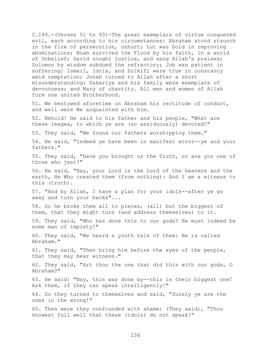C.149.-(Verses 51 to 93)-The great exemplars of virtue conquered evil, each according to his circumstances: Abraham stood staunch in the fire of persecution, unhurt; Lut was bold in reproving abominations; Noah survived the Flood by his faith, in a world of Unbelief; David sought justice, and sang Allah's praises; Solomon by wisdom subdued the refractory; Job was patient in suffering; Ismail, Idris, and Zulkifl were true in constancy amid temptation; Jonah turned to Allah after a short misunderstanding; Zakariya and his family were exemplars of devoutness; and Mary of chastity. All men and women of Allah form one united Brotherhood.

51. We bestowed aforetime on Abraham his rectitude of conduct, and well were We acquainted with him.

52. Behold! He said to his father and his people, "What are these images, to which ye are (so assiduously) devoted?"

53. They said, "We found our fathers worshipping them."

54. He said, "Indeed ye have been in manifest error--ye and your fathers."

55. They said, "Have you brought us the Truth, or are you one of those who jest?"

56. He said, "Nay, your Lord is the Lord of the heavens and the earth, He Who created them (from nothing): And I am a witness to this (truth).

57. "And by Allah, I have a plan for your idols--after ye go away and turn your backs"...

58. So he broke them all to pieces, (all) but the biggest of them, that they might turn (and address themselves) to it.

59. They said, "Who has done this to our gods? He must indeed be some man of impiety!"

60. They said, "We heard a youth talk of them: He is called Abraham."

61. They said, "Then bring him before the eyes of the people, that they may bear witness."

62. They said, "Art thou the one that did this with our gods, O Abraham?"

63. He said: "Nay, this was done by--this is their biggest one! Ask them, if they can speak intelligently!"

64. So they turned to themselves and said, "Surely ye are the ones in the wrong!"

65. Then were they confounded with shame: (They said), "Thou knowest full well that these (idols) do not speak!"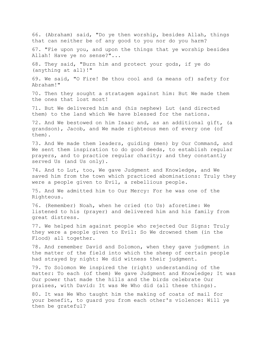66. (Abraham) said, "Do ye then worship, besides Allah, things that can neither be of any good to you nor do you harm? 67. "Fie upon you, and upon the things that ye worship besides Allah! Have ye no sense?"... 68. They said, "Burn him and protect your gods, if ye do (anything at all)!" 69. We said, "O Fire! Be thou cool and (a means of) safety for Abraham!" 70. Then they sought a stratagem against him: But We made them the ones that lost most! 71. But We delivered him and (his nephew) Lut (and directed them) to the land which We have blessed for the nations. 72. And We bestowed on him Isaac and, as an additional gift, (a grandson), Jacob, and We made righteous men of every one (of them). 73. And We made them leaders, guiding (men) by Our Command, and We sent them inspiration to do good deeds, to establish regular prayers, and to practice regular charity; and they constantly served Us (and Us only). 74. And to Lut, too, We gave Judgment and Knowledge, and We saved him from the town which practiced abominations: Truly they were a people given to Evil, a rebellious people. 75. And We admitted him to Our Mercy: For he was one of the Righteous. 76. (Remember) Noah, when he cried (to Us) aforetime: We listened to his (prayer) and delivered him and his family from great distress. 77. We helped him against people who rejected Our Signs: Truly they were a people given to Evil: So We drowned them (in the Flood) all together. 78. And remember David and Solomon, when they gave judgment in the matter of the field into which the sheep of certain people had strayed by night: We did witness their judgment. 79. To Solomon We inspired the (right) understanding of the matter: To each (of them) We gave Judgment and Knowledge; It was Our power that made the hills and the birds celebrate Our praises, with David: It was We Who did (all these things). 80. It was We Who taught him the making of coats of mail for your benefit, to guard you from each other's violence: Will ye then be grateful?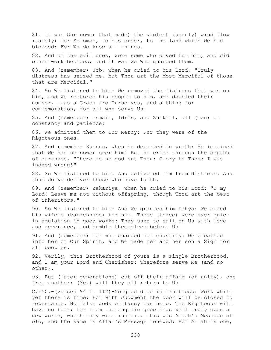81. It was Our power that made) the violent (unruly) wind flow (tamely) for Solomon, to his order, to the land which We had blessed: For We do know all things.

82. And of the evil ones, were some who dived for him, and did other work besides; and it was We Who guarded them.

83. And (remember) Job, when he cried to his Lord, "Truly distress has seized me, but Thou art the Most Merciful of those that are Merciful."

84. So We listened to him: We removed the distress that was on him, and We restored his people to him, and doubled their number, --as a Grace fro Ourselves, and a thing for commemoration, for all who serve Us.

85. And (remember) Ismail, Idris, and Zulkifl, all (men) of constancy and patience;

86. We admitted them to Our Mercy: For they were of the Righteous ones.

87. And remember Zunnun, when he departed in wrath: He imagined that We had no power over him! But he cried through the depths of darkness, "There is no god but Thou: Glory to Thee: I was indeed wrong!"

88. So We listened to him: And delivered him from distress: And thus do We deliver those who have faith.

89. And (remember) Zakariya, when he cried to his Lord: "O my Lord! Leave me not without offspring, though Thou art the best of inheritors."

90. So We listened to him: And We granted him Yahya: We cured his wife's (barrenness) for him. These (three) were ever quick in emulation in good works: They used to call on Us with love and reverence, and humble themselves before Us.

91. And (remember) her who guarded her chastity: We breathed into her of Our Spirit, and We made her and her son a Sign for all peoples.

92. Verily, this Brotherhood of yours is a single Brotherhood, and I am your Lord and Cherisher: Therefore serve Me (and no other).

93. But (later generations) cut off their affair (of unity), one from another: (Yet) will they all return to Us.

C.150.-(Verses 94 to 112)-No good deed is fruitless: Work while yet there is time: For with Judgment the door will be closed to repentance. No false gods of fancy can help. The Righteous will have no fear; for them the angelic greetings will truly open a new world, which they will inherit. This was Allah's Message of old, and the same is Allah's Message renewed: For Allah is one,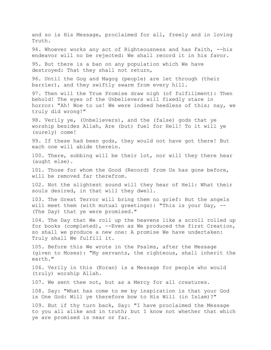and so is His Message, proclaimed for all, freely and in loving Truth. 94. Whoever works any act of Righteousness and has Faith, --his endeavor will no be rejected: We shall record it in his favor. 95. But there is a ban on any population which We have destroyed: That they shall not return, 96. Until the Gog and Magog (people) are let through (their barrier), and they swiftly swarm from every hill. 97. Then will the True Promise draw nigh (of fulfillment): Then behold! The eyes of the Unbelievers will fixedly stare in horror: "Ah! Woe to us! We were indeed heedless of this; nay, we truly did wrong!" 98. Verily ye, (Unbelievers), and the (false) gods that ye worship besides Allah, Are (but) fuel for Hell! To it will ye (surely) come! 99. If these had been gods, they would not have got there! But each one will abide therein. 100. There, sobbing will be their lot, nor will they there hear (aught else). 101. Those for whom the Good (Record) from Us has gone before, will be removed far therefrom. 102. Not the slightest sound will they hear of Hell: What their souls desired, in that will they dwell. 103. The Great Terror will bring them no grief: But the angels will meet them (with mutual greetings): "This is your Day, -- (The Day) that ye were promised." 104. The Day that We roll up the heavens like a scroll rolled up for books (completed), --Even as We produced the first Creation, so shall we produce a new one: A promise We have undertaken: Truly shall We fulfill it. 105. Before this We wrote in the Psalms, after the Message (given to Moses): "My servants, the righteous, shall inherit the earth." 106. Verily in this (Koran) is a Message for people who would (truly) worship Allah. 107. We sent thee not, but as a Mercy for all creatures. 108. Say: "What has come to me by inspiration is that your God is One God: Will ye therefore bow to His Will (in Islam)?" 109. But if thy turn back, Say: "I have proclaimed the Message to you all alike and in truth; but I know not whether that which ye are promised is near or far.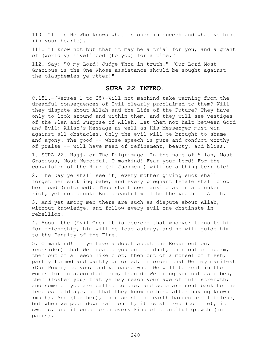110. "It is He Who knows what is open in speech and what ye hide (in your hearts).

111. "I know not but that it may be a trial for you, and a grant of (worldly) livelihood (to you) for a time."

112. Say: "O my Lord! Judge Thou in truth!" "Our Lord Most Gracious is the One Whose assistance should be sought against the blasphemies ye utter!"

## **SURA 22 INTRO.**

C.151.-(Verses 1 to 25)-Will not mankind take warning from the dreadful consequences of Evil clearly proclaimed to them? Will they dispute about Allah and the Life of the Future? They have only to look around and within them, and they will see vestiges of the Plan and Purpose of Allah. Let them not halt between Good and Evil: Allah's Message as well as His Messenger must win against all obstacles. Only the evil will be brought to shame and agony. The good  $-$ - whose speech is pure and conduct worthy of praise -- will have meed of refinement, beauty, and bliss.

1. SURA 22. Hajj, or The Pilgrimage. In the name of Allah, Most Gracious, Most Merciful. O mankind! Fear your Lord! For the convulsion of the Hour (of Judgment) will be a thing terrible!

2. The Day ye shall see it, every mother giving suck shall forget her suckling babe, and every pregnant female shall drop her load (unformed): Thou shalt see mankind as in a drunken riot, yet not drunk: But dreadful will be the Wrath of Allah.

3. And yet among men there are such as dispute about Allah, without knowledge, and follow every evil one obstinate in rebellion!

4. About the (Evil One) it is decreed that whoever turns to him for friendship, him will he lead astray, and he will guide him to the Penalty of the Fire.

5. O mankind! If ye have a doubt about the Resurrection, (consider) that We created you out of dust, then out of sperm, then out of a leech like clot; then out of a morsel of flesh, partly formed and partly unformed, in order that We may manifest (Our Power) to you; and We cause whom We will to rest in the wombs for an appointed term, then do We bring you out as babes, then (foster you) that ye may reach your age of full strength; and some of you are called to die, and some are sent back to the feeblest old age, so that they know nothing after having known (much). And (further), thou seest the earth barren and lifeless, but when We pour down rain on it, it is stirred (to life), it swells, and it puts forth every kind of beautiful growth (in pairs).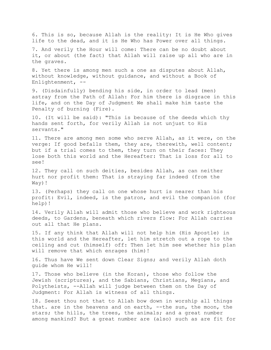6. This is so, because Allah is the reality: It is He Who gives life to the dead, and it is He Who has Power over all things. 7. And verily the Hour will come: There can be no doubt about it, or about (the fact) that Allah will raise up all who are in the graves. 8. Yet there is among men such a one as disputes about Allah, without knowledge, without guidance, and without a Book of Enlightenment,  $-$ 9. (Disdainfully) bending his side, in order to lead (men) astray from the Path of Allah: For him there is disgrace in this life, and on the Day of Judgment We shall make him taste the Penalty of burning (Fire). 10. (It will be said): "This is because of the deeds which thy hands sent forth, for verily Allah is not unjust to His servants." 11. There are among men some who serve Allah, as it were, on the verge: If good befalls them, they are, therewith, well content; but if a trial comes to them, they turn on their faces: They lose both this world and the Hereafter: That is loss for all to see! 12. They call on such deities, besides Allah, as can neither hurt nor profit them: That is straying far indeed (from the Way)! 13. (Perhaps) they call on one whose hurt is nearer than his profit: Evil, indeed, is the patron, and evil the companion (for help)! 14. Verily Allah will admit those who believe and work righteous deeds, to Gardens, beneath which rivers flow: For Allah carries out all that He plans. 15. If any think that Allah will not help him (His Apostle) in this world and the Hereafter, let him stretch out a rope to the ceiling and cut (himself) off: Then let him see whether his plan will remove that which enrages (him)! 16. Thus have We sent down Clear Signs; and verily Allah doth guide whom He will! 17. Those who believe (in the Koran), those who follow the Jewish (scriptures), and the Sabians, Christians, Megians, and Polytheists, --Allah will judge between them on the Day of Judgment: For Allah is witness of all things. 18. Seest thou not that to Allah bow down in worship all things that. are in the heavens and on earth, --the sun, the moon, the stars; the hills, the trees, the animals; and a great number among mankind? But a great number are (also) such as are fit for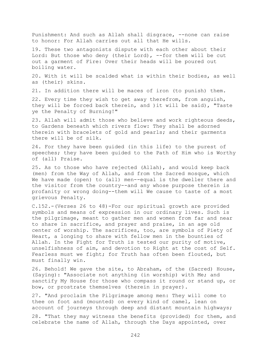Punishment: And such as Allah shall disgrace, --none can raise to honor: For Allah carries out all that He wills.

19. These two antagonists dispute with each other about their Lord: But those who deny (their Lord), --for them will be cut out a garment of Fire: Over their heads will be poured out boiling water.

20. With it will be scalded what is within their bodies, as well as (their) skins.

21. In addition there will be maces of iron (to punish) them.

22. Every time they wish to get away therefrom, from anguish, they will be forced back therein, and )it will be said), "Taste ye the Penalty of Burning!"

23. Allah will admit those who believe and work righteous deeds, to Gardens beneath which rivers flow: They shall be adorned therein with bracelets of gold and pearls; and their garments there will be of silk.

24. For they have been guided (in this life) to the purest of speeches; they have been guided to the Path of Him who is Worthy of (all) Praise.

25. As to those who have rejected (Allah), and would keep back (men) from the Way of Allah, and from the Sacred mosque, which We have made (open) to (all) men--equal is the dweller there and the visitor from the country--and any whose purpose therein is profanity or wrong doing--them will We cause to taste of a most grievous Penalty.

C.152.-(Verses 26 to 48)-For our spiritual growth are provided symbols and means of expression in our ordinary lives. Such is the pilgrimage, meant to gather men and women from far and near to share in sacrifice, and prayer and praise, in an age old center of worship. The sacrifices, too, are symbols of Piety of Heart, a longing to share with fellow men in the bounties of Allah. In the Fight for Truth is tested our purity of motive, unselfishness of aim, and devotion to Right at the cost of Self. Fearless must we fight; for Truth has often been flouted, but must finally win.

26. Behold! We gave the site, to Abraham, of the (Sacred) House, (Saying): "Associate not anything (in worship) with Me; and sanctify My House for those who compass it round or stand up, or bow, or prostrate themselves (therein in prayer).

27. "And proclaim the Pilgrimage among men: They will come to thee on foot and (mounted) on every kind of camel, lean on account of journeys through deep and distant mountain highways;

28. "That they may witness the benefits (provided) for them, and celebrate the name of Allah, through the Days appointed, over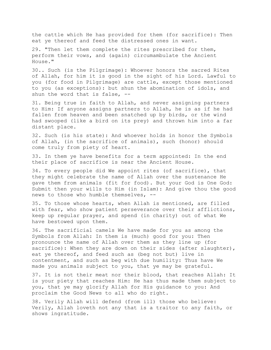the cattle which He has provided for them (for sacrifice): Then eat ye thereof and feed the distressed ones in want.

29. "Then let them complete the rites prescribed for them, perform their vows, and (again) circumambulate the Ancient House."

30.. Such (is the Pilgrimage): Whoever honors the sacred Rites of Allah, for him it is good in the sight of his Lord. Lawful to you (for food in Pilgrimage) are cattle, except those mentioned to you (as exceptions): but shun the abomination of idols, and shun the word that is false, --

31. Being true in faith to Allah, and never assigning partners to Him: If anyone assigns partners to Allah, he is as if he had fallen from heaven and been snatched up by birds, or the wind had swooped (like a bird on its prey) and thrown him into a far distant place.

32. Such (is his state): And whoever holds in honor the Symbols of Allah, (in the sacrifice of animals), such (honor) should come truly from piety of heart.

33. In them ye have benefits for a term appointed: In the end their place of sacrifice is near the Ancient House.

34. To every people did We appoint rites (of sacrifice), that they might celebrate the name of Allah over the sustenance He gave them from animals (fit for food). But your God is One God: Submit then your wills to Him (in Islam): And give thou the good news to those who humble themselves, --

35. To those whose hearts, when Allah is mentioned, are filled with fear, who show patient perseverance over their afflictions, keep up regular prayer, and spend (in charity) out of what We have bestowed upon them.

36. The sacrificial camels We have made for you as among the Symbols from Allah: In them is (much) good for you: Then pronounce the name of Allah over them as they line up (for sacrifice): When they are down on their sides (after slaughter), eat ye thereof, and feed such as (beg not but) live in contentment, and such as beg with due humility: Thus have We made you animals subject to you, that ye may be grateful.

37. It is not their meat nor their blood, that reaches Allah: It is your piety that reaches Him: He has thus made them subject to you, that ye may glorify Allah for His guidance to you: And proclaim the Good News to all who do right.

38. Verily Allah will defend (from ill) those who believe: Verily, Allah loveth not any that is a traitor to any faith, or shows ingratitude.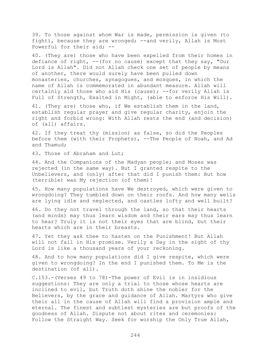39. To those against whom War is made, permission is given (to fight), because they are wronged; --and verily, Allah is Most Powerful for their aid; --

40. (They are) those who have been expelled from their homes in defiance of right, --(for no cause) except that they say, "Our Lord is Allah". Did not Allah check one set of people by means of another, there would surely have been pulled down monasteries, churches, synagogues, and mosques, in which the name of Allah is commemorated in abundant measure. Allah will certainly aid those who aid His (cause); --for verily Allah is Full of Strength, Exalted in Might, (able to enforce His Will).

41. (They are) those who, if We establish them in the land, establish regular prayer and give regular charity, enjoin the right and forbid wrong: With Allah rests the end (and decision) of (all) affairs.

42. If they treat thy (mission) as false, so did the Peoples before them (with their Prophets), --The People of Noah, and Ad and Thamud;

43. Those of Abraham and Lut;

44. And the Companions of the Madyan people; and Moses was rejected (in the same way). But I granted respite to the Unbelievers, and (only) after that did I punish them: But how (terrible) was My rejection (of them)!

45. How many populations have We destroyed, which were given to wrongdoing? They tumbled down on their roofs. And how many wells are lying idle and neglected, and castles lofty and well built?

46. Do they not travel through the land, so that their hearts (and minds) may thus learn wisdom and their ears may thus learn to hear? Truly it is not their eyes that are blind, but their hearts which are in their breasts.

47. Yet they ask thee to hasten on the Punishment! But Allah will not fail in His promise. Verily a Day in the sight of thy Lord is like a thousand years of your reckoning.

48. And to how many populations did I give respite, which were given to wrongdoing? In the end I punished them. To Me is the destination (of all).

C.153.-(Verses 49 to 78)-The power of Evil is in insidious suggestions: They are only a trial to those whose hearts are inclined to evil, but Truth doth shine the nobler for the Believers, by the grace and guidance of Allah. Martyrs who give their all in the cause of Allah will find a provision ample and eternal. The finest and subtlest mysteries are but proofs of the goodness of Allah. Dispute not about rites and ceremonies: Follow the Straight Way. Seek for worship the Only True Allah,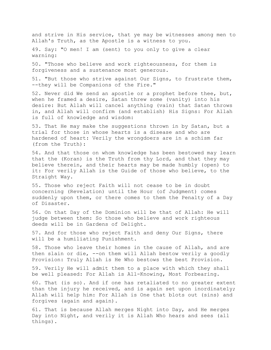and strive in His service, that ye may be witnesses among men to Allah's Truth, as the Apostle is a witness to you. 49. Say: "O men! I am (sent) to you only to give a clear warning: 50. "Those who believe and work righteousness, for them is forgiveness and a sustenance most generous. 51. "But those who strive against Our Signs, to frustrate them, --they will be Companions of the Fire." 52. Never did We send an apostle or a prophet before thee, but, when he framed a desire, Satan threw some (vanity) into his desire: But Allah will cancel anything (vain) that Satan throws in, and Allah will confirm (and establish) His Signs: For Allah is full of knowledge and wisdom: 53. That He may make the suggestions thrown in by Satan, but a trial for those in whose hearts is a disease and who are hardened of heart: Verily the wrongdoers are in a schism far (from the Truth): 54. And that those on whom knowledge has been bestowed may learn that the (Koran) is the Truth from thy Lord, and that they may believe therein, and their hearts may be made humbly (open) to it: For verily Allah is the Guide of those who believe, to the Straight Way. 55. Those who reject Faith will not cease to be in doubt concerning (Revelation) until the Hour (of Judgment) comes suddenly upon them, or there comes to them the Penalty of a Day of Disaster. 56. On that Day of the Dominion will be that of Allah: He will judge between them: So those who believe and work righteous deeds will be in Gardens of Delight. 57. And for those who reject Faith and deny Our Signs, there will be a humiliating Punishment. 58. Those who leave their homes in the cause of Allah, and are then slain or die, --on them will Allah bestow verily a goodly Provision: Truly Allah is He Who bestows the best Provision. 59. Verily He will admit them to a place with which they shall be well pleased: For Allah is All-Knowing, Most Forbearing. 60. That (is so). And if one has retaliated to no greater extent than the injury he received, and is again set upon inordinately; Allah will help him: For Allah is One that blots out (sins) and forgives (again and again).

61. That is because Allah merges Night into Day, and He merges Day into Night, and verily it is Allah Who hears and sees (all things).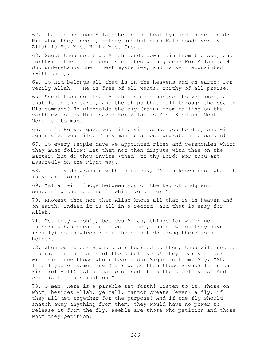62. That is because Allah--he is the Reality; and those besides Him whom they invoke, --they are but vain Falsehood: Verily Allah is He, Most High, Most Great.

63. Seest thou not that Allah sends down rain from the sky, and forthwith the earth becomes clothed with green? For Allah is He Who understands the finest mysteries, and is well acquainted (with them).

64. To Him belongs all that is in the heavens and on earth: For verily Allah, --He is free of all wants, worthy of all praise.

65. Seest thou not that Allah has made subject to you (men) all that is on the earth, and the ships that sail through the sea by His command? He withholds the sky (rain) from falling on the earth except by His leave: For Allah is Most Kind and Most Merciful to man.

66. It is He Who gave you life, will cause you to die, and will again give you life: Truly man is a most ungrateful creature!

67. To every People have We appointed rites and ceremonies which they must follow: Let them not then dispute with thee on the matter, but do thou invite (them) to thy Lord: For thou art assuredly on the Right Way.

68. If they do wrangle with thee, say, "Allah knows best what it is ye are doing."

69. "Allah will judge between you on the Day of Judgment concerning the matters in which ye differ."

70. Knowest thou not that Allah knows all that is in heaven and on earth? Indeed it is all in a record, and that is easy for Allah.

71. Yet they worship, besides Allah, things for which no authority has been sent down to them, and of which they have (really) no knowledge: For those that do wrong there is no helper.

72. When Our Clear Signs are rehearsed to them, thou wilt notice a denial on the faces of the Unbelievers! They nearly attack with violence those who rehearse Our Signs to them. Say, "Shall I tell you of something (far) worse than these Signs? It is the Fire (of Hell)! Allah has promised it to the Unbelievers! And evil is that destination!"

73. O men! Here is a parable set forth! Listen to it! Those on whom, besides Allah, ye call, cannot create (even) a fly, if they all met together for the purpose! And if the fly should snatch away anything from them, they would have no power to release it from the fly. Feeble are those who petition and those whom they petition!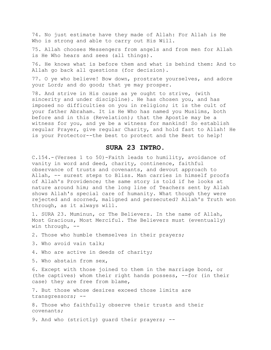74. No just estimate have they made of Allah: For Allah is He Who is strong and able to carry out His Will.

75. Allah chooses Messengers from angels and from men for Allah is He Who hears and sees (all things).

76. He knows what is before them and what is behind them: And to Allah go back all questions (for decision).

77. O ye who believe! Bow down, prostrate yourselves, and adore your Lord; and do good; that ye may prosper.

78. And strive in His cause as ye ought to strive, (with sincerity and under discipline). He has chosen you, and has imposed no difficulties on you in religion; it is the cult of your father Abraham. It is He Who has named you Muslims, both before and in this (Revelation); that the Apostle may be a witness for you, and ye be a witness for mankind! So establish regular Prayer, give regular Charity, and hold fast to Allah! He is your Protector--the best to protect and the Best to help!

#### **SURA 23 INTRO.**

C.154.-(Verses 1 to 50)-Faith leads to humility, avoidance of vanity in word and deed, charity, continence, faithful observance of trusts and covenants, and devout approach to Allah, -- surest steps to Bliss. Man carries in himself proofs of Allah's Providence; the same story is told if he looks at nature around him; and the long line of Teachers sent by Allah shows Allah's special care of humanity. What though they were rejected and scorned, maligned and persecuted? Allah's Truth won through, as it always will.

1. SURA 23. Muminun, or The Believers. In the name of Allah, Most Gracious, Most Merciful. The Believers must (eventually) win through, --

2. Those who humble themselves in their prayers;

3. Who avoid vain talk;

4. Who are active in deeds of charity;

5. Who abstain from sex,

6. Except with those joined to them in the marriage bond, or (the captives) whom their right hands possess, --for (in their case) they are free from blame,

7. But those whose desires exceed those limits are transgressors; --

8. Those who faithfully observe their trusts and their covenants;

9. And who (strictly) guard their prayers; --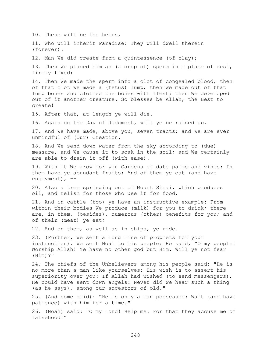10. These will be the heirs, 11. Who will inherit Paradise: They will dwell therein (forever). 12. Man We did create from a quintessence (of clay); 13. Then We placed him as (a drop of) sperm in a place of rest, firmly fixed; 14. Then We made the sperm into a clot of congealed blood; then of that clot We made a (fetus) lump; then We made out of that lump bones and clothed the bones with flesh; then We developed out of it another creature. So blesses be Allah, the Best to create! 15. After that, at length ye will die. 16. Again on the Day of Judgment, will ye be raised up. 17. And We have made, above you, seven tracts; and We are ever unmindful of (Our) Creation. 18. And We send down water from the sky according to (due) measure, and We cause it to soak in the soil; and We certainly are able to drain it off (with ease). 19. With it We grow for you Gardens of date palms and vines: In them have ye abundant fruits; And of them ye eat (and have enjoyment),  $--$ 20. Also a tree springing out of Mount Sinai, which produces oil, and relish for those who use it for food. 21. And in cattle (too) ye have an instructive example: From within their bodies We produce (milk) for you to drink; there are, in them, (besides), numerous (other) benefits for you; and of their (meat) ye eat; 22. And on them, as well as in ships, ye ride. 23. (Further, We sent a long line of prophets for your instruction). We sent Noah to his people: He said, "O my people! Worship Allah! Ye have no other god but Him. Will ye not fear (Him)?" 24. The chiefs of the Unbelievers among his people said: "He is no more than a man like yourselves: His wish is to assert his superiority over you: If Allah had wished (to send messengers), He could have sent down angels: Never did we hear such a thing (as he says), among our ancestors of old." 25. (And some said): "He is only a man possessed: Wait (and have patience) with him for a time."

26. (Noah) said: "O my Lord! Help me: For that they accuse me of falsehood!"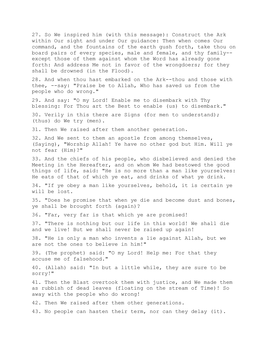27. So We inspired him (with this message): Construct the Ark within Our sight and under Our guidance: Then when comes Our command, and the fountains of the earth gush forth, take thou on board pairs of every species, male and female, and thy family- except those of them against whom the Word has already gone forth: And address Me not in favor of the wrongdoers; for they shall be drowned (in the Flood).

28. And when thou hast embarked on the Ark--thou and those with thee, --say: "Praise be to Allah, Who has saved us from the people who do wrong."

29. And say: "O my Lord! Enable me to disembark with Thy blessing: For Thou art the Best to enable (us) to disembark."

30. Verily in this there are Signs (for men to understand); (thus) do We try (men).

31. Then We raised after them another generation.

32. And We sent to them an apostle from among themselves, (Saying), "Worship Allah! Ye have no other god but Him. Will ye not fear (Him)?"

33. And the chiefs of his people, who disbelieved and denied the Meeting in the Hereafter, and on whom We had bestowed the good things of life, said: "He is no more than a man like yourselves: He eats of that of which ye eat, and drinks of what ye drink.

34. "If ye obey a man like yourselves, behold, it is certain ye will be lost.

35. "Does he promise that when ye die and become dust and bones, ye shall be brought forth (again)?

36. "Far, very far is that which ye are promised!

37. "There is nothing but our life in this world! We shall die and we live! But we shall never be raised up again!

38. "He is only a man who invents a lie against Allah, but we are not the ones to believe in him!"

39. (The prophet) said: "O my Lord! Help me: For that they accuse me of falsehood."

40. (Allah) said: "In but a little while, they are sure to be sorry!"

41. Then the Blast overtook them with justice, and We made them as rubbish of dead leaves (floating on the stream of Time)! So away with the people who do wrong!

42. Then We raised after them other generations.

43. No people can hasten their term, nor can they delay (it).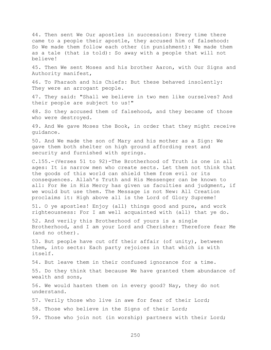44. Then sent We Our apostles in succession: Every time there came to a people their apostle, they accused him of falsehood: So We made them follow each other (in punishment): We made them as a tale (that is told): So away with a people that will not believe! 45. Then We sent Moses and his brother Aaron, with Our Signs and Authority manifest, 46. To Pharaoh and his Chiefs: But these behaved insolently: They were an arrogant people. 47. They said: "Shall we believe in two men like ourselves? And their people are subject to us!" 48. So they accused them of falsehood, and they became of those who were destroyed. 49. And We gave Moses the Book, in order that they might receive guidance. 50. And We made the son of Mary and his mother as a Sign: We gave them both shelter on high ground affording rest and security and furnished with springs. C.155.-(Verses 51 to 92)-The Brotherhood of Truth is one in all ages: It is narrow men who create sects. Let them not think that the goods of this world can shield them from evil or its consequences. Allah's Truth and His Messenger can be known to all: For He in His Mercy has given us faculties and judgment, if we would but use them. The Message is not New: All Creation proclaims it: High above all is the Lord of Glory Supreme! 51. O ye apostles! Enjoy (all) things good and pure, and work righteousness: For I am well acquainted with (all) that ye do. 52. And verily this Brotherhood of yours is a single Brotherhood, and I am your Lord and Cherisher: Therefore fear Me (and no other). 53. But people have cut off their affair (of unity), between them, into sects: Each party rejoices in that which is with itself. 54. But leave them in their confused ignorance for a time. 55. Do they think that because We have granted them abundance of wealth and sons, 56. We would hasten them on in every good? Nay, they do not understand. 57. Verily those who live in awe for fear of their Lord; 58. Those who believe in the Signs of their Lord; 59. Those who join not (in worship) partners with their Lord;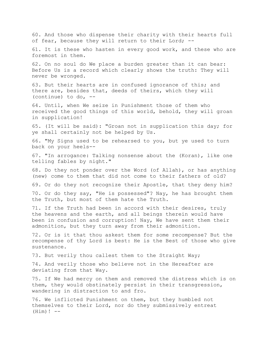60. And those who dispense their charity with their hearts full of fear, because they will return to their Lord; --

61. It is these who hasten in every good work, and these who are foremost in them.

62. On no soul do We place a burden greater than it can bear: Before Us is a record which clearly shows the truth: They will never be wronged.

63. But their hearts are in confused ignorance of this; and there are, besides that, deeds of theirs, which they will (continue) to do,  $-$ 

64. Until, when We seize in Punishment those of them who received the good things of this world, behold, they will groan in supplication!

65. (It will be said): "Groan not in supplication this day; for ye shall certainly not be helped by Us.

66. "My Signs used to be rehearsed to you, but ye used to turn back on your heels--

67. "In arrogance: Talking nonsense about the (Koran), like one telling fables by night."

68. Do they not ponder over the Word (of Allah), or has anything (new) come to them that did not come to their fathers of old?

69. Or do they not recognize their Apostle, that they deny him?

70. Or do they say, "He is possessed"? Nay, he has brought them the Truth, but most of them hate the Truth.

71. If the Truth had been in accord with their desires, truly the heavens and the earth, and all beings therein would have been in confusion and corruption! Nay, We have sent them their admonition, but they turn away from their admonition.

72. Or is it that thou askest them for some recompense? But the recompense of thy Lord is best: He is the Best of those who give sustenance.

73. But verily thou callest them to the Straight Way;

74. And verily those who believe not in the Hereafter are deviating from that Way.

75. If We had mercy on them and removed the distress which is on them, they would obstinately persist in their transgression, wandering in distraction to and fro.

76. We inflicted Punishment on them, but they humbled not themselves to their Lord, nor do they submissively entreat  $(Him)$  !  $--$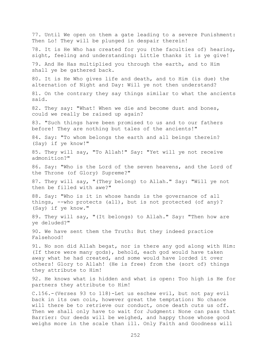77. Until We open on them a gate leading to a severe Punishment: Then Lo! They will be plunged in despair therein! 78. It is He Who has created for you (the faculties of) hearing, sight, feeling and understanding: Little thanks it is ye give! 79. And He Has multiplied you through the earth, and to Him shall ye be gathered back. 80. It is He Who gives life and death, and to Him (is due) the alternation of Night and Day: Will ye not then understand? 81. On the contrary they say things similar to what the ancients said. 82. They say: "What! When we die and become dust and bones, could we really be raised up again? 83. "Such things have been promised to us and to our fathers before! They are nothing but tales of the ancients!" 84. Say: "To whom belongs the earth and all beings therein? (Say) if ye know!" 85. They will say, "To Allah!" Say: "Yet will ye not receive admonition?" 86. Say: "Who is the Lord of the seven heavens, and the Lord of the Throne (of Glory) Supreme?" 87. They will say, "(They belong) to Allah." Say: "Will ye not then be filled with awe?" 88. Say: "Who is it in whose hands is the governance of all things, --who protects (all), but is not protected (of any)? (Say) if ye know." 89. They will say, "(It belongs) to Allah." Say: "Then how are ye deluded?" 90. We have sent them the Truth: But they indeed practice Falsehood! 91. No son did Allah begat, nor is there any god along with Him: (If there were many gods), behold, each god would have taken away what he had created, and some would have lorded it over others! Glory to Allah! (He is free) from the (sort of) things they attribute to Him! 92. He knows what is hidden and what is open: Too high is He for partners they attribute to Him! C.156.-(Verses 93 to 118)-Let us eschew evil, but not pay evil back in its own coin, however great the temptation: No chance will there be to retrieve our conduct, once death cuts us off. Then we shall only have to wait for Judgment: None can pass that Barrier: Our deeds will be weighed, and happy those whose good weighs more in the scale than ill. Only Faith and Goodness will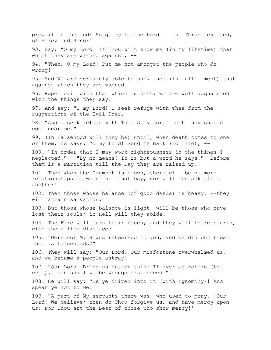prevail in the end: So glory to the Lord of the Throne exalted, of Mercy and Honor! 93. Say: "O my Lord! If Thou wilt show me (in my lifetime) that which they are warned against,  $-$ -94. "Then, O my Lord! Put me not amongst the people who do wrong!" 95. And We are certainly able to show thee (in fulfillment) that against which they are warned. 96. Repel evil with that which is best: We are well acquainted with the things they say. 97. And say: "O my Lord! I seek refuge with Thee from the suggestions of the Evil Ones. 98. "And I seek refuge with Thee O my Lord! Lest they should come near me." 99. (In Falsehood will they be) until, when death comes to one of them, he says: "O my Lord! Send me back (to life), -- 100. "In order that I may work righteousness in the things I neglected." --"By no means! It is but a word he says." –Before them is a Partition till the Day they are raised up. 101. Then when the Trumpet is blown, there will be no more relationships between them that Day, nor will one ask after another! 102. Then those whose balance (of good deeds) is heavy, --they will attain salvation: 103. But those whose balance is light, will be those who have lost their souls; in Hell will they abide. 104. The Fire will burn their faces, and they will therein grin, with their lips displaced. 105. "Were not My Signs rehearsed to you, and ye did but treat them as falsehoods?" 106. They will say: "Our Lord! Our misfortune overwhelmed us, and we became a people astray! 107. "Our Lord! Bring us out of this: If ever we return (to evil), then shall we be wrongdoers indeed!" 108. He will say: "Be ye driven into it (with ignominy)! And speak ye not to Me! 109. "A part of My servants there was, who used to pray, 'Our Lord! We believe; then do Thou forgive us, and have mercy upon us: For Thou art the Best of those who show mercy!'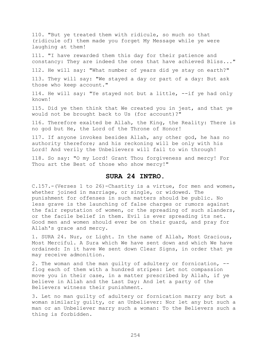110. "But ye treated them with ridicule, so much so that (ridicule of) them made you forget My Message while ye were laughing at them!

111. "I have rewarded them this day for their patience and constancy: They are indeed the ones that have achieved Bliss..."

112. He will say: "What number of years did ye stay on earth?"

113. They will say: "We stayed a day or part of a day: But ask those who keep account."

114. He will say: "Ye stayed not but a little,  $-\text{if }$  ye had only known!

115. Did ye then think that We created you in jest, and that ye would not be brought back to Us (for account)?"

116. Therefore exalted be Allah, the King, the Reality: There is no god but He, the Lord of the Throne of Honor!

117. If anyone invokes besides Allah, any other god, he has no authority therefore; and his reckoning will be only with his Lord! And verily the Unbelievers will fail to win through!

118. So say: "O my Lord! Grant Thou forgiveness and mercy! For Thou art the Best of those who show mercy!"

### **SURA 24 INTRO.**

C.157.-(Verses 1 to 26)-Chastity is a virtue, for men and women, whether joined in marriage, or single, or widowed. The punishment for offenses in such matters should be public. No less grave is the launching of false charges or rumors against the fair reputation of women, or the spreading of such slanders, or the facile belief in them. Evil is ever spreading its net. Good men and women should ever be on their guard, and pray for Allah's grace and mercy.

1. SURA 24. Nur, or Light. In the name of Allah, Most Gracious, Most Merciful. A Sura which We have sent down and which We have ordained: In it have We sent down Clear Signs, in order that ye may receive admonition.

2. The woman and the man guilty of adultery or fornication, - flog each of them with a hundred stripes: Let not compassion move you in their case, in a matter prescribed by Allah, if ye believe in Allah and the Last Day: And let a party of the Believers witness their punishment.

3. Let no man guilty of adultery or fornication marry any but a woman similarly guilty, or an Unbeliever: Nor let any but such a man or an Unbeliever marry such a woman: To the Believers such a thing is forbidden.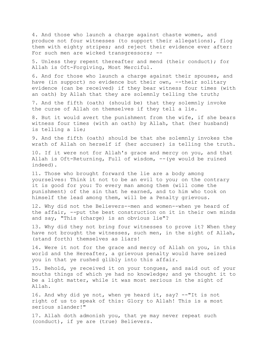4. And those who launch a charge against chaste women, and produce not four witnesses (to support their allegations), flog them with eighty stripes; and reject their evidence ever after: For such men are wicked transgressors; --

5. Unless they repent thereafter and mend (their conduct); for Allah is Oft-Forgiving, Most Merciful.

6. And for those who launch a charge against their spouses, and have (in support) no evidence but their own, --their solitary evidence (can be received) if they bear witness four times (with an oath) by Allah that they are solemnly telling the truth;

7. And the fifth (oath) (should be) that they solemnly invoke the curse of Allah on themselves if they tell a lie.

8. But it would avert the punishment from the wife, if she bears witness four times (with an oath) by Allah, that (her husband) is telling a lie;

9. And the fifth (oath) should be that she solemnly invokes the wrath of Allah on herself if (her accuser) is telling the truth.

10. If it were not for Allah's grace and mercy on you, and that Allah is Oft-Returning, Full of wisdom, --(ye would be ruined indeed).

11. Those who brought forward the lie are a body among yourselves: Think it not to be an evil to you; on the contrary it is good for you: To every man among them (will come the punishment) of the sin that he earned, and to him who took on himself the lead among them, will be a Penalty grievous.

12. Why did not the Believers--men and women--when ye heard of the affair, --put the best construction on it in their own minds and say, "This (charge) is an obvious lie"?

13. Why did they not bring four witnesses to prove it? When they have not brought the witnesses, such men, in the sight of Allah, (stand forth) themselves as liars!

14. Were it not for the grace and mercy of Allah on you, in this world and the Hereafter, a grievous penalty would have seized you in that ye rushed glibly into this affair.

15. Behold, ye received it on your tongues, and said out of your mouths things of which ye had no knowledge; and ye thought it to be a light matter, while it was most serious in the sight of Allah.

16. And why did ye not, when ye heard it, say? --"It is not right of us to speak of this: Glory to Allah! This is a most serious slander!"

17. Allah doth admonish you, that ye may never repeat such (conduct), if ye are (true) Believers.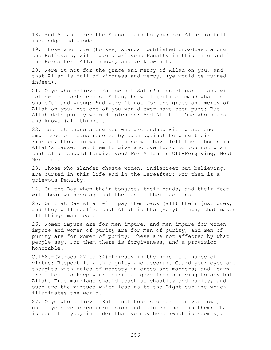18. And Allah makes the Signs plain to you: For Allah is full of knowledge and wisdom.

19. Those who love (to see) scandal published broadcast among the Believers, will have a grievous Penalty in this life and in the Hereafter: Allah knows, and ye know not.

20. Were it not for the grace and mercy of Allah on you, and that Allah is full of kindness and mercy, (ye would be ruined indeed).

21. O ye who believe! Follow not Satan's footsteps: If any will follow the footsteps of Satan, he will (but) command what is shameful and wrong: And were it not for the grace and mercy of Allah on you, not one of you would ever have been pure: But Allah doth purify whom He pleases: And Allah is One Who hears and knows (all things).

22. Let not those among you who are endued with grace and amplitude of means resolve by oath against helping their kinsmen, those in want, and those who have left their homes in Allah's cause: Let them forgive and overlook. Do you not wish that Allah should forgive you? For Allah is Oft-Forgiving, Most Merciful.

23. Those who slander chaste women, indiscreet but believing, are cursed in this life and in the Hereafter: For them is a grievous Penalty, --

24. On the Day when their tongues, their hands, and their feet will bear witness against them as to their actions.

25. On that Day Allah will pay them back (all) their just dues, and they will realize that Allah is the (very) Truth; that makes all things manifest.

26. Women impure are for men impure, and men impure for women impure and women of purity are for men of purity, and men of purity are for women of purity: These are not affected by what people say. For them there is forgiveness, and a provision honorable.

C.158.-(Verses 27 to 34)-Privacy in the home is a nurse of virtue: Respect it with dignity and decorum. Guard your eyes and thoughts with rules of modesty in dress and manners; and learn from these to keep your spiritual gaze from straying to any but Allah. True marriage should teach us chastity and purity, and such are the virtues which lead us to the Light sublime which illuminates the world.

27. O ye who believe! Enter not houses other than your own, until ye have asked permission and saluted those in them: That is best for you, in order that ye may heed (what is seemly).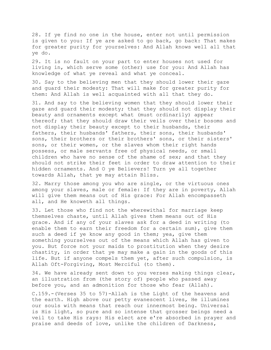28. If ye find no one in the house, enter not until permission is given to you: If ye are asked to go back, go back: That makes for greater purity for yourselves: And Allah knows well all that ye do.

29. It is no fault on your part to enter houses not used for living in, which serve some (other) use for you: And Allah has knowledge of what ye reveal and what ye conceal.

30. Say to the believing men that they should lower their gaze and guard their modesty: That will make for greater purity for them: And Allah is well acquainted with all that they do.

31. And say to the believing women that they should lower their gaze and guard their modesty; that they should not display their beauty and ornaments except what (must ordinarily) appear thereof; that they should draw their veils over their bosoms and not display their beauty except to their husbands, their fathers, their husbands' fathers, their sons, their husbands' sons, their brothers or their brothers' sons, or their sisters' sons, or their women, or the slaves whom their right hands possess, or male servants free of physical needs, or small children who have no sense of the shame of sex; and that they should not strike their feet in order to draw attention to their hidden ornaments. And O ye Believers! Turn ye all together towards Allah, that ye may attain Bliss.

32. Marry those among you who are single, or the virtuous ones among your slaves, male or female: If they are in poverty, Allah will give them means out of His grace: For Allah encompasseth all, and He knoweth all things.

33. Let those who find not the wherewithal for marriage keep themselves chaste, until Allah gives them means out of His grace. And if any of your slaves ask for a deed in writing (to enable them to earn their freedom for a certain sum), give them such a deed if ye know any good in them; yea, give them something yourselves out of the means which Allah has given to you. But force not your maids to prostitution when they desire chastity, in order that ye may make a gain in the goods of this life. But if anyone compels them yet, after such compulsion, is Allah Oft-Forgiving, Most Merciful (to them).

34. We have already sent down to you verses making things clear, an illustration from (the story of) people who passed away before you, and an admonition for those who fear (Allah).

C.159.-(Verses 35 to 57)-Allah is the Light of the heavens and the earth. High above our petty evanescent lives, He illumines our souls with means that reach our innermost being. Universal is His light, so pure and so intense that grosser beings need a veil to take His rays: His elect are e're absorbed in prayer and praise and deeds of love, unlike the children of Darkness,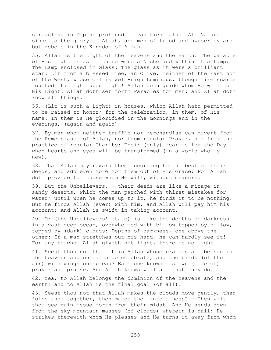struggling in Depths profound of vanities false. All Nature sings to the glory of Allah, and men of fraud and hypocrisy are but rebels in the Kingdom of Allah.

35. Allah is the Light of the heavens and the earth. The parable of His Light is as if there were a Niche and within it a Lamp: The Lamp enclosed in Glass: The glass as it were a brilliant star: Lit from a blessed Tree, an Olive, neither of the East nor of the West, whose Oil is well-nigh Luminous, though fire scarce touched it: Light upon Light! Allah doth guide whom He will to His Light: Allah doth set forth Parables for men: and Allah doth know all things.

36. (Lit is such a Light) in houses, which Allah hath permitted to be raised to honor; for the celebration, in them, of His name: In them is He glorified in the mornings and in the evenings, (again and again), --

37. By men whom neither traffic nor merchandise can divert from the Remembrance of Allah, nor from regular Prayer, nor from the practice of regular Charity: Their (only) fear is for the Day when hearts and eyes will be transformed (in a world wholly  $new)$ ,  $-$ 

38. That Allah may reward them according to the best of their deeds, and add even more for them out of His Grace: For Allah doth provide for those whom He will, without measure.

39. But the Unbelievers, --their deeds are like a mirage in sandy deserts, which the man parched with thirst mistakes for water; until when he comes up to it, he finds it to be nothing: But he finds Allah (ever) with him, and Allah will pay him his account: And Allah is swift in taking account.

40. Or (the Unbelievers' state) is like the depths of darkness in a vast deep ocean, overwhelmed with billow topped by billow, topped by (dark) clouds: Depths of darkness, one above the other: If a man stretches out his hand, he can hardly see it! For any to whom Allah giveth not light, there is no light!

41. Seest thou not that it is Allah Whose praises all beings in the heavens and on earth do celebrate, and the birds (of the air) with wings outspread? Each one knows its own (mode of) prayer and praise. And Allah knows well all that they do.

42. Yea, to Allah belongs the dominion of the heavens and the earth; and to Allah is the final goal (of all).

43. Seest thou not that Allah makes the clouds move gently, then joins them together, then makes them into a heap? --Then wilt thou see rain issue forth from their midst. And He sends down from the sky mountain masses (of clouds) wherein is hail: He strikes therewith whom He pleases and He turns it away from whom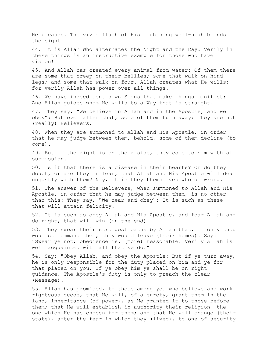He pleases. The vivid flash of His lightning well-nigh blinds the sight. 44. It is Allah Who alternates the Night and the Day: Verily in these things is an instructive example for those who have vision! 45. And Allah has created every animal from water: Of them there are some that creep on their bellies; some that walk on hind legs; and some that walk on four. Allah creates what He wills; for verily Allah has power over all things. 46. We have indeed sent down Signs that make things manifest: And Allah guides whom He wills to a Way that is straight. 47. They say, "We believe in Allah and in the Apostle, and we obey": But even after that, some of them turn away: They are not (really) Believers. 48. When they are summoned to Allah and His Apostle, in order that he may judge between them, behold, some of them decline (to come). 49. But if the right is on their side, they come to him with all submission. 50. Is it that there is a disease in their hearts? Or do they doubt, or are they in fear, that Allah and His Apostle will deal unjustly with them? Nay, it is they themselves who do wrong. 51. The answer of the Believers, when summoned to Allah and His Apostle, in order that he may judge between them, is no other than this: They say, "We hear and obey": It is such as these that will attain felicity. 52. It is such as obey Allah and His Apostle, and fear Allah and do right, that will win (in the end). 53. They swear their strongest oaths by Allah that, if only thou wouldst command them, they would leave (their homes). Say: "Swear ye not; obedience is. (more) reasonable. Verily Allah is well acquainted with all that ye do." 54. Say: "Obey Allah, and obey the Apostle: But if ye turn away, he is only responsible for the duty placed on him and ye for that placed on you. If ye obey him ye shall be on right guidance. The Apostle's duty is only to preach the clear (Message). 55. Allah has promised, to those among you who believe and work righteous deeds, that He will, of a surety, grant them in the land, inheritance (of power), as He granted it to those before them; that He will establish in authority their religion--the one which He has chosen for them; and that He will change (their state), after the fear in which they (lived), to one of security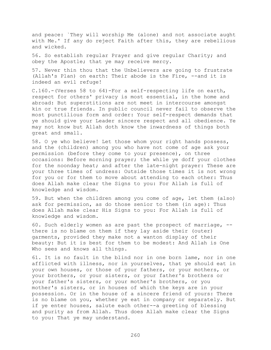and peace: `They will worship Me (alone) and not associate aught with Me.' If any do reject Faith after this, they are rebellious and wicked.

56. So establish regular Prayer and give regular Charity; and obey the Apostle; that ye may receive mercy.

57. Never thin thou that the Unbelievers are going to frustrate (Allah's Plan) on earth: Their abode is the Fire, --and it is indeed an evil refuge!

C.160.-(Verses 58 to 64)-For a self-respecting life on earth, respect for others' privacy is most essential, in the home and abroad: But superstitions are not meet in intercourse amongst kin or true friends. In public council never fail to observe the most punctilious form and order: Your self-respect demands that ye should give your Leader sincere respect and all obedience. Ye may not know but Allah doth know the inwardness of things both great and small.

58. O ye who believe! Let those whom your right hands possess, and the (children) among you who have not come of age ask your permission (before they come to your presence), on three occasions: Before morning prayer; the while ye doff your clothes for the noonday heat; and after the late-night prayer: These are your three times of undress: Outside those times it is not wrong for you or for them to move about attending to each other: Thus does Allah make clear the Signs to you: For Allah is full of knowledge and wisdom.

59. But when the children among you come of age, let them (also) ask for permission, as do those senior to them (in age): Thus does Allah make clear His Signs to you: For Allah is full of knowledge and wisdom.

60. Such elderly women as are past the prospect of marriage, - there is no blame on them if they lay aside their (outer) garments, provided they make not a wanton display of their beauty: But it is best for them to be modest: And Allah is One Who sees and knows all things.

61. It is no fault in the blind nor in one born lame, nor in one afflicted with illness, nor in yourselves, that ye should eat in your own houses, or those of your fathers, or your mothers, or your brothers, or your sisters, or your father's brothers or your father's sisters, or your mother's brothers, or you mother's sisters, or in houses of which the keys are in your possession. Or in the house of a sincere friend of yours: There is no blame on you, whether ye eat in company or separately. But if ye enter houses, salute each other--a greeting of blessing and purity as from Allah. Thus does Allah make clear the Signs to you: That ye may understand.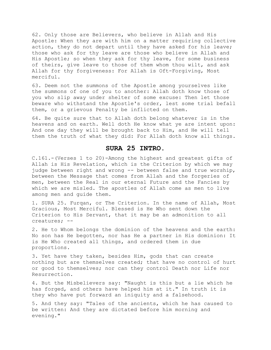62. Only those are Believers, who believe in Allah and His Apostle: When they are with him on a matter requiring collective action, they do not depart until they have asked for his leave; those who ask for thy leave are those who believe in Allah and His Apostle; so when they ask for thy leave, for some business of theirs, give leave to those of them whom thou wilt, and ask Allah for thy forgiveness: For Allah is Oft-Forgiving, Most merciful.

63. Deem not the summons of the Apostle among yourselves like the summons of one of you to another: Allah doth know those of you who slip away under shelter of some excuse: Then let those beware who withstand the Apostle's order, lest some trial befall them, or a grievous Penalty be inflicted on them.

64. Be quite sure that to Allah doth belong whatever is in the heavens and on earth. Well doth He know what ye are intent upon: And one day they will be brought back to Him, and He will tell them the truth of what they did: For Allah doth know all things.

# **SURA 25 INTRO.**

C.161.-(Verses 1 to 20)-Among the highest and greatest gifts of Allah is His Revelation, which is the Criterion by which we may judge between right and wrong -- between false and true worship, between the Message that comes from Allah and the forgeries of men, between the Real in our eternal Future and the Fancies by which we are misled. The apostles of Allah come as men to live among men and guide them.

1. SURA 25. Furqan, or The Criterion. In the name of Allah, Most Gracious, Most Merciful. Blessed is He Who sent down the Criterion to His Servant, that it may be an admonition to all creatures; --

2. He to Whom belongs the dominion of the heavens and the earth: No son has He begotten, nor has He a partner in His dominion: It is He Who created all things, and ordered them in due proportions.

3. Yet have they taken, besides Him, gods that can create nothing but are themselves created; that have no control of hurt or good to themselves; nor can they control Death nor Life nor Resurrection.

4. But the Misbelievers say: "Naught is this but a lie which he has forged, and others have helped him at it." In truth it is they who have put forward an iniquity and a falsehood.

5. And they say: "Tales of the ancients, which he has caused to be written: And they are dictated before him morning and evening."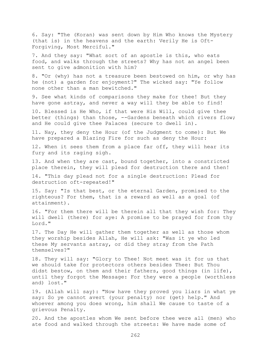6. Say: "The (Koran) was sent down by Him Who knows the Mystery (that is) in the heavens and the earth: Verily He is Oft-Forgiving, Most Merciful."

7. And they say: "What sort of an apostle is this, who eats food, and walks through the streets? Why has not an angel been sent to give admonition with him?

8. "Or (why) has not a treasure been bestowed on him, or why has he (not) a garden for enjoyment?" The wicked say: "Ye follow none other than a man bewitched."

9. See what kinds of comparisons they make for thee! But they have gone astray, and never a way will they be able to find!

10. Blessed is He Who, if that were His Will, could give thee better (things) than those, --Gardens beneath which rivers flow; and He could give thee Palaces (secure to dwell in).

11. Nay, they deny the Hour (of the Judgment to come): But We have prepared a Blazing Fire for such as deny the Hour:

12. When it sees them from a place far off, they will hear its fury and its raging sigh.

13. And when they are cast, bound together, into a constricted place therein, they will plead for destruction there and then!

14. "This day plead not for a single destruction: Plead for destruction oft-repeated!"

15. Say: "Is that best, or the eternal Garden, promised to the righteous? For them, that is a reward as well as a goal (of attainment).

16. "For them there will be therein all that they wish for: They will dwell (there) for aye: A promise to be prayed for from thy Lord."

17. The Day He will gather them together as well as those whom they worship besides Allah, He will ask: "Was it ye who led these My servants astray, or did they stray from the Path themselves?"

18. They will say: "Glory to Thee! Not meet was it for us that we should take for protectors others besides Thee: But Thou didst bestow, on them and their fathers, good things (in life), until they forgot the Message: For they were a people (worthless and) lost."

19. (Allah will say): "Now have they proved you liars in what ye say: So ye cannot avert (your penalty) nor (get) help." And whoever among you does wrong, him shall We cause to taste of a grievous Penalty.

20. And the apostles whom We sent before thee were all (men) who ate food and walked through the streets: We have made some of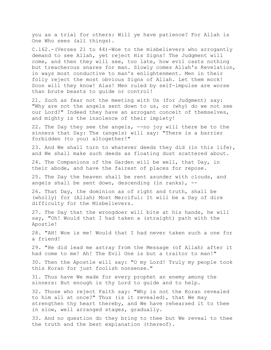you as a trial for others: Will ye have patience? For Allah is One Who sees (all things).

C.162.-(Verses 21 to 44)-Woe to the misbelievers who arrogantly demand to see Allah, yet reject His Signs! The Judgment will come, and then they will see, too late, how evil casts nothing but treacherous snares for man. Slowly comes Allah's Revelation, in ways most conductive to man's enlightenment. Men in their folly reject the most obvious Signs of Allah. Let them mock! Soon will they know! Alas! Men ruled by self-impulse are worse than brute beasts to guide or control!

21. Such as fear not the meeting with Us (for Judgment) say: "Why are not the angels sent down to us, or (why) do we not see our Lord?" Indeed they have an arrogant conceit of themselves, and mighty is the insolence of their impiety!

22. The Day they see the angels, --no joy will there be to the sinners that Day: The (angels) will say: "There is a barrier forbidden (to you) altogether!"

23. And We shall turn to whatever deeds they did (in this life), and We shall make such deeds as floating dust scattered about.

24. The Companions of the Garden will be well, that Day, in their abode, and have the fairest of places for repose.

25. The Day the heaven shall be rent asunder with clouds, and angels shall be sent down, descending (in ranks),  $-$ -

26. That Day, the dominion as of right and truth, shall be (wholly) for (Allah) Most Merciful: It will be a Day of dire difficulty for the Misbelievers.

27. The Day that the wrongdoer will bite at his hands, he will say, "Oh! Would that I had taken a (straight) path with the Apostle!

28. "AH! Woe is me! Would that I had never taken such a one for a friend!

29. "He did lead me astray from the Message (of Allah) after it had come to me! Ah! The Evil One is but a traitor to man!"

30. Then the Apostle will say: "O my Lord! Truly my people took this Koran for just foolish nonsense."

31. Thus have We made for every prophet an enemy among the sinners: But enough is thy Lord to guide and to help.

32. Those who reject Faith say: "Why is not the Koran revealed to him all at once?" Thus (is it revealed), that We may strengthen thy heart thereby, and We have rehearsed it to thee in slow, well arranged stages, gradually.

33. And no question do they bring to thee but We reveal to thee the truth and the best explanation (thereof).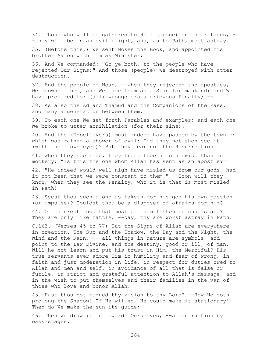34. Those who will be gathered to Hell (prone) on their faces, - -they will be in an evil plight, and, as to Path, most astray.

35. (Before this,) We sent Moses the Book, and appointed his brother Aaron with him as Minister;

36. And We commanded: "Go ye both, to the people who have rejected Our Signs:" And those (people) We destroyed with utter destruction.

37. And the people of Noah, --when they rejected the apostles, We drowned them, and We made them as a Sign for mankind; and We have prepared for (all) wrongdoers a grievous Penalty; --

38. As also the Ad and Thamud and the Companions of the Rass, and many a generation between them.

39. To each one We set forth Parables and examples; and each one We broke to utter annihilation (for their sins).

40. And the (Unbelievers) must indeed have passed by the town on which was rained a shower of evil: Did they not then see it (with their own eyes)? But they fear not the Resurrection.

41. When they see thee, they treat thee no otherwise than in mockery: "Is this the one whom Allah has sent as an apostle?"

42. "He indeed would well-nigh have misled us from our gods, had it not been that we were constant to them!" --Soon will they know, when they see the Penalty, who it is that is most misled in Path!

43. Seest thou such a one as taketh for his god his own passion (or impulse)? Couldst thou be a disposer of affairs for him?

44. Or thinkest thou that most of them listen or understand? They are only like cattle; --Nay, thy are worst astray in Path.

C.163.-(Verses 45 to 77)-But the Signs of Allah are everywhere in creation. The Sun and the Shadow, the Day and the Night, the Wind and the Rain, -- all things in nature are symbols, and point to the Law Divine, and the destiny, good or ill, of man. Will he not learn and put his trust in Him, the Merciful? His true servants ever adore Him in humility and fear of wrong, in faith and just moderation in life, in respect for duties owed to Allah and men and self, in avoidance of all that is false or futile, in strict and grateful attention to Allah's Message, and in the wish to put themselves and their families in the van of those who love and honor Allah.

45. Hast thou not turned thy vision to thy Lord? --How He doth prolong the Shadow! If He willed, He could make it stationary! Then do We make the sun its guide;

46. Then We draw it in towards Ourselves, --a contraction by easy stages.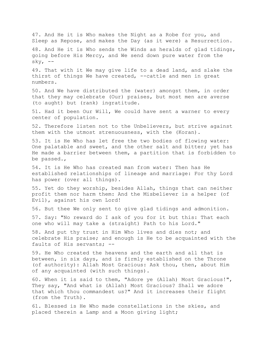47. And He it is Who makes the Night as a Robe for you, and Sleep as Repose, and makes the Day (as it were) a Resurrection. 48. And He it is Who sends the Winds as heralds of glad tidings, going before His Mercy, and We send down pure water from the  $sky, --$ 49. That with it We may give life to a dead land, and slake the thirst of things We have created, --cattle and men in great numbers. 50. And We have distributed the (water) amongst them, in order that they may celebrate (Our) praises, but most men are averse (to aught) but (rank) ingratitude. 51. Had it been Our Will, We could have sent a warner to every center of population. 52. Therefore listen not to the Unbelievers, but strive against them with the utmost strenuousness, with the (Koran). 53. It is He Who has let free the two bodies of flowing water: One palatable and sweet, and the other salt and bitter; yet has He made a barrier between them, a partition that is forbidden to be passed., 54. It is He Who has created man from water: Then has He established relationships of lineage and marriage: For thy Lord has power (over all things). 55. Yet do they worship, besides Allah, things that can neither profit them nor harm them: And the Misbeliever is a helper (of Evil), against his own Lord! 56. But thee We only sent to give glad tidings and admonition. 57. Say: "No reward do I ask of you for it but this: That each one who will may take a (straight) Path to his Lord." 58. And put thy trust in Him Who lives and dies not; and celebrate His praise; and enough is He to be acquainted with the faults of His servants; -- 59. He Who created the heavens and the earth and all that is between, in six days, and is firmly established on the Throne (of authority): Allah Most Gracious: Ask thou, then, about Him of any acquainted (with such things). 60. When it is said to them, "Adore ye (Allah) Most Gracious!", They say, "And what is (Allah) Most Gracious? Shall we adore that which thou commandest us?" And it increases their flight (from the Truth). 61. Blessed is He Who made constellations in the skies, and placed therein a Lamp and a Moon giving light;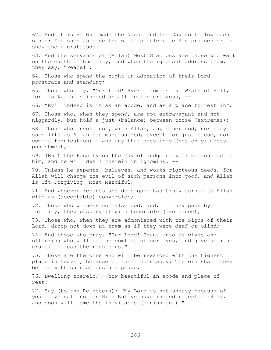62. And it is He Who made the Night and the Day to follow each other: For such as have the will to celebrate His praises or to show their gratitude. 63. And the servants of (Allah) Most Gracious are those who walk on the earth in humility, and when the ignorant address them, they say, "Peace!"; 64. Those who spend the night in adoration of their Lord prostrate and standing; 65. Those who say, "Our Lord! Avert from us the Wrath of Hell, for its Wrath is indeed an affliction grievous, -- 66. "Evil indeed is it as an abode, and as a place to rest in"; 67. Those who, when they spend, are not extravagant and not niggardly, but hold a just (balance) between those (extremes); 68. Those who invoke not, with Allah, any other god, nor slay such life as Allah has made sacred, except for just cause, nor commit fornication; --and any that does this (not only) meets punishment, 69. (But) the Penalty on the Day of Judgment will be doubled to him, and he will dwell therein in ignominy. -- 70. Unless he repents, believes, and works righteous deeds, for Allah will change the evil of such persons into good, and Allah is Oft-Forgiving, Most Merciful, 71. And whoever repents and does good has truly turned to Allah with an (acceptable) conversion; -- 72. Those who witness no falsehood, and, if they pass by futility, they pass by it with honorable (avoidance); 73. Those who, when they are admonished with the Signs of their Lord, droop not down at them as if they were deaf or blind; 74. And those who pray, "Our Lord! Grant unto us wives and offspring who will be the comfort of our eyes, and give us (the grace) to lead the righteous." 75. Those are the ones who will be rewarded with the highest place in heaven, because of their constancy: Therein shall they be met with salutations and peace, 76. Dwelling therein; --how beautiful an abode and place of rest! 77. Say (to the Rejecters): "My Lord is not uneasy because of you if ye call not on Him: But ye have indeed rejected (Him), and soon will come the inevitable (punishment)!"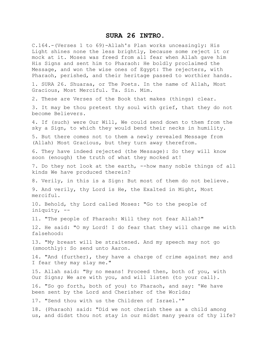#### **SURA 26 INTRO.**

C.164.-(Verses 1 to 69)-Allah's Plan works unceasingly: His Light shines none the less brightly, because some reject it or mock at it. Moses was freed from all fear when Allah gave him His Signs and sent him to Pharaoh: He boldly proclaimed the Message, and won the wise ones of Egypt: The rejecters, with Pharaoh, perished, and their heritage passed to worthier hands.

1. SURA 26. Shuaraa, or The Poets. In the name of Allah, Most Gracious, Most Merciful. Ta. Sin. Mim.

2. These are Verses of the Book that makes (things) clear.

3. It may be thou pretest thy soul with grief, that they do not become Believers.

4. If (such) were Our Will, We could send down to them from the sky a Sign, to which they would bend their necks in humility.

5. But there comes not to them a newly revealed Message from (Allah) Most Gracious, but they turn away therefrom.

6. They have indeed rejected (the Message): So they will know soon (enough) the truth of what they mocked at!

7. Do they not look at the earth, --how many noble things of all kinds We have produced therein?

8. Verily, in this is a Sign: But most of them do not believe.

9. And verily, thy Lord is He, the Exalted in Might, Most merciful.

10. Behold, thy Lord called Moses: "Go to the people of iniquity, --

11. "The people of Pharaoh: Will they not fear Allah?"

12. He said: "O my Lord! I do fear that they will charge me with falsehood:

13. "My breast will be straitened. And my speech may not go (smoothly): So send unto Aaron.

14. "And (further), they have a charge of crime against me; and I fear they may slay me."

15. Allah said: "By no means! Proceed then, both of you, with Our Signs; We are with you, and will listen (to your call).

16. "So go forth, both of you) to Pharaoh, and say: 'We have been sent by the Lord and Cherisher of the Worlds;

17. "Send thou with us the Children of Israel.'"

18. (Pharaoh) said: "Did we not cherish thee as a child among us, and didst thou not stay in our midst many years of thy life?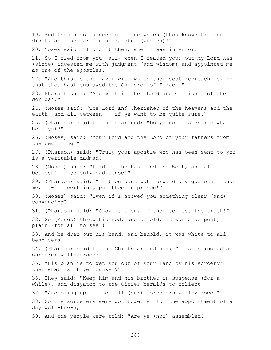19. And thou didst a deed of thine which (thou knowest) thou didst, and thou art an ungrateful (wretch)!" 20. Moses said: "I did it then, when I was in error. 21. So I fled from you (all) when I feared you; but my Lord has (since) invested me with judgment (and wisdom) and appointed me as one of the apostles. 22. "And this is the favor with which thou dost reproach me, - that thou hast enslaved the Children of Israel!" 23. Pharaoh said: "And what is the 'Lord and Cherisher of the Worlds'?" 24. (Moses said: "The Lord and Cherisher of the heavens and the earth, and all between, --if ye want to be quite sure." 25. (Pharaoh) said to those around: "Do ye not listen (to what he says)?" 26. (Moses) said: "Your Lord and the Lord of your fathers from the beginning!" 27. (Pharaoh) said: "Truly your apostle who has been sent to you is a veritable madman!" 28. (Moses) said: "Lord of the East and the West, and all between! If ye only had sense!" 29. (Pharaoh) said: "If thou dost put forward any god other than me, I will certainly put thee in prison!" 30. (Moses) said: "Even if I showed you something clear (and) convincing?" 31. (Pharaoh) said: "Show it then, if thou tellest the truth!" 32. So (Moses) threw his rod, and behold, it was a serpent, plain (for all to see)! 33. And he drew out his hand, and behold, it was white to all beholders! 34. (Pharaoh) said to the Chiefs around him: "This is indeed a sorcerer well-versed: 35. "His plan is to get you out of your land by his sorcery; then what is it ye counsel?" 36. They said: "Keep him and his brother in suspense (for a while), and dispatch to the Cities heralds to collect-- 37. "And bring up to thee all (our) sorcerers well-versed." 38. So the sorcerers were got together for the appointment of a day well-known, 39. And the people were told: "Are ye (now) assembled? --

268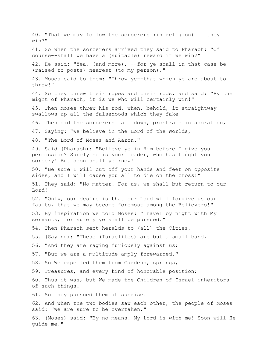40. "That we may follow the sorcerers (in religion) if they win?" 41. So when the sorcerers arrived they said to Pharaoh: "Of course--shall we have a (suitable) reward if we win?" 42. He said: "Yea, (and more), --for ye shall in that case be (raised to posts) nearest (to my person)." 43. Moses said to them: "Throw ye--that which ye are about to throw!" 44. So they threw their ropes and their rods, and said: "By the might of Pharaoh, it is we who will certainly win!" 45. Then Moses threw his rod, when, behold, it straightway swallows up all the falsehoods which they fake! 46. Then did the sorcerers fall down, prostrate in adoration, 47. Saying: "We believe in the Lord of the Worlds, 48. "The Lord of Moses and Aaron." 49. Said (Pharaoh): "Believe ye in Him before I give you permission? Surely he is your leader, who has taught you sorcery! But soon shall ye know! 50. "Be sure I will cut off your hands and feet on opposite sides, and I will cause you all to die on the cross!" 51. They said: "No matter! For us, we shall but return to our Lord! 52. "Only, our desire is that our Lord will forgive us our faults, that we may become foremost among the Believers!" 53. By inspiration We told Moses: "Travel by night with My servants; for surely ye shall be pursued." 54. Then Pharaoh sent heralds to (all) the Cities, 55. (Saying): "These (Israelites) are but a small band, 56. "And they are raging furiously against us; 57. "But we are a multitude amply forewarned." 58. So We expelled them from Gardens, springs, 59. Treasures, and every kind of honorable position; 60. Thus it was, but We made the Children of Israel inheritors of such things. 61. So they pursued them at sunrise. 62. And when the two bodies saw each other, the people of Moses said: "We are sure to be overtaken." 63. (Moses) said: "By no means! My Lord is with me! Soon will He guide me!"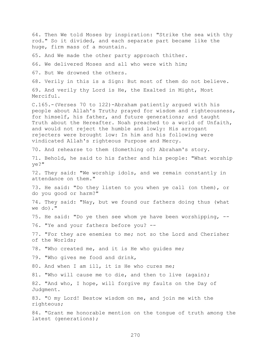64. Then We told Moses by inspiration: "Strike the sea with thy rod." So it divided, and each separate part became like the huge, firm mass of a mountain. 65. And We made the other party approach thither. 66. We delivered Moses and all who were with him; 67. But We drowned the others. 68. Verily in this is a Sign: But most of them do not believe. 69. And verily thy Lord is He, the Exalted in Might, Most Merciful. C.165.-(Verses 70 to 122)-Abraham patiently argued with his people about Allah's Truth; prayed for wisdom and righteousness, for himself, his father, and future generations; and taught Truth about the Hereafter. Noah preached to a world of Unfaith, and would not reject the humble and lowly: His arrogant rejecters were brought low: In him and his following were vindicated Allah's righteous Purpose and Mercy. 70. And rehearse to them (Something of) Abraham's story. 71. Behold, he said to his father and his people: "What worship ye?" 72. They said: "We worship idols, and we remain constantly in attendance on them." 73. He said: "Do they listen to you when ye call (on them), or do you good or harm?" 74. They said: "Nay, but we found our fathers doing thus (what we do)." 75. He said: "Do ye then see whom ye have been worshipping, -- 76. "Ye and your fathers before you? -- 77. "For they are enemies to me; not so the Lord and Cherisher of the Worlds; 78. "Who created me, and it is He who guides me; 79. "Who gives me food and drink, 80. And when I am ill, it is He who cures me; 81. "Who will cause me to die, and then to live (again); 82. "And who, I hope, will forgive my faults on the Day of Judgment. 83. "O my Lord! Bestow wisdom on me, and join me with the righteous; 84. "Grant me honorable mention on the tongue of truth among the latest (generations);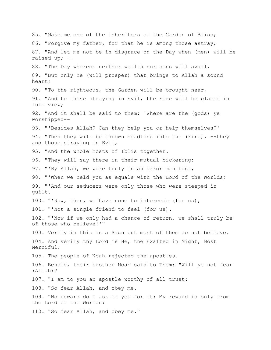85. "Make me one of the inheritors of the Garden of Bliss; 86. "Forgive my father, for that he is among those astray; 87. "And let me not be in disgrace on the Day when (men) will be raised up; -- 88. "The Day whereon neither wealth nor sons will avail, 89. "But only he (will prosper) that brings to Allah a sound heart; 90. "To the righteous, the Garden will be brought near, 91. "And to those straying in Evil, the Fire will be placed in full view; 92. "And it shall be said to them: 'Where are the (gods) ye worshipped-- 93. "'Besides Allah? Can they help you or help themselves?' 94. "Then they will be thrown headlong into the (Fire),  $-$ -they and those straying in Evil, 95. "And the whole hosts of Iblis together. 96. "They will say there in their mutual bickering: 97. "'By Allah, we were truly in an error manifest, 98. "'When we held you as equals with the Lord of the Worlds; 99. "'And our seducers were only those who were steeped in guilt. 100. "'Now, then, we have none to intercede (for us), 101. "'Not a single friend to feel (for us). 102. "'Now if we only had a chance of return, we shall truly be of those who believe!'" 103. Verily in this is a Sign but most of them do not believe. 104. And verily thy Lord is He, the Exalted in Might, Most Merciful. 105. The people of Noah rejected the apostles. 106. Behold, their brother Noah said to Them: "Will ye not fear (Allah)? 107. "I am to you an apostle worthy of all trust: 108. "So fear Allah, and obey me. 109. "No reward do I ask of you for it: My reward is only from the Lord of the Worlds: 110. "So fear Allah, and obey me."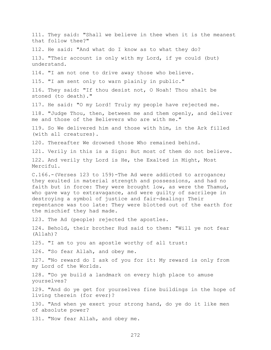111. They said: "Shall we believe in thee when it is the meanest that follow thee?" 112. He said: "And what do I know as to what they do? 113. "Their account is only with my Lord, if ye could (but) understand. 114. "I am not one to drive away those who believe. 115. "I am sent only to warn plainly in public." 116. They said: "If thou desist not, O Noah! Thou shalt be stoned (to death)." 117. He said: "O my Lord! Truly my people have rejected me. 118. "Judge Thou, then, between me and them openly, and deliver me and those of the Believers who are with me." 119. So We delivered him and those with him, in the Ark filled (with all creatures). 120. Thereafter We drowned those Who remained behind. 121. Verily in this is a Sign: But most of them do not believe. 122. And verily thy Lord is He, the Exalted in Might, Most Merciful. C.166.-(Verses 123 to 159)-The Ad were addicted to arrogance; they exulted in material strength and possessions, and had no faith but in force: They were brought low, as were the Thamud, who gave way to extravagance, and were guilty of sacrilege in destroying a symbol of justice and fair-dealing: Their repentance was too late: They were blotted out of the earth for the mischief they had made. 123. The Ad (people) rejected the apostles. 124. Behold, their brother Hud said to them: "Will ye not fear (Allah)? 125. "I am to you an apostle worthy of all trust: 126. "So fear Allah, and obey me. 127. "No reward do I ask of you for it: My reward is only from my Lord of the Worlds. 128. "Do ye build a landmark on every high place to amuse yourselves? 129. "And do ye get for yourselves fine buildings in the hope of living therein (for ever)? 130. "And when ye exert your strong hand, do ye do it like men of absolute power? 131. "Now fear Allah, and obey me.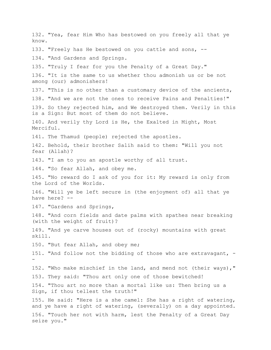132. "Yea, fear Him Who has bestowed on you freely all that ye know. 133. "Freely has He bestowed on you cattle and sons, -- 134. "And Gardens and Springs. 135. "Truly I fear for you the Penalty of a Great Day." 136. "It is the same to us whether thou admonish us or be not among (our) admonishers! 137. "This is no other than a customary device of the ancients, 138. "And we are not the ones to receive Pains and Penalties!" 139. So they rejected him, and We destroyed them. Verily in this is a Sign: But most of them do not believe. 140. And verily thy Lord is He, the Exalted in Might, Most Merciful. 141. The Thamud (people) rejected the apostles. 142. Behold, their brother Salih said to them: "Will you not fear (Allah)? 143. "I am to you an apostle worthy of all trust. 144. "So fear Allah, and obey me. 145. "No reward do I ask of you for it: My reward is only from the Lord of the Worlds. 146. "Will ye be left secure in (the enjoyment of) all that ye have here? -- 147. "Gardens and Springs, 148. "And corn fields and date palms with spathes near breaking (with the weight of fruit)? 149. "And ye carve houses out of (rocky) mountains with great skill. 150. "But fear Allah, and obey me; 151. "And follow not the bidding of those who are extravagant, - - 152. "Who make mischief in the land, and mend not (their ways)," 153. They said: "Thou art only one of those bewitched! 154. "Thou art no more than a mortal like us: Then bring us a Sign, if thou tellest the truth!" 155. He said: "Here is a she camel: She has a right of watering, and ye have a right of watering, (severally) on a day appointed. 156. "Touch her not with harm, lest the Penalty of a Great Day seize you."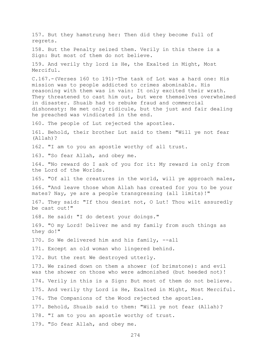157. But they hamstrung her: Then did they become full of regrets. 158. But the Penalty seized them. Verily in this there is a Sign: But most of them do not believe. 159. And verily thy lord is He, the Exalted in Might, Most Merciful. C.167.-(Verses 160 to 191)-The task of Lot was a hard one: His mission was to people addicted to crimes abominable. His reasoning with them was in vain: It only excited their wrath. They threatened to cast him out, but were themselves overwhelmed in disaster. Shuaib had to rebuke fraud and commercial dishonesty: He met only ridicule, but the just and fair dealing he preached was vindicated in the end. 160. The people of Lut rejected the apostles. 161. Behold, their brother Lut said to them: "Will ye not fear (Allah)? 162. "I am to you an apostle worthy of all trust. 163. "So fear Allah, and obey me. 164. "No reward do I ask of you for it: My reward is only from the Lord of the Worlds. 165. "Of all the creatures in the world, will ye approach males, 166. "And leave those whom Allah has created for you to be your mates? Nay, ye are a people transgressing (all limits)!" 167. They said: "If thou desist not, O Lut! Thou wilt assuredly be cast out!" 168. He said: "I do detest your doings." 169. "O my Lord! Deliver me and my family from such things as they do!" 170. So We delivered him and his family, --all 171. Except an old woman who lingered behind. 172. But the rest We destroyed utterly. 173. We rained down on them a shower (of brimstone): and evil was the shower on those who were admonished (but heeded not)! 174. Verily in this is a Sign: But most of them do not believe. 175. And verily thy Lord is He, Exalted in Might, Most Merciful. 176. The Companions of the Wood rejected the apostles. 177. Behold, Shuaib said to them: "Will ye not fear (Allah)? 178. "I am to you an apostle worthy of trust. 179. "So fear Allah, and obey me.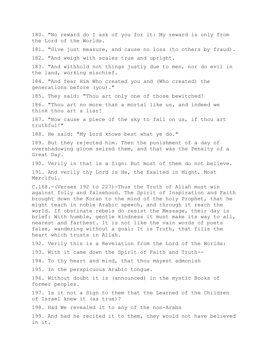180. "No reward do I ask of you for it: My reward is only from the Lord of the Worlds. 181. "Give just measure, and cause no loss (to others by fraud). 182. "And weigh with scales true and upright. 183. "And withhold not things justly due to men, nor do evil in the land, working mischief. 184. "And fear Him Who created you and (Who created) the generations before (you)." 185. They said: "Thou art only one of those bewitched! 186. "Thou art no more than a mortal like us, and indeed we think thou art a liar! 187. "Now cause a piece of the sky to fall on us, if thou art truthful!" 188. He said: "My Lord knows best what ye do." 189. But they rejected him. Then the punishment of a day of overshadowing gloom seized them, and that was the Penalty of a Great Day. 190. Verily in that is a Sign: But most of them do not believe. 191. And verily thy Lord is He, the Exalted in Might, Most Merciful. C.168.-(Verses 192 to 227)-Thus the Truth of Allah must win against folly and falsehood. The Spirit of Inspiration and Faith brought down the Koran to the mind of the holy Prophet, that he might teach in noble Arabic speech, and through it reach the world. If obstinate rebels do resist the Message, their day is brief: With humble, gentle kindness it must make its way to all, nearest and farthest. It is not like the vain words of poets false, wandering without a goal: It is Truth, that fills the heart which trusts in Allah. 192. Verily this is a Revelation from the Lord of the Worlds: 193. With it came down the Spirit of Faith and Truth-- 194. To thy heart and mind, that thou mayest admonish 195. In the perspicuous Arabic tongue. 196. Without doubt it is (announced) in the mystic Books of former peoples. 197. Is it not a Sign to them that the Learned of the Children of Israel knew it (as true)? 198. Had We revealed it to any of the non-Arabs 199. And had he recited it to them, they would not have believed in it.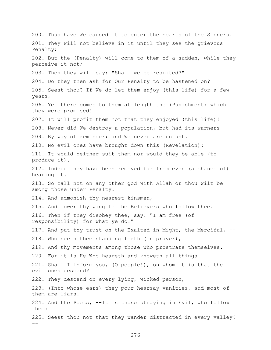200. Thus have We caused it to enter the hearts of the Sinners. 201. They will not believe in it until they see the grievous Penalty; 202. But the (Penalty) will come to them of a sudden, while they perceive it not; 203. Then they will say: "Shall we be respited?" 204. Do they then ask for Our Penalty to be hastened on? 205. Seest thou? If We do let them enjoy (this life) for a few years, 206. Yet there comes to them at length the (Punishment) which they were promised! 207. It will profit them not that they enjoyed (this life)! 208. Never did We destroy a population, but had its warners-- 209. By way of reminder; and We never are unjust. 210. No evil ones have brought down this (Revelation): 211. It would neither suit them nor would they be able (to produce it). 212. Indeed they have been removed far from even (a chance of) hearing it. 213. So call not on any other god with Allah or thou wilt be among those under Penalty. 214. And admonish thy nearest kinsmen, 215. And lower thy wing to the Believers who follow thee. 216. Then if they disobey thee, say: "I am free (of responsibility) for what ye do!" 217. And put thy trust on the Exalted in Might, the Merciful, -- 218. Who seeth thee standing forth (in prayer), 219. And thy movements among those who prostrate themselves. 220. For it is He Who heareth and knoweth all things. 221. Shall I inform you, (O people!), on whom it is that the evil ones descend? 222. They descend on every lying, wicked person, 223. (Into whose ears) they pour hearsay vanities, and most of them are liars. 224. And the Poets, --It is those straying in Evil, who follow them: 225. Seest thou not that they wander distracted in every valley?  $-$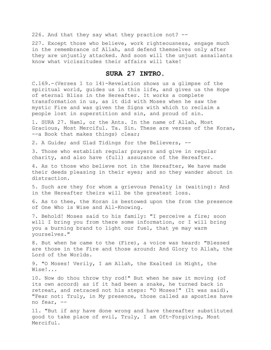226. And that they say what they practice not? --

227. Except those who believe, work righteousness, engage much in the remembrance of Allah, and defend themselves only after they are unjustly attacked. And soon will the unjust assailants know what vicissitudes their affairs will take!

# **SURA 27 INTRO.**

C.169.-(Verses 1 to 14)-Revelation shows us a glimpse of the spiritual world, guides us in this life, and gives us the Hope of eternal Bliss in the Hereafter. It works a complete transformation in us, as it did with Moses when he saw the mystic Fire and was given the Signs with which to reclaim a people lost in superstition and sin, and proud of sin.

1. SURA 27. Naml, or the Ants. In the name of Allah, Most Gracious, Most Merciful. Ta. Sin. These are verses of the Koran, --a Book that makes things) clear;

2. A Guide; and Glad Tidings for the Believers, --

3. Those who establish regular prayers and give in regular charity, and also have (full) assurance of the Hereafter.

4. As to those who believe not in the Hereafter, We have made their deeds pleasing in their eyes; and so they wander about in distraction.

5. Such are they for whom a grievous Penalty is (waiting): And in the Hereafter theirs will be the greatest loss.

6. As to thee, the Koran is bestowed upon the from the presence of One Who is Wise and All-Knowing.

7. Behold! Moses said to his family: "I perceive a fire; soon will I bring you from there some information, or I will bring you a burning brand to light our fuel, that ye may warm yourselves."

8. But when he came to the (Fire), a voice was heard: "Blessed are those in the Fire and those around: And Glory to Allah, the Lord of the Worlds.

9. "O Moses! Verily, I am Allah, the Exalted in Might, the Wise!...

10. Now do thou throw thy rod!" But when he saw it moving (of its own accord) as if it had been a snake, he turned back in retreat, and retraced not his steps: "O Moses!" (It was said), "Fear not: Truly, in My presence, those called as apostles have no fear, --

11. "But if any have done wrong and have thereafter substituted good to take place of evil, Truly, I am Oft-Forgiving, Most Merciful.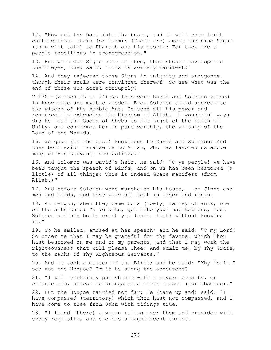12. "Now put thy hand into thy bosom, and it will come forth white without stain (or harm): (These are) among the nine Signs (thou wilt take) to Pharaoh and his people: For they are a people rebellious in transgression."

13. But when Our Signs came to them, that should have opened their eyes, they said: "This is sorcery manifest!"

14. And they rejected those Signs in iniquity and arrogance, though their souls were convinced thereof: So see what was the end of those who acted corruptly!

C.170.-(Verses 15 to 44)-No less were David and Solomon versed in knowledge and mystic wisdom. Even Solomon could appreciate the wisdom of the humble Ant. He used all his power and resources in extending the Kingdom of Allah. In wonderful ways did He lead the Queen of Sheba to the Light of the Faith of Unity, and confirmed her in pure worship, the worship of the Lord of the Worlds.

15. We gave (in the past) knowledge to David and Solomon: And they both said: "Praise be to Allah, Who has favored us above many of His servants who believe!"

16. And Solomon was David's heir. He said: "O ye people! We have been taught the speech of Birds, and on us has been bestowed (a little) of all things: This is indeed Grace manifest (from Allah.)"

17. And before Solomon were marshaled his hosts, --of Jinns and men and birds, and they were all kept in order and ranks.

18. At length, when they came to a (lowly) valley of ants, one of the ants said: "O ye ants, get into your habitations, lest Solomon and his hosts crush you (under foot) without knowing it."

19. So he smiled, amused at her speech; and he said: "O my Lord! So order me that I may be grateful for thy favors, which Thou hast bestowed on me and on my parents, and that I may work the righteousness that will please Thee: And admit me, by Thy Grace, to the ranks of Thy Righteous Servants."

20. And he took a muster of the Birds; and he said: "Why is it I see not the Hoopoe? Or is he among the absentees?

21. "I will certainly punish him with a severe penalty, or execute him, unless he brings me a clear reason (for absence)."

22. But the Hoopoe tarried not far: He (came up and) said: "I have compassed (territory) which thou hast not compassed, and I have come to thee from Saba with tidings true.

23. "I found (there) a woman ruling over them and provided with every requisite, and she has a magnificent throne.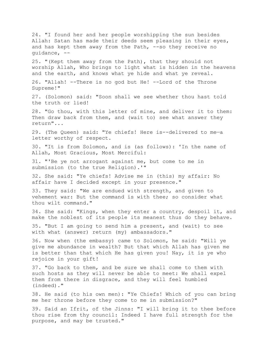24. "I found her and her people worshipping the sun besides Allah: Satan has made their deeds seem pleasing in their eyes, and has kept them away from the Path,  $--$ so they receive no guidance, -- 25. "(Kept them away from the Path), that they should not worship Allah, Who brings to light what is hidden in the heavens and the earth, and knows what ye hide and what ye reveal. 26. "Allah! --There is no god but He! --Lord of the Throne Supreme!" 27. (Solomon) said: "Soon shall we see whether thou hast told the truth or lied! 28. "Go thou, with this letter of mine, and deliver it to them: Then draw back from them, and (wait to) see what answer they return"... 29. (The Queen) said: "Ye chiefs! Here is--delivered to me—a letter worthy of respect. 30. "It is from Solomon, and is (as follows): 'In the name of Allah, Most Gracious, Most Merciful: 31. "'Be ye not arrogant against me, but come to me in submission (to the true Religion).'" 32. She said: "Ye chiefs! Advise me in (this) my affair: No affair have I decided except in your presence." 33. They said: "We are endued with strength, and given to vehement war: But the command is with thee; so consider what thou wilt command." 34. She said: "Kings, when they enter a country, despoil it, and make the noblest of its people its meanest thus do they behave. 35. "But I am going to send him a present, and (wait) to see with what (answer) return (my) ambassadors." 36. Now when (the embassy) came to Solomon, he said: "Will ye give me abundance in wealth? But that which Allah has given me is better than that which He has given you! Nay, it is ye who rejoice in your gift! 37. "Go back to them, and be sure we shall come to them with such hosts as they will never be able to meet: We shall expel them from there in disgrace, and they will feel humbled (indeed)." 38. He said (to his own men): "Ye Chiefs! Which of you can bring me her throne before they come to me in submission?" 39. Said an Ifrit, of the Jinns: "I will bring it to thee before

thou rise from thy council: Indeed I have full strength for the purpose, and may be trusted."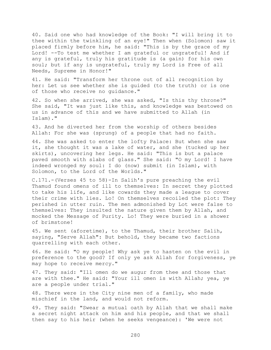40. Said one who had knowledge of the Book: "I will bring it to thee within the twinkling of an eye!" Then when (Solomon) saw it placed firmly before him, he said: "This is by the grace of my Lord! --To test me whether I am grateful or ungrateful! And if any is grateful, truly his gratitude is (a gain) for his own soul; but if any is ungrateful, truly my Lord is Free of all Needs, Supreme in Honor!"

41. He said: "Transform her throne out of all recognition by her: Let us see whether she is guided (to the truth) or is one of those who receive no guidance."

42. So when she arrived, she was asked, "Is this thy throne?" She said, "It was just like this, and knowledge was bestowed on us in advance of this and we have submitted to Allah (in Islam)."

43. And he diverted her from the worship of others besides Allah: For she was (sprung) of a people that had no faith.

44. She was asked to enter the lofty Palace: But when she saw it, she thought it was a lake of water, and she (tucked up her skirts), uncovering her legs. He said: "This is but a palace paved smooth with slabs of glass." She said: "O my Lord! I have indeed wronged my soul: I do (now) submit (in Islam), with Solomon, to the Lord of the Worlds."

C.171.-(Verses 45 to 58)-In Salih's pure preaching the evil Thamud found omens of ill to themselves: In secret they plotted to take his life, and like cowards they made a league to cover their crime with lies. Lo! On themselves recoiled the plot: They perished in utter ruin. The men admonished by Lot were false to themselves: They insulted the nature given them by Allah, and mocked the Message of Purity. Lo! They were buried in a shower of brimstone!

45. We sent (aforetime), to the Thamud, their brother Salih, saying, "Serve Allah": But behold, they became two factions quarrelling with each other.

46. He said: "O my people! Why ask ye to hasten on the evil in preference to the good? If only ye ask Allah for forgiveness, ye may hope to receive mercy."

47. They said: "Ill omen do we augur from thee and those that are with thee." He said: "Your ill omen is with Allah; yea, ye are a people under trial."

48. There were in the City nine men of a family, who made mischief in the land, and would not reform.

49. They said: "Swear a mutual oath by Allah that we shall make a secret night attack on him and his people, and that we shall then say to his heir (when he seeks vengeance): 'We were not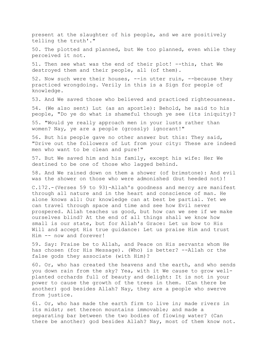present at the slaughter of his people, and we are positively telling the truth'."

50. The plotted and planned, but We too planned, even while they perceived it not.

51. Then see what was the end of their plot! --this, that We destroyed them and their people, all (of them).

52. Now such were their houses, --in utter ruin, --because they practiced wrongdoing. Verily in this is a Sign for people of knowledge.

53. And We saved those who believed and practiced righteousness.

54. (We also sent) Lut (as an apostle): Behold, he said to his people, "Do ye do what is shameful though ye see (its iniquity)?

55. "Would ye really approach men in your lusts rather than women? Nay, ye are a people (grossly) ignorant!"

56. But his people gave no other answer but this: They said, "Drive out the followers of Lut from your city: These are indeed men who want to be clean and pure!"

57. But We saved him and his family, except his wife: Her We destined to be one of those who lagged behind.

58. And We rained down on them a shower (of brimstone): And evil was the shower on those who were admonished (but heeded not)!

C.172.-(Verses 59 to 93)-Allah's goodness and mercy are manifest through all nature and in the heart and conscience of man. He alone knows all: Our knowledge can at best be partial. Yet we can travel through space and time and see how Evil never prospered. Allah teaches us good, but how can we see if we make ourselves blind? At the end of all things shall we know how small is our state, but for Allah's Grace: Let us bow to His Will and accept His true guidance: Let us praise Him and trust Him -- now and forever!

59. Say: Praise be to Allah, and Peace on His servants whom He has chosen (for His Message). (Who) is better? --Allah or the false gods they associate (with Him)?

60. Or, who has created the heavens and the earth, and who sends you down rain from the sky? Yea, with it We cause to grow wellplanted orchards full of beauty and delight: It is not in your power to cause the growth of the trees in them. (Can there be another) god besides Allah? Nay, they are a people who swerve from justice.

61. Or, who has made the earth firm to live in; made rivers in its midst; set thereon mountains immovable; and made a separating bar between the two bodies of flowing water? (Can there be another) god besides Allah? Nay, most of them know not.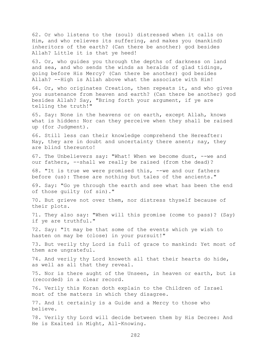62. Or who listens to the (soul) distressed when it calls on Him, and who relieves its suffering, and makes you (mankind) inheritors of the earth? (Can there be another) god besides Allah? Little it is that ye heed!

63. Or, who guides you through the depths of darkness on land and sea, and who sends the winds as heralds of glad tidings, going before His Mercy? (Can there be another) god besides Allah? --High is Allah above what the associate with Him!

64. Or, who originates Creation, then repeats it, and who gives you sustenance from heaven and earth? (Can there be another) god besides Allah? Say, "Bring forth your argument, if ye are telling the truth!"

65. Say: None in the heavens or on earth, except Allah, knows what is hidden: Nor can they perceive when they shall be raised up (for Judgment).

66. Still less can their knowledge comprehend the Hereafter: Nay, they are in doubt and uncertainty there anent; nay, they are blind thereunto!

67. The Unbelievers say: "What! When we become dust, --we and our fathers, --shall we really be raised (from the dead)?

68. "It is true we were promised this, --we and our fathers before (us): These are nothing but tales of the ancients."

69. Say: "Go ye through the earth and see what has been the end of those guilty (of sin)."

70. But grieve not over them, nor distress thyself because of their plots.

71. They also say: "When will this promise (come to pass)? (Say) if ye are truthful."

72. Say: "It may be that some of the events which ye wish to hasten on may be (close) in your pursuit!"

73. But verily thy Lord is full of grace to mankind: Yet most of them are ungrateful.

74. And verily thy Lord knoweth all that their hearts do hide, as well as all that they reveal.

75. Nor is there aught of the Unseen, in heaven or earth, but is (recorded) in a clear record.

76. Verily this Koran doth explain to the Children of Israel most of the matters in which they disagree.

77. And it certainly is a Guide and a Mercy to those who believe.

78. Verily thy Lord will decide between them by His Decree: And He is Exalted in Might, All-Knowing.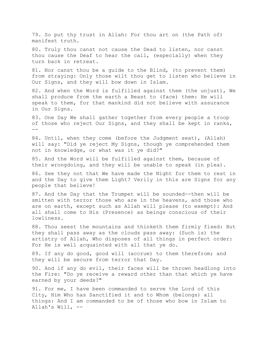79. So put thy trust in Allah: For thou art on (the Path of) manifest truth.

80. Truly thou canst not cause the Dead to listen, nor canst thou cause the Deaf to hear the call, (especially) when they turn back in retreat.

81. Nor canst thou be a guide to the Blind, (to prevent them) from straying: Only those wilt thou get to listen who believe in Our Signs, and they will bow down in Islam.

82. And when the Word is fulfilled against them (the unjust), We shall produce from the earth a Beast to (face) them: He will speak to them, for that mankind did not believe with assurance in Our Signs.

83. One Day We shall gather together from every people a troop of those who reject Our Signs, and they shall be kept in ranks,  $- -$ 

84. Until, when they come (before the Judgment seat), (Allah) will say: "Did ye reject My Signs, though ye comprehended them not in knowledge, or what was it ye did?"

85. And the Word will be fulfilled against them, because of their wrongdoing, and they will be unable to speak (in plea).

86. See they not that We have made the Night for them to rest in and the Day to give them Light? Verily in this are Signs for any people that believe!

87. And the Day that the Trumpet will be sounded--then will be smitten with terror those who are in the heavens, and those who are on earth, except such as Allah will please (to exempt): And all shall come to His (Presence) as beings conscious of their lowliness.

88. Thou seest the mountains and thinketh them firmly fixed: But they shall pass away as the clouds pass away: (Such is) the artistry of Allah, Who disposes of all things in perfect order: For He is well acquainted with all that ye do.

89. If any do good, good will (accrue) to them therefrom; and they will be secure from terror that Day.

90. And if any do evil, their faces will be thrown headlong into the Fire: "Do ye receive a reward other than that which ye have earned by your deeds?"

91. For me, I have been commanded to serve the Lord of this City, Him Who has Sanctified it and to Whom (belongs) all things: And I am commanded to be of those who bow in Islam to Allah's Will, --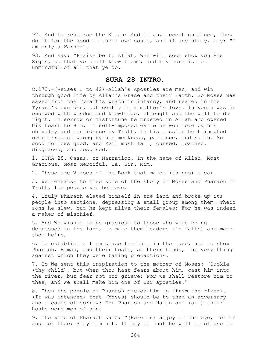92. And to rehearse the Koran: And if any accept guidance, they do it for the good of their own souls, and if any stray, say: "I am only a Warner".

93. And say: "Praise be to Allah, Who will soon show you His Signs, so that ye shall know them"; and thy Lord is not unmindful of all that ye do.

### **SURA 28 INTRO.**

C.173.-(Verses 1 to 42)-Allah's Apostles are men, and win through good life by Allah's Grace and their Faith. So Moses was saved from the Tyrant's wrath in infancy, and reared in the Tyrant's own den, but gently in a mother's love. In youth was he endowed with wisdom and knowledge, strength and the will to do right. In sorrow or misfortune he trusted in Allah and opened his heart to Him. In self-imposed exile he won love by his chivalry and confidence by Truth. In his mission he triumphed over arrogant wrong by his meekness, patience, and Faith. So good follows good, and Evil must fall, cursed, loathed, disgraced, and despised.

1. SURA 28. Qasas, or Narration. In the name of Allah, Most Gracious, Most Merciful. Ta. Sin. Mim.

2. These are Verses of the Book that makes (things) clear.

3. We rehearse to thee some of the story of Moses and Pharaoh in Truth, for people who believe.

4. Truly Pharaoh elated himself in the land and broke up its people into sections, depressing a small group among them: Their sons he slew, but he kept alive their females: For he was indeed a maker of mischief.

5. And We wished to be gracious to those who were being depressed in the land, to make them leaders (in faith) and make them heirs,

6. To establish a firm place for them in the land, and to show Pharaoh, Haman, and their hosts, at their hands, the very thing against which they were taking precautions.

7. So We sent this inspiration to the mother of Moses: "Suckle (thy child), but when thou hast fears about him, cast him into the river, but fear not nor grieve: For We shall restore him to thee, and We shall make him one of Our apostles."

8. Then the people of Pharaoh picked him up (from the river). (It was intended) that (Moses) should be to them an adversary and a cause of sorrow: For Pharaoh and Haman and (all) their hosts were men of sin.

9. The wife of Pharaoh said: "(Here is) a joy of the eye, for me and for thee: Slay him not. It may be that he will be of use to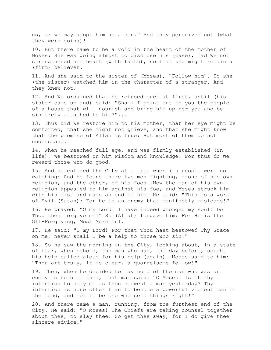us, or we may adopt him as a son." And they perceived not (what they were doing)!

10. But there came to be a void in the heart of the mother of Moses: She was going almost to disclose his (case), had We not strengthened her heart (with faith), so that she might remain a (firm) believer.

11. And she said to the sister of (Moses), "Follow him". So she (the sister) watched him in the character of a stranger. And they knew not.

12. And We ordained that he refused suck at first, until (his sister came up and) said: "Shall I point out to you the people of a house that will nourish and bring him up for you and be sincerely attached to him?"...

13. Thus did We restore him to his mother, that her eye might be comforted, that she might not grieve, and that she might know that the promise of Allah is true: But most of them do not understand.

14. When he reached full age, and was firmly established (in life), We bestowed on him wisdom and knowledge: For thus do We reward those who do good.

15. And he entered the City at a time when its people were not watching: And he found there two men fighting, --one of his own religion, and the other, of his foes. Now the man of his own religion appealed to him against his foe, and Moses struck him with his fist and made an end of him. He said: "This is a work of Evil (Satan): For he is an enemy that manifestly misleads!"

16. He prayed: "O my Lord! I have indeed wronged my soul! Do Thou then forgive me!" So (Allah) forgave him: For He is the Oft-Forgiving, Most Merciful.

17. He said: "O my Lord! For that Thou hast bestowed Thy Grace on me, never shall I be a help to those who sin!"

18. So he saw the morning in the City, looking about, in a state of fear, when behold, the man who had, the day before, sought his help called aloud for his help (again). Moses said to him: "Thou art truly, it is clear, a quarrelsome fellow!"

19. Then, when he decided to lay hold of the man who was an enemy to both of them, that man said: "O Moses! Is it thy intention to slay me as thou slewest a man yesterday? Thy intention is none other than to become a powerful violent man in the land, and not to be one who sets things right!"

20. And there came a man, running, from the furthest end of the City. He said: "O Moses! The Chiefs are taking counsel together about thee, to slay thee: So get thee away, for I do give thee sincere advice."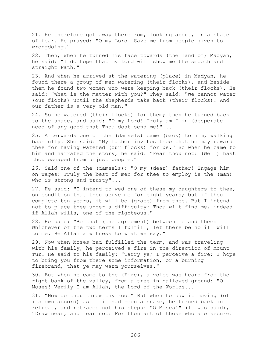21. He therefore got away therefrom, looking about, in a state of fear. He prayed: "O my Lord! Save me from people given to wrongdoing."

22. Then, when he turned his face towards (the land of) Madyan, he said: "I do hope that my Lord will show me the smooth and straight Path."

23. And when he arrived at the watering (place) in Madyan, he found there a group of men watering (their flocks), and beside them he found two women who were keeping back (their flocks). He said: "What is the matter with you?" They said: "We cannot water (our flocks) until the shepherds take back (their flocks): And our father is a very old man."

24. So he watered (their flocks) for them; then he turned back to the shade, and said: "O my Lord! Truly am I in (desperate need of any good that Thou dost send me!"...

25. Afterwards one of the (damsels) came (back) to him, walking bashfully. She said: "My father invites thee that he may reward thee for having watered (our flocks) for us." So when he came to him and narrated the story, he said: "Fear thou not: (Well) hast thou escaped from unjust people."

26. Said one of the (damsels): "O my (dear) father! Engage him on wages: Truly the best of men for thee to employ is the (man) who is strong and trusty"...

27. He said: "I intend to wed one of these my daughters to thee, on condition that thou serve me for eight years; but if thou complete ten years, it will be (grace) from thee. But I intend not to place thee under a difficulty: Thou wilt find me, indeed if Allah wills, one of the righteous."

28. He said: "Be that (the agreement) between me and thee: Whichever of the two terms I fulfill, let there be no ill will to me. Be Allah a witness to what we say."

29. Now when Moses had fulfilled the term, and was traveling with his family, he perceived a fire in the direction of Mount Tur. He said to his family: "Tarry ye; I perceive a fire; I hope to bring you from there some information, or a burning firebrand, that ye may warm yourselves."

30. But when he came to the (Fire), a voice was heard from the right bank of the valley, from a tree in hallowed ground: "O Moses! Verily I am Allah, the Lord of the Worlds...

31. "Now do thou throw thy rod!" But when he saw it moving (of its own accord) as if it had been a snake, he turned back in retreat, and retraced not his steps: "O Moses!" (It was said), "Draw near, and fear not: For thou art of those who are secure.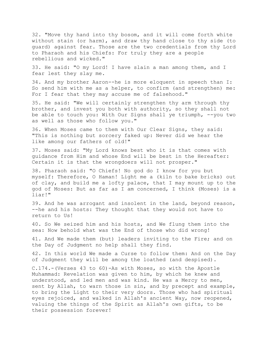32. "Move thy hand into thy bosom, and it will come forth white without stain (or harm), and draw thy hand close to thy side (to guard) against fear. Those are the two credentials from thy Lord to Pharaoh and his Chiefs: For truly they are a people rebellious and wicked."

33. He said: "O my Lord! I have slain a man among them, and I fear lest they slay me.

34. And my brother Aaron--he is more eloquent in speech than I: So send him with me as a helper, to confirm (and strengthen) me: For I fear that they may accuse me of falsehood."

35. He said: "We will certainly strengthen thy arm through thy brother, and invest you both with authority, so they shall not be able to touch you: With Our Signs shall ye triumph, --you two as well as those who follow you."

36. When Moses came to them with Our Clear Signs, they said: "This is nothing but sorcery faked up: Never did we hear the like among our fathers of old!"

37. Moses said: "My Lord knows best who it is that comes with guidance from Him and whose End will be best in the Hereafter: Certain it is that the wrongdoers will not prosper."

38. Pharaoh said: "O Chiefs! No god do I know for you but myself: Therefore, O Haman! Light me a (kiln to bake bricks) out of clay, and build me a lofty palace, that I may mount up to the god of Moses: But as far as I am concerned, I think (Moses) is a liar!"

39. And he was arrogant and insolent in the land, beyond reason, --he and his hosts: They thought that they would not have to return to Us!

40. So We seized him and his hosts, and We flung them into the sea: Now behold what was the End of those who did wrong!

41. And We made them (but) leaders inviting to the Fire; and on the Day of Judgment no help shall they find.

42. In this world We made a Curse to follow them: And on the Day of Judgment they will be among the loathed (and despised).

C.174.-(Verses 43 to 60)-As with Moses, so with the Apostle Muhammad: Revelation was given to him, by which he knew and understood, and led men and was kind. He was a Mercy to men, sent by Allah, to warn those in sin, and by precept and example, to bring the Light to their very doors. Those who had spiritual eyes rejoiced, and walked in Allah's ancient Way, now reopened, valuing the things of the Spirit as Allah's own gifts, to be their possession forever!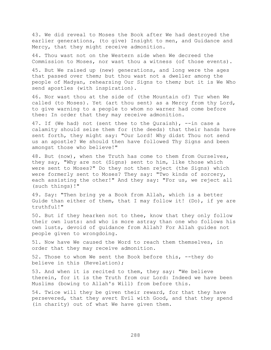43. We did reveal to Moses the Book after We had destroyed the earlier generations, (to give) Insight to men, and Guidance and Mercy, that they might receive admonition.

44. Thou wast not on the Western side when We decreed the Commission to Moses, nor wast thou a witness (of those events).

45. But We raised up (new) generations, and long were the ages that passed over them; but thou wast not a dweller among the people of Madyan, rehearsing Our Signs to them; but it is We Who send apostles (with inspiration).

46. Nor wast thou at the side of (the Mountain of) Tur when We called (to Moses). Yet (art thou sent) as a Mercy from thy Lord, to give warning to a people to whom no warner had come before thee: In order that they may receive admonition.

47. If (We had) not (sent thee to the Quraish), --in case a calamity should seize them for (the deeds) that their hands have sent forth, they might say: "Our Lord! Why didst Thou not send us an apostle? We should then have followed Thy Signs and been amongst those who believe!"

48. But (now), when the Truth has come to them from Ourselves, they say, "Why are not (Signs) sent to him, like those which were sent to Moses?" Do they not then reject (the Signs) which were formerly sent to Moses? They say: "Two kinds of sorcery, each assisting the other!" And they say: "For us, we reject all (such things)!"

49. Say: "Then bring ye a Book from Allah, which is a better Guide than either of them, that I may follow it! (Do), if ye are truthful!"

50. But if they hearken not to thee, know that they only follow their own lusts: and who is more astray than one who follows his own lusts, devoid of guidance from Allah? For Allah guides not people given to wrongdoing.

51. Now have We caused the Word to reach them themselves, in order that they may receive admonition.

52. Those to whom We sent the Book before this, --they do believe in this (Revelation);

53. And when it is recited to them, they say: "We believe therein, for it is the Truth from our Lord: Indeed we have been Muslims (bowing to Allah's Will) from before this.

54. Twice will they be given their reward, for that they have persevered, that they avert Evil with Good, and that they spend (in charity) out of what We have given them.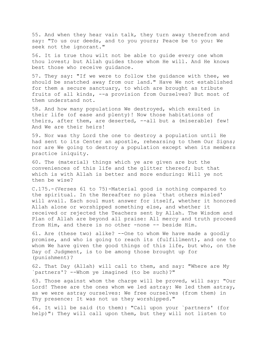55. And when they hear vain talk, they turn away therefrom and say: "To us our deeds, and to you yours; Peace be to you: We seek not the ignorant."

56. It is true thou wilt not be able to guide every one whom thou lovest; but Allah guides those whom He will. And He knows best those who receive guidance.

57. They say: "If we were to follow the guidance with thee, we should be snatched away from our land." Have We not established for them a secure sanctuary, to which are brought as tribute fruits of all kinds, --a provision from Ourselves? But most of them understand not.

58. And how many populations We destroyed, which exulted in their life (of ease and plenty)! Now those habitations of theirs, after them, are deserted, --all but a (miserable) few! And We are their heirs!

59. Nor was thy Lord the one to destroy a population until He had sent to its Center an apostle, rehearsing to them Our Signs; nor are We going to destroy a population except when its members practice iniquity.

60. The (material) things which ye are given are but the conveniences of this life and the glitter thereof; but that which is with Allah is better and more enduring: Will ye not then be wise?

C.175.-(Verses 61 to 75)-Material good is nothing compared to the spiritual. In the Hereafter no plea `that others misled' will avail. Each soul must answer for itself, whether it honored Allah alone or worshipped something else, and whether it received or rejected the Teachers sent by Allah. The Wisdom and Plan of Allah are beyond all praise: All mercy and truth proceed from Him, and there is no other -none -- beside Him.

61. Are (these two) alike? --One to whom We have made a goodly promise, and who is going to reach its (fulfillment), and one to whom We have given the good things of this life, but who, on the Day of Judgment, is to be among those brought up for (punishment)?

62. That Day (Allah) will call to them, and say: "Where are My `partners'? --Whom ye imagined (to be such)?"

63. Those against whom the charge will be proved, will say: "Our Lord! These are the ones whom we led astray: We led them astray, as we were astray ourselves: We free ourselves (from them) in Thy presence: It was not us they worshipped."

64. It will be said (to them): "Call upon your `partners' (for help)": They will call upon them, but they will not listen to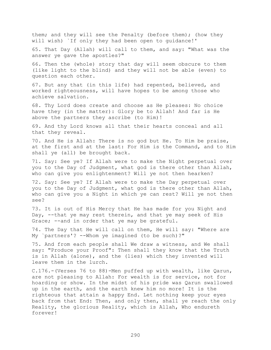them; and they will see the Penalty (before them); (how they will wish) `If only they had been open to guidance!'

65. That Day (Allah) will call to them, and say: "What was the answer ye gave the apostles?"

66. Then the (whole) story that day will seem obscure to them (like light to the blind) and they will not be able (even) to question each other.

67. But any that (in this life) had repented, believed, and worked righteousness, will have hopes to be among those who achieve salvation.

68. Thy Lord does create and choose as He pleases: No choice have they (in the matter): Glory be to Allah! And far is He above the partners they ascribe (to Him)!

69. And thy Lord knows all that their hearts conceal and all that they reveal.

70. And He is Allah: There is no god but He. To Him be praise, at the first and at the last: For Him is the Command, and to Him shall ye (all) be brought back.

71. Say: See ye? If Allah were to make the Night perpetual over you to the Day of Judgment, what god is there other than Allah, who can give you enlightenment? Will ye not then hearken?

72. Say: See ye? If Allah were to make the Day perpetual over you to the Day of Judgment, what god is there other than Allah, who can give you a Night in which ye can rest? Will ye not then see?

73. It is out of His Mercy that He has made for you Night and Day, --that ye may rest therein, and that ye may seek of His Grace; --and in order that ye may be grateful.

74. The Day that He will call on them, He will say: "Where are My `partners'? --Whom ye imagined (to be such)?"

75. And from each people shall We draw a witness, and We shall say: "Produce your Proof": Then shall they know that the Truth is in Allah (alone), and the (lies) which they invented will leave them in the lurch.

C.176.-(Verses 76 to 88)-Men puffed up with wealth, like Qarun, are not pleasing to Allah: For wealth is for service, not for hoarding or show. In the midst of his pride was Qarun swallowed up in the earth, and the earth knew him no more! It is the righteous that attain a happy End. Let nothing keep your eyes back from that End: Then, and only then, shall ye reach the only Reality, the glorious Reality, which is Allah, Who endureth forever!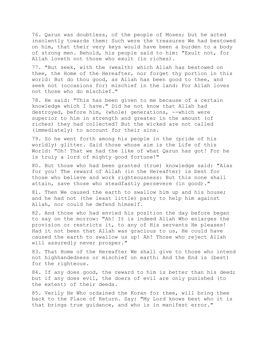76. Qarun was doubtless, of the people of Moses; but he acted insolently towards them: Such were the treasures We had bestowed on him, that their very keys would have been a burden to a body of strong men. Behold, his people said to him: "Exult not, for Allah loveth not those who exult (in riches).

77. "But seek, with the (wealth) which Allah has bestowed on thee, the Home of the Hereafter, nor forget thy portion in this world: But do thou good, as Allah has been good to thee, and seek not (occasions for) mischief in the land: For Allah loves not those who do mischief."

78. He said: "This has been given to me because of a certain knowledge which I have." Did he not know that Allah had destroyed, before him, (whole) generations, --which were superior to him in strength and greater in the amount (of riches) they had collected? But the wicked are not called (immediately) to account for their sins.

79. So he went forth among his people in the (pride of his worldly) glitter. Said those whose aim is the Life of this World: "Oh! That we had the like of what Qarun has got! For he is truly a lord of mighty good fortune!"

80. But those who had been granted (true) knowledge said: "Alas for you! The reward of Allah (in the Hereafter) is best for those who believe and work righteousness: But this none shall attain, save those who steadfastly persevere (in good)."

81. Then We caused the earth to swallow him up and his house; and he had not (the least little) party to help him against Allah, nor could he defend himself.

82. And those who had envied his position the day before began to say on the morrow: "Ah! It is indeed Allah Who enlarges the provision or restricts it, to any of His servants He pleases! Had it not been that Allah was gracious to us, He could have caused the earth to swallow us up! Ah! Those who reject Allah will assuredly never prosper."

83. That Home of the Hereafter We shall give to those who intend not highhandedness or mischief on earth: And the End is (best) for the righteous.

84. If any does good, the reward to him is better than his deed; but if any does evil, the doers of evil are only punished (to the extent) of their deeds.

85. Verily He Who ordained the Koran for thee, will bring thee back to the Place of Return. Say: "My Lord knows best who it is that brings true guidance, and who is in manifest error."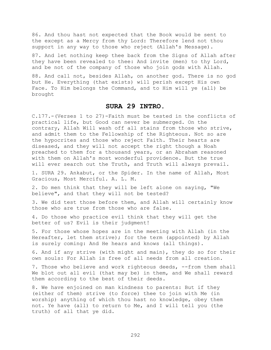86. And thou hast not expected that the Book would be sent to the except as a Mercy from thy Lord: Therefore lend not thou support in any way to those who reject (Allah's Message).

87. And let nothing keep thee back from the Signs of Allah after they have been revealed to thee: And invite (men) to thy Lord, and be not of the company of those who join gods with Allah.

88. And call not, besides Allah, on another god. There is no god but He. Everything (that exists) will perish except His own Face. To Him belongs the Command, and to Him will ye (all) be brought

## **SURA 29 INTRO.**

C.177.-(Verses 1 to 27)-Faith must be tested in the conflicts of practical life, but Good can never be submerged. On the contrary, Allah Will wash off all stains from those who strive, and admit them to the Fellowship of the Righteous. Not so are the hypocrites and those who reject Faith. Their hearts are diseased, and they will not accept the right though a Noah preached to them for a thousand years, or an Abraham reasoned with them on Allah's most wonderful providence. But the true will ever search out the Truth, and Truth will always prevail.

1. SURA 29. Ankabut, or the Spider. In the name of Allah, Most Gracious, Most Merciful. A. L. M.

2. Do men think that they will be left alone on saying, "We believe", and that they will not be tested?

3. We did test those before them, and Allah will certainly know those who are true from those who are false.

4. Do those who practice evil think that they will get the better of us? Evil is their judgment!

5. For those whose hopes are in the meeting with Allah (in the Hereafter, let them strive); for the term (appointed) by Allah is surely coming: And He hears and knows (all things).

6. And if any strive (with might and main), they do so for their own souls: For Allah is free of all needs from all creation.

7. Those who believe and work righteous deeds, --from them shall We blot out all evil (that may be) in them, and We shall reward them according to the best of their deeds.

8. We have enjoined on man kindness to parents: But if they (either of them) strive (to force) thee to join with Me (in worship) anything of which thou hast no knowledge, obey them not. Ye have (all) to return to Me, and I will tell you (the truth) of all that ye did.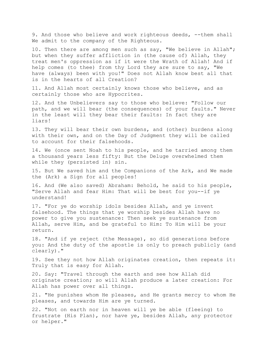9. And those who believe and work righteous deeds, --them shall We admit to the company of the Righteous.

10. Then there are among men such as say, "We believe in Allah"; but when they suffer affliction in (the cause of) Allah, they treat men's oppression as if it were the Wrath of Allah! And if help comes (to thee) from thy Lord they are sure to say, "We have (always) been with you!" Does not Allah know best all that is in the hearts of all Creation?

11. And Allah most certainly knows those who believe, and as certainly those who are Hypocrites.

12. And the Unbelievers say to those who believe: "Follow our path, and we will bear (the consequences) of your faults." Never in the least will they bear their faults: In fact they are liars!

13. They will bear their own burdens, and (other) burdens along with their own, and on the Day of Judgment they will be called to account for their falsehoods.

14. We (once sent Noah to his people, and he tarried among them a thousand years less fifty: But the Deluge overwhelmed them while they (persisted in) sin.

15. But We saved him and the Companions of the Ark, and We made the (Ark) a Sign for all peoples!

16. And (We also saved) Abraham: Behold, he said to his people, "Serve Allah and fear Him: That will be best for you--if ye understand!

17. "For ye do worship idols besides Allah, and ye invent falsehood. The things that ye worship besides Allah have no power to give you sustenance: Then seek ye sustenance from Allah, serve Him, and be grateful to Him: To Him will be your return.

18. "And if ye reject (the Message), so did generations before you: And the duty of the apostle is only to preach publicly (and clearly)."

19. See they not how Allah originates creation, then repeats it: Truly that is easy for Allah.

20. Say: "Travel through the earth and see how Allah did originate creation; so will Allah produce a later creation: For Allah has power over all things.

21. "He punishes whom He pleases, and He grants mercy to whom He pleases, and towards Him are ye turned.

22. "Not on earth nor in heaven will ye be able (fleeing) to frustrate (His Plan), nor have ye, besides Allah, any protector or helper."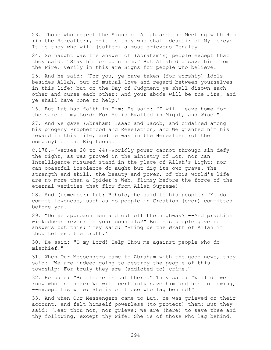23. Those who reject the Signs of Allah and the Meeting with Him (in the Hereafter), --it is they who shall despair of My mercy: It is they who will (suffer) a most grievous Penalty.

24. So naught was the answer of (Abraham's) people except that they said: "Slay him or burn him." But Allah did save him from the Fire. Verily in this are Signs for people who believe.

25. And he said: "For you, ye have taken (for worship) idols besides Allah, out of mutual love and regard between yourselves in this life; but on the Day of Judgment ye shall disown each other and curse each other: And your abode will be the Fire, and ye shall have none to help."

26. But Lut had faith in Him: He said: "I will leave home for the sake of my Lord: For He is Exalted in Might, and Wise."

27. And We gave (Abraham) Isaac and Jacob, and ordained among his progeny Prophethood and Revelation, and We granted him his reward in this life; and he was in the Hereafter (of the company) of the Righteous.

C.178.-(Verses 28 to 44)-Worldly power cannot through sin defy the right, as was proved in the ministry of Lot; nor can Intelligence misused stand in the place of Allah's Light; nor can boastful insolence do aught but dig its own grave. The strength and skill, the beauty and power, of this world's life are no more than a Spider's Web, flimsy before the force of the eternal verities that flow from Allah Supreme!

28. And (remember) Lut: Behold, he said to his people: "Ye do commit lewdness, such as no people in Creation (ever) committed before you.

29. "Do ye approach men and cut off the highway? --And practice wickedness (even) in your councils?" But his people gave no answers but this: They said: "Bring us the Wrath of Allah if thou tellest the truth.'

30. He said: "O my Lord! Help Thou me against people who do mischief!"

31. When Our Messengers came to Abraham with the good news, they said: "We are indeed going to destroy the people of this township: For truly they are (addicted to) crime."

32. He said: "But there is Lut there." They said: "Well do we know who is there: We will certainly save him and his following, --except his wife: She is of those who lag behind!"

33. And when Our Messengers came to Lut, he was grieved on their account, and felt himself powerless (to protect) them: But they said: "Fear thou not, nor grieve: We are (here) to save thee and thy following, except thy wife: She is of those who lag behind.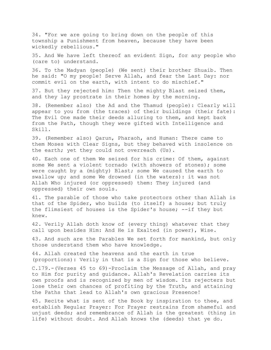34. "For we are going to bring down on the people of this township a Punishment from heaven, because they have been wickedly rebellious."

35. And We have left thereof an evident Sign, for any people who (care to) understand.

36. To the Madyan (people) (We sent) their brother Shuaib. Then he said: "O my people! Serve Allah, and fear the Last Day: nor commit evil on the earth, with intent to do mischief."

37. But they rejected him: Then the mighty Blast seized them, and they lay prostrate in their homes by the morning.

38. (Remember also) the Ad and the Thamud (people): Clearly will appear to you from (the traces) of their buildings (their fate): The Evil One made their deeds alluring to them, and kept back from the Path, though they were gifted with Intelligence and Skill.

39. (Remember also) Qarun, Pharaoh, and Human: There came to them Moses with Clear Signs, but they behaved with insolence on the earth; yet they could not overreach (Us).

40. Each one of them We seized for his crime: Of them, against some We sent a violent tornado (with showers of stones); some were caught by a (mighty) Blast; some We caused the earth to swallow up; and some We drowned (in the waters): it was not Allah Who injured (or oppressed) them: They injured (and oppressed) their own souls.

41. The parable of those who take protectors other than Allah is that of the Spider, who builds (to itself) a house; but truly the flimsiest of houses is the Spider's house; --if they but knew.

42. Verily Allah doth know of (every thing) whatever that they call upon besides Him: And He is Exalted (in power), Wise.

43. And such are the Parables We set forth for mankind, but only those understand them who have knowledge.

44. Allah created the heavens and the earth in true (proportions): Verily in that is a Sign for those who believe.

C.179.-(Verses 45 to 69)-Proclaim the Message of Allah, and pray to Him for purity and guidance. Allah's Revelation carries its own proofs and is recognized by men of wisdom. Its rejecters but lose their own chances of profiting by the Truth, and attaining the Paths that lead to Allah's own gracious Presence!

45. Recite what is sent of the Book by inspiration to thee, and establish Regular Prayer: For Prayer restrains from shameful and unjust deeds; and remembrance of Allah is the greatest (thing in life) without doubt. And Allah knows the (deeds) that ye do.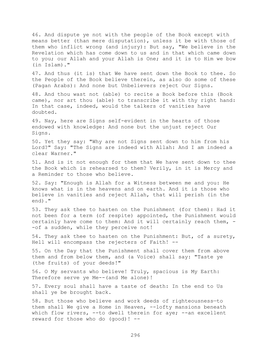46. And dispute ye not with the people of the Book except with means better (than mere disputation), unless it be with those of them who inflict wrong (and injury): But say, "We believe in the Revelation which has come down to us and in that which came down to you; our Allah and your Allah is One; and it is to Him we bow (in Islam)."

47. And thus (it is) that We have sent down the Book to thee. So the People of the Book believe therein, as also do some of these (Pagan Arabs): And none but Unbelievers reject Our Signs.

48. And thou wast not (able) to recite a Book before this (Book came), nor art thou (able) to transcribe it with thy right hand: In that case, indeed, would the talkers of vanities have doubted.

49. Nay, here are Signs self-evident in the hearts of those endowed with knowledge: And none but the unjust reject Our Signs.

50. Yet they say: "Why are not Signs sent down to him from his Lord?" Say: "The Signs are indeed with Allah: And I am indeed a clear Warner."

51. And is it not enough for them that We have sent down to thee the Book which is rehearsed to them? Verily, in it is Mercy and a Reminder to those who believe.

52. Say: "Enough is Allah for a Witness between me and you: He knows what is in the heavens and on earth. And it is those who believe in vanities and reject Allah, that will perish (in the end)."

53. They ask thee to hasten on the Punishment (for them): Had it not been for a term (of respite) appointed, the Punishment would certainly have come to them: And it will certainly reach them, - -of a sudden, while they perceive not!

54. They ask thee to hasten on the Punishment: But, of a surety, Hell will encompass the rejecters of Faith! --

55. On the Day that the Punishment shall cover them from above them and from below them, and (a Voice) shall say: "Taste ye (the fruits) of your deeds!"

56. O My servants who believe! Truly, spacious is My Earth: Therefore serve ye Me--(and Me alone)!

57. Every soul shall have a taste of death: In the end to Us shall ye be brought back.

58. But those who believe and work deeds of righteousness—to them shall We give a Home in Heaven, --lofty mansions beneath which flow rivers, --to dwell therein for aye; --an excellent reward for those who do (good)! --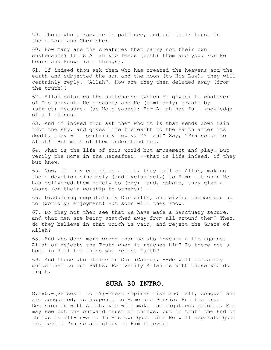59. Those who persevere in patience, and put their trust in their Lord and Cherisher.

60. How many are the creatures that carry not their own sustenance? It is Allah Who feeds (both) them and you: For He hears and knows (all things).

61. If indeed thou ask them who has created the heavens and the earth and subjected the sun and the moon (to His Law), they will certainly reply. "Allah". How are they then deluded away (from the truth)?

62. Allah enlarges the sustenance (which He gives) to whatever of His servants He pleases; and He (similarly) grants by (strict) measure, (as He pleases): For Allah has full knowledge of all things.

63. And if indeed thou ask them who it is that sends down rain from the sky, and gives life therewith to the earth after its death, they will certainly reply, "Allah!" Say, "Praise be to Allah!" But most of them understand not.

64. What is the life of this world but amusement and play? But verily the Home in the Hereafter, --that is life indeed, if they but knew.

65. Now, if they embark on a boat, they call on Allah, making their devotion sincerely (and exclusively) to Him; but when He has delivered them safely to (dry) land, behold, they give a share (of their worship to others)! --

66. Disdaining ungratefully Our gifts, and giving themselves up to (worldly) enjoyment! But soon will they know.

67. Do they not then see that We have made a Sanctuary secure, and that men are being snatched away from all around them? Then, do they believe in that which is vain, and reject the Grace of Allah?

68. And who does more wrong than he who invents a lie against Allah or rejects the Truth when it reaches him? Is there not a home in Hell for those who reject Faith?

69. And those who strive in Our (Cause), --We will certainly guide them to Our Paths: For verily Allah is with those who do right.

## **SURA 30 INTRO.**

C.180.-(Verses 1 to 19)-Great Empires rise and fall, conquer and are conquered, as happened to Rome and Persia: But the true Decision is with Allah, Who will make the righteous rejoice. Men may see but the outward crust of things, but in truth the End of things is all-in-all. In His own good time He will separate good from evil: Praise and glory to Him forever!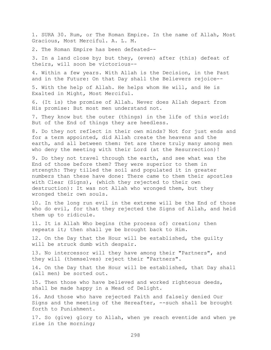1. SURA 30. Rum, or The Roman Empire. In the name of Allah, Most Gracious, Most Merciful. A. L. M.

2. The Roman Empire has been defeated--

3. In a land close by; but they, (even) after (this) defeat of theirs, will soon be victorious--

4. Within a few years. With Allah is the Decision, in the Past and in the Future: On that Day shall the Believers rejoice--

5. With the help of Allah. He helps whom He will, and He is Exalted in Might, Most Merciful.

6. (It is) the promise of Allah. Never does Allah depart from His promise: But most men understand not.

7. They know but the outer (things) in the life of this world: But of the End of things they are heedless.

8. Do they not reflect in their own minds? Not for just ends and for a term appointed, did Allah create the heavens and the earth, and all between them: Yet are there truly many among men who deny the meeting with their Lord (at the Resurrection)!

9. Do they not travel through the earth, and see what was the End of those before them? They were superior to them in strength: They tilled the soil and populated it in greater numbers than these have done: There came to them their apostles with Clear (Signs), (which they rejected to their own destruction): It was not Allah who wronged them, but they wronged their own souls.

10. In the long run evil in the extreme will be the End of those who do evil, for that they rejected the Signs of Allah, and held them up to ridicule.

11. It is Allah Who begins (the process of) creation; then repeats it; then shall ye be brought back to Him.

12. On the Day that the Hour will be established, the guilty will be struck dumb with despair.

13. No intercessor will they have among their "Partners", and they will (themselves) reject their "Partners".

14. On the Day that the Hour will be established, that Day shall (all men) be sorted out.

15. Then those who have believed and worked righteous deeds, shall be made happy in a Mead of Delight.

16. And those who have rejected Faith and falsely denied Our Signs and the meeting of the Hereafter, --such shall be brought forth to Punishment.

17. So (give) glory to Allah, when ye reach eventide and when ye rise in the morning;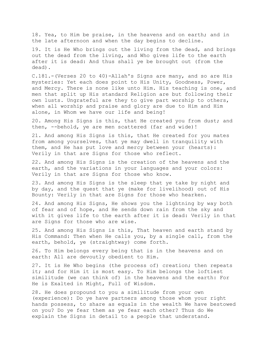18. Yea, to Him be praise, in the heavens and on earth; and in the late afternoon and when the day begins to decline.

19. It is He Who brings out the living from the dead, and brings out the dead from the living, and Who gives life to the earth after it is dead: And thus shall ye be brought out (from the dead).

C.181.-(Verses 20 to 40)-Allah's Signs are many, and so are His mysteries: Yet each does point to His Unity, Goodness, Power, and Mercy. There is none like unto Him. His teaching is one, and men that split up His standard Religion are but following their own lusts. Ungrateful are they to give part worship to others, when all worship and praise and glory are due to Him and Him alone, in Whom we have our life and being!

20. Among His Signs is this, that He created you from dust; and then, --behold, ye are men scattered (far and wide)!

21. And among His Signs is this, that He created for you mates from among yourselves, that ye may dwell in tranquility with them, and He has put love and mercy between your (hearts): Verily in that are Signs for those who reflect.

22. And among His Signs is the creation of the heavens and the earth, and the variations in your languages and your colors: Verily in that are Signs for those who know.

23. And among His Signs is the sleep that ye take by night and by day, and the quest that ye (make for livelihood) out of His Bounty: Verily in that are Signs for those who hearken.

24. And among His Signs, He shows you the lightning by way both of fear and of hope, and He sends down rain from the sky and with it gives life to the earth after it is dead: Verily in that are Signs for those who are wise.

25. And among His Signs is this, That heaven and earth stand by His Command: Then when He calls you, by a single call, from the earth, behold, ye (straightway) come forth.

26. To Him belongs every being that is in the heavens and on earth: All are devoutly obedient to Him.

27. It is He Who begins (the process of) creation; then repeats it; and for Him it is most easy. To Him belongs the loftiest similitude (we can think of) in the heavens and the earth: For He is Exalted in Might, Full of Wisdom.

28. He does propound to you a similitude from your own (experience): Do ye have partners among those whom your right hands possess, to share as equals in the wealth We have bestowed on you? Do ye fear them as ye fear each other? Thus do We explain the Signs in detail to a people that understand.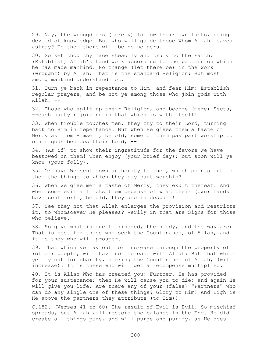29. Nay, the wrongdoers (merely) follow their own lusts, being devoid of knowledge. But who will guide those Whom Allah leaves astray? To them there will be no helpers.

30. So set thou thy face steadily and truly to the Faith: (Establish) Allah's handiwork according to the pattern on which he has made mankind: No change (let there be) in the work (wrought) by Allah: That is the standard Religion: But most among mankind understand not.

31. Turn ye back in repentance to Him, and fear Him: Establish regular prayers, and be not ye among those who join gods with Allah, --

32. Those who split up their Religion, and become (mere) Sects, --each party rejoicing in that which is with itself!

33. When trouble touches men, they cry to their Lord, turning back to Him in repentance: But when He gives them a taste of Mercy as from Himself, behold, some of them pay part worship to other gods besides their Lord, --

34. (As if) to show their ingratitude for the favors We have bestowed on them! Then enjoy (your brief day); but soon will ye know (your folly).

35. Or have We sent down authority to them, which points out to them the things to which they pay part worship?

36. When We give men a taste of Mercy, they exult thereat: And when some evil afflicts them because of what their (own) hands have sent forth, behold, they are in despair!

37. See they not that Allah enlarges the provision and restricts it, to whomsoever He pleases? Verily in that are Signs for those who believe.

38. So give what is due to kindred, the needy, and the wayfarer. That is best for those who seek the Countenance, of Allah, and it is they who will prosper.

39. That which ye lay out for increase through the property of (other) people, will have no increase with Allah: But that which ye lay out for charity, seeking the Countenance of Allah, (will increase): It is these who will get a recompense multiplied.

40. It is Allah Who has created you: Further, He has provided for your sustenance; then He will cause you to die; and again He will give you life. Are there any of your (false) "Partners" who can do any single one of these things? Glory to Him! And High is He above the partners they attribute (to Him)!

C.182.-(Verses 41 to 60)-The result of Evil is Evil. So mischief spreads, but Allah will restore the balance in the End. He did create all things pure, and will purge and purify, as He does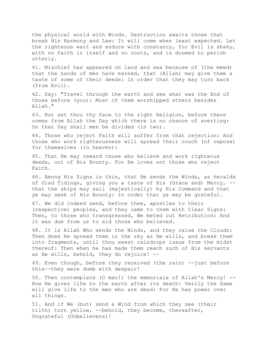the physical world with Winds. Destruction awaits those that break His Harmony and Law: It will come when least expected. Let the righteous wait and endure with constancy, for Evil is shaky, with no faith in itself and no roots, and is doomed to perish utterly.

41. Mischief has appeared on land and sea because of (the meed) that the hands of men have earned, that (Allah) may give them a taste of some of their deeds: In order that they may turn back (from Evil).

42. Say: "Travel through the earth and see what was the End of those before (you): Most of them worshipped others besides Allah."

43. But set thou thy face to the right Religion, before there comes from Allah the Day which there is no chance of averting: On that Day shall men be divided (in two).

44. Those who reject Faith will suffer from that rejection: And those who work righteousness will spread their couch (of repose) for themselves (in heaven):

45. That He may reward those who believe and work righteous deeds, out of His Bounty. For He loves not those who reject Faith.

46. Among His Signs is this, that He sends the Winds, as heralds of Glad Tidings, giving you a taste of His (Grace and) Mercy, - that the ships may sail (majestically) by His Command and that ye may seek of His Bounty: In order that ye may be grateful.

47. We did indeed send, before thee, apostles to their (respective) peoples, and they came to them with Clear Signs: Then, to those who transgressed, We meted out Retribution: And it was due from us to aid those who believed.

48. It is Allah Who sends the Winds, and they raise the Clouds: Then does He spread them in the sky as He wills, and break them into fragments, until thou seest raindrops issue from the midst thereof: Then when he has made them reach such of His servants as He wills, behold, they do rejoice! --

49. Even though, before they received (the rain) --just before this--they were dumb with despair!

50. Then contemplate (O man!) the memorials of Allah's Mercy! -- How He gives life to the earth after its death: Verily the Same will give life to the men who are dead: For He has power over all things.

51. And if We (but) send a Wind from which they see (their tilth) turn yellow, --behold, they become, thereafter, Ungrateful (Unbelievers)!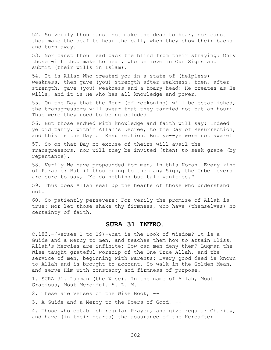52. So verily thou canst not make the dead to hear, nor canst thou make the deaf to hear the call, when they show their backs and turn away.

53. Nor canst thou lead back the blind from their straying: Only those wilt thou make to hear, who believe in Our Signs and submit (their wills in Islam).

54. It is Allah Who created you in a state of (helpless) weakness, then gave (you) strength after weakness, then, after strength, gave (you) weakness and a hoary head: He creates as He wills, and it is He Who has all knowledge and power.

55. On the Day that the Hour (of reckoning) will be established, the transgressors will swear that they tarried not but an hour: Thus were they used to being deluded!

56. But those endued with knowledge and faith will say: Indeed ye did tarry, within Allah's Decree, to the Day of Resurrection, and this is the Day of Resurrection: But ye--ye were not aware!

57. So on that Day no excuse of theirs will avail the Transgressors, nor will they be invited (then) to seek grace (by repentance).

58. Verily We have propounded for men, in this Koran. Every kind of Parable: But if thou bring to them any Sign, the Unbelievers are sure to say, "Ye do nothing but talk vanities."

59. Thus does Allah seal up the hearts of those who understand not.

60. So patiently persevere: For verily the promise of Allah is true: Nor let those shake thy firmness, who have (themselves) no certainty of faith.

#### **SURA 31 INTRO.**

C.183.-(Verses 1 to 19)-What is the Book of Wisdom? It is a Guide and a Mercy to men, and teaches them how to attain Bliss. Allah's Mercies are infinite: How can men deny them? Luqman the Wise taught grateful worship of the One True Allah, and the service of men, beginning with Parents: Every good deed is known to Allah and is brought to account. So walk in the Golden Mean, and serve Him with constancy and firmness of purpose.

1. SURA 31. Luqman (the Wise). In the name of Allah, Most Gracious, Most Merciful. A. L. M.

2. These are Verses of the Wise Book, --

3. A Guide and a Mercy to the Doers of Good, --

4. Those who establish regular Prayer, and give regular Charity, and have (in their hearts) the assurance of the Hereafter.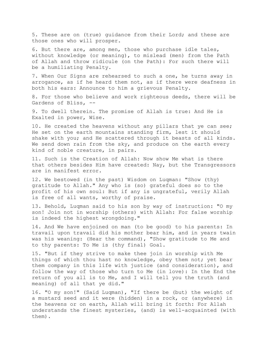5. These are on (true) guidance from their Lord; and these are those ones who will prosper.

6. But there are, among men, those who purchase idle tales, without knowledge (or meaning), to mislead (men) from the Path of Allah and throw ridicule (on the Path): For such there will be a humiliating Penalty.

7. When Our Signs are rehearsed to such a one, he turns away in arrogance, as if he heard them not, as if there were deafness in both his ears: Announce to him a grievous Penalty.

8. For those who believe and work righteous deeds, there will be Gardens of Bliss, --

9. To dwell therein. The promise of Allah is true: And He is Exalted in power, Wise.

10. He created the heavens without any pillars that ye can see; He set on the earth mountains standing firm, lest it should shake with you; and He scattered through it beasts of all kinds. We send down rain from the sky, and produce on the earth every kind of noble creature, in pairs.

11. Such is the Creation of Allah: Now show Me what is there that others besides Him have created: Nay, but the Transgressors are in manifest error.

12. We bestowed (in the past) Wisdom on Luqman: "Show (thy) gratitude to Allah." Any who is (so) grateful does so to the profit of his own soul: But if any is ungrateful, verily Allah is free of all wants, worthy of praise.

13. Behold, Luqman said to his son by way of instruction: "O my son! Join not in worship (others) with Allah: For false worship is indeed the highest wrongdoing."

14. And We have enjoined on man (to be good) to his parents: In travail upon travail did his mother bear him, and in years twain was his weaning: (Hear the command), "Show gratitude to Me and to thy parents: To Me is (thy final) Goal.

15. "But if they strive to make thee join in worship with Me things of which thou hast no knowledge, obey them not; yet bear them company in this life with justice (and consideration), and follow the way of those who turn to Me (in love): In the End the return of you all is to Me, and I will tell you the truth (and meaning) of all that ye did."

16. "O my son!" (Said Luqman), "If there be (but) the weight of a mustard seed and it were (hidden) in a rock, or (anywhere) in the heavens or on earth, Allah will bring it forth: For Allah understands the finest mysteries, (and) is well-acquainted (with them).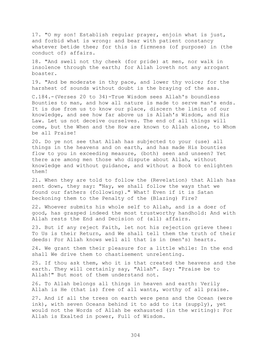17. "O my son! Establish regular prayer, enjoin what is just, and forbid what is wrong: and bear with patient constancy whatever betide thee; for this is firmness (of purpose) in (the conduct of) affairs.

18. "And swell not thy cheek (for pride) at men, nor walk in insolence through the earth; for Allah loveth not any arrogant boaster.

19. "And be moderate in thy pace, and lower thy voice; for the harshest of sounds without doubt is the braying of the ass.

C.184.-(Verses 20 to 34)-True Wisdom sees Allah's boundless Bounties to man, and how all nature is made to serve man's ends. It is due from us to know our place, discern the limits of our knowledge, and see how far above us is Allah's Wisdom, and His Law. Let us not deceive ourselves. The end of all things will come, but the When and the How are known to Allah alone, to Whom be all Praise!

20. Do ye not see that Allah has subjected to your (use) all things in the heavens and on earth, and has made His bounties flow to you in exceeding measure, (both) seen and unseen? Yet there are among men those who dispute about Allah, without knowledge and without guidance, and without a Book to enlighten them!

21. When they are told to follow the (Revelation) that Allah has sent down, they say: "Nay, we shall follow the ways that we found our fathers (following)." What! Even if it is Satan beckoning them to the Penalty of the (Blazing) Fire?

22. Whoever submits his whole self to Allah, and is a doer of good, has grasped indeed the most trustworthy handhold: And with Allah rests the End and Decision of (all) affairs.

23. But if any reject Faith, let not his rejection grieve thee: To Us is their Return, and We shall tell them the truth of their deeds: For Allah knows well all that is in (men's) hearts.

24. We grant them their pleasure for a little while: In the end shall We drive them to chastisement unrelenting.

25. If thou ask them, who it is that created the heavens and the earth. They will certainly say, "Allah". Say: "Praise be to Allah!" But most of them understand not.

26. To Allah belongs all things in heaven and earth: Verily Allah is He (that is) free of all wants, worthy of all praise.

27. And if all the trees on earth were pens and the Ocean (were ink), with seven Oceans behind it to add to its (supply), yet would not the Words of Allah be exhausted (in the writing): For Allah is Exalted in power, Full of Wisdom.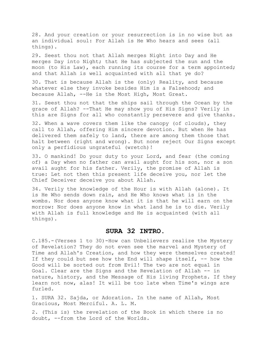28. And your creation or your resurrection is in no wise but as an individual soul: For Allah is He Who hears and sees (all things).

29. Seest thou not that Allah merges Night into Day and He merges Day into Night; that He has subjected the sun and the moon (to His Law), each running its course for a term appointed; and that Allah is well acquainted with all that ye do?

30. That is because Allah is the (only) Reality, and because whatever else they invoke besides Him is a Falsehood; and because Allah, --He is the Most High, Most Great.

31. Seest thou not that the ships sail through the Ocean by the grace of Allah? --That He may show you of His Signs? Verily in this are Signs for all who constantly persevere and give thanks.

32. When a wave covers them like the canopy (of clouds), they call to Allah, offering Him sincere devotion. But when He has delivered them safely to land, there are among them those that halt between (right and wrong). But none reject Our Signs except only a perfidious ungrateful (wretch)!

33. O mankind! Do your duty to your Lord, and fear (the coming of) a Day when no father can avail aught for his son, nor a son avail aught for his father. Verily, the promise of Allah is true: Let not then this present life deceive you, nor let the Chief Deceiver deceive you about Allah.

34. Verily the knowledge of the Hour is with Allah (alone). It is He Who sends down rain, and He Who knows what is in the wombs. Nor does anyone know what it is that he will earn on the morrow: Nor does anyone know in what land he is to die. Verily with Allah is full knowledge and He is acquainted (with all things).

#### **SURA 32 INTRO.**

C.185.-(Verses 1 to 30)-How can Unbelievers realize the Mystery of Revelation? They do not even see the marvel and Mystery of Time and Allah's Creation, and how they were themselves created! If they could but see how the End will shape itself,  $-$ - how the Good will be sorted out from Evil! The two are not equal in Goal. Clear are the Signs and the Revelation of Allah -- in nature, history, and the Message of His living Prophets. If they learn not now, alas! It will be too late when Time's wings are furled.

1. SURA 32. Sajda, or Adoration. In the name of Allah, Most Gracious, Most Merciful. A. L. M.

2. (This is) the revelation of the Book in which there is no doubt, --from the Lord of the Worlds.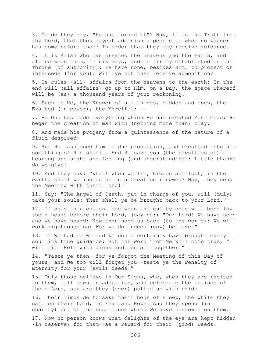3. Or do they say, "He has forged it"? Nay, it is the Truth from thy Lord, that thou mayest admonish a people to whom no warner has come before thee: In order that they may receive guidance.

4. It is Allah Who has created the heavens and the earth, and all between them, in six Days, and is firmly established on the Throne (of authority): Ye have none, besides Him, to protect or intercede (for you): Will ye not then receive admonition?

5. He rules (all) affairs from the heavens to the earth: In the end will (all affairs) go up to Him, on a Day, the space whereof will be (as) a thousand years of your reckoning.

6. Such is He, the Knower of all things, hidden and open, the Exalted (in power), the Merciful;  $-$ 

7. He Who has made everything which He has created Most Good: He began the creation of man with (nothing more than) clay,

8. And made his progeny from a quintessence of the nature of a fluid despised:

9. But He fashioned him in due proportion, and breathed into him something of His spirit. And He gave you (the faculties of) hearing and sight and feeling (and understanding): Little thanks do ye give!

10. And they say: "What! When we lie, hidden and lost, in the earth, shall we indeed be in a Creation renewed? Nay, they deny the Meeting with their Lord!"

11. Say: "The Angel of Death, put in charge of you, will (duly) take your souls: Then shall ye be brought back to your Lord."

12. If only thou couldst see when the guilty ones will bend low their heads before their Lord, (saying:) "Our Lord! We have seen and we have heard: Now then send us back (to the world): We will work righteousness: For we do indeed (now) believe."

13. If We had so willed We could certainly have brought every soul its true guidance: But the Word from Me will come true, "I will fill Hell with Jinns and men all together."

14. "Taste ye then--for ye forgot the Meeting of this Day of yours, and We too will forget you--taste ye the Penalty of Eternity for your (evil) deeds!"

15. Only those believe in Our Signs, who, when they are recited to them, fall down in adoration, and celebrate the praises of their Lord, nor are they (ever) puffed up with pride.

16. Their limbs do forsake their beds of sleep, the while they call on their Lord, in Fear and Hope: And they spend (in charity) out of the sustenance which We have bestowed on them.

17. Now no person knows what delights of the eye are kept hidden (in reserve) for them--as a reward for their (good) Deeds.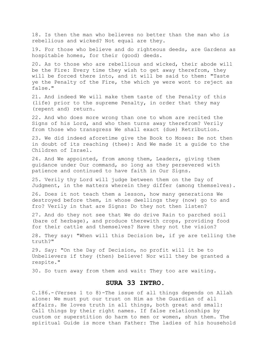18. Is then the man who believes no better than the man who is rebellious and wicked? Not equal are they.

19. For those who believe and do righteous deeds, are Gardens as hospitable homes, for their (good) deeds.

20. As to those who are rebellious and wicked, their abode will be the Fire: Every time they wish to get away therefrom, they will be forced there into, and it will be said to them: "Taste ye the Penalty of the Fire, the which ye were wont to reject as false."

21. And indeed We will make them taste of the Penalty of this (life) prior to the supreme Penalty, in order that they may (repent and) return.

22. And who does more wrong than one to whom are recited the Signs of his Lord, and who then turns away therefrom? Verily from those who transgress We shall exact (due) Retribution.

23. We did indeed aforetime give the Book to Moses: Be not then in doubt of its reaching (thee): And We made it a guide to the Children of Israel.

24. And We appointed, from among them, Leaders, giving them guidance under Our command, so long as they persevered with patience and continued to have faith in Our Signs.

25. Verily thy Lord will judge between them on the Day of Judgment, in the matters wherein they differ (among themselves).

26. Does it not teach them a lesson, how many generations We destroyed before them, in whose dwellings they (now) go to and fro? Verily in that are Signs: Do they not then listen?

27. And do they not see that We do drive Rain to parched soil (bare of herbage), and produce therewith crops, providing food for their cattle and themselves? Have they not the vision?

28. They say: "When will this Decision be, if ye are telling the truth?"

29. Say: "On the Day of Decision, no profit will it be to Unbelievers if they (then) believe! Nor will they be granted a respite."

30. So turn away from them and wait: They too are waiting.

# **SURA 33 INTRO.**

C.186.-(Verses 1 to 8)-The issue of all things depends on Allah alone: We must put our trust on Him as the Guardian of all affairs. He loves truth in all things, both great and small: Call things by their right names. If false relationships by custom or superstition do harm to men or women, shun them. The spiritual Guide is more than Father: The ladies of his household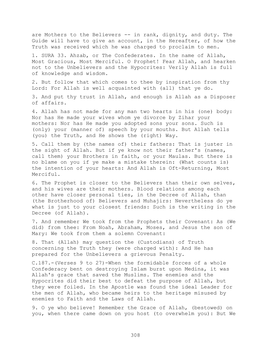are Mothers to the Believers -- in rank, dignity, and duty. The Guide will have to give an account, in the Hereafter, of how the Truth was received which he was charged to proclaim to men.

1. SURA 33. Ahzab, or The Confederates. In the name of Allah, Most Gracious, Most Merciful. O Prophet! Fear Allah, and hearken not to the Unbelievers and the Hypocrites: Verily Allah is full of knowledge and wisdom.

2. But follow that which comes to thee by inspiration from thy Lord: For Allah is well acquainted with (all) that ye do.

3. And put thy trust in Allah, and enough is Allah as a Disposer of affairs.

4. Allah has not made for any man two hearts in his (one) body: Nor has He made your wives whom ye divorce by Zihar your mothers: Nor has He made you adopted sons your sons. Such is (only) your (manner of) speech by your mouths. But Allah tells (you) the Truth, and He shows the (right) Way.

5. Call them by (the names of) their fathers: That is juster in the sight of Allah. But if ye know not their father's (names, call them) your Brothers in faith, or your Maulas. But there is no blame on you if ye make a mistake therein: (What counts is) the intention of your hearts: And Allah is Oft-Returning, Most Merciful.

6. The Prophet is closer to the Believers than their own selves, and his wives are their mothers. Blood relations among each other have closer personal ties, in the Decree of Allah, than (the Brotherhood of) Believers and Muhajirs: Nevertheless do ye what is just to your closest friends: Such is the writing in the Decree (of Allah).

7. And remember We took from the Prophets their Covenant: As (We did) from thee: From Noah, Abraham, Moses, and Jesus the son of Mary: We took from them a solemn Covenant:

8. That (Allah) may question the (Custodians) of Truth concerning the Truth they (were charged with): And He has prepared for the Unbelievers a grievous Penalty.

C.187.-(Verses 9 to 27)-When the formidable forces of a whole Confederacy bent on destroying Islam burst upon Medina, it was Allah's grace that saved the Muslims. The enemies and the Hypocrites did their best to defeat the purpose of Allah, but they were foiled. In the Apostle was found the ideal Leader for the men of Allah, who became heirs to the heritage misused by enemies to Faith and the Laws of Allah.

9. O ye who believe! Remember the Grace of Allah, (bestowed) on you, when there came down on you host (to overwhelm you): But We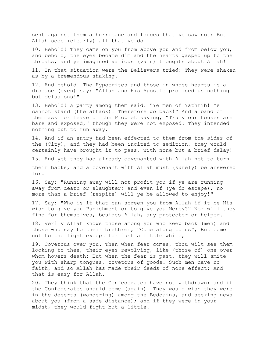sent against them a hurricane and forces that ye saw not: But Allah sees (clearly) all that ye do.

10. Behold! They came on you from above you and from below you, and behold, the eyes became dim and the hearts gasped up to the throats, and ye imagined various (vain) thoughts about Allah!

11. In that situation were the Believers tried: They were shaken as by a tremendous shaking.

12. And behold! The Hypocrites and those in whose hearts is a disease (even) say: "Allah and His Apostle promised us nothing but delusions!"

13. Behold! A party among them said: "Ye men of Yathrib! Ye cannot stand (the attack)! Therefore go back!" And a band of them ask for leave of the Prophet saying, "Truly our houses are bare and exposed," though they were not exposed: They intended nothing but to run away.

14. And if an entry had been effected to them from the sides of the (City), and they had been incited to sedition, they would certainly have brought it to pass, with none but a brief delay!

15. And yet they had already covenanted with Allah not to turn their backs, and a covenant with Allah must (surely) be answered for.

16. Say: "Running away will not profit you if ye are running away from death or slaughter; and even if (ye do escape), no more than a brief (respite) will ye be allowed to enjoy!"

17. Say: "Who is it that can screen you from Allah if it be His wish to give you Punishment or to give you Mercy?" Nor will they find for themselves, besides Allah, any protector or helper.

18. Verily Allah knows those among you who keep back (men) and those who say to their brethren, "Come along to us", But come not to the fight except for just a little while,

19. Covetous over you. Then when fear comes, thou wilt see them looking to thee, their eyes revolving, like (those of) one over whom hovers death: But when the fear is past, they will smite you with sharp tongues, covetous of goods. Such men have no faith, and so Allah has made their deeds of none effect: And that is easy for Allah.

20. They think that the Confederates have not withdrawn; and if the Confederates should come (again). They would wish they were in the deserts (wandering) among the Bedouins, and seeking news about you (from a safe distance); and if they were in your midst, they would fight but a little.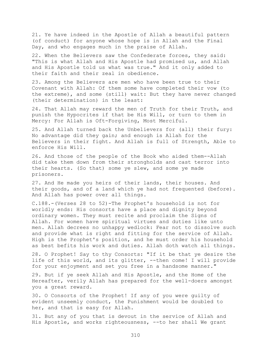21. Ye have indeed in the Apostle of Allah a beautiful pattern (of conduct) for anyone whose hope is in Allah and the Final Day, and who engages much in the praise of Allah.

22. When the Believers saw the Confederate forces, they said: "This is what Allah and His Apostle had promised us, and Allah and His Apostle told us what was true." And it only added to their faith and their zeal in obedience.

23. Among the Believers are men who have been true to their Covenant with Allah: Of them some have completed their vow (to the extreme), and some (still) wait: But they have never changed (their determination) in the least:

24. That Allah may reward the men of Truth for their Truth, and punish the Hypocrites if that be His Will, or turn to them in Mercy: For Allah is Oft-Forgiving, Most Merciful.

25. And Allah turned back the Unbelievers for (all) their fury: No advantage did they gain; and enough is Allah for the Believers in their fight. And Allah is full of Strength, Able to enforce His Will.

26. And those of the people of the Book who aided them--Allah did take them down from their strongholds and cast terror into their hearts. (So that) some ye slew, and some ye made prisoners.

27. And He made you heirs of their lands, their houses. And their goods, and of a land which ye had not frequented (before). And Allah has power over all things.

C.188.-(Verses 28 to 52)-The Prophet's household is not for worldly ends: His consorts have a place and dignity beyond ordinary women. They must recite and proclaim the Signs of Allah. For women have spiritual virtues and duties like unto men. Allah decrees no unhappy wedlock: Fear not to dissolve such and provide what is right and fitting for the service of Allah. High is the Prophet's position, and he must order his household as best befits his work and duties. Allah doth watch all things.

28. O Prophet! Say to thy Consorts: "If it be that ye desire the life of this world, and its glitter, --then come! I will provide for your enjoyment and set you free in a handsome manner."

29. But if ye seek Allah and His Apostle, and the Home of the Hereafter, verily Allah has prepared for the well-doers amongst you a great reward.

30. O Consorts of the Prophet! If any of you were guilty of evident unseemly conduct, the Punishment would be doubled to her, and that is easy for Allah.

31. But any of you that is devout in the service of Allah and His Apostle, and works righteousness, --to her shall We grant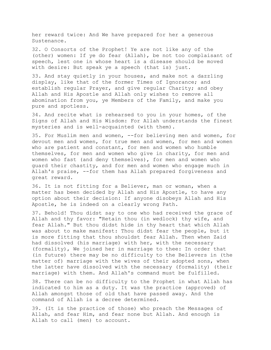her reward twice: And We have prepared for her a generous Sustenance.

32. O Consorts of the Prophet! Ye are not like any of the (other) women: If ye do fear (Allah), be not too complaisant of speech, lest one in whose heart is a disease should be moved with desire: But speak ye a speech (that is) just.

33. And stay quietly in your houses, and make not a dazzling display, like that of the former Times of Ignorance; and establish regular Prayer, and give regular Charity; and obey Allah and His Apostle and Allah only wishes to remove all abomination from you, ye Members of the Family, and make you pure and spotless.

34. And recite what is rehearsed to you in your homes, of the Signs of Allah and His Wisdom: For Allah understands the finest mysteries and is well-acquainted (with them).

35. For Muslim men and women, --for believing men and women, for devout men and women, for true men and women, for men and women who are patient and constant, for men and women who humble themselves, for men and women who give in charity, for men and women who fast (and deny themselves), for men and women who guard their chastity, and for men and women who engage much in Allah's praise, --for them has Allah prepared forgiveness and great reward.

36. It is not fitting for a Believer, man or woman, when a matter has been decided by Allah and His Apostle, to have any option about their decision: If anyone disobeys Allah and His Apostle, he is indeed on a clearly wrong Path.

37. Behold! Thou didst say to one who had received the grace of Allah and thy favor: "Retain thou (in wedlock) thy wife, and fear Allah." But thou didst hide in thy heart that which Allah was about to make manifest: Thou didst fear the people, but it is more fitting that thou shouldst fear Allah. Then when Zaid had dissolved (his marriage) with her, with the necessary (formality), We joined her in marriage to thee: In order that (in future) there may be no difficulty to the Believers in (the matter of) marriage with the wives of their adopted sons, when the latter have dissolved with the necessary (formality) (their marriage) with them. And Allah's command must be fulfilled.

38. There can be no difficulty to the Prophet in what Allah has indicated to him as a duty. It was the practice (approved) of Allah amongst those of old that have passed away. And the command of Allah is a decree determined.

39. (It is the practice of those) who preach the Messages of Allah, and fear Him, and fear none but Allah. And enough is Allah to call (men) to account.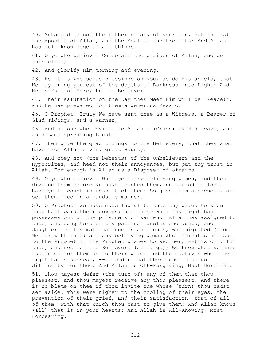40. Muhammad is not the father of any of your men, but (he is) the Apostle of Allah, and the Seal of the Prophets: And Allah has full knowledge of all things. 41. O ye who believe! Celebrate the praises of Allah, and do this often; 42. And glorify Him morning and evening. 43. He it is Who sends blessings on you, as do His angels, that He may bring you out of the depths of Darkness into Light: And He is Full of Mercy to the Believers. 44. Their salutation on the Day they Meet Him will be "Peace!"; and He has prepared for them a generous Reward. 45. O Prophet! Truly We have sent thee as a Witness, a Bearer of Glad Tidings, and a Warner, -- 46. And as one who invites to Allah's (Grace) by His leave, and as a Lamp spreading Light. 47. Then give the glad tidings to the Believers, that they shall have from Allah a very great Bounty. 48. And obey not (the behests) of the Unbelievers and the Hypocrites, and heed not their annoyances, but put thy trust in Allah. For enough is Allah as a Disposer of affairs. 49. O ye who believe! When ye marry believing women, and then divorce them before ye have touched them, no period of Iddat have ye to count in respect of them: So give them a present, and set them free in a handsome manner. 50. O Prophet! We have made lawful to thee thy wives to whom thou hast paid their dowers; and those whom thy right hand possesses out of the prisoners of war whom Allah has assigned to thee; and daughters of thy paternal uncles and aunts, and daughters of thy maternal uncles and aunts, who migrated (from Mecca) with thee; and any believing woman who dedicates her soul to the Prophet if the Prophet wishes to wed her; --this only for thee, and not for the Believers (at large); We know what We have appointed for them as to their wives and the captives whom their right hands possess; --in order that there should be no difficulty for thee. And Allah is Oft-Forgiving, Most Merciful. 51. Thou mayest defer (the turn of) any of them that thou pleasest, and thou mayest receive any thou pleasest: And there is no blame on thee if thou invite one whose (turn) thou hadst set aside. This were nigher to the cooling of their eyes, the prevention of their grief, and their satisfaction--that of all of them--with that which thou hast to give them: And Allah knows (all) that is in your hearts: And Allah is All-Knowing, Most

Forbearing.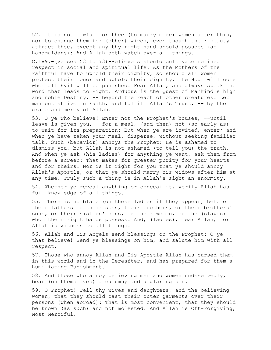52. It is not lawful for thee (to marry more) women after this, nor to change them for (other) wives, even though their beauty attract thee, except any thy right hand should possess (as handmaidens): And Allah doth watch over all things.

C.189.-(Verses 53 to 73)-Believers should cultivate refined respect in social and spiritual life. As the Mothers of the Faithful have to uphold their dignity, so should all women protect their honor and uphold their dignity. The Hour will come when all Evil will be punished. Fear Allah, and always speak the word that leads to Right. Arduous is the Quest of Mankind's high and noble Destiny, -- beyond the reach of other creatures: Let man but strive in Faith, and fulfill Allah's Trust, -- by the grace and mercy of Allah.

53. O ye who believe! Enter not the Prophet's houses, --until leave is given you, --for a meal, (and then) not (so early as) to wait for its preparation: But when ye are invited, enter; and when ye have taken your meal, disperse, without seeking familiar talk. Such (behavior) annoys the Prophet: He is ashamed to dismiss you, but Allah is not ashamed (to tell you) the truth. And when ye ask (his ladies) for anything ye want, ask them from before a screen: That makes for greater purity for your hearts and for theirs. Nor is it right for you that ye should annoy Allah's Apostle, or that ye should marry his widows after him at any time. Truly such a thing is in Allah's sight an enormity.

54. Whether ye reveal anything or conceal it, verily Allah has full knowledge of all things.

55. There is no blame (on these ladies if they appear) before their fathers or their sons, their brothers, or their brothers' sons, or their sisters' sons, or their women, or the (slaves) whom their right hands possess. And, (ladies), fear Allah; for Allah is Witness to all things.

56. Allah and His Angels send blessings on the Prophet: O ye that believe! Send ye blessings on him, and salute him with all respect.

57. Those who annoy Allah and His Apostle-Allah has cursed them in this world and in the Hereafter, and has prepared for them a humiliating Punishment.

58. And those who annoy believing men and women undeservedly, bear (on themselves) a calumny and a glaring sin.

59. O Prophet! Tell thy wives and daughters, and the believing women, that they should cast their outer garments over their persons (when abroad): That is most convenient, that they should be known (as such) and not molested. And Allah is Oft-Forgiving, Most Merciful.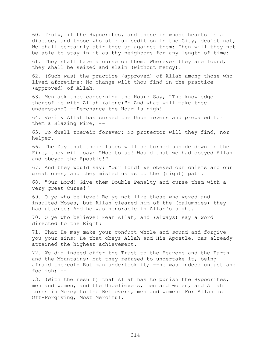60. Truly, if the Hypocrites, and those in whose hearts is a disease, and those who stir up sedition in the City, desist not, We shall certainly stir thee up against them: Then will they not be able to stay in it as thy neighbors for any length of time:

61. They shall have a curse on them: Wherever they are found, they shall be seized and slain (without mercy).

62. (Such was) the practice (approved) of Allah among those who lived aforetime: No change wilt thou find in the practice (approved) of Allah.

63. Men ask thee concerning the Hour: Say, "The knowledge thereof is with Allah (alone)": And what will make thee understand? --Perchance the Hour is nigh!

64. Verily Allah has cursed the Unbelievers and prepared for them a Blazing Fire, --

65. To dwell therein forever: No protector will they find, nor helper.

66. The Day that their faces will be turned upside down in the Fire, they will say: "Woe to us! Would that we had obeyed Allah and obeyed the Apostle!"

67. And they would say: "Our Lord! We obeyed our chiefs and our great ones, and they misled us as to the (right) path.

68. "Our Lord! Give them Double Penalty and curse them with a very great Curse!"

69. O ye who believe! Be ye not like those who vexed and insulted Moses, but Allah cleared him of the (calumnies) they had uttered: And he was honorable in Allah's sight.

70. O ye who believe! Fear Allah, and (always) say a word directed to the Right:

71. That He may make your conduct whole and sound and forgive you your sins: He that obeys Allah and His Apostle, has already attained the highest achievement.

72. We did indeed offer the Trust to the Heavens and the Earth and the Mountains; but they refused to undertake it, being afraid thereof: But man undertook it; --he was indeed unjust and foolish; --

73. (With the result) that Allah has to punish the Hypocrites, men and women, and the Unbelievers, men and women, and Allah turns in Mercy to the Believers, men and women: For Allah is Oft-Forgiving, Most Merciful.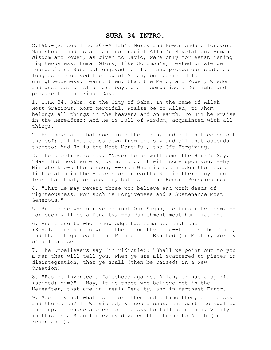#### **SURA 34 INTRO.**

C.190.-(Verses 1 to 30)-Allah's Mercy and Power endure forever: Man should understand and not resist Allah's Revelation. Human Wisdom and Power, as given to David, were only for establishing righteousness. Human Glory, like Solomon's, rested on slender foundations, Saba but enjoyed her fair and prosperous state as long as she obeyed the Law of Allah, but perished for unrighteousness. Learn, then, that the Mercy and Power, Wisdom and Justice, of Allah are beyond all comparison. Do right and prepare for the Final Day.

1. SURA 34. Saba, or the City of Saba. In the name of Allah, Most Gracious, Most Merciful. Praise be to Allah, to Whom belongs all things in the heavens and on earth: To Him be Praise in the Hereafter: And He is Full of Wisdom, acquainted with all things.

2. He knows all that goes into the earth, and all that comes out thereof; all that comes down from the sky and all that ascends thereto: And He is the Most Merciful, the Oft-Forgiving.

3. The Unbelievers say, "Never to us will come the Hour": Say, "Nay! But most surely, by my Lord, it will come upon you; --by Him Who knows the unseen, --From Whom is not hidden the least little atom in the Heavens or on earth: Nor is there anything less than that, or greater, but is in the Record Perspicuous:

4. "That He may reward those who believe and work deeds of righteousness: For such is Forgiveness and a Sustenance Most Generous."

5. But those who strive against Our Signs, to frustrate them, - for such will be a Penalty, --a Punishment most humiliating.

6. And those to whom knowledge has come see that the (Revelation) sent down to thee from thy Lord--that is the Truth, and that it guides to the Path of the Exalted (in Might), Worthy of all praise.

7. The Unbelievers say (in ridicule): "Shall we point out to you a man that will tell you, when ye are all scattered to pieces in disintegration, that ye shall (then be raised) in a New Creation?

8. "Has he invented a falsehood against Allah, or has a spirit (seized) him?" --Nay, it is those who believe not in the Hereafter, that are in (real) Penalty, and in farthest Error.

9. See they not what is before them and behind them, of the sky and the earth? If We wished, We could cause the earth to swallow them up, or cause a piece of the sky to fall upon them. Verily in this is a Sign for every devotee that turns to Allah (in repentance).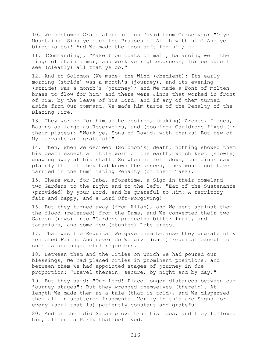10. We bestowed Grace aforetime on David from Ourselves: "O ye Mountains! Sing ye back the Praises of Allah with him! And ye birds (also)! And We made the iron soft for him; --

11. (Commanding), "Make thou coats of mail, balancing well the rings of chain armor, and work ye righteousness; for be sure I see (clearly) all that ye do."

12. And to Solomon (We made) the Wind (obedient): Its early morning (stride) was a month's (journey), and its evening (stride) was a month's (journey); and We made a Font of molten brass to flow for him; and there were Jinns that worked in front of him, by the leave of his Lord, and if any of them turned aside from Our command, We made him taste of the Penalty of the Blazing Fire.

13. They worked for him as he desired, (making) Arches, Images, Basins as large as Reservoirs, and (cooking) Cauldrons fixed (in their places): "Work ye, Sons of David, with thanks! But few of My servants are grateful!"

14. Then, when We decreed (Solomon's) death, nothing showed them his death except a little worm of the earth, which kept (slowly) gnawing away at his staff: So when he fell down, the Jinns saw plainly that if they had known the unseen, they would not have tarried in the humiliating Penalty (of their Task).

15. There was, for Saba, aforetime, a Sign in their homeland- two Gardens to the right and to the left. "Eat of the Sustenance (provided) by your Lord, and be grateful to Him: A territory fair and happy, and a Lord Oft-Forgiving!

16. But they turned away (from Allah), and We sent against them the flood (released) from the Dams, and We converted their two Garden (rows) into "Gardens producing bitter fruit, and tamarisks, and some few (stunted) Lote trees.

17. That was the Requital We gave them because they ungratefully rejected Faith: And never do We give (such) requital except to such as are ungrateful rejecters.

18. Between them and the Cities on which We had poured our blessings, We had placed cities in prominent positions, and between them We had appointed stages of journey in due proportion: "Travel therein, secure, by night and by day."

19. But they said: "Our Lord! Place longer distances between our journey stages": But they wronged themselves (therein). At length We made them as a tale (that is told), and We dispersed them all in scattered fragments. Verily in this are Signs for every (soul that is) patiently constant and grateful.

20. And on them did Satan prove true his idea, and they followed him, all but a Party that believed.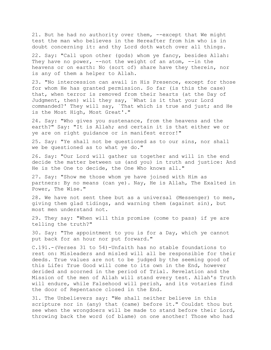21. But he had no authority over them, --except that We might test the man who believes in the Hereafter from him who is in doubt concerning it: and thy Lord doth watch over all things.

22. Say: "Call upon other (gods) whom ye fancy, besides Allah: They have no power,  $-$ -not the weight of an atom,  $-$ -in the heavens or on earth: No (sort of) share have they therein, nor is any of them a helper to Allah.

23. "No intercession can avail in His Presence, except for those for whom He has granted permission. So far (is this the case) that, when terror is removed from their hearts (at the Day of Judgment, then) will they say, `What is it that your Lord commanded?' They will say, `That which is true and just; and He is the Most High, Most Great'."

24. Say: "Who gives you sustenance, from the heavens and the earth?" Say: "It is Allah; and certain it is that either we or ye are on right guidance or in manifest error!"

25. Say: "Ye shall not be questioned as to our sins, nor shall we be questioned as to what ye do."

26. Say: "Our Lord will gather us together and will in the end decide the matter between us (and you) in truth and justice: And He is the One to decide, the One Who knows all."

27. Say: "Show me those whom ye have joined with Him as partners: By no means (can ye). Nay, He is Allah, The Exalted in Power, The Wise."

28. We have not sent thee but as a universal (Messenger) to men, giving them glad tidings, and warning them (against sin), but most men understand not.

29. They say: "When will this promise (come to pass) if ye are telling the truth?"

30. Say: "The appointment to you is for a Day, which ye cannot put back for an hour nor put forward."

C.191.-(Verses 31 to 54)-Unfaith has no stable foundations to rest on: Misleaders and misled will all be responsible for their deeds. True values are not to be judged by the seeming good of this Life: True Good will come to its own in the End, however derided and scorned in the period of Trial. Revelation and the Mission of the men of Allah will stand every test. Allah's Truth will endure, while Falsehood will perish, and its votaries find the door of Repentance closed in the End.

31. The Unbelievers say: "We shall neither believe in this scripture nor in (any) that (came) before it." Couldst thou but see when the wrongdoers will be made to stand before their Lord, throwing back the word (of blame) on one another! Those who had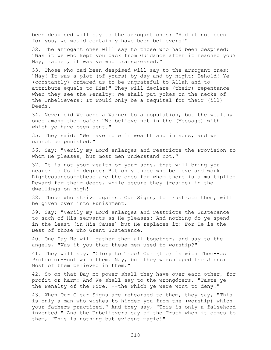been despised will say to the arrogant ones: "Had it not been for you, we would certainly have been believers!"

32. The arrogant ones will say to those who had been despised: "Was it we who kept you back from Guidance after it reached you? Nay, rather, it was ye who transgressed."

33. Those who had been despised will say to the arrogant ones: "Nay! It was a plot (of yours) by day and by night: Behold! Ye (constantly) ordered us to be ungrateful to Allah and to attribute equals to Him!" They will declare (their) repentance when they see the Penalty: We shall put yokes on the necks of the Unbelievers: It would only be a requital for their (ill) Deeds.

34. Never did We send a Warner to a population, but the wealthy ones among them said: "We believe not in the (Message) with which ye have been sent."

35. They said: "We have more in wealth and in sons, and we cannot be punished."

36. Say: "Verily my Lord enlarges and restricts the Provision to whom He pleases, but most men understand not."

37. It is not your wealth or your sons, that will bring you nearer to Us in degree: But only those who believe and work Righteousness--these are the ones for whom there is a multiplied Reward for their deeds, while secure they (reside) in the dwellings on high!

38. Those who strive against Our Signs, to frustrate them, will be given over into Punishment.

39. Say: "Verily my Lord enlarges and restricts the Sustenance to such of His servants as He pleases: And nothing do ye spend in the least (in His Cause) but He replaces it: For He is the Best of those who Grant Sustenance.

40. One Day He will gather them all together, and say to the angels, "Was it you that these men used to worship?"

41. They will say, "Glory to Thee! Our (tie) is with Thee--as Protector--not with them. Nay, but they worshipped the Jinns: Most of them believed in them."

42. So on that Day no power shall they have over each other, for profit or harm: And We shall say to the wrongdoers, "Taste ye the Penalty of the Fire, --the which ye were wont to deny!"

43. When Our Clear Signs are rehearsed to them, they say, "This is only a man who wishes to hinder you from the (worship) which your fathers practiced." And they say, "This is only a falsehood invented!" And the Unbelievers say of the Truth when it comes to them, "This is nothing but evident magic!"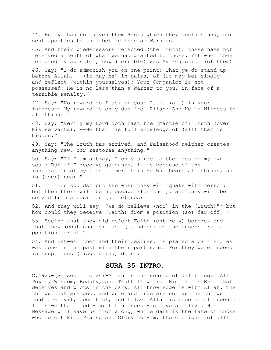44. But We had not given them Books which they could study, nor sent apostles to them before thee as Warners.

45. And their predecessors rejected (the Truth); these have not received a tenth of what We had granted to those: Yet when they rejected my apostles, how (terrible) was My rejection (of them)!

46. Say: "I do admonish you on one point: That ye do stand up before Allah,  $-(-$ (it may be) in pairs, of (it may be) singly,  $-$ and reflect (within yourselves): Your Companion is not possessed: He is no less than a Warner to you, in face of a terrible Penalty."

47. Say: "No reward do I ask of you: It is (all) in your interest: My reward is only due from Allah: And He is Witness to all things."

48. Say: "Verily my Lord doth cast the (mantle of) Truth (over His servants), --He that has full knowledge of (all) that is hidden."

49. Say: "The Truth has arrived, and Falsehood neither creates anything new, nor restores anything."

50. Say: "If I am astray, I only stray to the loss of my own soul: But if I receive guidance, it is because of the inspiration of my Lord to me: It is He Who hears all things, and is (ever) near."

51. If thou couldst but see when they will quake with terror; but then there will be no escape (for them), and they will be seized from a position (quite) near.

52. And they will say, "We do believe (now) in the (Truth)"; but how could they receive (Faith) from a position (so) far off, -

53. Seeing that they did reject Faith (entirely) before, and that they (continually) cast (slanders) on the Unseen from a position far off?

54. And between them and their desires, is placed a barrier, as was done in the past with their partisans: For they were indeed in suspicious (disquieting) doubt.

# **SURA 35 INTRO.**

C.192.-(Verses 1 to 26)-Allah is the source of all things: All Power, Wisdom, Beauty, and Truth flow from Him. It is Evil that deceives and plots in the dark. All knowledge is with Allah. The things that are good and pure and true are not as the things that are evil, deceitful, and false. Allah is free of all needs: It is we that need Him: Let us seek His love and live. His Message will save us from wrong, while dark is the fate of those who reject Him. Praise and Glory to Him, the Cherisher of all!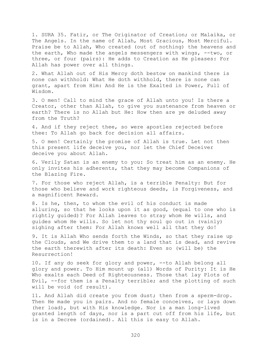1. SURA 35. Fatir, or The Originator of Creation; or Malaika, or The Angels. In the name of Allah, Most Gracious, Most Merciful. Praise be to Allah, Who created (out of nothing) the heavens and the earth, Who made the angels messengers with wings, --two, or three, or four (pairs): He adds to Creation as He pleases: For Allah has power over all things.

2. What Allah out of His Mercy doth bestow on mankind there is none can withhold: What He doth withhold, there is none can grant, apart from Him: And He is the Exalted in Power, Full of Wisdom.

3. O men! Call to mind the grace of Allah unto you! Is there a Creator, other than Allah, to give you sustenance from heaven or earth? There is no Allah but He: How then are ye deluded away from the Truth?

4. And if they reject thee, so were apostles rejected before thee: To Allah go back for decision all affairs.

5. O men! Certainly the promise of Allah is true. Let not then this present life deceive you, nor let the Chief Deceiver deceive you about Allah.

6. Verily Satan is an enemy to you: So treat him as an enemy. He only invites his adherents, that they may become Companions of the Blazing Fire.

7. For those who reject Allah, is a terrible Penalty: But for those who believe and work righteous deeds, is Forgiveness, and a magnificent Reward.

8. Is he, then, to whom the evil of his conduct is made alluring, so that he looks upon it as good, (equal to one who is rightly guided)? For Allah leaves to stray whom He wills, and guides whom He wills. So let not thy soul go out in (vainly) sighing after them: For Allah knows well all that they do!

9. It is Allah Who sends forth the Winds, so that they raise up the Clouds, and We drive them to a land that is dead, and revive the earth therewith after its death: Even so (will be) the Resurrection!

10. If any do seek for glory and power, --to Allah belong all glory and power. To Him mount up (all) Words of Purity: It is He Who exalts each Deed of Righteousness. Those that lay Plots of Evil, --for them is a Penalty terrible; and the plotting of such will be void (of result).

11. And Allah did create you from dust; then from a sperm-drop. Then He made you in pairs. And no female conceives, or lays down (her load), but with His knowledge. Nor is a man long-lived granted length of days, nor is a part cut off from his life, but is in a Decree (ordained). All this is easy to Allah.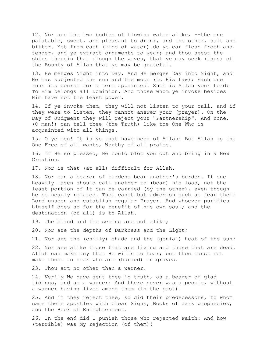12. Nor are the two bodies of flowing water alike, --the one palatable, sweet, and pleasant to drink, and the other, salt and bitter. Yet from each (kind of water) do ye ear flesh fresh and tender, and ye extract ornaments to wear; and thou seest the ships therein that plough the waves, that ye may seek (thus) of the Bounty of Allah that ye may be grateful.

13. He merges Night into Day. And He merges Day into Night, and He has subjected the sun and the moon (to His Law): Each one runs its course for a term appointed. Such is Allah your Lord: To Him belongs all Dominion. And those whom ye invoke besides Him have not the least power.

14. If ye invoke them, they will not listen to your call, and if they were to listen, they cannot answer your (prayer). On the Day of Judgment they will reject your "Partnership". And none, (O man!) can tell thee (the Truth) like the One Who is acquainted with all things.

15. O ye men! It is ye that have need of Allah: But Allah is the One Free of all wants, Worthy of all praise.

16. If He so pleased, He could blot you out and bring in a New Creation.

17. Nor is that (at all) difficult for Allah.

18. Nor can a bearer of burdens bear another's burden. If one heavily laden should call another to (bear) his load, not the least portion of it can be carried (by the other), even though he be nearly related. Thou canst but admonish such as fear their Lord unseen and establish regular Prayer. And whoever purifies himself does so for the benefit of his own soul; and the destination (of all) is to Allah.

19. The blind and the seeing are not alike;

20. Nor are the depths of Darkness and the Light;

21. Nor are the (chilly) shade and the (genial) heat of the sun:

22. Nor are alike those that are living and those that are dead. Allah can make any that He wills to hear; but thou canst not make those to hear who are (buried) in graves.

23. Thou art no other than a warner.

24. Verily We have sent thee in truth, as a bearer of glad tidings, and as a warner: And there never was a people, without a warner having lived among them (in the past).

25. And if they reject thee, so did their predecessors, to whom came their apostles with Clear Signs, Books of dark prophecies, and the Book of Enlightenment.

26. In the end did I punish those who rejected Faith: And how (terrible) was My rejection (of them)!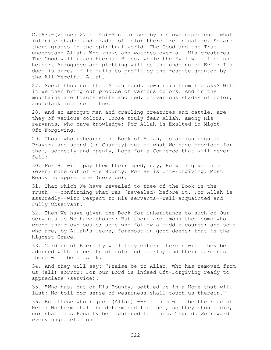C.193.-(Verses 27 to 45)-Man can see by his own experience what infinite shades and grades of color there are in nature. So are there grades in the spiritual world. The Good and the True understand Allah, Who knows and watches over all His creatures. The Good will reach Eternal Bliss, while the Evil will find no helper. Arrogance and plotting will be the undoing of Evil: Its doom is sure, if it fails to profit by the respite granted by the All-Merciful Allah.

27. Seest thou not that Allah sends down rain from the sky? With it We then bring out produce of various colors. And in the mountains are tracts white and red, of various shades of color, and black intense in hue.

28. And so amongst men and crawling creatures and cattle, are they of various colors. Those truly fear Allah, among His servants, who have knowledge: For Allah is Exalted in Might, Oft-Forgiving.

29. Those who rehearse the Book of Allah, establish regular Prayer, and spend (in Charity) out of what We have provided for them, secretly and openly, hope for a Commerce that will never fail:

30. For He will pay them their meed, nay, He will give them (even) more out of His Bounty: For He is Oft-Forgiving, Most Ready to appreciate (service).

31. That which We have revealed to thee of the Book is the Truth, --confirming what was (revealed) before it. For Allah is assuredly--with respect to His servants--well acquainted and Fully Observant.

32. Then We have given the Book for inheritance to such of Our servants as We have chosen: But there are among them some who wrong their own souls; some who follow a middle course; and some who are, by Allah's leave, foremost in good deeds; that is the highest Grace.

33. Gardens of Eternity will they enter: Therein will they be adorned with bracelets of gold and pearls; and their garments there will be of silk.

34. And they will say: "Praise be to Allah, Who has removed from us (all) sorrow: For our Lord is indeed Oft-Forgiving ready to appreciate (service):

35. "Who has, out of His Bounty, settled us in a Home that will last: No toil nor sense of weariness shall touch us therein."

36. But those who reject (Allah) --For them will be the Fire of Hell: No term shall be determined for them, so they should die, nor shall its Penalty be lightened for them. Thus do We reward every ungrateful one!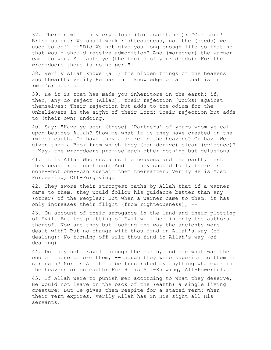37. Therein will they cry aloud (for assistance): "Our Lord! Bring us out: We shall work righteousness, not the (deeds) we used to do!" --"Did We not give you long enough life so that he that would should receive admonition? And (moreover) the warner came to you. So taste ye (the fruits of your deeds): For the wrongdoers there is no helper."

38. Verily Allah knows (all) the hidden things of the heavens and thearth: Verily He has full knowledge of all that is in (men's) hearts.

39. He it is that has made you inheritors in the earth: if, then, any do reject (Allah), their rejection (works) against themselves: Their rejection but adds to the odium for the Unbelievers in the sight of their Lord: Their rejection but adds to (their own) undoing.

40. Say: "Have ye seen (these) `Partners' of yours whom ye call upon besides Allah? Show me what it is they have created in the (wide) earth. Or have they a share in the heavens? Or have We given them a Book from which they (can derive) clear (evidence)? --Nay, the wrongdoers promise each other nothing but delusions.

41. It is Allah Who sustains the heavens and the earth, lest they cease (to function): And if they should fail, there is none--not one--can sustain them thereafter: Verily He is Most Forbearing, Oft-Forgiving.

42. They swore their strongest oaths by Allah that if a warner came to them, they would follow his guidance better than any (other) of the Peoples: But when a warner came to them, it has only increases their flight (from righteousness), --

43. On account of their arrogance in the land and their plotting of Evil. But the plotting of Evil will hem in only the authors thereof. Now are they but looking the way the ancients were dealt with? But no change wilt thou find in Allah's way (of dealing): No turning off wilt thou find in Allah's way (of dealing).

44. Do they not travel through the earth, and see what was the end of those before them, --though they were superior to them in strength? Nor is Allah to be frustrated by anything whatever in the heavens or on earth: For He is All-Knowing, All-Powerful.

45. If Allah were to punish men according to what they deserve, He would not leave on the back of the (earth) a single living creature: But He gives them respite for a stated Term: When their Term expires, verily Allah has in His sight all His servants.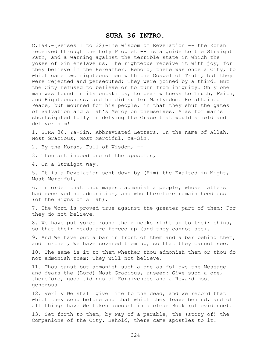## **SURA 36 INTRO.**

C.194.-(Verses 1 to 32)-The wisdom of Revelation -- the Koran received through the holy Prophet -- is a guide to the Straight Path, and a warning against the terrible state in which the yokes of Sin enslave us. The righteous receive it with joy, for they believe in the Hereafter. Behold, there was once a City, to which came two righteous men with the Gospel of Truth, but they were rejected and persecuted: They were joined by a third. But the City refused to believe or to turn from iniquity. Only one man was found in its outskirts, to bear witness to Truth, Faith, and Righteousness, and he did suffer Martyrdom. He attained Peace, but mourned for his people, in that they shut the gates of Salvation and Allah's Mercy on themselves. Alas for man's shortsighted folly in defying the Grace that would shield and deliver him!

1. SURA 36. Ya-Sin, Abbreviated Letters. In the name of Allah, Most Gracious, Most Merciful. Ya-Sin.

2. By the Koran, Full of Wisdom, --

3. Thou art indeed one of the apostles,

4. On a Straight Way.

5. It is a Revelation sent down by (Him) the Exalted in Might, Most Merciful,

6. In order that thou mayest admonish a people, whose fathers had received no admonition, and who therefore remain heedless (of the Signs of Allah).

7. The Word is proved true against the greater part of them: For they do not believe.

8. We have put yokes round their necks right up to their chins, so that their heads are forced up (and they cannot see).

9. And We have put a bar in front of them and a bar behind them, and further, We have covered them up; so that they cannot see.

10. The same is it to them whether thou admonish them or thou do not admonish them: They will not believe.

11. Thou canst but admonish such a one as follows the Message and fears the (Lord) Most Gracious, unseen: Give such a one, therefore, good tidings of Forgiveness and a Reward most generous.

12. Verily We shall give life to the dead, and We record that which they send before and that which they leave behind, and of all things have We taken account in a clear Book (of evidence).

13. Set forth to them, by way of a parable, the (story of) the Companions of the City. Behold, there came apostles to it.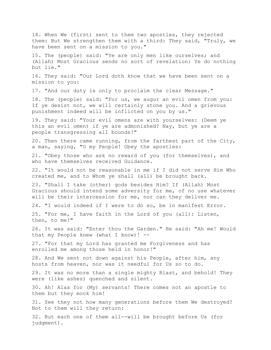14. When We (first) sent to them two apostles, they rejected them: But We strengthen them with a third: They said, "Truly, we have been sent on a mission to you."

15. The (people) said: "Ye are only men like ourselves; and (Allah) Most Gracious sends no sort of revelation: Ye do nothing but lie."

16. They said: "Our Lord doth know that we have been sent on a mission to you:

17. "And our duty is only to proclaim the clear Message."

18. The (people) said: "For us, we augur an evil omen from you: If ye desist not, we will certainly stone you. And a grievous punishment indeed will be inflicted on you by us."

19. They said: "Your evil omens are with yourselves: (Deem ye this an evil omen) if ye are admonished? Nay, but ye are a people transgressing all bounds!"

20. Then there came running, from the farthest part of the City, a man, saying, "O my People! Obey the apostles:

21. "Obey those who ask no reward of you (for themselves), and who have themselves received Guidance.

22. "It would not be reasonable in me if I did not serve Him Who created me, and to Whom ye shall (all) be brought back.

23. "Shall I take (other) gods besides Him? If (Allah) Most Gracious should intend some adversity for me, of no use whatever will be their intercession for me, nor can they deliver me.

24. "I would indeed if I were to do so, be in manifest Error.

25. "For me, I have faith in the Lord of you (all): Listen, then, to me!"

26. It was said: "Enter thou the Garden." He said: "Ah me! Would that my People knew (what I know)! --

27. "For that my Lord has granted me Forgiveness and has enrolled me among those held in honor!"

28. And We sent not down against his People, after him, any hosts from heaven, nor was it needful for Us so to do.

29. It was no more than a single mighty Blast, and behold! They were (like ashes) quenched and silent.

30. Ah! Alas for (My) servants! There comes not an apostle to them but they mock him!

31. See they not how many generations before them We destroyed? Not to them will they return:

32. But each one of them all--will be brought before Us (for judgment).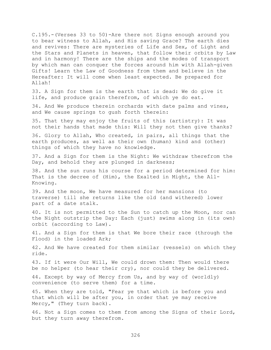C.195.-(Verses 33 to 50)-Are there not Signs enough around you to bear witness to Allah, and His saving Grace? The earth dies and revives: There are mysteries of Life and Sex, of Light and the Stars and Planets in heaven, that follow their orbits by Law and in harmony! There are the ships and the modes of transport by which man can conquer the forces around him with Allah-given Gifts! Learn the Law of Goodness from them and believe in the Hereafter: It will come when least expected. Be prepared for Allah!

33. A Sign for them is the earth that is dead: We do give it life, and produce grain therefrom, of which ye do eat.

34. And We produce therein orchards with date palms and vines, and We cause springs to gush forth therein:

35. That they may enjoy the fruits of this (artistry): It was not their hands that made this: Will they not then give thanks?

36. Glory to Allah, Who created, in pairs, all things that the earth produces, as well as their own (human) kind and (other) things of which they have no knowledge.

37. And a Sign for them is the Night: We withdraw therefrom the Day, and behold they are plunged in darkness;

38. And the sun runs his course for a period determined for him: That is the decree of (Him), the Exalted in Might, the All-Knowing.

39. And the moon, We have measured for her mansions (to traverse) till she returns like the old (and withered) lower part of a date stalk.

40. It is not permitted to the Sun to catch up the Moon, nor can the Night outstrip the Day: Each (just) swims along in (its own) orbit (according to Law).

41. And a Sign for them is that We bore their race (through the Flood) in the loaded Ark;

42. And We have created for them similar (vessels) on which they ride.

43. If it were Our Will, We could drown them: Then would there be no helper (to hear their cry), nor could they be delivered.

44. Except by way of Mercy from Us, and by way of (worldly) convenience (to serve them) for a time.

45. When they are told, "Fear ye that which is before you and that which will be after you, in order that ye may receive Mercy," (They turn back).

46. Not a Sign comes to them from among the Signs of their Lord, but they turn away therefrom.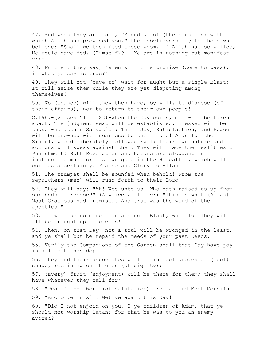47. And when they are told, "Spend ye of (the bounties) with which Allah has provided you," the Unbelievers say to those who believe: "Shall we then feed those whom, if Allah had so willed, He would have fed, (Himself)?  $-$ -Ye are in nothing but manifest error." 48. Further, they say, "When will this promise (come to pass), if what ye say is true?" 49. They will not (have to) wait for aught but a single Blast: It will seize them while they are yet disputing among themselves! 50. No (chance) will they then have, by will, to dispose (of their affairs), nor to return to their own people! C.196.-(Verses 51 to 83)-When the Day comes, men will be taken aback. The judgment seat will be established. Blessed will be those who attain Salvation: Their Joy, Satisfaction, and Peace will be crowned with nearness to their Lord! Alas for the Sinful, who deliberately followed Evil: Their own nature and actions will speak against them: They will face the realities of Punishment! Both Revelation and Nature are eloquent in instructing man for his own good in the Hereafter, which will come as a certainty. Praise and Glory to Allah! 51. The trumpet shall be sounded when behold! From the sepulchers (men) will rush forth to their Lord! 52. They will say: "Ah! Woe unto us! Who hath raised us up from our beds of repose?" (A voice will say:) "This is what (Allah) Most Gracious had promised. And true was the word of the apostles!" 53. It will be no more than a single Blast, when lo! They will all be brought up before Us! 54. Then, on that Day, not a soul will be wronged in the least, and ye shall but be repaid the meeds of your past Deeds. 55. Verily the Companions of the Garden shall that Day have joy in all that they do; 56. They and their associates will be in cool groves of (cool) shade, reclining on Thrones (of dignity); 57. (Every) fruit (enjoyment) will be there for them; they shall have whatever they call for; 58. "Peace!" --a Word (of salutation) from a Lord Most Merciful! 59. "And O ye in sin! Get ye apart this Day! 60. "Did I not enjoin on you, O ye children of Adam, that ye should not worship Satan; for that he was to you an enemy avowed? --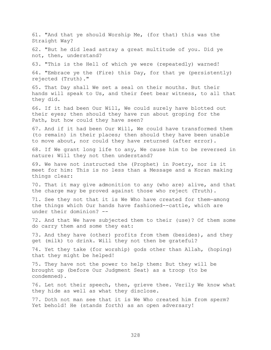61. "And that ye should Worship Me, (for that) this was the Straight Way? 62. "But he did lead astray a great multitude of you. Did ye not, then, understand? 63. "This is the Hell of which ye were (repeatedly) warned! 64. "Embrace ye the (Fire) this Day, for that ye (persistently) rejected (Truth)." 65. That Day shall We set a seal on their mouths. But their hands will speak to Us, and their feet bear witness, to all that they did. 66. If it had been Our Will, We could surely have blotted out their eyes; then should they have run about groping for the Path, but how could they have seen? 67. And if it had been Our Will, We could have transformed them (to remain) in their places; then should they have been unable to move about, nor could they have returned (after error). 68. If We grant long life to any, We cause him to be reversed in nature: Will they not then understand? 69. We have not instructed the (Prophet) in Poetry, nor is it meet for him: This is no less than a Message and a Koran making things clear: 70. That it may give admonition to any (who are) alive, and that the charge may be proved against those who reject (Truth). 71. See they not that it is We Who have created for them—among the things which Our hands have fashioned--cattle, which are under their dominion? -- 72. And that We have subjected them to their (use)? Of them some do carry them and some they eat: 73. And they have (other) profits from them (besides), and they get (milk) to drink. Will they not then be grateful? 74. Yet they take (for worship) gods other than Allah, (hoping) that they might be helped! 75. They have not the power to help them: But they will be brought up (before Our Judgment Seat) as a troop (to be condemned). 76. Let not their speech, then, grieve thee. Verily We know what they hide as well as what they disclose. 77. Doth not man see that it is We Who created him from sperm? Yet behold! He (stands forth) as an open adversary!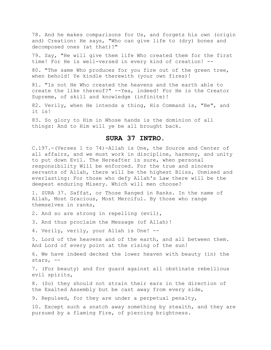78. And he makes comparisons for Us, and forgets his own (origin and) Creation: He says, "Who can give life to (dry) bones and decomposed ones (at that)?"

79. Say, "He will give them life Who created them for the first time! For He is well-versed in every kind of creation! --

80. "The same Who produces for you fire out of the green tree, when behold! Ye kindle therewith (your own fires)!

81. "Is not He Who created the heavens and the earth able to create the like thereof?" --Yea, indeed! For He is the Creator Supreme, of skill and knowledge (infinite)!

82. Verily, when He intends a thing, His Command is, "Be", and it is!

83. So glory to Him in Whose hands is the dominion of all things: And to Him will ye be all brought back.

# **SURA 37 INTRO.**

C.197.-(Verses 1 to 74)-Allah is One, the Source and Center of all affairs, and we must work in discipline, harmony, and unity to put down Evil. The Hereafter is sure, when personal responsibility Will be enforced. For the true and sincere servants of Allah, there will be the highest Bliss, Unmixed and everlasting: For those who defy Allah's Law there will be the deepest enduring Misery. Which will men choose?

1. SURA 37. Saffat, or Those Ranged in Ranks. In the name of Allah, Most Gracious, Most Merciful. By those who range themselves in ranks,

2. And so are strong in repelling (evil),

3. And thus proclaim the Message (of Allah)!

4. Verily, verily, your Allah is One! --

5. Lord of the heavens and of the earth, and all between them. And Lord of every point at the rising of the sun!

6. We have indeed decked the lower heaven with beauty (in) the stars, --

7. (For beauty) and for guard against all obstinate rebellious evil spirits,

8. (So) they should not strain their ears in the direction of the Exalted Assembly but be cast away from every side,

9. Repulsed, for they are under a perpetual penalty,

10. Except such a snatch away something by stealth, and they are pursued by a flaming Fire, of piercing brightness.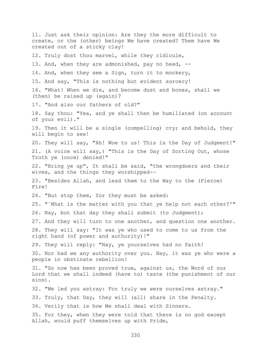11. Just ask their opinion: Are they the more difficult to create, or the (other) beings We have created? Them have We created out of a sticky clay! 12. Truly dost thou marvel, while they ridicule, 13. And, when they are admonished, pay no heed, -- 14. And, when they see a Sign, turn it to mockery, 15. And say, "This is nothing but evident sorcery! 16. "What! When we die, and become dust and bones, shall we (then) be raised up (again)? 17. "And also our fathers of old?" 18. Say thou: "Yea, and ye shall then be humiliated (on account of your evil)." 19. Then it will be a single (compelling) cry; and behold, they will begin to see! 20. They will say, "Ah! Woe to us! This is the Day of Judgment!" 21. (A voice will say,) "This is the Day of Sorting Out, whose Truth ye (once) denied!" 22. "Bring ye up", It shall be said, "the wrongdoers and their wives, and the things they worshipped-- 23. "Besides Allah, and lead them to the Way to the (Fierce) Fire! 24. "But stop them, for they must be asked: 25. "`What is the matter with you that ye help not each other?'" 26. Nay, but that day they shall submit (to Judgment); 27. And they will turn to one another, and question one another. 28. They will say: "It was ye who used to come to us from the right hand (of power and authority)!" 29. They will reply: "Nay, ye yourselves had no Faith! 30. Nor had we any authority over you. Nay, it was ye who were a people in obstinate rebellion! 31. "So now has been proved true, against us, the Word of our Lord that we shall indeed (have to) taste (the punishment of our sins). 32. "We led you astray: For truly we were ourselves astray." 33. Truly, that Day, they will (all) share in the Penalty. 34. Verily that is how We shall deal with Sinners. 35. For they, when they were told that there is no god except Allah, would puff themselves up with Pride,

330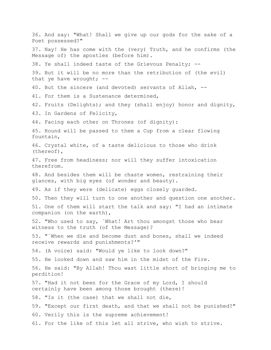36. And say: "What! Shall we give up our gods for the sake of a Poet possessed?" 37. Nay! He has come with the (very) Truth, and he confirms (the Message of) the apostles (before him). 38. Ye shall indeed taste of the Grievous Penalty; -- 39. But it will be no more than the retribution of (the evil) that ye have wrought; --40. But the sincere (and devoted) servants of Allah, -- 41. For them is a Sustenance determined, 42. Fruits (Delights); and they (shall enjoy) honor and dignity, 43. In Gardens of Felicity, 44. Facing each other on Thrones (of dignity): 45. Round will be passed to them a Cup from a clear flowing fountain, 46. Crystal white, of a taste delicious to those who drink (thereof), 47. Free from headiness; nor will they suffer intoxication therefrom. 48. And besides them will be chaste women, restraining their glances, with big eyes (of wonder and beauty). 49. As if they were (delicate) eggs closely guarded. 50. Then they will turn to one another and question one another. 51. One of them will start the talk and say: "I had an intimate companion (on the earth), 52. "Who used to say, `What! Art thou amongst those who bear witness to the truth (of the Message)? 53. "`When we die and become dust and bones, shall we indeed receive rewards and punishments?'" 54. (A voice) said: "Would ye like to look down?" 55. He looked down and saw him in the midst of the Fire. 56. He said: "By Allah! Thou wast little short of bringing me to perdition! 57. "Had it not been for the Grace of my Lord, I should certainly have been among those brought (there)! 58. "Is it (the case) that we shall not die, 59. "Except our first death, and that we shall not be punished?" 60. Verily this is the supreme achievement! 61. For the like of this let all strive, who wish to strive.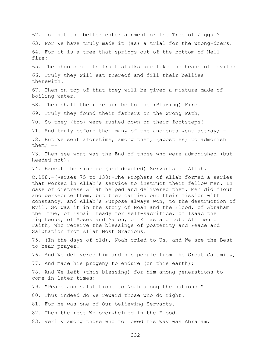62. Is that the better entertainment or the Tree of Zaqqum? 63. For We have truly made it (as) a trial for the wrong-doers. 64. For it is a tree that springs out of the bottom of Hell fire: 65. The shoots of its fruit stalks are like the heads of devils: 66. Truly they will eat thereof and fill their bellies therewith. 67. Then on top of that they will be given a mixture made of boiling water. 68. Then shall their return be to the (Blazing) Fire. 69. Truly they found their fathers on the wrong Path; 70. So they (too) were rushed down on their footsteps! 71. And truly before them many of the ancients went astray; -72. But We sent aforetime, among them, (apostles) to admonish them; -- 73. Then see what was the End of those who were admonished (but heeded not), -- 74. Except the sincere (and devoted) Servants of Allah. C.198.-(Verses 75 to 138)-The Prophets of Allah formed a series that worked in Allah's service to instruct their fellow men. In case of distress Allah helped and delivered them. Men did flout and persecute them, but they carried out their mission with constancy; and Allah's Purpose always won, to the destruction of Evil. So was it in the story of Noah and the Flood, of Abraham the True, of Ismail ready for self-sacrifice, of Isaac the righteous, of Moses and Aaron, of Elias and Lot: All men of Faith, who receive the blessings of posterity and Peace and Salutation from Allah Most Gracious. 75. (In the days of old), Noah cried to Us, and We are the Best to hear prayer. 76. And We delivered him and his people from the Great Calamity, 77. And made his progeny to endure (on this earth); 78. And We left (this blessing) for him among generations to come in later times: 79. "Peace and salutations to Noah among the nations!" 80. Thus indeed do We reward those who do right. 81. For he was one of Our believing Servants. 82. Then the rest We overwhelmed in the Flood. 83. Verily among those who followed his Way was Abraham.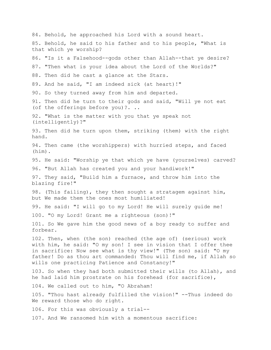84. Behold, he approached his Lord with a sound heart. 85. Behold, he said to his father and to his people, "What is that which ye worship? 86. "Is it a Falsehood--gods other than Allah--that ye desire? 87. "Then what is your idea about the Lord of the Worlds?" 88. Then did he cast a glance at the Stars. 89. And he said, "I am indeed sick (at heart)!" 90. So they turned away from him and departed. 91. Then did he turn to their gods and said, "Will ye not eat (of the offerings before you)?. .. 92. "What is the matter with you that ye speak not (intelligently)?" 93. Then did he turn upon them, striking (them) with the right hand. 94. Then came (the worshippers) with hurried steps, and faced (him). 95. He said: "Worship ye that which ye have (yourselves) carved? 96. "But Allah has created you and your handiwork!" 97. They said, "Build him a furnace, and throw him into the blazing fire!" 98. (This failing), they then sought a stratagem against him, but We made them the ones most humiliated! 99. He said: "I will go to my Lord! He will surely guide me! 100. "O my Lord! Grant me a righteous (son)!" 101. So We gave him the good news of a boy ready to suffer and forbear. 102. Then, when (the son) reached (the age of) (serious) work with him, he said: "O my son! I see in vision that I offer thee in sacrifice: Now see what is thy view!" (The son) said: "O my father! Do as thou art commanded: Thou will find me, if Allah so wills one practicing Patience and Constancy!" 103. So when they had both submitted their wills (to Allah), and he had laid him prostrate on his forehead (for sacrifice), 104. We called out to him, "O Abraham! 105. "Thou hast already fulfilled the vision!" --Thus indeed do We reward those who do right. 106. For this was obviously a trial-- 107. And We ransomed him with a momentous sacrifice: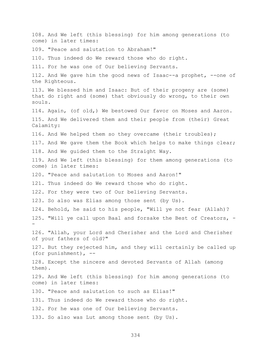108. And We left (this blessing) for him among generations (to come) in later times: 109. "Peace and salutation to Abraham!" 110. Thus indeed do We reward those who do right. 111. For he was one of Our believing Servants. 112. And We gave him the good news of Isaac--a prophet, --one of the Righteous. 113. We blessed him and Isaac: But of their progeny are (some) that do right and (some) that obviously do wrong, to their own souls. 114. Again, (of old,) We bestowed Our favor on Moses and Aaron. 115. And We delivered them and their people from (their) Great Calamity: 116. And We helped them so they overcame (their troubles); 117. And We gave them the Book which helps to make things clear; 118. And We guided them to the Straight Way. 119. And We left (this blessing) for them among generations (to come) in later times: 120. "Peace and salutation to Moses and Aaron!" 121. Thus indeed do We reward those who do right. 122. For they were two of Our believing Servants. 123. So also was Elias among those sent (by Us). 124. Behold, he said to his people, "Will ye not fear (Allah)? 125. "Will ye call upon Baal and forsake the Best of Creators, - - 126. "Allah, your Lord and Cherisher and the Lord and Cherisher of your fathers of old?" 127. But they rejected him, and they will certainly be called up (for punishment),  $--$ 128. Except the sincere and devoted Servants of Allah (among them). 129. And We left (this blessing) for him among generations (to come) in later times: 130. "Peace and salutation to such as Elias!" 131. Thus indeed do We reward those who do right. 132. For he was one of Our believing Servants. 133. So also was Lut among those sent (by Us).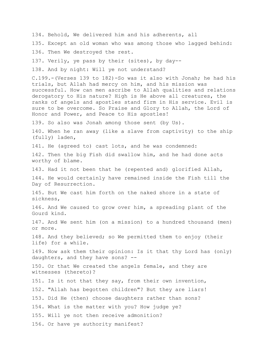134. Behold, We delivered him and his adherents, all

135. Except an old woman who was among those who lagged behind:

136. Then We destroyed the rest.

137. Verily, ye pass by their (sites), by day--

138. And by night: Will ye not understand?

C.199.-(Verses 139 to 182)-So was it also with Jonah; he had his trials, but Allah had mercy on him, and his mission was successful. How can men ascribe to Allah qualities and relations derogatory to His nature? High is He above all creatures, the ranks of angels and apostles stand firm in His service. Evil is sure to be overcome. So Praise and Glory to Allah, the Lord of Honor and Power, and Peace to His apostles!

139. So also was Jonah among those sent (by Us).

140. When he ran away (like a slave from captivity) to the ship (fully) laden,

141. He (agreed to) cast lots, and he was condemned:

142. Then the big Fish did swallow him, and he had done acts worthy of blame.

143. Had it not been that he (repented and) glorified Allah,

144. He would certainly have remained inside the Fish till the Day of Resurrection.

145. But We cast him forth on the naked shore in a state of sickness,

146. And We caused to grow over him, a spreading plant of the Gourd kind.

147. And We sent him (on a mission) to a hundred thousand (men) or more.

148. And they believed; so We permitted them to enjoy (their life) for a while.

149. Now ask them their opinion: Is it that thy Lord has (only) daughters, and they have sons? --

150. Or that We created the angels female, and they are witnesses (thereto)?

151. Is it not that they say, from their own invention, 152. "Allah has begotten children"? But they are liars! 153. Did He (then) choose daughters rather than sons? 154. What is the matter with you? How judge ye? 155. Will ye not then receive admonition? 156. Or have ye authority manifest?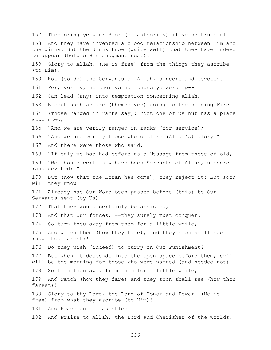157. Then bring ye your Book (of authority) if ye be truthful! 158. And they have invented a blood relationship between Him and the Jinns: But the Jinns know (quite well) that they have indeed to appear (before His Judgment seat)! 159. Glory to Allah! (He is free) from the things they ascribe (to Him)! 160. Not (so do) the Servants of Allah, sincere and devoted. 161. For, verily, neither ye nor those ye worship-- 162. Can lead (any) into temptation concerning Allah, 163. Except such as are (themselves) going to the blazing Fire! 164. (Those ranged in ranks say): "Not one of us but has a place appointed; 165. "And we are verily ranged in ranks (for service); 166. "And we are verily those who declare (Allah's) glory!" 167. And there were those who said, 168. "If only we had had before us a Message from those of old, 169. "We should certainly have been Servants of Allah, sincere (and devoted)!" 170. But (now that the Koran has come), they reject it: But soon will they know! 171. Already has Our Word been passed before (this) to Our Servants sent (by Us), 172. That they would certainly be assisted, 173. And that Our forces, --they surely must conquer. 174. So turn thou away from them for a little while, 175. And watch them (how they fare), and they soon shall see (how thou farest)! 176. Do they wish (indeed) to hurry on Our Punishment? 177. But when it descends into the open space before them, evil will be the morning for those who were warned (and heeded not)! 178. So turn thou away from them for a little while, 179. And watch (how they fare) and they soon shall see (how thou farest)! 180. Glory to thy Lord, the Lord of Honor and Power! (He is free) from what they ascribe (to Him)! 181. And Peace on the apostles! 182. And Praise to Allah, the Lord and Cherisher of the Worlds.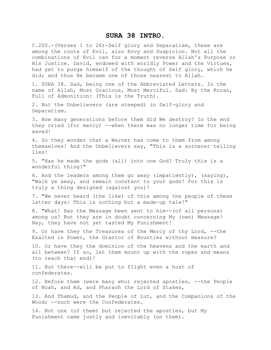#### **SURA 38 INTRO.**

C.200.-(Verses 1 to 26)-Self glory and Separatism, these are among the roots of Evil, also Envy and Suspicion. Not all the combinations of Evil can for a moment reverse Allah's Purpose or His Justice. David, endowed with worldly Power and the Virtues, had yet to purge himself of the thought of Self glory, which he did; and thus He became one of those nearest to Allah.

1. SURA 38. Sad, being one of the Abbreviated Letters. In the name of Allah, Most Gracious, Most Merciful. Sad: By the Koran, Full of Admonition: (This is the Truth).

2. But the Unbelievers (are steeped) in Self-glory and Separatism.

3. How many generations before them did We destroy? In the end they cried (for mercy) --when there was no longer time for being saved!

4. So they wonder that a Warner has come to them from among themselves! And the Unbelievers say, "This is a sorcerer telling lies!

5. "Has he made the gods (all) into one God? Truly this is a wonderful thing!"

6. And the leaders among them go away (impatiently), (saying), "Walk ye away, and remain constant to your gods! For this is truly a thing designed (against you)!

7. "We never heard (the like) of this among the people of these latter days: This is nothing but a made-up tale!"

8. "What! Has the Message been sent to him--(of all persons) among us? But they are in doubt concerning My (own) Message! Nay, they have not yet tasted My Punishment!

9. Or have they the Treasures of the Mercy of thy Lord, --the Exalted in Power, the Grantor of Bounties without measure?

10. Or have they the dominion of the heavens and the earth and all between? If so, let them mount up with the ropes and means (to reach that end)!

11. But there--will be put to flight even a host of confederates.

12. Before them (were many who) rejected apostles, --the People of Noah, and Ad, and Pharaoh the Lord of Stakes,

13. And Thamud, and the People of Lut, and the Companions of the Wood; --such were the Confederates.

14. Not one (of them) but rejected the apostles, but My Punishment came justly and inevitably (on them).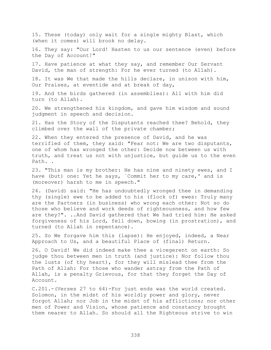15. These (today) only wait for a single mighty Blast, which (when it comes) will brook no delay.

16. They say: "Our Lord! Hasten to us our sentence (even) before the Day of Account!"

17. Have patience at what they say, and remember Our Servant David, the man of strength: For he ever turned (to Allah).

18. It was We that made the hills declare, in unison with him, Our Praises, at eventide and at break of day,

19. And the birds gathered (in assemblies): All with him did turn (to Allah).

20. We strengthened his kingdom, and gave him wisdom and sound judgment in speech and decision.

21. Has the Story of the Disputants reached thee? Behold, they climbed over the wall of the private chamber;

22. When they entered the presence of David, and he was terrified of them, they said: "Fear not: We are two disputants, one of whom has wronged the other: Decide now between us with truth, and treat us not with unjustice, but guide us to the even Path. .

23. "This man is my brother: He has nine and ninety ewes, and I have (but) one: Yet he says, `Commit her to my care,' and is (moreover) harsh to me in speech."

24. (David) said: "He has undoubtedly wronged thee in demanding thy (single) ewe to be added to his (flock of) ewes: Truly many are the Partners (in business) who wrong each other: Not so do those who believe and work deeds of righteousness, and how few are they?". ..And David gathered that We had tried him: He asked forgiveness of his Lord, fell down, bowing (in prostration), and turned (to Allah in repentance).

25. So We forgave him this (lapse): He enjoyed, indeed, a Near Approach to Us, and a beautiful Place of (final) Return.

26. O David! We did indeed make thee a vicegerent on earth: So judge thou between men in truth (and justice): Nor follow thou the lusts (of thy heart), for they will mislead thee from the Path of Allah: For those who wander astray from the Path of Allah, is a penalty Grievous, for that they forget the Day of Account.

C.201.-(Verses 27 to 64)-For just ends was the world created. Solomon, in the midst of his worldly power and glory, never forgot Allah; nor Job in the midst of his afflictions; nor other men of Power and Vision, whose patience and constancy brought them nearer to Allah. So should all the Righteous strive to win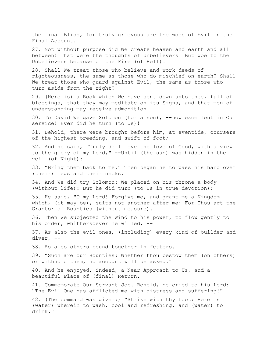the final Bliss, for truly grievous are the woes of Evil in the Final Account.

27. Not without purpose did We create heaven and earth and all between! That were the thoughts of Unbelievers! But woe to the Unbelievers because of the Fire (of Hell)!

28. Shall We treat those who believe and work deeds of righteousness, the same as those who do mischief on earth? Shall We treat those who guard against Evil, the same as those who turn aside from the right?

29. (Here is) a Book which We have sent down unto thee, full of blessings, that they may meditate on its Signs, and that men of understanding may receive admonition.

30. To David We gave Solomon (for a son), --how excellent in Our service! Ever did he turn (to Us)!

31. Behold, there were brought before him, at eventide, coursers of the highest breeding, and swift of foot;

32. And he said, "Truly do I love the love of Good, with a view to the glory of my Lord," --Until (the sun) was hidden in the veil (of Night):

33. "Bring them back to me." Then began he to pass his hand over (their) legs and their necks.

34. And We did try Solomon: We placed on his throne a body (without life): But he did turn (to Us in true devotion):

35. He said, "O my Lord! Forgive me, and grant me a Kingdom which, (it may be), suits not another after me: For Thou art the Grantor of Bounties (without measure).

36. Then We subjected the Wind to his power, to flow gently to his order, whithersoever he willed, --

37. As also the evil ones, (including) every kind of builder and diver, --

38. As also others bound together in fetters.

39. "Such are our Bounties: Whether thou bestow them (on others) or withhold them, no account will be asked."

40. And he enjoyed, indeed, a Near Approach to Us, and a beautiful Place of (final) Return.

41. Commemorate Our Servant Job. Behold, he cried to his Lord: "The Evil One has afflicted me with distress and suffering!"

42. (The command was given:) "Strike with thy foot: Here is (water) wherein to wash, cool and refreshing, and (water) to drink."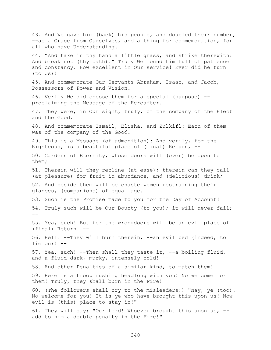43. And We gave him (back) his people, and doubled their number, --as a Grace from Ourselves, and a thing for commemoration, for all who have Understanding. 44. "And take in thy hand a little grass, and strike therewith: And break not (thy oath)." Truly We found him full of patience and constancy. How excellent in Our service! Ever did he turn (to Us)! 45. And commemorate Our Servants Abraham, Isaac, and Jacob, Possessors of Power and Vision. 46. Verily We did choose them for a special (purpose) - proclaiming the Message of the Hereafter. 47. They were, in Our sight, truly, of the company of the Elect and the Good. 48. And commemorate Ismail, Elisha, and Zulkifl: Each of them was of the company of the Good. 49. This is a Message (of admonition): And verily, for the Righteous, is a beautiful place of (final) Return, -- 50. Gardens of Eternity, whose doors will (ever) be open to them; 51. Therein will they recline (at ease); therein can they call (at pleasure) for fruit in abundance, and (delicious) drink; 52. And beside them will be chaste women restraining their glances, (companions) of equal age. 53. Such is the Promise made to you for the Day of Account! 54. Truly such will be Our Bounty (to you); it will never fail; -- 55. Yea, such! But for the wrongdoers will be an evil place of (final) Return! -- 56. Hell! --They will burn therein, --an evil bed (indeed, to lie on)! -- 57. Yea, such! --Then shall they taste it, --a boiling fluid, and a fluid dark, murky, intensely cold! --58. And other Penalties of a similar kind, to match them! 59. Here is a troop rushing headlong with you! No welcome for them! Truly, they shall burn in the Fire! 60. (The followers shall cry to the misleaders:) "Nay, ye (too)! No welcome for you! It is ye who have brought this upon us! Now evil is (this) place to stay in!" 61. They will say: "Our Lord! Whoever brought this upon us, - add to him a double penalty in the Fire!"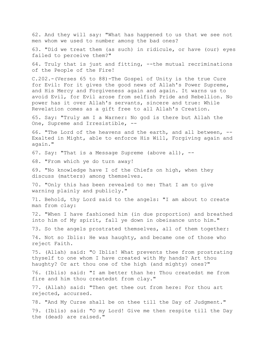62. And they will say: "What has happened to us that we see not men whom we used to number among the bad ones? 63. "Did we treat them (as such) in ridicule, or have (our) eyes failed to perceive them?" 64. Truly that is just and fitting, --the mutual recriminations of the People of the Fire! C.202.-(Verses 65 to 88)-The Gospel of Unity is the true Cure for Evil: For it gives the good news of Allah's Power Supreme, and His Mercy and Forgiveness again and again. It warns us to avoid Evil, for Evil arose from selfish Pride and Rebellion. No power has it over Allah's servants, sincere and true: While Revelation comes as a gift free to all Allah's Creation. 65. Say: "Truly am I a Warner: No god is there but Allah the One, Supreme and Irresistible, -- 66. "The Lord of the heavens and the earth, and all between, -- Exalted in Might, able to enforce His Will, Forgiving again and again." 67. Say: "That is a Message Supreme (above all), -- 68. "From which ye do turn away! 69. "No knowledge have I of the Chiefs on high, when they discuss (matters) among themselves. 70. "Only this has been revealed to me: That I am to give warning plainly and publicly." 71. Behold, thy Lord said to the angels: "I am about to create man from clay: 72. "When I have fashioned him (in due proportion) and breathed into him of My spirit, fall ye down in obeisance unto him." 73. So the angels prostrated themselves, all of them together: 74. Not so Iblis: He was haughty, and became one of those who reject Faith. 75. (Allah) said: "O Iblis! What prevents thee from prostrating thyself to one whom I have created with My hands? Art thou haughty? Or art thou one of the high (and mighty) ones?" 76. (Iblis) said: "I am better than he: Thou createdst me from fire and him thou createdst from clay." 77. (Allah) said: "Then get thee out from here: For thou art rejected, accursed. 78. "And My Curse shall be on thee till the Day of Judgment." 79. (Iblis) said: "O my Lord! Give me then respite till the Day the (dead) are raised."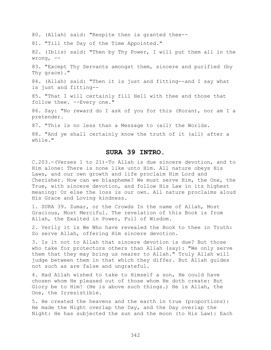80. (Allah) said: "Respite then is granted thee-- 81. "Till the Day of the Time Appointed." 82. (Iblis) said: "Then by Thy Power, I will put them all in the wrong, -- 83. "Except Thy Servants amongst them, sincere and purified (by Thy grace)." 84. (Allah) said: "Then it is just and fitting--and I say what is just and fitting-- 85. "That I will certainly fill Hell with thee and those that follow thee. --Every one." 86. Say: "No reward do I ask of you for this (Koran), nor am I a pretender. 87. "This is no less than a Message to (all) the Worlds. 88. "And ye shall certainly know the truth of it (all) after a while."

# **SURA 39 INTRO.**

C.203.-(Verses 1 to 21)-To Allah is due sincere devotion, and to Him alone: There is none like unto Him. All nature obeys His Laws, and our own growth and life proclaim Him Lord and Cherisher. How can we blaspheme? We must serve Him, the One, the True, with sincere devotion, and follow His Law in its highest meaning: Or else the loss is our own. All nature proclaims aloud His Grace and Loving kindness.

1. SURA 39. Zumar, or the Crowds In the name of Allah, Most Gracious, Most Merciful. The revelation of this Book is from Allah, the Exalted in Power, Full of Wisdom.

2. Verily it is We Who have revealed the Book to thee in Truth: So serve Allah, offering Him sincere devotion.

3. Is it not to Allah that sincere devotion is due? But those who take for protectors others than Allah (say): "We only serve them that they may bring us nearer to Allah." Truly Allah will judge between them in that which they differ. But Allah guides not such as are false and ungrateful.

4. Had Allah wished to take to Himself a son, He could have chosen whom He pleased out of those whom He doth create: But Glory be to Him! (He is above such things.) He is Allah, the One, the Irresistible.

5. He created the heavens and the earth in true (proportions): He made the Night overlap the Day, and the Day overlap the Night: He has subjected the sun and the moon (to His Law): Each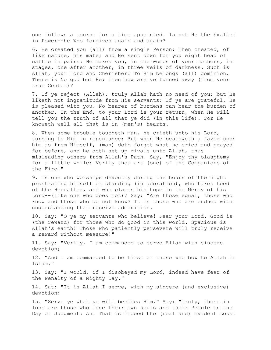one follows a course for a time appointed. Is not He the Exalted in Power--he Who forgives again and again?

6. He created you (all) from a single Person: Then created, of like nature, his mate; and He sent down for you eight head of cattle in pairs: He makes you, in the wombs of your mothers, in stages, one after another, in three veils of darkness. Such is Allah, your Lord and Cherisher: To Him belongs (all) dominion. There is No god but He: Then how are ye turned away (from your true Center)?

7. If ye reject (Allah), truly Allah hath no need of you; but He liketh not ingratitude from His servants: If ye are grateful, He is pleased with you. No bearer of burdens can bear the burden of another. In the End, to your Lord is your return, when He will tell you the truth of all that ye did (in this life). For He knoweth well all that is in (men's) hearts.

8. When some trouble toucheth man, he crieth unto his Lord, turning to Him in repentance: But when He bestoweth a favor upon him as from Himself, (man) doth forget what he cried and prayed for before, and he doth set up rivals unto Allah, thus misleading others from Allah's Path. Say, "Enjoy thy blasphemy for a little while: Verily thou art (one) of the Companions of the Fire!"

9. Is one who worships devoutly during the hours of the night prostrating himself or standing (in adoration), who takes heed of the Hereafter, and who places his hope in the Mercy of his Lord--(like one who does not)? Say: "Are those equal, those who know and those who do not know? It is those who are endued with understanding that receive admonition.

10. Say: "O ye my servants who believe! Fear your Lord. Good is (the reward) for those who do good in this world. Spacious is Allah's earth! Those who patiently persevere will truly receive a reward without measure!"

11. Say: "Verily, I am commanded to serve Allah with sincere devotion;

12. "And I am commanded to be first of those who bow to Allah in Islam."

13. Say: "I would, if I disobeyed my Lord, indeed have fear of the Penalty of a Mighty Day."

14. Sat: "It is Allah I serve, with my sincere (and exclusive) devotion:

15. "Serve ye what ye will besides Him." Say: "Truly, those in loss are those who lose their own souls and their People on the Day of Judgment: Ah! That is indeed the (real and) evident Loss!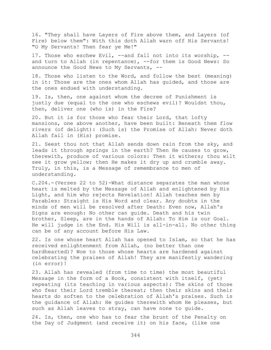16. "They shall have Layers of Fire above them, and Layers (of Fire) below them": With this doth Allah warn off His Servants! "O My Servants! Then fear ye Me!"

17. Those who eschew Evil, --and fall not into its worship, - and turn to Allah (in repentance), --for them is Good News: So announce the Good News to My Servants, --

18. Those who listen to the Word, and follow the best (meaning) in it: Those are the ones whom Allah has guided, and those are the ones endued with understanding.

19. Is, then, one against whom the decree of Punishment is justly due (equal to the one who eschews evil)? Wouldst thou, then, deliver one (who is) in the Fire?

20. But it is for those who fear their Lord, that lofty mansions, one above another, have been built: Beneath them flow rivers (of delight): (Such is) the Promise of Allah: Never doth Allah fail in (His) promise.

21. Seest thou not that Allah sends down rain from the sky, and leads it through springs in the earth? Then He causes to grow, therewith, produce of various colors: Then it withers; thou wilt see it grow yellow; then He makes it dry up and crumble away. Truly, in this, is a Message of remembrance to men of understanding.

C.204.-(Verses 22 to 52)-What distance separates the man whose heart is melted by the Message of Allah and enlightened by His Light, and him who rejects Revelation! Allah teaches men by Parables: Straight is His Word and clear. Any doubts in the minds of men will be resolved after Death: Even now, Allah's Signs are enough: No other can guide. Death and his twin brother, Sleep, are in the hands of Allah: To Him is our Goal. He will judge in the End. His Will is all-in-all. No other thing can be of any account before His Law.

22. Is one whose heart Allah has opened to Islam, so that he has received enlightenment from Allah, (no better than one hardhearted)? Woe to those whose hearts are hardened against celebrating the praises of Allah! They are manifestly wandering (in error)!

23. Allah has revealed (from time to time) the most beautiful Message in the form of a Book, consistent with itself, (yet) repeating (its teaching in various aspects): The skins of those who fear their Lord tremble thereat; then their skins and their hearts do soften to the celebration of Allah's praises. Such is the guidance of Allah: He guides therewith whom He pleases, but such as Allah leaves to stray, can have none to guide.

24. Is, then, one who has to fear the brunt of the Penalty on the Day of Judgment (and receive it) on his face, (like one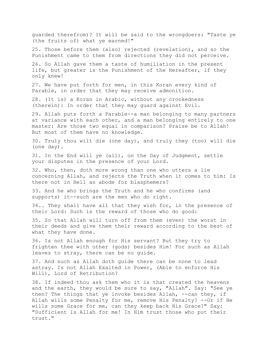guarded therefrom)? It will be said to the wrongdoers: "Taste ye (the fruits of) what ye earned!" 25. Those before them (also) rejected (revelation), and so the Punishment came to them from directions they did not perceive. 26. So Allah gave them a taste of humiliation in the present life, but greater is the Punishment of the Hereafter, if they only knew! 27. We have put forth for men, in this Koran every kind of Parable, in order that they may receive admonition. 28. (It is) a Koran in Arabic, without any crookedness (therein): In order that they may guard against Evil. 29. Allah puts forth a Parable--a man belonging to many partners at variance with each other, and a man belonging entirely to one master: Are those two equal in comparison? Praise be to Allah! But most of them have no knowledge. 30. Truly thou wilt die (one day), and truly they (too) will die (one day). 31. In the End will ye (all), on the Day of Judgment, settle your disputes in the presence of your Lord. 32. Who, then, doth more wrong than one who utters a lie concerning Allah, and rejects the Truth when it comes to him: Is there not in Hell an abode for blasphemers? 33. And he who brings the Truth and he who confirms (and supports) it--such are the men who do right. 34.. They shall have all that they wish for, in the presence of their Lord: Such is the reward of those who do good: 35. So that Allah will turn off from them (even) the worst in their deeds and give them their reward according to the best of what they have done. 36. Is not Allah enough for His servant? But they try to frighten thee with other (gods) besides Him! For such as Allah leaves to stray, there can be no guide. 37. And such as Allah doth guide there can be none to lead astray. Is not Allah Exalted in Power, (Able to enforce His Will), Lord of Retribution? 38. If indeed thou ask them who it is that created the heavens and the earth, they would be sure to say, "Allah". Say: "See ye then? The things that ye invoke besides Allah, --can they, if Allah wills some Penalty for me, remove His Penalty? --Or if He wills some Grace for me, can they keep back His Grace?" Say: "Sufficient is Allah for me! In Him trust those who put their trust."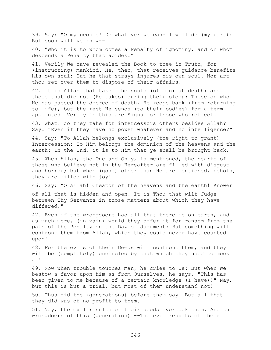39. Say: "O my people! Do whatever ye can: I will do (my part): But soon will ye know--

40. "Who it is to whom comes a Penalty of ignominy, and on whom descends a Penalty that abides."

41. Verily We have revealed the Book to thee in Truth, for (instructing) mankind. He, then, that receives guidance benefits his own soul: But he that strays injures his own soul. Nor art thou set over them to dispose of their affairs.

42. It is Allah that takes the souls (of men) at death; and those that die not (He takes) during their sleep: Those on whom He has passed the decree of death, He keeps back (from returning to life), but the rest He sends (to their bodies) for a term appointed. Verily in this are Signs for those who reflect.

43. What! do they take for intercessors others besides Allah? Say: "Even if they have no power whatever and no intelligence?"

44. Say: "To Allah belongs exclusively (the right to grant) Intercession: To Him belongs the dominion of the heavens and the earth: In the End, it is to Him that ye shall be brought back.

45. When Allah, the One and Only, is mentioned, the hearts of those who believe not in the Hereafter are filled with disgust and horror; but when (gods) other than He are mentioned, behold, they are filled with joy!

46. Say: "O Allah! Creator of the heavens and the earth! Knower

of all that is hidden and open! It is Thou that wilt Judge between Thy Servants in those matters about which they have differed."

47. Even if the wrongdoers had all that there is on earth, and as much more, (in vain) would they offer it for ransom from the pain of the Penalty on the Day of Judgment: But something will confront them from Allah, which they could never have counted upon!

48. For the evils of their Deeds will confront them, and they will be (completely) encircled by that which they used to mock at!

49. Now when trouble touches man, he cries to Us: But when We bestow a favor upon him as from Ourselves, he says, "This has been given to me because of a certain knowledge (I have)!" Nay, but this is but a trial, but most of them understand not!

50. Thus did the (generations) before them say! But all that they did was of no profit to them.

51. Nay, the evil results of their deeds overtook them. And the wrongdoers of this (generation) --The evil results of their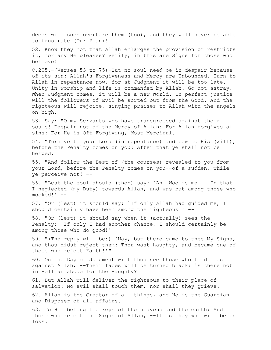deeds will soon overtake them (too), and they will never be able to frustrate (Our Plan)!

52. Know they not that Allah enlarges the provision or restricts it, for any He pleases? Verily, in this are Signs for those who believe!

C.205.-(Verses 53 to 75)-But no soul need be in despair because of its sin: Allah's Forgiveness and Mercy are Unbounded. Turn to Allah in repentance now, for at Judgment it will be too late. Unity in worship and life is commanded by Allah. Go not astray. When Judgment comes, it will be a new World. In perfect justice will the followers of Evil be sorted out from the Good. And the righteous will rejoice, singing praises to Allah with the angels on high.

53. Say: "O my Servants who have transgressed against their souls! Despair not of the Mercy of Allah: For Allah forgives all sins: For He is Oft-Forgiving, Most Merciful.

54. "Turn ye to your Lord (in repentance) and bow to His (Will), before the Penalty comes on you: After that ye shall not be helped.

55. "And follow the Best of (the courses) revealed to you from your Lord, before the Penalty comes on you--of a sudden, while ye perceive not! --

56. "Lest the soul should (then) say: `Ah! Woe is me! --In that I neglected (my Duty) towards Allah, and was but among those who mocked!' --

57. "Or (lest) it should say: `If only Allah had guided me, I should certainly have been among the righteous!' --

58. "Or (lest) it should say when it (actually) sees the Penalty: `If only I had another chance, I should certainly be among those who do good!'

59. "(The reply will be:) `Nay, but there came to thee My Signs, and thou didst reject them: Thou wast haughty, and became one of those who reject Faith!'"

60. On the Day of Judgment wilt thou see those who told lies against Allah; --Their faces will be turned black; is there not in Hell an abode for the Haughty?

61. But Allah will deliver the righteous to their place of salvation: No evil shall touch them, nor shall they grieve.

62. Allah is the Creator of all things, and He is the Guardian and Disposer of all affairs.

63. To Him belong the keys of the heavens and the earth: And those who reject the Signs of Allah, --It is they who will be in loss.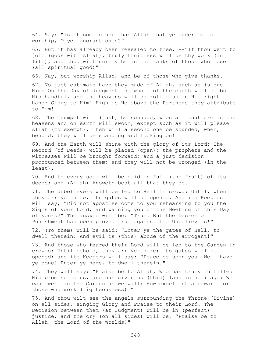64. Say: "Is it some other than Allah that ye order me to worship, O ye ignorant ones?"

65. But it has already been revealed to thee, --"If thou wert to join (gods with Allah), truly fruitless will be thy work (in life), and thou wilt surely be in the ranks of those who lose (all spiritual good)"

66. Nay, but worship Allah, and be of those who give thanks.

67. No just estimate have they made of Allah, such as is due Him: On the Day of Judgment the whole of the earth will be but His handful, and the heavens will be rolled up in His right hand: Glory to Him! High is He above the Partners they attribute to Him!

68. The Trumpet will (just) be sounded, when all that are in the heavens and on earth will swoon, except such as it will please Allah (to exempt). Then will a second one be sounded, when, behold, they will be standing and looking on!

69. And the Earth will shine with the glory of its Lord: The Record (of Deeds) will be placed (open); the prophets and the witnesses will be brought forward; and a just decision pronounced between them; and they will not be wronged (in the least).

70. And to every soul will be paid in full (the fruit) of its deeds; and (Allah) knoweth best all that they do.

71. The Unbelievers will be led to Hell in crowd: Until, when they arrive there, its gates will be opened. And its Keepers will say, "Did not apostles come to you rehearsing to you the Signs of your Lord, and warning you of the Meeting of this Day of yours?" The answer will be: "True: But the Decree of Punishment has been proved true against the Unbelievers!"

72. (To them) will be said: "Enter ye the gates of Hell, to dwell therein: And evil is (this) abode of the arrogant!"

73. And those who feared their Lord will be led to the Garden in crowds: Until behold, they arrive there; its gates will be opened; and its Keepers will say: "Peace be upon you! Well have ye done! Enter ye here, to dwell therein."

74. They will say: "Praise be to Allah, Who has truly fulfilled His promise to us, and has given us (this) land in heritage: We can dwell in the Garden as we will: How excellent a reward for those who work (righteousness)!"

75. And thou wilt see the angels surrounding the Throne (Divine) on all sides, singing Glory and Praise to their Lord. The Decision between them (at Judgment) will be in (perfect) justice, and the cry (on all sides) will be, "Praise be to Allah, the Lord of the Worlds!"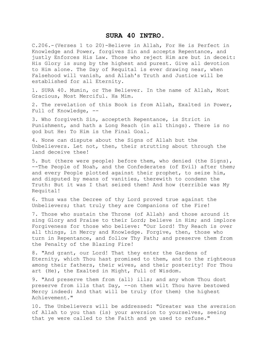## **SURA 40 INTRO.**

C.206.-(Verses 1 to 20)-Believe in Allah, For He is Perfect in Knowledge and Power, forgives Sin and accepts Repentance, and justly Enforces His Law. Those who reject Him are but in deceit: His Glory is sung by the highest and purest. Give all devotion to Him alone. The Day of Requital is ever drawing near, when Falsehood will vanish, and Allah's Truth and Justice will be established for all Eternity.

1. SURA 40. Mumin, or The Believer. In the name of Allah, Most Gracious, Most Merciful. Ha Mim.

2. The revelation of this Book is from Allah, Exalted in Power, Full of Knowledge, --

3. Who forgiveth Sin, accepteth Repentance, is Strict in Punishment, and hath a Long Reach (in all things). There is no god but He: To Him is the Final Goal.

4. None can dispute about the Signs of Allah but the Unbelievers. Let not, then, their strutting about through the land deceive thee!

5. But (there were people) before them, who denied (the Signs), --The People of Noah, and the Confederates (of Evil) after them; and every People plotted against their prophet, to seize him, and disputed by means of vanities, therewith to condemn the Truth: But it was I that seized them! And how (terrible was My Requital!

6. Thus was the Decree of thy Lord proved true against the Unbelievers; that truly they are Companions of the Fire!

7. Those who sustain the Throne (of Allah) and those around it sing Glory and Praise to their Lord; believe in Him; and implore Forgiveness for those who believe: "Our Lord! Thy Reach is over all things, in Mercy and Knowledge. Forgive, then, those who turn in Repentance, and follow Thy Path; and preserve them from the Penalty of the Blazing Fire!

8. "And grant, our Lord! That they enter the Gardens of Eternity, which Thou hast promised to them, and to the righteous among their fathers, their wives, and their posterity! For Thou art (He), the Exalted in Might, Full of Wisdom.

9. "And preserve them from (all) ills; and any whom Thou dost preserve from ills that Day, --on them wilt Thou have bestowed Mercy indeed: And that will be truly (for them) the highest Achievement."

10. The Unbelievers will be addressed: "Greater was the aversion of Allah to you than (is) your aversion to yourselves, seeing that ye were called to the Faith and ye used to refuse."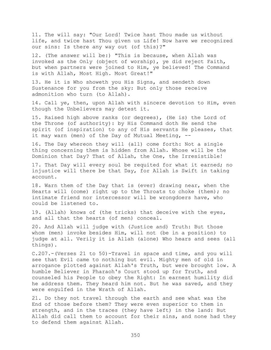11. The will say: "Our Lord! Twice hast Thou made us without life, and twice hast Thou given us Life! Now have we recognized our sins: Is there any way out (of this)?"

12. (The answer will be:) "This is because, when Allah was invoked as the Only (object of worship), ye did reject Faith, but when partners were joined to Him, ye believed! The Command is with Allah, Most High. Most Great!"

13. He it is Who showeth you His Signs, and sendeth down Sustenance for you from the sky: But only those receive admonition who turn (to Allah).

14. Call ye, then, upon Allah with sincere devotion to Him, even though the Unbelievers may detest it.

15. Raised high above ranks (or degrees), (He is) the Lord of the Throne (of authority): by His Command doth He send the spirit (of inspiration) to any of His servants He pleases, that it may warn (men) of the Day of Mutual Meeting, --

16. The Day whereon they will (all) come forth: Not a single thing concerning them is hidden from Allah. Whose will be the Dominion that Day? That of Allah, the One, the Irresistible!

17. That Day will every soul be requited for what it earned; no injustice will there be that Day, for Allah is Swift in taking account.

18. Warn them of the Day that is (ever) drawing near, when the Hearts will (come) right up to the Throats to choke (them); no intimate friend nor intercessor will be wrongdoers have, who could be listened to.

19. (Allah) knows of (the tricks) that deceive with the eyes, and all that the hearts (of men) conceal.

20. And Allah will judge with (Justice and) Truth: But those whom (men) invoke besides Him, will not (be in a position) to judge at all. Verily it is Allah (alone) Who hears and sees (all things).

C.207.-(Verses 21 to 50)-Travel in space and time, and you will see that Evil came to nothing but evil. Mighty men of old in arrogance plotted against Allah's Truth, but were brought low. A humble Believer in Pharaoh's Court stood up for Truth, and counseled his People to obey the Right: In earnest humility did he address them. They heard him not. But he was saved, and they were engulfed in the Wrath of Allah.

21. Do they not travel through the earth and see what was the End of those before them? They were even superior to them in strength, and in the traces (they have left) in the land: But Allah did call them to account for their sins, and none had they to defend them against Allah.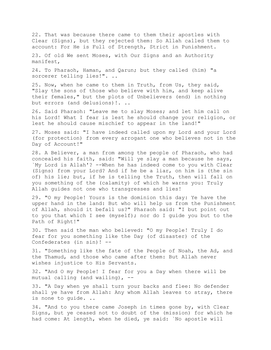22. That was because there came to them their apostles with Clear (Signs), but they rejected them: So Allah called them to account: For He is Full of Strength, Strict in Punishment. 23. Of old We sent Moses, with Our Signs and an Authority manifest, 24. To Pharaoh, Haman, and Qarun; but they called (him) "a sorcerer telling lies!". .. 25. Now, when he came to them in Truth, from Us, they said, "Slay the sons of those who believe with him, and keep alive their females," but the plots of Unbelievers (end) in nothing but errors (and delusions)!. .. 26. Said Pharaoh: "Leave me to slay Moses; and let him call on his Lord! What I fear is lest he should change your religion, or lest he should cause mischief to appear in the land!" 27. Moses said: "I have indeed called upon my Lord and your Lord (for protection) from every arrogant one who believes not in the Day of Account!" 28. A Believer, a man from among the people of Pharaoh, who had concealed his faith, said: "Will ye slay a man because he says, `My Lord is Allah'? --When he has indeed come to you with Clear (Signs) from your Lord? And if he be a liar, on him is (the sin of) his lie; but, if he is telling the Truth, then will fall on you something of the (calamity) of which he warns you: Truly Allah guides not one who transgresses and lies! 29. "O my People! Yours is the dominion this day: Ye have the upper hand in the land: But who will help us from the Punishment of Allah, should it befall us?" Pharaoh said: "I but point out to you that which I see (myself); nor do I guide you but to the Path of Right!" 30. Then said the man who believed: "O my People! Truly I do fear for you something like the Day (of disaster) of the Confederates (in sin)! -- 31. "Something like the fate of the People of Noah, the Ad, and the Thamud, and those who came after them: But Allah never wishes injustice to His Servants. 32. "And O my People! I fear for you a Day when there will be mutual calling (and wailing), -- 33. "A Day when ye shall turn your backs and flee: No defender

shall ye have from Allah: Any whom Allah leaves to stray, there is none to guide. ..

34. "And to you there came Joseph in times gone by, with Clear Signs, but ye ceased not to doubt of the (mission) for which he had come: At length, when he died, ye said: `No apostle will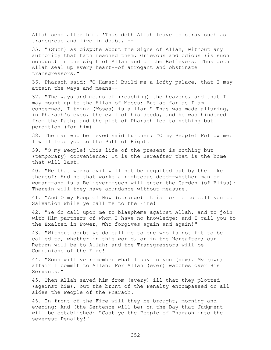Allah send after him. 'Thus doth Allah leave to stray such as transgress and live in doubt, --

35. "(Such) as dispute about the Signs of Allah, without any authority that hath reached them. Grievous and odious (is such conduct) in the sight of Allah and of the Believers. Thus doth Allah seal up every heart--of arrogant and obstinate transgressors."

36. Pharaoh said: "O Haman! Build me a lofty palace, that I may attain the ways and means--

37. "The ways and means of (reaching) the heavens, and that I may mount up to the Allah of Moses: But as far as I am concerned, I think (Moses) is a liar!" Thus was made alluring, in Pharaoh's eyes, the evil of his deeds, and he was hindered from the Path; and the plot of Pharaoh led to nothing but perdition (for him).

38. The man who believed said further: "O my People! Follow me: I will lead you to the Path of Right.

39. "O my People! This life of the present is nothing but (temporary) convenience: It is the Hereafter that is the home that will last.

40. "He that works evil will not be requited but by the like thereof: And he that works a righteous deed--whether man or woman--and is a Believer--such will enter the Garden (of Bliss): Therein will they have abundance without measure.

41. "And O my People! How (strange) it is for me to call you to Salvation while ye call me to the Fire!

42. "Ye do call upon me to blaspheme against Allah, and to join with Him partners of whom I have no knowledge; and I call you to the Exalted in Power, Who forgives again and again!"

43. "Without doubt ye do call me to one who is not fit to be called to, whether in this world, or in the Hereafter; our Return will be to Allah; and the Transgressors will be Companions of the Fire!

44. "Soon will ye remember what I say to you (now). My (own) affair I commit to Allah: For Allah (ever) watches over His Servants."

45. Then Allah saved him from (every) ill that they plotted (against him), but the brunt of the Penalty encompassed on all sides the People of the Pharaoh.

46. In front of the Fire will they be brought, morning and evening: And (the Sentence will be) on the Day that Judgment will be established: "Cast ye the People of Pharaoh into the severest Penalty!"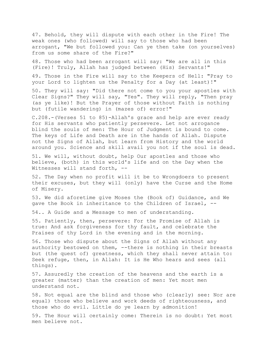47. Behold, they will dispute with each other in the Fire! The weak ones (who followed) will say to those who had been arrogant, "We but followed you: Can ye then take (on yourselves) from us some share of the Fire?"

48. Those who had been arrogant will say: "We are all in this (Fire)! Truly, Allah has judged between (His) Servants!"

49. Those in the Fire will say to the Keepers of Hell: "Pray to your Lord to lighten us the Penalty for a Day (at least)!"

50. They will say: "Did there not come to you your apostles with Clear Signs?" They will say, "Yes". They will reply, "Then pray (as ye like)! But the Prayer of those without Faith is nothing but (futile wandering) in (mazes of) error!"

C.208.-(Verses 51 to 85)-Allah's grace and help are ever ready for His servants who patiently persevere. Let not arrogance blind the souls of men: The Hour of Judgment is bound to come. The keys of Life and Death are in the hands of Allah. Dispute not the Signs of Allah, but learn from History and the world around you. Science and skill avail you not if the soul is dead.

51. We will, without doubt, help Our apostles and those who believe, (both) in this world's life and on the Day when the Witnesses will stand forth, --

52. The Day when no profit will it be to Wrongdoers to present their excuses, but they will (only) have the Curse and the Home of Misery.

53. We did aforetime give Moses the (Book of) Guidance, and We gave the Book in inheritance to the Children of Israel, --

54.. A Guide and a Message to men of understanding.

55. Patiently, then, persevere: For the Promise of Allah is true: And ask forgiveness for thy fault, and celebrate the Praises of thy Lord in the evening and in the morning.

56. Those who dispute about the Signs of Allah without any authority bestowed on them, --there is nothing in their breasts but (the quest of) greatness, which they shall never attain to: Seek refuge, then, in Allah: It is He Who hears and sees (all things).

57. Assuredly the creation of the heavens and the earth is a greater (matter) than the creation of men: Yet most men understand not.

58. Not equal are the blind and those who (clearly) see: Nor are equal) those who believe and work deeds of righteousness, and those who do evil. Little do ye learn by admonition!

59. The Hour will certainly come: Therein is no doubt: Yet most men believe not.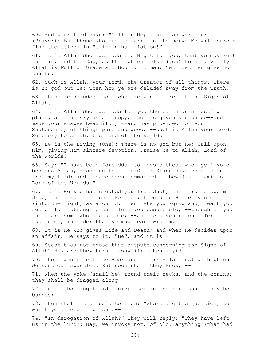60. And your Lord says: "Call on Me; I will answer your (Prayer): But those who are too arrogant to serve Me will surely find themselves in Hell--in humiliation!"

61. It is Allah Who has made the Night for you, that ye may rest therein, and the Day, as that which helps (you) to see. Verily Allah is Full of Grace and Bounty to men: Yet most men give no thanks.

62. Such is Allah, your Lord, the Creator of all things. There is no god but He: Then how ye are deluded away from the Truth!

63. Thus are deluded those who are wont to reject the Signs of Allah.

64. It is Allah Who has made for you the earth as a resting place, and the sky as a canopy, and has given you shape--and made your shapes beautiful, --and has provided for you Sustenance, of things pure and good; --such is Allah your Lord. So Glory to Allah, the Lord of the Worlds!

65. He is the Living (One): There is no god but He: Call upon Him, giving Him sincere devotion. Praise be to Allah, Lord of the Worlds!

66. Say: "I have been forbidden to invoke those whom ye invoke besides Allah, --seeing that the Clear Signs have come to me from my Lord; and I have been commanded to bow (in Islam) to the Lord of the Worlds."

67. It is He Who has created you from dust, then from a sperm drop, then from a leech like clot; then does He get you out (into the light) as a child: Then lets you (grow and) reach your age of full strength; then lets you become old, --though of you there are some who die before; --and lets you reach a Term appointed; in order that ye may learn wisdom.

68. It is He Who gives Life and Death; and when He decides upon an affair, He says to it, "Be", and it is.

69. Seest thou not those that dispute concerning the Signs of Allah? How are they turned away (from Reality)?

70. Those who reject the Book and the (revelations) with which We sent Our apostles: But soon shall they know, --

71. When the yoke (shall be) round their necks, and the chains; they shall be dragged along--

72. In the boiling fetid fluid; then in the Fire shall they be burned;

73. Then shall it be said to them: "Where are the (deities) to which ye gave part worship--

74. "In derogation of Allah?" They will reply: "They have left us in the lurch: Nay, we invoke not, of old, anything (that had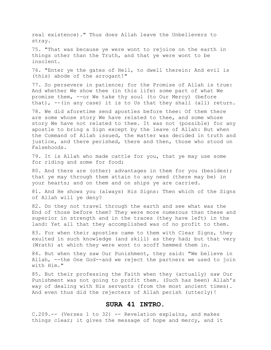real existence)." Thus does Allah leave the Unbelievers to stray. 75. "That was because ye were wont to rejoice on the earth in things other than the Truth, and that ye were wont to be insolent. 76. "Enter ye the gates of Hell, to dwell therein: And evil is (this) abode of the arrogant!" 77. So persevere in patience; for the Promise of Allah is true: And whether We show thee (in this life) some part of what We promise them, --or We take thy soul (to Our Mercy) (before that),  $-(-i\infty)$  case) it is to Us that they shall (all) return. 78. We did aforetime send apostles before thee: Of them there are some whose story We have related to thee, and some whose story We have not related to thee. It was not (possible) for any apostle to bring a Sign except by the leave of Allah: But when the Command of Allah issued, the matter was decided in truth and justice, and there perished, there and then, those who stood on Falsehoods. 79. It is Allah who made cattle for you, that ye may use some for riding and some for food; 80. And there are (other) advantages in them for you (besides); that ye may through them attain to any need (there may be) in your hearts; and on them and on ships ye are carried. 81. And He shows you (always) His Signs: Then which of the Signs of Allah will ye deny? 82. Do they not travel through the earth and see what was the End of those before them? They were more numerous than these and superior in strength and in the traces (they have left) in the land: Yet all that they accomplished was of no profit to them. 83. For when their apostles came to them with Clear Signs, they exulted in such knowledge (and skill) as they had; but that very (Wrath) at which they were wont to scoff hemmed them in. 84. But when they saw Our Punishment, they said: "We believe in Allah, --the One God--and we reject the partners we used to join with Him." 85. But their professing the Faith when they (actually) saw Our Punishment was not going to profit them. (Such has been) Allah's way of dealing with His servants (from the most ancient times). And even thus did the rejecters of Allah perish (utterly)!

# **SURA 41 INTRO.**

C.209.-- (Verses 1 to 32) -- Revelation explains, and makes things clear; it gives the message of hope and mercy, and it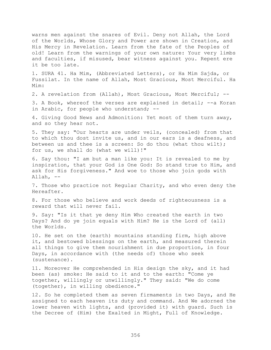warns men against the snares of Evil. Deny not Allah, the Lord of the Worlds, Whose Glory and Power are shown in Creation, and His Mercy in Revelation. Learn from the fate of the Peoples of old! Learn from the warnings of your own nature: Your very limbs and faculties, if misused, bear witness against you. Repent ere it be too late.

1. SURA 41. Ha Mim, (Abbreviated Letters), or Ha Mim Sajda, or Fussilat. In the name of Allah, Most Gracious, Most Merciful. Ha Mim:

2. A revelation from (Allah), Most Gracious, Most Merciful; --

3. A Book, whereof the verses are explained in detail; --a Koran in Arabic, for people who understand; --

4. Giving Good News and Admonition: Yet most of them turn away, and so they hear not.

5. They say: "Our hearts are under veils, (concealed) from that to which thou dost invite us, and in our ears is a deafness, and between us and thee is a screen: So do thou (what thou wilt); for us, we shall do (what we will)!"

6. Say thou: "I am but a man like you: It is revealed to me by inspiration, that your God is One God: So stand true to Him, and ask for His forgiveness." And woe to those who join gods with Allah, --

7. Those who practice not Regular Charity, and who even deny the Hereafter.

8. For those who believe and work deeds of righteousness is a reward that will never fail.

9. Say: "Is it that ye deny Him Who created the earth in two Days? And do ye join equals with Him? He is the Lord of (all) the Worlds.

10. He set on the (earth) mountains standing firm, high above it, and bestowed blessings on the earth, and measured therein all things to give them nourishment in due proportion, in four Days, in accordance with (the needs of) those who seek (sustenance).

11. Moreover He comprehended in His design the sky, and it had been (as) smoke: He said to it and to the earth: "Come ye together, willingly or unwillingly." They said: "We do come (together), in willing obedience."

12. So he completed them as seven firmaments in two Days, and He assigned to each heaven its duty and command. And We adorned the lower heaven with lights, and (provided it) with guard. Such is the Decree of (Him) the Exalted in Might, Full of Knowledge.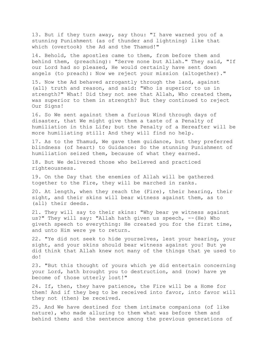13. But if they turn away, say thou: "I have warned you of a stunning Punishment (as of thunder and lightning) like that which (overtook) the Ad and the Thamud!"

14. Behold, the apostles came to them, from before them and behind them, (preaching): "Serve none but Allah." They said, "If our Lord had so pleased, He would certainly have sent down angels (to preach): Now we reject your mission (altogether)."

15. Now the Ad behaved arrogantly through the land, against (all) truth and reason, and said: "Who is superior to us in strength?" What! Did they not see that Allah, Who created them, was superior to them in strength? But they continued to reject Our Signs!

16. So We sent against them a furious Wind through days of disaster, that We might give them a taste of a Penalty of humiliation in this Life; but the Penalty of a Hereafter will be more humiliating still: And they will find no help.

17. As to the Thamud, We gave them guidance, but they preferred blindness (of heart) to Guidance: So the stunning Punishment of humiliation seized them, because of what they earned.

18. But We delivered those who believed and practiced righteousness.

19. On the Day that the enemies of Allah will be gathered together to the Fire, they will be marched in ranks.

20. At length, when they reach the (Fire), their hearing, their sight, and their skins will bear witness against them, as to (all) their deeds.

21. They will say to their skins: "Why bear ye witness against us?" They will say: "Allah hath given us speech, -- (He) Who giveth speech to everything: He created you for the first time, and unto Him were ye to return.

22. "Ye did not seek to hide yourselves, lest your hearing, your sight, and your skins should bear witness against you! But ye did think that Allah knew not many of the things that ye used to do!

23. "But this thought of yours which ye did entertain concerning your Lord, hath brought you to destruction, and (now) have ye become of those utterly lost!"

24. If, then, they have patience, the Fire will be a Home for them! And if they beg to be received into favor, into favor will they not (then) be received.

25. And We have destined for them intimate companions (of like nature), who made alluring to them what was before them and behind them; and the sentence among the previous generations of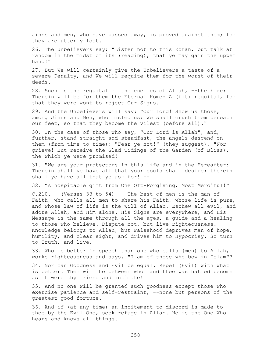Jinns and men, who have passed away, is proved against them; for they are utterly lost.

26. The Unbelievers say: "Listen not to this Koran, but talk at random in the midst of its (reading), that ye may gain the upper hand!"

27. But We will certainly give the Unbelievers a taste of a severe Penalty, and We will requite them for the worst of their deeds.

28. Such is the requital of the enemies of Allah, --the Fire: Therein will be for them the Eternal Home: A (fit) requital, for that they were wont to reject Our Signs.

29. And the Unbelievers will say: "Our Lord! Show us those, among Jinns and Men, who misled us: We shall crush them beneath our feet, so that they become the vilest (before all)."

30. In the case of those who say, "Our Lord is Allah", and, further, stand straight and steadfast, the angels descend on them (from time to time): "Fear ye not!" (they suggest), "Nor grieve! But receive the Glad Tidings of the Garden (of Bliss), the which ye were promised!

31. "We are your protectors in this life and in the Hereafter: Therein shall ye have all that your souls shall desire; therein shall ye have all that ye ask for! --

32. "A hospitable gift from One Oft-Forgiving, Most Merciful!"

C.210.-- (Verses 33 to 54) -- The best of men is the man of Faith, who calls all men to share his Faith, whose life is pure, and whose law of life is the Will of Allah. Eschew all evil, and adore Allah, and Him alone. His Signs are everywhere, and His Message is the same through all the ages, a guide and a healing to those who believe. Dispute not, but live righteousness. Knowledge belongs to Allah, but Falsehood deprives man of hope, humility, and clear sight, and drives him to Hypocrisy. So turn to Truth, and live.

33. Who is better in speech than one who calls (men) to Allah, works righteousness and says, "I am of those who bow in Islam"?

34. Nor can Goodness and Evil be equal. Repel (Evil) with what is better: Then will he between whom and thee was hatred become as it were thy friend and intimate!

35. And no one will be granted such goodness except those who exercise patience and self-restraint, --none but persons of the greatest good fortune.

36. And if (at any time) an incitement to discord is made to thee by the Evil One, seek refuge in Allah. He is the One Who hears and knows all things.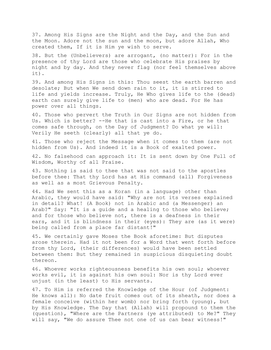37. Among His Signs are the Night and the Day, and the Sun and the Moon. Adore not the sun and the moon, but adore Allah, Who created them, If it is Him ye wish to serve.

38. But the (Unbelievers) are arrogant, (no matter): For in the presence of thy Lord are those who celebrate His praises by night and by day. And they never flag (nor feel themselves above it).

39. And among His Signs in this: Thou seest the earth barren and desolate; But when We send down rain to it, it is stirred to life and yields increase. Truly, He Who gives life to the (dead) earth can surely give life to (men) who are dead. For He has power over all things.

40. Those who pervert the Truth in Our Signs are not hidden from Us. Which is better? --He that is cast into a Fire, or he that comes safe through, on the Day of Judgment? Do what ye will: Verily He seeth (clearly) all that ye do.

41. Those who reject the Message when it comes to them (are not hidden from Us). And indeed it is a Book of exalted power.

42. No falsehood can approach it: It is sent down by One Full of Wisdom, Worthy of all Praise.

43. Nothing is said to thee that was not said to the apostles before thee: That thy Lord has at His command (all) Forgiveness as well as a most Grievous Penalty.

44. Had We sent this as a Koran (in a language) other than Arabic, they would have said: "Why are not its verses explained in detail? What! (A Book) not in Arabic and (a Messenger) an Arab?" Say: "It is a guide and a healing to those who believe; and for those who believe not, there is a deafness in their ears, and it is blindness in their (eyes): They are (as it were) being called from a place far distant!"

45. We certainly gave Moses the Book aforetime: But disputes arose therein. Had it not been for a Word that went forth before from thy Lord, (their differences) would have been settled between them: But they remained in suspicious disquieting doubt thereon.

46. Whoever works righteousness benefits his own soul; whoever works evil, it is against his own soul: Nor is thy Lord ever unjust (in the least) to His servants.

47. To Him is referred the Knowledge of the Hour (of Judgment: He knows all): No date fruit comes out of its sheath, nor does a female conceive (within her womb) nor bring forth (young), but by His Knowledge. The Day that (Allah) will propound to them the (question), "Where are the Partners (ye attributed) to Me?" They will say, "We do assure Thee not one of us can bear witness!"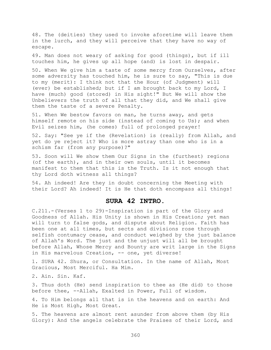48. The (deities) they used to invoke aforetime will leave them in the lurch, and they will perceive that they have no way of escape.

49. Man does not weary of asking for good (things), but if ill touches him, he gives up all hope (and) is lost in despair.

50. When We give him a taste of some mercy from Ourselves, after some adversity has touched him, he is sure to say, "This is due to my (merit): I think not that the Hour (of Judgment) will (ever) be established; but if I am brought back to my Lord, I have (much) good (stored) in His sight!" But We will show the Unbelievers the truth of all that they did, and We shall give them the taste of a severe Penalty.

51. When We bestow favors on man, he turns away, and gets himself remote on his side (instead of coming to Us); and when Evil seizes him, (he comes) full of prolonged prayer!

52. Say: "See ye if the (Revelation) is (really) from Allah, and yet do ye reject it? Who is more astray than one who is in a schism far (from any purpose)?"

53. Soon will We show them Our Signs in the (furthest) regions (of the earth), and in their own souls, until it becomes manifest to them that this is the Truth. Is it not enough that thy Lord doth witness all things?

54. Ah indeed! Are they in doubt concerning the Meeting with their Lord? Ah indeed! It is He that doth encompass all things!

## **SURA 42 INTRO.**

C.211.-(Verses 1 to 29)-Inspiration is part of the Glory and Goodness of Allah. His Unity is shown in His Creation; yet man will turn to false gods, and dispute about Religion. Faith has been one at all times, but sects and divisions rose through selfish contumacy cease, and conduct weighed by the just balance of Allah's Word. The just and the unjust will all be brought before Allah, Whose Mercy and Bounty are writ large in the Signs in His marvelous Creation, -- one, yet diverse!

1. SURA 42. Shura, or Consultation. In the name of Allah, Most Gracious, Most Merciful. Ha Mim.

2. Ain. Sin. Kaf.

3. Thus doth (He) send inspiration to thee as (He did) to those before thee, --Allah, Exalted in Power, Full of wisdom.

4. To Him belongs all that is in the heavens and on earth: And He is Most High, Most Great.

5. The heavens are almost rent asunder from above them (by His Glory): And the angels celebrate the Praises of their Lord, and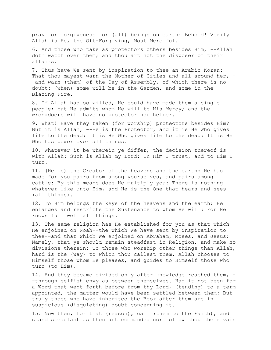pray for forgiveness for (all) beings on earth: Behold! Verily Allah is He, the Oft-Forgiving, Most Merciful.

6. And those who take as protectors others besides Him, --Allah doth watch over them; and thou art not the disposer of their affairs.

7. Thus have We sent by inspiration to thee an Arabic Koran: That thou mayest warn the Mother of Cities and all around her, --and warn (them) of the Day of Assembly, of which there is no doubt: (when) some will be in the Garden, and some in the Blazing Fire.

8. If Allah had so willed, He could have made them a single people; but He admits whom He will to His Mercy; and the wrongdoers will have no protector nor helper.

9. What! Have they taken (for worship) protectors besides Him? But it is Allah, --He is the Protector, and it is He Who gives life to the dead: It is He Who gives life to the dead: It is He Who has power over all things.

10. Whatever it be wherein ye differ, the decision thereof is with Allah: Such is Allah my Lord: In Him I trust, and to Him I turn.

11. (He is) the Creator of the heavens and the earth: He has made for you pairs from among yourselves, and pairs among cattle: By this means does He multiply you: There is nothing whatever like unto Him, and He is the One that hears and sees (all things).

12. To Him belongs the keys of the heavens and the earth: He enlarges and restricts the Sustenance to whom He will: For He knows full well all things.

13. The same religion has He established for you as that which He enjoined on Noah--the which We have sent by inspiration to thee--and that which We enjoined on Abraham, Moses, and Jesus: Namely, that ye should remain steadfast in Religion, and make no divisions therein: To those who worship other things than Allah, hard is the (way) to which thou callest them. Allah chooses to Himself those whom He pleases, and guides to Himself those who turn (to Him).

14. And they became divided only after knowledge reached them, - -through selfish envy as between themselves. Had it not been for a Word that went forth before from thy Lord, (tending) to a term appointed, the matter would have been settled between them: But truly those who have inherited the Book after them are in suspicious (disquieting) doubt concerning it.

15. Now then, for that (reason), call (them to the Faith), and stand steadfast as thou art commanded nor follow thou their vain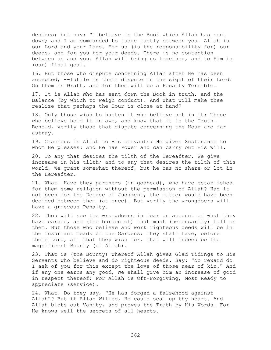desires; but say: "I believe in the Book which Allah has sent down; and I am commanded to judge justly between you. Allah is our Lord and your Lord. For us (is the responsibility for) our deeds, and for you for your deeds. There is no contention between us and you. Allah will bring us together, and to Him is (our) final goal.

16. But those who dispute concerning Allah after He has been accepted, --futile is their dispute in the sight of their Lord: On them is Wrath, and for them will be a Penalty Terrible.

17. It is Allah Who has sent down the Book in truth, and the Balance (by which to weigh conduct). And what will make thee realize that perhaps the Hour is close at hand?

18. Only those wish to hasten it who believe not in it: Those who believe hold it in awe, and know that it is the Truth. Behold, verily those that dispute concerning the Hour are far astray.

19. Gracious is Allah to His servants: He gives Sustenance to whom He pleases: And He has Power and can carry out His Will.

20. To any that desires the tilth of the Hereafter, We give increase in his tilth; and to any that desires the tilth of this world, We grant somewhat thereof, but he has no share or lot in the Hereafter.

21. What! Have they partners (in godhead), who have established for them some religion without the permission of Allah? Had it not been for the Decree of Judgment, the matter would have been decided between them (at once). But verily the wrongdoers will have a grievous Penalty.

22. Thou wilt see the wrongdoers in fear on account of what they have earned, and (the burden of) that must (necessarily) fall on them. But those who believe and work righteous deeds will be in the luxuriant meads of the Gardens: They shall have, before their Lord, all that they wish for. That will indeed be the magnificent Bounty (of Allah).

23. That is (the Bounty) whereof Allah gives Glad Tidings to His Servants who believe and do righteous deeds. Say: "No reward do I ask of you for this except the love of those near of kin." And if any one earns any good, We shall give him an increase of good in respect thereof: For Allah is Oft-Forgiving, Most Ready to appreciate (service).

24. What! Do they say, "He has forged a falsehood against Allah"? But if Allah Willed, He could seal up thy heart. And Allah blots out Vanity, and proves the Truth by His Words. For He knows well the secrets of all hearts.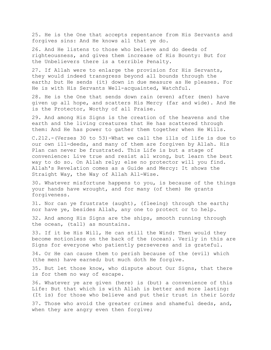25. He is the One that accepts repentance from His Servants and forgives sins: And He knows all that ye do.

26. And He listens to those who believe and do deeds of righteousness, and gives them increase of His Bounty: But for the Unbelievers there is a terrible Penalty.

27. If Allah were to enlarge the provision for His Servants, they would indeed transgress beyond all bounds through the earth; but He sends (it) down in due measure as He pleases. For He is with His Servants Well-acquainted, Watchful.

28. He is the One that sends down rain (even) after (men) have given up all hope, and scatters His Mercy (far and wide). And He is the Protector, Worthy of all Praise.

29. And among His Signs is the creation of the heavens and the earth and the living creatures that He has scattered through them: And He has power to gather them together when He Wills.

C.212.-(Verses 30 to 53)-What we call the ills of life is due to our own ill-deeds, and many of them are forgiven by Allah. His Plan can never be frustrated. This Life is but a stage of convenience: Live true and resist all wrong, but learn the best way to do so. On Allah rely; else no protector will you find. Allah's Revelation comes as a Guide and Mercy: It shows the Straight Way, the Way of Allah All-Wise.

30. Whatever misfortune happens to you, is because of the things your hands have wrought, and for many (of them) He grants forgiveness.

31. Nor can ye frustrate (aught), (fleeing) through the earth; nor have ye, besides Allah, any one to protect or to help.

32. And among His Signs are the ships, smooth running through the ocean, (tall) as mountains.

33. If it be His Will, He can still the Wind: Then would they become motionless on the back of the (ocean). Verily in this are Signs for everyone who patiently perseveres and is grateful.

34. Or He can cause them to perish because of the (evil) which (the men) have earned; but much doth He forgive.

35. But let those know, who dispute about Our Signs, that there is for them no way of escape.

36. Whatever ye are given (here) is (but) a convenience of this Life: But that which is with Allah is better and more lasting: (It is) for those who believe and put their trust in their Lord;

37. Those who avoid the greater crimes and shameful deeds, and, when they are angry even then forgive;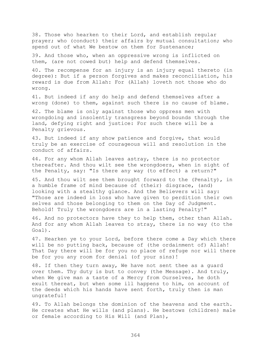38. Those who hearken to their Lord, and establish regular prayer; who (conduct) their affairs by mutual consultation; who spend out of what We bestow on them for Sustenance;

39. And those who, when an oppressive wrong is inflicted on them, (are not cowed but) help and defend themselves.

40. The recompense for an injury is an injury equal thereto (in degree): But if a person forgives and makes reconciliation, his reward is due from Allah: For (Allah) loveth not those who do wrong.

41. But indeed if any do help and defend themselves after a wrong (done) to them, against such there is no cause of blame.

42. The blame is only against those who oppress men with wrongdoing and insolently transgress beyond bounds through the land, defying right and justice: For such there will be a Penalty grievous.

43. But indeed if any show patience and forgive, that would truly be an exercise of courageous will and resolution in the conduct of affairs.

44. For any whom Allah leaves astray, there is no protector thereafter. And thou wilt see the wrongdoers, when in sight of the Penalty, say: "Is there any way (to effect) a return?"

45. And thou wilt see them brought forward to the (Penalty), in a humble frame of mind because of (their) disgrace, (and) looking with a stealthy glance. And the Believers will say: "Those are indeed in loss who have given to perdition their own selves and those belonging to them on the Day of Judgment. Behold! Truly the wrongdoers are in a lasting Penalty!"

46. And no protectors have they to help them, other than Allah. And for any whom Allah leaves to stray, there is no way (to the Goal).

47. Hearken ye to your Lord, before there come a Day which there will be no putting back, because of (the ordainment of) Allah! That Day there will be for you no place of refuge nor will there be for you any room for denial (of your sins)!

48. If then they turn away, We have not sent thee as a guard over them. Thy duty is but to convey (the Message). And truly, when We give man a taste of a Mercy from Ourselves, he doth exult thereat, but when some ill happens to him, on account of the deeds which his hands have sent forth, truly then is man ungrateful!

49. To Allah belongs the dominion of the heavens and the earth. He creates what He wills (and plans). He bestows (children) male or female according to His Will (and Plan),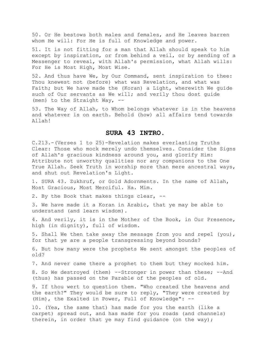50. Or He bestows both males and females, and He leaves barren whom He will: For He is full of Knowledge and power.

51. It is not fitting for a man that Allah should speak to him except by inspiration, or from behind a veil, or by sending of a Messenger to reveal, with Allah's permission, what Allah wills: For He is Most High, Most Wise.

52. And thus have We, by Our Command, sent inspiration to thee: Thou knewest not (before) what was Revelation, and what was Faith; but We have made the (Koran) a Light, wherewith We guide such of Our servants as We will; and verily thou dost guide (men) to the Straight Way, --

53. The Way of Allah, to Whom belongs whatever is in the heavens and whatever is on earth. Behold (how) all affairs tend towards Allah!

## **SURA 43 INTRO.**

C.213.-(Verses 1 to 25)-Revelation makes everlasting Truths Clear: Those who mock merely undo themselves. Consider the Signs of Allah's gracious kindness around you, and glorify Him: Attribute not unworthy qualities nor any companions to the One True Allah. Seek Truth in worship more than mere ancestral ways, and shut out Revelation's Light.

1. SURA 43. Zukhruf, or Gold Adornments. In the name of Allah, Most Gracious, Most Merciful. Ha. Mim.

2. By the Book that makes things clear, --

3. We have made it a Koran in Arabic, that ye may be able to understand (and learn wisdom).

4. And verily, it is in the Mother of the Book, in Our Presence, high (in dignity), full of wisdom.

5. Shall We then take away the message from you and repel (you), for that ye are a people transgressing beyond bounds?

6. But how many were the prophets We sent amongst the peoples of old?

7. And never came there a prophet to them but they mocked him.

8. So We destroyed (them) --Stronger in power than these; --And (thus) has passed on the Parable of the peoples of old.

9. If thou wert to question them. "Who created the heavens and the earth?" They would be sure to reply, "They were created by (Him), the Exalted in Power, Full of Knowledge": --

10. (Yea, the same that) has made for you the earth (like a carpet) spread out, and has made for you roads (and channels) therein, in order that ye may find guidance (on the way);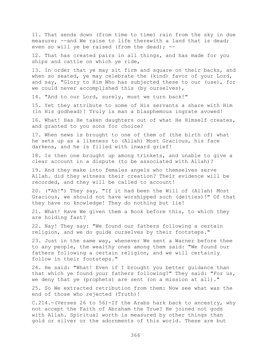11. That sends down (from time to time) rain from the sky in due measure; --and We raise to life therewith a land that is dead; even so will ye be raised (from the dead);  $-$ 

12. That has created pairs in all things, and has made for you ships and cattle on which ye ride,

13. In order that ye may sit firm and square on their backs, and when so seated, ye may celebrate the (kind) favor of your Lord, and say, "Glory to Him Who has subjected these to our (use), for we could never accomplished this (by ourselves),

14. "And to our Lord, surely, must we turn back!"

15. Yet they attribute to some of His servants a share with Him (in His godhead)! Truly is man a blasphemous ingrate avowed!

16. What! Has He taken daughters out of what He Himself creates, and granted to you sons for choice?

17. When news is brought to one of them of (the birth of) what he sets up as a likeness to (Allah) Most Gracious, his face darkens, and he is filled with inward grief!

18. Is then one brought up among trinkets, and unable to give a clear account in a dispute (to be associated with Allah)?

19. And they make into females angels who themselves serve Allah. did they witness their creation? Their evidence will be recorded, and they will be called to account!

20. ("Ah!") They say, "If it had been the Will of (Allah) Most Gracious, we should not have worshipped such (deities)!" Of that they have no knowledge! They do nothing but lie!

21. What! Have We given them a Book before this, to which they are holding fast?

22. Nay! They say: "We found our fathers following a certain religion, and we do guide ourselves by their footsteps."

23. Just in the same way, whenever We sent a Warner before thee to any people, the wealthy ones among them said: "We found our fathers following a certain religion, and we will certainly follow in their footsteps."

24. He said: "What! Even if I brought you better guidance than that which ye found your fathers following?" They said: "For us, we deny that ye (prophets) are sent (on a mission at all)."

25. So We extracted retribution from them: Now see what was the end of those who rejected (Truth)!

C.214.-(Verses 26 to 56)-If the Arabs hark back to ancestry, why not accept the Faith of Abraham the True? He joined not gods with Allah. Spiritual worth is measured by other things than gold or silver or the adornments of this world. These are but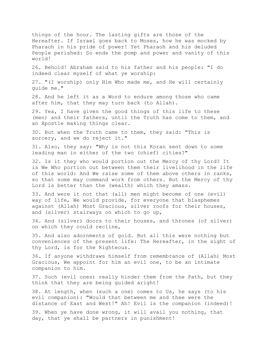things of the hour. The lasting gifts are those of the Hereafter. If Israel goes back to Moses, how he was mocked by Pharaoh in his pride of power! Yet Pharaoh and his deluded People perished: So ends the pomp and power and vanity of this world! 26. Behold! Abraham said to his father and his people: "I do indeed clear myself of what ye worship: 27. "(I worship) only Him Who made me, and He will certainly guide me." 28. And he left it as a Word to endure among those who came after him, that they may turn back (to Allah). 29. Yea, I have given the good things of this life to these (men) and their fathers, until the Truth has come to them, and an Apostle making things clear. 30. But when the Truth came to them, they said: "This is sorcery, and we do reject it." 31. Also, they say: "Why is not this Koran sent down to some leading man in either of the two (chief) cities?" 32. Is it they who would portion out the Mercy of thy Lord? It is We Who portion out between them their livelihood in the life of this world: And We raise some of them above others in ranks, so that some may command work from others. But the Mercy of thy Lord is better than the (wealth) which they amass. 33. And were it not that (all) men might become of one (evil) way of life, We would provide, for everyone that blasphemes against (Allah) Most Gracious, silver roofs for their houses, and (silver) stairways on which to go up, 34. And (silver) doors to their houses, and thrones (of silver) on which they could recline, 35. And also adornments of gold. But all this were nothing but conveniences of the present life: The Hereafter, in the sight of thy Lord, is for the Righteous. 36. If anyone withdraws himself from remembrance of (Allah) Most Gracious, We appoint for him an evil one, to be an intimate companion to him. 37. Such (evil ones) really hinder them from the Path, but they think that they are being guided aright! 38. At length, when (such a one) comes to Us, he says (to his evil companion): "Would that between me and thee were the distance of East and West!" Ah! Evil is the companion (indeed)!

39. When ye have done wrong, it will avail you nothing, that day, that ye shall be partners in punishment!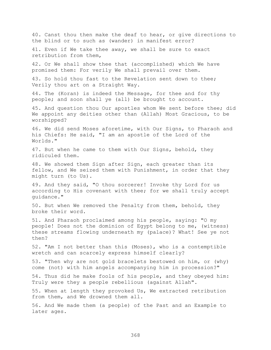40. Canst thou then make the deaf to hear, or give directions to the blind or to such as (wander) in manifest error? 41. Even if We take thee away, we shall be sure to exact retribution from them, 42. Or We shall show thee that (accomplished) which We have promised them: For verily We shall prevail over them. 43. So hold thou fast to the Revelation sent down to thee; Verily thou art on a Straight Way. 44. The (Koran) is indeed the Message, for thee and for thy people; and soon shall ye (all) be brought to account. 45. And question thou Our apostles whom We sent before thee; did We appoint any deities other than (Allah) Most Gracious, to be worshipped? 46. We did send Moses aforetime, with Our Signs, to Pharaoh and his Chiefs: He said, "I am an apostle of the Lord of the Worlds." 47. But when he came to them with Our Signs, behold, they ridiculed them. 48. We showed them Sign after Sign, each greater than its fellow, and We seized them with Punishment, in order that they might turn (to Us). 49. And they said, "O thou sorcerer! Invoke thy Lord for us according to His covenant with thee; for we shall truly accept guidance." 50. But when We removed the Penalty from them, behold, they broke their word. 51. And Pharaoh proclaimed among his people, saying: "O my people! Does not the dominion of Egypt belong to me, (witness) these streams flowing underneath my (palace)? What! See ye not then? 52. "Am I not better than this (Moses), who is a contemptible wretch and can scarcely express himself clearly? 53. "Then why are not gold bracelets bestowed on him, or (why) come (not) with him angels accompanying him in procession?" 54. Thus did he make fools of his people, and they obeyed him: Truly were they a people rebellious (against Allah". 55. When at length they provoked Us, We extracted retribution from them, and We drowned them all. 56. And We made them (a people) of the Past and an Example to later ages.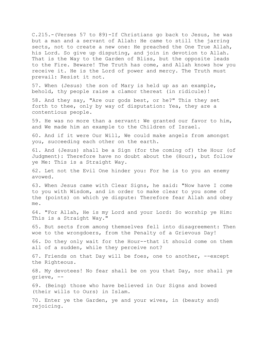C.215.-(Verses 57 to 89)-If Christians go back to Jesus, he was but a man and a servant of Allah: He came to still the jarring sects, not to create a new one: He preached the One True Allah, his Lord. So give up disputing, and join in devotion to Allah. That is the Way to the Garden of Bliss, but the opposite leads to the Fire. Beware! The Truth has come, and Allah knows how you receive it. He is the Lord of power and mercy. The Truth must prevail: Resist it not.

57. When (Jesus) the son of Mary is held up as an example, behold, thy people raise a clamor thereat (in ridicule)!

58. And they say, "Are our gods best, or he?" This they set forth to thee, only by way of disputation: Yea, they are a contentious people.

59. He was no more than a servant: We granted our favor to him, and We made him an example to the Children of Israel.

60. And if it were Our Will, We could make angels from amongst you, succeeding each other on the earth.

61. And (Jesus) shall be a Sign (for the coming of) the Hour (of Judgment): Therefore have no doubt about the (Hour), but follow ye Me: This is a Straight Way.

62. Let not the Evil One hinder you: For he is to you an enemy avowed.

63. When Jesus came with Clear Signs, he said: "Now have I come to you with Wisdom, and in order to make clear to you some of the (points) on which ye dispute: Therefore fear Allah and obey me.

64. "For Allah, He is my Lord and your Lord: So worship ye Him: This is a Straight Way."

65. But sects from among themselves fell into disagreement: Then woe to the wrongdoers, from the Penalty of a Grievous Day!

66. Do they only wait for the Hour--that it should come on them all of a sudden, while they perceive not?

67. Friends on that Day will be foes, one to another, --except the Righteous.

68. My devotees! No fear shall be on you that Day, nor shall ye grieve, --

69. (Being) those who have believed in Our Signs and bowed (their wills to Ours) in Islam.

70. Enter ye the Garden, ye and your wives, in (beauty and) rejoicing.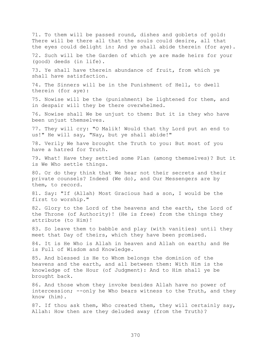71. To them will be passed round, dishes and goblets of gold: There will be there all that the souls could desire, all that the eyes could delight in: And ye shall abide therein (for aye). 72. Such will be the Garden of which ye are made heirs for your (good) deeds (in life). 73. Ye shall have therein abundance of fruit, from which ye shall have satisfaction. 74. The Sinners will be in the Punishment of Hell, to dwell therein (for aye): 75. Nowise will be the (punishment) be lightened for them, and in despair will they be there overwhelmed. 76. Nowise shall We be unjust to them: But it is they who have been unjust themselves. 77. They will cry: "O Malik! Would that thy Lord put an end to us!" He will say, "Nay, but ye shall abide!" 78. Verily We have brought the Truth to you: But most of you have a hatred for Truth. 79. What! Have they settled some Plan (among themselves)? But it is We Who settle things. 80. Or do they think that We hear not their secrets and their private counsels? Indeed (We do), and Our Messengers are by them, to record. 81. Say: "If (Allah) Most Gracious had a son, I would be the first to worship." 82. Glory to the Lord of the heavens and the earth, the Lord of the Throne (of Authority)! (He is free) from the things they attribute (to Him)! 83. So leave them to babble and play (with vanities) until they meet that Day of theirs, which they have been promised. 84. It is He Who is Allah in heaven and Allah on earth; and He is Full of Wisdom and Knowledge. 85. And blessed is He to Whom belongs the dominion of the heavens and the earth, and all between them: With Him is the knowledge of the Hour (of Judgment): And to Him shall ye be brought back. 86. And those whom they invoke besides Allah have no power of intercession; --only he Who bears witness to the Truth, and they know (him). 87. If thou ask them, Who created them, they will certainly say, Allah: How then are they deluded away (from the Truth)?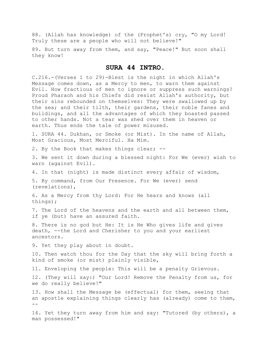88. (Allah has knowledge) of the (Prophet's) cry, "O my Lord! Truly these are a people who will not believe!"

89. But turn away from them, and say, "Peace!" But soon shall they know!

## **SURA 44 INTRO.**

C.216.-(Verses 1 to 29)-Blest is the night in which Allah's Message comes down, as a Mercy to men, to warn them against Evil. How fractious of men to ignore or suppress such warnings? Proud Pharaoh and his Chiefs did resist Allah's authority, but their sins rebounded on themselves: They were swallowed up by the sea; and their tilth, their gardens, their noble fanes and buildings, and all the advantages of which they boasted passed to other hands. Not a tear was shed over them in heaven or earth. Thus ends the tale of power misused.

1. SURA 44. Dukhan, or Smoke (or Mist). In the name of Allah, Most Gracious, Most Merciful. Ha Mim.

2. By the Book that makes things clear; --

3. We sent it down during a blessed night: For We (ever) wish to warn (against Evil).

4. In that (night) is made distinct every affair of wisdom,

5. By command, from Our Presence. For We (ever) send (revelations),

6. As a Mercy from thy Lord: For He hears and knows (all things);

7. The Lord of the heavens and the earth and all between them, if ye (but) have an assured faith.

8. There is no god but He: It is He Who gives life and gives death, --the Lord and Cherisher to you and your earliest ancestors.

9. Yet they play about in doubt.

10. Then watch thou for the Day that the sky will bring forth a kind of smoke (or mist) plainly visible,

11. Enveloping the people: This will be a penalty Grievous.

12. (They will say:) "Our Lord! Remove the Penalty from us, for we do really believe!"

13. How shall the Message be (effectual) for them, seeing that an apostle explaining things clearly has (already) come to them, --

14. Yet they turn away from him and say: "Tutored (by others), a man possessed!"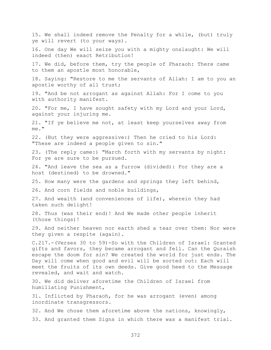15. We shall indeed remove the Penalty for a while, (but) truly ye will revert (to your ways). 16. One day We will seize you with a mighty onslaught: We will indeed (then) exact Retribution! 17. We did, before them, try the people of Pharaoh: There came to them an apostle most honorable, 18. Saying: "Restore to me the servants of Allah: I am to you an apostle worthy of all trust; 19. "And be not arrogant as against Allah: For I come to you with authority manifest. 20. "For me, I have sought safety with my Lord and your Lord, against your injuring me. 21. "If ye believe me not, at least keep yourselves away from me." 22. (But they were aggressive:) Then he cried to his Lord: "These are indeed a people given to sin." 23. (The reply came:) "March forth with my servants by night: For ye are sure to be pursued. 24. "And leave the sea as a furrow (divided): For they are a host (destined) to be drowned." 25. How many were the gardens and springs they left behind, 26. And corn fields and noble buildings, 27. And wealth (and conveniences of life), wherein they had taken such delight! 28. Thus (was their end)! And We made other people inherit (those things)! 29. And neither heaven nor earth shed a tear over them: Nor were they given a respite (again). C.217.-(Verses 30 to 59)-So with the Children of Israel: Granted gifts and favors, they became arrogant and fell. Can the Quraish escape the doom for sin? We created the world for just ends. The Day will come when good and evil will be sorted out: Each will meet the fruits of its own deeds. Give good heed to the Message revealed, and wait and watch. 30. We did deliver aforetime the Children of Israel from humiliating Punishment, 31. Inflicted by Pharaoh, for he was arrogant (even) among inordinate transgressors. 32. And We chose them aforetime above the nations, knowingly, 33. And granted them Signs in which there was a manifest trial.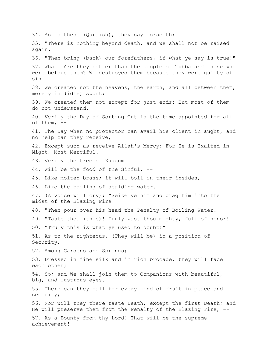34. As to these (Quraish), they say forsooth: 35. "There is nothing beyond death, and we shall not be raised again. 36. "Then bring (back) our forefathers, if what ye say is true!" 37. What! Are they better than the people of Tubba and those who were before them? We destroyed them because they were guilty of sin. 38. We created not the heavens, the earth, and all between them, merely in (idle) sport: 39. We created them not except for just ends: But most of them do not understand. 40. Verily the Day of Sorting Out is the time appointed for all of them, -- 41. The Day when no protector can avail his client in aught, and no help can they receive, 42. Except such as receive Allah's Mercy: For He is Exalted in Might, Most Merciful. 43. Verily the tree of Zaqqum 44. Will be the food of the Sinful, -- 45. Like molten brass; it will boil in their insides, 46. Like the boiling of scalding water. 47. (A voice will cry): "Seize ye him and drag him into the midst of the Blazing Fire! 48. "Then pour over his head the Penalty of Boiling Water. 49. "Taste thou (this)! Truly wast thou mighty, full of honor! 50. "Truly this is what ye used to doubt!" 51. As to the righteous, (They will be) in a position of Security, 52. Among Gardens and Springs; 53. Dressed in fine silk and in rich brocade, they will face each other; 54. So; and We shall join them to Companions with beautiful, big, and lustrous eyes. 55. There can they call for every kind of fruit in peace and security; 56. Nor will they there taste Death, except the first Death; and He will preserve them from the Penalty of the Blazing Fire, -- 57. As a Bounty from thy Lord! That will be the supreme achievement!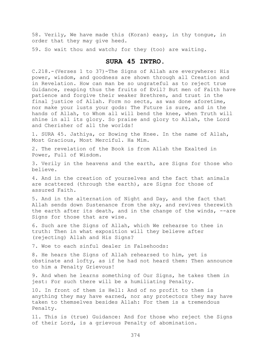58. Verily, We have made this (Koran) easy, in thy tongue, in order that they may give heed.

59. So wait thou and watch; for they (too) are waiting.

# **SURA 45 INTRO.**

C.218.-(Verses 1 to 37)-The Signs of Allah are everywhere: His power, wisdom, and goodness are shown through all Creation and in Revelation. How can man be so ungrateful as to reject true Guidance, reaping thus the fruits of Evil? But men of Faith have patience and forgive their weaker Brethren, and trust in the final justice of Allah. Form no sects, as was done aforetime, nor make your lusts your gods: The Future is sure, and in the hands of Allah, to Whom all will bend the knee, when Truth will shine in all its glory. So praise and glory to Allah, the Lord and Cherisher of all the worlds!

1. SURA 45. Jathiya, or Bowing the Knee. In the name of Allah, Most Gracious, Most Merciful. Ha Mim.

2. The revelation of the Book is from Allah the Exalted in Power, Full of Wisdom.

3. Verily in the heavens and the earth, are Signs for those who believe.

4. And in the creation of yourselves and the fact that animals are scattered (through the earth), are Signs for those of assured Faith.

5. And in the alternation of Night and Day, and the fact that Allah sends down Sustenance from the sky, and revives therewith the earth after its death, and in the change of the winds, --are Signs for those that are wise.

6. Such are the Signs of Allah, which We rehearse to thee in truth: Then in what exposition will they believe after (rejecting) Allah and His Signs?

7. Woe to each sinful dealer in Falsehoods:

8. He hears the Signs of Allah rehearsed to him, yet is obstinate and lofty, as if he had not heard them: Then announce to him a Penalty Grievous!

9. And when he learns something of Our Signs, he takes them in jest: For such there will be a humiliating Penalty.

10. In front of them is Hell: And of no profit to them is anything they may have earned, nor any protectors they may have taken to themselves besides Allah: For them is a tremendous Penalty.

11. This is (true) Guidance: And for those who reject the Signs of their Lord, is a grievous Penalty of abomination.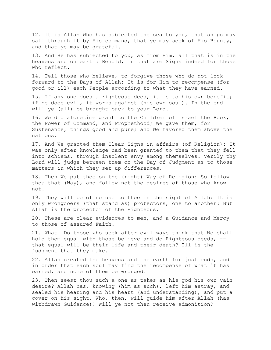12. It is Allah Who has subjected the sea to you, that ships may sail through it by His command, that ye may seek of His Bounty, and that ye may be grateful.

13. And He has subjected to you, as from Him, all that is in the heavens and on earth: Behold, in that are Signs indeed for those who reflect.

14. Tell those who believe, to forgive those who do not look forward to the Days of Allah: It is for Him to recompense (for good or ill) each People according to what they have earned.

15. If any one does a righteous deed, it is to his own benefit; if he does evil, it works against (his own soul). In the end will ye (all) be brought back to your Lord.

16. We did aforetime grant to the Children of Israel the Book, the Power of Command, and Prophethood; We gave them, for Sustenance, things good and pure; and We favored them above the nations.

17. And We granted them Clear Signs in affairs (of Religion): It was only after knowledge had been granted to them that they fell into schisms, through insolent envy among themselves. Verily thy Lord will judge between them on the Day of Judgment as to those matters in which they set up differences.

18. Then We put thee on the (right) Way of Religion: So follow thou that (Way), and follow not the desires of those who know not.

19. They will be of no use to thee in the sight of Allah: It is only wrongdoers (that stand as) protectors, one to another: But Allah is the protector of the Righteous.

20. These are clear evidences to men, and a Guidance and Mercy to those of assured Faith.

21. What! Do those who seek after evil ways think that We shall hold them equal with those believe and do Righteous deeds, -that equal will be their life and their death? Ill is the judgment that they make.

22. Allah created the heavens and the earth for just ends, and in order that each soul may find the recompense of what it has earned, and none of them be wronged.

23. Then seest thou such a one as takes as his god his own vain desire? Allah has, knowing (him as such), left him astray, and sealed his hearing and his heart (and understanding), and put a cover on his sight. Who, then, will guide him after Allah (has withdrawn Guidance)? Will ye not then receive admonition?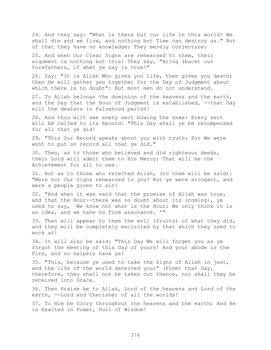24. And they say: "What is there but our life in this world? We shall die and we live, and nothing but Time can destroy us." But of that they have no knowledge: They merely conjecture:

25. And when Our Clear Signs are rehearsed to them, their argument is nothing but this: They say, "Bring (back) our forefathers, if what ye say is true!"

26. Say: "It is Allah Who gives you life, then gives you death; then He will gather you together for the Day of Judgment about which there is no doubt": But most men do not understand.

27. To Allah belongs the dominion of the heavens and the earth, and the Day that the Hour of Judgment is established, --that Day will the dealers in Falsehood perish!

28. And thou wilt see every sect bowing the knee: Every sect will be called to its Record: "This Day shall ye be recompensed for all that ye did!

29. "This Our Record speaks about you with truth: For We were wont to put on record all that ye did."

30. Then, as to those who believed and did righteous deeds, their Lord will admit them to His Mercy: That will be the Achievement for all to see.

31. But as to those who rejected Allah, (to them will be said): "Were not Our Signs rehearsed to you? But ye were arrogant, and were a people given to sin!

32. "And when it was said that the promise of Allah was true, and that the Hour--there was no doubt about its (coming), ye used to say, `We know not what is the Hour: We only think it is an idea, and we have no firm assurance. '"

33. Then will appear to them the evil (fruits) of what they did, and they will be completely encircled by that which they used to mock at!

34. It will also be said: "This Day We will forget you as ye forgot the meeting of this Day of yours! And your abode is the Fire, and no helpers have ye!

35. "This, because ye used to take the Signs of Allah in jest, and the life of the world deceived you:" (From) that Day, therefore, they shall not be taken out thence, nor shall they be received into Grace.

36. Then Praise be to Allah, Lord of the heavens and Lord of the earth, --Lord and Cherisher of all the worlds!

37. To Him be Glory throughout the heavens and the earth: And He is Exalted in Power, Full of Wisdom!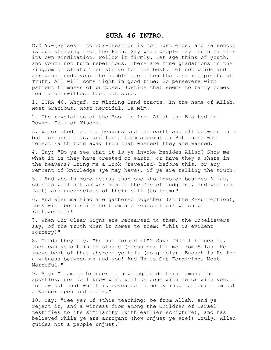## **SURA 46 INTRO.**

C.219.-(Verses 1 to 35)-Creation is for just ends, and Falsehood is but straying from the Path: Say what people may Truth carries its own vindication: Follow it firmly. Let age think of youth, and youth not turn rebellious. There are fine gradations in the kingdom of Allah: Then strive for the best. Let not pride and arrogance undo you: The humble are often the best recipients of Truth. All will come right in good time: So persevere with patient firmness of purpose. Justice that seems to tarry comes really on swiftest foot but sure.

1. SURA 46. Ahqaf, or Winding Sand tracts. In the name of Allah, Most Gracious, Most Merciful. Ha Mim.

2. The revelation of the Book is from Allah the Exalted in Power, Full of Wisdom.

3. We created not the heavens and the earth and all between them but for just ends, and for a term appointed: But those who reject Faith turn away from that whereof they are warned.

4. Say: "Do ye see what it is ye invoke besides Allah? Show me what it is they have created on earth, or have they a share in the heavens? Bring me a Book (revealed) before this, or any remnant of knowledge (ye may have), if ye are telling the truth!

5.. And who is more astray than one who invokes besides Allah, such as will not answer him to the Day of Judgment, and who (in fact) are unconscious of their call (to them)?

6. And when mankind are gathered together (at the Resurrection), they will be hostile to them and reject their worship (altogether)!

7. When Our Clear Signs are rehearsed to them, the Unbelievers say, of the Truth when it comes to them: "This is evident sorcery!"

8. Or do they say, "He has forged it"? Say: "Had I forged it, then can ye obtain no single (blessing) for me from Allah. He knows best of that whereof ye talk (so glibly)! Enough is He for a witness between me and you! And He is Oft-Forgiving, Most Merciful."

9. Say: "I am no bringer of newfangled doctrine among the apostles, nor do I know what will be done with me or with you. I follow but that which is revealed to me by inspiration; I am but a Warner open and clear."

10. Say: "See ye? If (this teaching) be from Allah, and ye reject it, and a witness from among the Children of Israel testifies to its similarity (with earlier scripture), and has believed while ye are arrogant (how unjust ye are!) Truly, Allah guides not a people unjust."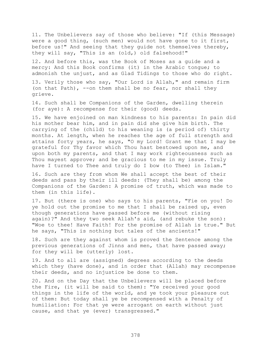11. The Unbelievers say of those who believe: "If (this Message) were a good thing, (such men) would not have gone to it first, before us!" And seeing that they guide not themselves thereby, they will say, "This is an (old,) old falsehood!"

12. And before this, was the Book of Moses as a guide and a mercy: And this Book confirms (it) in the Arabic tongue; to admonish the unjust, and as Glad Tidings to those who do right.

13. Verily those who say, "Our Lord is Allah," and remain firm (on that Path),  $--$ on them shall be no fear, nor shall they grieve.

14. Such shall be Companions of the Garden, dwelling therein (for aye): A recompense for their (good) deeds.

15. We have enjoined on man kindness to his parents: In pain did his mother bear him, and in pain did she give him birth. The carrying of the (child) to his weaning is (a period of) thirty months. At length, when he reaches the age of full strength and attains forty years, he says, "O my Lord! Grant me that I may be grateful for Thy favor which Thou hast bestowed upon me, and upon both my parents, and that I may work righteousness such as Thou mayest approve; and be gracious to me in my issue. Truly have I turned to Thee and truly do I bow (to Thee) in Islam."

16. Such are they from whom We shall accept the best of their deeds and pass by their ill deeds: (They shall be) among the Companions of the Garden: A promise of truth, which was made to them (in this life).

17. But (there is one) who says to his parents, "Fie on you! Do ye hold out the promise to me that I shall be raised up, even though generations have passed before me (without rising again)?" And they two seek Allah's aid, (and rebuke the son): "Woe to thee! Have Faith! For the promise of Allah is true." But he says, "This is nothing but tales of the ancients!"

18. Such are they against whom is proved the Sentence among the previous generations of Jinns and men, that have passed away; for they will be (utterly) lost.

19. And to all are (assigned) degrees according to the deeds which they (have done), and in order that (Allah) may recompense their deeds, and no injustice be done to them.

20. And on the Day that the Unbelievers will be placed before the Fire, (it will be said to them): "Ye received your good things in the life of the world, and ye took your pleasure out of them: But today shall ye be recompensed with a Penalty of humiliation: For that ye were arrogant on earth without just cause, and that ye (ever) transgressed."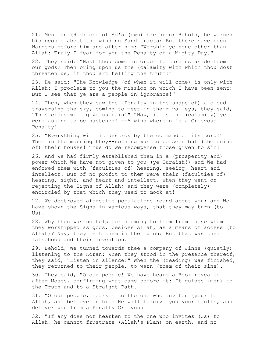21. Mention (Hud) one of Ad's (own) brethren: Behold, he warned his people about the winding Sand tracts: But there have been Warners before him and after him: "Worship ye none other than Allah: Truly I fear for you the Penalty of a Mighty Day."

22. They said: "Hast thou come in order to turn us aside from our gods? Then bring upon us the (calamity with which thou dost threaten us, if thou art telling the truth!"

23. He said: "The Knowledge (of when it will come) is only with Allah: I proclaim to you the mission on which I have been sent: But I see that ye are a people in ignorance!"

24. Then, when they saw the (Penalty in the shape of) a cloud traversing the sky, coming to meet in their valleys, they said, "This cloud will give us rain!" "Nay, it is the (calamity) ye were asking to be hastened! --A wind wherein is a Grievous Penalty!

25. "Everything will it destroy by the command of its Lord!" Then in the morning they--nothing was to be seen but (the ruins of) their houses! Thus do We recompense those given to sin!

26. And We had firmly established them in a (prosperity and) power which We have not given to you (ye Quraish!) and We had endowed them with (faculties of) hearing, seeing, heart and intellect: But of no profit to them were their (faculties of) hearing, sight, and heart and intellect, when they went on rejecting the Signs of Allah; and they were (completely) encircled by that which they used to mock at!

27. We destroyed aforetime populations round about you; and We have shown the Signs in various ways, that they may turn (to Us).

28. Why then was no help forthcoming to them from those whom they worshipped as gods, besides Allah, as a means of access (to Allah)? Nay, they left them in the lurch: But that was their falsehood and their invention.

29. Behold, We turned towards thee a company of Jinns (quietly) listening to the Koran: When they stood in the presence thereof, they said, "Listen in silence!" When the (reading) was finished, they returned to their people, to warn (them of their sins).

30. They said, "O our people! We have heard a Book revealed after Moses, confirming what came before it: It guides (men) to the Truth and to a Straight Path.

31. "O our people, hearken to the one who invites (you) to Allah, and believe in him: He will forgive you your faults, and deliver you from a Penalty Grievous.

32. "If any does not hearken to the one who invites (Us) to Allah, he cannot frustrate (Allah's Plan) on earth, and no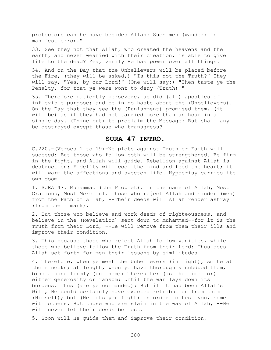protectors can he have besides Allah: Such men (wander) in manifest error."

33. See they not that Allah, Who created the heavens and the earth, and never wearied with their creation, is able to give life to the dead? Yea, verily He has power over all things.

34. And on the Day that the Unbelievers will be placed before the Fire, (they will be asked,) "Is this not the Truth?" They will say, "Yea, by our Lord!" (One will say:) "Then taste ye the Penalty, for that ye were wont to deny (Truth)!"

35. Therefore patiently persevere, as did (all) apostles of inflexible purpose; and be in no haste about the (Unbelievers). On the Day that they see the (Punishment) promised them, (it will be) as if they had not tarried more than an hour in a single day. (Thine but) to proclaim the Message: But shall any be destroyed except those who transgress?

#### **SURA 47 INTRO.**

C.220.-(Verses 1 to 19)-No plots against Truth or Faith will succeed: But those who follow both will be strengthened. Be firm in the fight, and Allah will guide. Rebellion against Allah is destruction: Fidelity will cool the mind and feed the heart; it will warm the affections and sweeten life. Hypocrisy carries its own doom.

1. SURA 47. Muhammad (the Prophet). In the name of Allah, Most Gracious, Most Merciful. Those who reject Allah and hinder (men) from the Path of Allah, --Their deeds will Allah render astray (from their mark).

2. But those who believe and work deeds of righteousness, and believe in the (Revelation) sent down to Muhammad--for it is the Truth from their Lord, --He will remove from them their ills and improve their condition.

3. This because those who reject Allah follow vanities, while those who believe follow the Truth from their Lord: Thus does Allah set forth for men their lessons by similitudes.

4. Therefore, when ye meet the Unbelievers (in fight), smite at their necks; at length, when ye have thoroughly subdued them, bind a bond firmly (on them): Thereafter (is the time for) either generosity or ransom: Until the war lays down its burdens. Thus (are ye commanded): But if it had been Allah's Will, He could certainly have exacted retribution from them (Himself); but (He lets you fight) in order to test you, some with others. But those who are slain in the way of Allah, --He will never let their deeds be lost.

5. Soon will He guide them and improve their condition,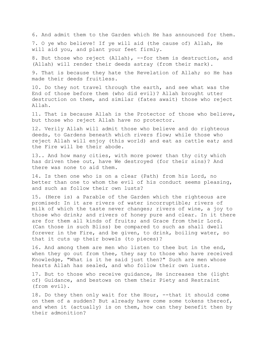6. And admit them to the Garden which He has announced for them.

7. O ye who believe! If ye will aid (the cause of) Allah, He will aid you, and plant your feet firmly.

8. But those who reject (Allah), --for them is destruction, and (Allah) will render their deeds astray (from their mark).

9. That is because they hate the Revelation of Allah; so He has made their deeds fruitless.

10. Do they not travel through the earth, and see what was the End of those before them (who did evil)? Allah brought utter destruction on them, and similar (fates await) those who reject Allah.

11. That is because Allah is the Protector of those who believe, but those who reject Allah have no protector.

12. Verily Allah will admit those who believe and do righteous deeds, to Gardens beneath which rivers flow; while those who reject Allah will enjoy (this world) and eat as cattle eat; and the Fire will be their abode.

13.. And how many cities, with more power than thy city which has driven thee out, have We destroyed (for their sins)? And there was none to aid them.

14. Is then one who is on a clear (Path) from his Lord, no better than one to whom the evil of his conduct seems pleasing, and such as follow their own lusts?

15. (Here is) a Parable of the Garden which the righteous are promised: In it are rivers of water incorruptible; rivers of milk of which the taste never changes; rivers of wine, a joy to those who drink; and rivers of honey pure and clear. In it there are for them all kinds of fruits; and Grace from their Lord. (Can those in such Bliss) be compared to such as shall dwell forever in the Fire, and be given, to drink, boiling water, so that it cuts up their bowels (to pieces)?

16. And among them are men who listen to thee but in the end, when they go out from thee, they say to those who have received Knowledge, "What is it he said just then?" Such are men whose hearts Allah has sealed, and who follow their own lusts.

17. But to those who receive guidance, He increases the (light of) Guidance, and bestows on them their Piety and Restraint (from evil).

18. Do they then only wait for the Hour, --that it should come on them of a sudden? But already have come some tokens thereof, and when it (actually) is on them, how can they benefit then by their admonition?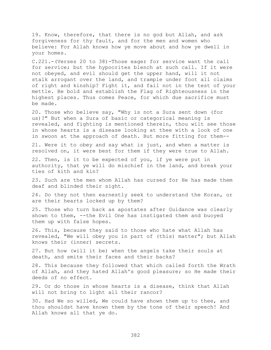19. Know, therefore, that there is no god but Allah, and ask forgiveness for thy fault, and for the men and women who believe: For Allah knows how ye move about and how ye dwell in your homes.

C.221.-(Verses 20 to 38)-Those eager for service want the call for service; but the hypocrites blench at such call. If it were not obeyed, and evil should get the upper hand, will it not stalk arrogant over the land, and trample under foot all claims of right and kinship? Fight it, and fail not in the test of your mettle. Be bold and establish the Flag of Righteousness in the highest places. Thus comes Peace, for which due sacrifice must be made.

20. Those who believe say, "Why is not a Sura sent down (for us)?" But when a Sura of basic or categorical meaning is revealed, and fighting is mentioned therein, thou wilt see those in whose hearts is a disease looking at thee with a look of one in swoon at the approach of death. But more fitting for them--

21. Were it to obey and say what is just, and when a matter is resolved on, it were best for them if they were true to Allah.

22. Then, is it to be expected of you, if ye were put in authority, that ye will do mischief in the land, and break your ties of kith and kin?

23. Such are the men whom Allah has cursed for He has made them deaf and blinded their sight.

24. Do they not then earnestly seek to understand the Koran, or are their hearts locked up by them?

25. Those who turn back as apostates after Guidance was clearly shown to them, --the Evil One has instigated them and buoyed them up with false hopes.

26. This, because they said to those who hate what Allah has revealed, "We will obey you in part of (this) matter"; but Allah knows their (inner) secrets.

27. But how (will it be) when the angels take their souls at death, and smite their faces and their backs?

28. This because they followed that which called forth the Wrath of Allah, and they hated Allah's good pleasure; so He made their deeds of no effect.

29. Or do those in whose hearts is a disease, think that Allah will not bring to light all their rancor?

30. Had We so willed, We could have shown them up to thee, and thou shouldst have known them by the tone of their speech! And Allah knows all that ye do.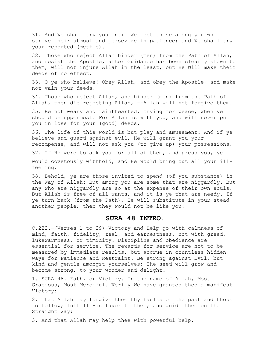31. And We shall try you until We test those among you who strive their utmost and persevere in patience; and We shall try your reported (mettle).

32. Those who reject Allah hinder (men) from the Path of Allah, and resist the Apostle, after Guidance has been clearly shown to them, will not injure Allah in the least, but He Will make their deeds of no effect.

33. O ye who believe! Obey Allah, and obey the Apostle, and make not vain your deeds!

34. Those who reject Allah, and hinder (men) from the Path of Allah, then die rejecting Allah, --Allah will not forgive them.

35. Be not weary and fainthearted, crying for peace, when ye should be uppermost: For Allah is with you, and will never put you in loss for your (good) deeds.

36. The life of this world is but play and amusement: And if ye believe and guard against evil, He will grant you your recompense, and will not ask you (to give up) your possessions.

37. If He were to ask you for all of them, and press you, ye

would covetously withhold, and He would bring out all your illfeeling.

38. Behold, ye are those invited to spend (of you substance) in the Way of Allah: But among you are some that are niggardly. But any who are niggardly are so at the expense of their own souls. But Allah is free of all wants, and it is ye that are needy. If ye turn back (from the Path), He will substitute in your stead another people; then they would not be like you!

## **SURA 48 INTRO.**

C.222.-(Verses 1 to 29)-Victory and Help go with calmness of mind, faith, fidelity, zeal, and earnestness, not with greed, lukewarmness, or timidity. Discipline and obedience are essential for service. The rewards for service are not to be measured by immediate results, but accrue in countless hidden ways for Patience and Restraint. Be strong against Evil, but kind and gentle amongst yourselves: The seed will grow and become strong, to your wonder and delight.

1. SURA 48. Fath, or Victory. In the name of Allah, Most Gracious, Most Merciful. Verily We have granted thee a manifest Victory:

2. That Allah may forgive thee thy faults of the past and those to follow; fulfill His favor to thee; and guide thee on the Straight Way;

3. And that Allah may help thee with powerful help.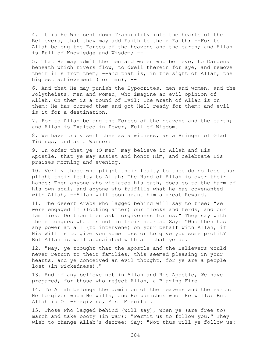4. It is He Who sent down Tranquility into the hearts of the Believers, that they may add Faith to their Faith; --For to Allah belong the Forces of the heavens and the earth; and Allah is Full of Knowledge and Wisdom; --

5. That He may admit the men and women who believe, to Gardens beneath which rivers flow, to dwell therein for aye, and remove their ills from them; --and that is, in the sight of Allah, the highest achievement (for man), --

6. And that He may punish the Hypocrites, men and women, and the Polytheists, men and women, who imagine an evil opinion of Allah. On them is a round of Evil: The Wrath of Allah is on them: He has cursed them and got Hell ready for them: and evil is it for a destination.

7. For to Allah belong the Forces of the heavens and the earth; and Allah is Exalted in Power, Full of Wisdom.

8. We have truly sent thee as a witness, as a Bringer of Glad Tidings, and as a Warner:

9. In order that ye (O men) may believe in Allah and His Apostle, that ye may assist and honor Him, and celebrate His praises morning and evening.

10. Verily those who plight their fealty to thee do no less than plight their fealty to Allah: The Hand of Allah is over their hands: Then anyone who violates his oath, does so to the harm of his own soul, and anyone who fulfills what he has covenanted with Allah, --Allah will soon grant him a great Reward.

11. The desert Arabs who lagged behind will say to thee: "We were engaged in (looking after) our flocks and herds, and our families: Do thou then ask forgiveness for us." They say with their tongues what is not in their hearts. Say: "Who then has any power at all (to intervene) on your behalf with Allah, if His Will is to give you some loss or to give you some profit? But Allah is well acquainted with all that ye do.

12. "Nay, ye thought that the Apostle and the Believers would never return to their families; this seemed pleasing in your hearts, and ye conceived an evil thought, for ye are a people lost (in wickedness)."

13. And if any believe not in Allah and His Apostle, We have prepared, for those who reject Allah, a Blazing Fire!

14. To Allah belongs the dominion of the heavens and the earth: He forgives whom He wills, and He punishes whom He wills: But Allah is Oft-Forgiving, Most Merciful.

15. Those who lagged behind (will say), when ye (are free to) march and take booty (in war): "Permit us to follow you." They wish to change Allah's decree: Say: "Not thus will ye follow us: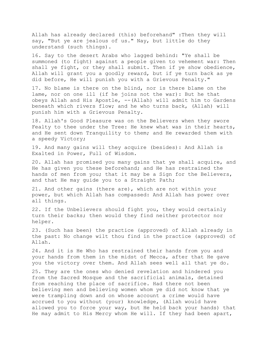Allah has already declared (this) beforehand" :Then they will say, "But ye are jealous of us." Nay, but little do they understand (such things).

16. Say to the desert Arabs who lagged behind: "Ye shall be summoned (to fight) against a people given to vehement war: Then shall ye fight, or they shall submit. Then if ye show obedience, Allah will grant you a goodly reward, but if ye turn back as ye did before, He will punish you with a Grievous Penalty."

17. No blame is there on the blind, nor is there blame on the lame, nor on one ill (if he joins not the war): But he that obeys Allah and His Apostle, --(Allah) will admit him to Gardens beneath which rivers flow; and he who turns back, (Allah) will punish him with a Grievous Penalty.

18. Allah's Good Pleasure was on the Believers when they swore Fealty to thee under the Tree: He knew what was in their hearts, and He sent down Tranquility to them; and He rewarded them with a speedy Victory;

19. And many gains will they acquire (besides): And Allah is Exalted in Power, Full of Wisdom.

20. Allah has promised you many gains that ye shall acquire, and He has given you these beforehand; and He has restrained the hands of men from you; that it may be a Sign for the Believers, and that He may guide you to a Straight Path;

21. And other gains (there are), which are not within your power, but which Allah has compassed: And Allah has power over all things.

22. If the Unbelievers should fight you, they would certainly turn their backs; then would they find neither protector nor helper.

23. (Such has been) the practice (approved) of Allah already in the past: No change wilt thou find in the practice (approved) of Allah.

24. And it is He Who has restrained their hands from you and your hands from them in the midst of Mecca, after that He gave you the victory over them. And Allah sees well all that ye do.

25. They are the ones who denied revelation and hindered you from the Sacred Mosque and the sacrificial animals, detained from reaching the place of sacrifice. Had there not been believing men and believing women whom ye did not know that ye were trampling down and on whose account a crime would have accrued to you without (your) knowledge, (Allah would have allowed you to force your way, but He held back your hands) that He may admit to His Mercy whom He will. If they had been apart,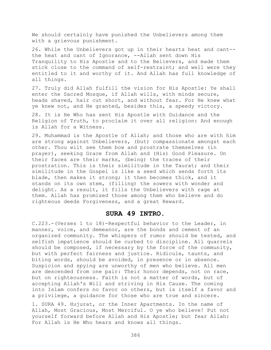We should certainly have punished the Unbelievers among them with a grievous punishment.

26. While the Unbelievers got up in their hearts heat and cant- the heat and cant of Ignorance, --Allah sent down His Tranquility to His Apostle and to the Believers, and made them stick close to the command of self-restraint; and well were they entitled to it and worthy of it. And Allah has full knowledge of all things.

27. Truly did Allah fulfill the vision for His Apostle: Ye shall enter the Sacred Mosque, if Allah wills, with minds secure, heads shaved, hair cut short, and without fear. For He knew what ye knew not, and He granted, besides this, a speedy victory.

28. It is He Who has sent His Apostle with Guidance and the Religion of Truth, to proclaim it over all religion: And enough is Allah for a Witness.

29. Muhammad is the Apostle of Allah; and those who are with him are strong against Unbelievers, (but) compassionate amongst each other. Thou wilt see them bow and prostrate themselves (in prayer), seeking Grace from Allah and (His) Good Pleasure. On their faces are their marks, (being) the traces of their prostration. This is their similitude in the Taurat; and their similitude in the Gospel is like a seed which sends forth its blade, then makes it strong; it then becomes thick, and it stands on its own stem, (filling) the sowers with wonder and delight. As a result, it fills the Unbelievers with rage at them. Allah has promised those among them who believe and do righteous deeds Forgiveness, and a great Reward.

#### **SURA 49 INTRO.**

C.223.-(Verses 1 to 18)-Respectful behavior to the Leader, in manner, voice, and demeanor, are the bonds and cement of an organized community. The whispers of rumor should be tested, and selfish impatience should be curbed to discipline. All quarrels should be composed, if necessary by the force of the community, but with perfect fairness and justice. Ridicule, taunts, and biting words, should be avoided, in presence or in absence. Suspicion and spying are unworthy of men who believe. All men are descended from one pair: Their honor depends, not on race, but on righteousness. Faith is not a matter of words, but of accepting Allah's Will and striving in His Cause. The coming into Islam confers no favor on others, but is itself a favor and a privilege, a guidance for those who are true and sincere.

1. SURA 49. Hujurat, or the Inner Apartments. In the name of Allah, Most Gracious, Most Merciful. O ye who believe! Put not yourself forward before Allah and His Apostle; but fear Allah: For Allah is He Who hears and knows all things.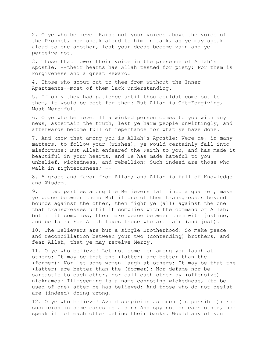2. O ye who believe! Raise not your voices above the voice of the Prophet, nor speak aloud to him in talk, as ye may speak aloud to one another, lest your deeds become vain and ye perceive not.

3. Those that lower their voice in the presence of Allah's Apostle, --their hearts has Allah tested for piety: For them is Forgiveness and a great Reward.

4. Those who shout out to thee from without the Inner Apartments--most of them lack understanding.

5. If only they had patience until thou couldst come out to them, it would be best for them: But Allah is Oft-Forgiving, Most Merciful.

6. O ye who believe! If a wicked person comes to you with any news, ascertain the truth, lest ye harm people unwittingly, and afterwards become full of repentance for what ye have done.

7. And know that among you is Allah's Apostle: Were he, in many matters, to follow your (wishes), ye would certainly fall into misfortune: But Allah endeared the Faith to you, and has made it beautiful in your hearts, and He has made hateful to you unbelief, wickedness, and rebellion: Such indeed are those who walk in righteousness; --

8. A grace and favor from Allah; and Allah is full of Knowledge and Wisdom.

9. If two parties among the Believers fall into a quarrel, make ye peace between them: But if one of them transgresses beyond bounds against the other, then fight ye (all) against the one that transgresses until it complies with the command of Allah; but if it complies, then make peace between them with justice, and be fair: For Allah loves those who are fair (and just).

10. The Believers are but a single Brotherhood: So make peace and reconciliation between your two (contending) brothers; and fear Allah, that ye may receive Mercy.

11. O ye who believe! Let not some men among you laugh at others: It may be that the (latter) are better than the (former): Nor let some women laugh at others: It may be that the (latter) are better than the (former): Nor defame nor be sarcastic to each other, nor call each other by (offensive) nicknames: Ill-seeming is a name connoting wickedness, (to be used of one) after he has believed: And those who do not desist are (indeed) doing wrong.

12. O ye who believe! Avoid suspicion as much (as possible): For suspicion in some cases is a sin: And spy not on each other, nor speak ill of each other behind their backs. Would any of you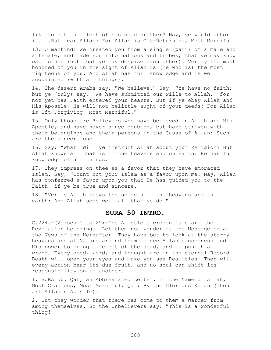like to eat the flesh of his dead brother? Nay, ye would abhor it. ..But fear Allah: For Allah is Oft-Returning, Most Merciful.

13. O mankind! We created you from a single (pair) of a male and a female, and made you into nations and tribes, that ye may know each other (not that ye may despise each other). Verily the most honored of you in the sight of Allah is (he who is) the most righteous of you. And Allah has full knowledge and is well acquainted (with all things).

14. The desert Arabs say, "We believe." Say, "Ye have no faith; but ye (only) say, `We have submitted our wills to Allah,' for not yet has Faith entered your hearts. But if ye obey Allah and His Apostle, He will not belittle aught of your deeds: For Allah is Oft-Forgiving, Most Merciful."

15. Only those are Believers who have believed in Allah and His Apostle, and have never since doubted, but have striven with their belongings and their persons in the Cause of Allah: Such are the sincere ones.

16. Say: "What! Will ye instruct Allah about your Religion? But Allah knows all that is in the heavens and on earth: He has full knowledge of all things.

17. They impress on thee as a favor that they have embraced Islam. Say, "Count not your Islam as a favor upon me: Nay, Allah has conferred a favor upon you that He has guided you to the Faith, if ye be true and sincere.

18. "Verily Allah knows the secrets of the heavens and the earth: And Allah sees well all that ye do."

#### **SURA 50 INTRO.**

C.224.-(Verses 1 to 29)-The Apostle's credentials are the Revelation he brings. Let them not wonder at the Message or at the News of the Hereafter. They have but to look at the starry heavens and at Nature around them to see Allah's goodness and His power to bring life out of the dead, and to punish all wrong. Every deed, word, and thought are in the eternal Record. Death will open your eyes and make you see Realities. Then will every action bear its due fruit, and no soul can shift its responsibility on to another.

1. SURA 50. Qaf, an Abbreviated Letter. In the Name of Allah, Most Gracious, Most Merciful. Qaf: By the Glorious Koran (Thou art Allah's Apostle).

2. But they wonder that there has come to them a Warner from among themselves. So the Unbelievers say: "This is a wonderful thing!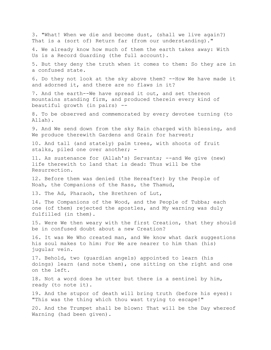3. "What! When we die and become dust, (shall we live again?) That is a (sort of) Return far (from our understanding)." 4. We already know how much of them the earth takes away: With Us is a Record Guarding (the full account). 5. But they deny the truth when it comes to them: So they are in a confused state. 6. Do they not look at the sky above them? --How We have made it and adorned it, and there are no flaws in it? 7. And the earth--We have spread it out, and set thereon mountains standing firm, and produced therein every kind of beautiful growth (in pairs) -- 8. To be observed and commemorated by every devotee turning (to Allah). 9. And We send down from the sky Rain charged with blessing, and We produce therewith Gardens and Grain for harvest; 10. And tall (and stately) palm trees, with shoots of fruit stalks, piled one over another; -11. As sustenance for (Allah's) Servants; --and We give (new) life therewith to land that is dead: Thus will be the Resurrection. 12. Before them was denied (the Hereafter) by the People of Noah, the Companions of the Rass, the Thamud, 13. The Ad, Pharaoh, the Brethren of Lut, 14. The Companions of the Wood, and the People of Tubba; each one (of them) rejected the apostles, and My warning was duly fulfilled (in them). 15. Were We then weary with the first Creation, that they should be in confused doubt about a new Creation? 16. It was We Who created man, and We know what dark suggestions his soul makes to him: For We are nearer to him than (his) jugular vein. 17. Behold, two (guardian angels) appointed to learn (his doings) learn (and note them), one sitting on the right and one on the left. 18. Not a word does he utter but there is a sentinel by him, ready (to note it). 19. And the stupor of death will bring truth (before his eyes): "This was the thing which thou wast trying to escape!" 20. And the Trumpet shall be blown: That will be the Day whereof Warning (had been given).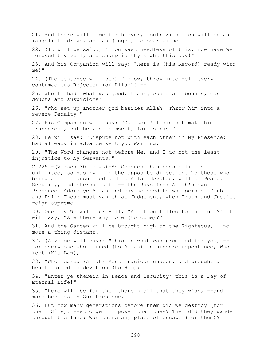21. And there will come forth every soul: With each will be an (angel) to drive, and an (angel) to bear witness. 22. (It will be said:) "Thou wast heedless of this; now have We removed thy veil, and sharp is thy sight this day!" 23. And his Companion will say: "Here is (his Record) ready with me!" 24. (The sentence will be:) "Throw, throw into Hell every contumacious Rejecter (of Allah)! -- 25. Who forbade what was good, transgressed all bounds, cast doubts and suspicions; 26. "Who set up another god besides Allah: Throw him into a severe Penalty." 27. His Companion will say: "Our Lord! I did not make him transgress, but he was (himself) far astray." 28. He will say: "Dispute not with each other in My Presence: I had already in advance sent you Warning. 29. "The Word changes not before Me, and I do not the least injustice to My Servants." C.225.-(Verses 30 to 45)-As Goodness has possibilities unlimited, so has Evil in the opposite direction. To those who bring a heart unsullied and to Allah devoted, will be Peace, Security, and Eternal Life -- the Rays from Allah's own Presence. Adore ye Allah and pay no heed to whispers of Doubt and Evil: These must vanish at Judgement, when Truth and Justice reign supreme. 30. One Day We will ask Hell, "Art thou filled to the full?" It will say, "Are there any more (to come)?" 31. And the Garden will be brought nigh to the Righteous, --no more a thing distant. 32. (A voice will say:) "This is what was promised for you,  $-$ for every one who turned (to Allah) in sincere repentance, Who kept (His Law), 33. "Who feared (Allah) Most Gracious unseen, and brought a heart turned in devotion (to Him): 34. "Enter ye therein in Peace and Security; this is a Day of Eternal Life!" 35. There will be for them therein all that they wish, --and more besides in Our Presence. 36. But how many generations before them did We destroy (for their Sins), --stronger in power than they? Then did they wander through the land: Was there any place of escape (for them)?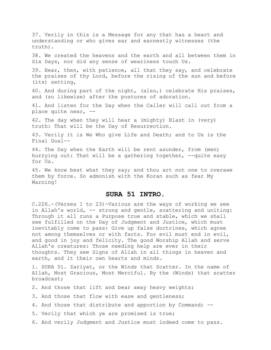37. Verily in this is a Message for any that has a heart and understanding or who gives ear and earnestly witnesses (the truth). 38. We created the heavens and the earth and all between them in Six Days, nor did any sense of weariness touch Us. 39. Bear, then, with patience, all that they say, and celebrate the praises of thy Lord, before the rising of the sun and before (its) setting, 40. And during part of the night, (also,) celebrate His praises, and (so likewise) after the postures of adoration. 41. And listen for the Day when the Caller will call out from a place quite near, -- 42. The day when they will hear a (mighty) Blast in (very) truth: That will be the Day of Resurrection. 43. Verily it is We Who give Life and Death; and to Us is the Final Goal-- 44. The Day when the Earth will be rent asunder, from (men) hurrying out: That will be a gathering together, --quite easy for Us. 45. We know best what they say; and thou art not one to overawe

them by force. So admonish with the Koran such as fear My Warning!

#### **SURA 51 INTRO.**

C.226.-(Verses 1 to 23)-Various are the ways of working we see in Allah's world, -- strong and gentle, scattering and uniting: Through it all runs a Purpose true and stable, which we shall see fulfilled on the Day of Judgment and Justice, which must inevitably come to pass: Give up false doctrines, which agree not among themselves or with facts. For evil must end in evil, and good in joy and felicity. The good Worship Allah and serve Allah's creatures: Those needing help are ever in their thoughts. They see Signs of Allah in all things in heaven and earth, and it their own hearts and minds.

1. SURA 51. Zariyat, or the Winds that Scatter. In the name of Allah, Most Gracious, Most Merciful. By the (Winds) that scatter broadcast;

- 2. And those that lift and bear away heavy weights;
- 3. And those that flow with ease and gentleness;
- 4. And those that distribute and apportion by Command; --
- 5. Verily that which ye are promised is true;
- 6. And verily Judgment and Justice must indeed come to pass.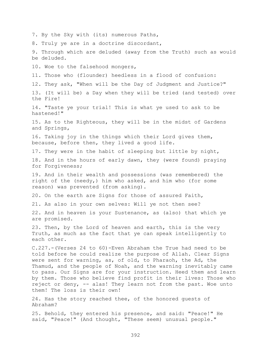7. By the Sky with (its) numerous Paths, 8. Truly ye are in a doctrine discordant, 9. Through which are deluded (away from the Truth) such as would be deluded. 10. Woe to the falsehood mongers, 11. Those who (flounder) heedless in a flood of confusion: 12. They ask, "When will be the Day of Judgment and Justice?" 13. (It will be) a Day when they will be tried (and tested) over the Fire! 14. "Taste ye your trial! This is what ye used to ask to be hastened!" 15. As to the Righteous, they will be in the midst of Gardens and Springs, 16. Taking joy in the things which their Lord gives them, because, before then, they lived a good life. 17. They were in the habit of sleeping but little by night, 18. And in the hours of early dawn, they (were found) praying for Forgiveness; 19. And in their wealth and possessions (was remembered) the right of the (needy,) him who asked, and him who (for some reason) was prevented (from asking). 20. On the earth are Signs for those of assured Faith, 21. As also in your own selves: Will ye not then see? 22. And in heaven is your Sustenance, as (also) that which ye are promised. 23. Then, by the Lord of heaven and earth, this is the very Truth, as much as the fact that ye can speak intelligently to each other. C.227.-(Verses 24 to 60)-Even Abraham the True had need to be told before he could realize the purpose of Allah. Clear Signs were sent for warning, as, of old, to Pharaoh, the Ad, the Thamud, and the people of Noah, and the warning inevitably came to pass. Our Signs are for your instruction. Heed them and learn by them. Those who believe find profit in their lives: Those who reject or deny, -- alas! They learn not from the past. Woe unto them! The loss is their own! 24. Has the story reached thee, of the honored guests of Abraham? 25. Behold, they entered his presence, and said: "Peace!" He said, "Peace!" (And thought, "These seem) unusual people."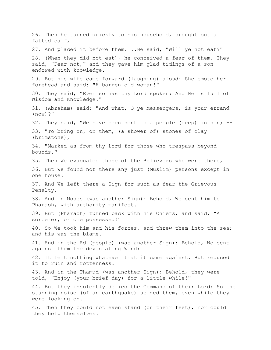26. Then he turned quickly to his household, brought out a fatted calf, 27. And placed it before them. ..He said, "Will ye not eat?" 28. (When they did not eat), he conceived a fear of them. They said, "Fear not," and they gave him glad tidings of a son endowed with knowledge. 29. But his wife came forward (laughing) aloud: She smote her forehead and said: "A barren old woman!" 30. They said, "Even so has thy Lord spoken: And He is full of Wisdom and Knowledge." 31. (Abraham) said: "And what, O ye Messengers, is your errand  $(now)$  ?" 32. They said, "We have been sent to a people (deep) in  $sin: -$ 33. "To bring on, on them, (a shower of) stones of clay (brimstone), 34. "Marked as from thy Lord for those who trespass beyond bounds." 35. Then We evacuated those of the Believers who were there, 36. But We found not there any just (Muslim) persons except in one house: 37. And We left there a Sign for such as fear the Grievous Penalty. 38. And in Moses (was another Sign): Behold, We sent him to Pharaoh, with authority manifest. 39. But (Pharaoh) turned back with his Chiefs, and said, "A sorcerer, or one possessed!" 40. So We took him and his forces, and threw them into the sea; and his was the blame. 41. And in the Ad (people) (was another Sign): Behold, We sent against them the devastating Wind: 42. It left nothing whatever that it came against. But reduced it to ruin and rottenness. 43. And in the Thamud (was another Sign): Behold, they were told, "Enjoy (your brief day) for a little while!" 44. But they insolently defied the Command of their Lord: So the stunning noise (of an earthquake) seized them, even while they were looking on. 45. Then they could not even stand (on their feet), nor could they help themselves.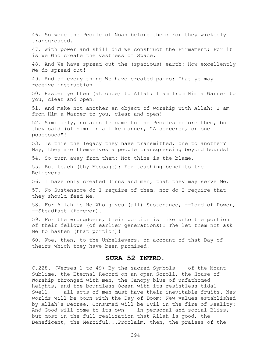46. So were the People of Noah before them: For they wickedly transgressed. 47. With power and skill did We construct the Firmament: For it is We Who create the vastness of Space. 48. And We have spread out the (spacious) earth: How excellently We do spread out! 49. And of every thing We have created pairs: That ye may receive instruction. 50. Hasten ye then (at once) to Allah: I am from Him a Warner to you, clear and open! 51. And make not another an object of worship with Allah: I am from Him a Warner to you, clear and open! 52. Similarly, no apostle came to the Peoples before them, but they said (of him) in a like manner, "A sorcerer, or one possessed"! 53. Is this the legacy they have transmitted, one to another? Nay, they are themselves a people transgressing beyond bounds! 54. So turn away from them: Not thine is the blame. 55. But teach (thy Message): For teaching benefits the Believers. 56. I have only created Jinns and men, that they may serve Me. 57. No Sustenance do I require of them, nor do I require that they should feed Me. 58. For Allah is He Who gives (all) Sustenance, --Lord of Power, --Steadfast (forever). 59. For the wrongdoers, their portion is like unto the portion of their fellows (of earlier generations): The let them not ask Me to hasten (that portion)! 60. Woe, then, to the Unbelievers, on account of that Day of theirs which they have been promised! **SURA 52 INTRO.**  C.228.-(Verses 1 to 49)-By the sacred Symbols -- of the Mount Sublime, the Eternal Record on an open Scroll, the House of Worship thronged with men, the Canopy blue of unfathomed heights, and the boundless Ocean with its resistless tidal Swell, -- all acts of men must have their inevitable fruits. New worlds will be born with the Day of Doom: New values established

by Allah's Decree. Consumed will be Evil in the fire of Reality: And Good will come to its own -- in personal and social Bliss, but most in the full realization that Allah is good, the Beneficent, the Merciful...Proclaim, then, the praises of the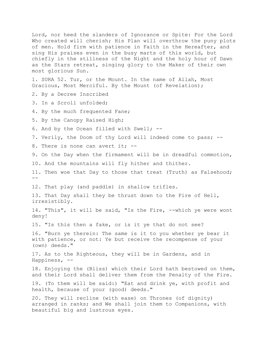Lord, nor heed the slanders of Ignorance or Spite: For the Lord Who created will cherish; His Plan will overthrow the puny plots of men. Hold firm with patience in Faith in the Hereafter, and sing His praises even in the busy marts of this world, but chiefly in the stillness of the Night and the holy hour of Dawn as the Stars retreat, singing glory to the Maker of their own most glorious Sun.

1. SURA 52. Tur, or the Mount. In the name of Allah, Most Gracious, Most Merciful. By the Mount (of Revelation);

2. By a Decree Inscribed

3. In a Scroll unfolded;

4. By the much frequented Fane;

5. By the Canopy Raised High;

6. And by the Ocean filled with Swell; --

7. Verily, the Doom of thy Lord will indeed come to pass; --

8. There is none can avert it; --

9. On the Day when the firmament will be in dreadful commotion,

10. And the mountains will fly hither and thither.

11. Then woe that Day to those that treat (Truth) as Falsehood; --

12. That play (and paddle) in shallow trifles.

13. That Day shall they be thrust down to the Fire of Hell, irresistibly.

14. "This", it will be said, "Is the Fire, --which ye were wont deny!

15. "Is this then a fake, or is it ye that do not see?

16. "Burn ye therein: The same is it to you whether ye bear it with patience, or not: Ye but receive the recompense of your (own) deeds."

17. As to the Righteous, they will be in Gardens, and in Happiness, --

18. Enjoying the (Bliss) which their Lord hath bestowed on them, and their Lord shall deliver them from the Penalty of the Fire.

19. (To them will be said:) "Eat and drink ye, with profit and health, because of your (good) deeds."

20. They will recline (with ease) on Thrones (of dignity) arranged in ranks; and We shall join them to Companions, with beautiful big and lustrous eyes.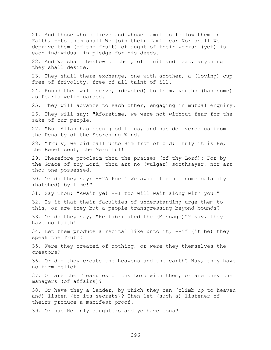21. And those who believe and whose families follow them in Faith, --to them shall We join their families: Nor shall We deprive them (of the fruit) of aught of their works: (yet) is each individual in pledge for his deeds. 22. And We shall bestow on them, of fruit and meat, anything they shall desire. 23. They shall there exchange, one with another, a (loving) cup free of frivolity, free of all taint of ill. 24. Round them will serve, (devoted) to them, youths (handsome) as Pearls well-guarded. 25. They will advance to each other, engaging in mutual enquiry. 26. They will say: "Aforetime, we were not without fear for the sake of our people. 27. "But Allah has been good to us, and has delivered us from the Penalty of the Scorching Wind. 28. "Truly, we did call unto Him from of old: Truly it is He, the Beneficent, the Merciful! 29. Therefore proclaim thou the praises (of thy Lord): For by the Grace of thy Lord, thou art no (vulgar) soothsayer, nor art thou one possessed. 30. Or do they say: --"A Poet! We await for him some calamity (hatched) by time!" 31. Say Thou: "Await ye! --I too will wait along with you!" 32. Is it that their faculties of understanding urge them to this, or are they but a people transgressing beyond bounds? 33. Or do they say, "He fabricated the (Message)"? Nay, they have no faith! 34. Let them produce a recital like unto it,  $--if$  (it be) they speak the Truth! 35. Were they created of nothing, or were they themselves the creators? 36. Or did they create the heavens and the earth? Nay, they have no firm belief. 37. Or are the Treasures of thy Lord with them, or are they the managers (of affairs)? 38. Or have they a ladder, by which they can (climb up to heaven and) listen (to its secrets)? Then let (such a) listener of theirs produce a manifest proof. 39. Or has He only daughters and ye have sons?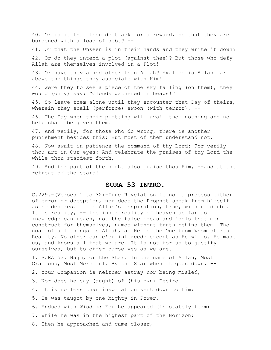40. Or is it that thou dost ask for a reward, so that they are burdened with a load of debt? --

41. Or that the Unseen is in their hands and they write it down?

42. Or do they intend a plot (against thee)? But those who defy Allah are themselves involved in a Plot!

43. Or have they a god other than Allah? Exalted is Allah far above the things they associate with Him!

44. Were they to see a piece of the sky falling (on them), they would (only) say: "Clouds gathered in heaps!"

45. So leave them alone until they encounter that Day of theirs, wherein they shall (perforce) swoon (with terror),  $-$ 

46. The Day when their plotting will avail them nothing and no help shall be given them.

47. And verily, for those who do wrong, there is another punishment besides this: But most of them understand not.

48. Now await in patience the command of thy Lord: For verily thou art in Our eyes: And celebrate the praises of thy Lord the while thou standest forth,

49. And for part of the night also praise thou Him, --and at the retreat of the stars!

### **SURA 53 INTRO.**

C.229.-(Verses 1 to 32)-True Revelation is not a process either of error or deception, nor does the Prophet speak from himself as he desires. It is Allah's inspiration, true, without doubt. It is reality, -- the inner reality of heaven as far as knowledge can reach, not the false ideas and idols that men construct for themselves, names without truth behind them. The goal of all things is Allah, as He is the One from Whom starts Reality. No other can e'er intercede except as He wills. He made us, and knows all that we are. It is not for us to justify ourselves, but to offer ourselves as we are.

1. SURA 53. Najm, or the Star. In the name of Allah, Most Gracious, Most Merciful. By the Star when it goes down, --

2. Your Companion is neither astray nor being misled,

3. Nor does he say (aught) of (his own) Desire.

4. It is no less than inspiration sent down to him:

5. He was taught by one Mighty in Power,

6. Endued with Wisdom: For he appeared (in stately form)

7. While he was in the highest part of the Horizon:

8. Then he approached and came closer,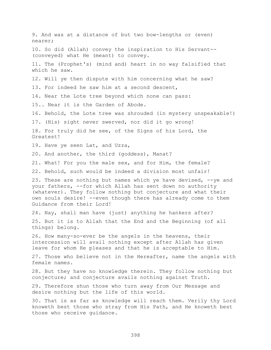9. And was at a distance of but two bow-lengths or (even) nearer; 10. So did (Allah) convey the inspiration to His Servant-- (conveyed) what He (meant) to convey. 11. The (Prophet's) (mind and) heart in no way falsified that which he saw. 12. Will ye then dispute with him concerning what he saw? 13. For indeed he saw him at a second descent, 14. Near the Lote tree beyond which none can pass: 15.. Near it is the Garden of Abode. 16. Behold, the Lote tree was shrouded (in mystery unspeakable!) 17. (His) sight never swerved, nor did it go wrong! 18. For truly did he see, of the Signs of his Lord, the Greatest! 19. Have ye seen Lat, and Uzza, 20. And another, the third (goddess), Manat? 21. What! For you the male sex, and for Him, the female? 22. Behold, such would be indeed a division most unfair! 23. These are nothing but names which ye have devised, --ye and your fathers, --for which Allah has sent down no authority (whatever). They follow nothing but conjecture and what their own souls desire! --even though there has already come to them Guidance from their Lord! 24. Nay, shall man have (just) anything he hankers after? 25. But it is to Allah that the End and the Beginning (of all things) belong. 26. How many-so-ever be the angels in the heavens, their intercession will avail nothing except after Allah has given leave for whom He pleases and that he is acceptable to Him. 27. Those who believe not in the Hereafter, name the angels with female names. 28. But they have no knowledge therein. They follow nothing but conjecture; and conjecture avails nothing against Truth. 29. Therefore shun those who turn away from Our Message and desire nothing but the life of this world. 30. That is as far as knowledge will reach them. Verily thy Lord knoweth best those who stray from His Path, and He knoweth best those who receive guidance.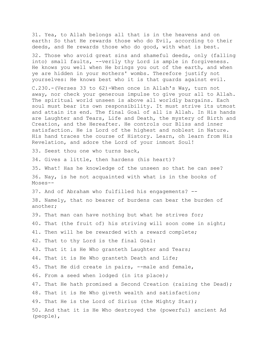31. Yea, to Allah belongs all that is in the heavens and on earth: So that He rewards those who do Evil, according to their deeds, and He rewards those who do good, with what is best.

32. Those who avoid great sins and shameful deeds, only (falling into) small faults, --verily thy Lord is ample in forgiveness. He knows you well when He brings you out of the earth, and when ye are hidden in your mothers' wombs. Therefore justify not yourselves: He knows best who it is that guards against evil.

C.230.-(Verses 33 to 62)-When once in Allah's Way, turn not away, nor check your generous impulse to give your all to Allah. The spiritual world unseen is above all worldly bargains. Each soul must bear its own responsibility. It must strive its utmost and attain its end. The final Goal of all is Allah. In His hands are Laughter and Tears, Life and Death, the mystery of Birth and Creation, and the Hereafter. He controls our Bliss and inner satisfaction. He is Lord of the highest and noblest in Nature. His hand traces the course of History. Learn, oh learn from His Revelation, and adore the Lord of your inmost Soul!

33. Seest thou one who turns back,

34. Gives a little, then hardens (his heart)?

35. What! Has he knowledge of the unseen so that he can see? 36. Nay, is he not acquainted with what is in the books of Moses--

37. And of Abraham who fulfilled his engagements? --

38. Namely, that no bearer of burdens can bear the burden of another;

39. That man can have nothing but what he strives for;

40. That (the fruit of) his striving will soon come in sight;

41. Then will he be rewarded with a reward complete;

42. That to thy Lord is the final Goal:

43. That it is He Who granteth Laughter and Tears;

44. That it is He Who granteth Death and Life;

45. That He did create in pairs, --male and female,

46. From a seed when lodged (in its place);

47. That He hath promised a Second Creation (raising the Dead);

48. That it is He Who giveth wealth and satisfaction;

49. That He is the Lord of Sirius (the Mighty Star);

50. And that it is He Who destroyed the (powerful) ancient Ad (people),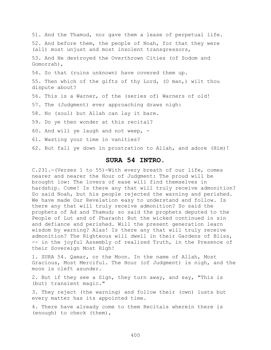51. And the Thamud, nor gave them a lease of perpetual life. 52. And before them, the people of Noah, for that they were (all) most unjust and most insolent transgressors, 53. And He destroyed the Overthrown Cities (of Sodom and Gomorrah), 54. So that (ruins unknown) have covered them up. 55. Then which of the gifts of thy Lord, (O man,) wilt thou dispute about? 56. This is a Warner, of the (series of) Warners of old! 57. The (Judgment) ever approaching draws nigh: 58. No (soul) but Allah can lay it bare. 59. Do ye then wonder at this recital? 60. And will ye laugh and not weep, - 61. Wasting your time in vanities? 62. But fall ye down in prostration to Allah, and adore (Him)!

# **SURA 54 INTRO.**

C.231.-(Verses 1 to 55)-With every breath of our life, comes nearer and nearer the Hour of Judgment: The proud will be brought low: The lovers of ease will find themselves in hardship. Come! Is there any that will truly receive admonition? So said Noah, but his people rejected the warning and perished. We have made Our Revelation easy to understand and follow. Is there any that will truly receive admonition? So said the prophets of Ad and Thamud; so said the prophets deputed to the People of Lut and of Pharaoh: But the wicked continued in sin and defiance and perished. Will the present generation learn wisdom by warning? Alas! Is there any that will truly receive admonition? The Righteous will dwell in their Gardens of Bliss, -- in the joyful Assembly of realized Truth, in the Presence of their Sovereign Most High!

1. SURA 54. Qamar, or the Moon. In the name of Allah, Most Gracious, Most Merciful. The Hour (of Judgment) is nigh, and the moon is cleft asunder.

2. But if they see a Sign, they turn away, and say, "This is (but) transient magic."

3. They reject (the warning) and follow their (own) lusts but every matter has its appointed time.

4. There have already come to them Recitals wherein there is (enough) to check (them),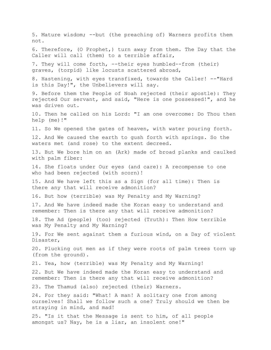5. Mature wisdom; --but (the preaching of) Warners profits them not. 6. Therefore, (O Prophet,) turn away from them. The Day that the Caller will call (them) to a terrible affair, 7. They will come forth, --their eyes humbled--from (their) graves, (torpid) like locusts scattered abroad, 8. Hastening, with eyes transfixed, towards the Caller! -- "Hard is this Day!", the Unbelievers will say. 9. Before them the People of Noah rejected (their apostle): They rejected Our servant, and said, "Here is one possessed!", and he was driven out. 10. Then he called on his Lord: "I am one overcome: Do Thou then help (me)!" 11. So We opened the gates of heaven, with water pouring forth. 12. And We caused the earth to gush forth with springs. So the waters met (and rose) to the extent decreed. 13. But We bore him on an (Ark) made of broad planks and caulked with palm fiber: 14. She floats under Our eyes (and care): A recompense to one who had been rejected (with scorn)! 15. And We have left this as a Sign (for all time): Then is there any that will receive admonition? 16. But how (terrible) was My Penalty and My Warning? 17. And We have indeed made the Koran easy to understand and remember: Then is there any that will receive admonition? 18. The Ad (people) (too) rejected (Truth): Then How terrible was My Penalty and My Warning? 19. For We sent against them a furious wind, on a Day of violent Disaster, 20. Plucking out men as if they were roots of palm trees torn up (from the ground). 21. Yea, how (terrible) was My Penalty and My Warning! 22. But We have indeed made the Koran easy to understand and remember: Then is there any that will receive admonition? 23. The Thamud (also) rejected (their) Warners. 24. For they said: "What! A man! A solitary one from among ourselves! Shall we follow such a one? Truly should we then be straying in mind, and mad! 25. "Is it that the Message is sent to him, of all people amongst us? Nay, he is a liar, an insolent one!"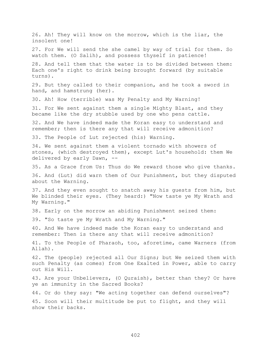26. Ah! They will know on the morrow, which is the liar, the insolent one! 27. For We will send the she camel by way of trial for them. So watch them. (O Salih), and possess thyself in patience! 28. And tell them that the water is to be divided between them: Each one's right to drink being brought forward (by suitable turns). 29. But they called to their companion, and he took a sword in hand, and hamstrung (her). 30. Ah! How (terrible) was My Penalty and My Warning! 31. For We sent against them a single Mighty Blast, and they became like the dry stubble used by one who pens cattle. 32. And We have indeed made the Koran easy to understand and remember; then is there any that will receive admonition? 33. The People of Lut rejected (his) Warning. 34. We sent against them a violent tornado with showers of stones, (which destroyed them), except Lut's household: them We delivered by early Dawn, -- 35. As a Grace from Us: Thus do We reward those who give thanks. 36. And (Lut) did warn them of Our Punishment, but they disputed about the Warning. 37. And they even sought to snatch away his guests from him, but We blinded their eyes. (They heard:) "Now taste ye My Wrath and My Warning." 38. Early on the morrow an abiding Punishment seized them: 39. "So taste ye My Wrath and My Warning." 40. And We have indeed made the Koran easy to understand and remember: Then is there any that will receive admonition? 41. To the People of Pharaoh, too, aforetime, came Warners (from Allah). 42. The (people) rejected all Our Signs; but We seized them with such Penalty (as comes) from One Exalted in Power, able to carry out His Will. 43. Are your Unbelievers, (O Quraish), better than they? Or have ye an immunity in the Sacred Books? 44. Or do they say: "We acting together can defend ourselves"? 45. Soon will their multitude be put to flight, and they will show their backs.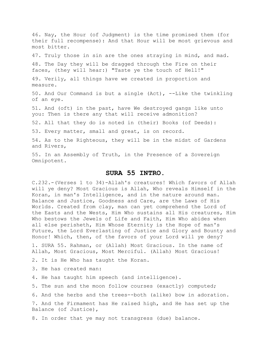46. Nay, the Hour (of Judgment) is the time promised them (for their full recompense): And that Hour will be most grievous and most bitter. 47. Truly those in sin are the ones straying in mind, and mad. 48. The Day they will be dragged through the Fire on their faces, (they will hear:) "Taste ye the touch of Hell!" 49. Verily, all things have we created in proportion and measure. 50. And Our Command is but a single (Act), --Like the twinkling of an eye. 51. And (oft) in the past, have We destroyed gangs like unto you: Then is there any that will receive admonition? 52. All that they do is noted in (their) Books (of Deeds): 53. Every matter, small and great, is on record. 54. As to the Righteous, they will be in the midst of Gardens and Rivers, 55. In an Assembly of Truth, in the Presence of a Sovereign Omnipotent.

# **SURA 55 INTRO.**

C.232.-(Verses 1 to 34)-Allah's creatures! Which favors of Allah will ye deny? Most Gracious is Allah, Who reveals Himself in the Koran, in man's Intelligence, and in the nature around man. Balance and Justice, Goodness and Care, are the Laws of His Worlds. Created from clay, man can yet comprehend the Lord of the Easts and the Wests, Him Who sustains all His creatures, Him Who bestows the Jewels of Life and Faith, Him Who abides when all else perisheth, Him Whose Eternity is the Hope of man's Future, the Lord Everlasting of Justice and Glory and Bounty and Honor! Which, then, of the favors of your Lord will ye deny?

1. SURA 55. Rahman, or (Allah) Most Gracious. In the name of Allah, Most Gracious, Most Merciful. (Allah) Most Gracious!

2. It is He Who has taught the Koran.

3. He has created man:

4. He has taught him speech (and intelligence).

5. The sun and the moon follow courses (exactly) computed;

6. And the herbs and the trees--both (alike) bow in adoration.

7. And the Firmament has He raised high, and He has set up the Balance (of Justice),

8. In order that ye may not transgress (due) balance.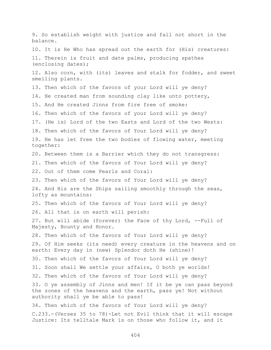9. So establish weight with justice and fall not short in the balance. 10. It is He Who has spread out the earth for (His) creatures: 11. Therein is fruit and date palms, producing spathes (enclosing dates); 12. Also corn, with (its) leaves and stalk for fodder, and sweet smelling plants. 13. Then which of the favors of your Lord will ye deny? 14. He created man from sounding clay like unto pottery, 15. And He created Jinns from fire free of smoke: 16. Then which of the favors of your Lord will ye deny? 17. (He is) Lord of the two Easts and Lord of the two Wests: 18. Then which of the favors of Your Lord will ye deny? 19. He has let free the two bodies of flowing water, meeting together: 20. Between them is a Barrier which they do not transgress: 21. Then which of the favors of Your Lord will ye deny? 22. Out of them come Pearls and Coral: 23. Then which of the favors of Your Lord will ye deny? 24. And His are the Ships sailing smoothly through the seas, lofty as mountains: 25. Then which of the favors of Your Lord will ye deny? 26. All that is on earth will perish: 27. But will abide (forever) the Face of thy Lord, --Full of Majesty, Bounty and Honor. 28. Then which of the favors of Your Lord will ye deny? 29. Of Him seeks (its need) every creature in the heavens and on earth: Every day in (new) Splendor doth He (shine)! 30. Then which of the favors of Your Lord will ye deny? 31. Soon shall We settle your affairs, O both ye worlds! 32. Then which of the favors of Your Lord will ye deny? 33. O ye assembly of Jinns and men! If it be ye can pass beyond the zones of the heavens and the earth, pass ye! Not without authority shall ye be able to pass! 34. Then which of the favors of Your Lord will ye deny? C.233.-(Verses 35 to 78)-Let not Evil think that it will escape Justice: Its telltale Mark is on those who follow it, and it

404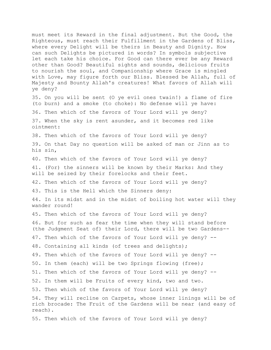must meet its Reward in the final adjustment. But the Good, the Righteous, must reach their Fulfillment in the Gardens of Bliss, where every Delight will be theirs in Beauty and Dignity. How can such Delights be pictured in words? In symbols subjective let each take his choice. For Good can there ever be any Reward other than Good? Beautiful sights and sounds, delicious fruits to nourish the soul, and Companionship where Grace is mingled with Love, may figure forth our Bliss. Blessed be Allah, full of Majesty and Bounty Allah's creatures! What favors of Allah will ye deny? 35. On you will be sent (O ye evil ones twain!) a flame of fire (to burn) and a smoke (to choke): No defense will ye have: 36. Then which of the favors of Your Lord will ye deny? 37. When the sky is rent asunder, and it becomes red like ointment: 38. Then which of the favors of Your Lord will ye deny? 39. On that Day no question will be asked of man or Jinn as to his sin, 40. Then which of the favors of Your Lord will ye deny? 41. (For) the sinners will be known by their Marks: And they will be seized by their forelocks and their feet. 42. Then which of the favors of Your Lord will ye deny? 43. This is the Hell which the Sinners deny: 44. In its midst and in the midst of boiling hot water will they wander round! 45. Then which of the favors of Your Lord will ye deny? 46. But for such as fear the time when they will stand before (the Judgment Seat of) their Lord, there will be two Gardens-- 47. Then which of the favors of Your Lord will ye deny? -- 48. Containing all kinds (of trees and delights); 49. Then which of the favors of Your Lord will ye deny? -- 50. In them (each) will be two Springs flowing (free); 51. Then which of the favors of Your Lord will ye deny? -- 52. In them will be Fruits of every kind, two and two. 53. Then which of the favors of Your Lord will ye deny? 54. They will recline on Carpets, whose inner linings will be of rich brocade: The Fruit of the Gardens will be near (and easy of reach). 55. Then which of the favors of Your Lord will ye deny?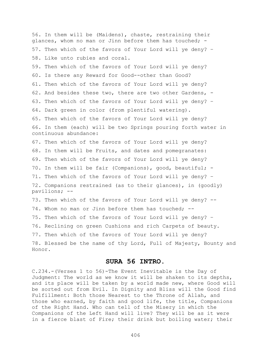56. In them will be (Maidens), chaste, restraining their glances, whom no man or Jinn before them has touched; - 57. Then which of the favors of Your Lord will ye deny? – 58. Like unto rubies and coral. 59. Then which of the favors of Your Lord will ye deny? 60. Is there any Reward for Good--other than Good? 61. Then which of the favors of Your Lord will ye deny? 62. And besides these two, there are two other Gardens, - 63. Then which of the favors of Your Lord will ye deny? – 64. Dark green in color (from plentiful watering). 65. Then which of the favors of Your Lord will ye deny? 66. In them (each) will be two Springs pouring forth water in continuous abundance: 67. Then which of the favors of Your Lord will ye deny? 68. In them will be Fruits, and dates and pomegranates: 69. Then which of the favors of Your Lord will ye deny? 70. In them will be fair (Companions), good, beautiful; -71. Then which of the favors of Your Lord will ye deny? – 72. Companions restrained (as to their glances), in (goodly) pavilions; -- 73. Then which of the favors of Your Lord will ye deny? -- 74. Whom no man or Jinn before them has touched; -- 75. Then which of the favors of Your Lord will ye deny? – 76. Reclining on green Cushions and rich Carpets of beauty. 77. Then which of the favors of Your Lord will ye deny? 78. Blessed be the name of thy Lord, Full of Majesty, Bounty and Honor.

#### **SURA 56 INTRO.**

C.234.-(Verses 1 to 56)-The Event Inevitable is the Day of Judgment: The world as we know it will be shaken to its depths, and its place will be taken by a world made new, where Good will be sorted out from Evil. In Dignity and Bliss will the Good find Fulfillment: Both those Nearest to the Throne of Allah, and those who earned, by faith and good life, the title, Companions of the Right Hand. Who can tell of the Misery in which the Companions of the Left Hand will live? They will be as it were in a fierce blast of Fire; their drink but boiling water; their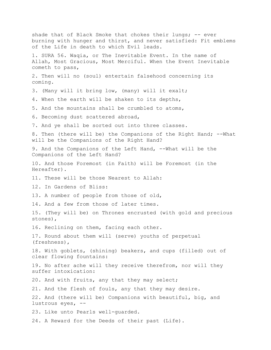shade that of Black Smoke that chokes their lungs; -- ever burning with hunger and thirst, and never satisfied: Fit emblems of the Life in death to which Evil leads. 1. SURA 56. Waqia, or The Inevitable Event. In the name of Allah, Most Gracious, Most Merciful. When the Event Inevitable cometh to pass, 2. Then will no (soul) entertain falsehood concerning its coming. 3. (Many will it bring low, (many) will it exalt; 4. When the earth will be shaken to its depths, 5. And the mountains shall be crumbled to atoms, 6. Becoming dust scattered abroad, 7. And ye shall be sorted out into three classes. 8. Then (there will be) the Companions of the Right Hand; --What will be the Companions of the Right Hand? 9. And the Companions of the Left Hand, --What will be the Companions of the Left Hand? 10. And those Foremost (in Faith) will be Foremost (in the Hereafter). 11. These will be those Nearest to Allah: 12. In Gardens of Bliss: 13. A number of people from those of old, 14. And a few from those of later times. 15. (They will be) on Thrones encrusted (with gold and precious stones), 16. Reclining on them, facing each other. 17. Round about them will (serve) youths of perpetual (freshness), 18. With goblets, (shining) beakers, and cups (filled) out of clear flowing fountains: 19. No after ache will they receive therefrom, nor will they suffer intoxication: 20. And with fruits, any that they may select; 21. And the flesh of fouls, any that they may desire. 22. And (there will be) Companions with beautiful, big, and lustrous eyes, -- 23. Like unto Pearls well-guarded. 24. A Reward for the Deeds of their past (Life).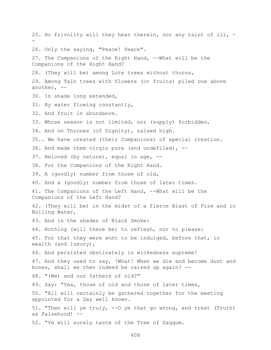25. No frivolity will they hear therein, nor any taint of ill, - - 26. Only the saying, "Peace! Peace". 27. The Companions of the Right Hand, --What will be the Companions of the Right Hand? 28. (They will be) among Lote trees without thorns, 29. Among Talh trees with flowers (or fruits) piled one above another, -- 30. In shade long extended, 31. By water flowing constantly, 32. And fruit in abundance. 33. Whose season is not limited, nor (supply) forbidden, 34. And on Thrones (of Dignity), raised high. 35.. We have created (their Companions) of special creation. 36. And made them virgin pure (and undefiled),  $-$ 37. Beloved (by nature), equal in age, -- 38. For the Companions of the Right Hand. 39. A (goodly) number from those of old, 40. And a (goodly) number from those of later times. 41. The Companions of the Left Hand, --What will be the Companions of the Left Hand? 42. (They will be) in the midst of a fierce Blast of Fire and in Boiling Water, 43. And in the shades of Black Smoke: 44. Nothing (will there be) to refresh, nor to please: 45. For that they were wont to be indulged, before that, in wealth (and luxury), 46. And persisted obstinately in wickedness supreme! 47. And they used to say, !What! When we die and become dust and bones, shall we then indeed be raised up again? -- 48. "(We) and our fathers of old?" 49. Say: "Yea, those of old and those of later times, 50. "All will certainly be gathered together for the meeting appointed for a Day well known. 51. "Then will ye truly, --O ye that go wrong, and treat (Truth) as Falsehood! -- 52. "Ye will surely taste of the Tree of Zaqqum.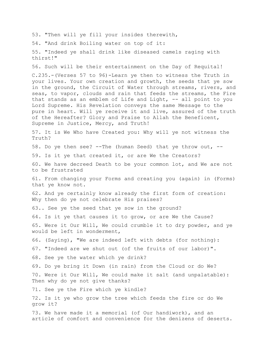53. "Then will ye fill your insides therewith, 54. "And drink Boiling water on top of it: 55. "Indeed ye shall drink like diseased camels raging with thirst!" 56. Such will be their entertainment on the Day of Requital! C.235.-(Verses 57 to 96)-Learn ye then to witness the Truth in your lives. Your own creation and growth, the seeds that ye sow in the ground, the Circuit of Water through streams, rivers, and seas, to vapor, clouds and rain that feeds the streams, the Fire that stands as an emblem of Life and Light, -- all point to you Lord Supreme. His Revelation conveys the same Message to the pure in heart. Will ye receive it and live, assured of the truth of the Hereafter? Glory and Praise to Allah the Beneficent, Supreme in Justice, Mercy, and Truth! 57. It is We Who have Created you: Why will ye not witness the Truth? 58. Do ye then see? --The (human Seed) that ye throw out, -- 59. Is it ye that created it, or are We the Creators? 60. We have decreed Death to be your common lot, and We are not to be frustrated 61. From changing your Forms and creating you (again) in (Forms) that ye know not. 62. And ye certainly know already the first form of creation: Why then do ye not celebrate His praises? 63.. See ye the seed that ye sow in the ground? 64. Is it ye that causes it to grow, or are We the Cause? 65. Were it Our Will, We could crumble it to dry powder, and ye would be left in wonderment, 66. (Saying), "We are indeed left with debts (for nothing): 67. "Indeed are we shut out (of the fruits of our labor)". 68. See ye the water which ye drink? 69. Do ye bring it Down (in rain) from the Cloud or do We? 70. Were it Our Will, We could make it salt (and unpalatable): Then why do ye not give thanks? 71. See ye the Fire which ye kindle? 72. Is it ye who grow the tree which feeds the fire or do We grow it? 73. We have made it a memorial (of Our handiwork), and an article of comfort and convenience for the denizens of deserts.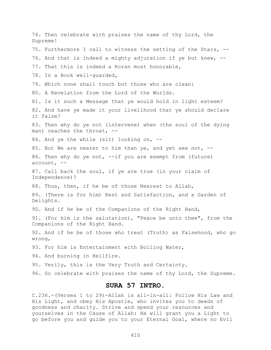74. Then celebrate with praises the name of thy Lord, the Supreme! 75. Furthermore I call to witness the setting of the Stars, -- 76. And that is indeed a mighty adjuration if ye but knew, -- 77. That this is indeed a Koran most honorable, 78. In a Book well-guarded, 79. Which none shall touch but those who are clean: 80. A Revelation from the Lord of the Worlds. 81. Is it such a Message that ye would hold in light esteem? 82. And have ye made it your livelihood that ye should declare it false? 83. Then why do ye not (intervene) when (the soul of the dying man) reaches the throat, -- 84. And ye the while (sit) looking on, -- 85. But We are nearer to him than ye, and yet see not, --86. Then why do ye not,  $-\text{if}$  you are exempt from (future) account, -- 87. Call back the soul, if ye are true (in your claim of Independence)? 88. Thus, then, if he be of those Nearest to Allah, 89. (There is for him) Rest and Satisfaction, and a Garden of Delights. 90. And if he be of the Companions of the Right Hand, 91. (For him is the salutation), "Peace be unto thee", from the Companions of the Right Hand. 92. And if he be of those who treat (Truth) as Falsehood, who go wrong, 93. For him is Entertainment with Boiling Water, 94. And burning in Hellfire. 95. Verily, this is the Very Truth and Certainty. 96. So celebrate with praises the name of thy Lord, the Supreme.

### **SURA 57 INTRO.**

C.236.-(Verses 1 to 29)-Allah is all-in-all: Follow His Law and His Light, and obey His Apostle, who invites you to deeds of goodness and charity. Strive and spend your resources and yourselves in the Cause of Allah: He will grant you a Light to go before you and guide you to your Eternal Goal, where no Evil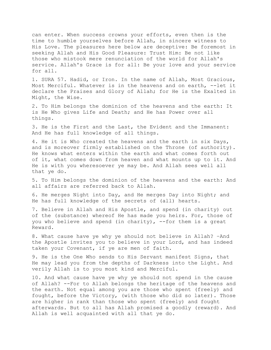can enter. When success crowns your efforts, even then is the time to humble yourselves before Allah, in sincere witness to His Love. The pleasures here below are deceptive: Be foremost in seeking Allah and His Good Pleasure: Trust Him: Be not like those who mistook mere renunciation of the world for Allah's service. Allah's Grace is for all: Be your love and your service for all.

1. SURA 57. Hadid, or Iron. In the name of Allah, Most Gracious, Most Merciful. Whatever is in the heavens and on earth, --let it declare the Praises and Glory of Allah; for He is the Exalted in Might, the Wise.

2. To Him belongs the dominion of the heavens and the earth: It is He Who gives Life and Death; and He has Power over all things.

3. He is the First and the Last, the Evident and the Immanent: And He has full knowledge of all things.

4. He it is Who created the heavens and the earth in six Days, and is moreover firmly established on the Throne (of authority). He knows what enters within the earth and what comes forth out of it, what comes down from heaven and what mounts up to it. And He is with you wheresoever ye may be. And Allah sees well all that ye do.

5. To Him belongs the dominion of the heavens and the earth: And all affairs are referred back to Allah.

6. He merges Night into Day, and He merges Day into Night; and He has full knowledge of the secrets of (all) hearts.

7. Believe in Allah and His Apostle, and spend (in charity) out of the (substance) whereof He has made you heirs. For, those of you who believe and spend (in charity),  $-$ -for them is a great Reward.

8. What cause have ye why ye should not believe in Allah? –And the Apostle invites you to believe in your Lord, and has indeed taken your Covenant, if ye are men of faith.

9. He is the One Who sends to His Servant manifest Signs, that He may lead you from the depths of Darkness into the Light. And verily Allah is to you most kind and Merciful.

10. And what cause have ye why ye should not spend in the cause of Allah? --For to Allah belongs the heritage of the heavens and the earth. Not equal among you are those who spent (freely) and fought, before the Victory, (with those who did so later). Those are higher in rank than those who spent (freely) and fought afterwards. But to all has Allah promised a goodly (reward). And Allah is well acquainted with all that ye do.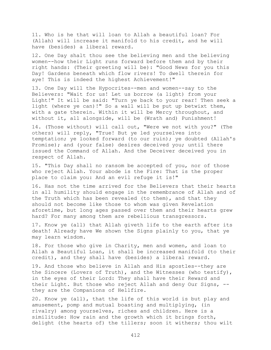11. Who is he that will loan to Allah a beautiful loan? For (Allah) will increase it manifold to his credit, and he will have (besides) a liberal reward.

12. One Day shalt thou see the believing men and the believing women--how their Light runs forward before them and by their right hands: (Their greeting will be): "Good News for you this Day! Gardens beneath which flow rivers! To dwell therein for aye! This is indeed the highest Achievement!"

13. One Day will the Hypocrites--men and women--say to the Believers: "Wait for us! Let us borrow (a light) from your Light!" It will be said: "Turn ye back to your rear! Then seek a light (where ye can)!" So a wall will be put up betwixt them, with a gate therein. Within it will be Mercy throughout, and without it, all alongside, will be (Wrath and) Punishment!

14. (Those without) will call out, "Were we not with you?" (The others) will reply, "True! But ye led yourselves into temptation; ye looked forward (to our ruin); ye doubted (Allah's Promise); and (your false) desires deceived you; until there issued the Command of Allah. And the Deceiver deceived you in respect of Allah.

15. "This Day shall no ransom be accepted of you, nor of those who reject Allah. Your abode is the Fire: That is the proper place to claim you: And an evil refuge it is!"

16. Has not the time arrived for the Believers that their hearts in all humility should engage in the remembrance of Allah and of the Truth which has been revealed (to them), and that they should not become like those to whom was given Revelation aforetime, but long ages passed over them and their hearts grew hard? For many among them are rebellious transgressors.

17. Know ye (all) that Allah giveth life to the earth after its death! Already have We shown the Signs plainly to you, that ye may learn wisdom.

18. For those who give in Charity, men and women, and loan to Allah a Beautiful Loan, it shall be increased manifold (to their credit), and they shall have (besides) a liberal reward.

19. And those who believe in Allah and His apostles--they are the Sincere (Lovers of Truth), and the Witnesses (who testify), in the eyes of their Lord: They shall have their Reward and their Light. But those who reject Allah and deny Our Signs, - they are the Companions of Hellfire.

20. Know ye (all), that the life of this world is but play and amusement, pomp and mutual boasting and multiplying, (in rivalry) among yourselves, riches and children. Here is a similitude: How rain and the growth which it brings forth, delight (the hearts of) the tillers; soon it withers; thou wilt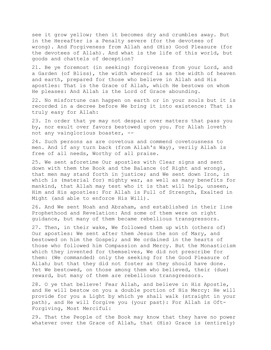see it grow yellow; then it becomes dry and crumbles away. But in the Hereafter is a Penalty severe (for the devotees of wrong). And Forgiveness from Allah and (His) Good Pleasure (for the devotees of Allah). And what is the life of this world, but goods and chattels of deception?

21. Be ye foremost (in seeking) forgiveness from your Lord, and a Garden (of Bliss), the width whereof is as the width of heaven and earth, prepared for those who believe in Allah and His apostles: That is the Grace of Allah, which He bestows on whom He pleases: And Allah is the Lord of Grace abounding.

22. No misfortune can happen on earth or in your souls but it is recorded in a decree before We bring it into existence: That is truly easy for Allah:

23. In order that ye may not despair over matters that pass you by, nor exult over favors bestowed upon you. For Allah loveth not any vainglorious boaster, --

24. Such persons as are covetous and commend covetousness to men. And if any turn back (from Allah's Way), verily Allah is free of all needs, Worthy of all praise.

25. We sent aforetime Our apostles with Clear signs and sent down with them the Book and the Balance (of Right and wrong), that men may stand forth in justice; and We sent down Iron, in which is (material for) mighty war, as well as many benefits for mankind, that Allah may test who it is that will help, unseen, Him and His apostles: For Allah is Full of Strength, Exalted in Might (and able to enforce His Will).

26. And We sent Noah and Abraham, and established in their line Prophethood and Revelation: And some of them were on right guidance, but many of them became rebellious transgressors.

27. Then, in their wake, We followed them up with (others of) Our apostles: We sent after them Jesus the son of Mary, and bestowed on him the Gospel; and We ordained in the hearts of those who followed him Compassion and Mercy. But the Monasticism which they invented for themselves, We did not prescribe for them: (We commanded) only the seeking for the Good Pleasure of Allah; but that they did not foster as they should have done. Yet We bestowed, on those among them who believed, their (due) reward, but many of them are rebellious transgressors.

28. O ye that believe! Fear Allah, and believe in His Apostle, and He will bestow on you a double portion of His Mercy: He will provide for you a Light by which ye shall walk (straight in your path), and He will forgive you (your past): For Allah is Oft-Forgiving, Most Merciful:

29. That the People of the Book may know that they have no power whatever over the Grace of Allah, that (His) Grace is (entirely)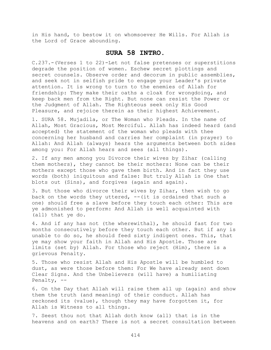in His hand, to bestow it on whomsoever He Wills. For Allah is the Lord of Grace abounding.

#### **SURA 58 INTRO.**

C.237.-(Verses 1 to 22)-Let not false pretenses or superstitions degrade the position of women. Eschew secret plottings and secret counsels. Observe order and decorum in public assemblies, and seek not in selfish pride to engage your Leader's private attention. It is wrong to turn to the enemies of Allah for friendship: They make their oaths a cloak for wrongdoing, and keep back men from the Right. But none can resist the Power or the Judgment of Allah. The Righteous seek only His Good Pleasure, and rejoice therein as their highest Achievement.

1. SURA 58. Mujadila, or The Woman who Pleads. In the name of Allah, Most Gracious, Most Merciful. Allah has indeed heard (and accepted) the statement of the woman who pleads with thee concerning her husband and carries her complaint (in prayer) to Allah: And Allah (always) hears the arguments between both sides among you: For Allah hears and sees (all things).

2. If any men among you Divorce their wives by Zihar (calling them mothers), they cannot be their mothers: None can be their mothers except those who gave them birth. And in fact they use words (both) iniquitous and false: But truly Allah is One that blots out (Sins), and forgives (again and again).

3. But those who divorce their wives by Zihar, then wish to go back on the words they uttered,  $-(-1)^i$  is ordained that such a one) should free a slave before they touch each other: This are ye admonished to perform: And Allah is well acquainted with (all) that ye do.

4. And if any has not (the wherewithal), he should fast for two months consecutively before they touch each other. But if any is unable to do so, he should feed sixty indigent ones. This, that ye may show your faith in Allah and His Apostle. Those are limits (set by) Allah. For those who reject (Him), there is a grievous Penalty.

5. Those who resist Allah and His Apostle will be humbled to dust, as were those before them: For We have already sent down Clear Signs. And the Unbelievers (will have) a humiliating Penalty, --

6. On the Day that Allah will raise them all up (again) and show them the truth (and meaning) of their conduct. Allah has reckoned its (value), though they may have forgotten it, for Allah is Witness to all things.

7. Seest thou not that Allah doth know (all) that is in the heavens and on earth? There is not a secret consultation between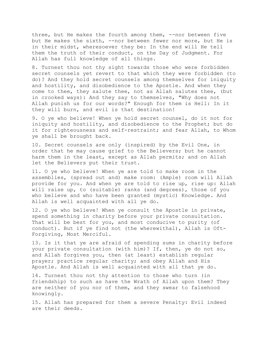three, but He makes the fourth among them, --nor between five but He makes the sixth, --nor between fewer nor more, but He is in their midst, wheresoever they be: In the end will He tell them the truth of their conduct, on the Day of Judgment. For Allah has full knowledge of all things.

8. Turnest thou not thy sight towards those who were forbidden secret counsels yet revert to that which they were forbidden (to do)? And they hold secret counsels among themselves for iniquity and hostility, and disobedience to the Apostle. And when they come to thee, they salute thee, not as Allah salutes thee, (but in crooked ways): And they say to themselves, "Why does not Allah punish us for our words?" Enough for them is Hell: In it they will burn, and evil is that destination!

9. O ye who believe! When ye hold secret counsel, do it not for iniquity and hostility, and disobedience to the Prophet; but do it for righteousness and self-restraint; and fear Allah, to Whom ye shall be brought back.

10. Secret counsels are only (inspired) by the Evil One, in order that he may cause grief to the Believers; but he cannot harm them in the least, except as Allah permits; and on Allah let the Believers put their trust.

11. O ye who believe! When ye are told to make room in the assemblies, (spread out and) make room: (Ample) room will Allah provide for you. And when ye are told to rise up, rise up: Allah will raise up, to (suitable) ranks (and degrees), those of you who believe and who have been granted (mystic) Knowledge. And Allah is well acquainted with all ye do.

12. O ye who believe! When ye consult the Apostle in private, spend something in charity before your private consultation. That will be best for you, and most conducive to purity (of conduct). But if ye find not (the wherewithal), Allah is Oft-Forgiving, Most Merciful.

13. Is it that ye are afraid of spending sums in charity before your private consultation (with him)? If, then, ye do not so, and Allah forgives you, then (at least) establish regular prayer; practice regular charity; and obey Allah and His Apostle. And Allah is well acquainted with all that ye do.

14. Turnest thou not thy attention to those who turn (in friendship) to such as have the Wrath of Allah upon them? They are neither of you nor of them, and they swear to falsehood knowingly.

15. Allah has prepared for them a severe Penalty: Evil indeed are their deeds.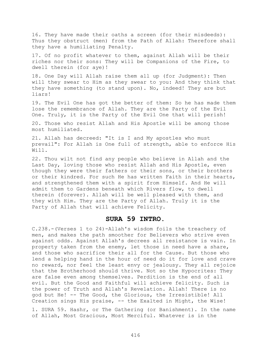16. They have made their oaths a screen (for their misdeeds): Thus they obstruct (men) from the Path of Allah: Therefore shall they have a humiliating Penalty.

17. Of no profit whatever to them, against Allah will be their riches nor their sons: They will be Companions of the Fire, to dwell therein (for aye)!

18. One Day will Allah raise them all up (for Judgment): Then will they swear to Him as they swear to you: And they think that they have something (to stand upon). No, indeed! They are but liars!

19. The Evil One has got the better of them: So he has made them lose the remembrance of Allah. They are the Party of the Evil One. Truly, it is the Party of the Evil One that will perish!

20. Those who resist Allah and His Apostle will be among those most humiliated.

21. Allah has decreed: "It is I and My apostles who must prevail": For Allah is One full of strength, able to enforce His Will.

22. Thou wilt not find any people who believe in Allah and the Last Day, loving those who resist Allah and His Apostle, even though they were their fathers or their sons, or their brothers or their kindred. For such He has written Faith in their hearts, and strengthened them with a spirit from Himself. And He will admit them to Gardens beneath which Rivers flow, to dwell therein (forever). Allah will be well pleased with them, and they with Him. They are the Party of Allah. Truly it is the Party of Allah that will achieve Felicity.

### **SURA 59 INTRO.**

C.238.-(Verses 1 to 24)-Allah's wisdom foils the treachery of men, and makes the path smoother for Believers who strive even against odds. Against Allah's decrees all resistance is vain. In property taken from the enemy, let those in need have a share, and those who sacrifice their all for the Cause. But those who lend a helping hand in the hour of need do it for love and crave no reward, nor feel the least envy or jealousy. They all rejoice that the Brotherhood should thrive. Not so the Hypocrites: They are false even among themselves. Perdition is the end of all evil. But the Good and Faithful will achieve felicity. Such is the power of Truth and Allah's Revelation. Allah! There is no god but He! -- The Good, the Glorious, the Irresistible! All Creation sings His praise, -- the Exalted in Might, the Wise!

1. SURA 59. Hashr, or The Gathering (or Banishment). In the name of Allah, Most Gracious, Most Merciful. Whatever is in the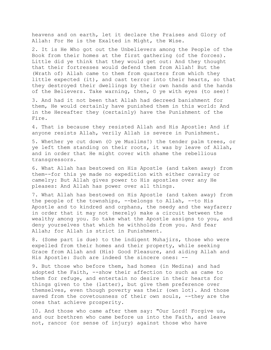heavens and on earth, let it declare the Praises and Glory of Allah: For He is the Exalted in Might, the Wise.

2. It is He Who got out the Unbelievers among the People of the Book from their homes at the first gathering (of the forces). Little did ye think that they would get out: And they thought that their fortresses would defend them from Allah! But the (Wrath of) Allah came to them from quarters from which they little expected (it), and cast terror into their hearts, so that they destroyed their dwellings by their own hands and the hands of the Believers. Take warning, then, O ye with eyes (to see)!

3. And had it not been that Allah had decreed banishment for them, He would certainly have punished them in this world: And in the Hereafter they (certainly) have the Punishment of the Fire.

4. That is because they resisted Allah and His Apostle: And if anyone resists Allah, verily Allah is severe in Punishment.

5. Whether ye cut down (O ye Muslims!) the tender palm trees, or ye left them standing on their roots, it was by leave of Allah, and in order that He might cover with shame the rebellious transgressors.

6. What Allah has bestowed on His Apostle (and taken away) from them--for this ye made no expedition with either cavalry or camelry: But Allah gives power to His apostles over any He pleases: And Allah has power over all things.

7. What Allah has bestowed on His Apostle (and taken away) from the people of the townships, --belongs to Allah, --to His Apostle and to kindred and orphans, the needy and the wayfarer; in order that it may not (merely) make a circuit between the wealthy among you. So take what the Apostle assigns to you, and deny yourselves that which he withholds from you. And fear Allah; for Allah is strict in Punishment.

8. (Some part is due) to the indigent Muhajirs, those who were expelled from their homes and their property, while seeking Grace from Allah and (His) Good Pleasure, and aiding Allah and His Apostle: Such are indeed the sincere ones: --

9. But those who before them, had homes (in Medina) and had adopted the Faith, --show their affection to such as came to them for refuge, and entertain no desire in their hearts for things given to the (latter), but give them preference over themselves, even though poverty was their (own lot). And those saved from the covetousness of their own souls, --they are the ones that achieve prosperity.

10. And those who came after them say: "Our Lord! Forgive us, and our brethren who came before us into the Faith, and leave not, rancor (or sense of injury) against those who have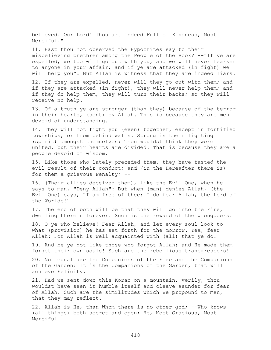believed. Our Lord! Thou art indeed Full of Kindness, Most Merciful."

11. Hast thou not observed the Hypocrites say to their misbelieving brethren among the People of the Book? --"If ye are expelled, we too will go out with you, and we will never hearken to anyone in your affair; and if ye are attacked (in fight) we will help you". But Allah is witness that they are indeed liars.

12. If they are expelled, never will they go out with them; and if they are attacked (in fight), they will never help them; and if they do help them, they will turn their backs; so they will receive no help.

13. Of a truth ye are stronger (than they) because of the terror in their hearts, (sent) by Allah. This is because they are men devoid of understanding.

14. They will not fight you (even) together, except in fortified townships, or from behind walls. Strong is their fighting (spirit) amongst themselves: Thou wouldst think they were united, but their hearts are divided: That is because they are a people devoid of wisdom.

15. Like those who lately preceded them, they have tasted the evil result of their conduct; and (in the Hereafter there is) for them a grievous Penalty; --

16. (Their allies deceived them), like the Evil One, when he says to man, "Deny Allah": But when (man) denies Allah, (the Evil One) says, "I am free of thee: I do fear Allah, the Lord of the Worlds!"

17. The end of both will be that they will go into the Fire, dwelling therein forever. Such is the reward of the wrongdoers.

18. O ye who believe! Fear Allah, and let every soul look to what (provision) he has set forth for the morrow. Yea, fear Allah: For Allah is well acquainted with (all) that ye do.

19. And be ye not like those who forgot Allah; and He made them forget their own souls! Such are the rebellious transgressors!

20. Not equal are the Companions of the Fire and the Companions of the Garden: It is the Companions of the Garden, that will achieve Felicity.

21. Had we sent down this Koran on a mountain, verily, thou wouldst have seen it humble itself and cleave asunder for fear of Allah. Such are the similitudes which We propound to men, that they may reflect.

22. Allah is He, than Whom there is no other god; --Who knows (all things) both secret and open; He, Most Gracious, Most Merciful.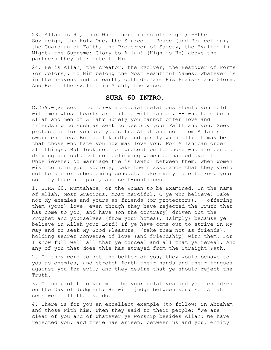23. Allah is He, than Whom there is no other god; --the Sovereign, the Holy One, the Source of Peace (and Perfection), the Guardian of Faith, the Preserver of Safety, the Exalted in Might, the Supreme: Glory to Allah! (High is He) above the partners they attribute to Him.

24. He is Allah, the creator, the Evolver, the Bestower of Forms (or Colors). To Him belong the Most Beautiful Names: Whatever is in the heavens and on earth, doth declare His Praises and Glory: And He is the Exalted in Might, the Wise.

# **SURA 60 INTRO.**

C.239.-(Verses 1 to 13)-What social relations should you hold with men whose hearts are filled with rancor, -- who hate both Allah and men of Allah? Surely you cannot offer love and friendship to such as seek to destroy your Faith and you. Seek protection for you and yours fro Allah and not from Allah's sworn enemies. But deal kindly and justly with all: It may be that those who hate you now may love you: For Allah can order all things. But look not for protection to those who are bent on driving you out. Let not believing women be handed over to Unbelievers: No marriage tie is lawful between them. When women wish to join your society, take their assurance that they yield not to sin or unbeseeming conduct. Take every care to keep your society free and pure, and self-contained.

1. SURA 60. Mumtahana, or the Woman to be Examined. In the name of Allah, Most Gracious, Most Merciful. O ye who believe! Take not My enemies and yours as friends (or protectors), --offering them (your) love, even though they have rejected the Truth that has come to you, and have (on the contrary) driven out the Prophet and yourselves (from your homes), (simply) because ye believe in Allah your Lord! If ye have come out to strive in My Way and to seek My Good Pleasure, (take them not as friends), holding secret converse of love (and friendship) with them: For I know full well all that ye conceal and all that ye reveal. And any of you that does this has strayed from the Straight Path.

2. If they were to get the better of you, they would behave to you as enemies, and stretch forth their hands and their tongues against you for evil; and they desire that ye should reject the Truth.

3. Of no profit to you will be your relatives and your children on the Day of Judgment: He will judge between you: For Allah sees well all that ye do.

4. There is for you an excellent example (to follow) in Abraham and those with him, when they said to their people: "We are clear of you and of whatever ye worship besides Allah: We have rejected you, and there has arisen, between us and you, enmity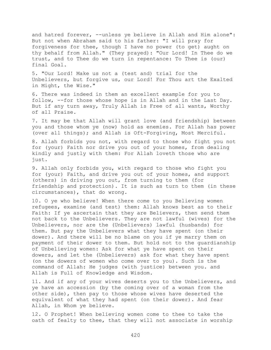and hatred forever, --unless ye believe in Allah and Him alone": But not when Abraham said to his father: "I will pray for forgiveness for thee, though I have no power (to get) aught on thy behalf from Allah." (They prayed): "Our Lord! In Thee do we trust, and to Thee do we turn in repentance: To Thee is (our) final Goal.

5. "Our Lord! Make us not a (test and) trial for the Unbelievers, but forgive us, our Lord! For Thou art the Exalted in Might, the Wise."

6. There was indeed in them an excellent example for you to follow, --for those whose hope is in Allah and in the Last Day. But if any turn away, Truly Allah is Free of all wants, Worthy of all Praise.

7. It may be that Allah will grant love (and friendship) between you and those whom ye (now) hold as enemies. For Allah has power (over all things); and Allah is Oft-Forgiving, Most Merciful.

8. Allah forbids you not, with regard to those who fight you not for (your) Faith nor drive you out of your homes, from dealing kindly and justly with them: For Allah loveth those who are just.

9. Allah only forbids you, with regard to those who fight you for (your) Faith, and drive you out of your homes, and support (others) in driving you out, from turning to them (for friendship and protection). It is such as turn to them (in these circumstances), that do wrong.

10. O ye who believe! When there come to you Believing women refugees, examine (and test) them: Allah knows best as to their Faith: If ye ascertain that they are Believers, then send them not back to the Unbelievers. They are not lawful (wives) for the Unbelievers, nor are the (Unbelievers) lawful (husbands) for them. But pay the Unbelievers what they have spent (on their dower). And there will be no blame on you if ye marry them on payment of their dower to them. But hold not to the guardianship of Unbelieving women: Ask for what ye have spent on their dowers, and let the (Unbelievers) ask for what they have spent (on the dowers of women who come over to you). Such is the command of Allah: He judges (with justice) between you. and Allah is Full of Knowledge and Wisdom.

11. And if any of your wives deserts you to the Unbelievers, and ye have an accession (by the coming over of a woman from the other side), then pay to those whose wives have deserted the equivalent of what they had spent (on their dower). And fear Allah, in Whom ye believe.

12. O Prophet! When believing women come to thee to take the oath of fealty to thee, that they will not associate in worship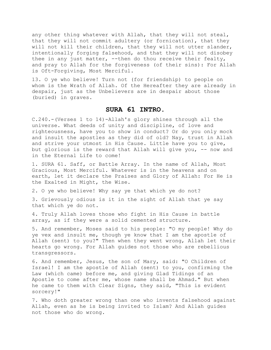any other thing whatever with Allah, that they will not steal, that they will not commit adultery (or fornication), that they will not kill their children, that they will not utter slander, intentionally forging falsehood, and that they will not disobey thee in any just matter, --then do thou receive their fealty, and pray to Allah for the forgiveness (of their sins): For Allah is Oft-Forgiving, Most Merciful.

13. O ye who believe! Turn not (for friendship) to people on whom is the Wrath of Allah. Of the Hereafter they are already in despair, just as the Unbelievers are in despair about those (buried) in graves.

# **SURA 61 INTRO.**

C.240.-(Verses 1 to 14)-Allah's glory shines through all the universe. What deeds of unity and discipline, of love and righteousness, have you to show in conduct? Or do you only mock and insult the apostles as they did of old? Nay, trust in Allah and strive your utmost in His Cause. Little have you to give, but glorious is the reward that Allah will give you, -- now and in the Eternal Life to come!

1. SURA 61. Saff, or Battle Array. In the name of Allah, Most Gracious, Most Merciful. Whatever is in the heavens and on earth, let it declare the Praises and Glory of Allah: For He is the Exalted in Might, the Wise.

2. O ye who believe! Why say ye that which ye do not?

3. Grievously odious is it in the sight of Allah that ye say that which ye do not.

4. Truly Allah loves those who fight in His Cause in battle array, as if they were a solid cemented structure.

5. And remember, Moses said to his people: "O my people! Why do ye vex and insult me, though ye know that I am the apostle of Allah (sent) to you?" Then when they went wrong, Allah let their hearts go wrong. For Allah guides not those who are rebellious transgressors.

6. And remember, Jesus, the son of Mary, said: "O Children of Israel! I am the apostle of Allah (sent) to you, confirming the Law (which came) before me, and giving Glad Tidings of an Apostle to come after me, whose name shall be Ahmad." But when he came to them with Clear Signs, they said, "This is evident sorcery!"

7. Who doth greater wrong than one who invents falsehood against Allah, even as he is being invited to Islam? And Allah guides not those who do wrong.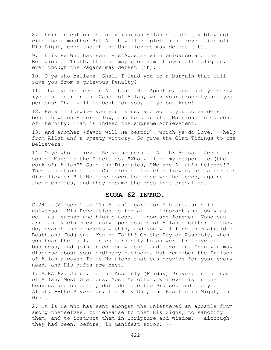8. Their intention is to extinguish Allah's Light (by blowing) with their mouths: But Allah will complete (the revelation of) His Light, even though the Unbelievers may detest (it).

9. It is He Who has sent His Apostle with Guidance and the Religion of Truth, that he may proclaim it over all religion, even though the Pagans may detest (it).

10. O ye who believe! Shall I lead you to a bargain that will save you from a grievous Penalty? --

11. That ye believe in Allah and His Apostle, and that ye strive (your utmost) in the Cause of Allah, with your property and your persons: That will be best for you, if ye but knew!

12. He will forgive you your sins, and admit you to Gardens beneath which Rivers flow, and to beautiful Mansions in Gardens of Eternity: That is indeed the supreme Achievement.

13. And another (favor will He bestow), which ye do love, --help from Allah and a speedy victory. So give the Glad Tidings to the Believers.

14. O ye who believe! Be ye helpers of Allah: As said Jesus the son of Mary to the Disciples, "Who will be my helpers to (the work of) Allah?" Said the Disciples, "We are Allah's helpers!" Then a portion of the Children of Israel believed, and a portion disbelieved: But We gave power to those who believed, against their enemies, and they became the ones that prevailed.

### **SURA 62 INTRO.**

C.241.-(Verses 1 to 11)-Allah's care for His creatures is universal. His Revelation is for all -- ignorant and lowly as well as learned and high placed, -- now and forever. None can arrogantly claim exclusive possession of Allah's gifts: If they do, search their hearts within, and you will find them afraid of Death and Judgment. Men of Faith! On the Day of Assembly, when you hear the call, hasten earnestly to answer it: Leave off business, and join in common worship and devotion. Then you may disperse about your ordinary business, but remember the Praises of Allah always: It is He alone that can provide for your every need, and His gifts are best.

1. SURA 62. Jumua, or the Assembly (Friday) Prayer. In the name of Allah, Most Gracious, Most Merciful. Whatever is in the heavens and on earth, doth declare the Praises and Glory of Allah, --the Sovereign, the Holy One, the Exalted in Might, the Wise.

2. It is He Who has sent amongst the Unlettered an apostle from among themselves, to rehearse to them His Signs, to sanctify them, and to instruct them in Scripture and Wisdom, --although they had been, before, in manifest error; --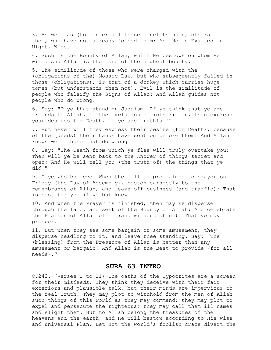3. As well as (to confer all these benefits upon) others of them, who have not already joined them: And He is Exalted in Might, Wise.

4. Such is the Bounty of Allah, which He bestows on whom He will: And Allah is the Lord of the highest bounty.

5. The similitude of those who were charged with the (obligations of the) Mosaic Law, but who subsequently failed in those (obligations), is that of a donkey which carries huge tomes (but understands them not). Evil is the similitude of people who falsify the Signs of Allah: And Allah guides not people who do wrong.

6. Say: "O ye that stand on Judaism! If ye think that ye are friends to Allah, to the exclusion of (other) men, then express your desires for Death, if ye are truthful!"

7. But never will they express their desire (for Death), because of the (deeds) their hands have sent on before them! And Allah knows well those that do wrong!

8. Say: "The Death from which ye flee will truly overtake you: Then will ye be sent back to the Knower of things secret and open: And He will tell you (the truth of) the things that ye did!"

9. O ye who believe! When the call is proclaimed to prayer on Friday (the Day of Assembly), hasten earnestly to the remembrance of Allah, and leave off business (and traffic): That is best for you if ye but knew!

10. And when the Prayer is finished, then may ye disperse through the land, and seek of the Bounty of Allah: And celebrate the Praises of Allah often (and without stint): That ye may prosper.

11. But when they see some bargain or some amusement, they disperse headlong to it, and leave thee standing. Say: "The (blessing) from the Presence of Allah is better than any amusement or bargain! And Allah is the Best to provide (for all needs)."

#### **SURA 63 INTRO.**

C.242.-(Verses 1 to 11)-The oaths of the Hypocrites are a screen for their misdeeds. They think they deceive with their fair exteriors and plausible talk, but their minds are impervious to the real Truth. They may plot to withhold from the men of Allah such things of this world as they may command; they may plot to expel and persecute the righteous; they may call them ill names and slight them. But to Allah belong the treasures of the heavens and the earth, and He will bestow according to His wise and universal Plan. Let not the world's foolish craze divert the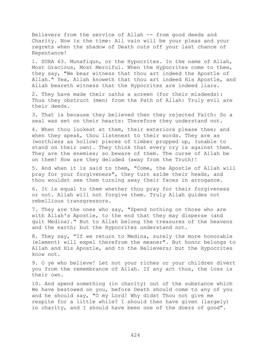Believers from the service of Allah -- from good deeds and Charity. Now is the time: All vain will be your pleas and your regrets when the shadow of Death cuts off your last chance of Repentance!

1. SURA 63. Munafiqun, or the Hypocrites. In the name of Allah, Most Gracious, Most Merciful. When the Hypocrites come to thee, they say, "We bear witness that thou art indeed the Apostle of Allah." Yea, Allah knoweth that thou art indeed His Apostle, and Allah beareth witness that the Hypocrites are indeed liars.

2. They have made their oaths a screen (for their misdeeds): Thus they obstruct (men) from the Path of Allah: Truly evil are their deeds.

3. That is because they believed then they rejected Faith: So a seal was set on their hearts: Therefore they understand not.

4. When thou lookest at them, their exteriors please thee; and when they speak, thou listenest to their words. They are as (worthless as hollow) pieces of timber propped up, (unable to stand on their own). They think that every cry is against them. They are the enemies; so beware of them. The curse of Allah be on them! How are they deluded (away from the Truth)!

5. And when it is said to them, "Come, the Apostle of Allah will pray for your forgiveness", they turn aside their heads, and thou wouldst see them turning away their faces in arrogance.

6. It is equal to them whether thou pray for their forgiveness or not. Allah will not forgive them. Truly Allah guides not rebellious transgressors.

7. They are the ones who say, "Spend nothing on those who are with Allah's Apostle, to the end that they may disperse (and quit Medina)." But to Allah belong the treasures of the heavens and the earth; but the Hypocrites understand not.

8. They say, "If we return to Medina, surely the more honorable (element) will expel therefrom the meaner". But honor belongs to Allah and His Apostle, and to the Believers; but the Hypocrites know not.

9. O ye who believe! Let not your riches or your children divert you from the remembrance of Allah. If any act thus, the loss is their own.

10. And spend something (in charity) out of the substance which We have bestowed on you, before Death should come to any of you and he should say, "O my Lord! Why didst Thou not give me respite for a little while? I should then have given (largely) in charity, and I should have been one of the doers of good".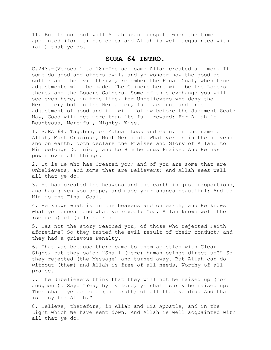11. But to no soul will Allah grant respite when the time appointed (for it) has come; and Allah is well acquainted with (all) that ye do.

# **SURA 64 INTRO.**

C.243.-(Verses 1 to 18)-The selfsame Allah created all men. If some do good and others evil, and ye wonder how the good do suffer and the evil thrive, remember the Final Goal, when true adjustments will be made. The Gainers here will be the Losers there, and the Losers Gainers. Some of this exchange you will see even here, in this life, for Unbelievers who deny the Hereafter; but in the Hereafter, full account and true adjustment of good and ill will follow before the Judgment Seat: Nay, Good will get more than its full reward: For Allah is Bounteous, Merciful, Mighty, Wise.

1. SURA 64. Tagabun, or Mutual Loss and Gain. In the name of Allah, Most Gracious, Most Merciful. Whatever is in the heavens and on earth, doth declare the Praises and Glory of Allah: to Him belongs Dominion, and to Him belongs Praise: And He has power over all things.

2. It is He Who has Created you; and of you are some that are Unbelievers, and some that are Believers: And Allah sees well all that ye do.

3. He has created the heavens and the earth in just proportions, and has given you shape, and made your shapes beautiful: And to Him is the Final Goal.

4. He knows what is in the heavens and on earth; and He knows what ye conceal and what ye reveal: Yea, Allah knows well the (secrets) of (all) hearts.

5. Has not the story reached you, of those who rejected Faith aforetime? So they tasted the evil result of their conduct; and they had a grievous Penalty.

6. That was because there came to them apostles with Clear Signs, but they said: "Shall (mere) human beings direct us?" So they rejected (the Message) and turned away. But Allah can do without (them) and Allah is free of all needs, Worthy of all praise.

7. The Unbelievers think that they will not be raised up (for Judgment). Say: "Yea, by my Lord, ye shall surly be raised up: Then shall ye be told (the truth) of all that ye did. And that is easy for Allah."

8. Believe, therefore, in Allah and His Apostle, and in the Light which We have sent down. And Allah is well acquainted with all that ye do.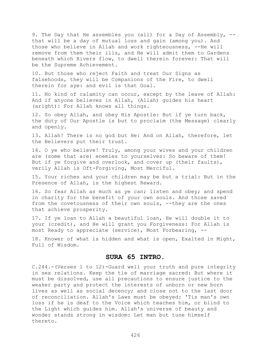9. The Day that He assembles you (all) for a Day of Assembly, -that will be a day of mutual loss and gain (among you). And those who believe in Allah and work righteousness, --He will remove from them their ills, and He will admit them to Gardens beneath which Rivers flow, to dwell therein forever: That will be the Supreme Achievement.

10. But those who reject Faith and treat Our Signs as falsehoods, they will be Companions of the Fire, to dwell therein for aye: and evil is that Goal.

11. No kind of calamity can occur, except by the leave of Allah: And if anyone believes in Allah, (Allah) guides his heart (aright): For Allah knows all things.

12. So obey Allah, and obey His Apostle: But if ye turn back, the duty of Our Apostle is but to proclaim (the Message) clearly and openly.

13. Allah! There is no god but He: And on Allah, therefore, let the Believers put their trust.

14. O ye who believe! Truly, among your wives and your children are (some that are) enemies to yourselves: So beware of them! But if ye forgive and overlook, and cover up (their faults), verily Allah is Oft-Forgiving, Most Merciful.

15. Your riches and your children may be but a trial: But in the Presence of Allah, is the highest Reward.

16. So fear Allah as much as ye can; listen and obey; and spend in charity for the benefit of your own souls. And those saved from the covetousness of their own souls, --they are the ones that achieve prosperity.

17. If ye loan to Allah a beautiful loan, He will double it to your (credit), and He will grant you Forgiveness: For Allah is most Ready to appreciate (service), Most Forbearing, --

18. Knower of what is hidden and what is open, Exalted in Might, Full of Wisdom.

### **SURA 65 INTRO.**

C.244.-(Verses 1 to 12)-Guard well your truth and pure integrity in sex relations. Keep the tie of marriage sacred: But where it must be dissolved, use all precautions to ensure justice to the weaker party and protect the interests of unborn or new born lives as well as social decency; and close not to the last door of reconciliation. Allah's Laws must be obeyed: 'Tis man's own loss if he is deaf to the Voice which teaches him, or blind to the Light which guides him. Allah's universe of beauty and wonder stands strong in wisdom: Let man but tune himself thereto.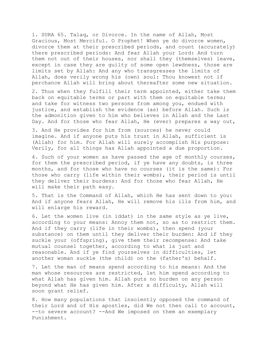1. SURA 65. Talaq, or Divorce. In the name of Allah, Most Gracious, Most Merciful. O Prophet! When ye do divorce women, divorce them at their prescribed periods, and count (accurately) there prescribed periods: And fear Allah your Lord: And turn them not out of their houses, nor shall they (themselves) leave, except in case they are guilty of some open lewdness, those are limits set by Allah: And any who transgresses the limits of Allah, does verily wrong his (own) soul: Thou knowest not if perchance Allah will bring about thereafter some new situation.

2. Thus when they fulfill their term appointed, either take them back on equitable terms or part with them on equitable terms; and take for witness two persons from among you, endued with justice, and establish the evidence (as) before Allah. Such is the admonition given to him who believes in Allah and the Last Day. And for those who fear Allah, He (ever) prepares a way out,

3. And He provides for him from (sources) he never could imagine. And if anyone puts his trust in Allah, sufficient is (Allah) for him. For Allah will surely accomplish His purpose: Verily, for all things has Allah appointed a due proportion.

4. Such of your women as have passed the age of monthly courses, for them the prescribed period, if ye have any doubts, is three months, and for those who have no courses (it is the same): For those who carry (life within their wombs), their period is until they deliver their burdens: And for those who fear Allah, He will make their path easy.

5. That is the Command of Allah, which He has sent down to you: And if anyone fears Allah, He will remove his ills from him, and will enlarge his reward.

6. Let the women live (in iddat) in the same style as ye live, according to your means: Annoy them not, so as to restrict them. And if they carry (life in their wombs), then spend (your substance) on them until they deliver their burden: And if they suckle your (offspring), give them their recompense: And take mutual counsel together, according to what is just and reasonable. And if ye find yourselves in difficulties, let another woman suckle (the child) on the (father's) behalf.

7. Let the man of means spend according to his means: And the man whose resources are restricted, let him spend according to what Allah has given him. Allah puts no burden on any person beyond what He has given him. After a difficulty, Allah will soon grant relief.

8. How many populations that insolently opposed the command of their Lord and of His apostles, did We not then call to account, --to severe account? --And We imposed on them an exemplary Punishment.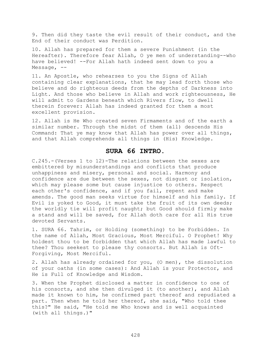9. Then did they taste the evil result of their conduct, and the End of their conduct was Perdition.

10. Allah has prepared for them a severe Punishment (in the Hereafter). Therefore fear Allah, O ye men of understanding--who have believed! --For Allah hath indeed sent down to you a Message, --

11. An Apostle, who rehearses to you the Signs of Allah containing clear explanations, that he may lead forth those who believe and do righteous deeds from the depths of Darkness into Light. And those who believe in Allah and work righteousness, He will admit to Gardens beneath which Rivers flow, to dwell therein forever: Allah has indeed granted for them a most excellent provision.

12. Allah is He Who created seven Firmaments and of the earth a similar number. Through the midst of them (all) descends His Command: That ye may know that Allah has power over all things, and that Allah comprehends all things in (His) Knowledge.

### **SURA 66 INTRO.**

C.245.-(Verses 1 to 12)-The relations between the sexes are embittered by misunderstandings and conflicts that produce unhappiness and misery, personal and social. Harmony and confidence are due between the sexes, not disgust or isolation, which may please some but cause injustice to others. Respect each other's confidence, and if you fail, repent and make amends. The good man seeks virtue for himself and his family. If Evil is yoked to Good, it must take the fruit of its own deeds; the worldly tie will profit naught; but Good should firmly make a stand and will be saved, for Allah doth care for all His true devoted Servants.

1. SURA 66. Tahrim, or Holding (something) to be Forbidden. In the name of Allah, Most Gracious, Most Merciful. O Prophet! Why holdest thou to be forbidden that which Allah has made lawful to thee? Thou seekest to please thy consorts. But Allah is Oft-Forgiving, Most Merciful.

2. Allah has already ordained for you, (O men), the dissolution of your oaths (in some cases): And Allah is your Protector, and He is Full of Knowledge and Wisdom.

3. When the Prophet disclosed a matter in confidence to one of his consorts, and she then divulged it (to another), and Allah made it known to him, he confirmed part thereof and repudiated a part. Then when he told her thereof, she said, "Who told thee this?" He said, "He told me Who knows and is well acquainted (with all things.)"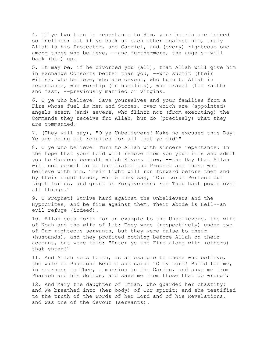4. If ye two turn in repentance to Him, your hearts are indeed so inclined; but if ye back up each other against him, truly Allah is his Protector, and Gabriel, and (every) righteous one among those who believe, --and furthermore, the angels--will back (him) up.

5. It may be, if he divorced you (all), that Allah will give him in exchange Consorts better than you, --who submit (their wills), who believe, who are devout, who turn to Allah in repentance, who worship (in humility), who travel (for Faith) and fast, --previously married or virgins.

6. O ye who believe! Save yourselves and your families from a Fire whose fuel is Men and Stones, over which are (appointed) angels stern (and) severe, who flinch not (from executing) the Commands they receive fro Allah, but do (precisely) what they are commanded.

7. (They will say), "O ye Unbelievers! Make no excused this Day! Ye are being but requited for all that ye did!"

8. O ye who believe! Turn to Allah with sincere repentance: In the hope that your Lord will remove from you your ills and admit you to Gardens beneath which Rivers flow, --the Day that Allah will not permit to be humiliated the Prophet and those who believe with him. Their Light will run forward before them and by their right hands, while they say, "Our Lord! Perfect our Light for us, and grant us Forgiveness: For Thou hast power over all things."

9. O Prophet! Strive hard against the Unbelievers and the Hypocrites, and be firm against them. Their abode is Hell--an evil refuge (indeed).

10. Allah sets forth for an example to the Unbelievers, the wife of Noah and the wife of Lut: They were (respectively) under two of Our righteous servants, but they were false to their (husbands), and they profited nothing before Allah on their account, but were told: "Enter ye the Fire along with (others) that enter!"

11. And Allah sets forth, as an example to those who believe, the wife of Pharaoh: Behold she said: "O my Lord! Build for me, in nearness to Thee, a mansion in the Garden, and save me from Pharaoh and his doings, and save me from those that do wrong";

12. And Mary the daughter of Imran, who quarded her chastity; and We breathed into (her body) of Our spirit; and she testified to the truth of the words of her Lord and of his Revelations, and was one of the devout (servants).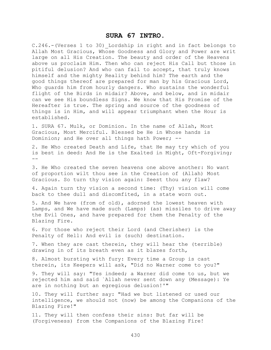#### **SURA 67 INTRO.**

C.246.-(Verses 1 to 30)\_Lordship in right and in fact belongs to Allah Most Gracious, Whose Goodness and Glory and Power are writ large on all His Creation. The beauty and order of the Heavens above us proclaim Him. Then who can reject His Call but those in pitiful delusion? And who can fail to accept, that truly knows himself and the mighty Reality behind him? The earth and the good things thereof are prepared for man by his Gracious Lord, Who guards him from hourly dangers. Who sustains the wonderful flight of the Birds in midair? Above, and below, and in midair can we see His boundless Signs. We know that His Promise of the Hereafter is true. The spring and source of the goodness of things is in Him, and will appear triumphant when the Hour is established.

1. SURA 67. Mulk, or Dominion. In the name of Allah, Most Gracious, Most Merciful. Blessed be He in Whose hands is Dominion; and He over all things hath Power; --

2. He Who created Death and Life, that He may try which of you is best in deed: And He is the Exalted in Might, Oft-Forgiving; --

3. He Who created the seven heavens one above another: No want of proportion wilt thou see in the Creation of (Allah) Most Gracious. So turn thy vision again: Seest thou any flaw?

4. Again turn thy vision a second time: (Thy) vision will come back to thee dull and discomfited, in a state worn out.

5. And We have (from of old), adorned the lowest heaven with Lamps, and We have made such (Lamps) (as) missiles to drive away the Evil Ones, and have prepared for them the Penalty of the Blazing Fire.

6. For those who reject their Lord (and Cherisher) is the Penalty of Hell: And evil is (such) destination.

7. When they are cast therein, they will hear the (terrible) drawing in of its breath even as it blazes forth,

8. Almost bursting with fury: Every time a Group is cast therein, its Keepers will ask, "Did no Warner come to you?"

9. They will say: "Yes indeed; a Warner did come to us, but we rejected him and said `Allah never sent down any (Message): Ye are in nothing but an egregious delusion!'"

10. They will further say: "Had we but listened or used our intelligence, we should not (now) be among the Companions of the Blazing Fire!"

11. They will then confess their sins: But far will be (Forgiveness) from the Companions of the Blazing Fire!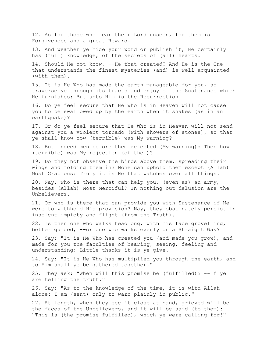12. As for those who fear their Lord unseen, for them is Forgiveness and a great Reward.

13. And weather ye hide your word or publish it, He certainly has (full) knowledge, of the secrets of (all) hearts.

14. Should He not know, --He that created? And He is the One that understands the finest mysteries (and) is well acquainted (with them).

15. It is He Who has made the earth manageable for you, so traverse ye through its tracts and enjoy of the Sustenance which He furnishes: But unto Him is the Resurrection.

16. Do ye feel secure that He Who is in Heaven will not cause you to be swallowed up by the earth when it shakes (as in an earthquake)?

17. Or do ye feel secure that He Who is in Heaven will not send against you a violent tornado (with showers of stones), so that ye shall know how (terrible) was My warning?

18. But indeed men before them rejected (My warning): Then how (terrible) was My rejection (of them)?

19. Do they not observe the birds above them, spreading their wings and folding them in? None can uphold them except (Allah) Most Gracious: Truly it is He that watches over all things.

20. Nay, who is there that can help you, (even as) an army, besides (Allah) Most Merciful? In nothing but delusion are the Unbelievers.

21. Or who is there that can provide you with Sustenance if He were to withhold His provision? Nay, they obstinately persist in insolent impiety and flight (from the Truth).

22. Is then one who walks headlong, with his face grovelling, better guided, --or one who walks evenly on a Straight Way?

23. Say: "It is He Who has created you (and made you grow), and made for you the faculties of hearing, seeing, feeling and understanding: Little thanks it is ye give.

24. Say: "It is He Who has multiplied you through the earth, and to Him shall ye be gathered together."

25. They ask: "When will this promise be (fulfilled)? --If ye are telling the truth."

26. Say: "As to the knowledge of the time, it is with Allah alone: I am (sent) only to warn plainly in public."

27. At length, when they see it close at hand, grieved will be the faces of the Unbelievers, and it will be said (to them): "This is (the promise fulfilled), which ye were calling for!"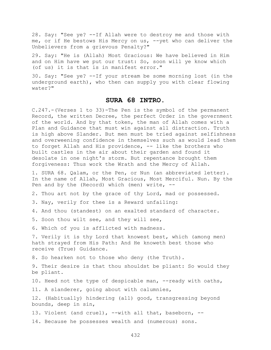28. Say: "See ye? --If Allah were to destroy me and those with me, or if He bestows His Mercy on us, --yet who can deliver the Unbelievers from a grievous Penalty?"

29. Say: "He is (Allah) Most Gracious: We have believed in Him and on Him have we put our trust: So, soon will ye know which (of us) it is that is in manifest error."

30. Say: "See ye? --If your stream be some morning lost (in the underground earth), who then can supply you with clear flowing water?"

# **SURA 68 INTRO.**

C.247.-(Verses 1 to 33)-The Pen is the symbol of the permanent Record, the written Decree, the perfect Order in the government of the world. And by that token, the man of Allah comes with a Plan and Guidance that must win against all distraction. Truth is high above Slander. But men must be tried against selfishness and overweening confidence in themselves such as would lead them to forget Allah and His providence, -- like the brothers who built castles in the air about their garden and found it desolate in one night's storm. But repentance brought them forgiveness: Thus work the Wrath and the Mercy of Allah.

1. SURA 68. Qalam, or the Pen, or Nun (an abbreviated letter). In the name of Allah, Most Gracious, Most Merciful. Nun. By the Pen and by the (Record) which (men) write, --

2. Thou art not by the grace of thy Lord, mad or possessed.

3. Nay, verily for thee is a Reward unfailing:

4. And thou (standest) on an exalted standard of character.

5. Soon thou wilt see, and they will see,

6. Which of you is afflicted with madness.

7. Verily it is thy Lord that knowest best, which (among men) hath strayed from His Path: And He knoweth best those who receive (True) Guidance.

8. So hearken not to those who deny (the Truth).

9. Their desire is that thou shouldst be pliant: So would they be pliant.

10. Heed not the type of despicable man, --ready with oaths,

11. A slanderer, going about with calumnies,

12. (Habitually) hindering (all) good, transgressing beyond bounds, deep in sin,

13. Violent (and cruel), --with all that, baseborn, --

14. Because he possesses wealth and (numerous) sons.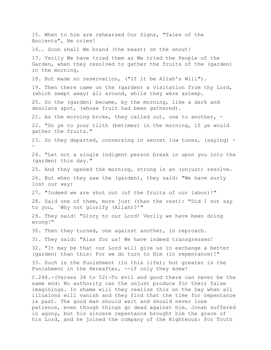15. When to him are rehearsed Our Signs, "Tales of the Ancients", He cries! 16.. Soon shall We brand (the beast) on the snout! 17. Verily We have tried them as We tried the People of the Garden, when they resolved to gather the fruits of the (garden) in the morning, 18. But made no reservation, ("If it be Allah's Will"). 19. Then there came on the (garden) a visitation from thy Lord, (which swept away) all around, while they were asleep. 20. So the (garden) became, by the morning, like a dark and desolate spot, (whose fruit had been gathered). 21. As the morning broke, they called out, one to another, - 22. "Go ye to your tilth (betimes) in the morning, if ye would gather the fruits." 23. So they departed, conversing in secret low tones, (saying) - - 24. "Let not a single indigent person break in upon you into the (garden) this day." 25. And they opened the morning, strong in an (unjust) resolve. 26. But when they saw the (garden), they said: "We have surly lost our way: 27. "Indeed we are shut out (of the fruits of our labor)!" 28. Said one of them, more just (than the rest): "Did I not say to you, `Why not glorify (Allah)?'" 29. They said: "Glory to our Lord! Verily we have been doing wrong!" 30. Then they turned, one against another, in reproach. 31. They said: "Alas for us! We have indeed transgresses! 32. "It may be that our Lord will give us in exchange a better (garden) than this: For we do turn to Him (in repentance)!" 33. Such is the Punishment (in this life); but greater is the Punishment in the Hereafter, --if only they knew! C.248.-(Verses 34 to 52)-To evil and good there can never be the same end: No authority can the unjust produce for their false imaginings. In shame will they realize this on the Day when all illusions will vanish and they find that the time for repentance is past. The good man should wait and should never lose patience, even though things go dead against him. Jonah suffered in agony, but his sincere repentance brought him the grace of his Lord, and he joined the company of the Righteous: For Truth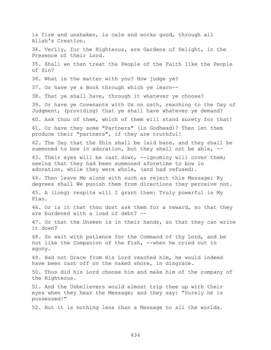is firm and unshaken, is calm and works good, through all Allah's Creation. 34. Verily, for the Righteous, are Gardens of Delight, in the Presence of their Lord. 35. Shall we then treat the People of the Faith like the People of Sin? 36. What is the matter with you? How judge ye? 37. Or have ye a Book through which ye learn-- 38. That ye shall have, through it whatever ye choose? 39. Or have ye Covenants with Us on oath, reaching to the Day of Judgment, (providing) that ye shall have whatever ye demand? 40. Ask thou of them, which of them will stand surety for that! 41. Or have they some "Partners" (in Godhead)? Then let them produce their "partners", if they are truthful! 42. The Day that the Shin shall be laid bare, and they shall be summoned to bow in adoration, but they shall not be able, --43. Their eyes will be cast down, --ignominy will cover them; seeing that they had been summoned aforetime to bow in adoration, while they were whole, (and had refused). 44. Then leave Me alone with such as reject this Message: By degrees shall We punish them from directions they perceive not. 45. A (long) respite will I grant them: Truly powerful is My Plan. 46. Or is it that thou dost ask them for a reward, so that they are burdened with a load of debt? -- 47. Or that the Unseen is in their hands, so that they can write it down? 48. So wait with patience for the Command of thy Lord, and be not like the Companion of the Fish, --when he cried out in agony. 49. Had not Grace from His Lord reached him, he would indeed have been cast off on the naked shore, in disgrace. 50. Thus did his Lord choose him and make him of the company of the Righteous. 51. And the Unbelievers would almost trip thee up with their eyes when they hear the Message; and they say: "Surely he is possessed!" 52. But it is nothing less than a Message to all the worlds.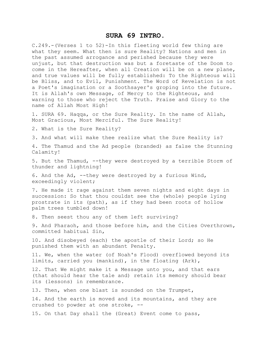### **SURA 69 INTRO.**

C.249.-(Verses 1 to 52)-In this fleeting world few thing are what they seem. What then is sure Reality? Nations and men in the past assumed arrogance and perished because they were unjust, but that destruction was but a foretaste of the Doom to come in the Hereafter, when all Creation will be on a new plane, and true values will be fully established: To the Righteous will be Bliss, and to Evil, Punishment. The Word of Revelation is not a Poet's imagination or a Soothsayer's groping into the future. It is Allah's own Message, of Mercy to the Righteous, and warning to those who reject the Truth. Praise and Glory to the name of Allah Most High!

1. SURA 69. Haqqa, or the Sure Reality. In the name of Allah, Most Gracious, Most Merciful. The Sure Reality!

2. What is the Sure Reality?

3. And what will make thee realize what the Sure Reality is?

4. The Thamud and the Ad people (branded) as false the Stunning Calamity!

5. But the Thamud, --they were destroyed by a terrible Storm of thunder and lightning!

6. And the Ad, --they were destroyed by a furious Wind, exceedingly violent;

7. He made it rage against them seven nights and eight days in succession: So that thou couldst see the (whole) people lying prostrate in its (path), as if they had been roots of hollow palm trees tumbled down!

8. Then seest thou any of them left surviving?

9. And Pharaoh, and those before him, and the Cities Overthrown, committed habitual Sin,

10. And disobeyed (each) the apostle of their Lord; so He punished them with an abundant Penalty.

11. We, when the water (of Noah's Flood) overflowed beyond its limits, carried you (mankind), in the floating (Ark),

12. That We might make it a Message unto you, and that ears (that should hear the tale and) retain its memory should bear its (lessons) in remembrance.

13. Then, when one blast is sounded on the Trumpet,

14. And the earth is moved and its mountains, and they are crushed to powder at one stroke, --

15. On that Day shall the (Great) Event come to pass,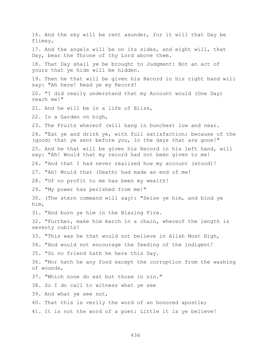16. And the sky will be rent asunder, for it will that Day be flimsy, 17. And the angels will be on its sides, and eight will, that Day, bear the Throne of thy Lord above them. 18. That Day shall ye be brought to Judgment: Not an act of yours that ye hide will be hidden. 19. Then he that will be given his Record in his right hand will say: "Ah here! Read ye my Record! 20. "I did really understand that my Account would (One Day) reach me!" 21. And he will be in a life of Bliss, 22. In a Garden on high, 23. The Fruits whereof (will hang in bunches) low and near. 24. "Eat ye and drink ye, with full satisfaction; because of the (good) that ye sent before you, in the days that are gone!" 25. And he that will be given his Record in his left hand, will say: "Ah! Would that my record had not been given to me! 26. "And that I had never realized how my account (stood)! 27. "Ah! Would that (Death) had made an end of me! 28. "Of no profit to me has been my wealth! 29. "My power has perished from me!" 30. (The stern command will say): "Seize ye him, and bind ye him, 31. "And burn ye him in the Blazing Fire. 32. "Further, make him march in a chain, whereof the length is seventy cubits! 33. "This was he that would not believe in Allah Most High, 34. "And would not encourage the feeding of the indigent! 35. "So no friend hath he here this Day. 36. "Nor hath he any food except the corruption from the washing of wounds, 37. "Which none do eat but those in sin." 38. So I do call to witness what ye see 39. And what ye see not, 40. That this is verily the word of an honored apostle; 41. It is not the word of a poet: Little it is ye believe!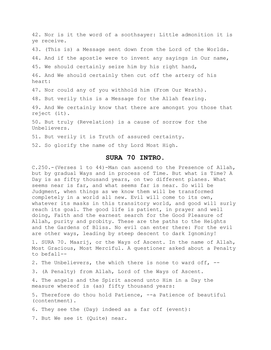42. Nor is it the word of a soothsayer: Little admonition it is ye receive. 43. (This is) a Message sent down from the Lord of the Worlds. 44. And if the apostle were to invent any sayings in Our name, 45. We should certainly seize him by his right hand, 46. And We should certainly then cut off the artery of his heart: 47. Nor could any of you withhold him (From Our Wrath). 48. But verily this is a Message for the Allah fearing. 49. And We certainly know that there are amongst you those that reject (it). 50. But truly (Revelation) is a cause of sorrow for the Unbelievers. 51. But verily it is Truth of assured certainty. 52. So glorify the name of thy Lord Most High.

## **SURA 70 INTRO.**

C.250.-(Verses 1 to 44)-Man can ascend to the Presence of Allah, but by gradual Ways and in process of Time. But what is Time? A Day is as fifty thousand years, on two different planes. What seems near is far, and what seems far is near. So will be Judgment, when things as we know them will be transformed completely in a world all new. Evil will come to its own, whatever its masks in this transitory world, and good will surly reach its goal. The good life is patient, in prayer and well doing, Faith and the earnest search for the Good Pleasure of Allah, purity and probity. These are the paths to the Heights and the Gardens of Bliss. No evil can enter there: For the evil are other ways, leading by steep descent to dark Ignominy!

1. SURA 70. Maarij, or the Ways of Ascent. In the name of Allah, Most Gracious, Most Merciful. A questioner asked about a Penalty to befall--

2. The Unbelievers, the which there is none to ward off, --

3. (A Penalty) from Allah, Lord of the Ways of Ascent.

4. The angels and the Spirit ascend unto Him in a Day the measure whereof is (as) fifty thousand years:

5. Therefore do thou hold Patience, --a Patience of beautiful (contentment).

6. They see the (Day) indeed as a far off (event):

7. But We see it (Quite) near.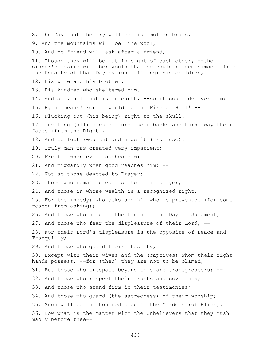8. The Day that the sky will be like molten brass, 9. And the mountains will be like wool, 10. And no friend will ask after a friend, 11. Though they will be put in sight of each other, --the sinner's desire will be: Would that he could redeem himself from the Penalty of that Day by (sacrificing) his children, 12. His wife and his brother, 13. His kindred who sheltered him, 14. And all, all that is on earth, --so it could deliver him: 15. By no means! For it would be the Fire of Hell! -- 16. Plucking out (his being) right to the skull! -- 17. Inviting (all) such as turn their backs and turn away their faces (from the Right), 18. And collect (wealth) and hide it (from use)! 19. Truly man was created very impatient; --20. Fretful when evil touches him; 21. And niggardly when good reaches him; -- 22. Not so those devoted to Prayer; -- 23. Those who remain steadfast to their prayer; 24. And those in whose wealth is a recognized right, 25. For the (needy) who asks and him who is prevented (for some reason from asking); 26. And those who hold to the truth of the Day of Judgment; 27. And those who fear the displeasure of their Lord, -- 28. For their Lord's displeasure is the opposite of Peace and Tranquilly; -- 29. And those who guard their chastity, 30. Except with their wives and the (captives) whom their right hands possess, --for (then) they are not to be blamed, 31. But those who trespass beyond this are transgressors; -- 32. And those who respect their trusts and covenants; 33. And those who stand firm in their testimonies; 34. And those who guard (the sacredness) of their worship; -- 35. Such will be the honored ones in the Gardens (of Bliss). 36. Now what is the matter with the Unbelievers that they rush madly before thee--

438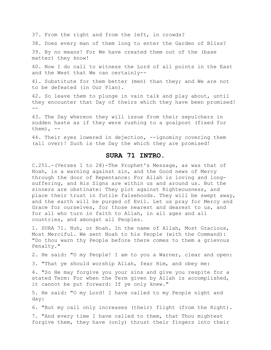37. From the right and from the left, in crowds?

38. Does every man of them long to enter the Garden of Bliss?

39. By no means! For We have created them out of the (base matter) they know!

40. Now I do call to witness the Lord of all points in the East and the West that We can certainly--

41. Substitute for them better (men) than they; and We are not to be defeated (in Our Plan).

42. So leave them to plunge in vain talk and play about, until they encounter that Day of theirs which they have been promised!  $- -$ 

43. The Day whereon they will issue from their sepulchers in sudden haste as if they were rushing to a goalpost (fixed for them),  $--$ 

44. Their eyes lowered in dejection, --ignominy covering them (all over)! Such is the Day the which they are promised!

# **SURA 71 INTRO.**

C.251.-(Verses 1 to 28)-The Prophet's Message, as was that of Noah, is a warning against sin, and the Good news of Mercy through the door of Repentance: For Allah is loving and longsuffering, and His Signs are within us and around us. But the sinners are obstinate: They plot against Righteousness, and place their trust in futile falsehoods. They will be swept away, and the earth will be purged of Evil. Let us pray for Mercy and Grace for ourselves, for those nearest and dearest to us, and for all who turn in faith to Allah, in all ages and all countries, and amongst all Peoples.

1. SURA 71. Nuh, or Noah. In the name of Allah, Most Gracious, Most Merciful. We sent Noah to his People (with the Command): "Do thou warn thy People before there comes to them a grievous Penalty."

2. He said: "O my People! I am to you a Warner, clear and open:

3. "That ye should worship Allah, fear Him, and obey me:

4. "So He may forgive you your sins and give you respite for a stated Term: For when the Term given by Allah is accomplished, it cannot be put forward: If ye only knew."

5. He said: "O my Lord! I have called to my People night and day:

6. "But my call only increases (their) flight (from the Right).

7. "And every time I have called to them, that Thou mightest forgive them, they have (only) thrust their fingers into their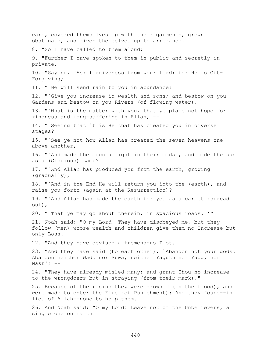ears, covered themselves up with their garments, grown obstinate, and given themselves up to arrogance. 8. "So I have called to them aloud; 9. "Further I have spoken to them in public and secretly in private, 10. "Saying, `Ask forgiveness from your Lord; for He is Oft-Forgiving; 11. "`He will send rain to you in abundance; 12. "`Give you increase in wealth and sons; and bestow on you Gardens and bestow on you Rivers (of flowing water). 13. "`What is the matter with you, that ye place not hope for kindness and long-suffering in Allah, -- 14. "`Seeing that it is He that has created you in diverse stages? 15. "`See ye not how Allah has created the seven heavens one above another, 16. "`And made the moon a light in their midst, and made the sun as a (Glorious) Lamp? 17. "`And Allah has produced you from the earth, growing (gradually), 18. "`And in the End He will return you into the (earth), and raise you forth (again at the Resurrection)? 19. "`And Allah has made the earth for you as a carpet (spread out), 20. "`That ye may go about therein, in spacious roads. '" 21. Noah said: "O my Lord! They have disobeyed me, but they follow (men) whose wealth and children give them no Increase but only Loss. 22. "And they have devised a tremendous Plot. 23. "And they have said (to each other), `Abandon not your gods: Abandon neither Wadd nor Suwa, neither Yaguth nor Yauq, nor Nasr'; -- 24. "They have already misled many; and grant Thou no increase to the wrongdoers but in straying (from their mark)." 25. Because of their sins they were drowned (in the flood), and were made to enter the Fire (of Punishment): And they found--in lieu of Allah--none to help them. 26. And Noah said: "O my Lord! Leave not of the Unbelievers, a single one on earth!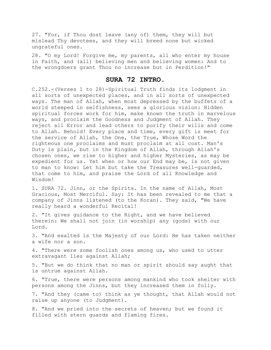27. "For, if Thou dost leave (any of) them, they will but mislead Thy devotees, and they will breed none but wicked ungrateful ones.

28. "O my Lord! Forgive me, my parents, all who enter my house in Faith, and (all) believing men and believing women: And to the wrongdoers grant Thou no increase but in Perdition!"

### **SURA 72 INTRO.**

C.252.-(Verses 1 to 28)-Spiritual Truth finds its lodgment in all sorts of unexpected places, and in all sorts of unexpected ways. The man of Allah, when most depressed by the buffets of a world steeped in selfishness, sees a glorious vision: Hidden spiritual forces work for him, make known the truth in marvelous ways, and proclaim the Goodness and Judgment of Allah. They reject all Error and lead others to purify their wills and come to Allah. Behold! Every place and time, every gift is meet for the service of Allah, the One, the True, Whose Word the righteous one proclaims and must proclaim at all cost. Man's Duty is plain, but in the Kingdom of Allah, through Allah's chosen ones, we rise to higher and higher Mysteries, as may be expedient for us. Yet when or how our End may be, is not given to man to know: Let him but take the Treasures well-guarded, that come to him, and praise the Lord of all Knowledge and Wisdom!

1. SURA 72. Jinn, or the Spirits. In the name of Allah, Most Gracious, Most Merciful. Say: It has been revealed to me that a company of Jinns listened (to the Koran). They said, "We have really heard a wonderful Recital!

2. "It gives guidance to the Right, and we have believed therein: We shall not join (in worship) any (gods) with our Lord.

3. "And exalted is the Majesty of our Lord: He has taken neither a wife nor a son.

4. "There were some foolish ones among us, who used to utter extravagant lies against Allah;

5. "But we do think that no man or spirit should say aught that is untrue against Allah.

6. "True, there were persons among mankind who took shelter with persons among the Jinns, but they increased them in folly.

7. "And they (came to) think as ye thought, that Allah would not raise up anyone (to Judgment).

8. "And we pried into the secrets of heaven; but we found it filled with stern guards and flaming fires.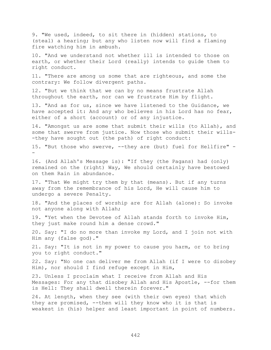9. "We used, indeed, to sit there in (hidden) stations, to (steal) a hearing; but any who listen now will find a flaming fire watching him in ambush.

10. "And we understand not whether ill is intended to those on earth, or whether their Lord (really) intends to guide them to right conduct.

11. "There are among us some that are righteous, and some the contrary: We follow divergent paths.

12. "But we think that we can by no means frustrate Allah throughout the earth, nor can we frustrate Him by flight.

13. "And as for us, since we have listened to the Guidance, we have accepted it: And any who believes in his Lord has no fear, either of a short (account) or of any injustice.

14. "Amongst us are some that submit their wills (to Allah), and some that swerve from justice. Now those who submit their wills- -they have sought out (the path) of right conduct:

15. "But those who swerve, --they are (but) fuel for Hellfire" -

16. (And Allah's Message is): "If they (the Pagans) had (only) remained on the (right) Way, We should certainly have bestowed on them Rain in abundance.

-

17. "That We might try them by that (means). But if any turns away from the remembrance of his Lord, He will cause him to undergo a severe Penalty.

18. "And the places of worship are for Allah (alone): So invoke not anyone along with Allah;

19. "Yet when the Devotee of Allah stands forth to invoke Him, they just make round him a dense crowd."

20. Say: "I do no more than invoke my Lord, and I join not with Him any (false god)."

21. Say: "It is not in my power to cause you harm, or to bring you to right conduct."

22. Say: "No one can deliver me from Allah (if I were to disobey Him), nor should I find refuge except in Him,

23. Unless I proclaim what I receive from Allah and His Messages: For any that disobey Allah and His Apostle, --for them is Hell: They shall dwell therein forever."

24. At length, when they see (with their own eyes) that which they are promised, --then will they know who it is that is weakest in (his) helper and least important in point of numbers.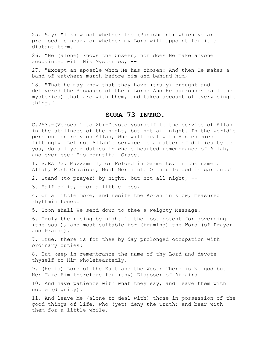25. Say: "I know not whether the (Punishment) which ye are promised is near, or whether my Lord will appoint for it a distant term.

26. "He (alone) knows the Unseen, nor does He make anyone acquainted with His Mysteries, --

27. "Except an apostle whom He has chosen: And then He makes a band of watchers march before him and behind him,

28. "That he may know that they have (truly) brought and delivered the Messages of their Lord: And He surrounds (all the mysteries) that are with them, and takes account of every single thing."

# **SURA 73 INTRO.**

C.253.-(Verses 1 to 20)-Devote yourself to the service of Allah in the stillness of the night, but not all night. In the world's persecution rely on Allah, Who will deal with His enemies fittingly. Let not Allah's service be a matter of difficulty to you, do all your duties in whole hearted remembrance of Allah, and ever seek His bountiful Grace.

1. SURA 73. Muzzammil, or Folded in Garments. In the name of Allah, Most Gracious, Most Merciful. O thou folded in garments!

2. Stand (to prayer) by night, but not all night, --

3. Half of it, --or a little less,

4. Or a little more; and recite the Koran in slow, measured rhythmic tones.

5. Soon shall We send down to thee a weighty Message.

6. Truly the rising by night is the most potent for governing (the soul), and most suitable for (framing) the Word (of Prayer and Praise).

7. True, there is for thee by day prolonged occupation with ordinary duties:

8. But keep in remembrance the name of thy Lord and devote thyself to Him wholeheartedly.

9. (He is) Lord of the East and the West: There is No god but He: Take Him therefore for (thy) Disposer of Affairs.

10. And have patience with what they say, and leave them with noble (dignity).

11. And leave Me (alone to deal with) those in possession of the good things of life, who (yet) deny the Truth: and bear with them for a little while.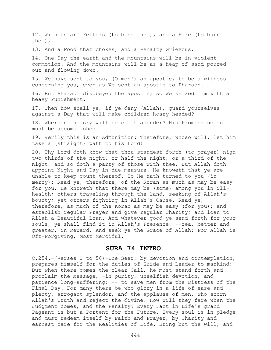12. With Us are Fetters (to bind them), and a Fire (to burn them),

13. And a Food that chokes, and a Penalty Grievous.

14. One Day the earth and the mountains will be in violent commotion. And the mountains will be as a heap of sand poured out and flowing down.

15. We have sent to you, (O men!) an apostle, to be a witness concerning you, even as We sent an apostle to Pharaoh.

16. But Pharaoh disobeyed the apostle; so We seized him with a heavy Punishment.

17. Then how shall ye, if ye deny (Allah), guard yourselves against a Day that will make children hoary headed? --

18. Whereon the sky will be cleft asunder? His Promise needs must be accomplished.

19. Verily this is an Admonition: Therefore, whoso will, let him take a (straight) path to his Lord!

20. Thy Lord doth know that thou standest forth (to prayer) nigh two-thirds of the night, or half the night, or a third of the night, and so doth a party of those with thee. But Allah doth appoint Night and Day in due measure. He knoweth that ye are unable to keep count thereof. So He hath turned to you (in mercy): Read ye, therefore, of the Koran as much as may be easy for you. He knoweth that there may be (some) among you in illhealth; others traveling through the land, seeking of Allah's bounty; yet others fighting in Allah's Cause. Read ye, therefore, as much of the Koran as may be easy (for you); and establish regular Prayer and give regular Charity; and loan to Allah a Beautiful Loan. And whatever good ye send forth for your souls, ye shall find it in Allah's Presence, --Yea, better and greater, in Reward. And seek ye the Grace of Allah: For Allah is Oft-Forgiving, Most Merciful.

# **SURA 74 INTRO.**

C.254.-(Verses 1 to 56)-The Seer, by devotion and contemplation, prepares himself for the duties of Guide and Leader to mankind: But when there comes the clear Call, he must stand forth and proclaim the Message, -in purity, unselfish devotion, and patience long-suffering; -- to save men from the Distress of the Final Day. For many there be who glory in a life of ease and plenty, arrogant splendor, and the applause of men, who scorn Allah's Truth and reject the divine. How will they fare when the Judgment comes, and the Penalty? Every Fact in Life's grand Pageant is but a Portent for the Future. Every soul is in pledge and must redeem itself by Faith and Prayer, by Charity and earnest care for the Realities of Life. Bring but the will, and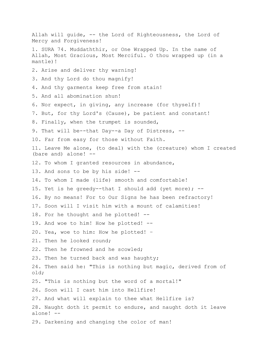Allah will guide, -- the Lord of Righteousness, the Lord of Mercy and Forgiveness! 1. SURA 74. Muddaththir, or One Wrapped Up. In the name of Allah, Most Gracious, Most Merciful. O thou wrapped up (in a mantle)! 2. Arise and deliver thy warning! 3. And thy Lord do thou magnify! 4. And thy garments keep free from stain! 5. And all abomination shun! 6. Nor expect, in giving, any increase (for thyself)! 7. But, for thy Lord's (Cause), be patient and constant! 8. Finally, when the trumpet is sounded, 9. That will be--that Day--a Day of Distress, --10. Far from easy for those without Faith. 11. Leave Me alone, (to deal) with the (creature) whom I created (bare and) alone! -- 12. To whom I granted resources in abundance, 13. And sons to be by his side! -- 14. To whom I made (life) smooth and comfortable! 15. Yet is he greedy--that I should add (yet more); -- 16. By no means! For to Our Signs he has been refractory! 17. Soon will I visit him with a mount of calamities! 18. For he thought and he plotted! -- 19. And woe to him! How he plotted! -- 20. Yea, woe to him: How he plotted! – 21. Then he looked round; 22. Then he frowned and he scowled; 23. Then he turned back and was haughty; 24. Then said he: "This is nothing but magic, derived from of old; 25. "This is nothing but the word of a mortal!" 26. Soon will I cast him into Hellfire! 27. And what will explain to thee what Hellfire is? 28. Naught doth it permit to endure, and naught doth it leave alone! -- 29. Darkening and changing the color of man!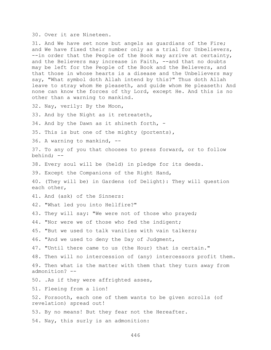30. Over it are Nineteen.

31. And We have set none but angels as guardians of the Fire; and We have fixed their number only as a trial for Unbelievers, --in order that the People of the Book may arrive at certainty, and the Believers may increase in Faith, --and that no doubts may be left for the People of the Book and the Believers, and that those in whose hearts is a disease and the Unbelievers may say, "What symbol doth Allah intend by this?" Thus doth Allah leave to stray whom He pleaseth, and guide whom He pleaseth: And none can know the forces of thy Lord, except He. And this is no other than a warning to mankind.

32. Nay, verily: By the Moon,

33. And by the Night as it retreateth,

- 34. And by the Dawn as it shineth forth, -
- 35. This is but one of the mighty (portents),

36. A warning to mankind, --

37. To any of you that chooses to press forward, or to follow behind; --

38. Every soul will be (held) in pledge for its deeds.

39. Except the Companions of the Right Hand,

40. (They will be) in Gardens (of Delight): They will question each other,

41. And (ask) of the Sinners:

42. "What led you into Hellfire?"

43. They will say: "We were not of those who prayed;

44. "Nor were we of those who fed the indigent;

45. "But we used to talk vanities with vain talkers;

46. "And we used to deny the Day of Judgment,

47. "Until there came to us (the Hour) that is certain."

48. Then will no intercession of (any) intercessors profit them.

49. Then what is the matter with them that they turn away from admonition? --

50. .As if they were affrighted asses,

51. Fleeing from a lion!

52. Forsooth, each one of them wants to be given scrolls (of revelation) spread out!

53. By no means! But they fear not the Hereafter.

54. Nay, this surly is an admonition: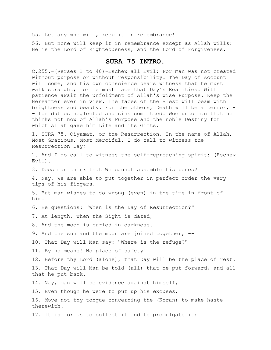55. Let any who will, keep it in remembrance!

56. But none will keep it in remembrance except as Allah wills: He is the Lord of Righteousness, and the Lord of Forgiveness.

### **SURA 75 INTRO.**

C.255.-(Verses 1 to 40)-Eschew all Evil: For man was not created without purpose or without responsibility. The Day of Account will come, and his own conscience bears witness that he must walk straight; for he must face that Day's Realities. With patience await the unfoldment of Allah's wise Purpose. Keep the Hereafter ever in view. The faces of the Blest will beam with brightness and beauty. For the others, Death will be a terror, - - for duties neglected and sins committed. Woe unto man that he thinks not now of Allah's Purpose and the noble Destiny for which Allah gave him Life and its Gifts.

1. SURA 75. Qiyamat, or the Resurrection. In the name of Allah, Most Gracious, Most Merciful. I do call to witness the Resurrection Day;

2. And I do call to witness the self-reproaching spirit: (Eschew Evil).

3. Does man think that We cannot assemble his bones?

4. Nay, We are able to put together in perfect order the very tips of his fingers.

5. But man wishes to do wrong (even) in the time in front of him.

6. He questions: "When is the Day of Resurrection?"

7. At length, when the Sight is dazed,

8. And the moon is buried in darkness.

9. And the sun and the moon are joined together, --

10. That Day will Man say: "Where is the refuge?"

11. By no means! No place of safety!

12. Before thy Lord (alone), that Day will be the place of rest.

13. That Day will Man be told (all) that he put forward, and all that he put back.

14. Nay, man will be evidence against himself,

15. Even though he were to put up his excuses.

16. Move not thy tongue concerning the (Koran) to make haste therewith.

17. It is for Us to collect it and to promulgate it: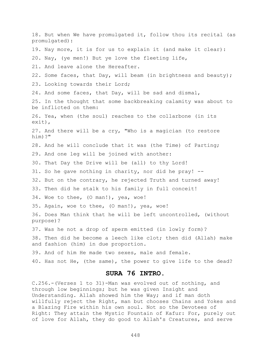18. But when We have promulgated it, follow thou its recital (as promulgated): 19. Nay more, it is for us to explain it (and make it clear): 20. Nay, (ye men!) But ye love the fleeting life, 21. And leave alone the Hereafter. 22. Some faces, that Day, will beam (in brightness and beauty); 23. Looking towards their Lord; 24. And some faces, that Day, will be sad and dismal, 25. In the thought that some backbreaking calamity was about to be inflicted on them: 26. Yea, when (the soul) reaches to the collarbone (in its exit), 27. And there will be a cry, "Who is a magician (to restore him)?" 28. And he will conclude that it was (the Time) of Parting; 29. And one leg will be joined with another: 30. That Day the Drive will be (all) to thy Lord! 31. So he gave nothing in charity, nor did he pray! -- 32. But on the contrary, he rejected Truth and turned away! 33. Then did he stalk to his family in full conceit! 34. Woe to thee, (O man!), yea, woe! 35. Again, woe to thee, (O man!), yea, woe! 36. Does Man think that he will be left uncontrolled, (without purpose)? 37. Was he not a drop of sperm emitted (in lowly form)? 38. Then did he become a leech like clot; then did (Allah) make and fashion (him) in due proportion. 39. And of him He made two sexes, male and female. 40. Has not He, (the same), the power to give life to the dead? **SURA 76 INTRO.** 

C.256.-(Verses 1 to 31)-Man was evolved out of nothing, and through low beginnings; but he was given Insight and Understanding. Allah showed him the Way; and if man doth willfully reject the Right, man but chooses Chains and Yokes and a Blazing Fire within his own soul. Not so the Devotees of Right: They attain the Mystic Fountain of Kafur: For, purely out of love for Allah, they do good to Allah's Creatures, and serve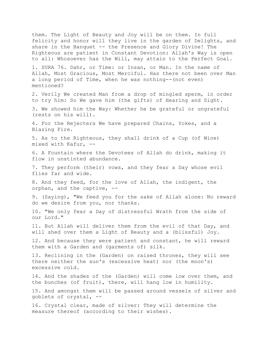them. The Light of Beauty and Joy will be on them. In full felicity and honor will they live in the garden of Delights, and share in the Banquet -- the Presence and Glory Divine! The Righteous are patient in Constant Devotion: Allah's Way is open to all: Whosoever has the Will, may attain to the Perfect Goal. 1. SURA 76. Dahr, or Time: or Insan, or Man. In the name of Allah, Most Gracious, Most Merciful. Has there not been over Man a long period of Time, when he was nothing--(not even) mentioned? 2. Verily We created Man from a drop of mingled sperm, in order to try him: So We gave him (the gifts) of Hearing and Sight. 3. We showed him the Way: Whether he be grateful or ungrateful (rests on his will). 4. For the Rejecters We have prepared Chains, Yokes, and a Blazing Fire. 5. As to the Righteous, they shall drink of a Cup (of Wine) mixed with Kafur, -- 6. A Fountain where the Devotees of Allah do drink, making it flow in unstinted abundance. 7. They perform (their) vows, and they fear a Day whose evil flies far and wide. 8. And they feed, for the love of Allah, the indigent, the orphan, and the captive, -- 9. (Saying), "We feed you for the sake of Allah alone: No reward do we desire from you, nor thanks. 10. "We only fear a Day of distressful Wrath from the side of our Lord." 11. But Allah will deliver them from the evil of that Day, and will shed over them a Light of Beauty and a (blissful) Joy. 12. And because they were patient and constant, he will reward them with a Garden and (garments of) silk. 13. Reclining in the (Garden) on raised thrones, they will see there neither the sun's (excessive heat) nor (the moon's) excessive cold. 14. And the shades of the (Garden) will come low over them, and the bunches (of fruit), there, will hang low in humility. 15. And amongst them will be passed around vessels of silver and goblets of crystal, -- 16. Crystal clear, made of silver: They will determine the measure thereof (according to their wishes).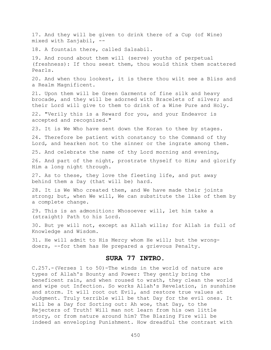17. And they will be given to drink there of a Cup (of Wine) mixed with Zanjabil, --

18. A fountain there, called Salsabil.

19. And round about them will (serve) youths of perpetual (freshness): If thou seest them, thou would think them scattered Pearls.

20. And when thou lookest, it is there thou wilt see a Bliss and a Realm Magnificent.

21. Upon them will be Green Garments of fine silk and heavy brocade, and they will be adorned with Bracelets of silver; and their Lord will give to them to drink of a Wine Pure and Holy.

22. "Verily this is a Reward for you, and your Endeavor is accepted and recognized."

23. It is We Who have sent down the Koran to thee by stages.

24. Therefore be patient with constancy to the Command of thy Lord, and hearken not to the sinner or the ingrate among them.

25. And celebrate the name of thy Lord morning and evening,

26. And part of the night, prostrate thyself to Him; and glorify Him a long night through.

27. As to these, they love the fleeting life, and put away behind them a Day (that will be) hard.

28. It is We Who created them, and We have made their joints strong; but, when We will, We can substitute the like of them by a complete change.

29. This is an admonition: Whosoever will, let him take a (straight) Path to his Lord.

30. But ye will not, except as Allah wills; for Allah is full of Knowledge and Wisdom.

31. He will admit to His Mercy whom He will; but the wrongdoers, --for them has He prepared a grievous Penalty.

#### **SURA 77 INTRO.**

C.257.-(Verses 1 to 50)-The winds in the world of nature are types of Allah's Bounty and Power: They gently bring the beneficent rain, and when roused to wrath, they clean the world and wipe out Infection. So works Allah's Revelation, in sunshine and storm. It will root out Evil, and restore true values at Judgment. Truly terrible will be that Day for the evil ones. It will be a Day for Sorting out: Ah woe, that Day, to the Rejecters of Truth! Will man not learn from his own little story, or from nature around him? The Blazing Fire will be indeed an enveloping Punishment. How dreadful the contrast with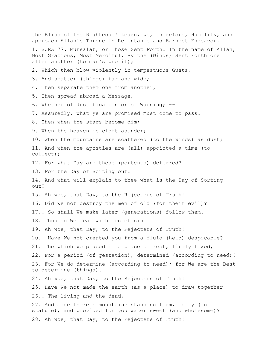the Bliss of the Righteous! Learn, ye, therefore, Humility, and approach Allah's Throne in Repentance and Earnest Endeavor. 1. SURA 77. Mursalat, or Those Sent Forth. In the name of Allah, Most Gracious, Most Merciful. By the (Winds) Sent Forth one after another (to man's profit); 2. Which then blow violently in tempestuous Gusts, 3. And scatter (things) far and wide; 4. Then separate them one from another, 5. Then spread abroad a Message, 6. Whether of Justification or of Warning; -- 7. Assuredly, what ye are promised must come to pass. 8. Then when the stars become dim; 9. When the heaven is cleft asunder; 10. When the mountains are scattered (to the winds) as dust; 11. And when the apostles are (all) appointed a time (to collect); -- 12. For what Day are these (portents) deferred? 13. For the Day of Sorting out. 14. And what will explain to thee what is the Day of Sorting out? 15. Ah woe, that Day, to the Rejecters of Truth! 16. Did We not destroy the men of old (for their evil)? 17.. So shall We make later (generations) follow them. 18. Thus do We deal with men of sin. 19. Ah woe, that Day, to the Rejecters of Truth! 20.. Have We not created you from a fluid (held) despicable? -- 21. The which We placed in a place of rest, firmly fixed, 22. For a period (of gestation), determined (according to need)? 23. For We do determine (according to need); for We are the Best to determine (things). 24. Ah woe, that Day, to the Rejecters of Truth! 25. Have We not made the earth (as a place) to draw together 26.. The living and the dead, 27. And made therein mountains standing firm, lofty (in stature); and provided for you water sweet (and wholesome)? 28. Ah woe, that Day, to the Rejecters of Truth!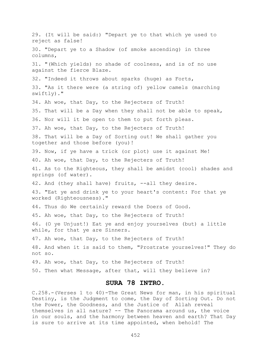29. (It will be said:) "Depart ye to that which ye used to reject as false! 30. "Depart ye to a Shadow (of smoke ascending) in three columns, 31. "(Which yields) no shade of coolness, and is of no use against the fierce Blaze. 32. "Indeed it throws about sparks (huge) as Forts, 33. "As it there were (a string of) yellow camels (marching swiftly)." 34. Ah woe, that Day, to the Rejecters of Truth! 35. That will be a Day when they shall not be able to speak, 36. Nor will it be open to them to put forth pleas. 37. Ah woe, that Day, to the Rejecters of Truth! 38. That will be a Day of Sorting out! We shall gather you together and those before (you)! 39. Now, if ye have a trick (or plot) use it against Me! 40. Ah woe, that Day, to the Rejecters of Truth! 41. As to the Righteous, they shall be amidst (cool) shades and springs (of water). 42. And (they shall have) fruits, --all they desire. 43. "Eat ye and drink ye to your heart's content: For that ye worked (Righteousness)." 44. Thus do We certainly reward the Doers of Good. 45. Ah woe, that Day, to the Rejecters of Truth! 46. (O ye Unjust!) Eat ye and enjoy yourselves (but) a little while, for that ye are Sinners. 47. Ah woe, that Day, to the Rejecters of Truth! 48. And when it is said to them, "Prostrate yourselves!" They do not so. 49. Ah woe, that Day, to the Rejecters of Truth! 50. Then what Message, after that, will they believe in?

# **SURA 78 INTRO.**

C.258.-(Verses 1 to 40)-The Great News for man, in his spiritual Destiny, is the Judgment to come, the Day of Sorting Out. Do not the Power, the Goodness, and the Justice of Allah reveal themselves in all nature? -- The Panorama around us, the voice in our souls, and the harmony between heaven and earth? That Day is sure to arrive at its time appointed, when behold! The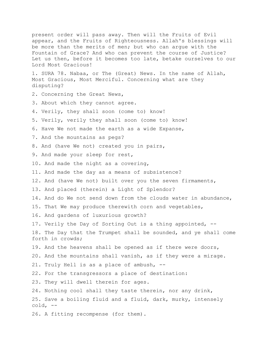present order will pass away. Then will the Fruits of Evil appear, and the Fruits of Righteousness. Allah's blessings will be more than the merits of men; but who can argue with the Fountain of Grace? And who can prevent the course of Justice? Let us then, before it becomes too late, betake ourselves to our Lord Most Gracious!

1. SURA 78. Nabaa, or The (Great) News. In the name of Allah, Most Gracious, Most Merciful. Concerning what are they disputing?

- 2. Concerning the Great News,
- 3. About which they cannot agree.
- 4. Verily, they shall soon (come to) know!
- 5. Verily, verily they shall soon (come to) know!
- 6. Have We not made the earth as a wide Expanse,
- 7. And the mountains as pegs?
- 8. And (have We not) created you in pairs,
- 9. And made your sleep for rest,
- 10. And made the night as a covering,
- 11. And made the day as a means of subsistence?
- 12. And (have We not) built over you the seven firmaments,
- 13. And placed (therein) a Light of Splendor?
- 14. And do We not send down from the clouds water in abundance,
- 15. That We may produce therewith corn and vegetables,
- 16. And gardens of luxurious growth?
- 17. Verily the Day of Sorting Out is a thing appointed, --

18. The Day that the Trumpet shall be sounded, and ye shall come forth in crowds;

- 19. And the heavens shall be opened as if there were doors,
- 20. And the mountains shall vanish, as if they were a mirage.
- 21. Truly Hell is as a place of ambush, --
- 22. For the transgressors a place of destination:

23. They will dwell therein for ages.

- 24. Nothing cool shall they taste therein, nor any drink,
- 25. Save a boiling fluid and a fluid, dark, murky, intensely  $cold, --$
- 26. A fitting recompense (for them).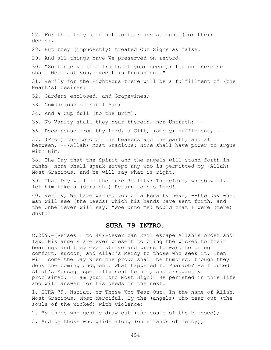27. For that they used not to fear any account (for their deeds), 28. But they (impudently) treated Our Signs as false. 29. And all things have We preserved on record. 30. "So taste ye (the fruits of your deeds); for no increase shall We grant you, except in Punishment." 31. Verily for the Righteous there will be a fulfillment of (the Heart's) desires; 32. Gardens enclosed, and Grapevines; 33. Companions of Equal Age; 34. And a Cup full (to the Brim). 35. No Vanity shall they hear therein, nor Untruth; -- 36. Recompense from thy Lord, a Gift, (amply) sufficient, -- 37. (From) the Lord of the heavens and the earth, and all between, --(Allah) Most Gracious: None shall have power to argue with Him. 38. The Day that the Spirit and the angels will stand forth in ranks, none shall speak except any who is permitted by (Allah) Most Gracious, and he will say what is right. 39. That Day will be the sure Reality: Therefore, whoso will, let him take a (straight) Return to his Lord! 40. Verily, We have warned you of a Penalty near, --the Day when man will see (the Deeds) which his hands have sent forth, and the Unbeliever will say, "Woe unto me! Would that I were (mere) dust!"

#### **SURA 79 INTRO.**

C.259.-(Verses 1 to 46)-Never can Evil escape Allah's order and law: His angels are ever present to bring the wicked to their bearings and they ever strive and press forward to bring comfort, succor, and Allah's Mercy to those who seek it. Then will come the Day when the proud shall be humbled, though they deny the coming Judgment. What happened to Pharaoh? He flouted Allah's Message specially sent to him, and arrogantly proclaimed: "I am your Lord Most High!" He perished in this life and will answer for his deeds in the next.

1. SURA 79. Naziat, or Those Who Tear Out. In the name of Allah, Most Gracious, Most Merciful. By the (angels) who tear out (the souls of the wicked) with violence;

- 2. By those who gently draw out (the souls of the blessed);
- 3. And by those who glide along (on errands of mercy),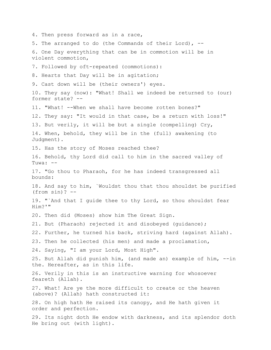4. Then press forward as in a race, 5. The arranged to do (the Commands of their Lord), -- 6. One Day everything that can be in commotion will be in violent commotion, 7. Followed by oft-repeated (commotions): 8. Hearts that Day will be in agitation; 9. Cast down will be (their owners') eyes. 10. They say (now): "What! Shall we indeed be returned to (our) former state? -- 11. "What! --When we shall have become rotten bones?" 12. They say: "It would in that case, be a return with loss!" 13. But verily, it will be but a single (compelling) Cry, 14. When, behold, they will be in the (full) awakening (to Judgment). 15. Has the story of Moses reached thee? 16. Behold, thy Lord did call to him in the sacred valley of Tuwa: -- 17. "Go thou to Pharaoh, for he has indeed transgressed all bounds: 18. And say to him, `Wouldst thou that thou shouldst be purified (from sin)? -- 19. "`And that I guide thee to thy Lord, so thou shouldst fear Him?'" 20. Then did (Moses) show him The Great Sign. 21. But (Pharaoh) rejected it and disobeyed (guidance); 22. Further, he turned his back, striving hard (against Allah). 23. Then he collected (his men) and made a proclamation, 24. Saying, "I am your Lord, Most High". 25. But Allah did punish him, (and made an) example of him, --in the. Hereafter, as in this life. 26. Verily in this is an instructive warning for whosoever feareth (Allah). 27. What! Are ye the more difficult to create or the heaven (above)? (Allah) hath constructed it: 28. On high hath He raised its canopy, and He hath given it order and perfection. 29. Its night doth He endow with darkness, and its splendor doth He bring out (with light).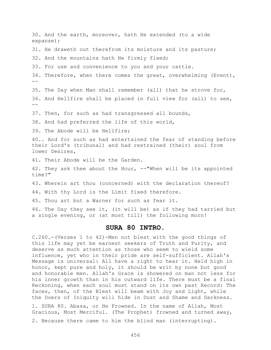30. And the earth, moreover, hath He extended (to a wide expanse); 31. He draweth out therefrom its moisture and its pasture; 32. And the mountains hath He firmly fixed; 33. For use and convenience to you and your cattle. 34. Therefore, when there comes the great, overwhelming (Event),  $-$ 35. The Day when Man shall remember (all) that he strove for, 36. And Hellfire shall be placed in full view for (all) to see,  $-$ 37. Then, for such as had transgressed all bounds, 38. And had preferred the life of this world, 39. The Abode will be Hellfire; 40.. And for such as had entertained the fear of standing before their Lord's (tribunal) and had restrained (their) soul from lower Desires, 41. Their Abode will be the Garden. 42. They ask thee about the Hour,  $-$ -"When will be its appointed time?" 43. Wherein art thou (concerned) with the declaration thereof? 44. With thy Lord is the Limit fixed therefore. 45. Thou art but a Warner for such as fear it. 46. The Day they see it, (it will be) as if they had tarried but a single evening, or (at most till) the following morn! **SURA 80 INTRO.**  C.260.-(Verses 1 to 42)-Men not blest with the good things of this life may yet be earnest seekers of Truth and Purity, and deserve as much attention as those who seem to wield some

influence, yet who in their pride are self-sufficient. Allah's Message is universal: All have a right to hear it. Held high in honor, kept pure and holy, it should be writ by none but good and honorable men. Allah's Grace is showered on man not less for his inner growth than in his outward life. There must be a final Reckoning, when each soul must stand on its own past Record: The faces, then, of the Blest will beam with Joy and Light, while the Doers of Iniquity will hide in Dust and Shame and Darkness.

1. SURA 80. Abasa, or He Frowned. In the name of Allah, Most Gracious, Most Merciful. (The Prophet) frowned and turned away,

2. Because there came to him the blind man (interrupting).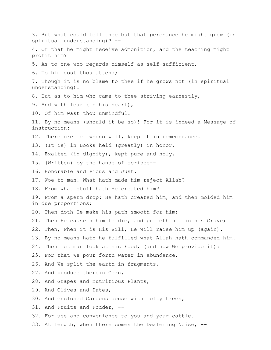3. But what could tell thee but that perchance he might grow (in spiritual understanding)? -- 4. Or that he might receive admonition, and the teaching might profit him? 5. As to one who regards himself as self-sufficient, 6. To him dost thou attend; 7. Though it is no blame to thee if he grows not (in spiritual understanding). 8. But as to him who came to thee striving earnestly, 9. And with fear (in his heart), 10. Of him wast thou unmindful. 11. By no means (should it be so)! For it is indeed a Message of instruction: 12. Therefore let whoso will, keep it in remembrance. 13. (It is) in Books held (greatly) in honor, 14. Exalted (in dignity), kept pure and holy, 15. (Written) by the hands of scribes-- 16. Honorable and Pious and Just. 17. Woe to man! What hath made him reject Allah? 18. From what stuff hath He created him? 19. From a sperm drop: He hath created him, and then molded him in due proportions; 20. Then doth He make his path smooth for him; 21. Then He causeth him to die, and putteth him in his Grave; 22. Then, when it is His Will, He will raise him up (again). 23. By no means hath he fulfilled what Allah hath commanded him. 24. Then let man look at his Food, (and how We provide it): 25. For that We pour forth water in abundance, 26. And We split the earth in fragments, 27. And produce therein Corn, 28. And Grapes and nutritious Plants, 29. And Olives and Dates, 30. And enclosed Gardens dense with lofty trees, 31. And Fruits and Fodder, -- 32. For use and convenience to you and your cattle. 33. At length, when there comes the Deafening Noise, --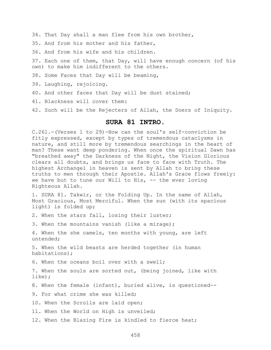- 34. That Day shall a man flee from his own brother,
- 35. And from his mother and his father,
- 36. And from his wife and his children.
- 37. Each one of them, that Day, will have enough concern (of his own) to make him indifferent to the others.
- 38. Some Faces that Day will be beaming,
- 39. Laughing, rejoicing.
- 40. And other faces that Day will be dust stained;
- 41. Blackness will cover them:
- 42. Such will be the Rejecters of Allah, the Doers of Iniquity.

## **SURA 81 INTRO.**

C.261.-(Verses 1 to 29)-How can the soul's self-conviction be fitly expressed, except by types of tremendous cataclysms in nature, and still more by tremendous searchings in the heart of man? These want deep pondering. When once the spiritual Dawn has "breathed away" the Darkness of the Night, the Vision Glorious clears all doubts, and brings us face to face with Truth. The highest Archangel in heaven is sent by Allah to bring these truths to men through their Apostle. Allah's Grace flows freely: we have but to tune our Will to His, -- the ever loving Righteous Allah.

1. SURA 81. Takwir, or the Folding Up. In the name of Allah, Most Gracious, Most Merciful. When the sun (with its spacious light) is folded up;

- 2. When the stars fall, losing their luster;
- 3. When the mountains vanish (like a mirage);

4. When the she camels, ten months with young, are left untended;

5. When the wild beasts are herded together (in human habitations);

6. When the oceans boil over with a swell;

7. When the souls are sorted out, (being joined, like with like);

8. When the female (infant), buried alive, is questioned--

9. For what crime she was killed;

10. When the Scrolls are laid open;

11. When the World on High is unveiled;

12. When the Blazing Fire is kindled to fierce heat;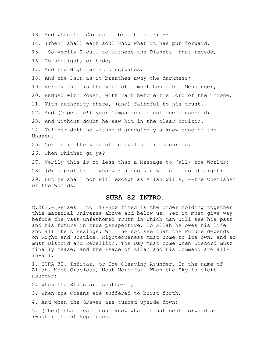13. And when the Garden is brought near; --14. (Then) shall each soul know what it has put forward. 15.. So verily I call to witness the Planets--that recede, 16. Go straight, or hide; 17. And the Night as it dissipates; 18. And the Dawn as it breathes away the darkness; -- 19. Verily this is the word of a most honorable Messenger, 20. Endued with Power, with rank before the Lord of the Throne, 21. With authority there, (and) faithful to his trust. 22. And (O people!) your Companion is not one possessed; 23. And without doubt he saw him in the clear horizon. 24. Neither doth he withhold grudgingly a knowledge of the Unseen. 25. Nor is it the word of an evil spirit accursed. 26. Then whither go ye? 27. Verily this is no less than a Message to (all) the Worlds: 28. (With profit) to whoever among you wills to go straight: 29. But ye shall not will except as Allah wills, --the Cherisher of the Worlds.

# **SURA 82 INTRO.**

C.262.-(Verses 1 to 19)-How fixed is the order holding together this material universe above and below us? Yet it must give way before the vast unfathomed Truth in which man will see his past and his future in true perspective. To Allah he owes his life and all its blessings: Will he not see that the Future depends on Right and Justice? Righteousness must come to its own, and so must Discord and Rebellion. The Day must come when Discord must finally cease, and the Peace of Allah and His Command are allin-all.

1. SURA 82. Infitar, or The Cleaving Asunder. In the name of Allah, Most Gracious, Most Merciful. When the Sky is cleft asunder;

- 2. When the Stars are scattered;
- 3. When the Oceans are suffered to burst forth;

4. And when the Graves are turned upside down; --

5. (Then) shall each soul know what it hat sent forward and (what it hath) kept back.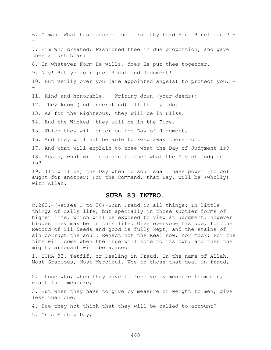6. O man! What has seduced thee from thy Lord Most Beneficent? - - 7. Him Who created. Fashioned thee in due proportion, and gave thee a just bias; 8. In whatever Form He wills, does He put thee together. 9. Nay! But ye do reject Right and Judgment! 10. But verily over you (are appointed angels) to protect you, - - 11. Kind and honorable, --Writing down (your deeds): 12. They know (and understand) all that ye do. 13. As for the Righteous, they will be in Bliss; 14. And the Wicked--they will be in the Fire, 15. Which they will enter on the Day of Judgment, 16. And they will not be able to keep away therefrom. 17. And what will explain to thee what the Day of Judgment is? 18. Again, what will explain to thee what the Day of Judgment is? 19. (It will be) the Day when no soul shall have power (to do) aught for another: For the Command, that Day, will be (wholly) with Allah.

## **SURA 83 INTRO.**

C.263.-(Verses 1 to 36)-Shun Fraud in all things: In little things of daily life, but specially in those subtler forms of higher life, which will be exposed to view at Judgment, however hidden they may be in this life. Give everyone his due, for the Record of ill deeds and good is fully kept, and the stains of sin corrupt the soul. Reject not the Real now, nor mock: For the time will come when the True will come to its own, and then the mighty arrogant will be abased!

1. SURA 83. Tatfif, or Dealing in Fraud. In the name of Allah, Most Gracious, Most Merciful. Woe to those that deal in fraud, --

2. Those who, when they have to receive by measure from men, exact full measure,

3. But when they have to give by measure or weight to men, give less than due.

4. Due they not think that they will be called to account? --

5. On a Mighty Day,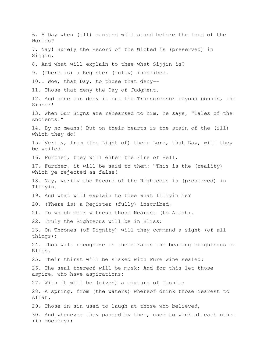6. A Day when (all) mankind will stand before the Lord of the Worlds? 7. Nay! Surely the Record of the Wicked is (preserved) in Sijjin. 8. And what will explain to thee what Sijjin is? 9. (There is) a Register (fully) inscribed. 10.. Woe, that Day, to those that deny-- 11. Those that deny the Day of Judgment. 12. And none can deny it but the Transgressor beyond bounds, the Sinner! 13. When Our Signs are rehearsed to him, he says, "Tales of the Ancients!" 14. By no means! But on their hearts is the stain of the (ill) which they do! 15. Verily, from (the Light of) their Lord, that Day, will they be veiled. 16. Further, they will enter the Fire of Hell. 17. Further, it will be said to them: "This is the (reality) which ye rejected as false! 18. Nay, verily the Record of the Righteous is (preserved) in Illiyin. 19. And what will explain to thee what Illiyin is? 20. (There is) a Register (fully) inscribed, 21. To which bear witness those Nearest (to Allah). 22. Truly the Righteous will be in Bliss: 23. On Thrones (of Dignity) will they command a sight (of all things): 24. Thou wilt recognize in their Faces the beaming brightness of Bliss. 25. Their thirst will be slaked with Pure Wine sealed: 26. The seal thereof will be musk: And for this let those aspire, who have aspirations: 27. With it will be (given) a mixture of Tasnim: 28. A spring, from (the waters) whereof drink those Nearest to Allah. 29. Those in sin used to laugh at those who believed, 30. And whenever they passed by them, used to wink at each other (in mockery);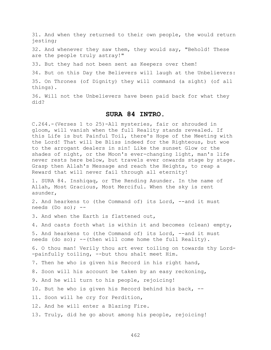31. And when they returned to their own people, the would return jesting;

32. And whenever they saw them, they would say, "Behold! These are the people truly astray!"

33. But they had not been sent as Keepers over them!

34. But on this Day the Believers will laugh at the Unbelievers:

35. On Thrones (of Dignity) they will command (a sight) (of all things).

36. Will not the Unbelievers have been paid back for what they did?

## **SURA 84 INTRO.**

C.264.-(Verses 1 to 25)-All mysteries, fair or shrouded in gloom, will vanish when the full Reality stands revealed. If this Life is but Painful Toil, there's Hope of the Meeting with the Lord! That will be Bliss indeed for the Righteous, but woe to the arrogant dealers in sin! Like the sunset Glow or the shades of night, or the Moon's ever-changing light, man's life never rests here below, but travels ever onwards stage by stage. Grasp then Allah's Message and reach the Heights, to reap a Reward that will never fail through all eternity!

1. SURA 84. Inshiqaq, or The Rending Asunder. In the name of Allah, Most Gracious, Most Merciful. When the sky is rent asunder,

2. And hearkens to (the Command of) its Lord, --and it must needs (Do so);  $-$ -

3. And when the Earth is flattened out,

4. And casts forth what is within it and becomes (clean) empty,

5. And hearkens to (the Command of) its Lord, --and it must needs (do so);  $-$ -(then will come home the full Reality).

6. O thou man! Verily thou art ever toiling on towards thy Lord- -painfully toiling, --but thou shalt meet Him.

7. Then he who is given his Record in his right hand,

8. Soon will his account be taken by an easy reckoning,

9. And he will turn to his people, rejoicing!

10. But he who is given his Record behind his back, --

11. Soon will he cry for Perdition,

12. And he will enter a Blazing Fire.

13. Truly, did he go about among his people, rejoicing!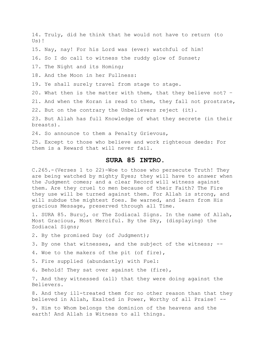14. Truly, did he think that he would not have to return (to Us)!

15. Nay, nay! For his Lord was (ever) watchful of him!

16. So I do call to witness the ruddy glow of Sunset;

17. The Night and its Homing;

18. And the Moon in her Fullness:

19. Ye shall surely travel from stage to stage.

20. What then is the matter with them, that they believe not? –

21. And when the Koran is read to them, they fall not prostrate,

22. But on the contrary the Unbelievers reject (it).

23. But Allah has full Knowledge of what they secrete (in their breasts).

24. So announce to them a Penalty Grievous,

25. Except to those who believe and work righteous deeds: For them is a Reward that will never fail.

# **SURA 85 INTRO.**

C.265.-(Verses 1 to 22)-Woe to those who persecute Truth! They are being watched by mighty Eyes; they will have to answer when the Judgment comes; and a clear Record will witness against them. Are they cruel to men because of their Faith? The Fire they use will be turned against them. For Allah is strong, and will subdue the mightest foes. Be warned, and learn from His gracious Message, preserved through all Time.

1. SURA 85. Buruj, or The Zodiacal Signs. In the name of Allah, Most Gracious, Most Merciful. By the Sky, (displaying) the Zodiacal Signs;

2. By the promised Day (of Judgment);

3. By one that witnesses, and the subject of the witness; --

4. Woe to the makers of the pit (of fire),

5. Fire supplied (abundantly) with Fuel:

6. Behold! They sat over against the (fire),

7. And they witnessed (all) that they were doing against the Believers.

8. And they ill-treated them for no other reason than that they believed in Allah, Exalted in Power, Worthy of all Praise! --

9. Him to Whom belongs the dominion of the heavens and the earth! And Allah is Witness to all things.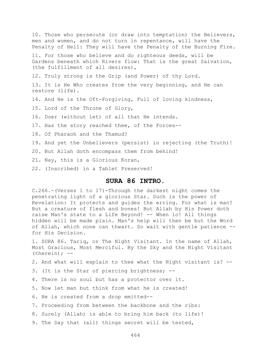10. Those who persecute (or draw into temptation) the Believers, men and women, and do not turn in repentance, will have the Penalty of Hell: They will have the Penalty of the Burning Fire. 11. For those who believe and do righteous deeds, will be Gardens beneath which Rivers flow: That is the great Salvation, (the fulfillment of all desires), 12. Truly strong is the Grip (and Power) of thy Lord. 13. It is He Who creates from the very beginning, and He can restore (life). 14. And He is the Oft-Forgiving, Full of loving kindness, 15. Lord of the Throne of Glory, 16. Doer (without let) of all that He intends. 17. Has the story reached thee, of the Forces-- 18. Of Pharaoh and the Thamud? 19. And yet the Unbelievers (persist) in rejecting (the Truth)! 20. But Allah doth encompass them from behind! 21. Nay, this is a Glorious Koran, 22. (Inscribed) in a Tablet Preserved!

# **SURA 86 INTRO.**

C.266.-(Verses 1 to 17)-Through the darkest night comes the penetrating light of a glorious Star. Such is the power of Revelation: It protects and guides the erring. For what is man? But a creature of flesh and bones! But Allah by His Power doth raise Man's state to a Life Beyond! -- When lo! All things hidden will be made plain. Man's help will then be but the Word of Allah, which none can thwart. So wait with gentle patience - for His Decision.

1. SURA 86. Tariq, or The Night Visitant. In the name of Allah, Most Gracious, Most Merciful. By the Sky and the Night Visitant (therein);  $-$ 

- 2. And what will explain to thee what the Night visitant is? --
- 3. (It is the Star of piercing brightness; --
- 4. There is no soul but has a protector over it.
- 5. Now let man but think from what he is created!
- 6. He is created from a drop emitted--
- 7. Proceeding from between the backbone and the ribs:
- 8. Surely (Allah) is able to bring him back (to life)!
- 9. The Day that (all) things secret will be tested,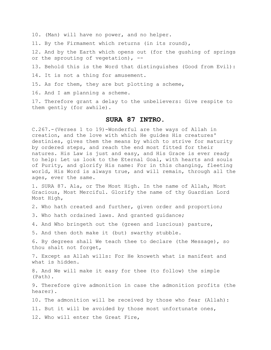10. (Man) will have no power, and no helper.

11. By the Firmament which returns (in its round),

12. And by the Earth which opens out (for the gushing of springs or the sprouting of vegetation), --

13. Behold this is the Word that distinguishes (Good from Evil):

14. It is not a thing for amusement.

15. As for them, they are but plotting a scheme,

16. And I am planning a scheme.

17. Therefore grant a delay to the unbelievers: Give respite to them gently (for awhile).

## **SURA 87 INTRO.**

C.267.-(Verses 1 to 19)-Wonderful are the ways of Allah in creation, and the love with which He guides His creatures' destinies, gives them the means by which to strive for maturity by ordered steps, and reach the end most fitted for their natures. His Law is just and easy, and His Grace is ever ready to help: Let us look to the Eternal Goal, with hearts and souls of Purity, and glorify His name: For in this changing, fleeting world, His Word is always true, and will remain, through all the ages, ever the same.

1. SURA 87. Ala, or The Most High. In the name of Allah, Most Gracious, Most Merciful. Glorify the name of thy Guardian Lord Most High,

2. Who hath created and further, given order and proportion;

3. Who hath ordained laws. And granted guidance;

4. And Who bringeth out the (green and luscious) pasture,

5. And then doth make it (but) swarthy stubble.

6. By degrees shall We teach thee to declare (the Message), so thou shalt not forget,

7. Except as Allah wills: For He knoweth what is manifest and what is hidden.

8. And We will make it easy for thee (to follow) the simple (Path).

9. Therefore give admonition in case the admonition profits (the hearer).

10. The admonition will be received by those who fear (Allah):

11. But it will be avoided by those most unfortunate ones,

12. Who will enter the Great Fire,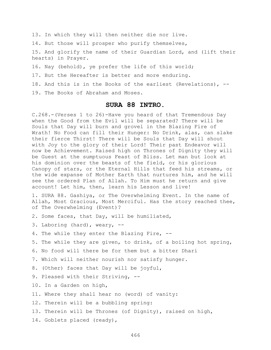13. In which they will then neither die nor live.

14. But those will prosper who purify themselves,

15. And glorify the name of their Guardian Lord, and (lift their hearts) in Prayer.

16. Nay (behold), ye prefer the life of this world;

17. But the Hereafter is better and more enduring.

18. And this is in the Books of the earliest (Revelations), --

19. The Books of Abraham and Moses.

# **SURA 88 INTRO.**

C.268.-(Verses 1 to 26)-Have you heard of that Tremendous Day when the Good from the Evil will be separated? There will be Souls that Day will burn and grovel in the Blazing Fire of Wrath! No Food can fill their Hunger: No Drink, alas, can slake their fierce Thirst! There will be Souls that Day will shout with Joy to the glory of their Lord! Their past Endeavor will now be Achievement. Raised high on Thrones of Dignity they will be Guest at the sumptuous Feast of Bliss. Let man but look at his dominion over the beasts of the field, or his glorious Canopy of stars, or the Eternal Hills that feed his streams, or the wide expanse of Mother Earth that nurtures him, and he will see the ordered Plan of Allah. To Him must he return and give account! Let him, then, learn his Lesson and live!

1. SURA 88. Gashiya, or The Overwhelming Event. In the name of Allah, Most Gracious, Most Merciful. Has the story reached thee, of The Overwhelming (Event)?

2. Some faces, that Day, will be humiliated,

3. Laboring (hard), weary, --

- 4. The while they enter the Blazing Fire, --
- 5. The while they are given, to drink, of a boiling hot spring,

6. No food will there be for them but a bitter Dhari

7. Which will neither nourish nor satisfy hunger.

8. (Other) faces that Day will be joyful,

- 9. Pleased with their Striving, --
- 10. In a Garden on high,
- 11. Where they shall hear no (word) of vanity:

12. Therein will be a bubbling spring:

- 13. Therein will be Thrones (of Dignity), raised on high,
- 14. Goblets placed (ready),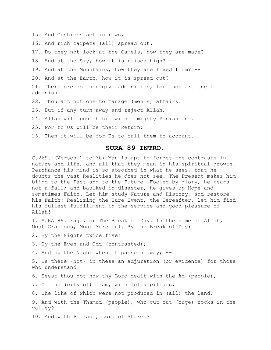- 15. And Cushions set in rows,
- 16. And rich carpets (all) spread out.
- 17. Do they not look at the Camels, how they are made? --
- 18. And at the Sky, how it is raised high? --
- 19. And at the Mountains, how they are fixed firm? --
- 20. And at the Earth, how it is spread out?

21. Therefore do thou give admonition, for thou art one to admonish.

- 22. Thou art not one to manage (men's) affairs.
- 23. But if any turn away and reject Allah, --
- 24. Allah will punish him with a mighty Punishment.
- 25. For to Us will be their Return;
- 26. Then it will be for Us to call them to account.

### **SURA 89 INTRO.**

C.269.-(Verses 1 to 30)-Man is apt to forget the contrasts in nature and life, and all that they mean in his spiritual growth. Perchance his mind is so absorbed in what he sees, that he doubts the vast Realities he does not see. The Present makes him blind to the Past and to the Future. Fooled by glory, he fears not a fall; and baulked in disaster, he gives up Hope and sometimes Faith. Let him study Nature and History, and restore his Faith: Realizing the Sure Event, the Hereafter, let him find his fullest fulfillment in the service and good pleasure of Allah!

1. SURA 89. Fajr, or The Break of Day. In the name of Allah, Most Gracious, Most Merciful. By the Break of Day;

2. By the Nights twice five;

- 3. By the Even and Odd (contrasted);
- 4. And by the Night when it passeth away; --

5. Is there (not) in these an adjuration (or evidence) for those who understand?

6. Seest thou not how thy Lord dealt with the Ad (people), --

7. Of the (city of) Iram, with lofty pillars,

8. The like of which were not produced in (all) the land?

9. And with the Thamud (people), who cut out (huge) rocks in the valley? --

10. And with Pharaoh, Lord of Stakes?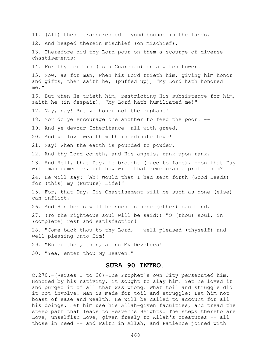11. (All) these transgressed beyond bounds in the lands. 12. And heaped therein mischief (on mischief). 13. Therefore did thy Lord pour on them a scourge of diverse chastisements: 14. For thy Lord is (as a Guardian) on a watch tower. 15. Now, as for man, when his Lord trieth him, giving him honor and gifts, then saith he, (puffed up), "My Lord hath honored me." 16. But when He trieth him, restricting His subsistence for him, saith he (in despair), "My Lord hath humiliated me!" 17. Nay, nay! But ye honor not the orphans! 18. Nor do ye encourage one another to feed the poor! -- 19. And ye devour Inheritance--all with greed, 20. And ye love wealth with inordinate love! 21. Nay! When the earth is pounded to powder, 22. And thy Lord cometh, and His angels, rank upon rank, 23. And Hell, that Day, is brought (face to face), --on that Day will man remember, but how will that remembrance profit him? 24. He will say: "Ah! Would that I had sent forth (Good Deeds) for (this) my (Future) Life!" 25. For, that Day, His Chastisement will be such as none (else) can inflict, 26. And His bonds will be such as none (other) can bind. 27. (To the righteous soul will be said:) "O (thou) soul, in (complete) rest and satisfaction! 28. "Come back thou to thy Lord, --well pleased (thyself) and well pleasing unto Him! 29. "Enter thou, then, among My Devotees! 30. "Yea, enter thou My Heaven!"

# **SURA 90 INTRO.**

C.270.-(Verses 1 to 20)-The Prophet's own City persecuted him. Honored by his nativity, it sought to slay him: Yet he loved it and purged it of all that was wrong. What toil and struggle did it not involve? Man is made for toil and struggle: Let him not boast of ease and wealth. He will be called to account for all his doings. Let him use his Allah-given faculties, and tread the steep path that leads to Heaven's Heights: The steps thereto are Love, unselfish Love, given freely to Allah's creatures -- all those in need -- and Faith in Allah, and Patience joined with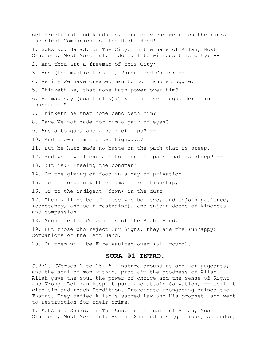self-restraint and kindness. Thus only can we reach the ranks of the blest Companions of the Right Hand! 1. SURA 90. Balad, or The City. In the name of Allah, Most Gracious, Most Merciful. I do call to witness this City; -- 2. And thou art a freeman of this City; --3. And (the mystic ties of) Parent and Child; -- 4. Verily We have created man to toil and struggle. 5. Thinketh he, that none hath power over him? 6. He may say (boastfully):" Wealth have I squandered in abundance!" 7. Thinketh he that none beholdeth him? 8. Have We not made for him a pair of eyes? -- 9. And a tongue, and a pair of lips? -- 10. And shown him the two highways? 11. But he hath made no haste on the path that is steep. 12. And what will explain to thee the path that is steep? -- 13. (It is:) Freeing the bondman; 14. Or the giving of food in a day of privation 15. To the orphan with claims of relationship, 16. Or to the indigent (down) in the dust. 17. Then will he be of those who believe, and enjoin patience, (constancy, and self-restraint), and enjoin deeds of kindness and compassion. 18. Such are the Companions of the Right Hand. 19. But those who reject Our Signs, they are the (unhappy) Companions of the Left Hand. 20. On them will be Fire vaulted over (all round). **SURA 91 INTRO.**  C.271.-(Verses 1 to 15)-All nature around us and her pageants,

and the soul of man within, proclaim the goodness of Allah. Allah gave the soul the power of choice and the sense of Right and Wrong. Let man keep it pure and attain Salvation, -- soil it with sin and reach Perdition. Inordinate wrongdoing ruined the Thamud. They defied Allah's sacred Law and His prophet, and went to Destruction for their crime.

1. SURA 91. Shams, or The Sun. In the name of Allah, Most Gracious, Most Merciful. By the Sun and his (glorious) splendor;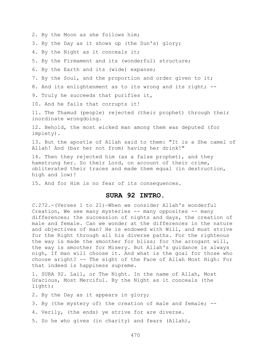- 2. By the Moon as she follows him;
- 3. By the Day as it shows up (the Sun's) glory;
- 4. By the Night as it conceals it;
- 5. By the Firmament and its (wonderful) structure;
- 6. By the Earth and its (wide) expanse;
- 7. By the Soul, and the proportion and order given to it;
- 8. And its enlightenment as to its wrong and its right; --
- 9. Truly he succeeds that purifies it,
- 10. And he fails that corrupts it!
- 11. The Thamud (people) rejected (their prophet) through their inordinate wrongdoing.
- 12. Behold, the most wicked man among them was deputed (for impiety).
- 13. But the apostle of Allah said to them: "It is a She camel of Allah! And (bar her not from) having her drink!"
- 14. Then they rejected him (as a false prophet), and they hamstrung her. So their Lord, on account of their crime, obliterated their traces and made them equal (in destruction, high and low)!
- 15. And for Him is no fear of its consequences.

# **SURA 92 INTRO.**

- C.272.-(Verses 1 to 21)-When we consider Allah's wonderful Creation, We see many mysteries -- many opposites -- many differences; the succession of nights and days, the creation of male and female. Can we wonder at the differences in the nature and objectives of man? He is endowed with Will, and must strive for the Right through all his diverse paths. For the righteous the way is made the smoother for bliss; for the arrogant will, the way is smoother for Misery. But Allah's guidance is always nigh, If man will choose it. And what is the goal for those who choose aright? -- The sight of the Face of Allah Most High: For that indeed is happiness supreme.
- 1. SURA 92. Lail, or The Night. In the name of Allah, Most Gracious, Most Merciful. By the Night as it conceals (the light);
- 2. By the Day as it appears in glory;
- 3. By (the mystery of) the creation of male and female; --
- 4. Verily, (the ends) ye strive for are diverse.
- 5. So he who gives (in charity) and fears (Allah),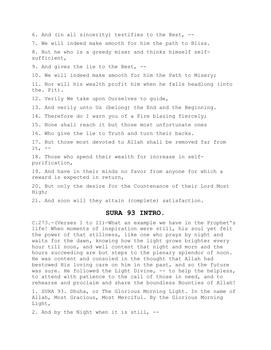6. And (in all sincerity) testifies to the Best, -- 7. We will indeed make smooth for him the path to Bliss. 8. But he who is a greedy miser and thinks himself selfsufficient, 9. And gives the lie to the Best, -- 10. We will indeed make smooth for him the Path to Misery; 11. Nor will his wealth profit him when he falls headlong (into the. Pit). 12. Verily We take upon Ourselves to guide, 13. And verily unto Us (belong) the End and the Beginning. 14. Therefore do I warn you of a Fire blazing fiercely; 15. None shall reach it but those most unfortunate ones 16. Who give the lie to Truth and turn their backs. 17. But those most devoted to Allah shall be removed far from  $it, --$ 18. Those who spend their wealth for increase in selfpurification, 19. And have in their minds no favor from anyone for which a reward is expected in return, 20. But only the desire for the Countenance of their Lord Most High; 21. And soon will they attain (complete) satisfaction.

# **SURA 93 INTRO.**

C.273.-(Verses 1 to 11)-What an example we have in the Prophet's life! When moments of inspiration were still, his soul yet felt the power of that stillness, like one who prays by night and waits for the dawn, knowing how the light grows brighter every hour till noon, and well content that night and morn and the hours succeeding are but steps to the plenary splendor of noon. He was content and consoled in the thought that Allah had bestowed His loving care on him in the past, and so the future was sure. He followed the Light Divine, -- to help the helpless, to attend with patience to the call of those in need, and to rehearse and proclaim and share the boundless Bounties of Allah!

1. SURA 93. Dhuha, or The Glorious Morning Light. In the name of Allah, Most Gracious, Most Merciful. By the Glorious Morning Light,

2. And by the Night when it is still, --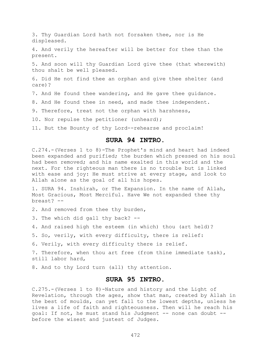3. Thy Guardian Lord hath not forsaken thee, nor is He displeased. 4. And verily the hereafter will be better for thee than the present. 5. And soon will thy Guardian Lord give thee (that wherewith) thou shalt be well pleased. 6. Did He not find thee an orphan and give thee shelter (and care)? 7. And He found thee wandering, and He gave thee guidance. 8. And He found thee in need, and made thee independent. 9. Therefore, treat not the orphan with harshness, 10. Nor repulse the petitioner (unheard); 11. But the Bounty of thy Lord--rehearse and proclaim!

#### **SURA 94 INTRO.**

C.274.-(Verses 1 to 8)-The Prophet's mind and heart had indeed been expanded and purified; the burden which pressed on his soul had been removed; and his name exalted in this world and the next. For the righteous man there is no trouble but is linked with ease and joy: He must strive at every stage, and look to Allah alone as the goal of all his hopes.

1. SURA 94. Inshirah, or The Expansion. In the name of Allah, Most Gracious, Most Merciful. Have We not expanded thee thy breast? --

2. And removed from thee thy burden,

3. The which did gall thy back? --

4. And raised high the esteem (in which) thou (art held)?

5. So, verily, with every difficulty, there is relief:

6. Verily, with every difficulty there is relief.

7. Therefore, when thou art free (from thine immediate task), still labor hard,

8. And to thy Lord turn (all) thy attention.

# **SURA 95 INTRO.**

C.275.-(Verses 1 to 8)-Nature and history and the Light of Revelation, through the ages, show that man, created by Allah in the best of moulds, can yet fall to the lowest depths, unless he lives a life of faith and righteousness. Then will he reach his goal: If not, he must stand his Judgment -- none can doubt - before the wisest and justest of Judges.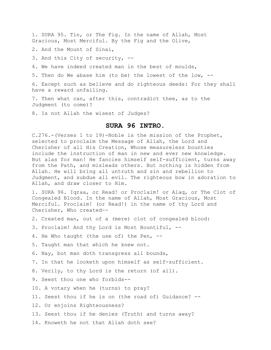1. SURA 95. Tin, or The Fig. In the name of Allah, Most Gracious, Most Merciful. By the Fig and the Olive,

2. And the Mount of Sinai,

3. And this City of security, --

4. We have indeed created man in the best of moulds,

5. Then do We abase him (to be) the lowest of the low, --

6. Except such as believe and do righteous deeds: For they shall have a reward unfailing.

7. Then what can, after this, contradict thee, as to the Judgment (to come)?

8. Is not Allah the wisest of Judges?

### **SURA 96 INTRO.**

C.276.-(Verses 1 to 19)-Noble is the mission of the Prophet, selected to proclaim the Message of Allah, the Lord and Cherisher of all His Creation, Whose measureless bounties include the instruction of man in new and ever new knowledge. But alas for man! He fancies himself self-sufficient, turns away from the Path, and misleads others. But nothing is hidden from Allah. He will bring all untruth and sin and rebellion to Judgment, and subdue all evil. The righteous bow in adoration to Allah, and draw closer to Him.

1. SURA 96. Iqraa, or Read! or Proclaim! or Alaq, or The Clot of Congealed Blood. In the name of Allah, Most Gracious, Most Merciful. Proclaim! (or Read!) in the name of thy Lord and Cherisher, Who created--

- 2. Created man, out of a (mere) clot of congealed blood:
- 3. Proclaim! And thy Lord is Most Bountiful, --
- 4. He Who taught (the use of) the Pen, --
- 5. Taught man that which he knew not.

6. Nay, but man doth transgress all bounds,

7. In that he looketh upon himself as self-sufficient.

8. Verily, to thy Lord is the return (of all).

- 9. Seest thou one who forbids--
- 10. A votary when he (turns) to pray?
- 11. Seest thou if he is on (the road of) Guidance? --

12. Or enjoins Righteousness?

13. Seest thou if he denies (Truth) and turns away?

14. Knoweth he not that Allah doth see?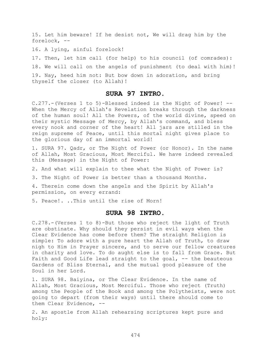15. Let him beware! If he desist not, We will drag him by the forelock, --

16. A lying, sinful forelock!

17. Then, let him call (for help) to his council (of comrades):

18. We will call on the angels of punishment (to deal with him)! 19. Nay, heed him not: But bow down in adoration, and bring thyself the closer (to Allah)!

#### **SURA 97 INTRO.**

C.277.-(Verses 1 to 5)-Blessed indeed is the Night of Power! -- When the Mercy of Allah's Revelation breaks through the darkness of the human soul! All the Powers, of the world divine, speed on their mystic Message of Mercy, by Allah's command, and bless every nook and corner of the heart! All jars are stilled in the reign supreme of Peace, until this mortal night gives place to the glorious day of an immortal world!

1. SURA 97. Qadr, or The Night of Power (or Honor). In the name of Allah, Most Gracious, Most Merciful. We have indeed revealed this (Message) in the Night of Power:

2. And what will explain to thee what the Night of Power is?

3. The Night of Power is better than a thousand Months.

4. Therein come down the angels and the Spirit by Allah's permission, on every errand:

5. Peace!. ..This until the rise of Morn!

#### **SURA 98 INTRO.**

C.278.-(Verses 1 to 8)-But those who reject the light of Truth are obstinate. Why should they persist in evil ways when the Clear Evidence has come before them? The straight Religion is simple: To adore with a pure heart the Allah of Truth, to draw nigh to Him in Prayer sincere, and to serve our fellow creatures in charity and love. To do aught else is to fall from Grace. But Faith and Good Life lead straight to the goal,  $-$ - the beauteous Gardens of Bliss Eternal, and the mutual good pleasure of the Soul in her Lord.

1. SURA 98. Baiyina, or The Clear Evidence. In the name of Allah, Most Gracious, Most Merciful. Those who reject (Truth) among the People of the Book and among the Polytheists, were not going to depart (from their ways) until there should come to them Clear Evidence, --

2. An apostle from Allah rehearsing scriptures kept pure and holy: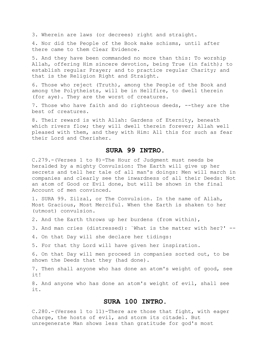3. Wherein are laws (or decrees) right and straight.

4. Nor did the People of the Book make schisms, until after there came to them Clear Evidence.

5. And they have been commanded no more than this: To worship Allah, offering Him sincere devotion, being True (in faith); to establish regular Prayer; and to practice regular Charity; and that is the Religion Right and Straight.

6. Those who reject (Truth), among the People of the Book and among the Polytheists, will be in Hellfire, to dwell therein (for aye). They are the worst of creatures.

7. Those who have faith and do righteous deeds, --they are the best of creatures.

8. Their reward is with Allah: Gardens of Eternity, beneath which rivers flow; they will dwell therein forever; Allah well pleased with them, and they with Him: All this for such as fear their Lord and Cherisher.

# **SURA 99 INTRO.**

C.279.-(Verses 1 to 8)-The Hour of Judgment must needs be heralded by a mighty Convulsion: The Earth will give up her secrets and tell her tale of all man's doings: Men will march in companies and clearly see the inwardness of all their Deeds: Not an atom of Good or Evil done, but will be shown in the final Account of men convinced.

1. SURA 99. Zilzal, or The Convulsion. In the name of Allah, Most Gracious, Most Merciful. When the Earth is shaken to her (utmost) convulsion.

2. And the Earth throws up her burdens (from within),

3. And man cries (distressed): `What is the matter with her?' --

4. On that Day will she declare her tidings:

5. For that thy Lord will have given her inspiration.

6. On that Day will men proceed in companies sorted out, to be shown the Deeds that they (had done).

7. Then shall anyone who has done an atom's weight of good, see it!

8. And anyone who has done an atom's weight of evil, shall see it.

# **SURA 100 INTRO.**

C.280.-(Verses 1 to 11)-There are those that fight, with eager charge, the hosts of evil, and storm its citadel. But unregenerate Man shows less than gratitude for god's most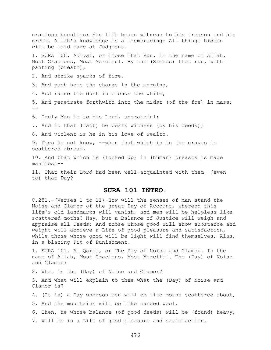gracious bounties: His life bears witness to his treason and his greed. Allah's knowledge is all-embracing: All things hidden will be laid bare at Judgment.

1. SURA 100. Adiyat, or Those That Run. In the name of Allah, Most Gracious, Most Merciful. By the (Steeds) that run, with panting (breath),

2. And strike sparks of fire,

3. And push home the charge in the morning,

4. And raise the dust in clouds the while,

5. And penetrate forthwith into the midst (of the foe) in mass; --

6. Truly Man is to his Lord, ungrateful;

7. And to that (fact) he bears witness (by his deeds);

8. And violent is he in his love of wealth.

9. Does he not know, --when that which is in the graves is scattered abroad,

10. And that which is (locked up) in (human) breasts is made manifest--

11. That their Lord had been well-acquainted with them, (even to) that Day?

# **SURA 101 INTRO.**

C.281.-(Verses 1 to 11)-How will the senses of man stand the Noise and Clamor of the great Day of Account, whereon this life's old landmarks will vanish, and men will be helpless like scattered moths? Nay, but a Balance of Justice will weigh and appraise all Deeds: And those whose good will show substance and weight will achieve a Life of good pleasure and satisfaction, while those whose good will be light will find themselves, Alas, in a blazing Pit of Punishment.

1. SURA 101. Al Qaria, or The Day of Noise and Clamor. In the name of Allah, Most Gracious, Most Merciful. The (Day) of Noise and Clamor:

2. What is the (Day) of Noise and Clamor?

3. And what will explain to thee what the (Day) of Noise and Clamor is?

4. (It is) a Day whereon men will be like moths scattered about,

5. And the mountains will be like carded wool.

6. Then, he whose balance (of good deeds) will be (found) heavy,

7. Will be in a Life of good pleasure and satisfaction.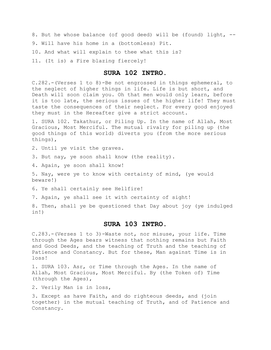8. But he whose balance (of good deed) will be (found) light, -- 9. Will have his home in a (bottomless) Pit. 10. And what will explain to thee what this is? 11. (It is) a Fire blazing fiercely!

#### **SURA 102 INTRO.**

C.282.-(Verses 1 to 8)-Be not engrossed in things ephemeral, to the neglect of higher things in life. Life is but short, and Death will soon claim you. Oh that men would only learn, before it is too late, the serious issues of the higher life! They must taste the consequences of their neglect. For every good enjoyed they must in the Hereafter give a strict account.

1. SURA 102. Takathur, or Piling Up. In the name of Allah, Most Gracious, Most Merciful. The mutual rivalry for piling up (the good things of this world) diverts you (from the more serious things),

2. Until ye visit the graves.

3. But nay, ye soon shall know (the reality).

4. Again, ye soon shall know!

5. Nay, were ye to know with certainty of mind, (ye would beware!)

6. Ye shall certainly see Hellfire!

7. Again, ye shall see it with certainty of sight!

8. Then, shall ye be questioned that Day about joy (ye indulged in!)

### **SURA 103 INTRO.**

C.283.-(Verses 1 to 3)-Waste not, nor misuse, your life. Time through the Ages bears witness that nothing remains but Faith and Good Deeds, and the teaching of Truth and the teaching of Patience and Constancy. But for these, Man against Time is in loss!

1. SURA 103. Asr, or Time through the Ages. In the name of Allah, Most Gracious, Most Merciful. By (the Token of) Time (through the Ages),

2. Verily Man is in loss,

3. Except as have Faith, and do righteous deeds, and (join together) in the mutual teaching of Truth, and of Patience and Constancy.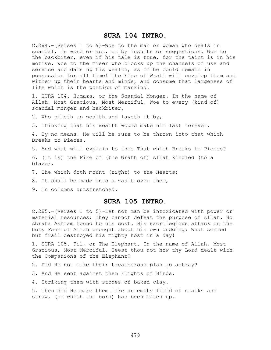### **SURA 104 INTRO.**

C.284.-(Verses 1 to 9)-Woe to the man or woman who deals in scandal, in word or act, or by insults or suggestions. Woe to the backbiter, even if his tale is true, for the taint is in his motive. Woe to the miser who blocks up the channels of use and service and dams up his wealth, as if he could remain in possession for all time! The Fire of Wrath will envelop them and wither up their hearts and minds, and consume that largeness of life which is the portion of mankind.

1. SURA 104. Humaza, or the Scandal Monger. In the name of Allah, Most Gracious, Most Merciful. Woe to every (kind of) scandal monger and backbiter,

2. Who pileth up wealth and layeth it by,

3. Thinking that his wealth would make him last forever.

4. By no means! He will be sure to be thrown into that which Breaks to Pieces.

5. And what will explain to thee That which Breaks to Pieces?

6. (It is) the Fire of (the Wrath of) Allah kindled (to a blaze),

7. The which doth mount (right) to the Hearts:

8. It shall be made into a vault over them,

9. In columns outstretched.

## **SURA 105 INTRO.**

C.285.-(Verses 1 to 5)-Let not man be intoxicated with power or material resources: They cannot defeat the purpose of Allah. So Abraha Ashram found to his cost. His sacrilegious attack on the holy Fane of Allah brought about his own undoing: What seemed but frail destroyed his mighty host in a day!

1. SURA 105. Fil, or The Elephant. In the name of Allah, Most Gracious, Most Merciful. Seest thou not how thy Lord dealt with the Companions of the Elephant?

2. Did He not make their treacherous plan go astray?

3. And He sent against them Flights of Birds,

4. Striking them with stones of baked clay.

5. Then did He make them like an empty field of stalks and straw, (of which the corn) has been eaten up.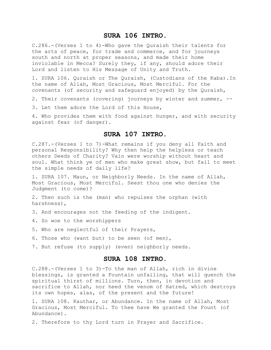# **SURA 106 INTRO.**

C.286.-(Verses 1 to 4)-Who gave the Quraish their talents for the arts of peace, for trade and commerce, and for journeys south and north at proper seasons, and made their home inviolable in Mecca? Surely they, if any, should adore their Lord and listen to His Message of Unity and Truth.

1. SURA 106. Quraish or The Quraish, (Custodians of the Kaba).In the name of Allah, Most Gracious, Most Merciful. For the covenants (of security and safeguard enjoyed) by the Quraish,

2. Their covenants (covering) journeys by winter and summer, --

3. Let them adore the Lord of this House,

4. Who provides them with food against hunger, and with security against fear (of danger).

# **SURA 107 INTRO.**

C.287.-(Verses 1 to 7)-What remains if you deny all Faith and personal Responsibility? Why then help the helpless or teach others Deeds of Charity? Vain were worship without heart and soul. What think ye of men who make great show, but fail to meet the simple needs of daily life?

1. SURA 107. Maun, or Neighborly Needs. In the name of Allah, Most Gracious, Most Merciful. Seest thou one who denies the Judgment (to come)?

2. Then such is the (man) who repulses the orphan (with harshness),

- 3. And encourages not the feeding of the indigent.
- 4. So woe to the worshippers
- 5. Who are neglectful of their Prayers,
- 6. Those who (want but) to be seen (of men),

7. But refuse (to supply) (even) neighborly needs.

# **SURA 108 INTRO.**

C.288.-(Verses 1 to 3)-To the man of Allah, rich in divine blessings, is granted a Fountain unfailing, that will quench the spiritual thirst of millions. Turn, then, in devotion and sacrifice to Allah, nor heed the venom of Hatred, which destroys its own hopes, alas, of the present and the future!

1. SURA 108. Kauthar, or Abundance. In the name of Allah, Most Gracious, Most Merciful. To thee have We granted the Fount (of Abundance).

2. Therefore to thy Lord turn in Prayer and Sacrifice.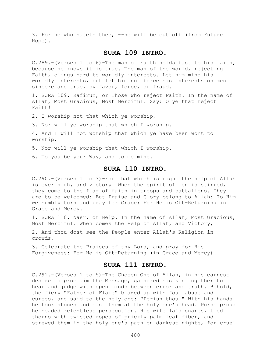3. For he who hateth thee, --he will be cut off (from Future Hope).

# **SURA 109 INTRO.**

C.289.-(Verses 1 to 6)-The man of Faith holds fast to his faith, because he knows it is true. The man of the world, rejecting Faith, clings hard to worldly interests. Let him mind his worldly interests, but let him not force his interests on men sincere and true, by favor, force, or fraud.

1. SURA 109. Kafirun, or Those who reject Faith. In the name of Allah, Most Gracious, Most Merciful. Say: O ye that reject Faith!

2. I worship not that which ye worship,

3. Nor will ye worship that which I worship.

4. And I will not worship that which ye have been wont to worship,

5. Nor will ye worship that which I worship.

6. To you be your Way, and to me mine.

### **SURA 110 INTRO.**

C.290.-(Verses 1 to 3)-For that which is right the help of Allah is ever nigh, and victory! When the spirit of men is stirred, they come to the flag of faith in troops and battalions. They are to be welcomed: But Praise and Glory belong to Allah: To Him we humbly turn and pray for Grace: For He is Oft-Returning in Grace and Mercy.

1. SURA 110. Nasr, or Help. In the name of Allah, Most Gracious, Most Merciful. When comes the Help of Allah, and Victory,

2. And thou dost see the People enter Allah's Religion in crowds,

3. Celebrate the Praises of thy Lord, and pray for His Forgiveness: For He is Oft-Returning (in Grace and Mercy).

### **SURA 111 INTRO.**

C.291.-(Verses 1 to 5)-The Chosen One of Allah, in his earnest desire to proclaim the Message, gathered his kin together to hear and judge with open minds between error and truth. Behold, the fiery "Father of Flame" blazed up with foul abuse and curses, and said to the holy one: "Perish thou!" With his hands he took stones and cast them at the holy one's head. Purse proud he headed relentless persecution. His wife laid snares, tied thorns with twisted ropes of prickly palm leaf fiber, and strewed them in the holy one's path on darkest nights, for cruel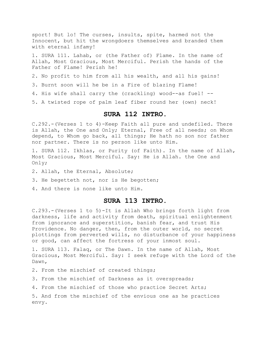sport! But lo! The curses, insults, spite, harmed not the Innocent, but hit the wrongdoers themselves and branded them with eternal infamy!

1. SURA 111. Lahab, or (the Father of) Flame. In the name of Allah, Most Gracious, Most Merciful. Perish the hands of the Father of Flame! Perish he!

2. No profit to him from all his wealth, and all his gains!

3. Burnt soon will he be in a Fire of blazing Flame!

4. His wife shall carry the (crackling) wood--as fuel! --

5. A twisted rope of palm leaf fiber round her (own) neck!

## **SURA 112 INTRO.**

C.292.-(Verses 1 to 4)-Keep Faith all pure and undefiled. There is Allah, the One and Only; Eternal, Free of all needs; on Whom depend, to Whom go back, all things; He hath no son nor father nor partner. There is no person like unto Him.

1. SURA 112. Ikhlas, or Purity (of Faith). In the name of Allah, Most Gracious, Most Merciful. Say: He is Allah. the One and Only;

2. Allah, the Eternal, Absolute;

3. He begetteth not, nor is He begotten;

4. And there is none like unto Him.

# **SURA 113 INTRO.**

C.293.-(Verses 1 to 5)-It is Allah Who brings forth light from darkness, life and activity from death, spiritual enlightenment from ignorance and superstition, banish fear, and trust His Providence. No danger, then, from the outer world, no secret plottings from perverted wills, no disturbance of your happiness or good, can affect the fortress of your inmost soul.

1. SURA 113. Falaq, or The Dawn. In the name of Allah, Most Gracious, Most Merciful. Say: I seek refuge with the Lord of the Dawn,

2. From the mischief of created things;

- 3. From the mischief of Darkness as it overspreads;
- 4. From the mischief of those who practice Secret Arts;

5. And from the mischief of the envious one as he practices envy.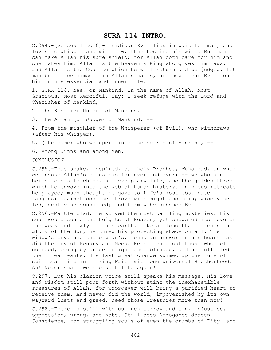### **SURA 114 INTRO.**

C.294.-(Verses 1 to 6)-Insidious Evil lies in wait for man, and loves to whisper and withdraw, thus testing his will. But man can make Allah his sure shield; for Allah doth care for him and cherishes him: Allah is the heavenly King who gives him laws; and Allah is the Goal to which he will return and be judged. Let man but place himself in Allah's hands, and never can Evil touch him in his essential and inner life.

1. SURA 114. Nas, or Mankind. In the name of Allah, Most Gracious, Most Merciful. Say: I seek refuge with the Lord and Cherisher of Mankind,

2. The King (or Ruler) of Mankind,

3. The Allah (or Judge) of Mankind, --

4. From the mischief of the Whisperer (of Evil), who withdraws (after his whisper), --

5. (The same) who whispers into the hearts of Mankind, --

6. Among Jinns and among Men.

CONCLUSION

C.295.-Thus spake, inspired, our holy Prophet, Muhammad, on whom we invoke Allah's blessings for ever and ever; -- we who are heirs to his teaching, his exemplary life, and the golden thread which he enwove into the web of human history. In pious retreats he prayed; much thought he gave to Life's most obstinate tangles; against odds he strove with might and main; wisely he led; gently he counseled; and firmly he subdued Evil.

C.296.-Mantle clad, he solved the most baffling mysteries. His soul would scale the heights of Heaven, yet showered its love on the weak and lowly of this earth. Like a cloud that catches the glory of the Sun, he threw his protecting shade on all. The widow's cry, and the orphan's, found an answer in his heart, as did the cry of Penury and Need. He searched out those who felt no need, being by pride or ignorance blinded, and he fulfilled their real wants. His last great charge summed up the rule of spiritual life in linking Faith with one universal Brotherhood. Ah! Never shall we see such life again!

C.297.-But his clarion voice still speaks his message. His love and wisdom still pour forth without stint the inexhaustible Treasures of Allah, for whosoever will bring a purified heart to receive them. And never did the world, impoverished by its own wayward lusts and greed, need those Treasures more than now!

C.298.-There is still with us much sorrow and sin, injustice, oppression, wrong, and hate. Still does Arrogance deaden Conscience, rob struggling souls of even the crumbs of Pity, and